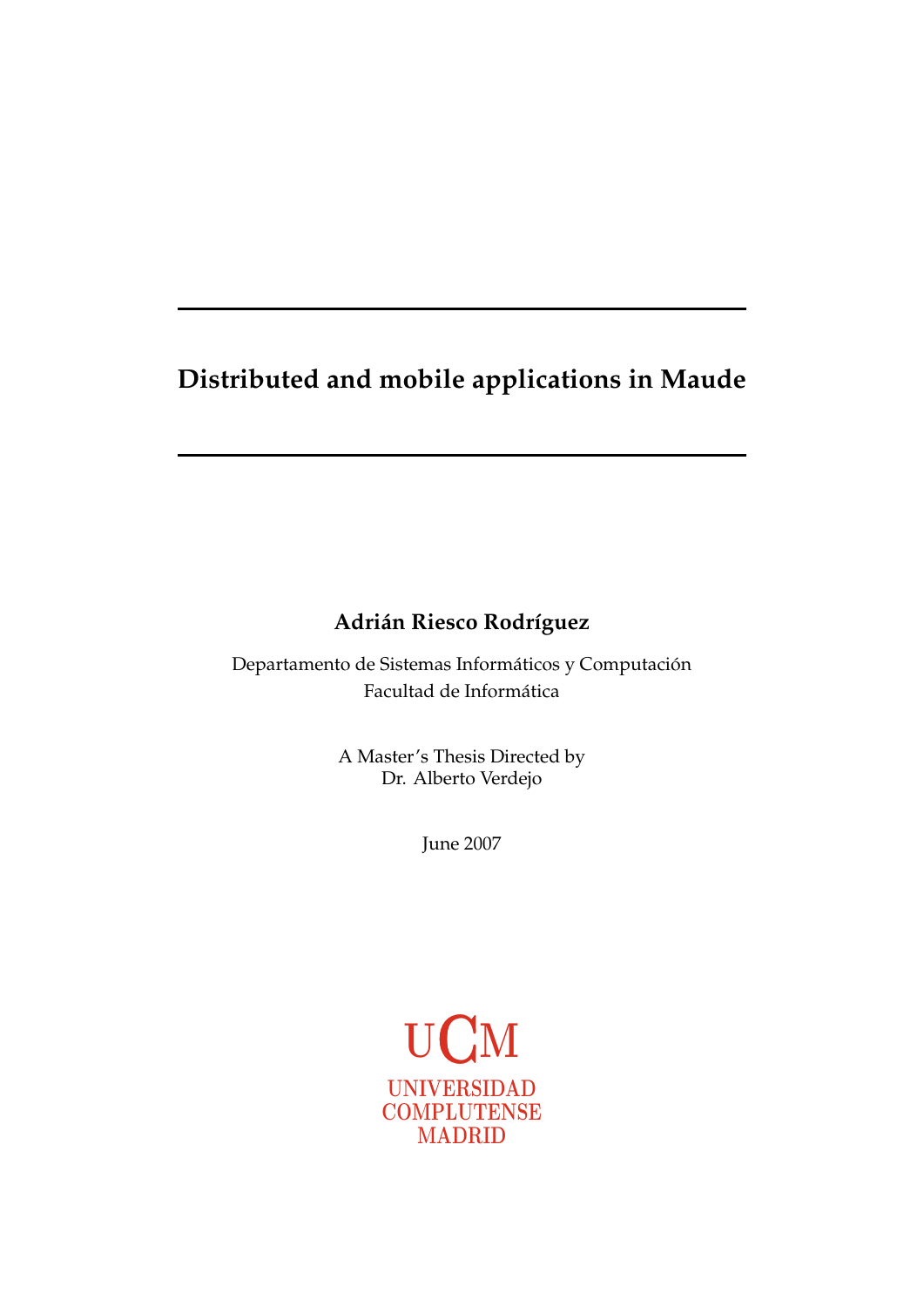# **Distributed and mobile applications in Maude**

# **Adrián Riesco Rodríguez**

Departamento de Sistemas Informáticos y Computación Facultad de Informatica ´

> A Master's Thesis Directed by Dr. Alberto Verdejo

> > June 2007

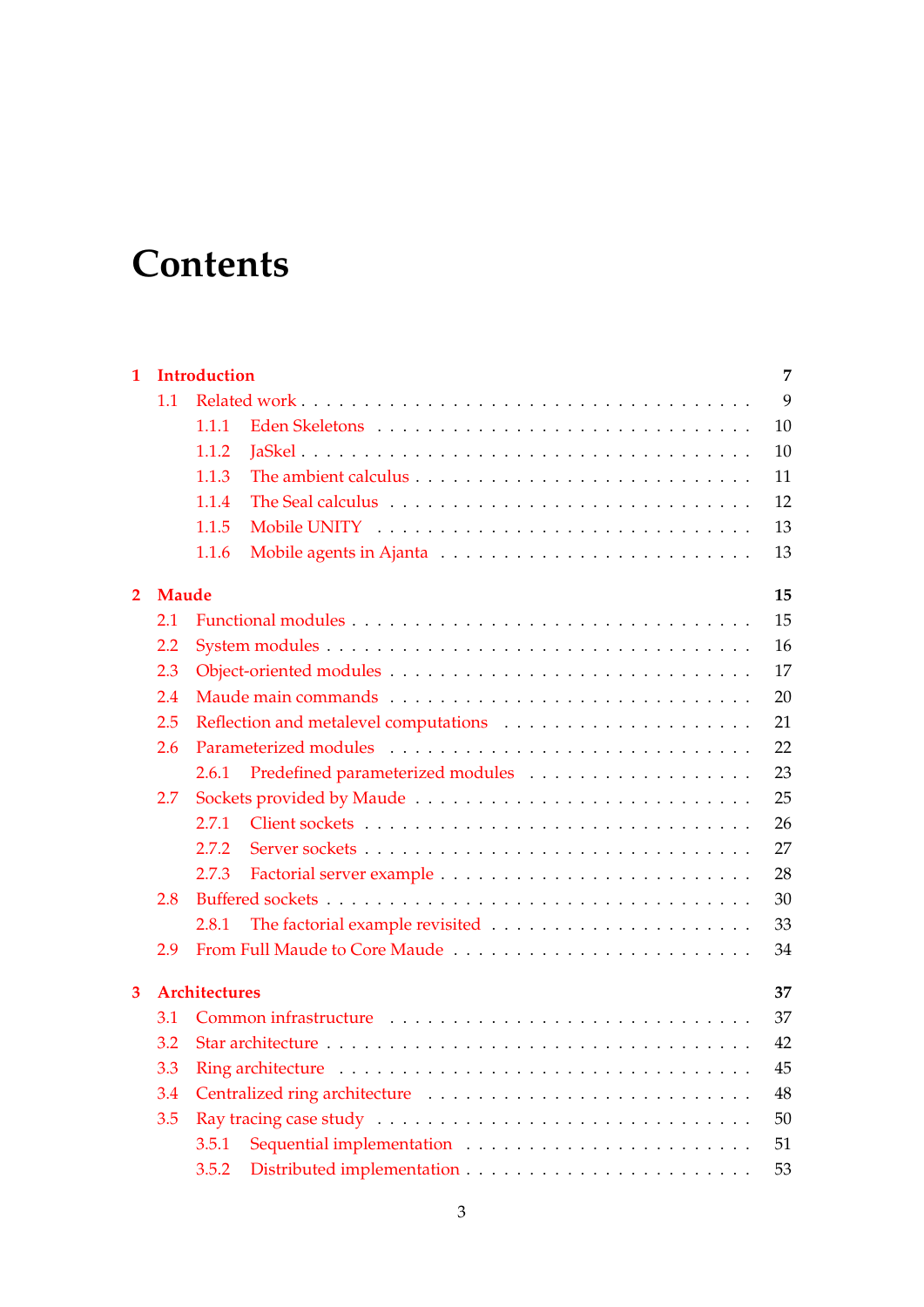# **Contents**

| $\mathbf{1}$   |     | <b>Introduction</b>        |  |  | 7  |  |  |  |  |
|----------------|-----|----------------------------|--|--|----|--|--|--|--|
|                | 1.1 |                            |  |  | 9  |  |  |  |  |
|                |     | 1.1.1                      |  |  | 10 |  |  |  |  |
|                |     | 1.1.2                      |  |  | 10 |  |  |  |  |
|                |     | 1.1.3                      |  |  | 11 |  |  |  |  |
|                |     | 1.1.4                      |  |  | 12 |  |  |  |  |
|                |     | 1.1.5                      |  |  | 13 |  |  |  |  |
|                |     | 1.1.6                      |  |  | 13 |  |  |  |  |
| $\overline{2}$ |     | <b>Maude</b><br>15         |  |  |    |  |  |  |  |
|                | 2.1 |                            |  |  | 15 |  |  |  |  |
|                | 2.2 |                            |  |  | 16 |  |  |  |  |
|                | 2.3 |                            |  |  | 17 |  |  |  |  |
|                | 2.4 |                            |  |  | 20 |  |  |  |  |
|                | 2.5 |                            |  |  | 21 |  |  |  |  |
|                | 2.6 |                            |  |  | 22 |  |  |  |  |
|                |     | 2.6.1                      |  |  | 23 |  |  |  |  |
|                | 2.7 |                            |  |  | 25 |  |  |  |  |
|                |     | 2.7.1                      |  |  | 26 |  |  |  |  |
|                |     | 2.7.2                      |  |  | 27 |  |  |  |  |
|                |     | 2.7.3                      |  |  | 28 |  |  |  |  |
|                | 2.8 |                            |  |  | 30 |  |  |  |  |
|                |     | 2.8.1                      |  |  | 33 |  |  |  |  |
|                | 2.9 |                            |  |  | 34 |  |  |  |  |
| 3              |     | <b>Architectures</b><br>37 |  |  |    |  |  |  |  |
|                | 3.1 |                            |  |  | 37 |  |  |  |  |
|                | 3.2 |                            |  |  | 42 |  |  |  |  |
|                | 3.3 | 45                         |  |  |    |  |  |  |  |
|                | 3.4 |                            |  |  | 48 |  |  |  |  |
|                | 3.5 |                            |  |  | 50 |  |  |  |  |
|                |     | 3.5.1                      |  |  | 51 |  |  |  |  |
|                |     | 3.5.2                      |  |  | 53 |  |  |  |  |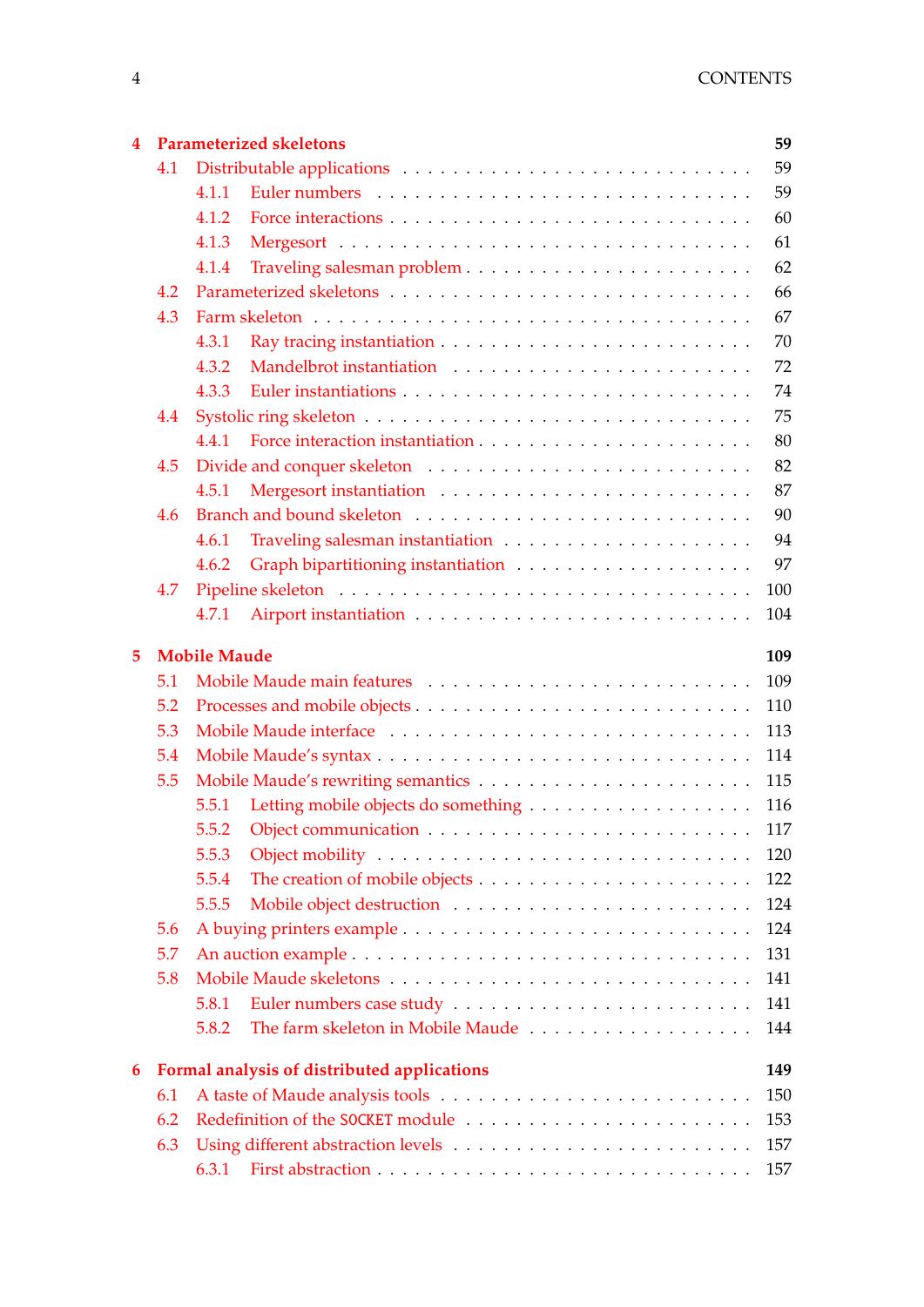| $\overline{\mathbf{4}}$ | <b>Parameterized skeletons</b><br>59 |                            |                                             |     |  |  |  |
|-------------------------|--------------------------------------|----------------------------|---------------------------------------------|-----|--|--|--|
|                         | 4.1                                  |                            |                                             | 59  |  |  |  |
|                         |                                      | 4.1.1                      |                                             | 59  |  |  |  |
|                         |                                      | 4.1.2                      |                                             | 60  |  |  |  |
|                         |                                      | 4.1.3                      |                                             | 61  |  |  |  |
|                         |                                      | 4.1.4                      |                                             | 62  |  |  |  |
|                         | 4.2                                  |                            |                                             | 66  |  |  |  |
|                         | 4.3                                  |                            |                                             | 67  |  |  |  |
|                         |                                      | 4.3.1                      |                                             | 70  |  |  |  |
|                         |                                      | 4.3.2                      |                                             | 72  |  |  |  |
|                         |                                      | 4.3.3                      |                                             | 74  |  |  |  |
|                         | 4.4                                  |                            |                                             | 75  |  |  |  |
|                         |                                      | 4.4.1                      |                                             | 80  |  |  |  |
|                         | 4.5                                  |                            |                                             | 82  |  |  |  |
|                         |                                      | 4.5.1                      |                                             | 87  |  |  |  |
|                         | 4.6                                  |                            |                                             | 90  |  |  |  |
|                         |                                      | 4.6.1                      |                                             | 94  |  |  |  |
|                         |                                      | 4.6.2                      |                                             | 97  |  |  |  |
|                         | 4.7                                  |                            |                                             | 100 |  |  |  |
|                         |                                      | 4.7.1                      |                                             | 104 |  |  |  |
|                         |                                      |                            |                                             |     |  |  |  |
| 5                       |                                      | <b>Mobile Maude</b><br>109 |                                             |     |  |  |  |
|                         | 5.1                                  |                            |                                             | 109 |  |  |  |
|                         | 5.2                                  | 110<br>113                 |                                             |     |  |  |  |
|                         | 5.3                                  |                            |                                             |     |  |  |  |
|                         | 5.4                                  |                            |                                             | 114 |  |  |  |
|                         | 5.5                                  |                            |                                             | 115 |  |  |  |
|                         |                                      | 5.5.1                      |                                             | 116 |  |  |  |
|                         |                                      |                            |                                             | 117 |  |  |  |
|                         |                                      | 5.5.3                      |                                             | 120 |  |  |  |
|                         |                                      | 5.5.4                      |                                             | 122 |  |  |  |
|                         |                                      | 5.5.5                      |                                             | 124 |  |  |  |
|                         | 5.6                                  |                            |                                             | 124 |  |  |  |
|                         | 5.7                                  |                            |                                             | 131 |  |  |  |
|                         | 5.8                                  |                            |                                             | 141 |  |  |  |
|                         |                                      | 5.8.1                      | Euler numbers case study                    | 141 |  |  |  |
|                         |                                      | 5.8.2                      |                                             | 144 |  |  |  |
| 6                       |                                      |                            | Formal analysis of distributed applications | 149 |  |  |  |
|                         | 6.1                                  | 150                        |                                             |     |  |  |  |
|                         | 6.2                                  | 153                        |                                             |     |  |  |  |
|                         | 6.3                                  |                            |                                             | 157 |  |  |  |
|                         |                                      | 6.3.1                      |                                             | 157 |  |  |  |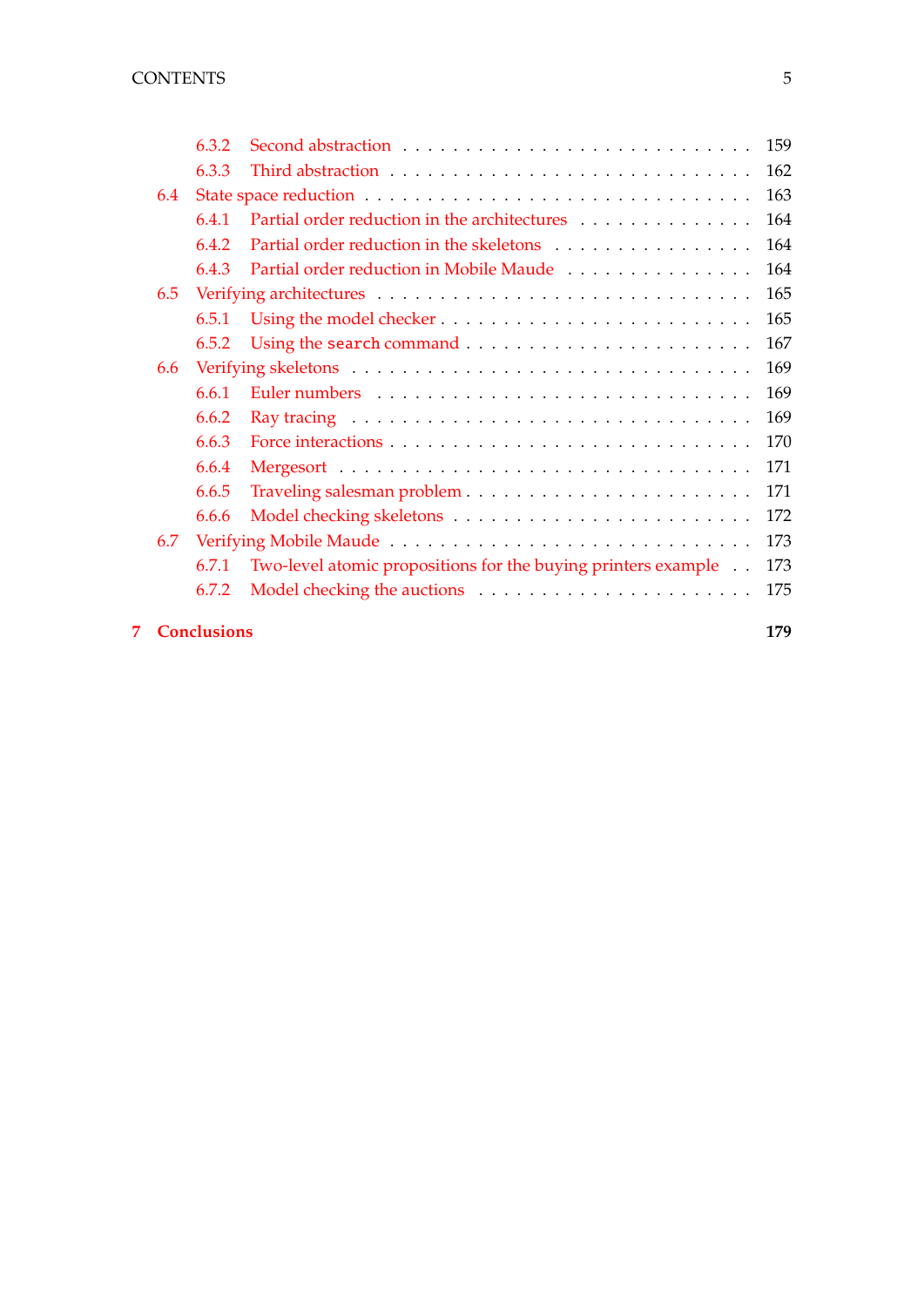|     | 6.3.2 |                                                                                 | 159 |
|-----|-------|---------------------------------------------------------------------------------|-----|
|     | 6.3.3 |                                                                                 | 162 |
| 6.4 |       |                                                                                 |     |
|     | 6.4.1 | Partial order reduction in the architectures                                    | 164 |
|     | 6.4.2 | Partial order reduction in the skeletons                                        | 164 |
|     | 6.4.3 | Partial order reduction in Mobile Maude                                         | 164 |
| 6.5 |       |                                                                                 | 165 |
|     | 6.5.1 | Using the model checker $\dots \dots \dots \dots \dots \dots \dots \dots \dots$ | 165 |
|     | 6.5.2 |                                                                                 | 167 |
| 6.6 |       |                                                                                 | 169 |
|     | 6.6.1 |                                                                                 | 169 |
|     | 6.6.2 |                                                                                 | 169 |
|     | 6.6.3 |                                                                                 | 170 |
|     | 6.6.4 |                                                                                 | 171 |
|     | 6.6.5 |                                                                                 | 171 |
|     | 6.6.6 |                                                                                 | 172 |
| 6.7 |       |                                                                                 | 173 |
|     | 6.7.1 | Two-level atomic propositions for the buying printers example                   | 173 |
|     | 6.7.2 |                                                                                 | 175 |
|     |       |                                                                                 |     |

# **[7 Conclusions](#page-180-0) 179**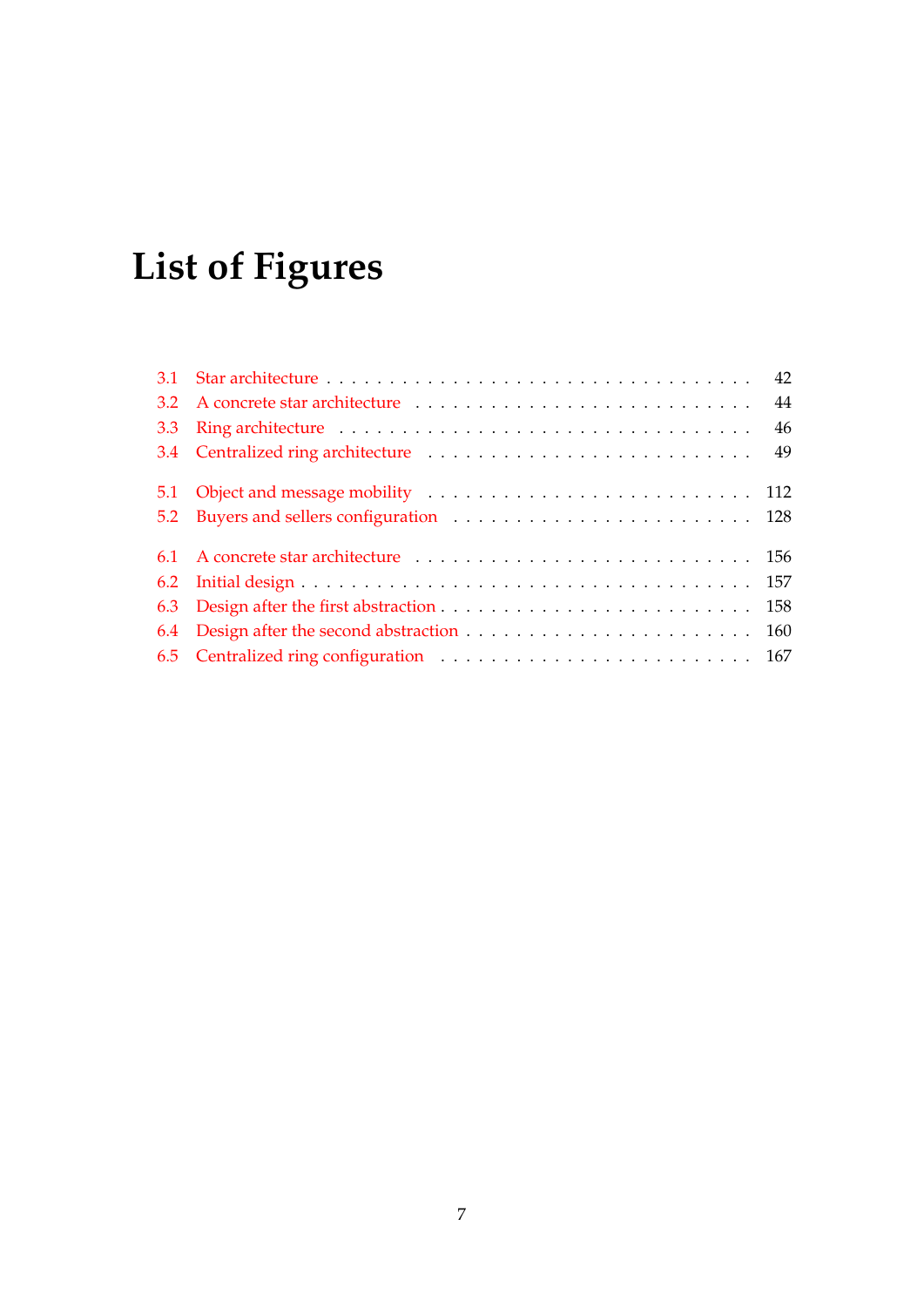# **List of Figures**

| 3.3 |  |
|-----|--|
|     |  |
|     |  |
|     |  |
|     |  |
|     |  |
|     |  |
|     |  |
|     |  |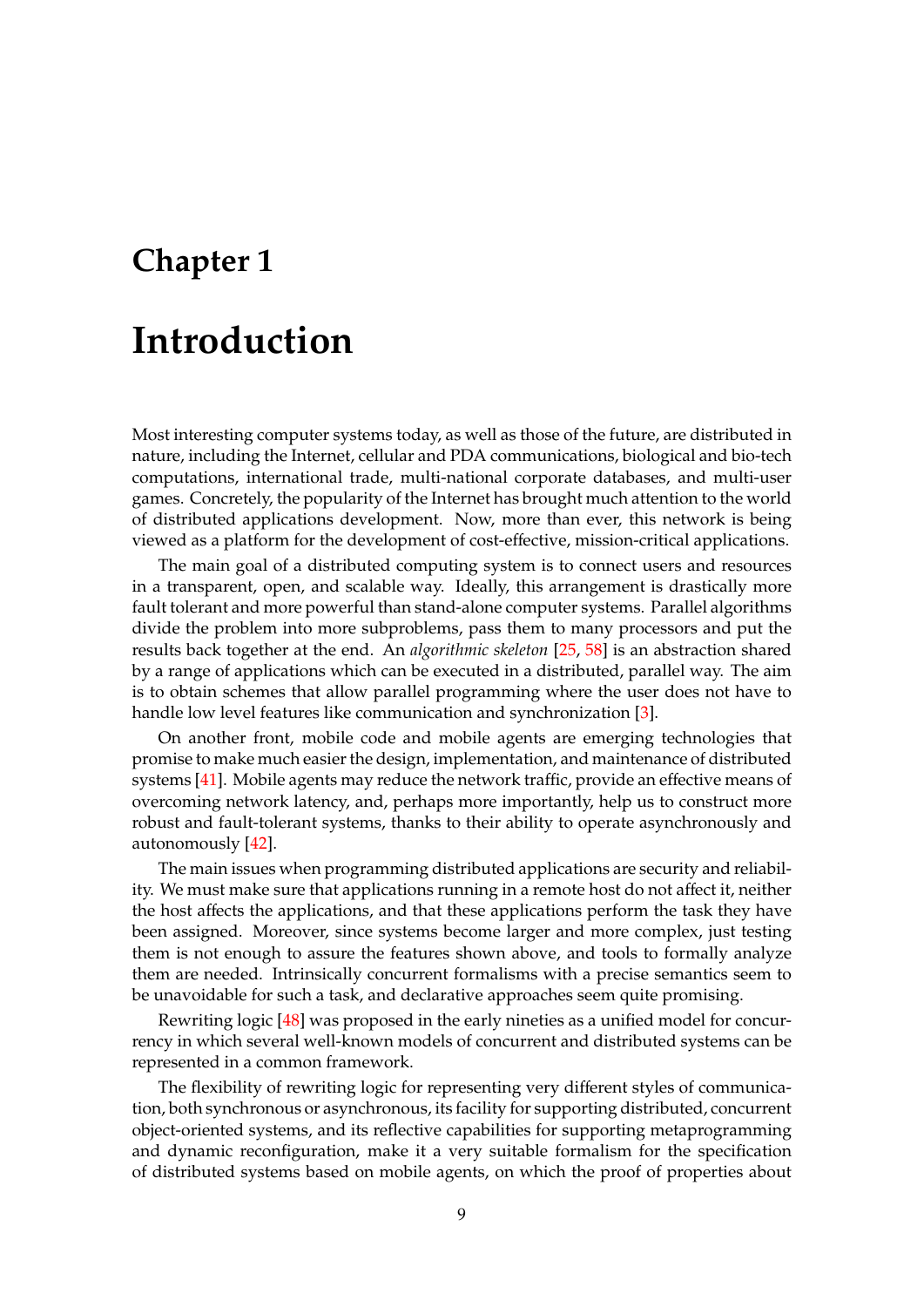# <span id="page-8-0"></span>**Chapter 1**

# **Introduction**

Most interesting computer systems today, as well as those of the future, are distributed in nature, including the Internet, cellular and PDA communications, biological and bio-tech computations, international trade, multi-national corporate databases, and multi-user games. Concretely, the popularity of the Internet has brought much attention to the world of distributed applications development. Now, more than ever, this network is being viewed as a platform for the development of cost-effective, mission-critical applications.

The main goal of a distributed computing system is to connect users and resources in a transparent, open, and scalable way. Ideally, this arrangement is drastically more fault tolerant and more powerful than stand-alone computer systems. Parallel algorithms divide the problem into more subproblems, pass them to many processors and put the results back together at the end. An *algorithmic skeleton* [\[25,](#page-183-0) [58\]](#page-186-0) is an abstraction shared by a range of applications which can be executed in a distributed, parallel way. The aim is to obtain schemes that allow parallel programming where the user does not have to handle low level features like communication and synchronization [\[3\]](#page-182-0).

On another front, mobile code and mobile agents are emerging technologies that promise to make much easier the design, implementation, and maintenance of distributed systems [\[41\]](#page-185-0). Mobile agents may reduce the network traffic, provide an effective means of overcoming network latency, and, perhaps more importantly, help us to construct more robust and fault-tolerant systems, thanks to their ability to operate asynchronously and autonomously [\[42\]](#page-185-1).

The main issues when programming distributed applications are security and reliability. We must make sure that applications running in a remote host do not affect it, neither the host affects the applications, and that these applications perform the task they have been assigned. Moreover, since systems become larger and more complex, just testing them is not enough to assure the features shown above, and tools to formally analyze them are needed. Intrinsically concurrent formalisms with a precise semantics seem to be unavoidable for such a task, and declarative approaches seem quite promising.

Rewriting logic [\[48\]](#page-185-2) was proposed in the early nineties as a unified model for concurrency in which several well-known models of concurrent and distributed systems can be represented in a common framework.

The flexibility of rewriting logic for representing very different styles of communication, both synchronous or asynchronous, its facility for supporting distributed, concurrent object-oriented systems, and its reflective capabilities for supporting metaprogramming and dynamic reconfiguration, make it a very suitable formalism for the specification of distributed systems based on mobile agents, on which the proof of properties about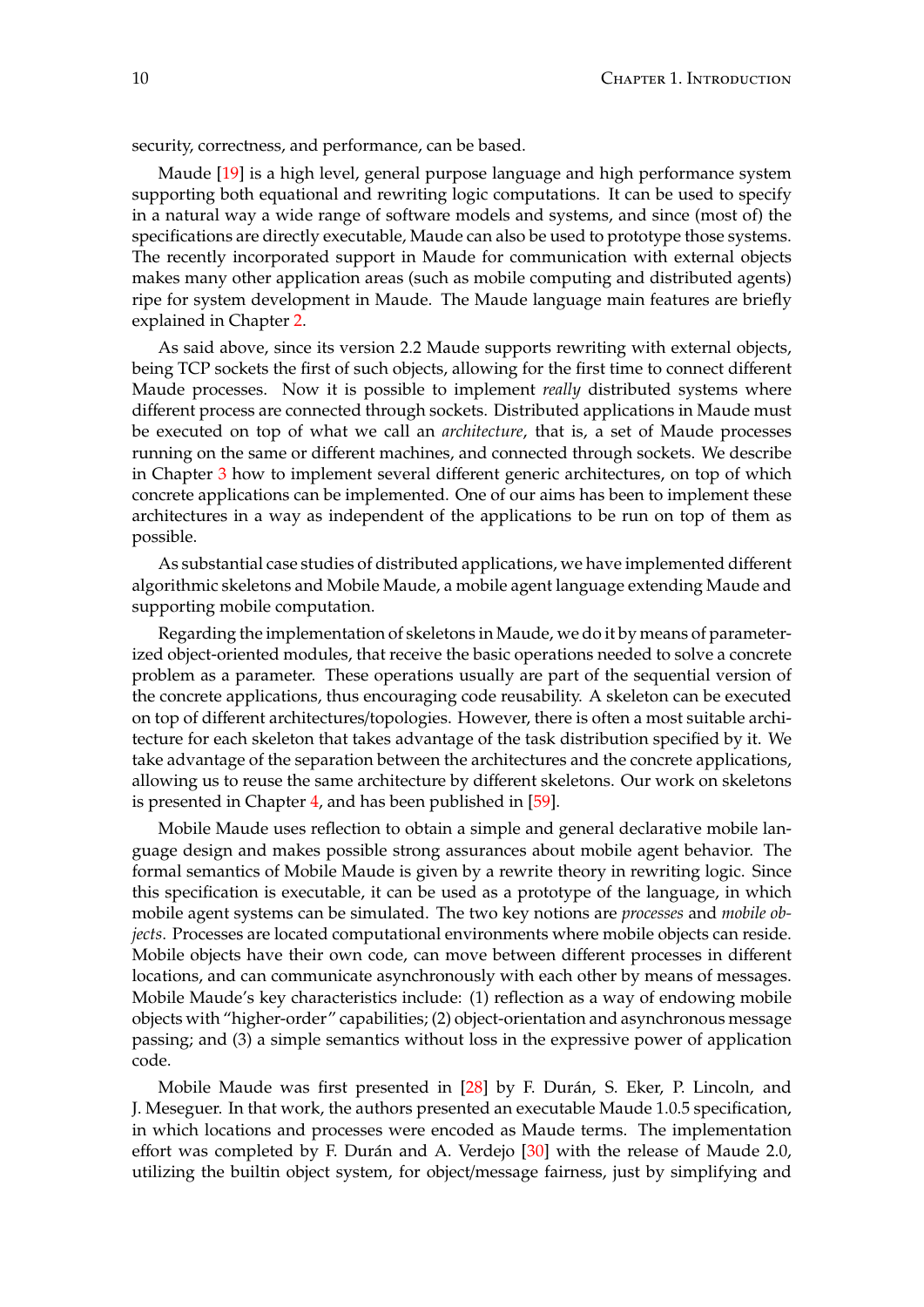security, correctness, and performance, can be based.

Maude [\[19\]](#page-183-1) is a high level, general purpose language and high performance system supporting both equational and rewriting logic computations. It can be used to specify in a natural way a wide range of software models and systems, and since (most of) the specifications are directly executable, Maude can also be used to prototype those systems. The recently incorporated support in Maude for communication with external objects makes many other application areas (such as mobile computing and distributed agents) ripe for system development in Maude. The Maude language main features are briefly explained in Chapter [2.](#page-16-0)

As said above, since its version 2.2 Maude supports rewriting with external objects, being TCP sockets the first of such objects, allowing for the first time to connect different Maude processes. Now it is possible to implement *really* distributed systems where different process are connected through sockets. Distributed applications in Maude must be executed on top of what we call an *architecture*, that is, a set of Maude processes running on the same or different machines, and connected through sockets. We describe in Chapter [3](#page-38-0) how to implement several different generic architectures, on top of which concrete applications can be implemented. One of our aims has been to implement these architectures in a way as independent of the applications to be run on top of them as possible.

As substantial case studies of distributed applications, we have implemented different algorithmic skeletons and Mobile Maude, a mobile agent language extending Maude and supporting mobile computation.

Regarding the implementation of skeletons in Maude, we do it by means of parameterized object-oriented modules, that receive the basic operations needed to solve a concrete problem as a parameter. These operations usually are part of the sequential version of the concrete applications, thus encouraging code reusability. A skeleton can be executed on top of different architectures/topologies. However, there is often a most suitable architecture for each skeleton that takes advantage of the task distribution specified by it. We take advantage of the separation between the architectures and the concrete applications, allowing us to reuse the same architecture by different skeletons. Our work on skeletons is presented in Chapter [4,](#page-60-0) and has been published in [\[59\]](#page-186-1).

Mobile Maude uses reflection to obtain a simple and general declarative mobile language design and makes possible strong assurances about mobile agent behavior. The formal semantics of Mobile Maude is given by a rewrite theory in rewriting logic. Since this specification is executable, it can be used as a prototype of the language, in which mobile agent systems can be simulated. The two key notions are *processes* and *mobile objects*. Processes are located computational environments where mobile objects can reside. Mobile objects have their own code, can move between different processes in different locations, and can communicate asynchronously with each other by means of messages. Mobile Maude's key characteristics include: (1) reflection as a way of endowing mobile objects with "higher-order" capabilities; (2) object-orientation and asynchronous message passing; and (3) a simple semantics without loss in the expressive power of application code.

Mobile Maude was first presented in [\[28\]](#page-184-0) by F. Durán, S. Eker, P. Lincoln, and J. Meseguer. In that work, the authors presented an executable Maude 1.0.5 specification, in which locations and processes were encoded as Maude terms. The implementation effort was completed by F. Durán and A. Verdejo [[30\]](#page-184-1) with the release of Maude 2.0, utilizing the builtin object system, for object/message fairness, just by simplifying and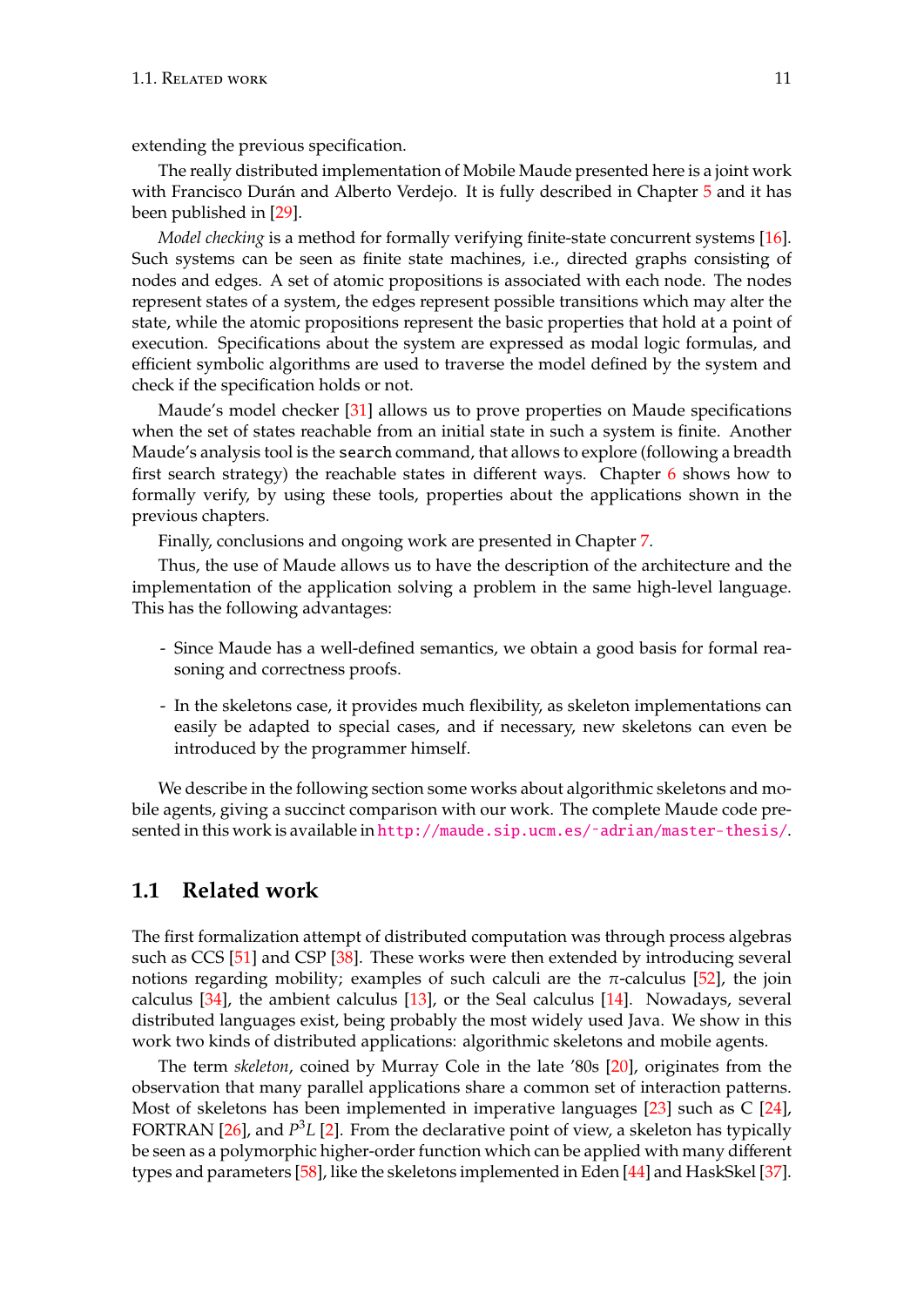extending the previous specification.

The really distributed implementation of Mobile Maude presented here is a joint work with Francisco Durán and Alberto Verdejo. It is fully described in Chapter [5](#page-110-0) and it has been published in [\[29\]](#page-184-2).

*Model checking* is a method for formally verifying finite-state concurrent systems [\[16\]](#page-183-2). Such systems can be seen as finite state machines, i.e., directed graphs consisting of nodes and edges. A set of atomic propositions is associated with each node. The nodes represent states of a system, the edges represent possible transitions which may alter the state, while the atomic propositions represent the basic properties that hold at a point of execution. Specifications about the system are expressed as modal logic formulas, and efficient symbolic algorithms are used to traverse the model defined by the system and check if the specification holds or not.

Maude's model checker [\[31\]](#page-184-3) allows us to prove properties on Maude specifications when the set of states reachable from an initial state in such a system is finite. Another Maude's analysis tool is the search command, that allows to explore (following a breadth first search strategy) the reachable states in different ways. Chapter [6](#page-150-0) shows how to formally verify, by using these tools, properties about the applications shown in the previous chapters.

Finally, conclusions and ongoing work are presented in Chapter [7.](#page-180-0)

Thus, the use of Maude allows us to have the description of the architecture and the implementation of the application solving a problem in the same high-level language. This has the following advantages:

- Since Maude has a well-defined semantics, we obtain a good basis for formal reasoning and correctness proofs.
- In the skeletons case, it provides much flexibility, as skeleton implementations can easily be adapted to special cases, and if necessary, new skeletons can even be introduced by the programmer himself.

We describe in the following section some works about algorithmic skeletons and mobile agents, giving a succinct comparison with our work. The complete Maude code presented in this work is available in [http://maude.sip.ucm.es/˜adrian/master-thesis/](http://maude.sip.ucm.es/~adrian/master-thesis/).

# <span id="page-10-0"></span>**1.1 Related work**

The first formalization attempt of distributed computation was through process algebras such as CCS [\[51\]](#page-185-3) and CSP [\[38\]](#page-185-4). These works were then extended by introducing several notions regarding mobility; examples of such calculi are the  $\pi$ -calculus [\[52\]](#page-185-5), the join calculus [\[34\]](#page-184-4), the ambient calculus [\[13\]](#page-183-3), or the Seal calculus [\[14\]](#page-183-4). Nowadays, several distributed languages exist, being probably the most widely used Java. We show in this work two kinds of distributed applications: algorithmic skeletons and mobile agents.

The term *skeleton*, coined by Murray Cole in the late '80s [\[20\]](#page-183-5), originates from the observation that many parallel applications share a common set of interaction patterns. Most of skeletons has been implemented in imperative languages [\[23\]](#page-183-6) such as C [\[24\]](#page-183-7), FORTRAN [\[26\]](#page-184-5), and  $P^3L$  [\[2\]](#page-182-1). From the declarative point of view, a skeleton has typically be seen as a polymorphic higher-order function which can be applied with many different types and parameters [\[58\]](#page-186-0), like the skeletons implemented in Eden [\[44\]](#page-185-6) and HaskSkel [\[37\]](#page-184-6).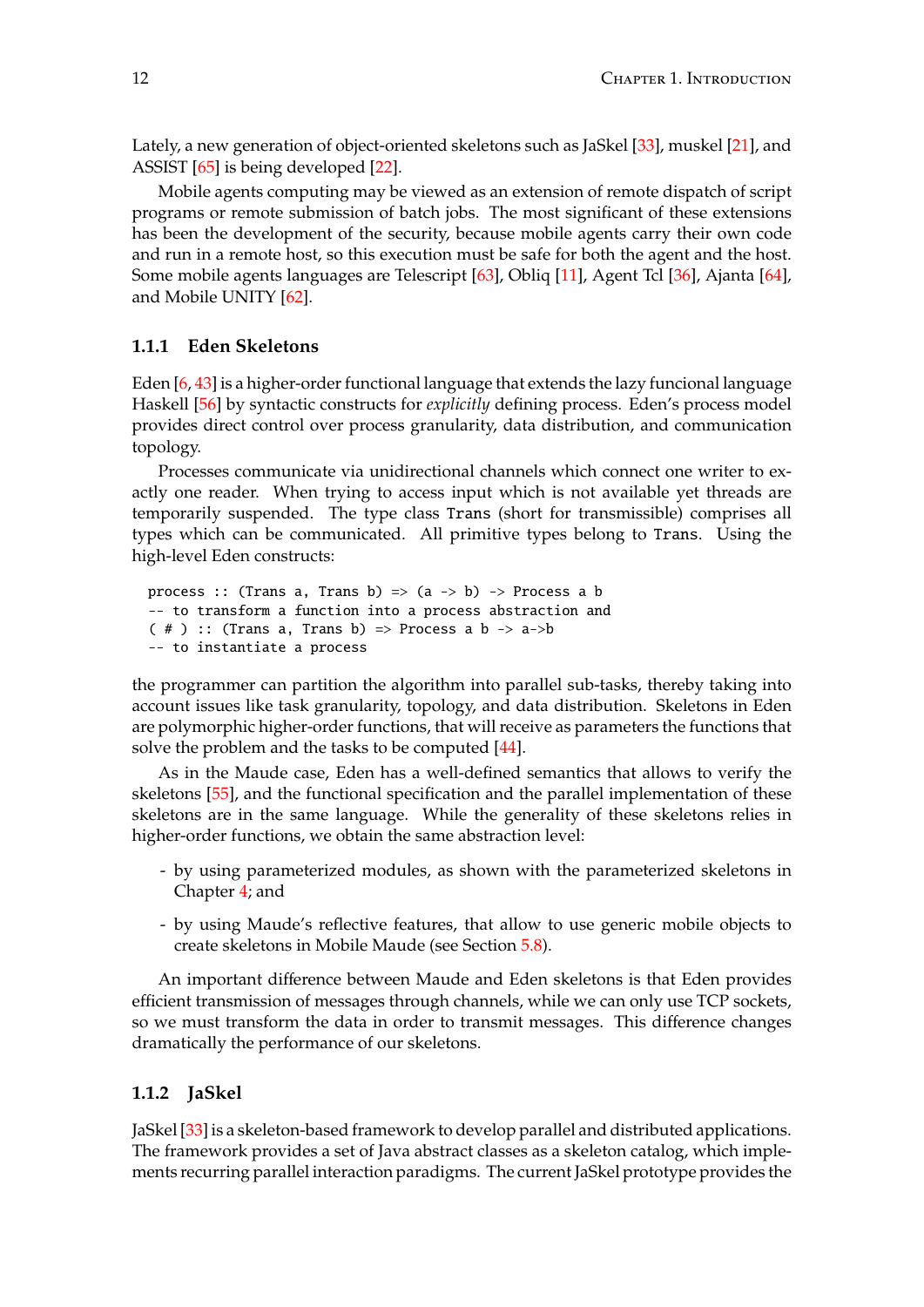Lately, a new generation of object-oriented skeletons such as JaSkel [\[33\]](#page-184-7), muskel [\[21\]](#page-183-8), and ASSIST [\[65\]](#page-186-2) is being developed [\[22\]](#page-183-9).

Mobile agents computing may be viewed as an extension of remote dispatch of script programs or remote submission of batch jobs. The most significant of these extensions has been the development of the security, because mobile agents carry their own code and run in a remote host, so this execution must be safe for both the agent and the host. Some mobile agents languages are Telescript [\[63\]](#page-186-3), Obliq [\[11\]](#page-182-2), Agent Tcl [\[36\]](#page-184-8), Ajanta [\[64\]](#page-186-4), and Mobile UNITY [\[62\]](#page-186-5).

### <span id="page-11-0"></span>**1.1.1 Eden Skeletons**

Eden  $[6, 43]$  $[6, 43]$  $[6, 43]$  is a higher-order functional language that extends the lazy funcional language Haskell [\[56\]](#page-186-6) by syntactic constructs for *explicitly* defining process. Eden's process model provides direct control over process granularity, data distribution, and communication topology.

Processes communicate via unidirectional channels which connect one writer to exactly one reader. When trying to access input which is not available yet threads are temporarily suspended. The type class Trans (short for transmissible) comprises all types which can be communicated. All primitive types belong to Trans. Using the high-level Eden constructs:

```
process :: (Trans a, Trans b) => (a \rightarrow b) -> Process a b
-- to transform a function into a process abstraction and
( # ) :: (Trans a, Trans b) => Process a b -> a->b
-- to instantiate a process
```
the programmer can partition the algorithm into parallel sub-tasks, thereby taking into account issues like task granularity, topology, and data distribution. Skeletons in Eden are polymorphic higher-order functions, that will receive as parameters the functions that solve the problem and the tasks to be computed [\[44\]](#page-185-6).

As in the Maude case, Eden has a well-defined semantics that allows to verify the skeletons [\[55\]](#page-186-7), and the functional specification and the parallel implementation of these skeletons are in the same language. While the generality of these skeletons relies in higher-order functions, we obtain the same abstraction level:

- by using parameterized modules, as shown with the parameterized skeletons in Chapter [4;](#page-60-0) and
- by using Maude's reflective features, that allow to use generic mobile objects to create skeletons in Mobile Maude (see Section [5.8\)](#page-142-0).

An important difference between Maude and Eden skeletons is that Eden provides efficient transmission of messages through channels, while we can only use TCP sockets, so we must transform the data in order to transmit messages. This difference changes dramatically the performance of our skeletons.

### <span id="page-11-1"></span>**1.1.2 JaSkel**

JaSkel [\[33\]](#page-184-7) is a skeleton-based framework to develop parallel and distributed applications. The framework provides a set of Java abstract classes as a skeleton catalog, which implements recurring parallel interaction paradigms. The current JaSkel prototype provides the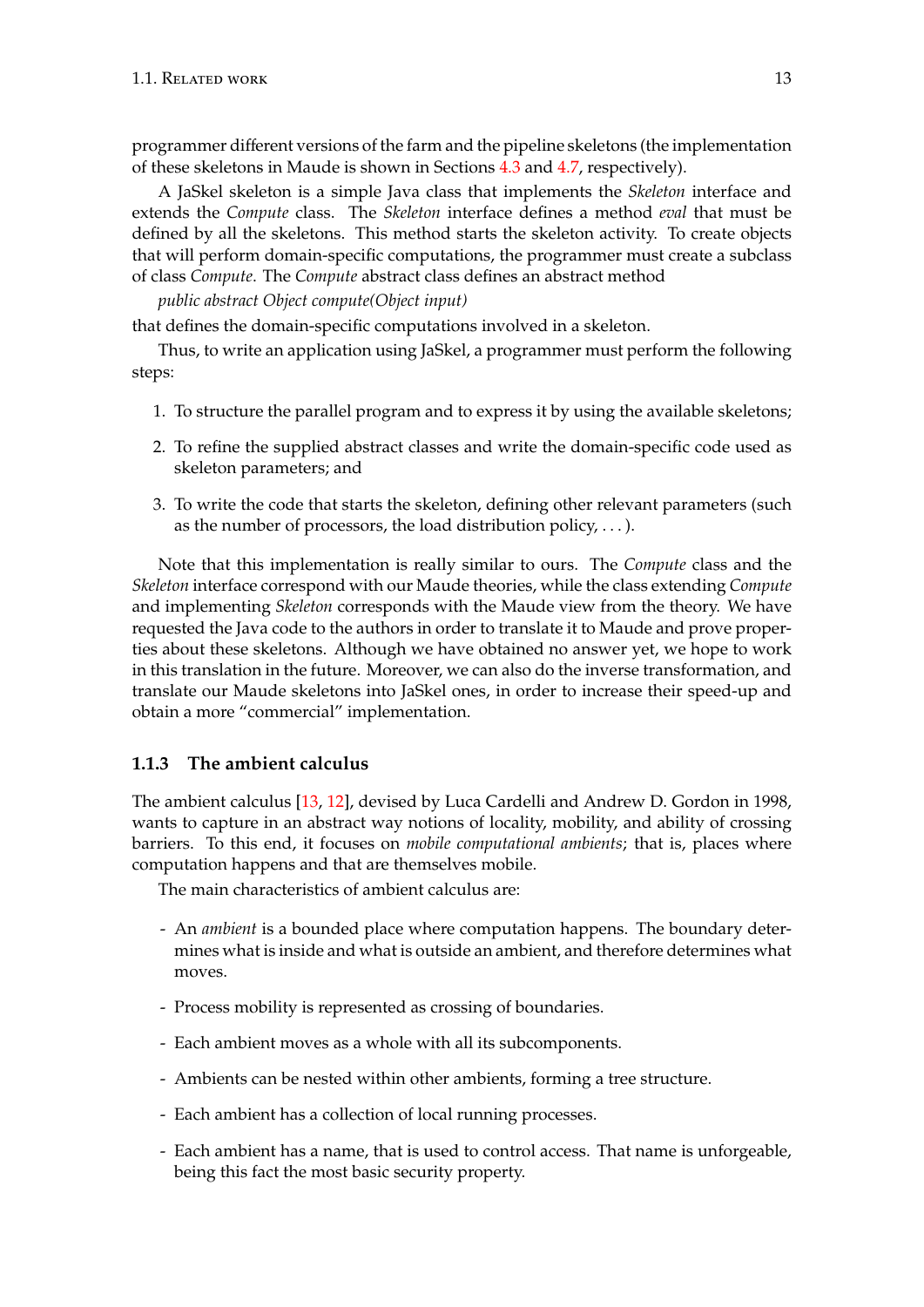programmer different versions of the farm and the pipeline skeletons (the implementation of these skeletons in Maude is shown in Sections [4.3](#page-68-0) and [4.7,](#page-101-0) respectively).

A JaSkel skeleton is a simple Java class that implements the *Skeleton* interface and extends the *Compute* class. The *Skeleton* interface defines a method *eval* that must be defined by all the skeletons. This method starts the skeleton activity. To create objects that will perform domain-specific computations, the programmer must create a subclass of class *Compute*. The *Compute* abstract class defines an abstract method

*public abstract Object compute(Object input)*

that defines the domain-specific computations involved in a skeleton.

Thus, to write an application using JaSkel, a programmer must perform the following steps:

- 1. To structure the parallel program and to express it by using the available skeletons;
- 2. To refine the supplied abstract classes and write the domain-specific code used as skeleton parameters; and
- 3. To write the code that starts the skeleton, defining other relevant parameters (such as the number of processors, the load distribution policy,  $\dots$ ).

Note that this implementation is really similar to ours. The *Compute* class and the *Skeleton* interface correspond with our Maude theories, while the class extending *Compute* and implementing *Skeleton* corresponds with the Maude view from the theory. We have requested the Java code to the authors in order to translate it to Maude and prove properties about these skeletons. Although we have obtained no answer yet, we hope to work in this translation in the future. Moreover, we can also do the inverse transformation, and translate our Maude skeletons into JaSkel ones, in order to increase their speed-up and obtain a more "commercial" implementation.

### <span id="page-12-0"></span>**1.1.3 The ambient calculus**

The ambient calculus [\[13,](#page-183-3) [12\]](#page-182-4), devised by Luca Cardelli and Andrew D. Gordon in 1998, wants to capture in an abstract way notions of locality, mobility, and ability of crossing barriers. To this end, it focuses on *mobile computational ambients*; that is, places where computation happens and that are themselves mobile.

The main characteristics of ambient calculus are:

- An *ambient* is a bounded place where computation happens. The boundary determines what is inside and what is outside an ambient, and therefore determines what moves.
- Process mobility is represented as crossing of boundaries.
- Each ambient moves as a whole with all its subcomponents.
- Ambients can be nested within other ambients, forming a tree structure.
- Each ambient has a collection of local running processes.
- Each ambient has a name, that is used to control access. That name is unforgeable, being this fact the most basic security property.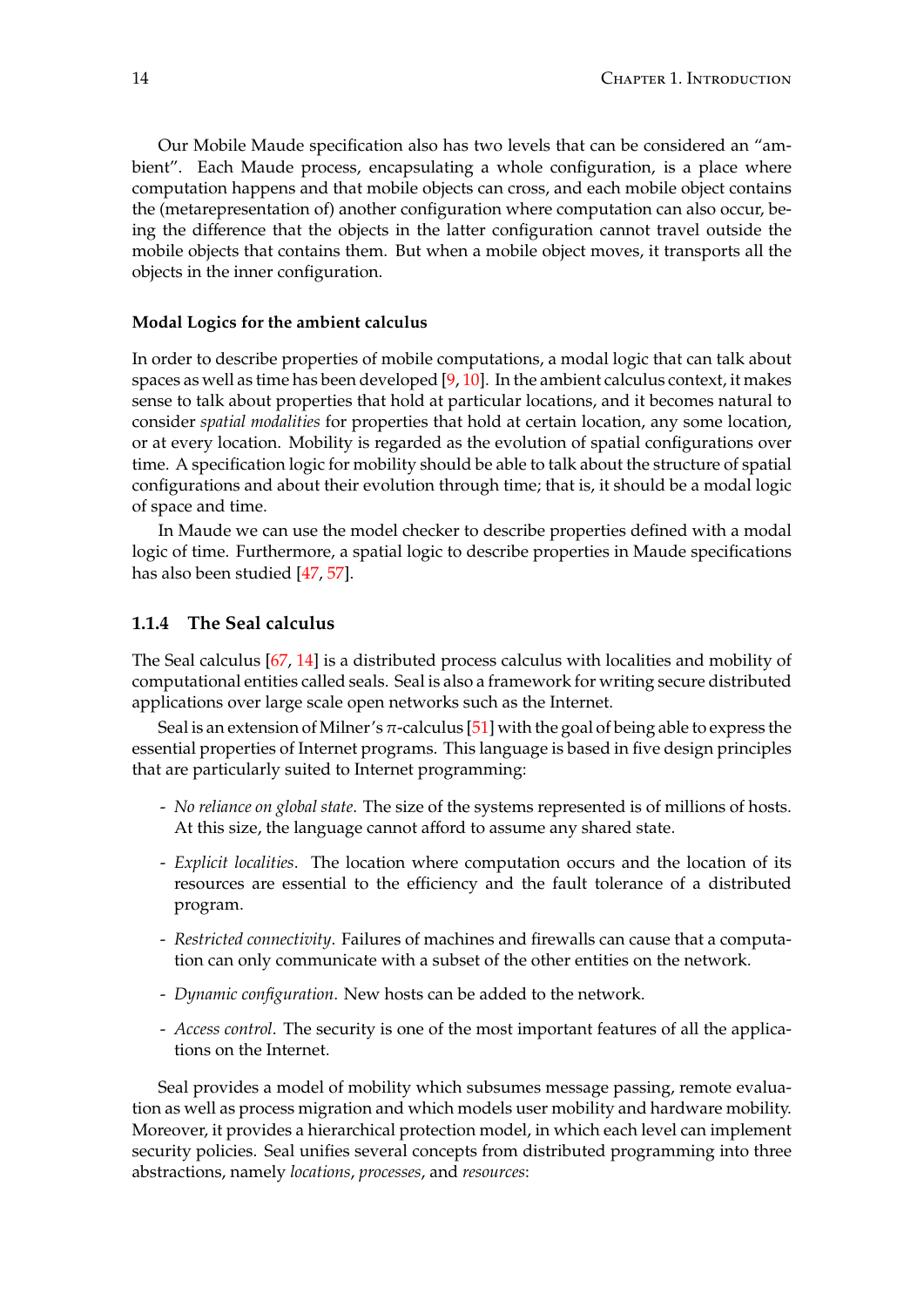Our Mobile Maude specification also has two levels that can be considered an "ambient". Each Maude process, encapsulating a whole configuration, is a place where computation happens and that mobile objects can cross, and each mobile object contains the (metarepresentation of) another configuration where computation can also occur, being the difference that the objects in the latter configuration cannot travel outside the mobile objects that contains them. But when a mobile object moves, it transports all the objects in the inner configuration.

### **Modal Logics for the ambient calculus**

In order to describe properties of mobile computations, a modal logic that can talk about spaces as well as time has been developed  $[9, 10]$  $[9, 10]$  $[9, 10]$ . In the ambient calculus context, it makes sense to talk about properties that hold at particular locations, and it becomes natural to consider *spatial modalities* for properties that hold at certain location, any some location, or at every location. Mobility is regarded as the evolution of spatial configurations over time. A specification logic for mobility should be able to talk about the structure of spatial configurations and about their evolution through time; that is, it should be a modal logic of space and time.

In Maude we can use the model checker to describe properties defined with a modal logic of time. Furthermore, a spatial logic to describe properties in Maude specifications has also been studied [\[47,](#page-185-8) [57\]](#page-186-8).

### <span id="page-13-0"></span>**1.1.4 The Seal calculus**

The Seal calculus [\[67,](#page-186-9) [14\]](#page-183-4) is a distributed process calculus with localities and mobility of computational entities called seals. Seal is also a framework for writing secure distributed applications over large scale open networks such as the Internet.

Seal is an extension of Milner's  $\pi$ -calculus [\[51\]](#page-185-3) with the goal of being able to express the essential properties of Internet programs. This language is based in five design principles that are particularly suited to Internet programming:

- *No reliance on global state*. The size of the systems represented is of millions of hosts. At this size, the language cannot afford to assume any shared state.
- *Explicit localities*. The location where computation occurs and the location of its resources are essential to the efficiency and the fault tolerance of a distributed program.
- *Restricted connectivity*. Failures of machines and firewalls can cause that a computation can only communicate with a subset of the other entities on the network.
- *Dynamic configuration*. New hosts can be added to the network.
- *Access control*. The security is one of the most important features of all the applications on the Internet.

Seal provides a model of mobility which subsumes message passing, remote evaluation as well as process migration and which models user mobility and hardware mobility. Moreover, it provides a hierarchical protection model, in which each level can implement security policies. Seal unifies several concepts from distributed programming into three abstractions, namely *locations*, *processes*, and *resources*: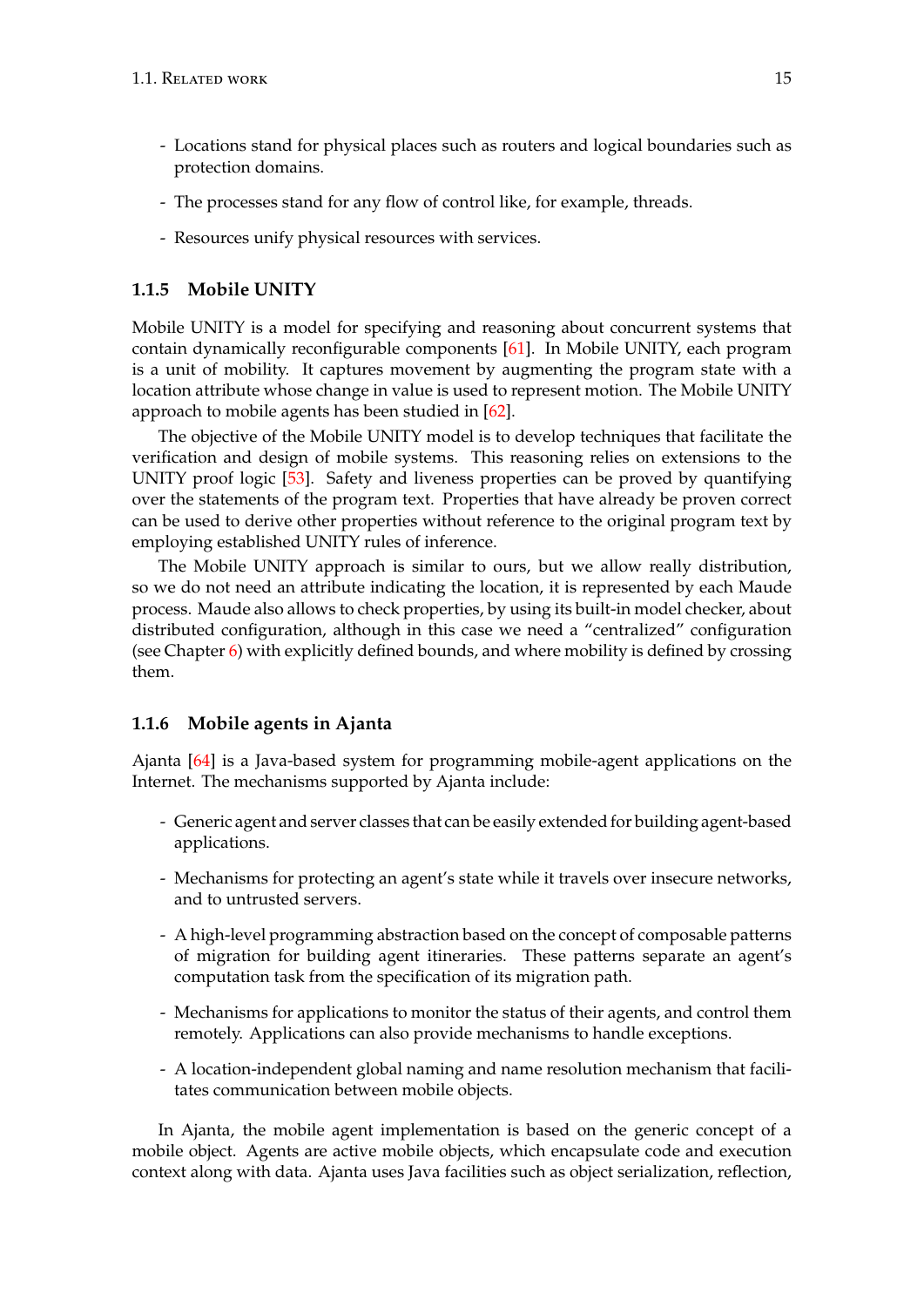- Locations stand for physical places such as routers and logical boundaries such as protection domains.
- The processes stand for any flow of control like, for example, threads.
- Resources unify physical resources with services.

### <span id="page-14-0"></span>**1.1.5 Mobile UNITY**

Mobile UNITY is a model for specifying and reasoning about concurrent systems that contain dynamically reconfigurable components [\[61\]](#page-186-10). In Mobile UNITY, each program is a unit of mobility. It captures movement by augmenting the program state with a location attribute whose change in value is used to represent motion. The Mobile UNITY approach to mobile agents has been studied in [\[62\]](#page-186-5).

The objective of the Mobile UNITY model is to develop techniques that facilitate the verification and design of mobile systems. This reasoning relies on extensions to the UNITY proof logic [\[53\]](#page-185-9). Safety and liveness properties can be proved by quantifying over the statements of the program text. Properties that have already be proven correct can be used to derive other properties without reference to the original program text by employing established UNITY rules of inference.

The Mobile UNITY approach is similar to ours, but we allow really distribution, so we do not need an attribute indicating the location, it is represented by each Maude process. Maude also allows to check properties, by using its built-in model checker, about distributed configuration, although in this case we need a "centralized" configuration (see Chapter  $6$ ) with explicitly defined bounds, and where mobility is defined by crossing them.

### <span id="page-14-1"></span>**1.1.6 Mobile agents in Ajanta**

Ajanta [\[64\]](#page-186-4) is a Java-based system for programming mobile-agent applications on the Internet. The mechanisms supported by Ajanta include:

- Generic agent and server classes that can be easily extended for building agent-based applications.
- Mechanisms for protecting an agent's state while it travels over insecure networks, and to untrusted servers.
- A high-level programming abstraction based on the concept of composable patterns of migration for building agent itineraries. These patterns separate an agent's computation task from the specification of its migration path.
- Mechanisms for applications to monitor the status of their agents, and control them remotely. Applications can also provide mechanisms to handle exceptions.
- A location-independent global naming and name resolution mechanism that facilitates communication between mobile objects.

In Ajanta, the mobile agent implementation is based on the generic concept of a mobile object. Agents are active mobile objects, which encapsulate code and execution context along with data. Ajanta uses Java facilities such as object serialization, reflection,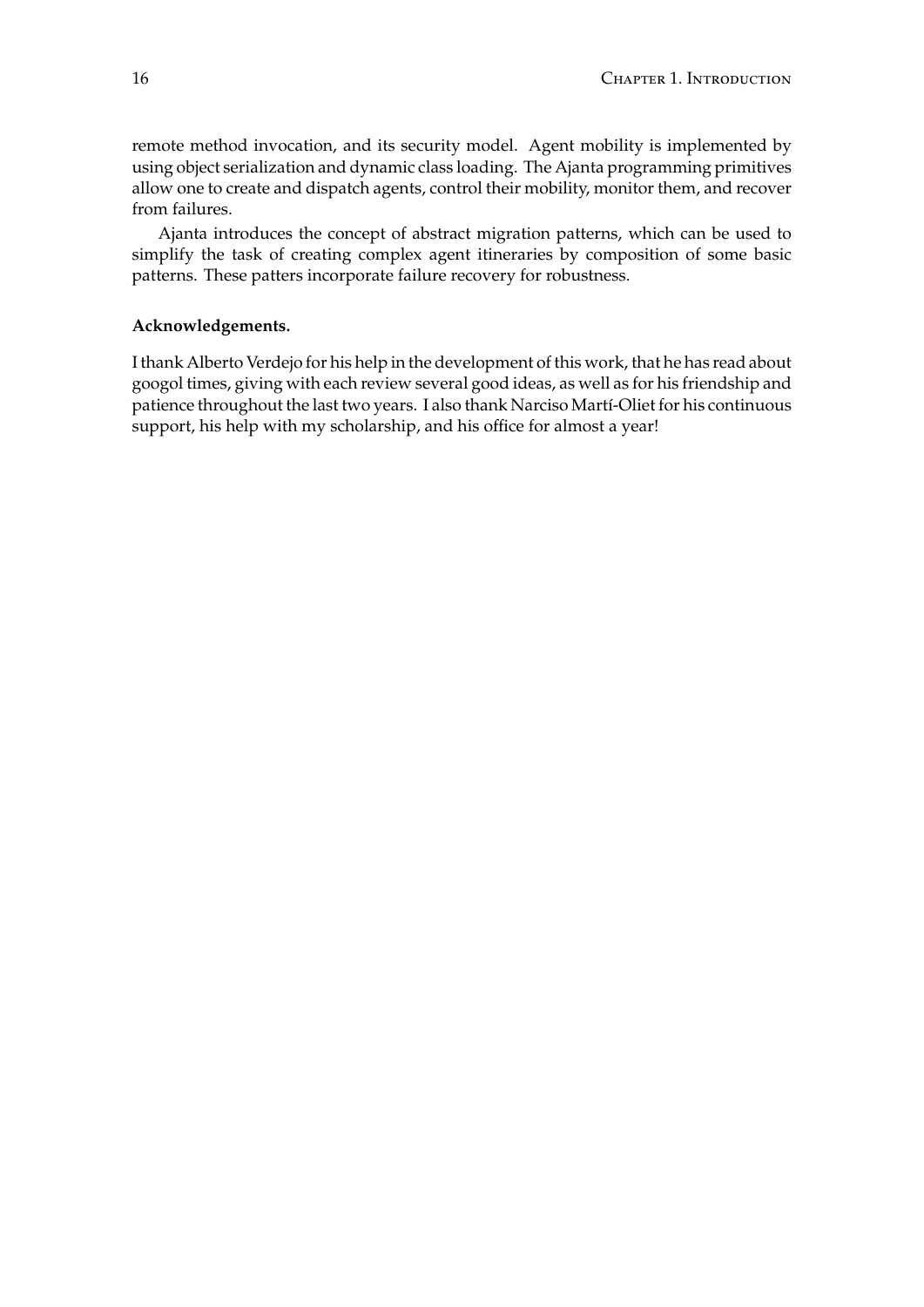remote method invocation, and its security model. Agent mobility is implemented by using object serialization and dynamic class loading. The Ajanta programming primitives allow one to create and dispatch agents, control their mobility, monitor them, and recover from failures.

Ajanta introduces the concept of abstract migration patterns, which can be used to simplify the task of creating complex agent itineraries by composition of some basic patterns. These patters incorporate failure recovery for robustness.

#### **Acknowledgements.**

I thank Alberto Verdejo for his help in the development of this work, that he has read about googol times, giving with each review several good ideas, as well as for his friendship and patience throughout the last two years. I also thank Narciso Martí-Oliet for his continuous support, his help with my scholarship, and his office for almost a year!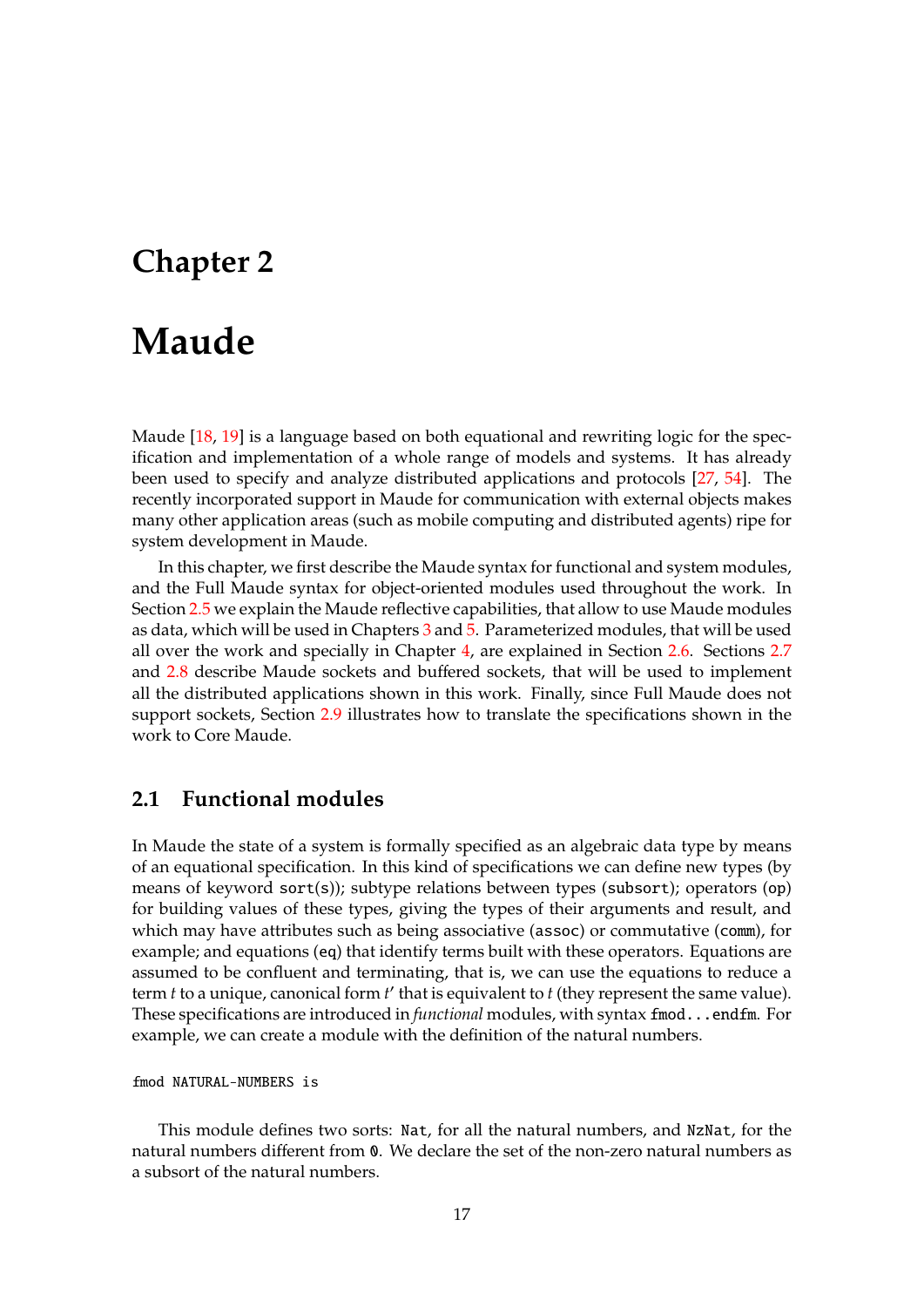# <span id="page-16-0"></span>**Chapter 2**

# **Maude**

Maude [\[18,](#page-183-10) [19\]](#page-183-1) is a language based on both equational and rewriting logic for the specification and implementation of a whole range of models and systems. It has already been used to specify and analyze distributed applications and protocols [\[27,](#page-184-9) [54\]](#page-185-10). The recently incorporated support in Maude for communication with external objects makes many other application areas (such as mobile computing and distributed agents) ripe for system development in Maude.

In this chapter, we first describe the Maude syntax for functional and system modules, and the Full Maude syntax for object-oriented modules used throughout the work. In Section [2.5](#page-22-0) we explain the Maude reflective capabilities, that allow to use Maude modules as data, which will be used in Chapters [3](#page-38-0) and [5.](#page-110-0) Parameterized modules, that will be used all over the work and specially in Chapter [4,](#page-60-0) are explained in Section [2.6.](#page-23-0) Sections [2.7](#page-26-0) and [2.8](#page-31-0) describe Maude sockets and buffered sockets, that will be used to implement all the distributed applications shown in this work. Finally, since Full Maude does not support sockets, Section [2.9](#page-35-0) illustrates how to translate the specifications shown in the work to Core Maude.

# <span id="page-16-1"></span>**2.1 Functional modules**

In Maude the state of a system is formally specified as an algebraic data type by means of an equational specification. In this kind of specifications we can define new types (by means of keyword sort(s)); subtype relations between types (subsort); operators (op) for building values of these types, giving the types of their arguments and result, and which may have attributes such as being associative (assoc) or commutative (comm), for example; and equations (eq) that identify terms built with these operators. Equations are assumed to be confluent and terminating, that is, we can use the equations to reduce a term  $t$  to a unique, canonical form  $t'$  that is equivalent to  $t$  (they represent the same value). These specifications are introduced in *functional* modules, with syntax fmod...endfm. For example, we can create a module with the definition of the natural numbers.

```
fmod NATURAL-NUMBERS is
```
This module defines two sorts: Nat, for all the natural numbers, and NzNat, for the natural numbers different from 0. We declare the set of the non-zero natural numbers as a subsort of the natural numbers.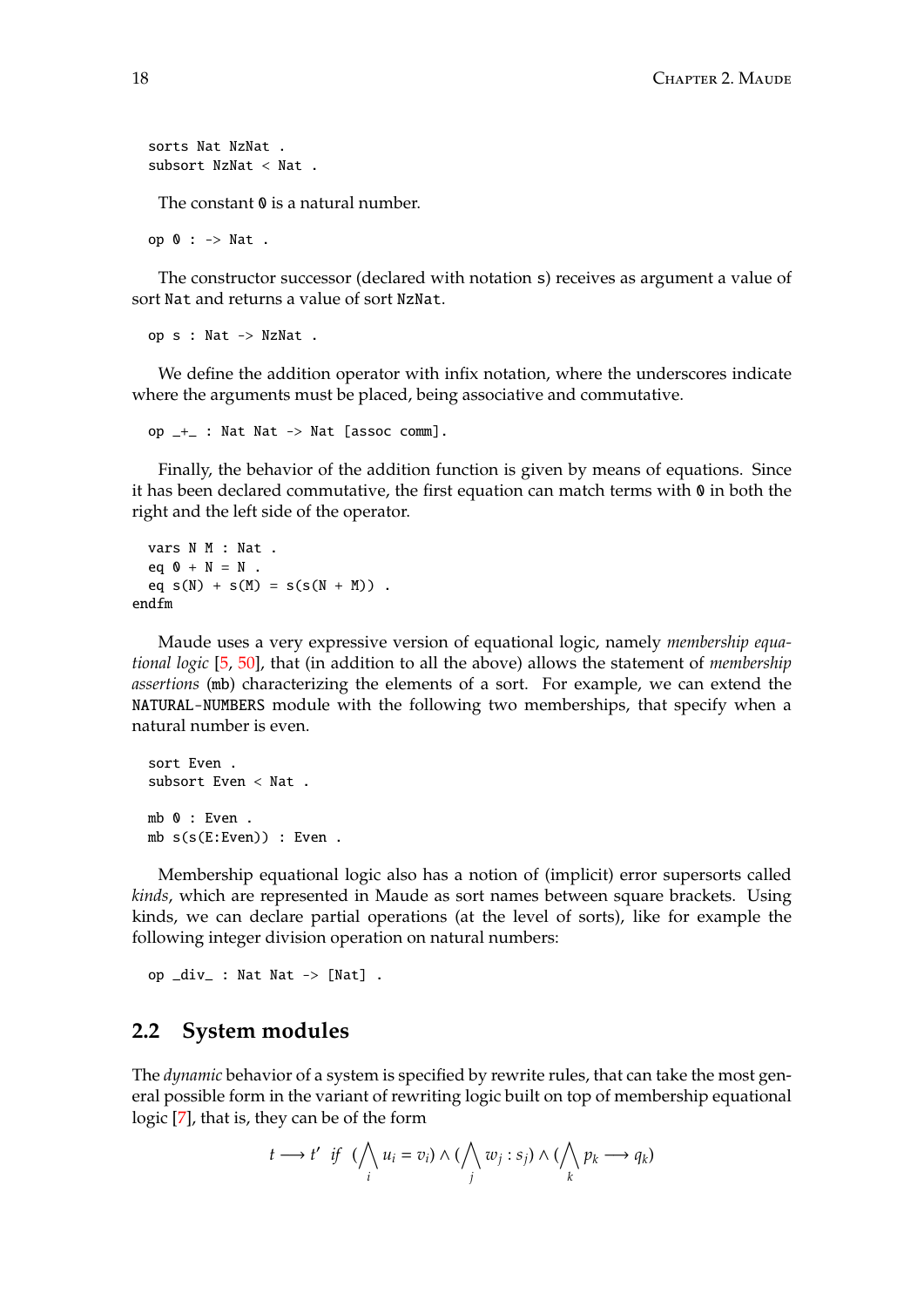```
sorts Nat NzNat .
subsort NzNat < Nat .
```
The constant  $\theta$  is a natural number.

op 0 : -> Nat .

The constructor successor (declared with notation s) receives as argument a value of sort Nat and returns a value of sort NzNat.

op s : Nat -> NzNat .

We define the addition operator with infix notation, where the underscores indicate where the arguments must be placed, being associative and commutative.

op  $-$ + $-$  : Nat Nat -> Nat [assoc comm].

Finally, the behavior of the addition function is given by means of equations. Since it has been declared commutative, the first equation can match terms with  $\theta$  in both the right and the left side of the operator.

```
vars N M : Nat .
 eq 0 + N = N.
 eq s(N) + s(M) = s(s(N + M)).
endfm
```
Maude uses a very expressive version of equational logic, namely *membership equational logic* [\[5,](#page-182-7) [50\]](#page-185-11), that (in addition to all the above) allows the statement of *membership assertions* (mb) characterizing the elements of a sort. For example, we can extend the NATURAL-NUMBERS module with the following two memberships, that specify when a natural number is even.

```
sort Even .
subsort Even < Nat .
mb 0 : Even .
mb s(s(E:Even)) : Even .
```
Membership equational logic also has a notion of (implicit) error supersorts called *kinds*, which are represented in Maude as sort names between square brackets. Using kinds, we can declare partial operations (at the level of sorts), like for example the following integer division operation on natural numbers:

op \_div\_ : Nat Nat -> [Nat] .

### <span id="page-17-0"></span>**2.2 System modules**

The *dynamic* behavior of a system is specified by rewrite rules, that can take the most general possible form in the variant of rewriting logic built on top of membership equational logic [\[7\]](#page-182-8), that is, they can be of the form

$$
t \longrightarrow t' \quad \text{if} \quad (\bigwedge_i u_i = v_i) \land (\bigwedge_j w_j : s_j) \land (\bigwedge_k p_k \longrightarrow q_k)
$$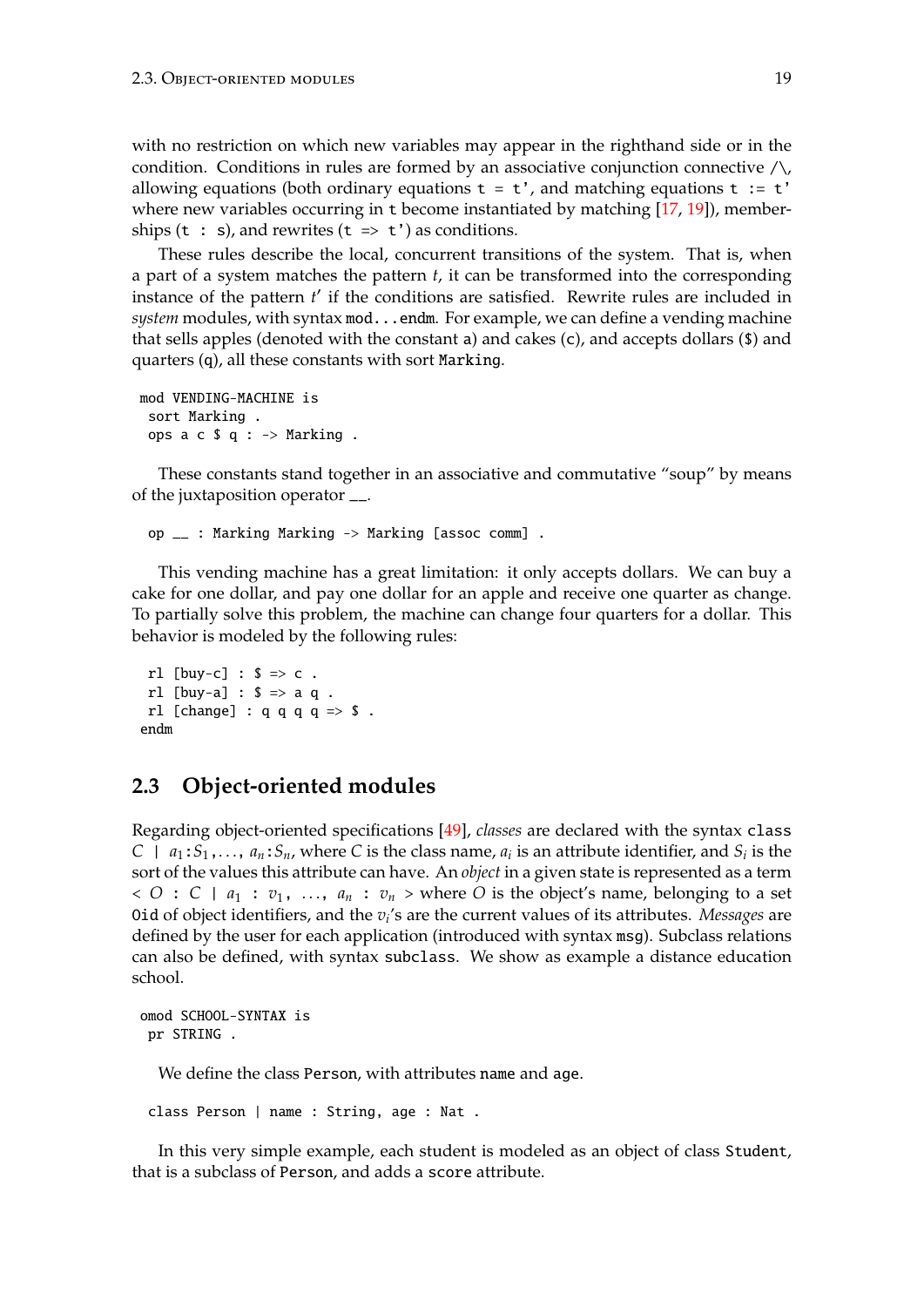with no restriction on which new variables may appear in the righthand side or in the condition. Conditions in rules are formed by an associative conjunction connective  $\wedge$ , allowing equations (both ordinary equations  $t = t'$ , and matching equations  $t := t'$ where new variables occurring in t become instantiated by matching [\[17,](#page-183-11) [19\]](#page-183-1)), memberships  $(t : s)$ , and rewrites  $(t \Rightarrow t')$  as conditions.

These rules describe the local, concurrent transitions of the system. That is, when a part of a system matches the pattern *t*, it can be transformed into the corresponding instance of the pattern *t'* if the conditions are satisfied. Rewrite rules are included in system modules, with syntax mod...endm. For example, we can define a vending machine that sells apples (denoted with the constant a) and cakes (c), and accepts dollars (\$) and quarters (q), all these constants with sort Marking.

```
mod VENDING-MACHINE is
 sort Marking .
 ops a \in \S q : -> Marking .
```
These constants stand together in an associative and commutative "soup" by means of the juxtaposition operator \_\_.

op \_\_ : Marking Marking -> Marking [assoc comm] .

This vending machine has a great limitation: it only accepts dollars. We can buy a cake for one dollar, and pay one dollar for an apple and receive one quarter as change. To partially solve this problem, the machine can change four quarters for a dollar. This behavior is modeled by the following rules:

```
rl [buy-c] : $ \Rightarrow c .
 rl [buv-a] : $ \Rightarrow a q.
 rl [change] : q q q q \Rightarrow $.
endm
```
### <span id="page-18-0"></span>**2.3 Object-oriented modules**

Regarding object-oriented specifications [\[49\]](#page-185-12), *classes* are declared with the syntax class  $C \mid a_1: S_1, \ldots, a_n: S_n$ , where *C* is the class name,  $a_i$  is an attribute identifier, and  $S_i$  is the sort of the values this attribute can have. An *object* in a given state is represented as a term  $<$  *O* : *C* | *a*<sub>1</sub> : *v*<sub>1</sub>, ..., *a*<sub>*n*</sub> : *v*<sub>*n*</sub> > where *O* is the object's name, belonging to a set Oid of object identifiers, and the *v<sup>i</sup>* 's are the current values of its attributes. *Messages* are defined by the user for each application (introduced with syntax msg). Subclass relations can also be defined, with syntax subclass. We show as example a distance education school.

```
omod SCHOOL-SYNTAX is
 pr STRING .
```
We define the class Person, with attributes name and age.

class Person | name : String, age : Nat .

In this very simple example, each student is modeled as an object of class Student, that is a subclass of Person, and adds a score attribute.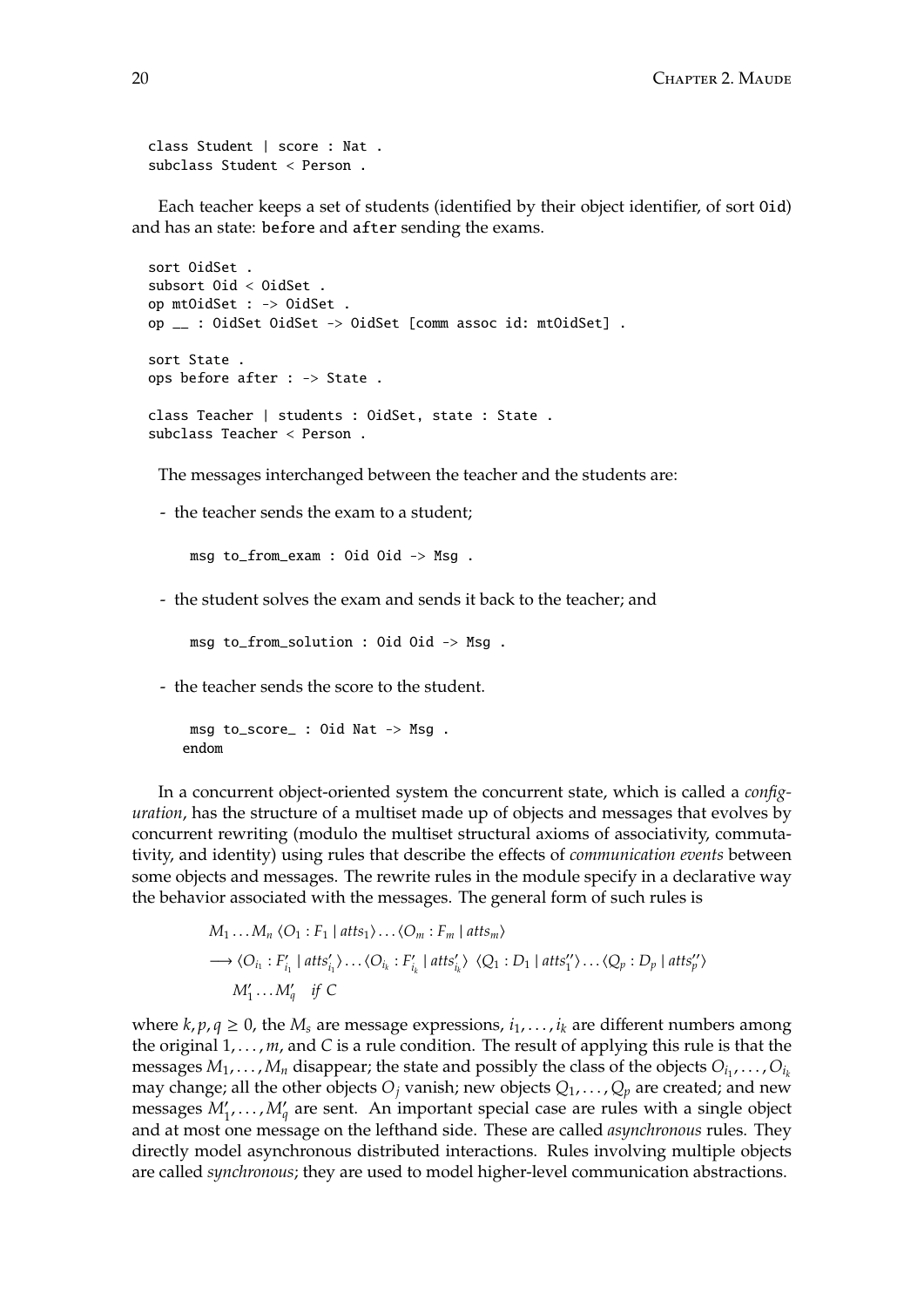class Student | score : Nat . subclass Student < Person .

Each teacher keeps a set of students (identified by their object identifier, of sort Oid) and has an state: before and after sending the exams.

```
sort OidSet .
subsort Oid < OidSet .
op mtOidSet : -> OidSet .
op __ : OidSet OidSet -> OidSet [comm assoc id: mtOidSet] .
sort State .
ops before after : -> State .
class Teacher | students : OidSet, state : State .
subclass Teacher < Person .
```
The messages interchanged between the teacher and the students are:

- the teacher sends the exam to a student;

msg to\_from\_exam : Oid Oid -> Msg .

- the student solves the exam and sends it back to the teacher; and

msg to\_from\_solution : Oid Oid -> Msg .

- the teacher sends the score to the student.

```
msg to_score_ : Oid Nat -> Msg .
endom
```
In a concurrent object-oriented system the concurrent state, which is called a *configuration*, has the structure of a multiset made up of objects and messages that evolves by concurrent rewriting (modulo the multiset structural axioms of associativity, commutativity, and identity) using rules that describe the effects of *communication events* between some objects and messages. The rewrite rules in the module specify in a declarative way the behavior associated with the messages. The general form of such rules is

$$
M_1 \dots M_n \langle O_1 : F_1 | \text{atts}_1 \rangle \dots \langle O_m : F_m | \text{atts}_m \rangle
$$
  
\n
$$
\longrightarrow \langle O_{i_1} : F'_{i_1} | \text{atts}'_{i_1} \rangle \dots \langle O_{i_k} : F'_{i_k} | \text{atts}'_{i_k} \rangle \langle Q_1 : D_1 | \text{atts}''_1 \rangle \dots \langle Q_p : D_p | \text{atts}''_p \rangle
$$
  
\n
$$
M'_1 \dots M'_q \quad \text{if } C
$$

where  $k, p, q \geq 0$ , the  $M_s$  are message expressions,  $i_1, \ldots, i_k$  are different numbers among the original  $1, \ldots, m$ , and C is a rule condition. The result of applying this rule is that the messages  $M_1, \ldots, M_n$  disappear; the state and possibly the class of the objects  $O_{i_1}, \ldots, O_{i_k}$ may change; all the other objects  $O_j$  vanish; new objects  $Q_1, \ldots, Q_p$  are created; and new messages  $M'_1, \ldots, M'_q$  are sent. An important special case are rules with a single object and at most one message on the lefthand side. These are called *asynchronous* rules. They directly model asynchronous distributed interactions. Rules involving multiple objects are called *synchronous*; they are used to model higher-level communication abstractions.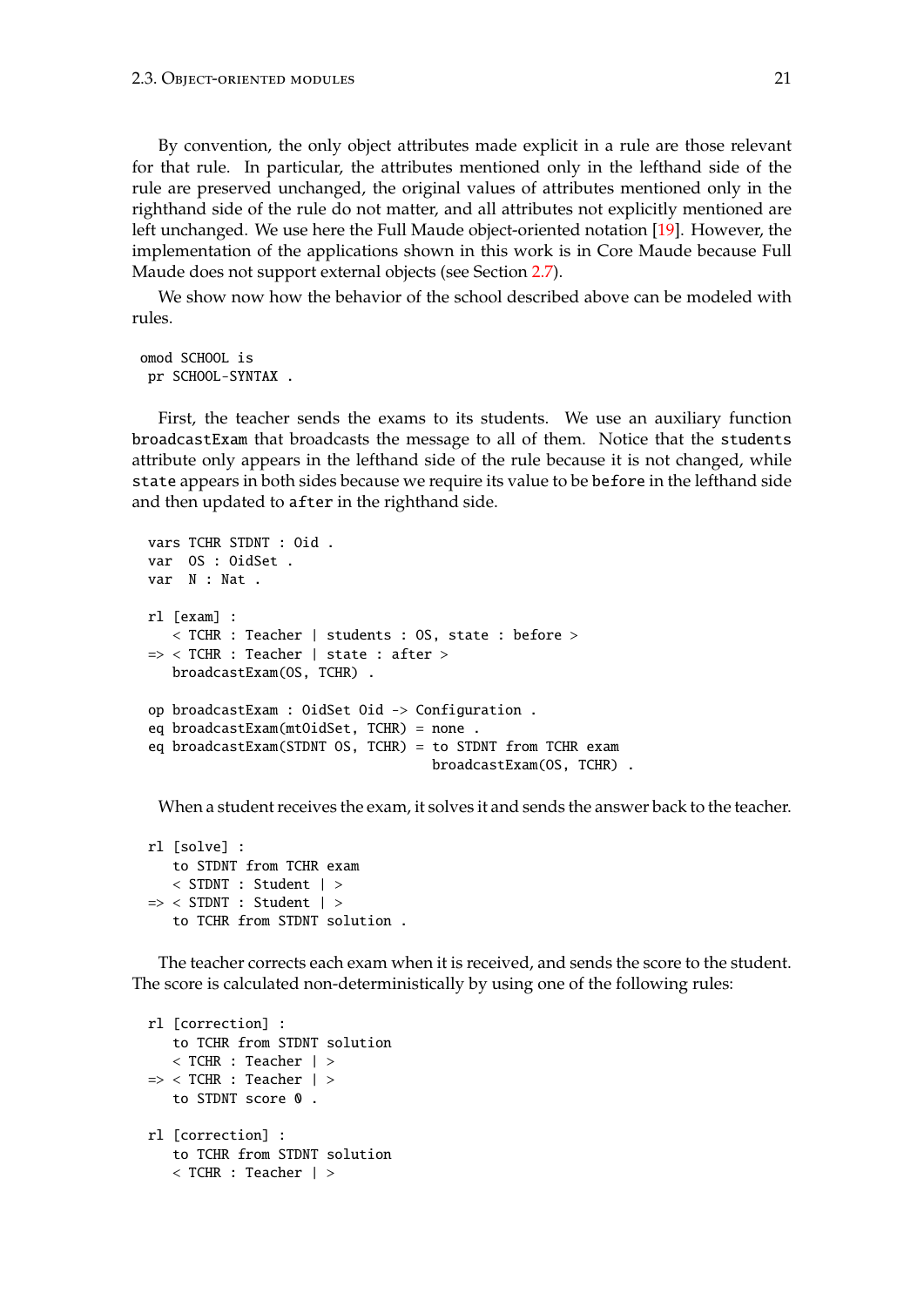By convention, the only object attributes made explicit in a rule are those relevant for that rule. In particular, the attributes mentioned only in the lefthand side of the rule are preserved unchanged, the original values of attributes mentioned only in the righthand side of the rule do not matter, and all attributes not explicitly mentioned are left unchanged. We use here the Full Maude object-oriented notation [\[19\]](#page-183-1). However, the implementation of the applications shown in this work is in Core Maude because Full Maude does not support external objects (see Section [2.7\)](#page-26-0).

We show now how the behavior of the school described above can be modeled with rules.

```
omod SCHOOL is
 pr SCHOOL-SYNTAX .
```
First, the teacher sends the exams to its students. We use an auxiliary function broadcastExam that broadcasts the message to all of them. Notice that the students attribute only appears in the lefthand side of the rule because it is not changed, while state appears in both sides because we require its value to be before in the lefthand side and then updated to after in the righthand side.

```
vars TCHR STDNT : Oid .
var OS : OidSet .
var N : Nat .
rl [exam] :
   < TCHR : Teacher | students : OS, state : before >
=> < TCHR : Teacher | state : after >
  broadcastExam(OS, TCHR) .
op broadcastExam : OidSet Oid -> Configuration .
eq broadcastExam(mtOidSet, TCHR) = none .
eq broadcastExam(STDNT OS, TCHR) = to STDNT from TCHR exam
                                   broadcastExam(OS, TCHR) .
```
When a student receives the exam, it solves it and sends the answer back to the teacher.

```
rl [solve] :
   to STDNT from TCHR exam
   < STDNT : Student | >
\Rightarrow < STDNT : Student | >
   to TCHR from STDNT solution .
```
The teacher corrects each exam when it is received, and sends the score to the student. The score is calculated non-deterministically by using one of the following rules:

```
rl [correction] :
  to TCHR from STDNT solution
   < TCHR : Teacher | >
\Rightarrow < TCHR : Teacher \vert >
   to STDNT score 0.
rl [correction] :
   to TCHR from STDNT solution
   < TCHR : Teacher | >
```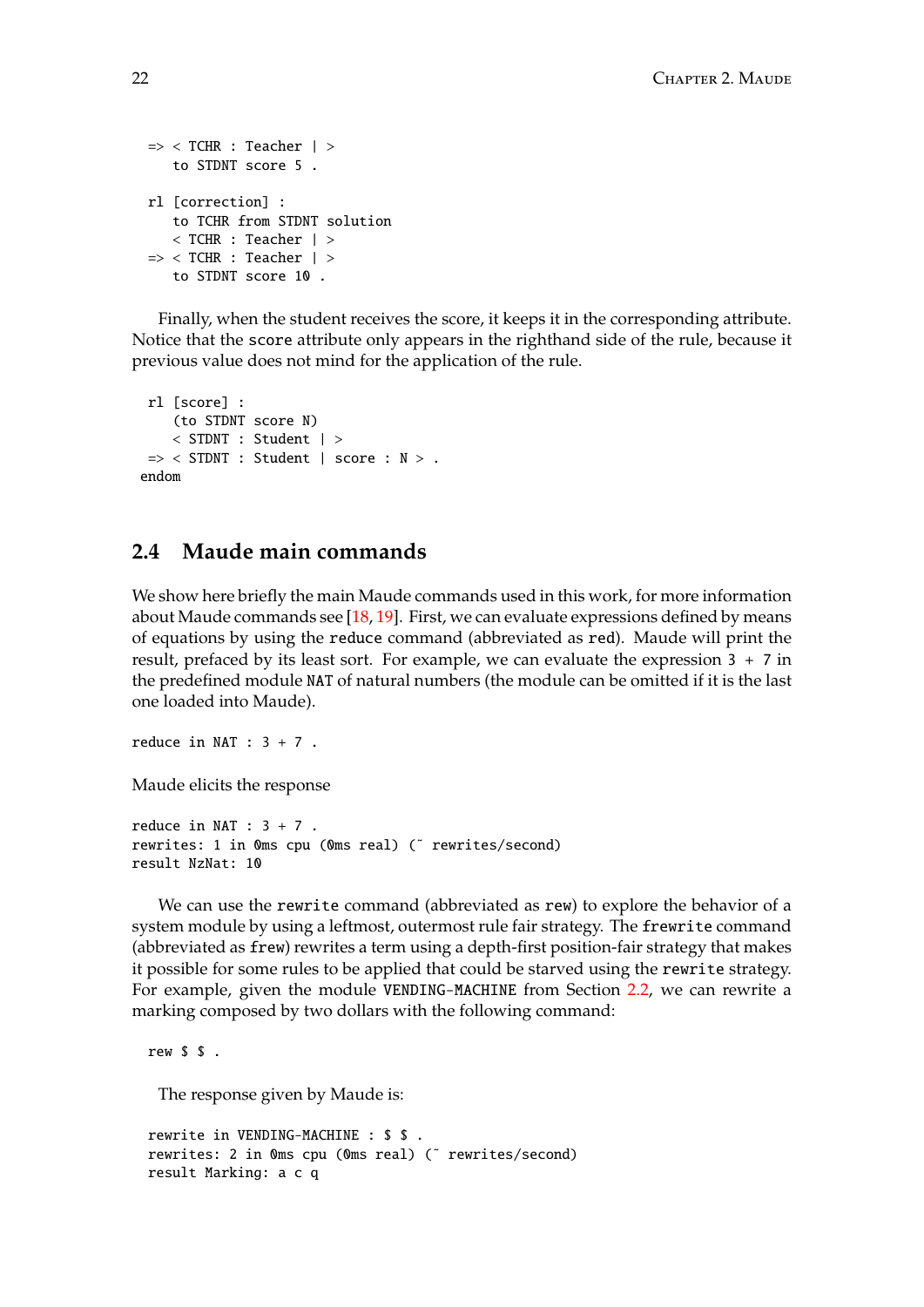```
\Rightarrow < TCHR : Teacher \vert >
   to STDNT score 5 .
rl [correction] :
   to TCHR from STDNT solution
   < TCHR : Teacher | >
\Rightarrow < TCHR : Teacher \vert >
   to STDNT score 10 .
```
Finally, when the student receives the score, it keeps it in the corresponding attribute. Notice that the score attribute only appears in the righthand side of the rule, because it previous value does not mind for the application of the rule.

```
rl [score] :
    (to STDNT score N)
    < STDNT : Student | >
\Rightarrow < STDNT : Student | score : N > .
endom
```
# <span id="page-21-0"></span>**2.4 Maude main commands**

We show here briefly the main Maude commands used in this work, for more information about Maude commands see [\[18,](#page-183-10) [19\]](#page-183-1). First, we can evaluate expressions defined by means of equations by using the reduce command (abbreviated as red). Maude will print the result, prefaced by its least sort. For example, we can evaluate the expression 3 + 7 in the predefined module NAT of natural numbers (the module can be omitted if it is the last one loaded into Maude).

```
reduce in NAT : 3 + 7.
```
Maude elicits the response

```
reduce in NAT : 3 + 7.
rewrites: 1 in 0ms cpu (0ms real) (~ rewrites/second)
result NzNat: 10
```
We can use the rewrite command (abbreviated as rew) to explore the behavior of a system module by using a leftmost, outermost rule fair strategy. The frewrite command (abbreviated as frew) rewrites a term using a depth-first position-fair strategy that makes it possible for some rules to be applied that could be starved using the rewrite strategy. For example, given the module VENDING-MACHINE from Section [2.2,](#page-17-0) we can rewrite a marking composed by two dollars with the following command:

```
rew $ $ .
```
The response given by Maude is:

```
rewrite in VENDING-MACHINE : $ $ .
rewrites: 2 in Oms cpu (Oms real) (~ rewrites/second)
result Marking: a c q
```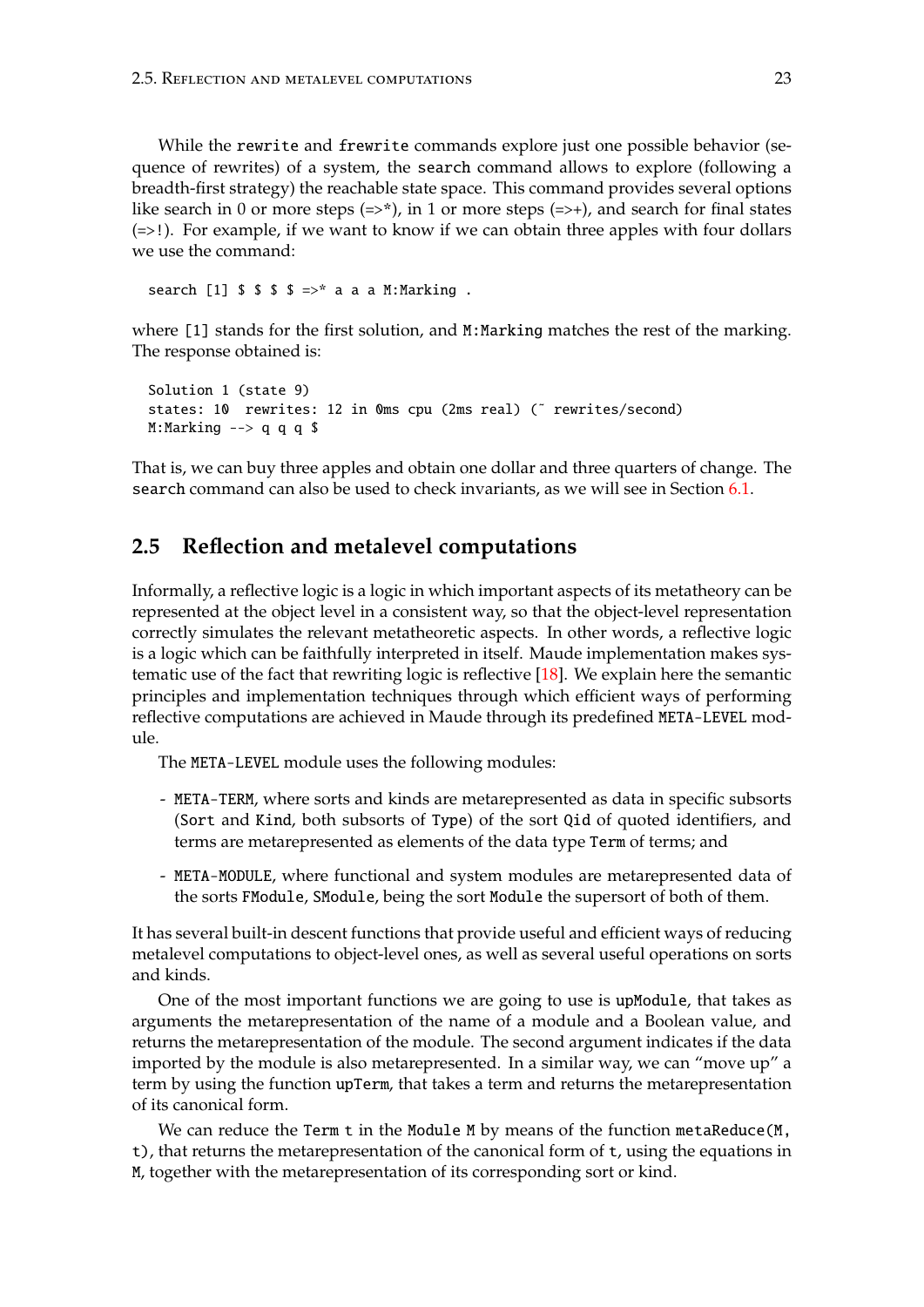While the rewrite and frewrite commands explore just one possible behavior (sequence of rewrites) of a system, the search command allows to explore (following a breadth-first strategy) the reachable state space. This command provides several options like search in 0 or more steps  $(=>*)$ , in 1 or more steps  $(=>+)$ , and search for final states  $(=\geq)$ ). For example, if we want to know if we can obtain three apples with four dollars we use the command:

search [1]  $\frac{1}{2}$  \$  $\frac{1}{2}$  \$  $\frac{1}{2}$   $\frac{1}{2}$   $\frac{1}{2}$  a a a M: Marking .

where [1] stands for the first solution, and M:Marking matches the rest of the marking. The response obtained is:

```
Solution 1 (state 9)
states: 10 rewrites: 12 in Oms cpu (2ms real) (~ rewrites/second)
M:Marking \leftarrow q q q \frac{1}{3}
```
That is, we can buy three apples and obtain one dollar and three quarters of change. The search command can also be used to check invariants, as we will see in Section [6.1.](#page-151-0)

### <span id="page-22-0"></span>**2.5 Reflection and metalevel computations**

Informally, a reflective logic is a logic in which important aspects of its metatheory can be represented at the object level in a consistent way, so that the object-level representation correctly simulates the relevant metatheoretic aspects. In other words, a reflective logic is a logic which can be faithfully interpreted in itself. Maude implementation makes sys-tematic use of the fact that rewriting logic is reflective [\[18\]](#page-183-10). We explain here the semantic principles and implementation techniques through which efficient ways of performing reflective computations are achieved in Maude through its predefined META-LEVEL module.

The META-LEVEL module uses the following modules:

- META-TERM, where sorts and kinds are metarepresented as data in specific subsorts (Sort and Kind, both subsorts of Type) of the sort Qid of quoted identifiers, and terms are metarepresented as elements of the data type Term of terms; and
- META-MODULE, where functional and system modules are metarepresented data of the sorts FModule, SModule, being the sort Module the supersort of both of them.

It has several built-in descent functions that provide useful and efficient ways of reducing metalevel computations to object-level ones, as well as several useful operations on sorts and kinds.

One of the most important functions we are going to use is upModule, that takes as arguments the metarepresentation of the name of a module and a Boolean value, and returns the metarepresentation of the module. The second argument indicates if the data imported by the module is also metarepresented. In a similar way, we can "move up" a term by using the function upTerm, that takes a term and returns the metarepresentation of its canonical form.

We can reduce the Term t in the Module M by means of the function metaReduce(M, t), that returns the metarepresentation of the canonical form of t, using the equations in M, together with the metarepresentation of its corresponding sort or kind.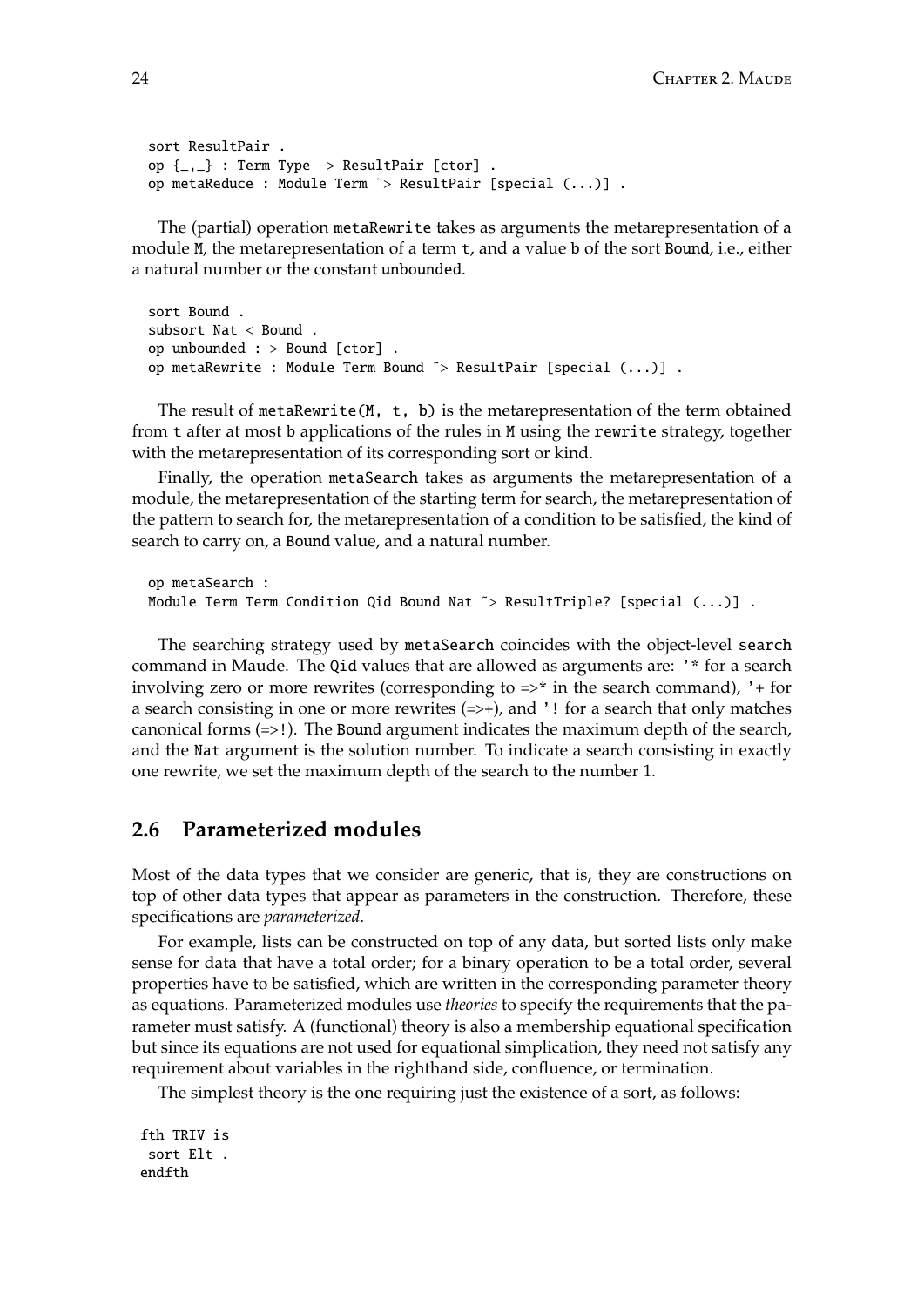```
sort ResultPair .
op \{-,-\}: Term Type -> ResultPair [ctor].
op metaReduce : Module Term ˜> ResultPair [special (...)] .
```
The (partial) operation metaRewrite takes as arguments the metarepresentation of a module M, the metarepresentation of a term t, and a value b of the sort Bound, i.e., either a natural number or the constant unbounded.

```
sort Bound .
subsort Nat < Bound .
op unbounded :-> Bound [ctor] .
op metaRewrite : Module Term Bound ˜> ResultPair [special (...)] .
```
The result of metaRewrite(M, t, b) is the metarepresentation of the term obtained from t after at most b applications of the rules in M using the rewrite strategy, together with the metarepresentation of its corresponding sort or kind.

Finally, the operation metaSearch takes as arguments the metarepresentation of a module, the metarepresentation of the starting term for search, the metarepresentation of the pattern to search for, the metarepresentation of a condition to be satisfied, the kind of search to carry on, a Bound value, and a natural number.

```
op metaSearch :
Module Term Term Condition Qid Bound Nat ~> ResultTriple? [special (...)].
```
The searching strategy used by metaSearch coincides with the object-level search command in Maude. The Qid values that are allowed as arguments are: '\* for a search involving zero or more rewrites (corresponding to  $\Rightarrow^*$  in the search command), '+ for a search consisting in one or more rewrites (=>+), and '! for a search that only matches canonical forms (=>!). The Bound argument indicates the maximum depth of the search, and the Nat argument is the solution number. To indicate a search consisting in exactly one rewrite, we set the maximum depth of the search to the number 1.

# <span id="page-23-0"></span>**2.6 Parameterized modules**

Most of the data types that we consider are generic, that is, they are constructions on top of other data types that appear as parameters in the construction. Therefore, these specifications are *parameterized*.

For example, lists can be constructed on top of any data, but sorted lists only make sense for data that have a total order; for a binary operation to be a total order, several properties have to be satisfied, which are written in the corresponding parameter theory as equations. Parameterized modules use *theories* to specify the requirements that the parameter must satisfy. A (functional) theory is also a membership equational specification but since its equations are not used for equational simplication, they need not satisfy any requirement about variables in the righthand side, confluence, or termination.

The simplest theory is the one requiring just the existence of a sort, as follows:

fth TRIV is sort Elt . endfth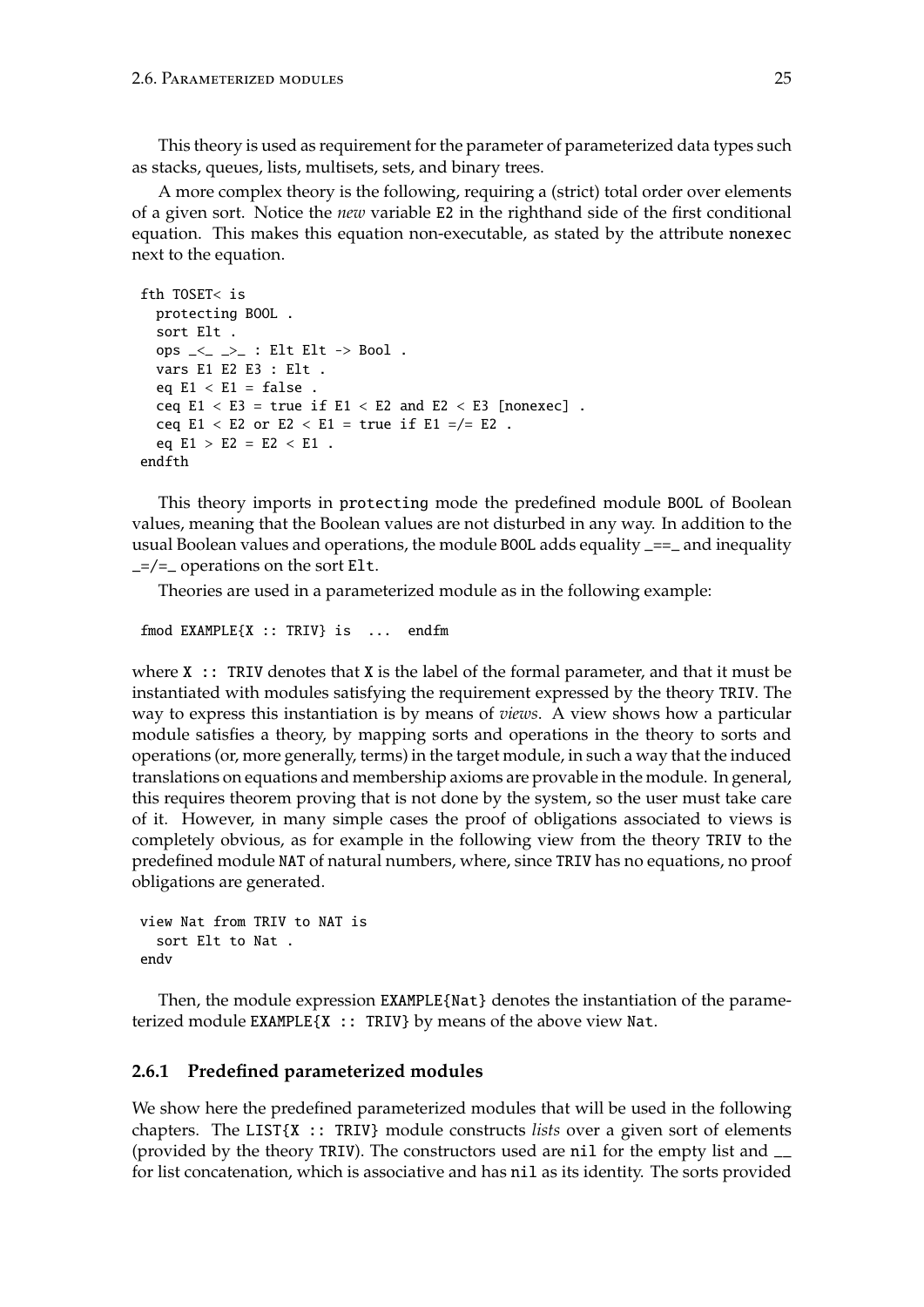This theory is used as requirement for the parameter of parameterized data types such as stacks, queues, lists, multisets, sets, and binary trees.

A more complex theory is the following, requiring a (strict) total order over elements of a given sort. Notice the *new* variable E2 in the righthand side of the first conditional equation. This makes this equation non-executable, as stated by the attribute nonexec next to the equation.

```
fth TOSET< is
 protecting BOOL .
  sort Elt .
  ops \leq \geq \geq : Elt Elt \rightarrow Bool.
  vars E1 E2 E3 : Elt .
  eq E1 < E1 = false.
  ceq E1 < E3 = true if E1 < E2 and E2 < E3 [nonexec].
  ceq E1 < E2 or E2 < E1 = true if E1 = /= E2.
  eq E1 > E2 = E2 < E1.
endfth
```
This theory imports in protecting mode the predefined module BOOL of Boolean values, meaning that the Boolean values are not disturbed in any way. In addition to the usual Boolean values and operations, the module BOOL adds equality \_==\_ and inequality  $=$  /= operations on the sort Elt.

Theories are used in a parameterized module as in the following example:

```
fmod EXAMPLE{X :: TRIV} is ... endfm
```
where  $X :$ : TRIV denotes that  $X$  is the label of the formal parameter, and that it must be instantiated with modules satisfying the requirement expressed by the theory TRIV. The way to express this instantiation is by means of *views*. A view shows how a particular module satisfies a theory, by mapping sorts and operations in the theory to sorts and operations (or, more generally, terms) in the target module, in such a way that the induced translations on equations and membership axioms are provable in the module. In general, this requires theorem proving that is not done by the system, so the user must take care of it. However, in many simple cases the proof of obligations associated to views is completely obvious, as for example in the following view from the theory TRIV to the predefined module NAT of natural numbers, where, since TRIV has no equations, no proof obligations are generated.

```
view Nat from TRIV to NAT is
  sort Elt to Nat .
endv
```
Then, the module expression EXAMPLE{Nat} denotes the instantiation of the parameterized module EXAMPLE{X :: TRIV} by means of the above view Nat.

#### <span id="page-24-0"></span>**2.6.1 Predefined parameterized modules**

We show here the predefined parameterized modules that will be used in the following chapters. The LIST{X :: TRIV} module constructs *lists* over a given sort of elements (provided by the theory TRIV). The constructors used are nil for the empty list and \_\_ for list concatenation, which is associative and has nil as its identity. The sorts provided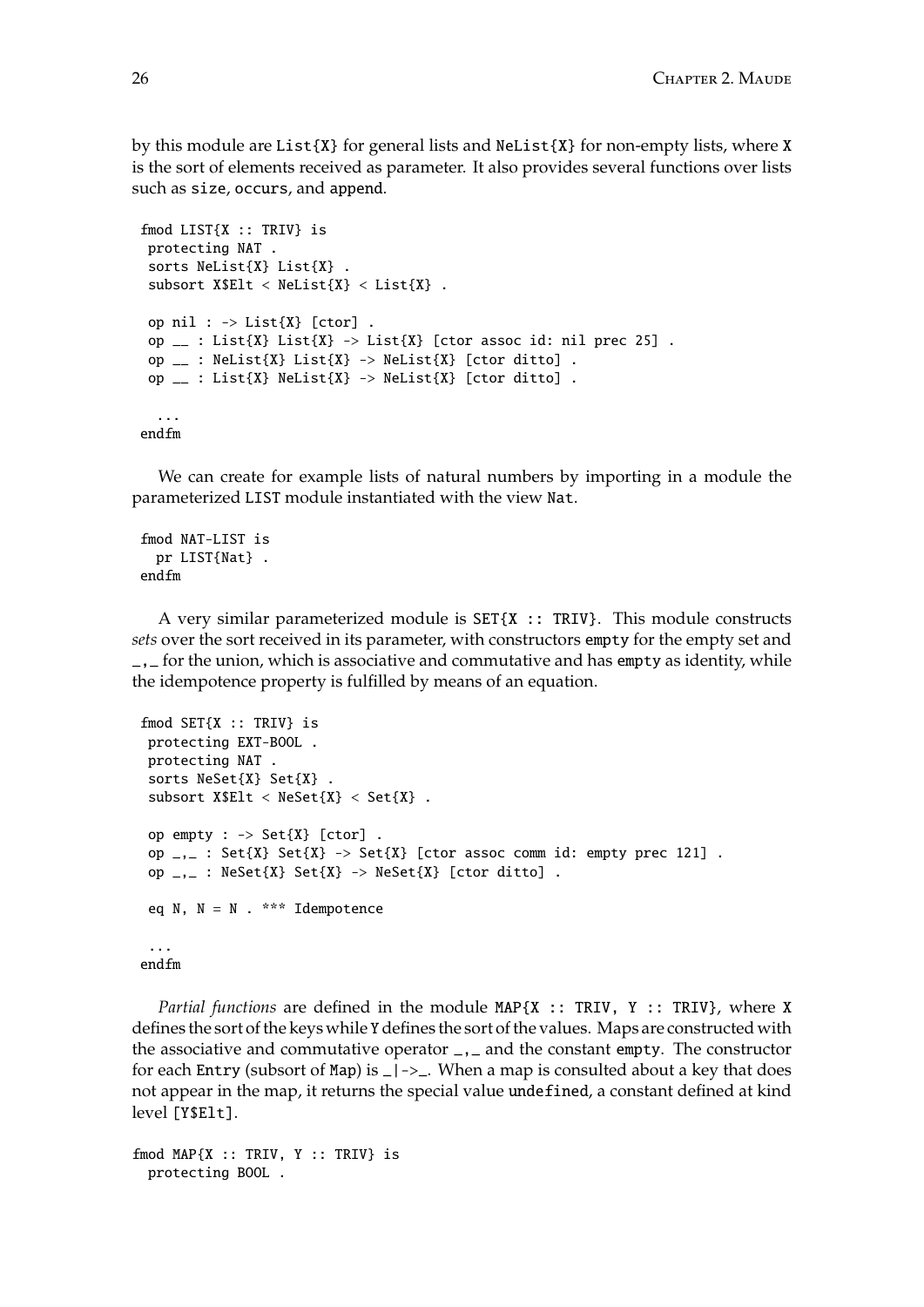by this module are List{X} for general lists and NeList{X} for non-empty lists, where X is the sort of elements received as parameter. It also provides several functions over lists such as size, occurs, and append.

```
fmod LIST{X :: TRIV} is
protecting NAT .
sorts NeList{X} List{X} .
subsort X$Elt < Nelist{X} < List{X}.
op nil : \rightarrow List\{X\} [ctor].
op \bot : List{X} List{X} -> List{X} [ctor assoc id: nil prec 25].
op \bot : NeList{X} List{X} -> NeList{X} [ctor ditto].
op \bot : List{X} NeList{X} -> NeList{X} [ctor ditto].
  ...
endfm
```
We can create for example lists of natural numbers by importing in a module the parameterized LIST module instantiated with the view Nat.

```
fmod NAT-LIST is
 pr LIST{Nat} .
endfm
```
A very similar parameterized module is  $SET{X}$  :: TRIV}. This module constructs *sets* over the sort received in its parameter, with constructors empty for the empty set and \_,\_ for the union, which is associative and commutative and has empty as identity, while the idempotence property is fulfilled by means of an equation.

```
fmod SET{X :: TRIV} is
protecting EXT-BOOL .
protecting NAT .
sorts NeSet{X} Set{X} .
subsort X$Elt < N\\eSet{X} < Set{X}.
op empty : \rightarrow Set\{X\} [ctor].
 op _{-1} : Set\{X\} Set\{X\} -> Set\{X\} [ctor assoc comm id: empty prec 121].
op _{-1} : NeSet{X} Set{X} -> NeSet{X} [ctor ditto].
eq N, N = N. *** Idempotence
 ...
endfm
```
*Partial functions* are defined in the module MAP{X :: TRIV, Y :: TRIV}, where X defines the sort of the keys while Y defines the sort of the values. Maps are constructed with the associative and commutative operator  $\overline{\phantom{a}}$ , and the constant empty. The constructor for each Entry (subsort of Map) is  $\angle$  | -> $\angle$ . When a map is consulted about a key that does not appear in the map, it returns the special value undefined, a constant defined at kind level [Y\$Elt].

```
fmod MAP{X :: TRIV, Y :: TRIV} is
 protecting BOOL .
```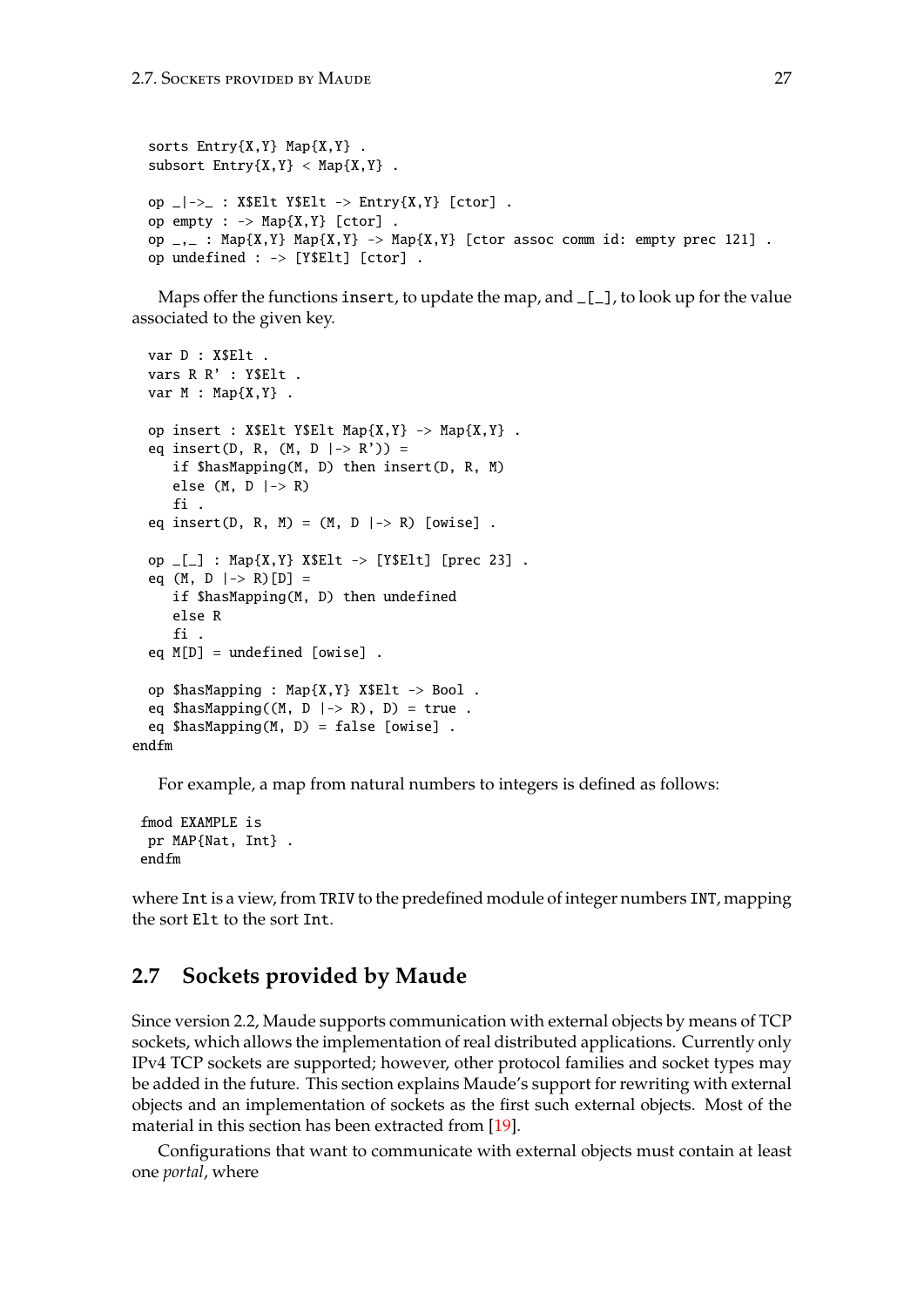```
sorts Entry{X,Y} Map{X,Y}.
subsort Entry{X,Y} < Map{X,Y}.
op \angle|->_ : X$Elt Y$Elt -> Entry{X,Y} [ctor].
op empty : \rightarrow Map{X,Y} [ctor].
op _{-, -} : Map{X,Y} Map{X,Y} -> Map{X,Y} [ctor assoc comm id: empty prec 121].
op undefined : -> [Y$Elt] [ctor] .
```
Maps offer the functions insert, to update the map, and  $[\_$ , to look up for the value associated to the given key.

```
var D : X$Elt .
  vars R R' : Y$Elt .
  var M : Map{X,Y} .
  op insert : X$Elt Y$Elt Map{X,Y} -> Map{X,Y} .
  eq insert(D, R, (M, D \mid-> R')) =if $hasMapping(M, D) then insert(D, R, M)
     else (M, D \mid-> R)fi .
  eq insert(D, R, M) = (M, D \mid \rightarrow R) [owise].
  op [-] : Map{X,Y} X$Elt -> [Y$Elt] [prec 23].
  eq (M, D \mid-> R)[D] =if $hasMapping(M, D) then undefined
     else R
     fi .
  eq M[D] = undefined [owise] .
  op $hasMapping : Map{X,Y} X$Elt -> Bool .
  eq \text{ShasMapping}((M, D \mid > R), D) = \text{true}.
  eq $hasMapping(M, D) = false [owise] .
endfm
```
For example, a map from natural numbers to integers is defined as follows:

```
fmod EXAMPLE is
pr MAP{Nat, Int} .
endfm
```
where Int is a view, from TRIV to the predefined module of integer numbers INT, mapping the sort Elt to the sort Int.

### <span id="page-26-0"></span>**2.7 Sockets provided by Maude**

Since version 2.2, Maude supports communication with external objects by means of TCP sockets, which allows the implementation of real distributed applications. Currently only IPv4 TCP sockets are supported; however, other protocol families and socket types may be added in the future. This section explains Maude's support for rewriting with external objects and an implementation of sockets as the first such external objects. Most of the material in this section has been extracted from [\[19\]](#page-183-1).

Configurations that want to communicate with external objects must contain at least one *portal*, where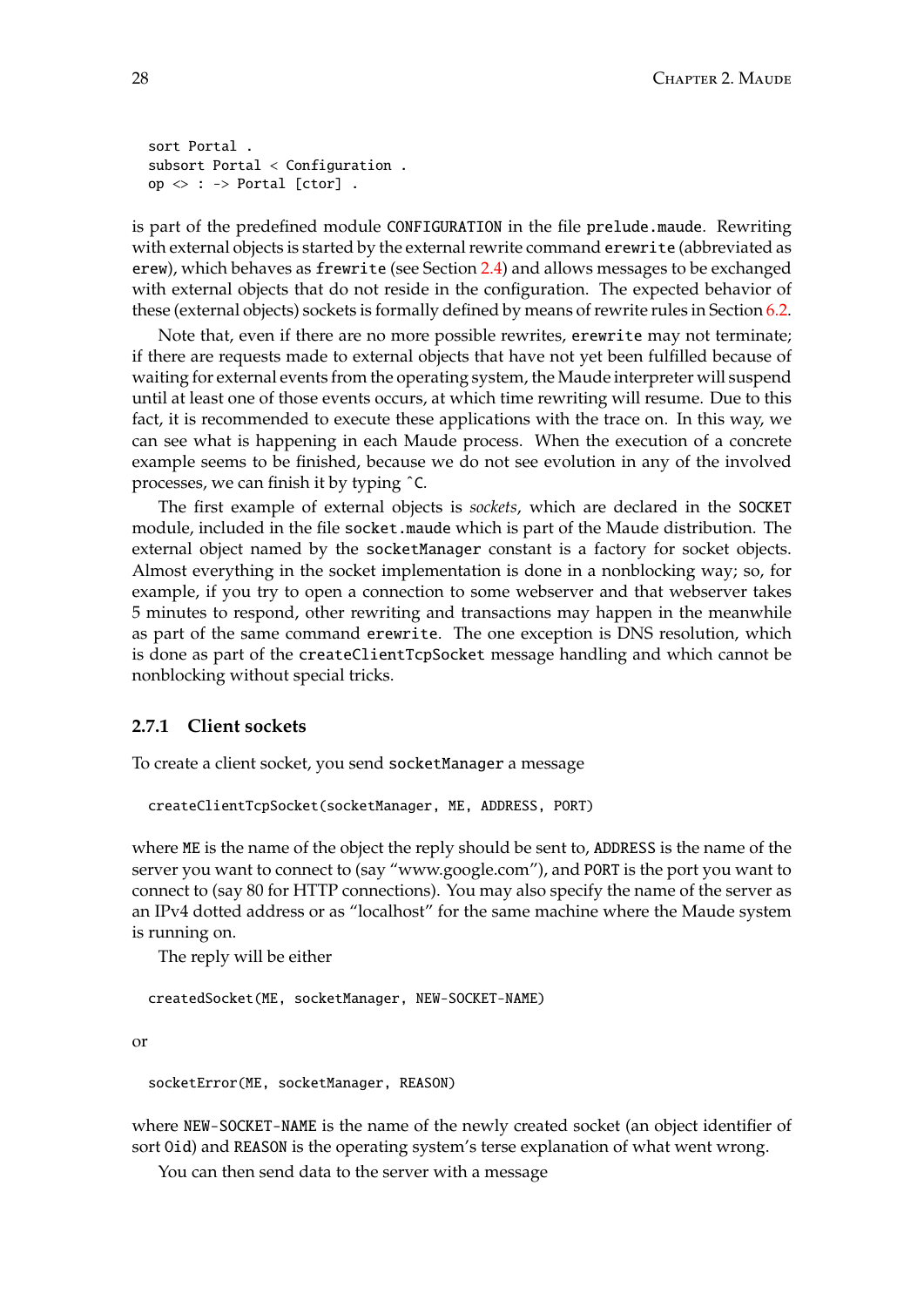```
sort Portal .
subsort Portal < Configuration .
op \langle \rangle : \rightarrow Portal [ctor].
```
is part of the predefined module CONFIGURATION in the file prelude.maude. Rewriting with external objects is started by the external rewrite command erewrite (abbreviated as erew), which behaves as frewrite (see Section [2.4\)](#page-21-0) and allows messages to be exchanged with external objects that do not reside in the configuration. The expected behavior of these (external objects) sockets is formally defined by means of rewrite rules in Section [6.2.](#page-154-0)

Note that, even if there are no more possible rewrites, erewrite may not terminate; if there are requests made to external objects that have not yet been fulfilled because of waiting for external events from the operating system, the Maude interpreter will suspend until at least one of those events occurs, at which time rewriting will resume. Due to this fact, it is recommended to execute these applications with the trace on. In this way, we can see what is happening in each Maude process. When the execution of a concrete example seems to be finished, because we do not see evolution in any of the involved processes, we can finish it by typing ˆC.

The first example of external objects is *sockets*, which are declared in the SOCKET module, included in the file socket.maude which is part of the Maude distribution. The external object named by the socketManager constant is a factory for socket objects. Almost everything in the socket implementation is done in a nonblocking way; so, for example, if you try to open a connection to some webserver and that webserver takes 5 minutes to respond, other rewriting and transactions may happen in the meanwhile as part of the same command erewrite. The one exception is DNS resolution, which is done as part of the createClientTcpSocket message handling and which cannot be nonblocking without special tricks.

### <span id="page-27-0"></span>**2.7.1 Client sockets**

To create a client socket, you send socketManager a message

```
createClientTcpSocket(socketManager, ME, ADDRESS, PORT)
```
where ME is the name of the object the reply should be sent to, ADDRESS is the name of the server you want to connect to (say "www.google.com"), and PORT is the port you want to connect to (say 80 for HTTP connections). You may also specify the name of the server as an IPv4 dotted address or as "localhost" for the same machine where the Maude system is running on.

The reply will be either

createdSocket(ME, socketManager, NEW-SOCKET-NAME)

or

socketError(ME, socketManager, REASON)

where NEW-SOCKET-NAME is the name of the newly created socket (an object identifier of sort Oid) and REASON is the operating system's terse explanation of what went wrong.

You can then send data to the server with a message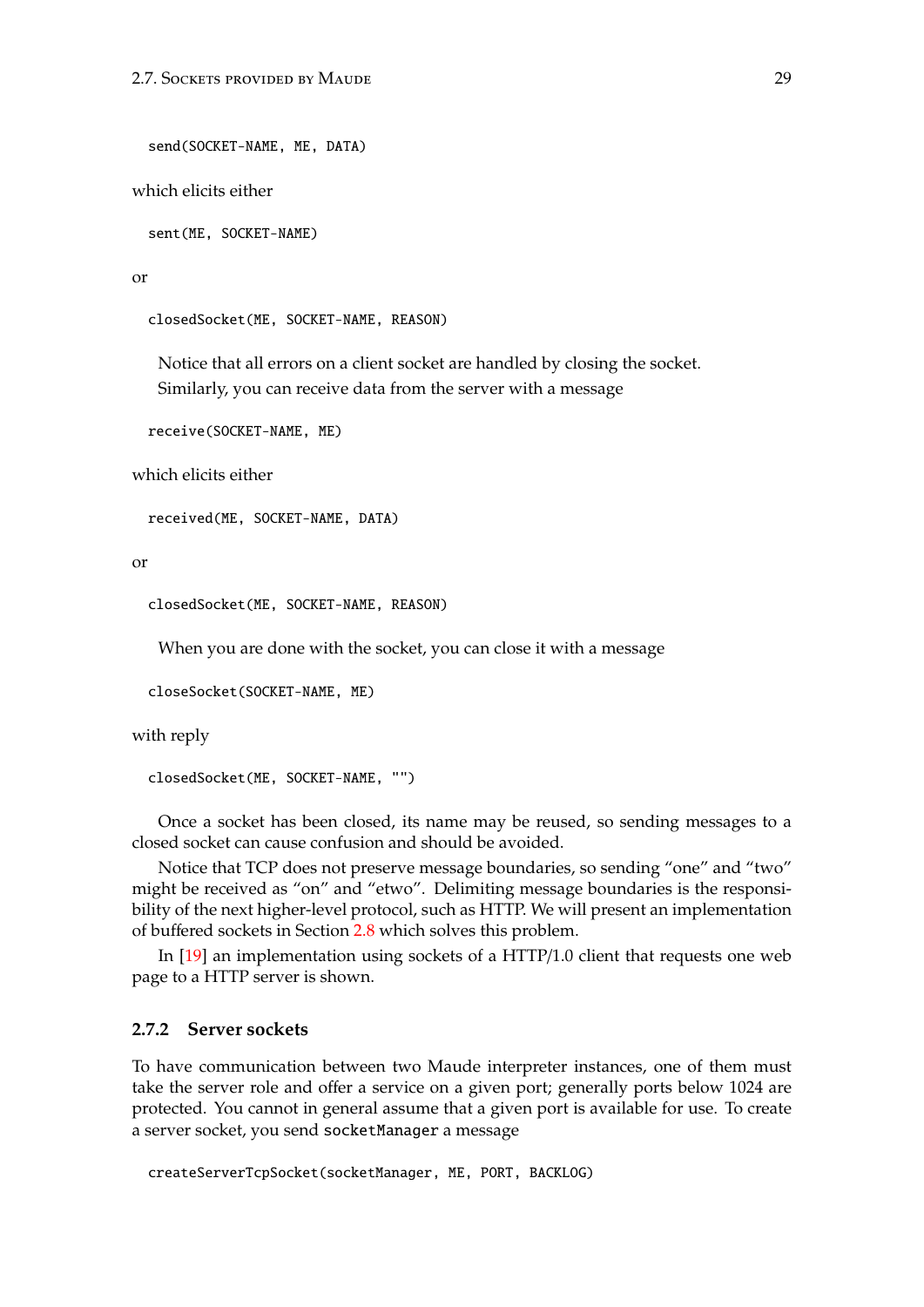```
send(SOCKET-NAME, ME, DATA)
```
which elicits either

sent(ME, SOCKET-NAME)

or

closedSocket(ME, SOCKET-NAME, REASON)

Notice that all errors on a client socket are handled by closing the socket. Similarly, you can receive data from the server with a message

receive(SOCKET-NAME, ME)

which elicits either

received(ME, SOCKET-NAME, DATA)

or

```
closedSocket(ME, SOCKET-NAME, REASON)
```
When you are done with the socket, you can close it with a message

closeSocket(SOCKET-NAME, ME)

with reply

```
closedSocket(ME, SOCKET-NAME, "")
```
Once a socket has been closed, its name may be reused, so sending messages to a closed socket can cause confusion and should be avoided.

Notice that TCP does not preserve message boundaries, so sending "one" and "two" might be received as "on" and "etwo". Delimiting message boundaries is the responsibility of the next higher-level protocol, such as HTTP. We will present an implementation of buffered sockets in Section [2.8](#page-31-0) which solves this problem.

In [\[19\]](#page-183-1) an implementation using sockets of a HTTP/1.0 client that requests one web page to a HTTP server is shown.

### <span id="page-28-0"></span>**2.7.2 Server sockets**

To have communication between two Maude interpreter instances, one of them must take the server role and offer a service on a given port; generally ports below 1024 are protected. You cannot in general assume that a given port is available for use. To create a server socket, you send socketManager a message

createServerTcpSocket(socketManager, ME, PORT, BACKLOG)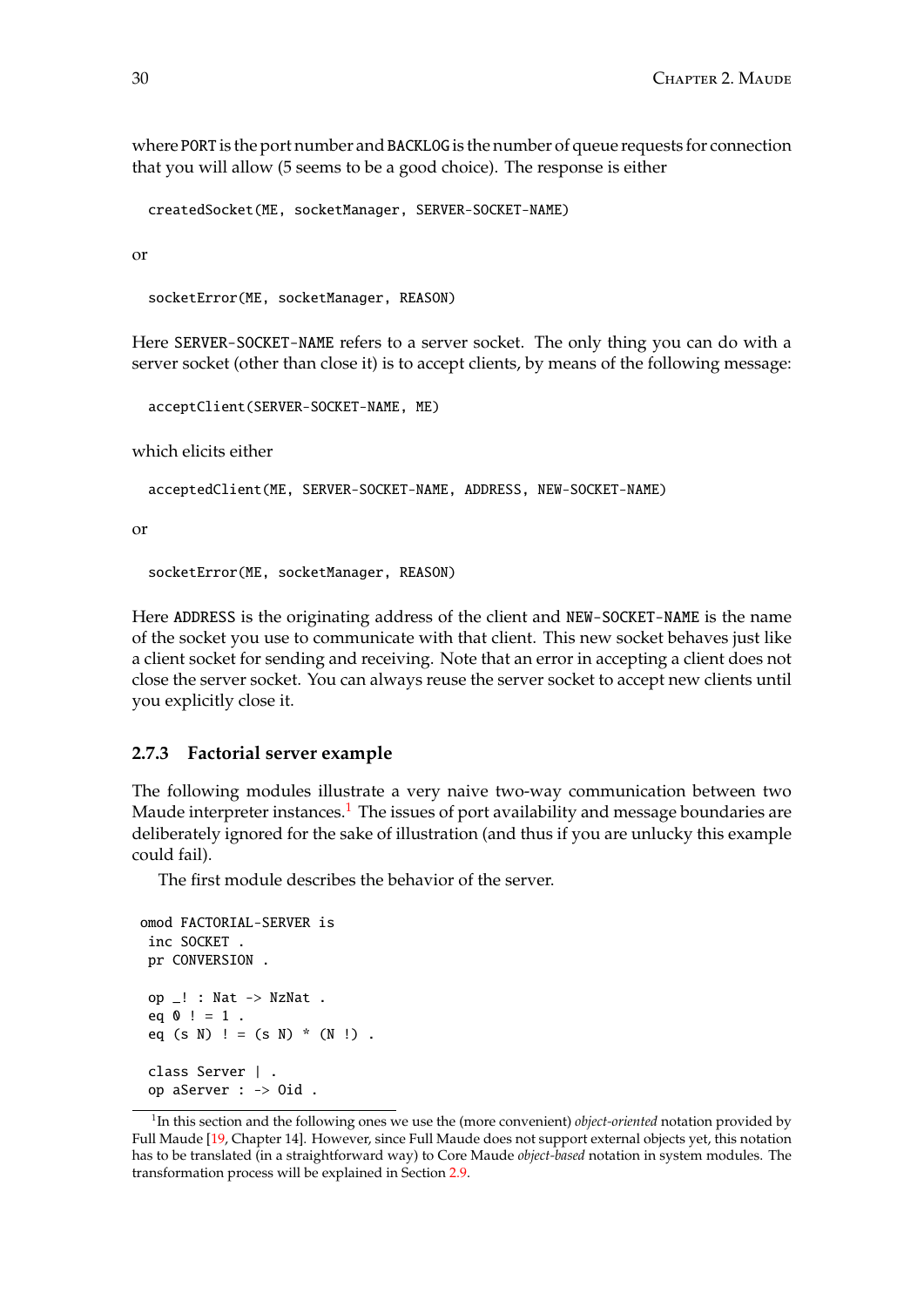where PORT is the port number and BACKLOG is the number of queue requests for connection that you will allow (5 seems to be a good choice). The response is either

createdSocket(ME, socketManager, SERVER-SOCKET-NAME)

or

socketError(ME, socketManager, REASON)

Here SERVER-SOCKET-NAME refers to a server socket. The only thing you can do with a server socket (other than close it) is to accept clients, by means of the following message:

acceptClient(SERVER-SOCKET-NAME, ME)

which elicits either

acceptedClient(ME, SERVER-SOCKET-NAME, ADDRESS, NEW-SOCKET-NAME)

or

socketError(ME, socketManager, REASON)

Here ADDRESS is the originating address of the client and NEW-SOCKET-NAME is the name of the socket you use to communicate with that client. This new socket behaves just like a client socket for sending and receiving. Note that an error in accepting a client does not close the server socket. You can always reuse the server socket to accept new clients until you explicitly close it.

#### <span id="page-29-0"></span>**2.7.3 Factorial server example**

The following modules illustrate a very naive two-way communication between two Maude interpreter instances.<sup>[1](#page-29-1)</sup> The issues of port availability and message boundaries are deliberately ignored for the sake of illustration (and thus if you are unlucky this example could fail).

The first module describes the behavior of the server.

```
omod FACTORIAL-SERVER is
 inc SOCKET .
pr CONVERSION .
op _! : Nat -> NzNat .
 eq 0! = 1.
 eq (s N) ! = (s N) * (N!).
 class Server | .
op aServer : -> Oid .
```
<span id="page-29-1"></span><sup>&</sup>lt;sup>1</sup>In this section and the following ones we use the (more convenient) *object-oriented* notation provided by Full Maude [\[19,](#page-183-1) Chapter 14]. However, since Full Maude does not support external objects yet, this notation has to be translated (in a straightforward way) to Core Maude *object-based* notation in system modules. The transformation process will be explained in Section [2.9.](#page-35-0)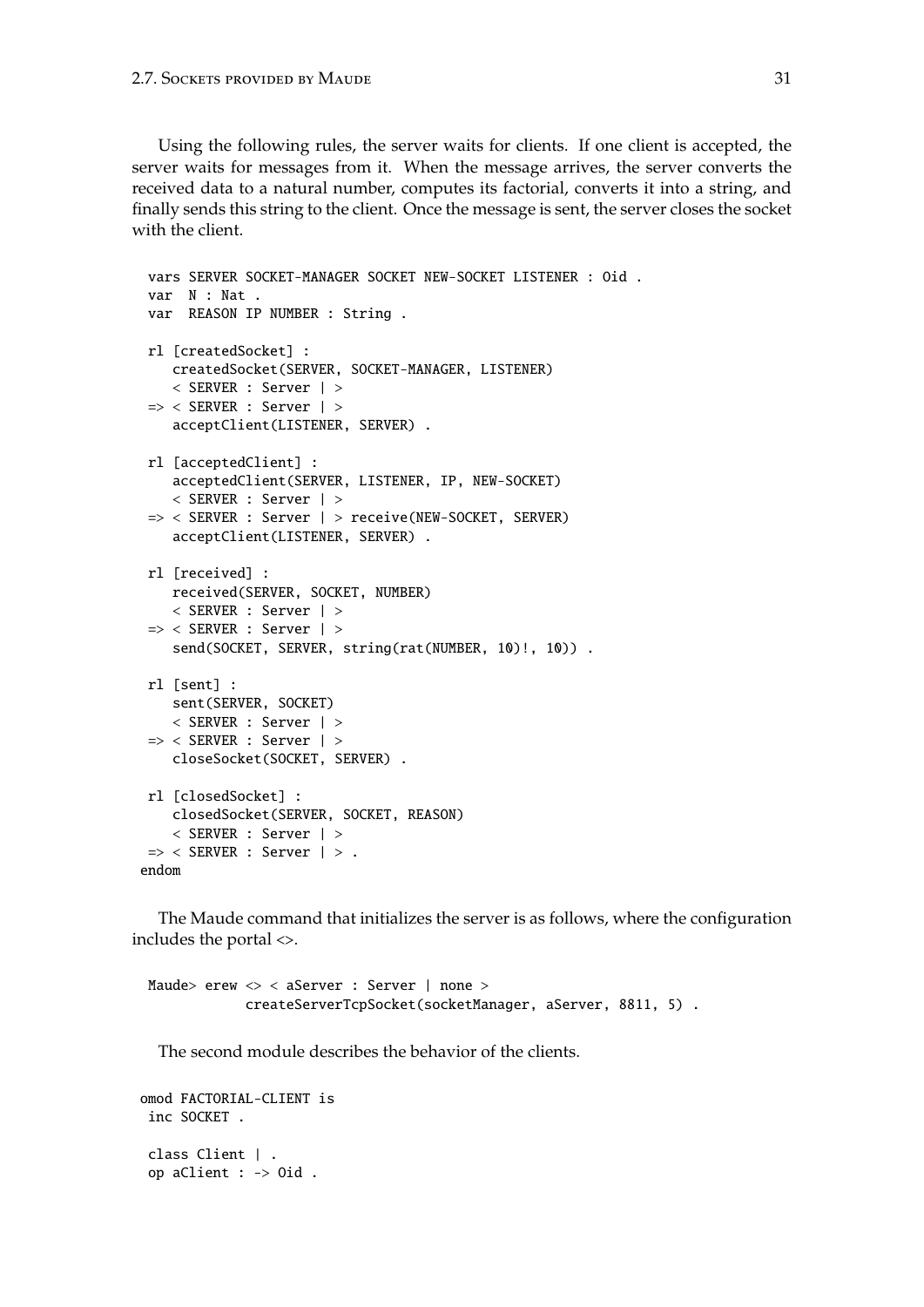Using the following rules, the server waits for clients. If one client is accepted, the server waits for messages from it. When the message arrives, the server converts the received data to a natural number, computes its factorial, converts it into a string, and finally sends this string to the client. Once the message is sent, the server closes the socket with the client.

```
vars SERVER SOCKET-MANAGER SOCKET NEW-SOCKET LISTENER : Oid .
var N : Nat .
var REASON IP NUMBER : String .
rl [createdSocket] :
   createdSocket(SERVER, SOCKET-MANAGER, LISTENER)
   < SERVER : Server | >
=> < SERVER : Server | >
   acceptClient(LISTENER, SERVER) .
rl [acceptedClient] :
   acceptedClient(SERVER, LISTENER, IP, NEW-SOCKET)
   < SERVER : Server | >
 => < SERVER : Server | > receive(NEW-SOCKET, SERVER)
   acceptClient(LISTENER, SERVER) .
rl [received] :
   received(SERVER, SOCKET, NUMBER)
   < SERVER : Server | >
=> < SERVER : Server | >
   send(SOCKET, SERVER, string(rat(NUMBER, 10)!, 10)) .
rl [sent] :
   sent(SERVER, SOCKET)
   < SERVER : Server | >
=> < SERVER : Server | >
   closeSocket(SOCKET, SERVER) .
rl [closedSocket] :
   closedSocket(SERVER, SOCKET, REASON)
   < SERVER : Server | >
\Rightarrow < SERVER : Server \vert > .
endom
```
The Maude command that initializes the server is as follows, where the configuration includes the portal <>.

```
Maude> erew <> < aServer : Server | none >
            createServerTcpSocket(socketManager, aServer, 8811, 5) .
```
The second module describes the behavior of the clients.

```
omod FACTORIAL-CLIENT is
inc SOCKET .
class Client | .
op aClient : -> Oid .
```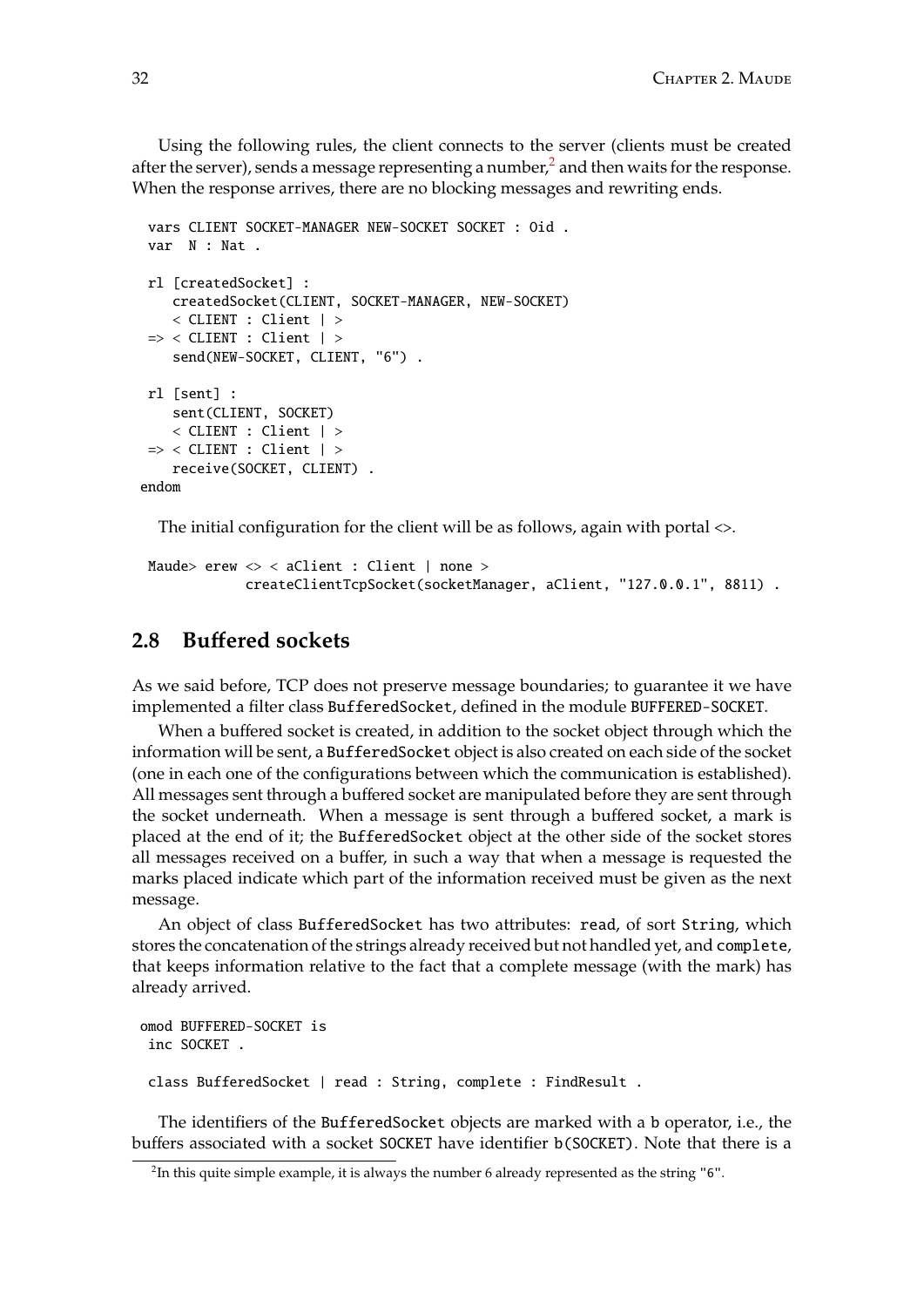Using the following rules, the client connects to the server (clients must be created after the server), sends a message representing a number,<sup>[2](#page-31-1)</sup> and then waits for the response. When the response arrives, there are no blocking messages and rewriting ends.

```
vars CLIENT SOCKET-MANAGER NEW-SOCKET SOCKET : Oid .
var N : Nat .
rl [createdSocket] :
    createdSocket(CLIENT, SOCKET-MANAGER, NEW-SOCKET)
    < CLIENT : Client | >
 \Rightarrow < CLIENT : Client | >
    send(NEW-SOCKET, CLIENT, "6") .
rl [sent] :
    sent(CLIENT, SOCKET)
    < CLIENT : Client | >
\Rightarrow < CLIENT : Client | >
    receive(SOCKET, CLIENT) .
endom
```
The initial configuration for the client will be as follows, again with portal <>.

```
Maude> erew <> < aClient : Client | none >
            createClientTcpSocket(socketManager, aClient, "127.0.0.1", 8811) .
```
# <span id="page-31-0"></span>**2.8 Bu**ff**ered sockets**

As we said before, TCP does not preserve message boundaries; to guarantee it we have implemented a filter class BufferedSocket, defined in the module BUFFERED-SOCKET.

When a buffered socket is created, in addition to the socket object through which the information will be sent, a BufferedSocket object is also created on each side of the socket (one in each one of the configurations between which the communication is established). All messages sent through a buffered socket are manipulated before they are sent through the socket underneath. When a message is sent through a buffered socket, a mark is placed at the end of it; the BufferedSocket object at the other side of the socket stores all messages received on a buffer, in such a way that when a message is requested the marks placed indicate which part of the information received must be given as the next message.

An object of class BufferedSocket has two attributes: read, of sort String, which stores the concatenation of the strings already received but not handled yet, and complete, that keeps information relative to the fact that a complete message (with the mark) has already arrived.

```
omod BUFFERED-SOCKET is
 inc SOCKET .
class BufferedSocket | read : String, complete : FindResult .
```
The identifiers of the BufferedSocket objects are marked with a b operator, i.e., the buffers associated with a socket SOCKET have identifier b(SOCKET). Note that there is a

<span id="page-31-1"></span> $^2$ In this quite simple example, it is always the number 6 already represented as the string "6".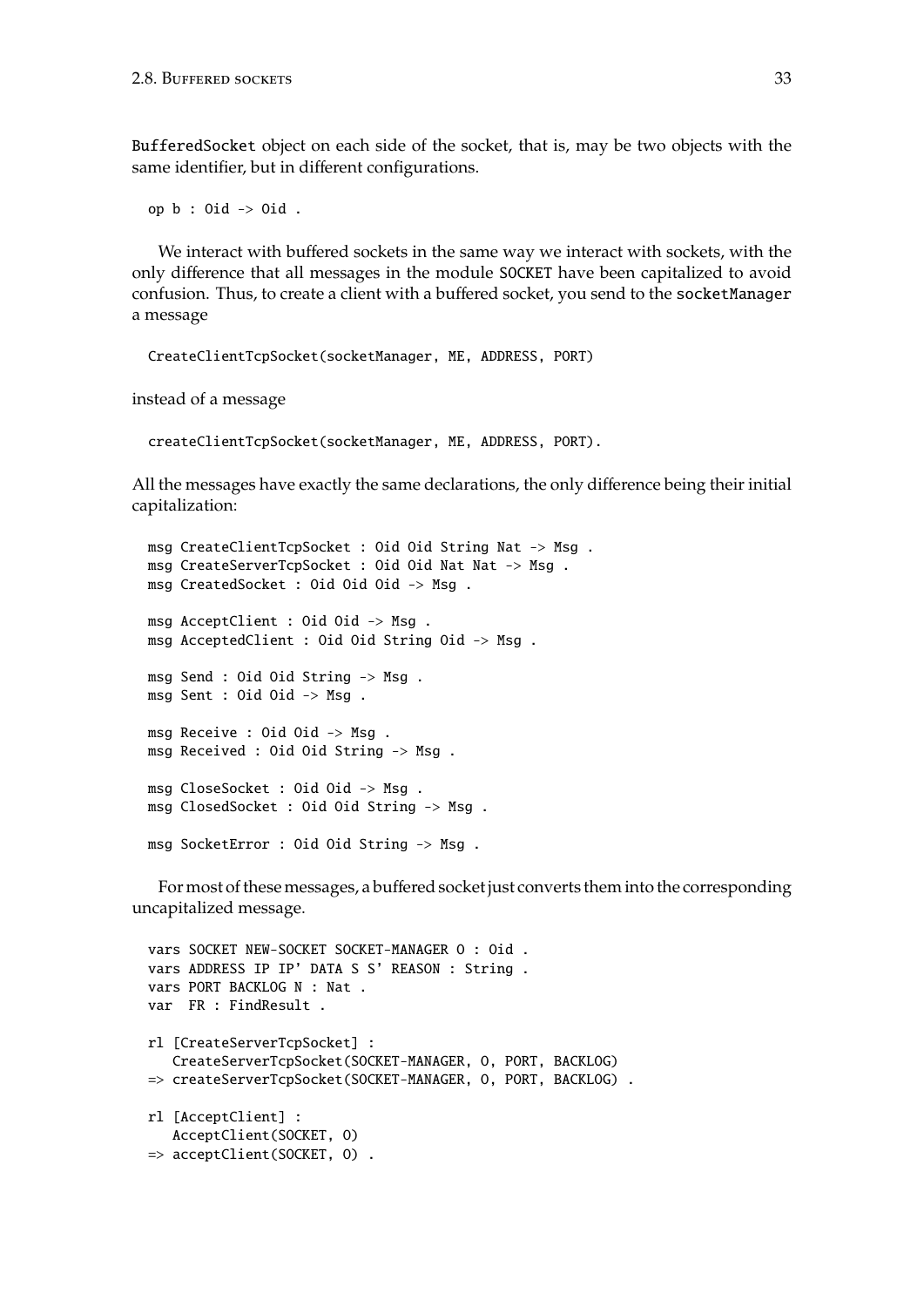BufferedSocket object on each side of the socket, that is, may be two objects with the same identifier, but in different configurations.

op b : Oid -> Oid .

We interact with buffered sockets in the same way we interact with sockets, with the only difference that all messages in the module SOCKET have been capitalized to avoid confusion. Thus, to create a client with a buffered socket, you send to the socketManager a message

```
CreateClientTcpSocket(socketManager, ME, ADDRESS, PORT)
```
instead of a message

```
createClientTcpSocket(socketManager, ME, ADDRESS, PORT).
```
All the messages have exactly the same declarations, the only difference being their initial capitalization:

```
msg CreateClientTcpSocket : Oid Oid String Nat -> Msg .
msg CreateServerTcpSocket : Oid Oid Nat Nat -> Msg .
msg CreatedSocket : Oid Oid Oid -> Msg .
msg AcceptClient : Oid Oid -> Msg .
msg AcceptedClient : Oid Oid String Oid -> Msg .
msg Send : Oid Oid String -> Msg .
msg Sent : Oid Oid -> Msg .
msg Receive : Oid Oid -> Msg .
msg Received : Oid Oid String -> Msg .
msg CloseSocket : Oid Oid -> Msg .
msg ClosedSocket : Oid Oid String -> Msg .
msg SocketError : Oid Oid String -> Msg .
```
For most of these messages, a buffered socket just converts them into the corresponding uncapitalized message.

```
vars SOCKET NEW-SOCKET SOCKET-MANAGER O : Oid .
vars ADDRESS IP IP' DATA S S' REASON : String .
vars PORT BACKLOG N : Nat .
var FR : FindResult .
rl [CreateServerTcpSocket] :
  CreateServerTcpSocket(SOCKET-MANAGER, O, PORT, BACKLOG)
=> createServerTcpSocket(SOCKET-MANAGER, O, PORT, BACKLOG) .
rl [AcceptClient] :
  AcceptClient(SOCKET, O)
=> acceptClient(SOCKET, O) .
```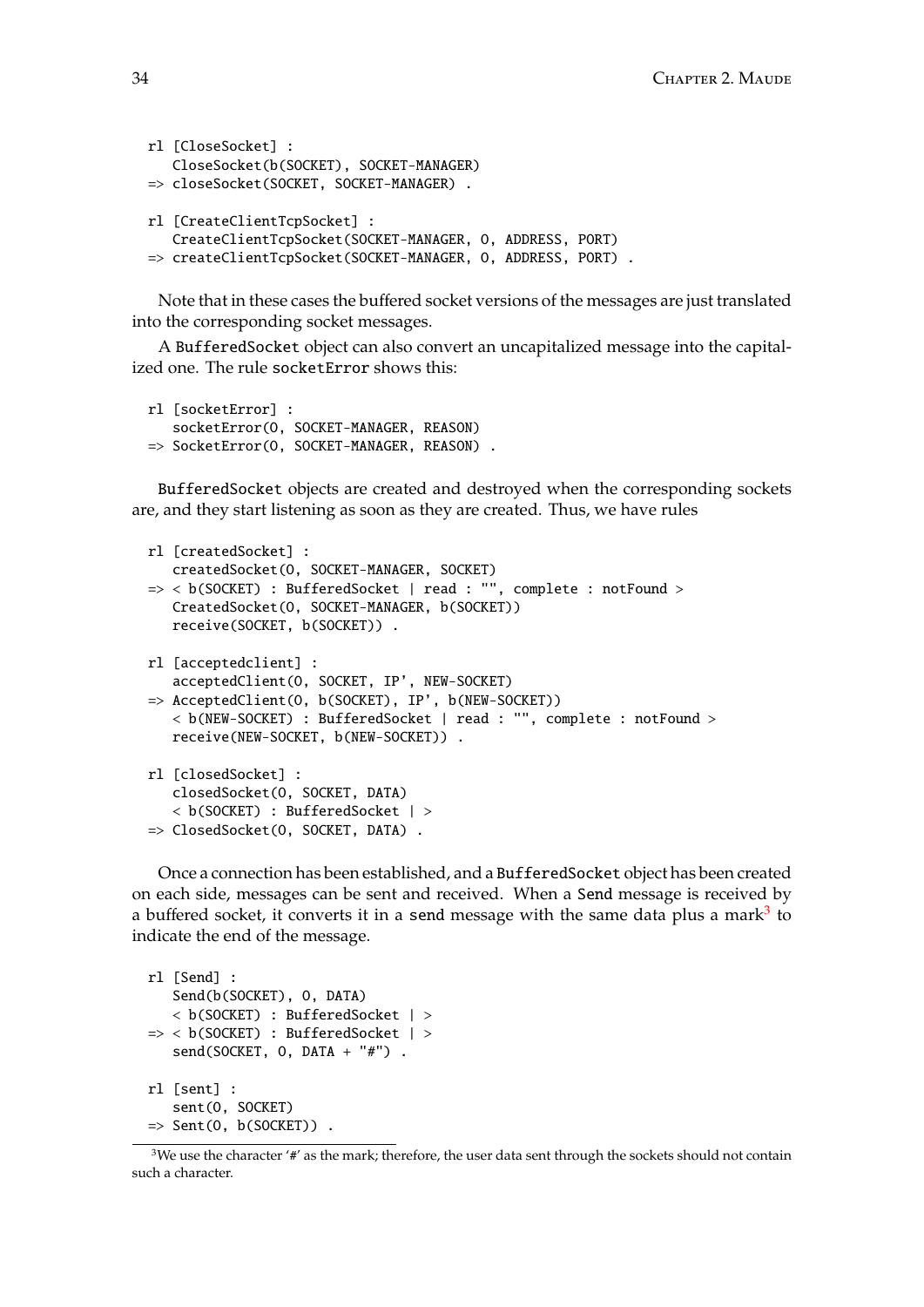```
rl [CloseSocket] :
   CloseSocket(b(SOCKET), SOCKET-MANAGER)
=> closeSocket(SOCKET, SOCKET-MANAGER) .
rl [CreateClientTcpSocket] :
  CreateClientTcpSocket(SOCKET-MANAGER, O, ADDRESS, PORT)
=> createClientTcpSocket(SOCKET-MANAGER, O, ADDRESS, PORT) .
```
Note that in these cases the buffered socket versions of the messages are just translated into the corresponding socket messages.

A BufferedSocket object can also convert an uncapitalized message into the capitalized one. The rule socketError shows this:

```
rl [socketError] :
   socketError(O, SOCKET-MANAGER, REASON)
=> SocketError(O, SOCKET-MANAGER, REASON) .
```
BufferedSocket objects are created and destroyed when the corresponding sockets are, and they start listening as soon as they are created. Thus, we have rules

```
rl [createdSocket] :
  createdSocket(O, SOCKET-MANAGER, SOCKET)
=> < b(SOCKET) : BufferedSocket | read : "", complete : notFound >
  CreatedSocket(O, SOCKET-MANAGER, b(SOCKET))
   receive(SOCKET, b(SOCKET)) .
rl [acceptedclient] :
   acceptedClient(O, SOCKET, IP', NEW-SOCKET)
=> AcceptedClient(O, b(SOCKET), IP', b(NEW-SOCKET))
   < b(NEW-SOCKET) : BufferedSocket | read : "", complete : notFound >
   receive(NEW-SOCKET, b(NEW-SOCKET)) .
rl [closedSocket] :
   closedSocket(O, SOCKET, DATA)
   < b(SOCKET) : BufferedSocket | >
=> ClosedSocket(O, SOCKET, DATA) .
```
Once a connection has been established, and a BufferedSocket object has been created on each side, messages can be sent and received. When a Send message is received by a buffered socket, it converts it in a send message with the same data plus a mark<sup>[3](#page-33-0)</sup> to indicate the end of the message.

```
rl [Send] :
   Send(b(SOCKET), O, DATA)
   < b(SOCKET) : BufferedSocket | >
=> < b(SOCKET) : BufferedSocket | >
   send(SOCKET, O, DATA + "#") .
rl [sent] :
   sent(O, SOCKET)
\Rightarrow Sent(0, b(SOCKET)).
```
<span id="page-33-0"></span><sup>&</sup>lt;sup>3</sup>We use the character '#' as the mark; therefore, the user data sent through the sockets should not contain such a character.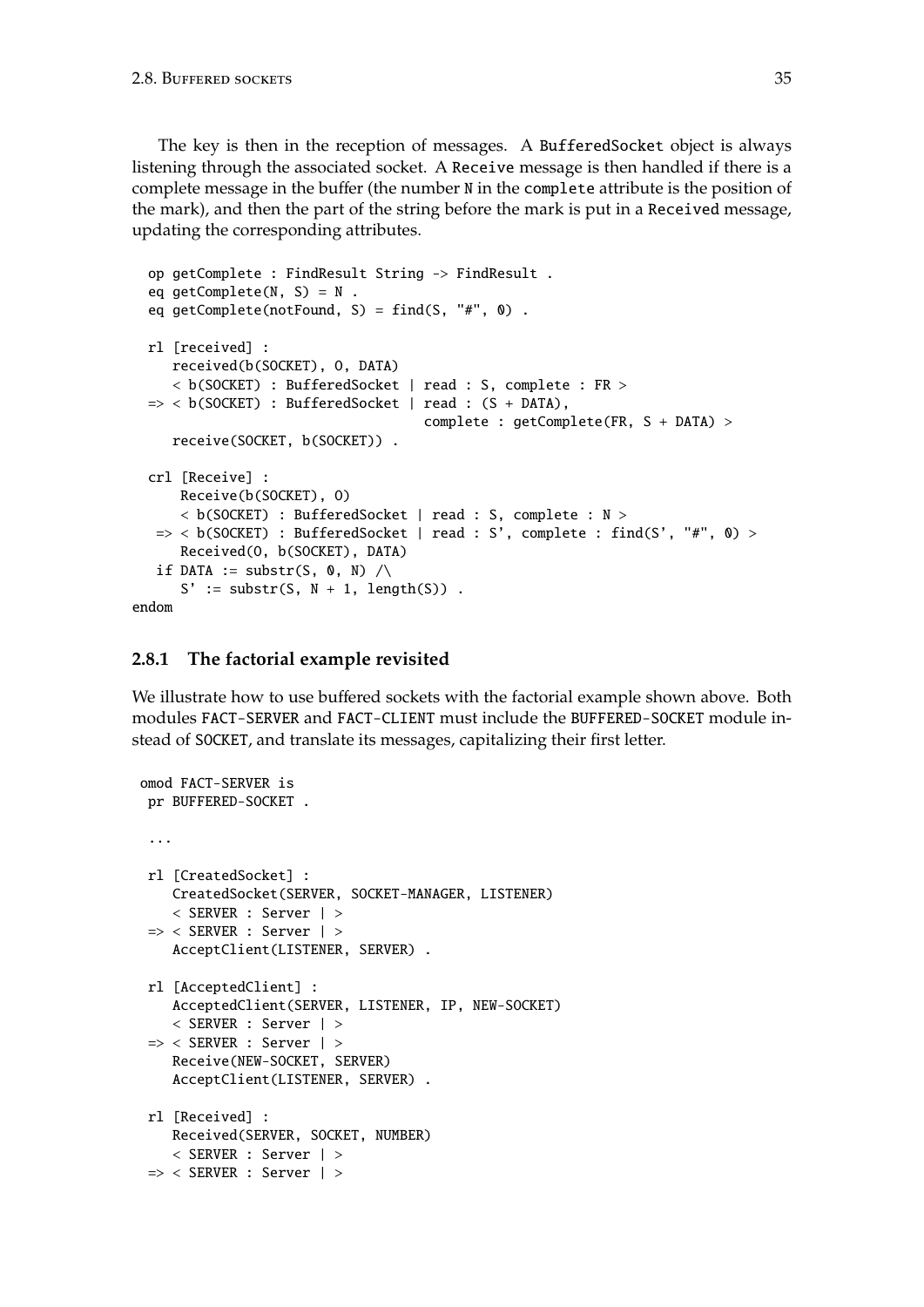The key is then in the reception of messages. A BufferedSocket object is always listening through the associated socket. A Receive message is then handled if there is a complete message in the buffer (the number N in the complete attribute is the position of the mark), and then the part of the string before the mark is put in a Received message, updating the corresponding attributes.

```
op getComplete : FindResult String -> FindResult .
  eq qetComplete(N, S) = N.
 eq getComplete(notFound, S) = find(S, "#", 0).
 rl [received] :
    received(b(SOCKET), O, DATA)
     < b(SOCKET) : BufferedSocket | read : S, complete : FR >
 \Rightarrow < b(SOCKET) : BufferedSocket | read : (S + DATA),
                                      complete : getComplete(FR, S + DATA) >
    receive(SOCKET, b(SOCKET)) .
  crl [Receive] :
      Receive(b(SOCKET), O)
      < b(SOCKET) : BufferedSocket | read : S, complete : N >
  \Rightarrow < b(SOCKET) : BufferedSocket | read : S', complete : find(S', "#", 0) >
      Received(O, b(SOCKET), DATA)
  if DATA := substr(S, \theta, N) \landS' := \text{substr}(S, N + 1, \text{length}(S)).
endom
```
### <span id="page-34-0"></span>**2.8.1 The factorial example revisited**

We illustrate how to use buffered sockets with the factorial example shown above. Both modules FACT-SERVER and FACT-CLIENT must include the BUFFERED-SOCKET module instead of SOCKET, and translate its messages, capitalizing their first letter.

```
omod FACT-SERVER is
 pr BUFFERED-SOCKET .
 ...
 rl [CreatedSocket] :
   CreatedSocket(SERVER, SOCKET-MANAGER, LISTENER)
   < SERVER : Server | >
 => < SERVER : Server | >
    AcceptClient(LISTENER, SERVER) .
 rl [AcceptedClient] :
   AcceptedClient(SERVER, LISTENER, IP, NEW-SOCKET)
    < SERVER : Server | >
 => < SERVER : Server | >
   Receive(NEW-SOCKET, SERVER)
    AcceptClient(LISTENER, SERVER) .
 rl [Received] :
   Received(SERVER, SOCKET, NUMBER)
   < SERVER : Server | >
 => < SERVER : Server | >
```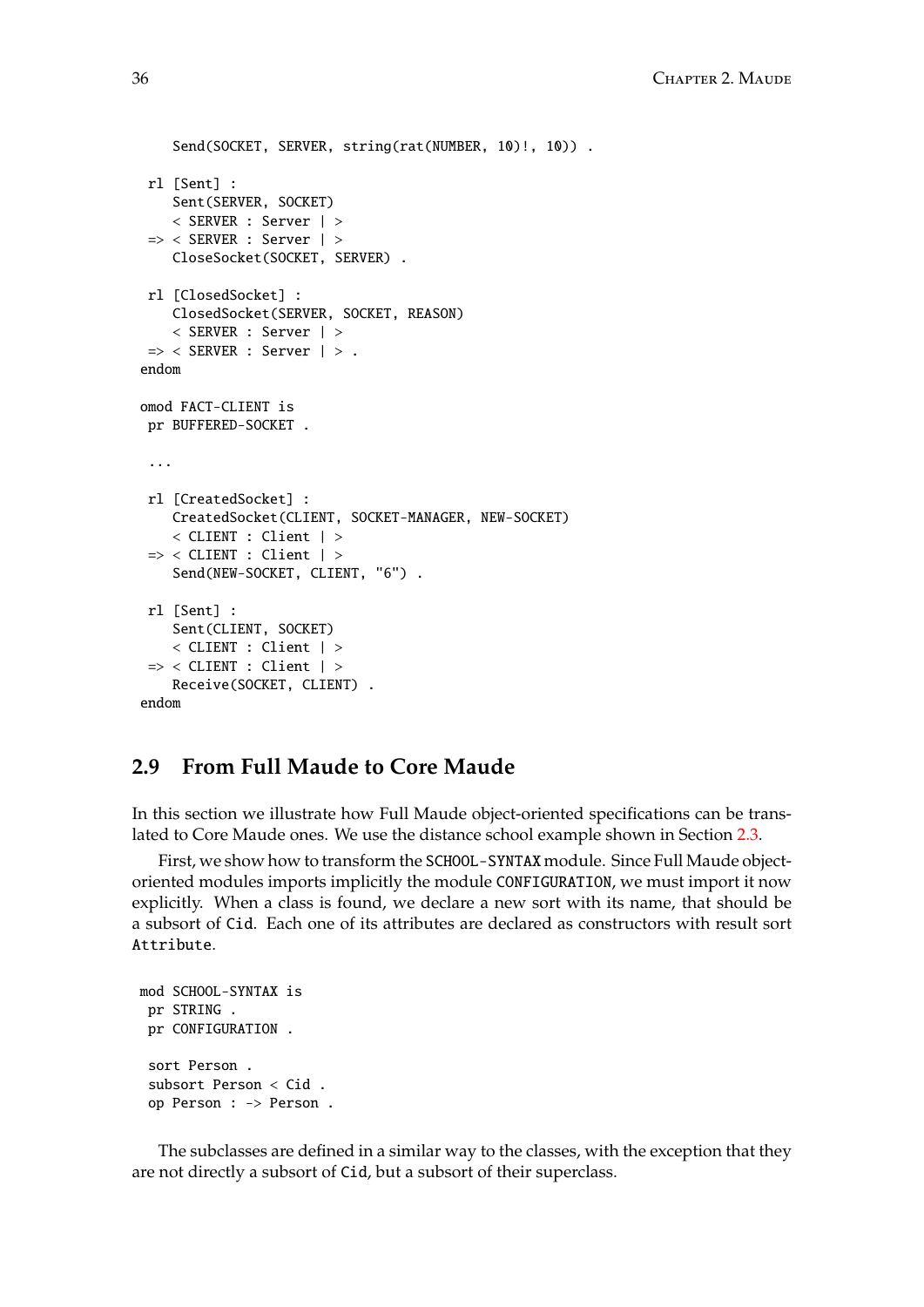```
Send(SOCKET, SERVER, string(rat(NUMBER, 10)!, 10)).
 rl [Sent] :
    Sent(SERVER, SOCKET)
    < SERVER : Server | >
 => < SERVER : Server | >
    CloseSocket(SOCKET, SERVER) .
 rl [ClosedSocket] :
    ClosedSocket(SERVER, SOCKET, REASON)
    < SERVER : Server | >
 \Rightarrow < SERVER : Server \vert > .
endom
omod FACT-CLIENT is
 pr BUFFERED-SOCKET .
 ...
 rl [CreatedSocket] :
    CreatedSocket(CLIENT, SOCKET-MANAGER, NEW-SOCKET)
    < CLIENT : Client | >
 \Rightarrow < CLIENT : Client | >
    Send(NEW-SOCKET, CLIENT, "6") .
 rl [Sent] :
    Sent(CLIENT, SOCKET)
    < CLIENT : Client | >
 \Rightarrow < CLIENT : Client | >
    Receive(SOCKET, CLIENT) .
endom
```
# <span id="page-35-0"></span>**2.9 From Full Maude to Core Maude**

In this section we illustrate how Full Maude object-oriented specifications can be translated to Core Maude ones. We use the distance school example shown in Section [2.3.](#page-18-0)

First, we show how to transform the SCHOOL-SYNTAX module. Since Full Maude objectoriented modules imports implicitly the module CONFIGURATION, we must import it now explicitly. When a class is found, we declare a new sort with its name, that should be a subsort of Cid. Each one of its attributes are declared as constructors with result sort Attribute.

```
mod SCHOOL-SYNTAX is
 pr STRING .
pr CONFIGURATION .
 sort Person .
 subsort Person < Cid .
 op Person : -> Person .
```
The subclasses are defined in a similar way to the classes, with the exception that they are not directly a subsort of Cid, but a subsort of their superclass.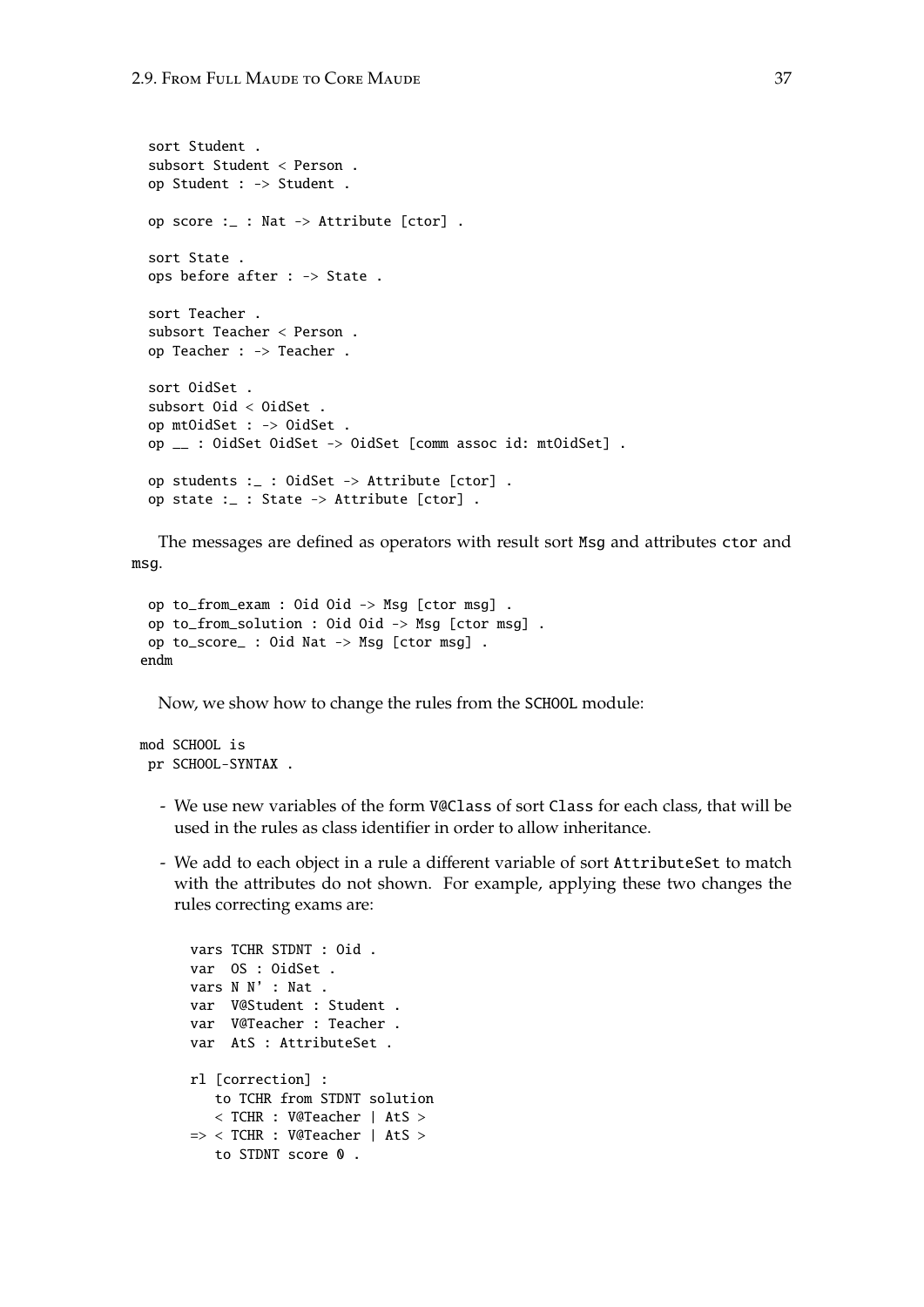```
sort Student .
subsort Student < Person .
op Student : -> Student .
op score :_ : Nat -> Attribute [ctor] .
sort State .
ops before after : -> State .
sort Teacher .
subsort Teacher < Person .
op Teacher : -> Teacher .
sort OidSet .
subsort Oid < OidSet .
op mtOidSet : -> OidSet .
op __ : OidSet OidSet -> OidSet [comm assoc id: mtOidSet] .
op students :_ : OidSet -> Attribute [ctor] .
op state :_ : State -> Attribute [ctor] .
```
The messages are defined as operators with result sort Msg and attributes ctor and msg.

```
op to_from_exam : Oid Oid -> Msg [ctor msg] .
op to_from_solution : Oid Oid -> Msg [ctor msg] .
op to_score_ : Oid Nat -> Msg [ctor msg] .
endm
```
Now, we show how to change the rules from the SCHOOL module:

```
mod SCHOOL is
 pr SCHOOL-SYNTAX .
```
- We use new variables of the form V@Class of sort Class for each class, that will be used in the rules as class identifier in order to allow inheritance.
- We add to each object in a rule a different variable of sort AttributeSet to match with the attributes do not shown. For example, applying these two changes the rules correcting exams are:

```
vars TCHR STDNT : Oid .
var OS : OidSet .
vars N N' : Nat .
var V@Student : Student .
var V@Teacher : Teacher .
var AtS : AttributeSet .
rl [correction] :
   to TCHR from STDNT solution
   < TCHR : V@Teacher | AtS >
=> < TCHR : V@Teacher | AtS >
  to STDNT score 0.
```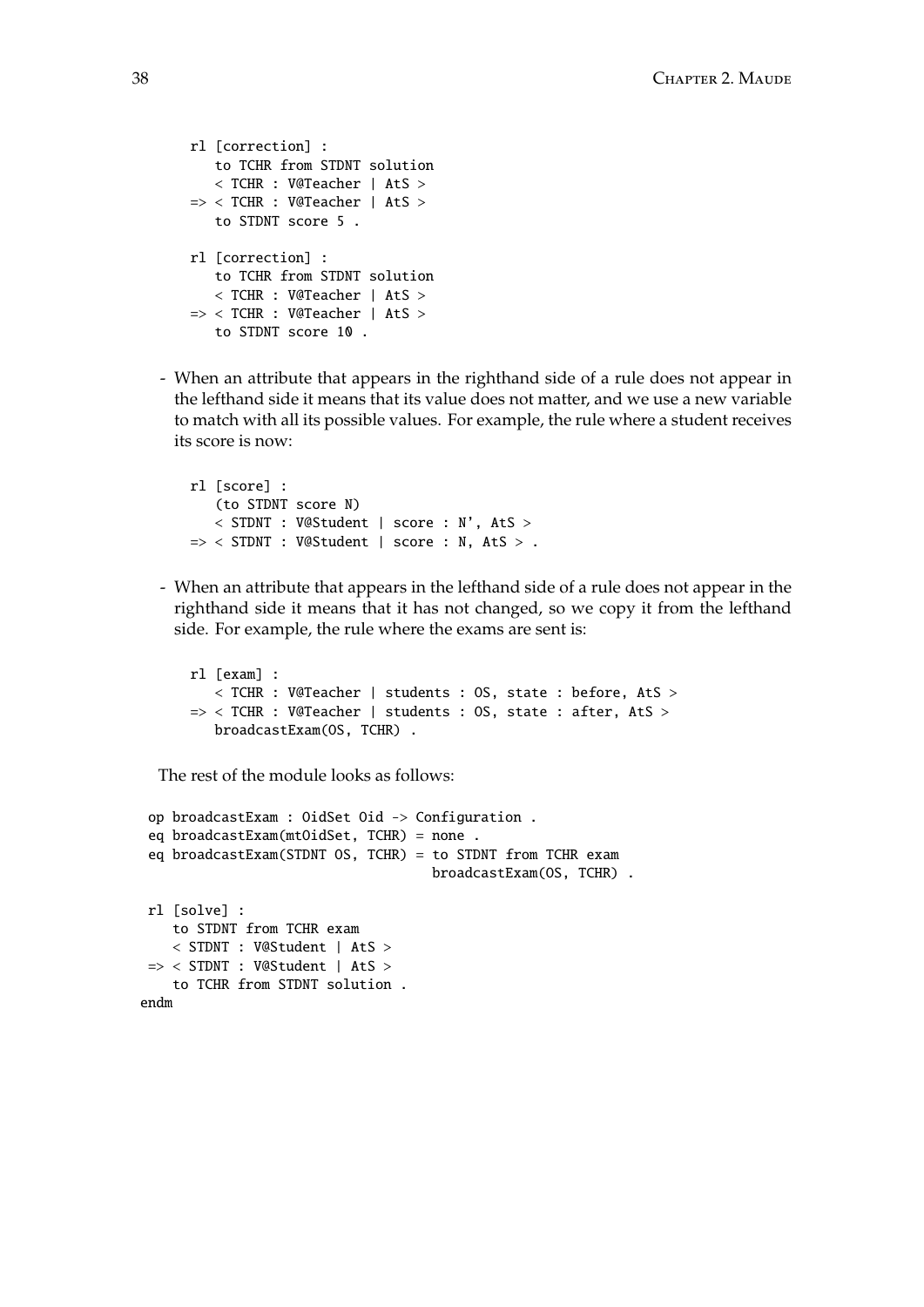```
rl [correction] :
   to TCHR from STDNT solution
   < TCHR : V@Teacher | AtS >
=> < TCHR : V@Teacher | AtS >
   to STDNT score 5 .
rl [correction] :
   to TCHR from STDNT solution
   < TCHR : V@Teacher | AtS >
=> < TCHR : V@Teacher | AtS >
   to STDNT score 10 .
```
- When an attribute that appears in the righthand side of a rule does not appear in the lefthand side it means that its value does not matter, and we use a new variable to match with all its possible values. For example, the rule where a student receives its score is now:

```
rl [score] :
   (to STDNT score N)
   < STDNT : V@Student | score : N', AtS >
\Rightarrow < STDNT : V@Student | score : N, AtS > .
```
- When an attribute that appears in the lefthand side of a rule does not appear in the righthand side it means that it has not changed, so we copy it from the lefthand side. For example, the rule where the exams are sent is:

```
rl [exam] :
  < TCHR : V@Teacher | students : OS, state : before, AtS >
=> < TCHR : V@Teacher | students : OS, state : after, AtS >
  broadcastExam(OS, TCHR) .
```
The rest of the module looks as follows:

```
op broadcastExam : OidSet Oid -> Configuration .
 eq broadcastExam(mtOidSet, TCHR) = none .
 eq broadcastExam(STDNT OS, TCHR) = to STDNT from TCHR exam
                                    broadcastExam(OS, TCHR) .
rl [solve] :
   to STDNT from TCHR exam
   < STDNT : V@Student | AtS >
 => < STDNT : V@Student | AtS >
   to TCHR from STDNT solution .
endm
```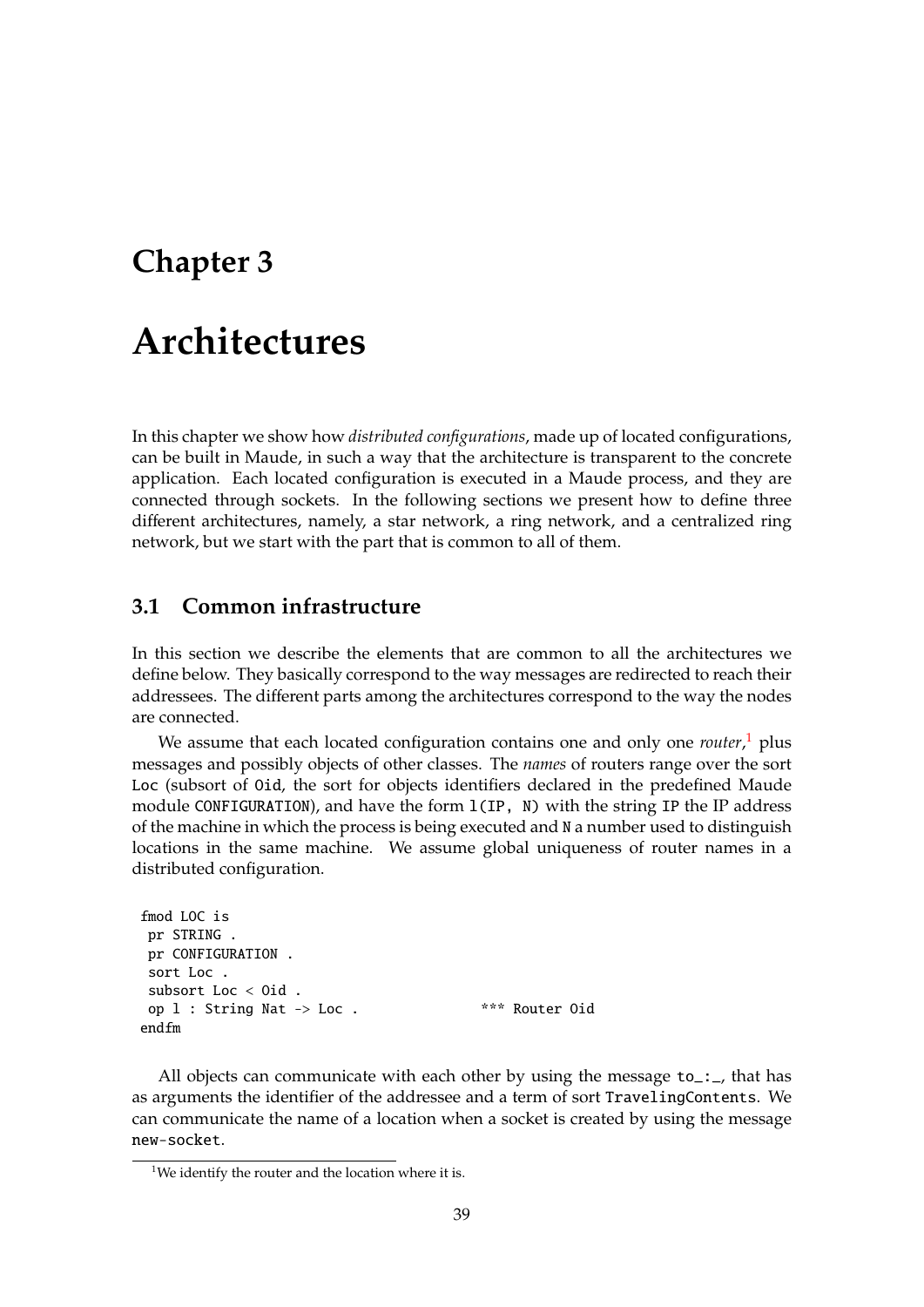## **Chapter 3**

# **Architectures**

In this chapter we show how *distributed configurations*, made up of located configurations, can be built in Maude, in such a way that the architecture is transparent to the concrete application. Each located configuration is executed in a Maude process, and they are connected through sockets. In the following sections we present how to define three different architectures, namely, a star network, a ring network, and a centralized ring network, but we start with the part that is common to all of them.

## <span id="page-38-1"></span>**3.1 Common infrastructure**

In this section we describe the elements that are common to all the architectures we define below. They basically correspond to the way messages are redirected to reach their addressees. The different parts among the architectures correspond to the way the nodes are connected.

We assume that each located configuration contains one and only one *router*, [1](#page-38-0) plus messages and possibly objects of other classes. The *names* of routers range over the sort Loc (subsort of Oid, the sort for objects identifiers declared in the predefined Maude module CONFIGURATION), and have the form l(IP, N) with the string IP the IP address of the machine in which the process is being executed and N a number used to distinguish locations in the same machine. We assume global uniqueness of router names in a distributed configuration.

```
fmod LOC is
pr STRING .
pr CONFIGURATION .
sort Loc .
subsort Loc < Oid .
op l : String Nat -> Loc . *** Router Oid
endfm
```
All objects can communicate with each other by using the message  $to$ :  $\ldots$ , that has as arguments the identifier of the addressee and a term of sort TravelingContents. We can communicate the name of a location when a socket is created by using the message new-socket.

<span id="page-38-0"></span><sup>&</sup>lt;sup>1</sup>We identify the router and the location where it is.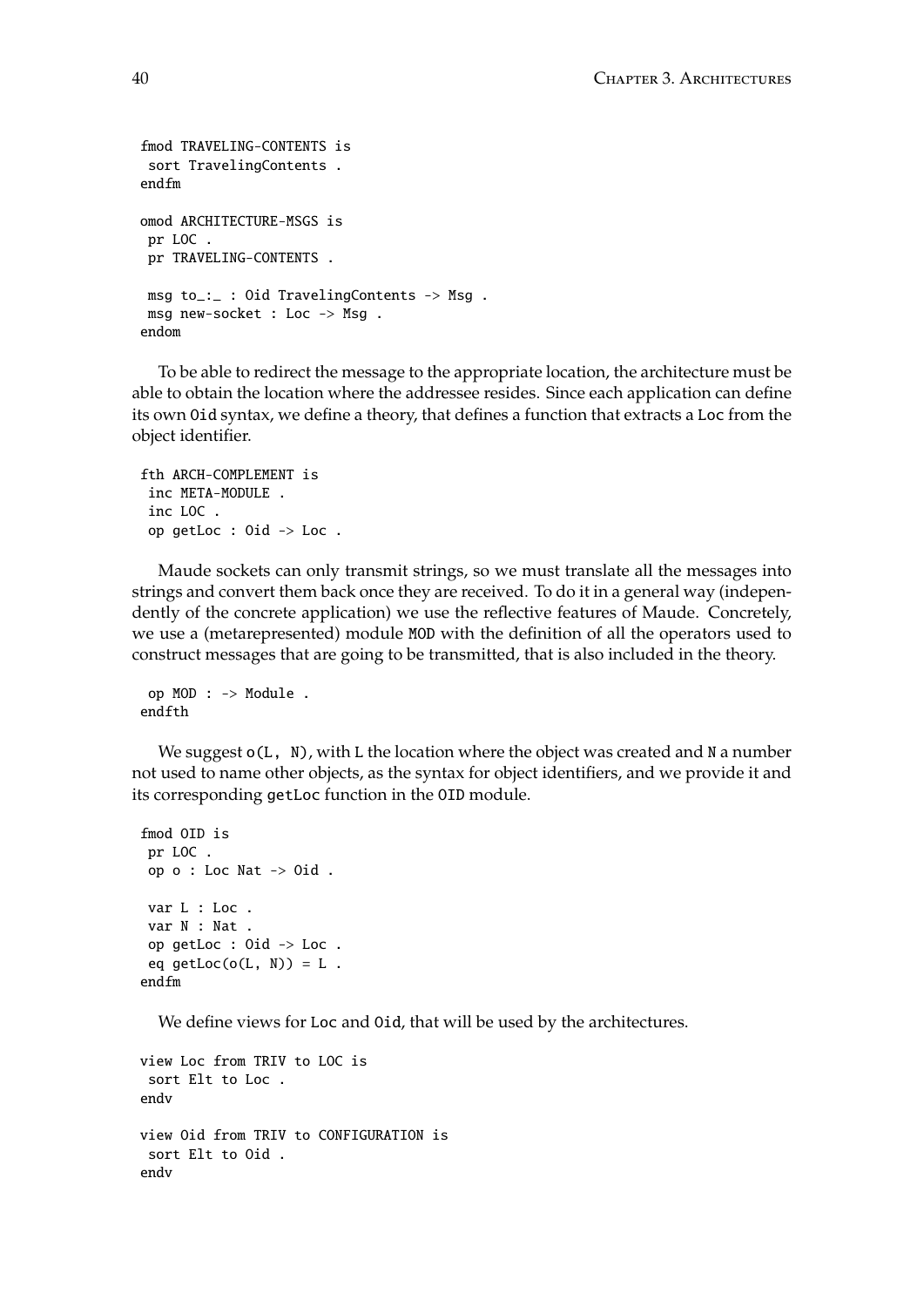```
fmod TRAVELING-CONTENTS is
 sort TravelingContents .
endfm
omod ARCHITECTURE-MSGS is
pr LOC .
pr TRAVELING-CONTENTS .
msg to_:_ : Oid TravelingContents -> Msg .
msg new-socket : Loc -> Msg .
endom
```
To be able to redirect the message to the appropriate location, the architecture must be able to obtain the location where the addressee resides. Since each application can define its own Oid syntax, we define a theory, that defines a function that extracts a Loc from the object identifier.

```
fth ARCH-COMPLEMENT is
inc META-MODULE .
inc LOC .
op getLoc : Oid -> Loc .
```
Maude sockets can only transmit strings, so we must translate all the messages into strings and convert them back once they are received. To do it in a general way (independently of the concrete application) we use the reflective features of Maude. Concretely, we use a (metarepresented) module MOD with the definition of all the operators used to construct messages that are going to be transmitted, that is also included in the theory.

```
op MOD : -> Module .
endfth
```
We suggest  $o(L, N)$ , with L the location where the object was created and N a number not used to name other objects, as the syntax for object identifiers, and we provide it and its corresponding getLoc function in the OID module.

```
fmod OID is
pr LOC .
op o : Loc Nat -> Oid .
var L : Loc .
var N : Nat .
op getLoc : Oid -> Loc .
eq getLoc(o(L, N)) = L.
endfm
```
We define views for Loc and Oid, that will be used by the architectures.

```
view Loc from TRIV to LOC is
 sort Elt to Loc .
endv
view Oid from TRIV to CONFIGURATION is
 sort Elt to Oid .
endv
```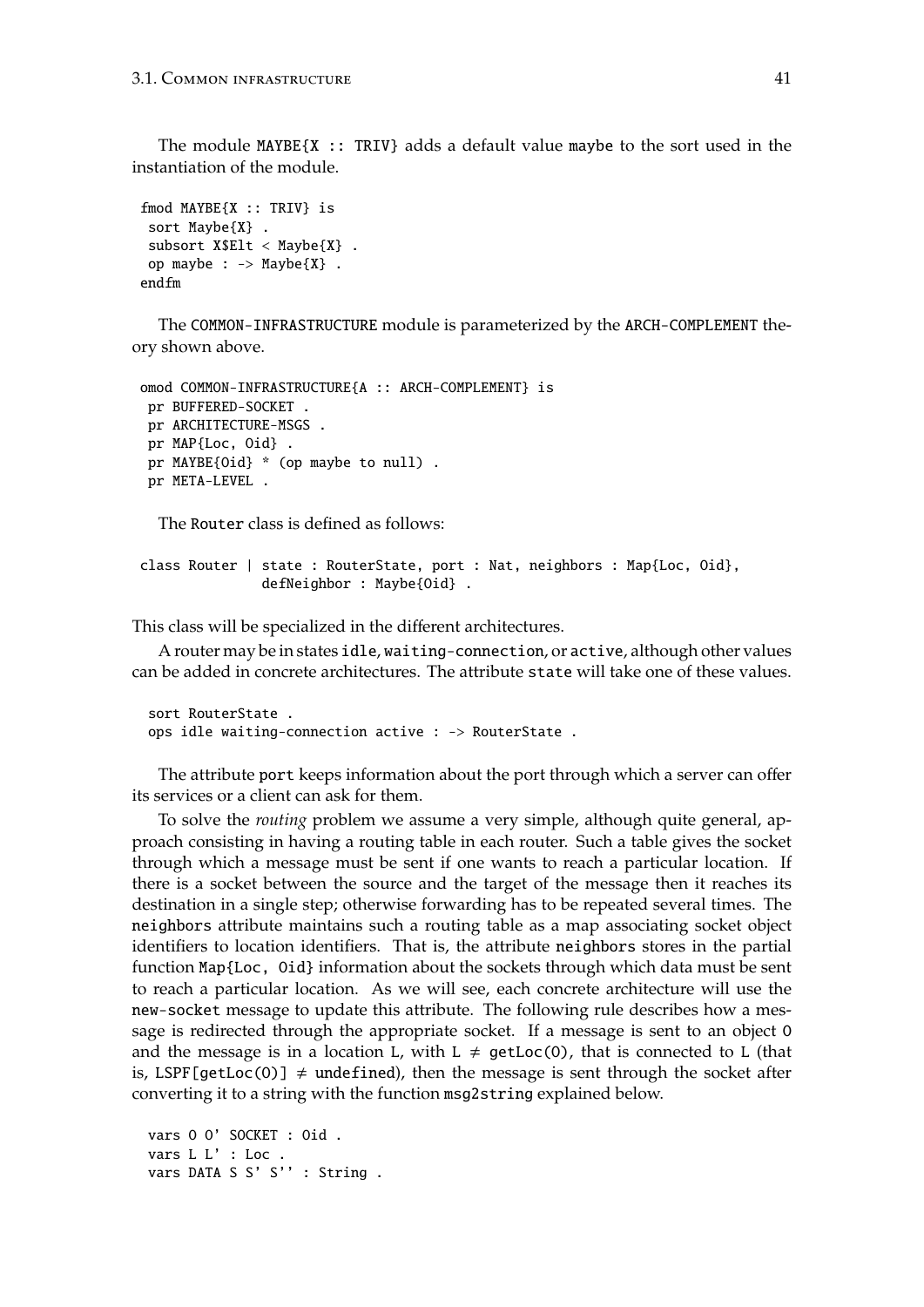The module  $MAYBE{X :: TRIV}$  adds a default value maybe to the sort used in the instantiation of the module.

```
fmod MAYBE{X :: TRIV} is
sort Maybe{X} .
subsort X$Elt < Maybe{X} .
op maybe : \rightarrow Maybe\{X\}.
endfm
```
The COMMON-INFRASTRUCTURE module is parameterized by the ARCH-COMPLEMENT theory shown above.

```
omod COMMON-INFRASTRUCTURE{A :: ARCH-COMPLEMENT} is
 pr BUFFERED-SOCKET .
 pr ARCHITECTURE-MSGS .
 pr MAP{Loc, Oid} .
 pr MAYBE{Oid} * (op maybe to null) .
 pr META-LEVEL .
```
The Router class is defined as follows:

```
class Router | state : RouterState, port : Nat, neighbors : Map{Loc, Oid},
               defNeighbor : Maybe{Oid} .
```
This class will be specialized in the different architectures.

A router may be in states idle, waiting-connection, or active, although other values can be added in concrete architectures. The attribute state will take one of these values.

sort RouterState . ops idle waiting-connection active : -> RouterState .

The attribute port keeps information about the port through which a server can offer its services or a client can ask for them.

To solve the *routing* problem we assume a very simple, although quite general, approach consisting in having a routing table in each router. Such a table gives the socket through which a message must be sent if one wants to reach a particular location. If there is a socket between the source and the target of the message then it reaches its destination in a single step; otherwise forwarding has to be repeated several times. The neighbors attribute maintains such a routing table as a map associating socket object identifiers to location identifiers. That is, the attribute neighbors stores in the partial function Map{Loc, Oid} information about the sockets through which data must be sent to reach a particular location. As we will see, each concrete architecture will use the new-socket message to update this attribute. The following rule describes how a message is redirected through the appropriate socket. If a message is sent to an object O and the message is in a location L, with  $L \neq$  getLoc(0), that is connected to L (that is, LSPF[getLoc(0)]  $\neq$  undefined), then the message is sent through the socket after converting it to a string with the function msg2string explained below.

vars O O' SOCKET : Oid . vars L L' : Loc . vars DATA S S' S'' : String .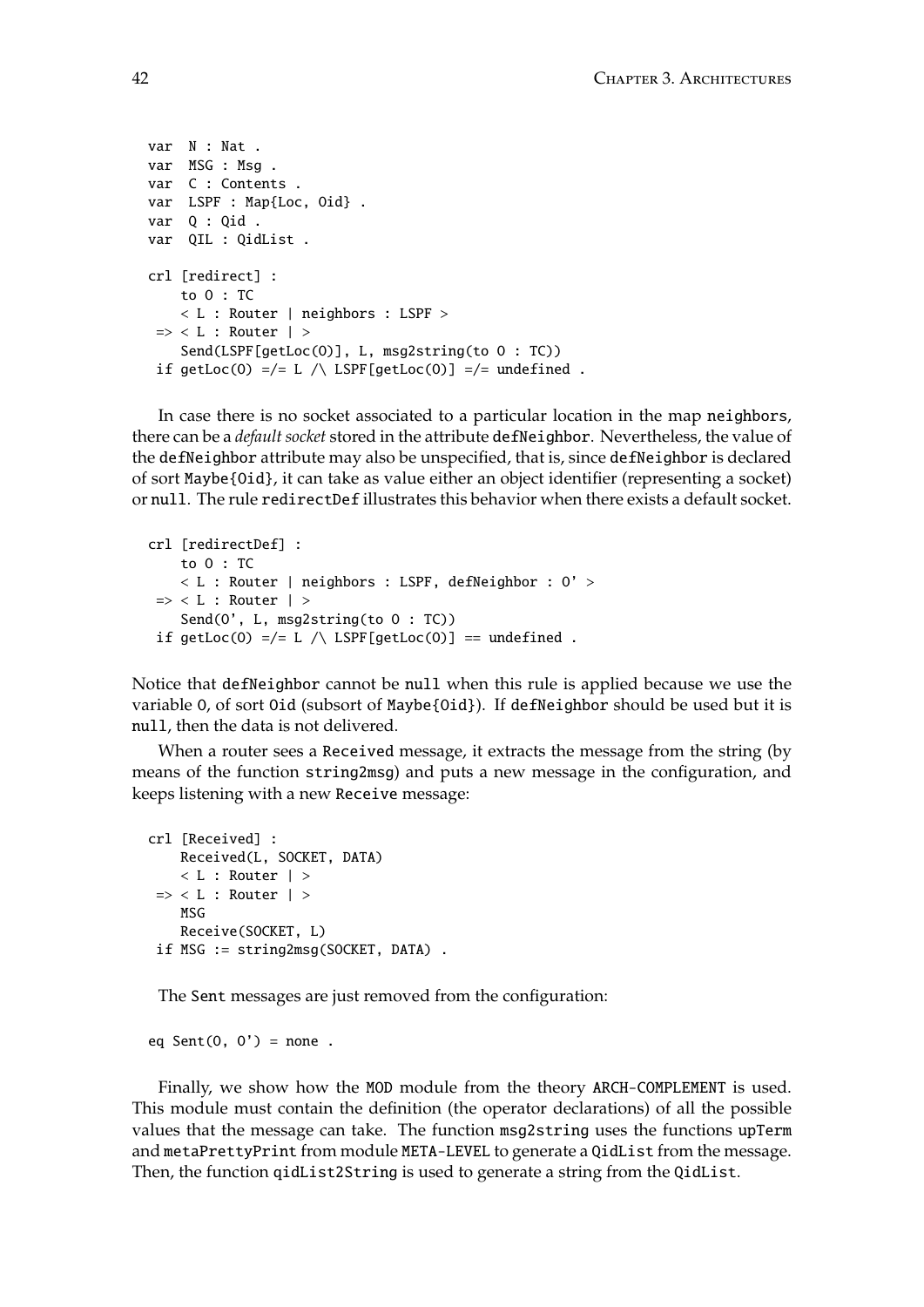```
var N : Nat .
var MSG : Msg .
var C : Contents .
var LSPF : Map{Loc, Oid} .
var Q : Qid .
var QIL : QidList .
crl [redirect] :
    to O : TC
    < L : Router | neighbors : LSPF >
\Rightarrow < L : Router | >
    Send(LSPF[getLoc(O)], L, msg2string(to O : TC))
 if getLoc(0) =/= L /\ LSPF[getLoc(0)] =/= undefined .
```
In case there is no socket associated to a particular location in the map neighbors, there can be a *default socket* stored in the attribute defNeighbor. Nevertheless, the value of the defNeighbor attribute may also be unspecified, that is, since defNeighbor is declared of sort Maybe{Oid}, it can take as value either an object identifier (representing a socket) or null. The rule redirectDef illustrates this behavior when there exists a default socket.

```
crl [redirectDef] :
   to O : TC
   < L : Router | neighbors : LSPF, defNeighbor : O' >
\Rightarrow < L : Router | >
    Send(O', L, msg2string(to O : TC))
if getLoc(0) =/= L /\ LSPF[getLoc(0)] == undefined .
```
Notice that defNeighbor cannot be null when this rule is applied because we use the variable O, of sort Oid (subsort of Maybe{Oid}). If defNeighbor should be used but it is null, then the data is not delivered.

When a router sees a Received message, it extracts the message from the string (by means of the function string2msg) and puts a new message in the configuration, and keeps listening with a new Receive message:

```
crl [Received] :
    Received(L, SOCKET, DATA)
    \langle L : Router | >\Rightarrow < L : Router | >
    MSG
    Receive(SOCKET, L)
if MSG := string2msg(SOCKET, DATA) .
```
The Sent messages are just removed from the configuration:

eq Sent $(0, 0')$  = none.

Finally, we show how the MOD module from the theory ARCH-COMPLEMENT is used. This module must contain the definition (the operator declarations) of all the possible values that the message can take. The function msg2string uses the functions upTerm and metaPrettyPrint from module META-LEVEL to generate a QidList from the message. Then, the function qidList2String is used to generate a string from the QidList.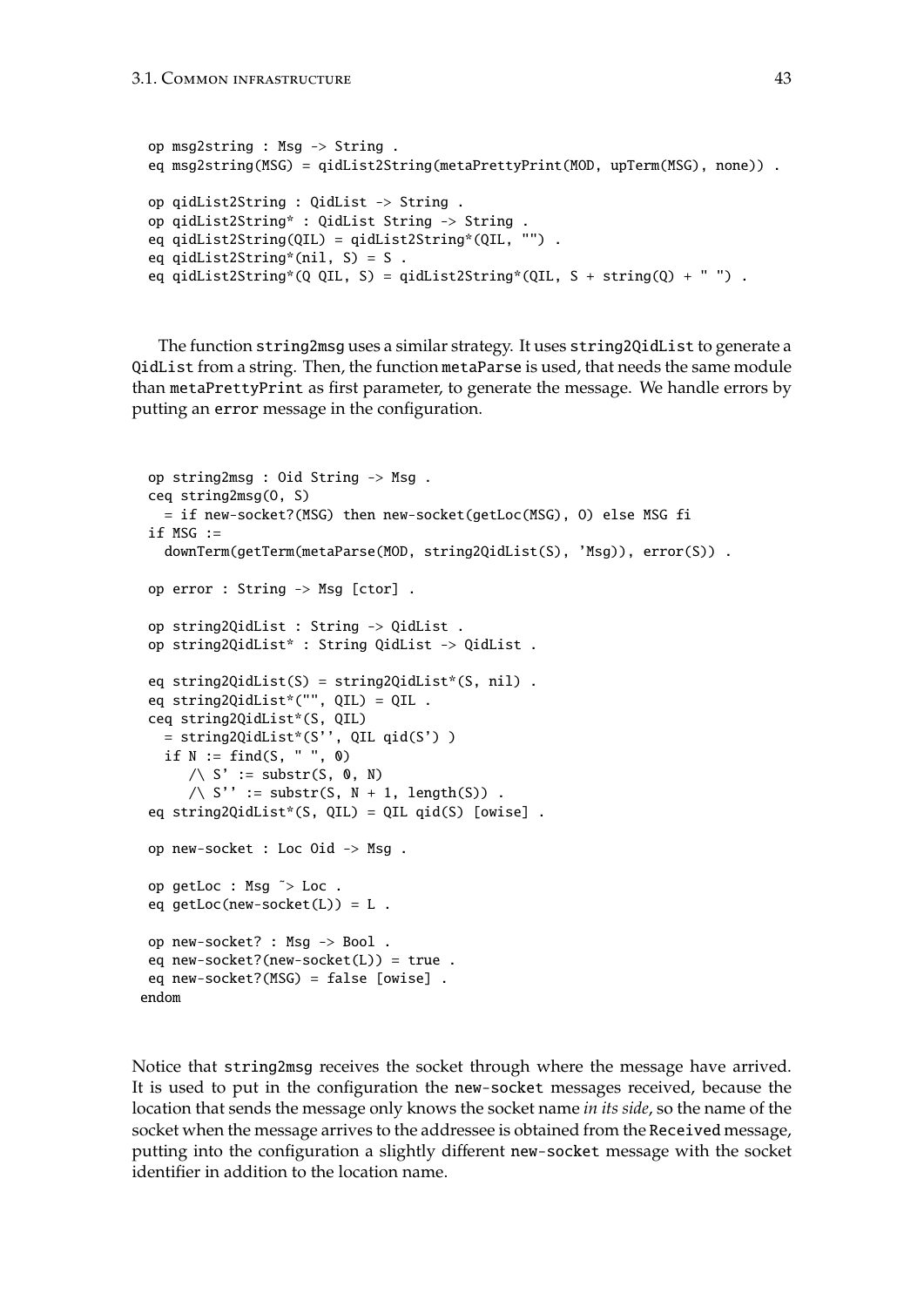```
op msg2string : Msg -> String .
eq msg2string(MSG) = qidList2String(metaPrettyPrint(MOD, upTerm(MSG), none)) .
op qidList2String : QidList -> String .
op qidList2String* : QidList String -> String .
eq qidList2String(QIL) = qidList2String*(QIL, "") .
eq qidList2String*(nil, S) = S .
eq qidList2String*(Q QIL, S) = qidList2String*(QIL, S + string(Q) + " ").
```
The function string2msg uses a similar strategy. It uses string2QidList to generate a QidList from a string. Then, the function metaParse is used, that needs the same module than metaPrettyPrint as first parameter, to generate the message. We handle errors by putting an error message in the configuration.

```
op string2msg : Oid String -> Msg .
 ceq string2msg(O, S)
  = if new-socket?(MSG) then new-socket(getLoc(MSG), O) else MSG fi
 if MSG :=downTerm(getTerm(metaParse(MOD, string2QidList(S), 'Msg)), error(S)) .
op error : String -> Msg [ctor] .
 op string2QidList : String -> QidList .
 op string2QidList* : String QidList -> QidList .
 eq string2QidList(S) = string2QidList*(S, nil) .
 eq string2QidList*("", QIL) = QIL .
 ceq string2QidList*(S, QIL)
  = string2QidList*(S'', QIL qid(S') )
  if N := \text{find}(S, " " " , 0)\land S' := substr(S, 0, N)
      \land S'' := substr(S, N + 1, length(S)).
 eq string2QidList*(S, QIL) = QIL qid(S) [owise] .
 op new-socket : Loc Oid -> Msg .
op getLoc : Msg ˜> Loc .
 eq getLoc(new-socket(L)) = L .
op new-socket? : Msg -> Bool .
eq new-socket?(new-socket(L)) = true .
 eq new-socket?(MSG) = false [owise] .
endom
```
Notice that string2msg receives the socket through where the message have arrived. It is used to put in the configuration the new-socket messages received, because the location that sends the message only knows the socket name *in its side*, so the name of the socket when the message arrives to the addressee is obtained from the Received message, putting into the configuration a slightly different new-socket message with the socket identifier in addition to the location name.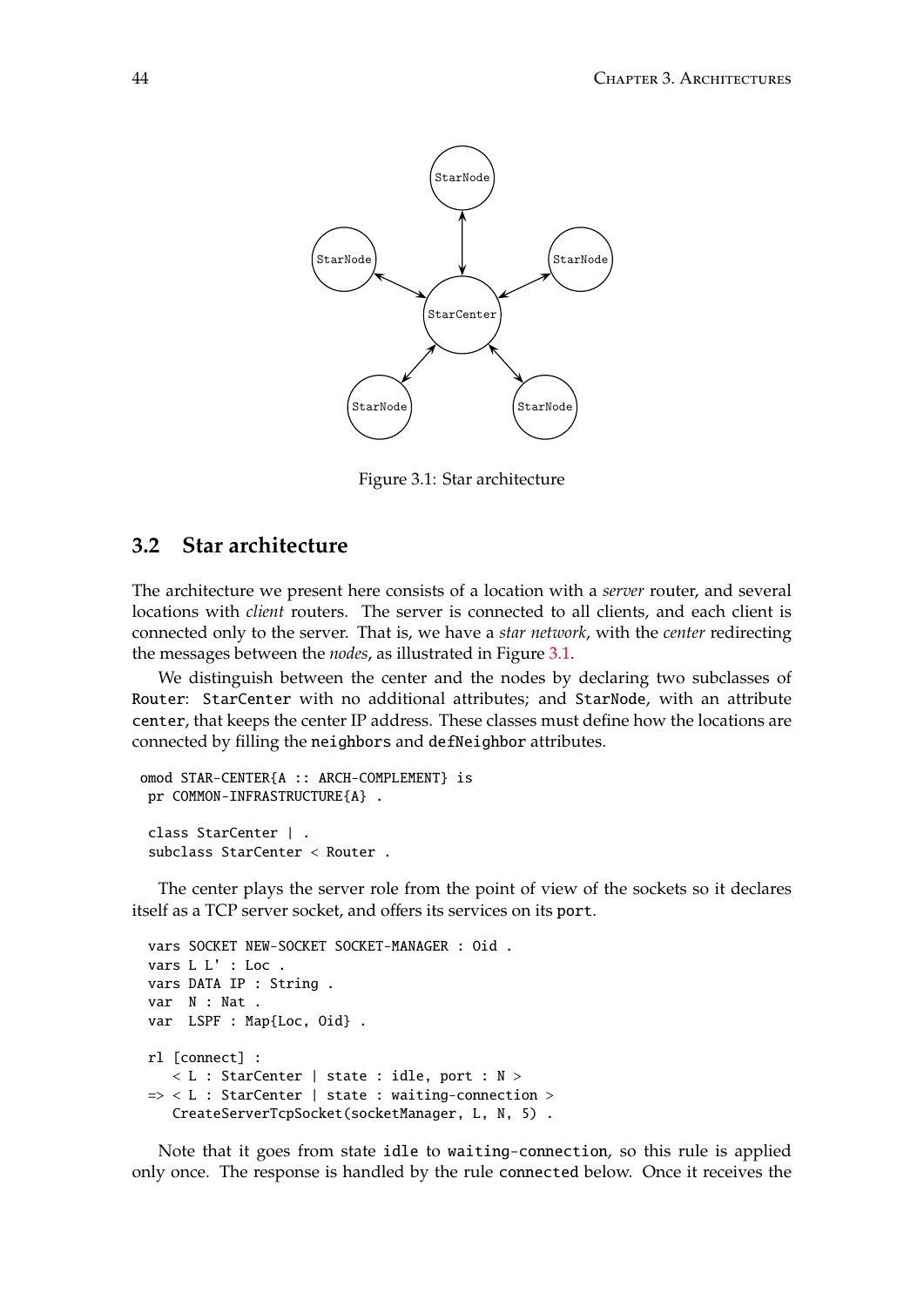

<span id="page-43-0"></span>Figure 3.1: Star architecture

### <span id="page-43-1"></span>**3.2 Star architecture**

connected only to the server. That is, we have a *star network*, with the *center* redirecting The architecture we present here consists of a location with a *server* router, and several locations with *client* routers. The server is connected to all clients, and each client is the messages between the *nodes*, as illustrated in Figure [3.1.](#page-43-0)

center, that keeps the center IP address. These classes must define how the locations are We distinguish between the center and the nodes by declaring two subclasses of Router: StarCenter with no additional attributes; and StarNode, with an attribute connected by filling the neighbors and defNeighbor attributes.

```
omod STAR-CENTER{A :: ARCH-COMPLEMENT} is
 pr COMMON-INFRASTRUCTURE{A} .
 class StarCenter | .
 subclass StarCenter < Router .
```
The center plays the server role from the point of view of the sockets so it declares itself as a TCP server socket, and offers its services on its port.

```
1
vars SOCKET NEW-SOCKET SOCKET-MANAGER : Oid .
vars L L' : Loc .
vars DATA IP : String .
var N : Nat .
var LSPF : Map{Loc, Oid} .
rl [connect] :
  < L : StarCenter | state : idle, port : N >
=> < L : StarCenter | state : waiting-connection >
   CreateServerTcpSocket(socketManager, L, N, 5) .
```
Note that it goes from state idle to waiting-connection, so this rule is applied only once. The response is handled by the rule connected below. Once it receives the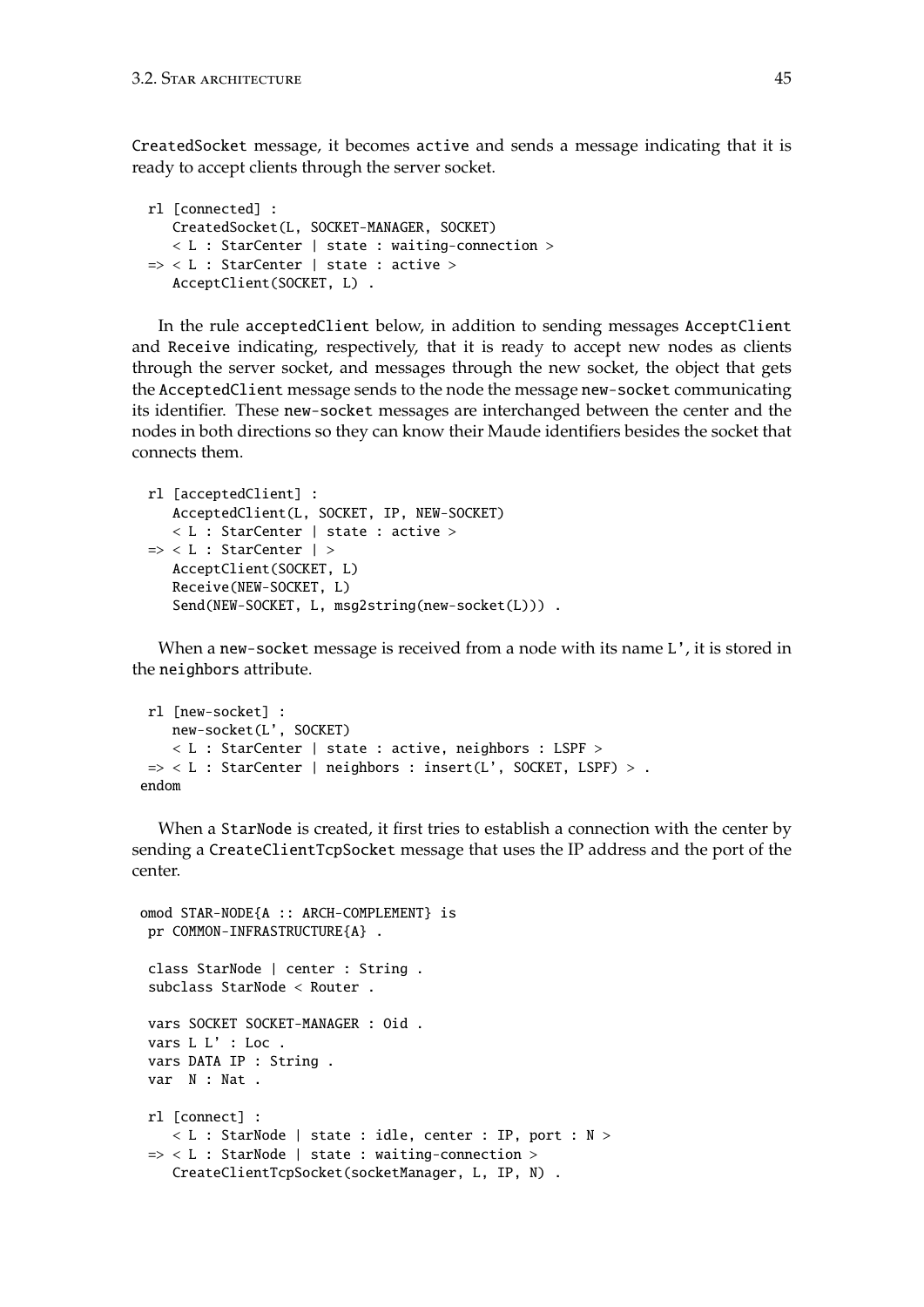CreatedSocket message, it becomes active and sends a message indicating that it is ready to accept clients through the server socket.

```
rl [connected] :
  CreatedSocket(L, SOCKET-MANAGER, SOCKET)
   < L : StarCenter | state : waiting-connection >
\Rightarrow < L : StarCenter | state : active >
  AcceptClient(SOCKET, L) .
```
In the rule acceptedClient below, in addition to sending messages AcceptClient and Receive indicating, respectively, that it is ready to accept new nodes as clients through the server socket, and messages through the new socket, the object that gets the AcceptedClient message sends to the node the message new-socket communicating its identifier. These new-socket messages are interchanged between the center and the nodes in both directions so they can know their Maude identifiers besides the socket that connects them.

```
rl [acceptedClient] :
   AcceptedClient(L, SOCKET, IP, NEW-SOCKET)
   < L : StarCenter | state : active >
=> < L : StarCenter | >
   AcceptClient(SOCKET, L)
   Receive(NEW-SOCKET, L)
   Send(NEW-SOCKET, L, msg2string(new-socket(L))) .
```
When a new-socket message is received from a node with its name L', it is stored in the neighbors attribute.

```
rl [new-socket] :
   new-socket(L', SOCKET)
    < L : StarCenter | state : active, neighbors : LSPF >
\Rightarrow < L : StarCenter | neighbors : insert(L', SOCKET, LSPF) > .
endom
```
When a StarNode is created, it first tries to establish a connection with the center by sending a CreateClientTcpSocket message that uses the IP address and the port of the center.

```
omod STAR-NODE{A :: ARCH-COMPLEMENT} is
 pr COMMON-INFRASTRUCTURE{A} .
 class StarNode | center : String .
 subclass StarNode < Router .
 vars SOCKET SOCKET-MANAGER : Oid .
 vars L L' : Loc.
 vars DATA IP : String .
 var N : Nat .
 rl [connect] :
    < L : StarNode | state : idle, center : IP, port : N >
 \Rightarrow < L : StarNode | state : waiting-connection >
    CreateClientTcpSocket(socketManager, L, IP, N) .
```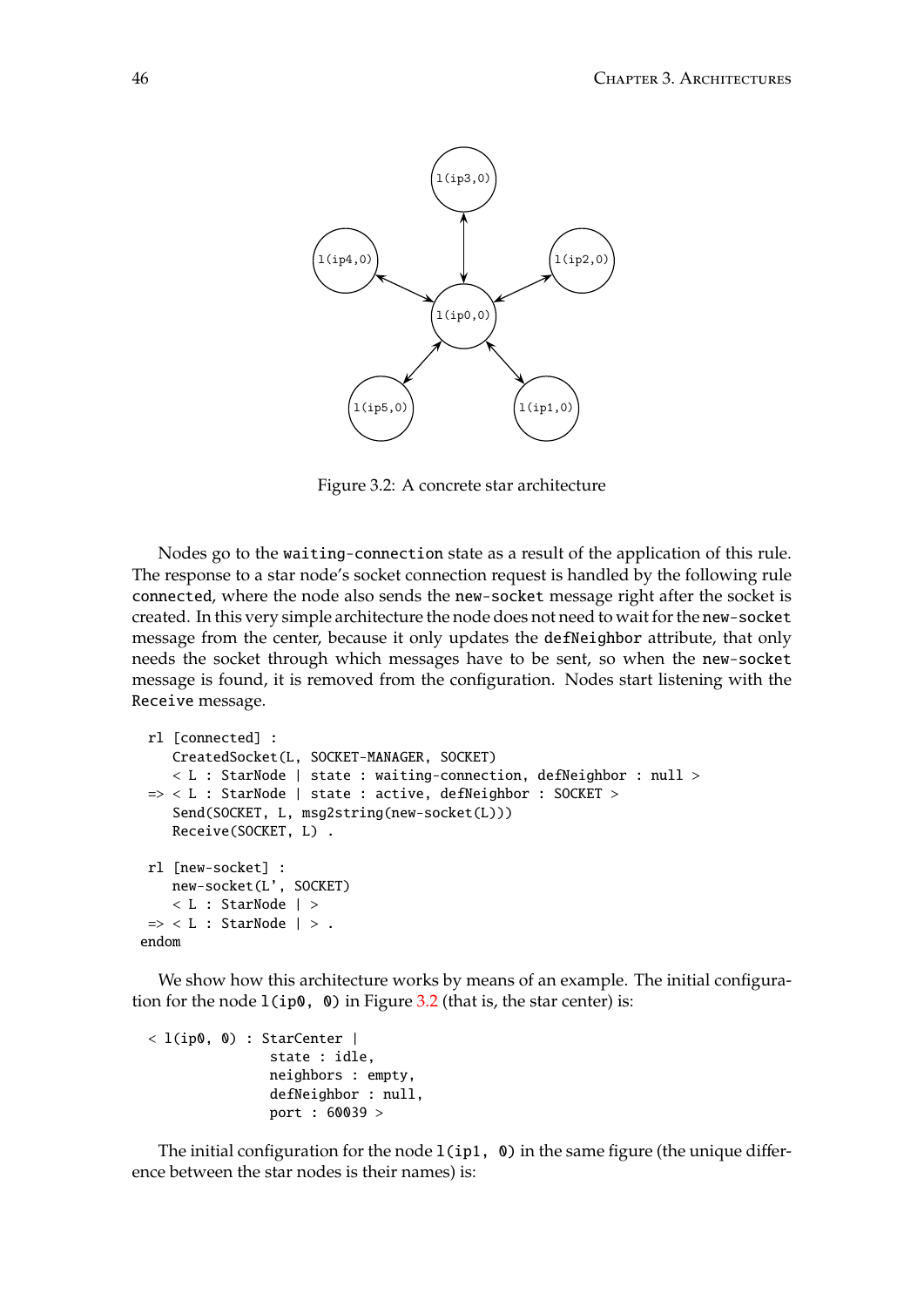

<span id="page-45-0"></span>Figure 3.2: A concrete star architecture

connected, where the node also sends the new-socket message right after the socket is message from the center, because it only updates the defNeighbor attribute, that only Nodes go to the waiting-connection state as a result of the application of this rule. The response to a star node's socket connection request is handled by the following rule created. In this very simple architecture the node does not need to wait for the new-socket needs the socket through which messages have to be sent, so when the new-socket message is found, it is removed from the configuration. Nodes start listening with the Receive message.

```
rl [connected] :
    CreatedSocket(L, SOCKET-MANAGER, SOCKET)
    < L : StarNode | state : waiting-connection, defNeighbor : null >
 \Rightarrow < L : StarNode | state : active, defNeighbor : SOCKET >
    Send(SOCKET, L, msg2string(new-socket(L)))
    Receive(SOCKET, L) .
rl [new-socket] :
   new-socket(L', SOCKET)
    < L : StarNode | >
 \Rightarrow < L : StarNode | > .
endom
```
We show how this architecture works by means of an example. The initial configuration for the node  $1$ (ip0, 0) in Figure [3.2](#page-45-0) (that is, the star center) is:

```
< l(ip0, 0) : StarCenter |
               state : idle,
               neighbors : empty,
               defNeighbor : null,
               port : 60039 >
```
The initial configuration for the node  $l$ (ip1, 0) in the same figure (the unique difference between the star nodes is their names) is: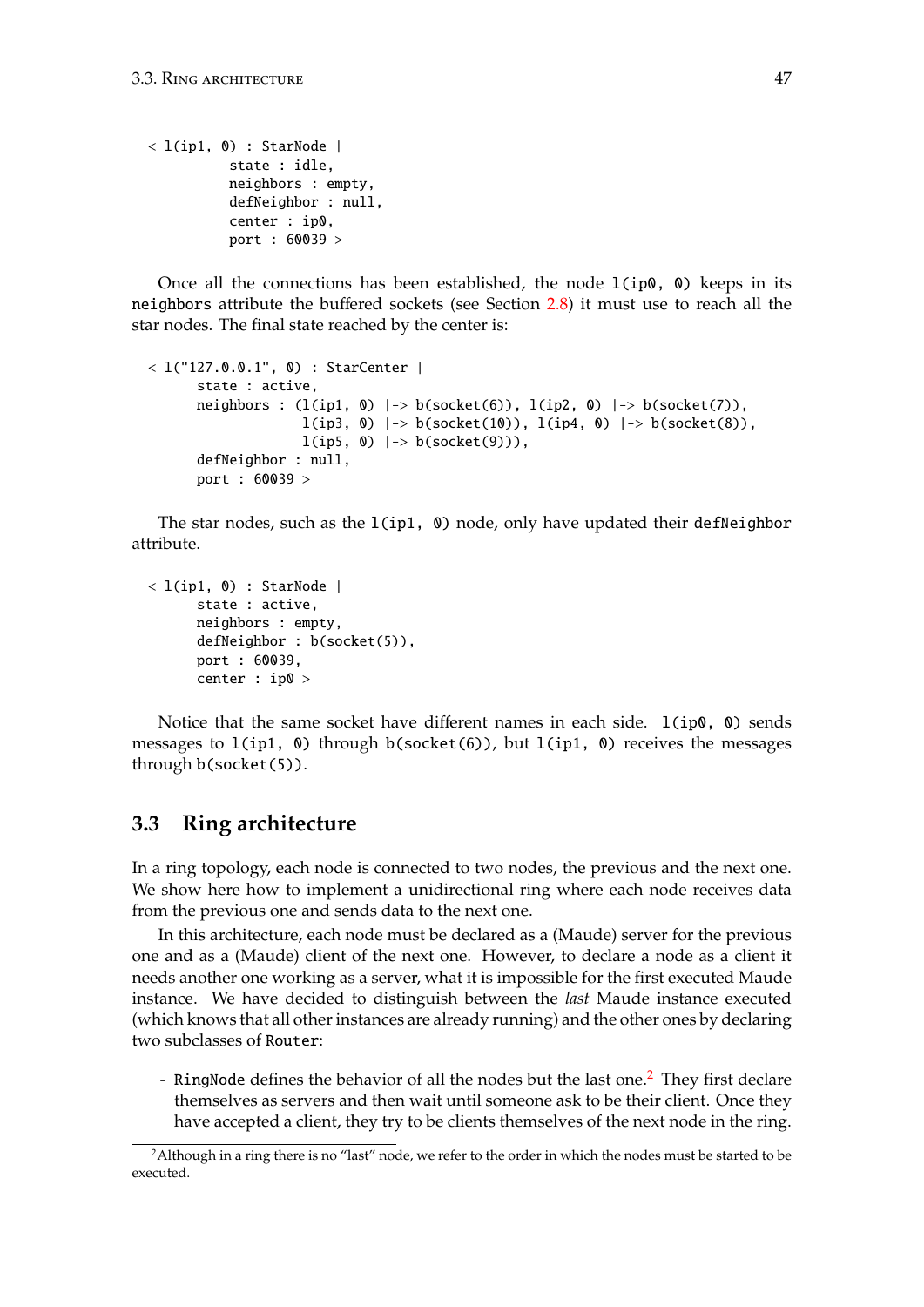```
\langle l(ip1, 0) : StarNode |
          state : idle,
          neighbors : empty,
          defNeighbor : null,
          center : ip0,
          port : 60039 >
```
Once all the connections has been established, the node  $1$ (ip0, 0) keeps in its neighbors attribute the buffered sockets (see Section [2.8\)](#page-31-0) it must use to reach all the star nodes. The final state reached by the center is:

```
< l("127.0.0.1", 0) : StarCenter |
      state : active,
      neighbors : (l(ip1, 0) |-> b(socket(6)), l(ip2, 0) |-> b(socket(7)),
                     l(ip3, 0) \rightarrow b(socket(10)), l(ip4, 0) \rightarrow b(socket(8)),
                     l(ip5, 0) \rightarrow b(socket(9))),
      defNeighbor : null,
      port : 60039 >
```
The star nodes, such as the  $l$ (ip1, 0) node, only have updated their defNeighbor attribute.

```
< l(ip1, 0) : StarNode |
     state : active,
     neighbors : empty,
     defNeighbor : b(socket(5)),
     port : 60039,
      center : ip0 >
```
Notice that the same socket have different names in each side.  $1(ip0, 0)$  sends messages to  $l$ (ip1, 0) through b(socket(6)), but  $l$ (ip1, 0) receives the messages through b(socket(5)).

## <span id="page-46-1"></span>**3.3 Ring architecture**

In a ring topology, each node is connected to two nodes, the previous and the next one. We show here how to implement a unidirectional ring where each node receives data from the previous one and sends data to the next one.

In this architecture, each node must be declared as a (Maude) server for the previous one and as a (Maude) client of the next one. However, to declare a node as a client it needs another one working as a server, what it is impossible for the first executed Maude instance. We have decided to distinguish between the *last* Maude instance executed (which knows that all other instances are already running) and the other ones by declaring two subclasses of Router:

- RingNode defines the behavior of all the nodes but the last one.<sup>[2](#page-46-0)</sup> They first declare themselves as servers and then wait until someone ask to be their client. Once they have accepted a client, they try to be clients themselves of the next node in the ring.

<span id="page-46-0"></span><sup>&</sup>lt;sup>2</sup>Although in a ring there is no "last" node, we refer to the order in which the nodes must be started to be executed.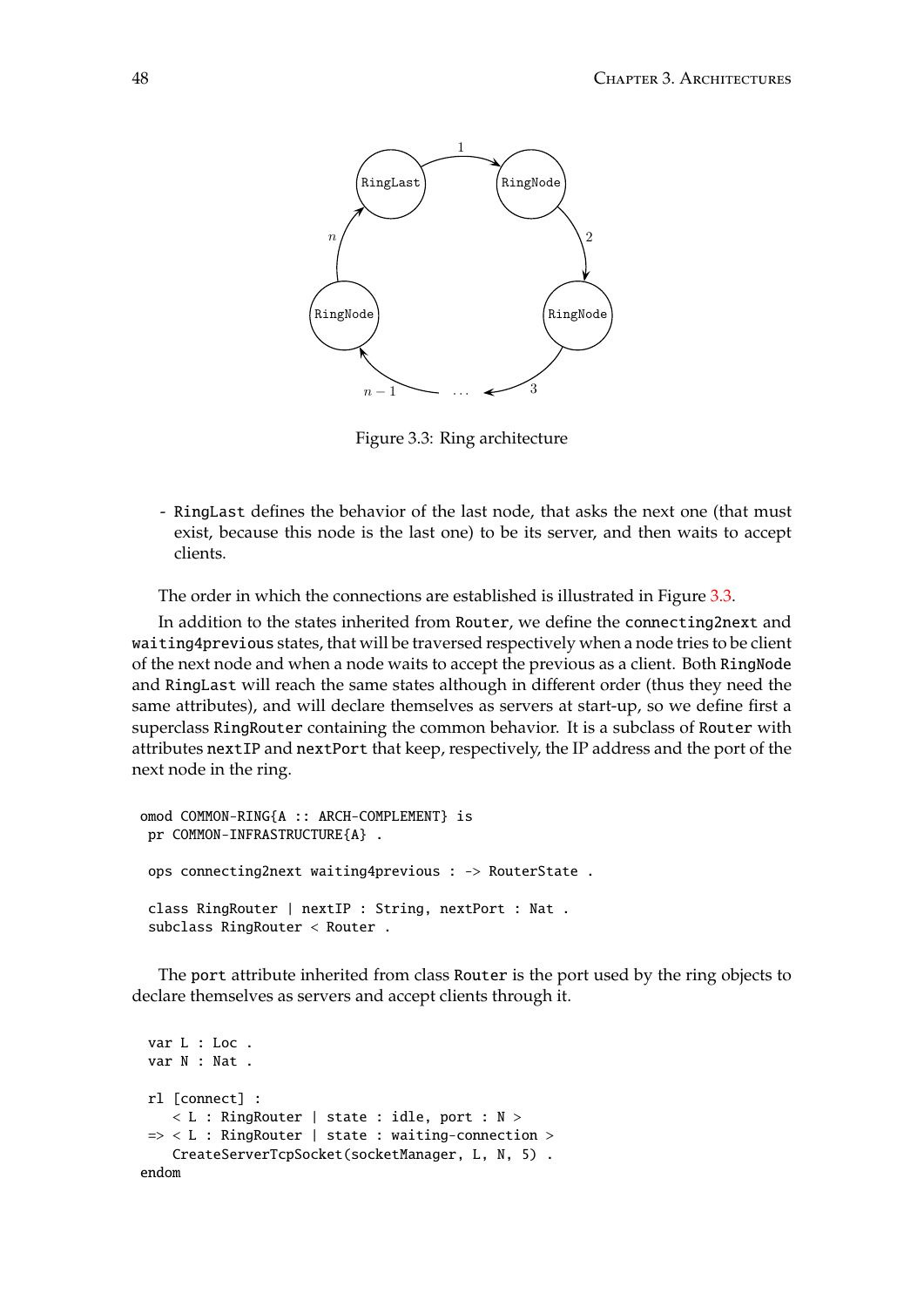

<span id="page-47-0"></span>Figure 3.3: Ring architecture

- RingLast defines the behavior of the last node, that asks the next one (that must needs a server and working as a series of the first executive for the first executive for the first executive for the first executive for the first executive for the first executive for the first executive for the second exist, because this node is the last one) to be its server, and then waits to accept<br>alients  $k$  that all other instances are already running  $k$  running) and the other ones by declaring two declaring two declaring two declaring two declaring two declaring two declaring two declaring two declaring two declaring t clients.

The order in which the connections are established is illustrated in Figure [3.3.](#page-47-0)

In addition to the states inherited from Router, we define the connecting2next and waiting4previous states, that will be traversed respectively when a node tries to be client of the next node and when a node waits to accept the previous as a client. Both RingNode same attributes), and will declare themselves as servers at start-up, so we define first a superclass RingRouter containing the common behavior. It is a subclass of Router with attributes nextIP and nextPort that keep, respectively, the IP address and the port of the The order in which the connections are established is illustrated in Figure 3.1. and RingLast will reach the same states although in different order (thus they need the next node in the ring.

```
omod COMMON-RING{A :: ARCH-COMPLEMENT} is
{\rm tr} COMMON-INFRASTRUCTURE\{A\}.
we can have a module containing the common behavior. We define a new class Ring Router, we define a new class Ring
ops connecting2next waiting4previous : -> RouterState .
subclass RingRouter < Router .
 class RingRouter | nextIP : String, nextPort : Nat .
```
class the port attribute material internet class routed to the p declare themselves as servers and accept clients through it. The port attribute inherited from class Router is the port used by the ring objects to

```
var L : Loc .
ri [connect] :<br>< L : RingRouter | state : idle, port : N >
 var L : Loc .
 CreateServerTcpSocket(socketManager, L, N, 5).
 var N : Nat .
 rl [connect] :
 \Rightarrow < L : RingRouter | state : waiting-connection >
 endom
```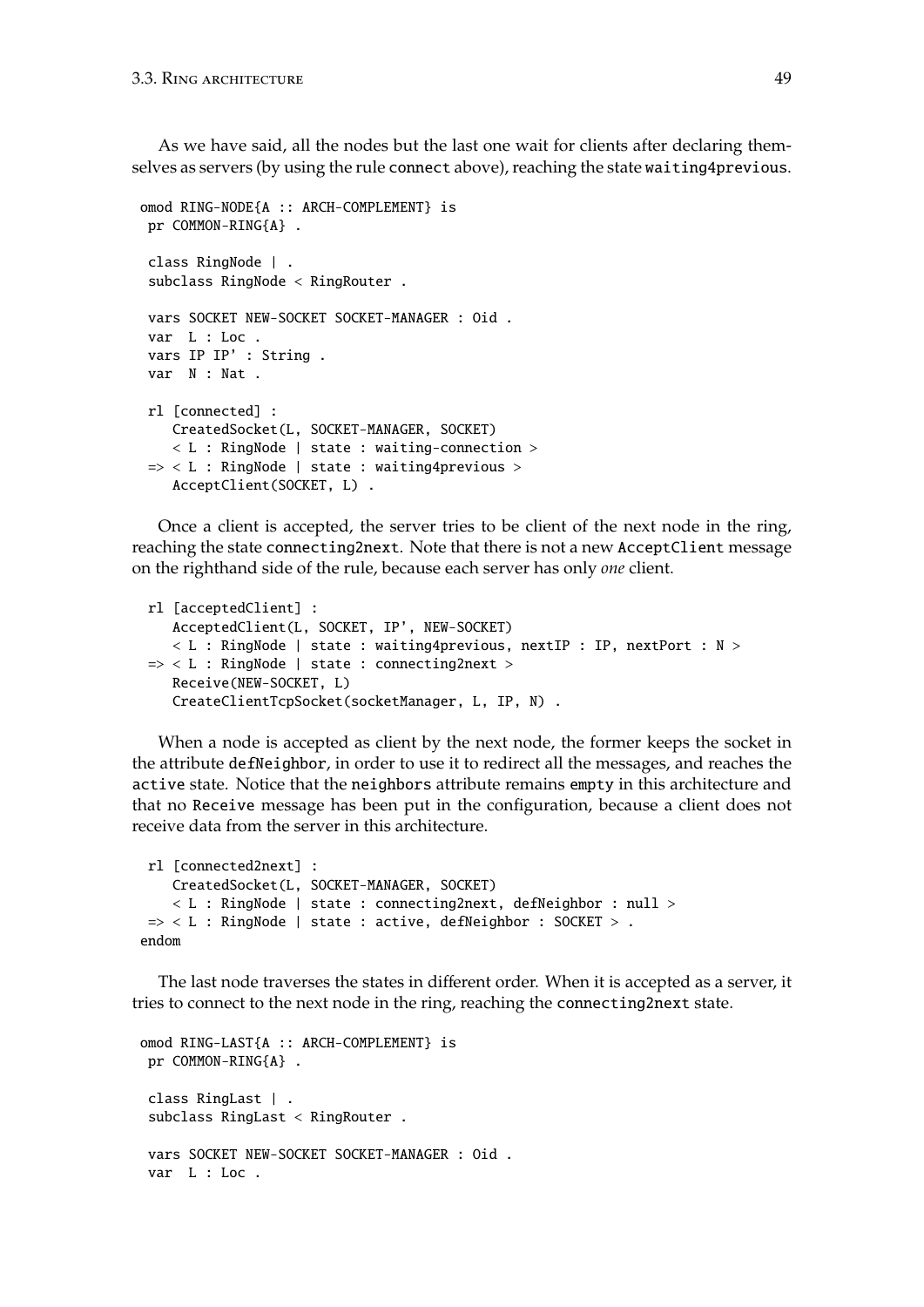As we have said, all the nodes but the last one wait for clients after declaring themselves as servers (by using the rule connect above), reaching the state waiting4previous.

```
omod RING-NODE{A :: ARCH-COMPLEMENT} is
pr COMMON-RING{A} .
class RingNode | .
 subclass RingNode < RingRouter .
vars SOCKET NEW-SOCKET SOCKET-MANAGER : Oid .
var L : Loc .
vars IP IP' : String .
var N : Nat .
rl [connected] :
   CreatedSocket(L, SOCKET-MANAGER, SOCKET)
    < L : RingNode | state : waiting-connection >
\Rightarrow < L : RingNode | state : waiting4previous >
    AcceptClient(SOCKET, L) .
```
Once a client is accepted, the server tries to be client of the next node in the ring, reaching the state connecting2next. Note that there is not a new AcceptClient message on the righthand side of the rule, because each server has only *one* client.

```
rl [acceptedClient] :
   AcceptedClient(L, SOCKET, IP', NEW-SOCKET)
   < L : RingNode | state : waiting4previous, nextIP : IP, nextPort : N >
\Rightarrow < L : RingNode | state : connecting2next >
   Receive(NEW-SOCKET, L)
   CreateClientTcpSocket(socketManager, L, IP, N) .
```
When a node is accepted as client by the next node, the former keeps the socket in the attribute defNeighbor, in order to use it to redirect all the messages, and reaches the active state. Notice that the neighbors attribute remains empty in this architecture and that no Receive message has been put in the configuration, because a client does not receive data from the server in this architecture.

```
rl [connected2next] :
   CreatedSocket(L, SOCKET-MANAGER, SOCKET)
    < L : RingNode | state : connecting2next, defNeighbor : null >
\Rightarrow < L : RingNode | state : active, defNeighbor : SOCKET > .
endom
```
The last node traverses the states in different order. When it is accepted as a server, it tries to connect to the next node in the ring, reaching the connecting2next state.

```
omod RING-LAST{A :: ARCH-COMPLEMENT} is
pr COMMON-RING{A} .
class RingLast | .
subclass RingLast < RingRouter .
vars SOCKET NEW-SOCKET SOCKET-MANAGER : Oid .
var L : Loc .
```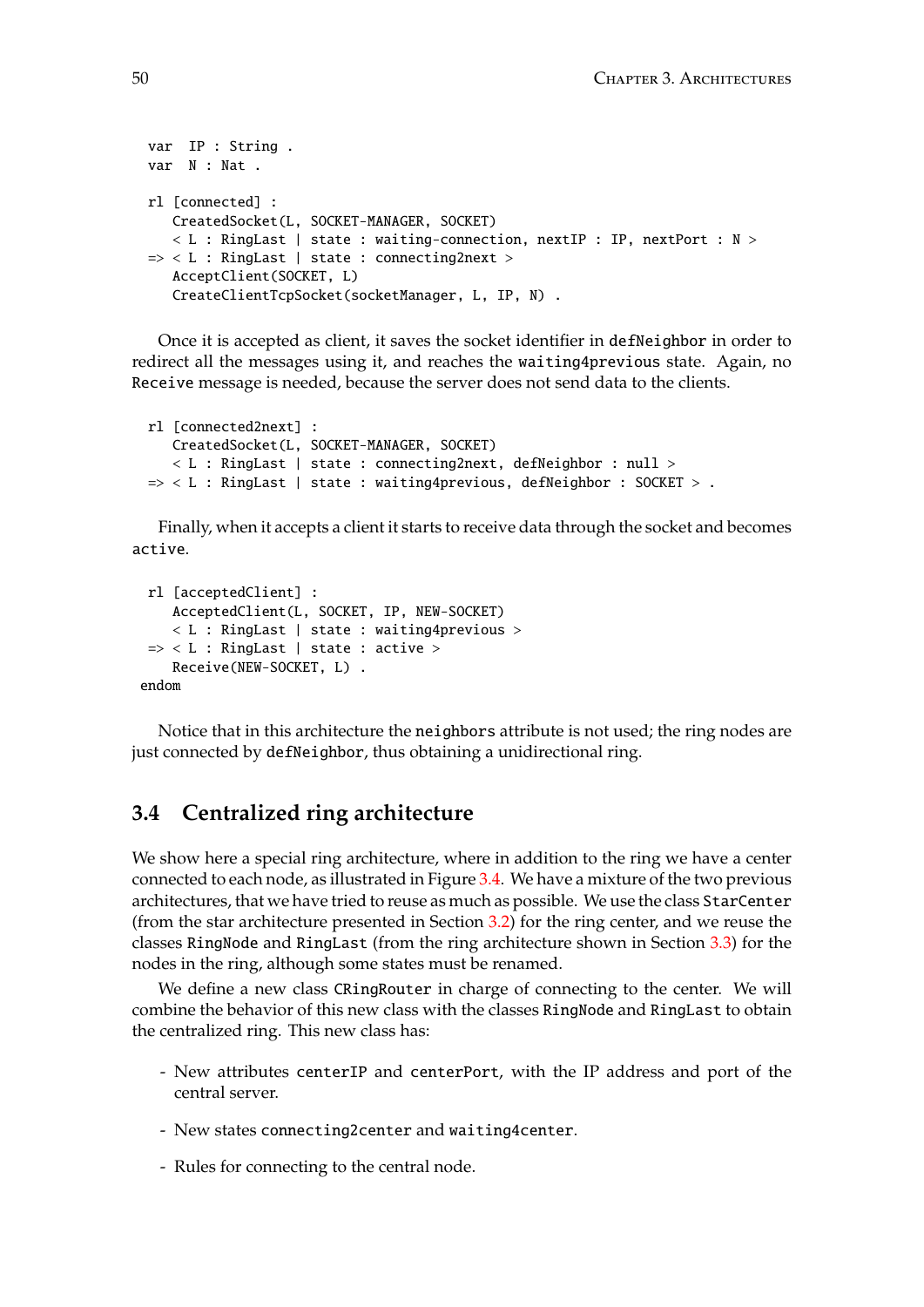```
var IP : String .
var N : Nat .
rl [connected] :
   CreatedSocket(L, SOCKET-MANAGER, SOCKET)
   \langle L L : RingLast \rangle state : waiting-connection, nextIP : IP, nextPort : N >
=> < L : RingLast | state : connecting2next >
   AcceptClient(SOCKET, L)
   CreateClientTcpSocket(socketManager, L, IP, N) .
```
Once it is accepted as client, it saves the socket identifier in defNeighbor in order to redirect all the messages using it, and reaches the waiting4previous state. Again, no Receive message is needed, because the server does not send data to the clients.

```
rl [connected2next] :
   CreatedSocket(L, SOCKET-MANAGER, SOCKET)
   < L : RingLast | state : connecting2next, defNeighbor : null >
\Rightarrow < L : RingLast | state : waiting4previous, defNeighbor : SOCKET > .
```
Finally, when it accepts a client it starts to receive data through the socket and becomes active.

```
rl [acceptedClient] :
    AcceptedClient(L, SOCKET, IP, NEW-SOCKET)
    < L : RingLast | state : waiting4previous >
 \Rightarrow < L : RingLast | state : active >
    Receive(NEW-SOCKET, L) .
endom
```
Notice that in this architecture the neighbors attribute is not used; the ring nodes are just connected by defNeighbor, thus obtaining a unidirectional ring.

## **3.4 Centralized ring architecture**

We show here a special ring architecture, where in addition to the ring we have a center connected to each node, as illustrated in Figure [3.4.](#page-50-0) We have a mixture of the two previous architectures, that we have tried to reuse as much as possible. We use the class StarCenter (from the star architecture presented in Section [3.2\)](#page-43-1) for the ring center, and we reuse the classes RingNode and RingLast (from the ring architecture shown in Section [3.3\)](#page-46-1) for the nodes in the ring, although some states must be renamed.

We define a new class CRingRouter in charge of connecting to the center. We will combine the behavior of this new class with the classes RingNode and RingLast to obtain the centralized ring. This new class has:

- New attributes centerIP and centerPort, with the IP address and port of the central server.
- New states connecting2center and waiting4center.
- Rules for connecting to the central node.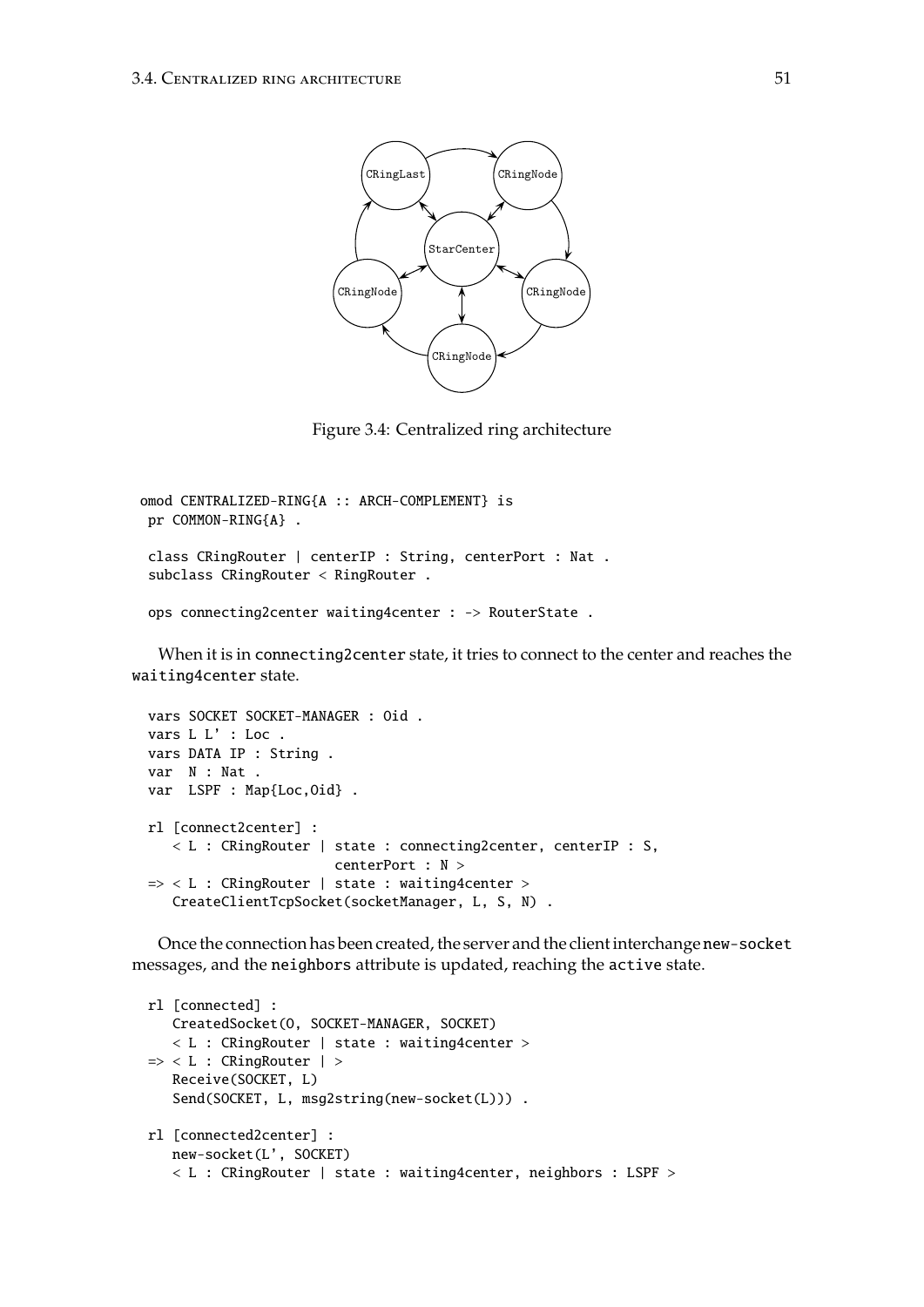

<span id="page-50-0"></span>Figure 3.4: Centralized ring architecture

```
omod CENTRALIZED-RING{A :: ARCH-COMPLEMENT} is
pr COMMON-RING{A} .
class CRingRouter | centerIP : String, centerPort : Nat .
 subclass CRingRouter < RingRouter .
ops connecting2center waiting4center : -> RouterState .
```
When it is in connecting2center state, it tries to connect to the center and reaches the waiting4center state.

```
vars SOCKET SOCKET-MANAGER : Oid .
vars L L' : Loc .
vars DATA IP : String .
var N : Nat .
var LSPF : Map{Loc, Oid} .
rl [connect2center] :
   < L : CRingRouter | state : connecting2center, centerIP : S,
                        centerPort : N >
\Rightarrow < L : CRingRouter | state : waiting4center >
   CreateClientTcpSocket(socketManager, L, S, N) .
```
Once the connection has been created, the server and the client interchange new-socket messages, and the neighbors attribute is updated, reaching the active state.

```
rl [connected] :
  CreatedSocket(O, SOCKET-MANAGER, SOCKET)
   < L : CRingRouter | state : waiting4center >
=> < L : CRingRouter | >
   Receive(SOCKET, L)
   Send(SOCKET, L, msg2string(new-socket(L))).
rl [connected2center] :
  new-socket(L', SOCKET)
   < L : CRingRouter | state : waiting4center, neighbors : LSPF >
```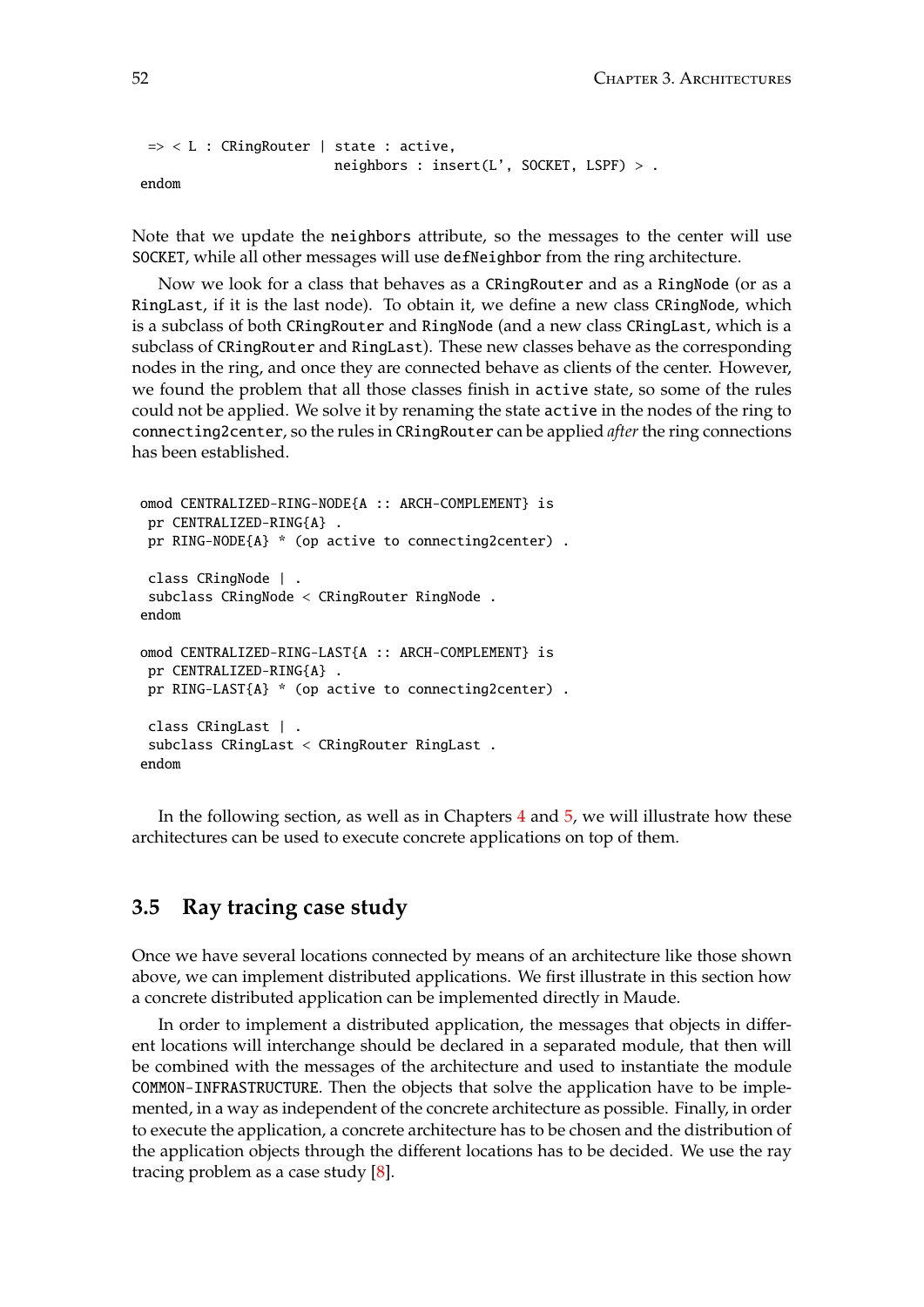```
=> < L : CRingRouter | state : active,
                        neighbors : insert(L', SOCKET, LSPF) > .
endom
```
Note that we update the neighbors attribute, so the messages to the center will use SOCKET, while all other messages will use defNeighbor from the ring architecture.

Now we look for a class that behaves as a CRingRouter and as a RingNode (or as a RingLast, if it is the last node). To obtain it, we define a new class CRingNode, which is a subclass of both CRingRouter and RingNode (and a new class CRingLast, which is a subclass of CRingRouter and RingLast). These new classes behave as the corresponding nodes in the ring, and once they are connected behave as clients of the center. However, we found the problem that all those classes finish in active state, so some of the rules could not be applied. We solve it by renaming the state active in the nodes of the ring to connecting2center, so the rules in CRingRouter can be applied *after* the ring connections has been established.

```
omod CENTRALIZED-RING-NODE{A :: ARCH-COMPLEMENT} is
 pr CENTRALIZED-RING{A} .
 pr RING-NODE{A} * (op active to connecting2center) .
 class CRingNode | .
 subclass CRingNode < CRingRouter RingNode .
endom
omod CENTRALIZED-RING-LAST{A :: ARCH-COMPLEMENT} is
 pr CENTRALIZED-RING{A} .
 pr RING-LAST{A} * (op active to connecting2center) .
 class CRingLast | .
 subclass CRingLast < CRingRouter RingLast .
endom
```
In the following section, as well as in Chapters [4](#page-60-0) and [5,](#page-110-0) we will illustrate how these architectures can be used to execute concrete applications on top of them.

### **3.5 Ray tracing case study**

Once we have several locations connected by means of an architecture like those shown above, we can implement distributed applications. We first illustrate in this section how a concrete distributed application can be implemented directly in Maude.

In order to implement a distributed application, the messages that objects in different locations will interchange should be declared in a separated module, that then will be combined with the messages of the architecture and used to instantiate the module COMMON-INFRASTRUCTURE. Then the objects that solve the application have to be implemented, in a way as independent of the concrete architecture as possible. Finally, in order to execute the application, a concrete architecture has to be chosen and the distribution of the application objects through the different locations has to be decided. We use the ray tracing problem as a case study [\[8\]](#page-182-0).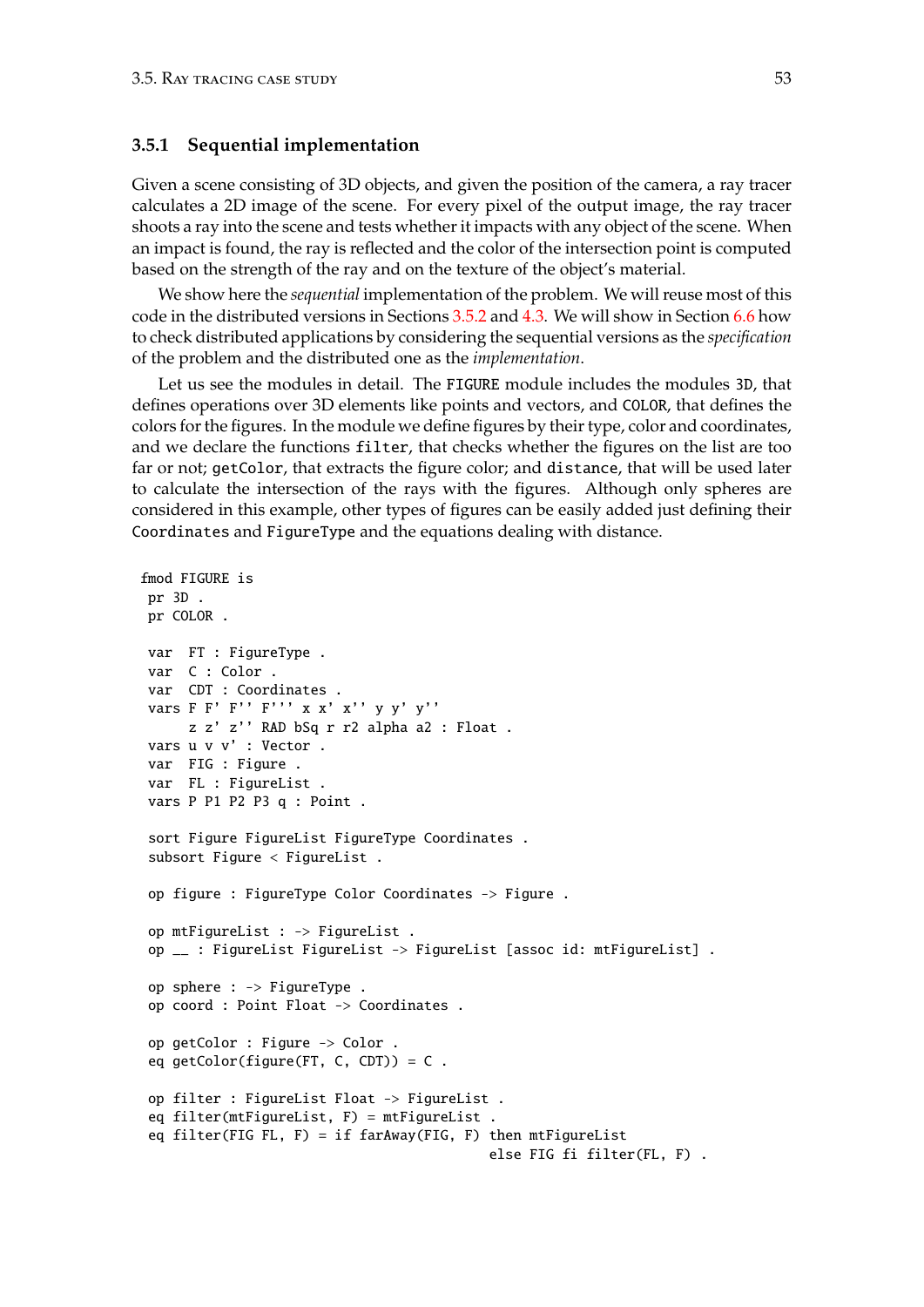fmod FIGURE is

### <span id="page-52-0"></span>**3.5.1 Sequential implementation**

Given a scene consisting of 3D objects, and given the position of the camera, a ray tracer calculates a 2D image of the scene. For every pixel of the output image, the ray tracer shoots a ray into the scene and tests whether it impacts with any object of the scene. When an impact is found, the ray is reflected and the color of the intersection point is computed based on the strength of the ray and on the texture of the object's material.

We show here the *sequential* implementation of the problem. We will reuse most of this code in the distributed versions in Sections [3.5.2](#page-54-0) and [4.3.](#page-68-0) We will show in Section [6.6](#page-170-0) how to check distributed applications by considering the sequential versions as the *specification* of the problem and the distributed one as the *implementation*.

Let us see the modules in detail. The FIGURE module includes the modules 3D, that defines operations over 3D elements like points and vectors, and COLOR, that defines the colors for the figures. In the module we define figures by their type, color and coordinates, and we declare the functions filter, that checks whether the figures on the list are too far or not; getColor, that extracts the figure color; and distance, that will be used later to calculate the intersection of the rays with the figures. Although only spheres are considered in this example, other types of figures can be easily added just defining their Coordinates and FigureType and the equations dealing with distance.

```
pr 3D .
pr COLOR .
var FT : FigureType .
var C : Color .
var CDT : Coordinates .
vars F F' F'' F''' x x' x'' y y' y''
    z z' z'' RAD bSq r r2 alpha a2 : Float .
vars u v v' : Vector .
var FIG : Figure .
var FL : FigureList .
vars P P1 P2 P3 q : Point .
sort Figure FigureList FigureType Coordinates .
subsort Figure < FigureList .
op figure : FigureType Color Coordinates -> Figure .
op mtFigureList : -> FigureList .
op __ : FigureList FigureList -> FigureList [assoc id: mtFigureList] .
op sphere : -> FigureType .
op coord : Point Float -> Coordinates .
op getColor : Figure -> Color .
eq getColor(figure(FT, C, CDT)) = C.
op filter : FigureList Float -> FigureList .
eq filter(mtFigureList, F) = mtFigureList .
eq filter(FIG FL, F) = if farAway(FIG, F) then mtFigureList
                                          else FIG fi filter(FL, F) .
```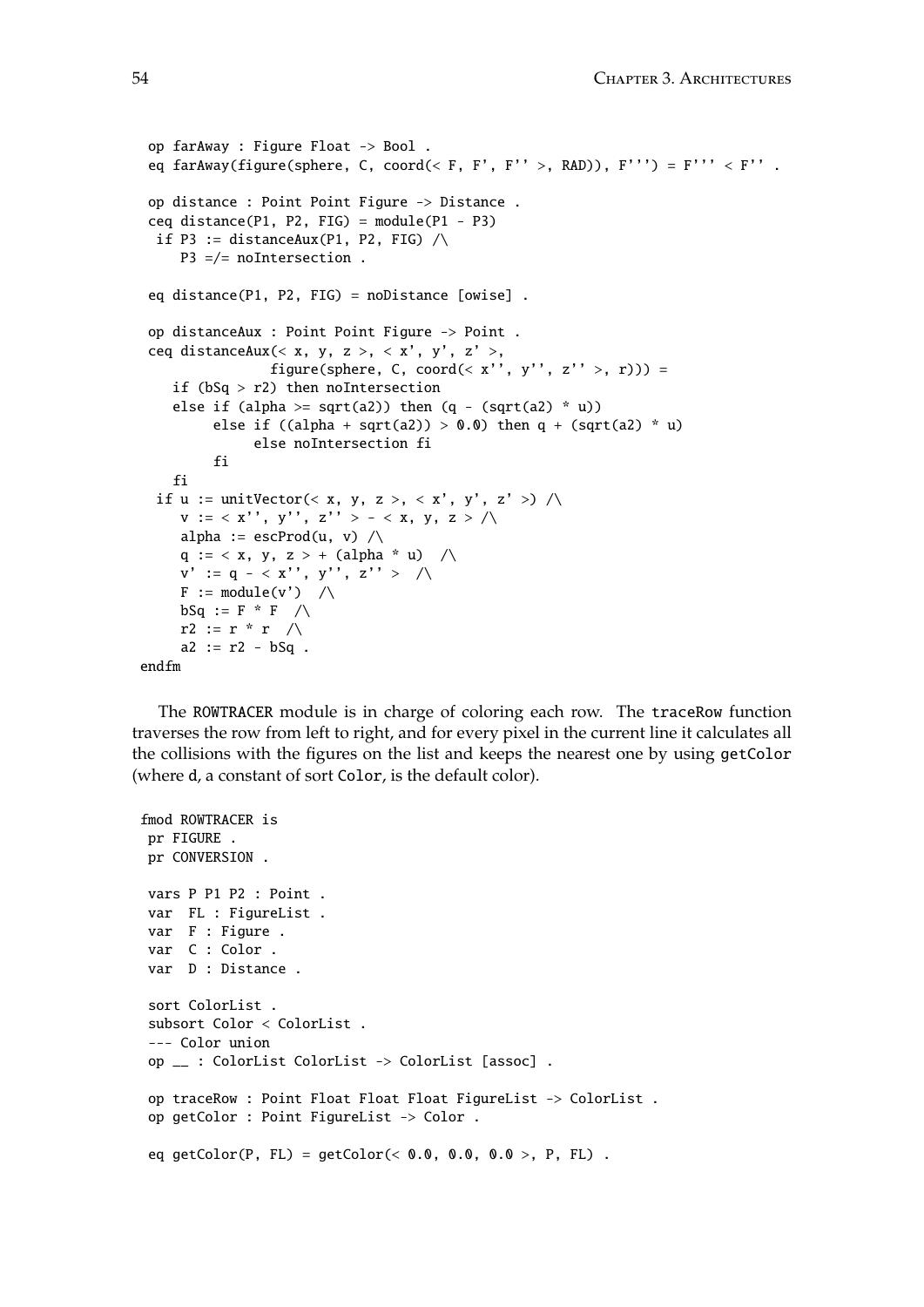```
op farAway : Figure Float -> Bool .
 eq farAway(figure(sphere, C, coord(< F, F', F'' >, RAD)), F''') = F''' < F'' .
 op distance : Point Point Figure -> Distance .
 ceq distance(P1, P2, FIG) = module(P1 - P3)if P3 := distanceAux(P1, P2, FIG) \landP3 =/= noIntersection .
 eq distance(P1, P2, FIG) = noDistance [owise] .
 op distanceAux : Point Point Figure -> Point .
 ceq distanceAux(< x, y, z >, < x', y', z' >,
                 figure(sphere, C, coord(< x'', y'', z'' >, r))) =
    if (bSq > r2) then noIntersection
    else if (alpha >= sqrt(a2)) then (q - (sqrt(a2) * u))else if ((alpha + sqrt(a2)) > 0.0) then q + (sqrt(a2) * u)else noIntersection fi
         fi
    fi
  if u := unitVector(<math>x, y, z >, < x', y', z' >) / \langle x, z' \ranglev := \langle x'', y'', z'' \rangle - \langle x, y, z \rangle / \langlealpha := escProd(u, v) \wedgeq := < x, y, z > + (alpha * u) /\
     v' := q - \langle x'', y''', z'' \rangle \quad | \wedgeF := module(v') / \wedgebSq := F * F / \Lambdar2 := r * r \wedgea2 := r2 - bSq.
endfm
```
The ROWTRACER module is in charge of coloring each row. The traceRow function traverses the row from left to right, and for every pixel in the current line it calculates all the collisions with the figures on the list and keeps the nearest one by using getColor (where d, a constant of sort Color, is the default color).

```
fmod ROWTRACER is
pr FIGURE .
pr CONVERSION .
vars P P1 P2 : Point .
var FL : FigureList .
var F : Figure .
var C : Color .
var D : Distance .
sort ColorList .
subsort Color < ColorList .
 --- Color union
op __ : ColorList ColorList -> ColorList [assoc] .
op traceRow : Point Float Float Float FigureList -> ColorList .
op getColor : Point FigureList -> Color .
eq getColor(P, FL) = getColor(< 0.0, 0.0, 0.0, 0.0, F.).
```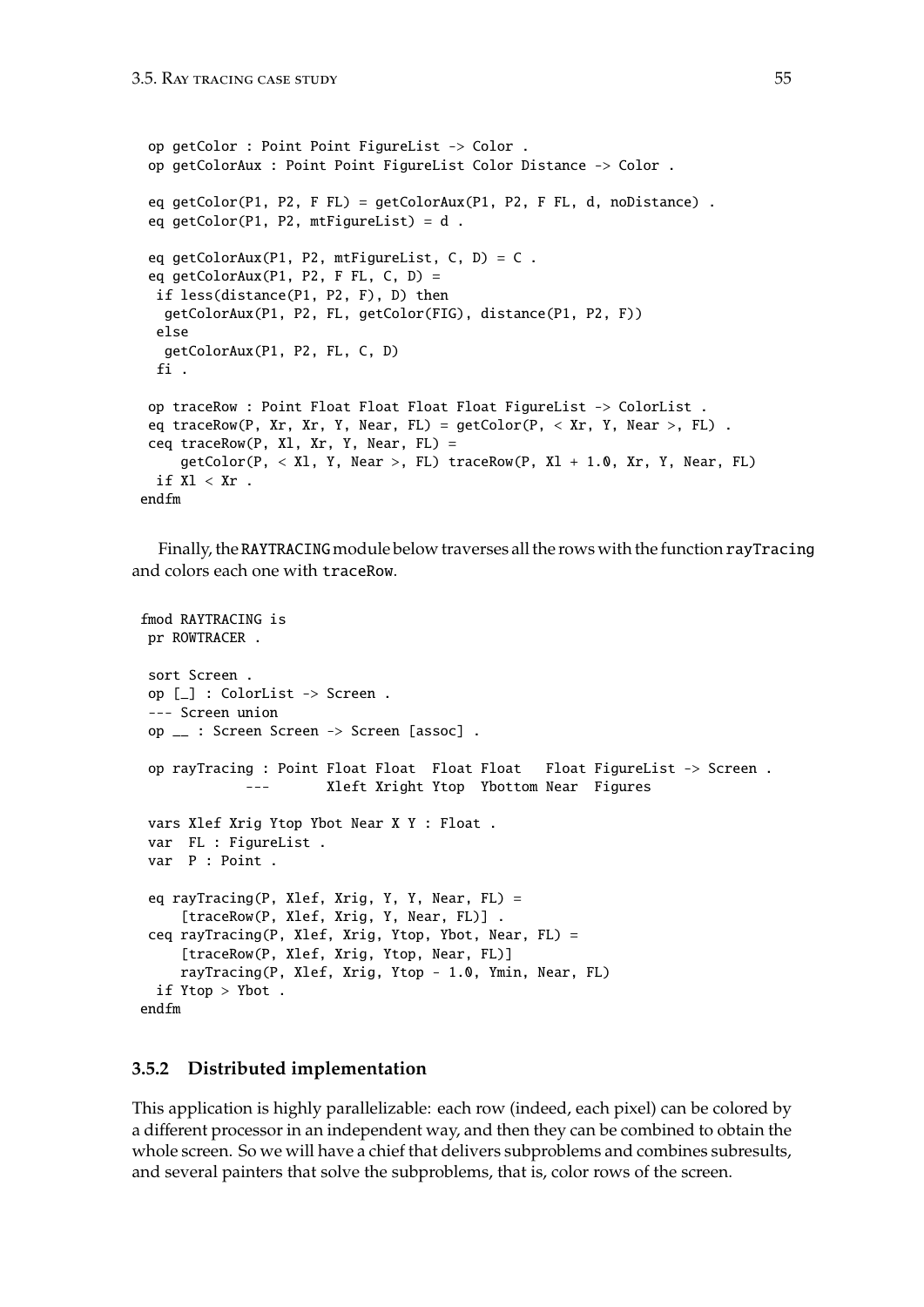```
op getColor : Point Point FigureList -> Color .
 op getColorAux : Point Point FigureList Color Distance -> Color .
 eq getColor(P1, P2, F FL) = getColorAux(P1, P2, F FL, d, noDistance) .
 eq getColor(P1, P2, mtFigureList) = d .
 eq getColorAux(P1, P2, mtFigureList, C, D) = C .
 eq getColorAux(P1, P2, F FL, C, D) =
 if less(distance(P1, P2, F), D) then
  getColorAux(P1, P2, FL, getColor(FIG), distance(P1, P2, F))
 else
  getColorAux(P1, P2, FL, C, D)
 fi .
 op traceRow : Point Float Float Float Float FigureList -> ColorList .
 eq traceRow(P, Xr, Xr, Y, Near, FL) = getColor(P, < Xr, Y, Near >, FL).
 ceq traceRow(P, Xl, Xr, Y, Near, FL) =
     getColor(P, < XI, Y, Near >, FL) traceRow(P, XI + 1.0, Xr, Y, Near, FL)if Xl < Xr.
endfm
```
Finally, the RAYTRACING module below traverses all the rows with the function rayTracing and colors each one with traceRow.

```
fmod RAYTRACING is
pr ROWTRACER .
sort Screen .
op [_] : ColorList -> Screen .
 --- Screen union
op __ : Screen Screen -> Screen [assoc] .
op rayTracing : Point Float Float Float Float Float FigureList -> Screen .
            --- Xleft Xright Ytop Ybottom Near Figures
vars Xlef Xrig Ytop Ybot Near X Y : Float .
var FL : FigureList .
var P : Point .
 eq rayTracing(P, Xlef, Xrig, Y, Y, Near, FL) =
     [traceRow(P, Xlef, Xrig, Y, Near, FL)] .
 ceq rayTracing(P, Xlef, Xrig, Ytop, Ybot, Near, FL) =
    [traceRow(P, Xlef, Xrig, Ytop, Near, FL)]
    rayTracing(P, Xlef, Xrig, Ytop - 1.0, Ymin, Near, FL)
 if Ytop > Ybot .
endfm
```
### <span id="page-54-0"></span>**3.5.2 Distributed implementation**

This application is highly parallelizable: each row (indeed, each pixel) can be colored by a different processor in an independent way, and then they can be combined to obtain the whole screen. So we will have a chief that delivers subproblems and combines subresults, and several painters that solve the subproblems, that is, color rows of the screen.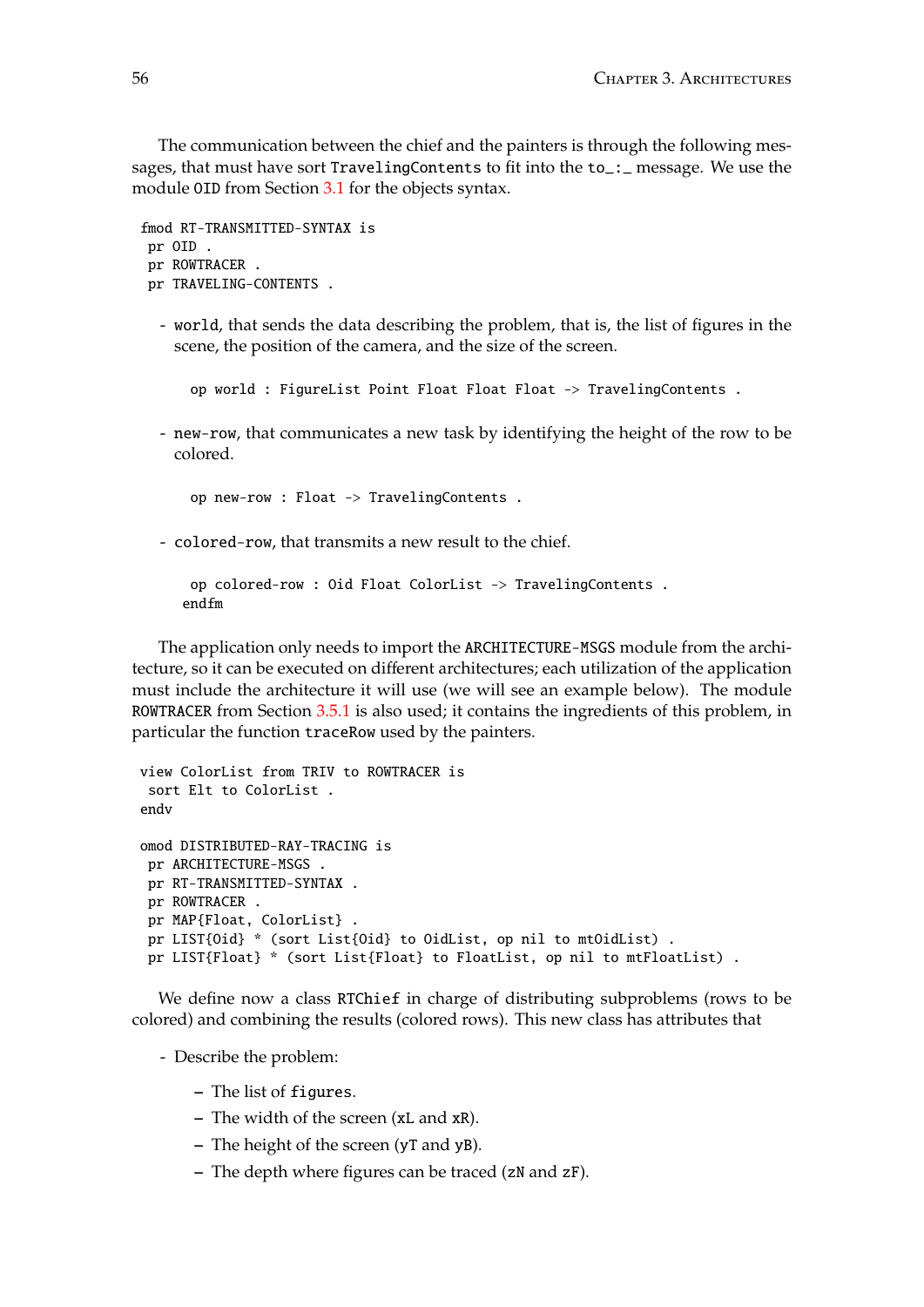The communication between the chief and the painters is through the following messages, that must have sort TravelingContents to fit into the to\_:\_ message. We use the module OID from Section [3.1](#page-38-1) for the objects syntax.

```
fmod RT-TRANSMITTED-SYNTAX is
pr OID .
pr ROWTRACER .
pr TRAVELING-CONTENTS .
```
- world, that sends the data describing the problem, that is, the list of figures in the scene, the position of the camera, and the size of the screen.

op world : FigureList Point Float Float Float -> TravelingContents .

- new-row, that communicates a new task by identifying the height of the row to be colored.

op new-row : Float -> TravelingContents .

- colored-row, that transmits a new result to the chief.

```
op colored-row : Oid Float ColorList -> TravelingContents .
endfm
```
The application only needs to import the ARCHITECTURE-MSGS module from the architecture, so it can be executed on different architectures; each utilization of the application must include the architecture it will use (we will see an example below). The module ROWTRACER from Section [3.5.1](#page-52-0) is also used; it contains the ingredients of this problem, in particular the function traceRow used by the painters.

```
view ColorList from TRIV to ROWTRACER is
 sort Elt to ColorList .
endv
omod DISTRIBUTED-RAY-TRACING is
 pr ARCHITECTURE-MSGS .
 pr RT-TRANSMITTED-SYNTAX .
 pr ROWTRACER .
 pr MAP{Float, ColorList} .
 pr LIST{Oid} * (sort List{Oid} to OidList, op nil to mtOidList) .
 pr LIST{Float} * (sort List{Float} to FloatList, op nil to mtFloatList) .
```
We define now a class RTChief in charge of distributing subproblems (rows to be colored) and combining the results (colored rows). This new class has attributes that

- Describe the problem:

- **–** The list of figures.
- **–** The width of the screen (xL and xR).
- **–** The height of the screen (yT and yB).
- **–** The depth where figures can be traced (zN and zF).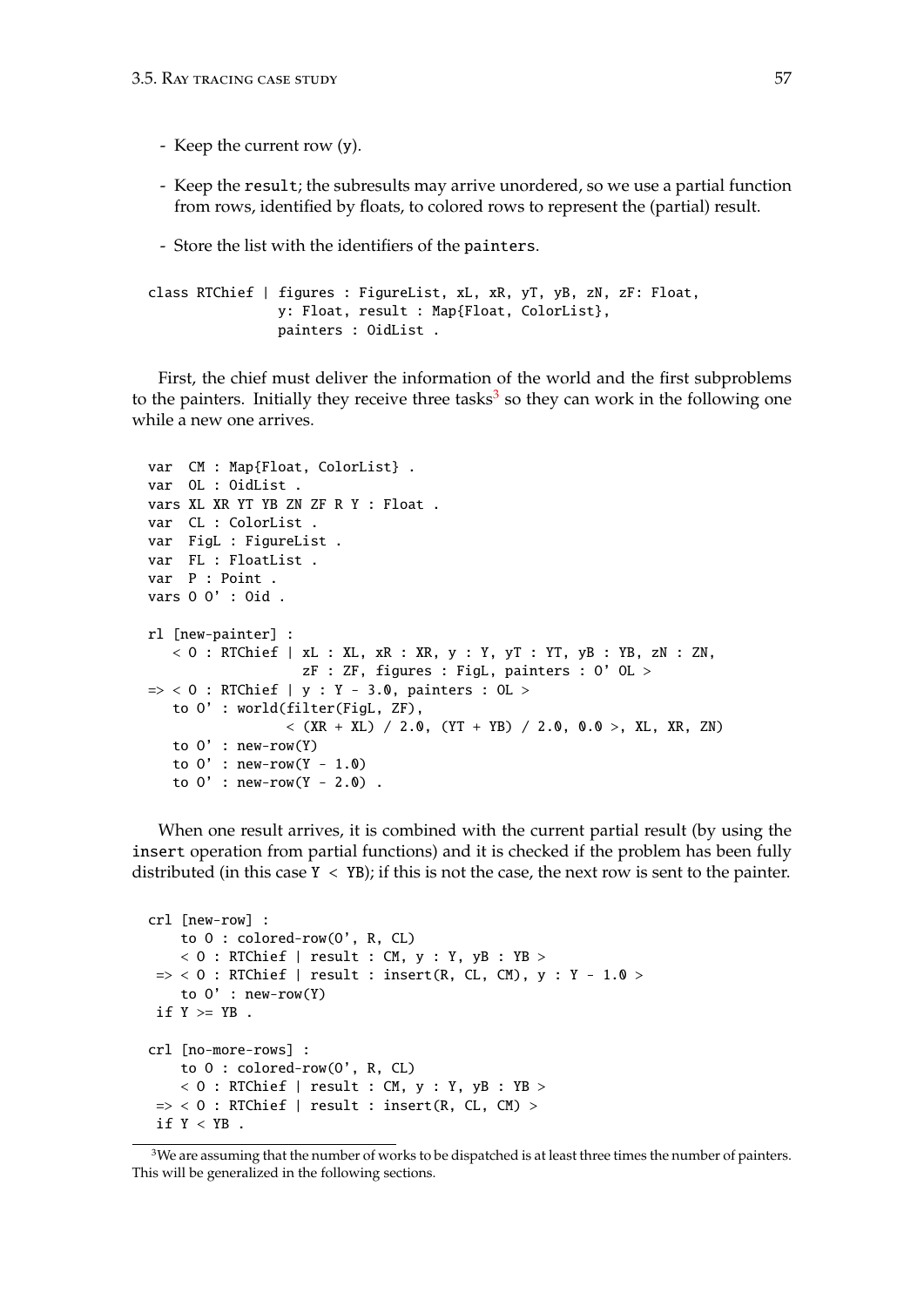- Keep the current row (y).
- Keep the result; the subresults may arrive unordered, so we use a partial function from rows, identified by floats, to colored rows to represent the (partial) result.
- Store the list with the identifiers of the painters.

```
class RTChief | figures : FigureList, xL, xR, yT, yB, zN, zF: Float,
                y: Float, result : Map{Float, ColorList},
                painters : OidList .
```
First, the chief must deliver the information of the world and the first subproblems to the painters. Initially they receive three tasks<sup>[3](#page-56-0)</sup> so they can work in the following one while a new one arrives.

```
var CM : Map{Float, ColorList} .
var OL : OidList .
vars XL XR YT YB ZN ZF R Y : Float .
var CL : ColorList .
var FigL : FigureList .
var FL : FloatList .
var P : Point .
vars O O' : Oid .
rl [new-painter] :
   < 0 : RTChief | xL : XL, xR : XR, y : Y, yT : YT, yB : YB, zN : ZN,
                   zF : ZF, figures : FigL, painters : O' OL >
\Rightarrow < 0 : RTChief | y : Y - 3.0, painters : OL >
   to O' : world(filter(FigL, ZF),
                 \langle (XR + XL) / 2.0, (YT + YB) / 2.0, 0.0 >, XL, XR, ZN)
   to 0' : new-row(Y)
   to 0' : new-row(Y - 1.0)
   to 0' : new-row(Y - 2.0).
```
When one result arrives, it is combined with the current partial result (by using the insert operation from partial functions) and it is checked if the problem has been fully distributed (in this case  $Y < YB$ ); if this is not the case, the next row is sent to the painter.

```
crl [new-row] :
    to O : colored-row(O', R, CL)
    < 0 : RTChief | result : CM, y : Y, yB : YB >
\Rightarrow < 0 : RTChief | result : insert(R, CL, CM), y : Y - 1.0 >
    to 0' : new-row(Y)
if Y \geq YB .
crl [no-more-rows] :
    to O : colored-row(O', R, CL)
    < 0 : RTChief | result : CM, y : Y, yB : YB >
\Rightarrow < 0 : RTChief | result : insert(R, CL, CM) >
if Y < YB.
```
<span id="page-56-0"></span> $3$ We are assuming that the number of works to be dispatched is at least three times the number of painters. This will be generalized in the following sections.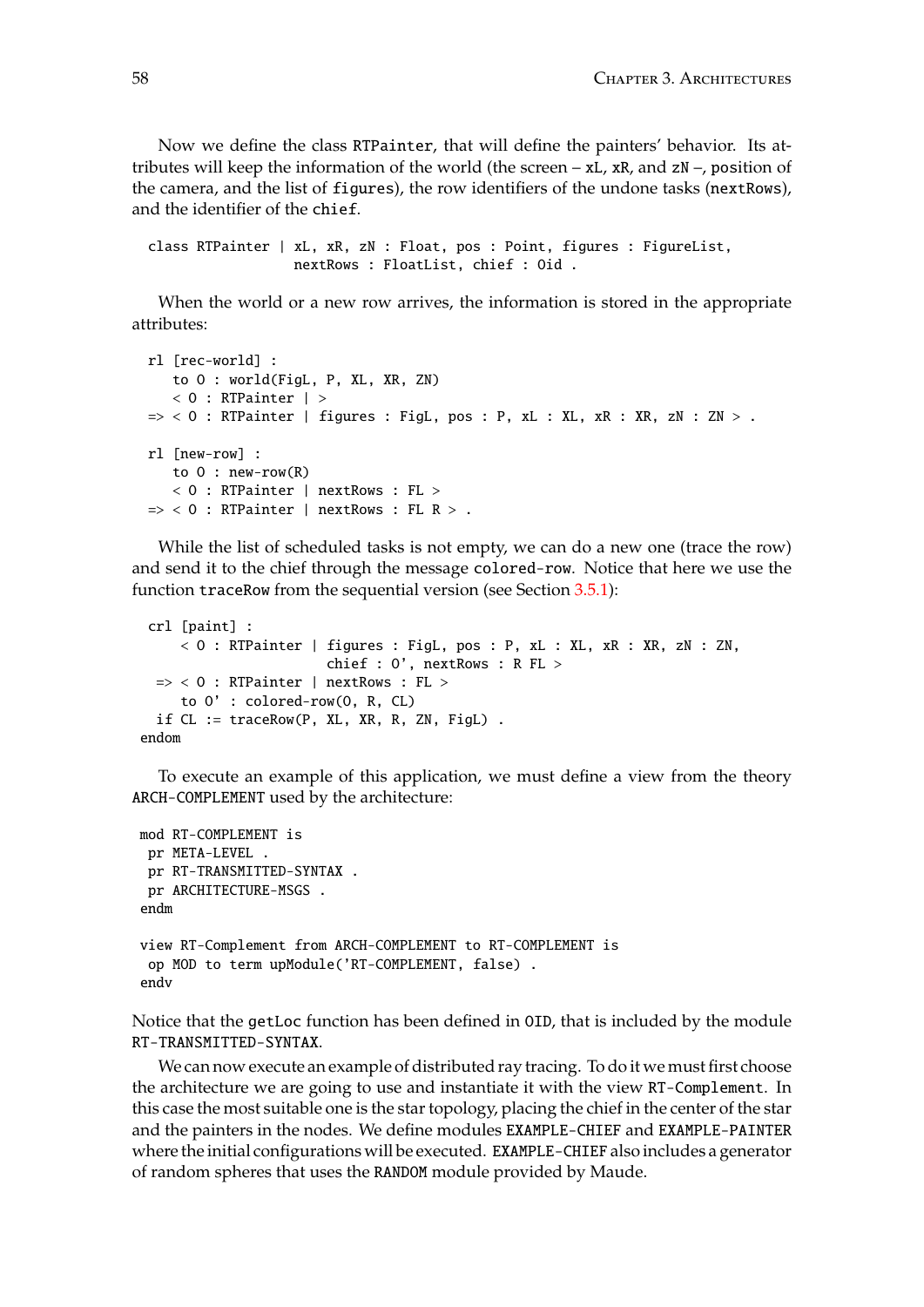Now we define the class RTPainter, that will define the painters' behavior. Its attributes will keep the information of the world (the screen  $- xL$ , xR, and  $zN -$ , position of the camera, and the list of figures), the row identifiers of the undone tasks (nextRows), and the identifier of the chief.

class RTPainter | xL, xR, zN : Float, pos : Point, figures : FigureList, nextRows : FloatList, chief : Oid .

When the world or a new row arrives, the information is stored in the appropriate attributes:

```
rl [rec-world] :
   to O : world(FigL, P, XL, XR, ZN)
   < 0 : RTPainter | >\Rightarrow < 0 : RTPainter | figures : FigL, pos : P, xL : XL, xR : XR, zN : ZN > .
rl [new-row] :
   to 0: new-row(R)< O : RTPainter | nextRows : FL >
\Rightarrow < 0 : RTPainter | nextRows : FL R > .
```
While the list of scheduled tasks is not empty, we can do a new one (trace the row) and send it to the chief through the message colored-row. Notice that here we use the function traceRow from the sequential version (see Section [3.5.1\)](#page-52-0):

```
crl [paint] :
     < O : RTPainter | figures : FigL, pos : P, xL : XL, xR : XR, zN : ZN,
                       chief : O', nextRows : R FL >
  \Rightarrow < 0 : RTPainter | nextRows : FL >
    to O' : colored-row(O, R, CL)
  if CL := traceRow(P, XL, XR, R, ZN, FigL) .
endom
```
To execute an example of this application, we must define a view from the theory ARCH-COMPLEMENT used by the architecture:

```
mod RT-COMPLEMENT is
 pr META-LEVEL .
 pr RT-TRANSMITTED-SYNTAX .
pr ARCHITECTURE-MSGS .
endm
view RT-Complement from ARCH-COMPLEMENT to RT-COMPLEMENT is
 op MOD to term upModule('RT-COMPLEMENT, false) .
endv
```
Notice that the getLoc function has been defined in OID, that is included by the module RT-TRANSMITTED-SYNTAX.

We can now execute an example of distributed ray tracing. To do it we must first choose the architecture we are going to use and instantiate it with the view RT-Complement. In this case the most suitable one is the star topology, placing the chief in the center of the star and the painters in the nodes. We define modules EXAMPLE-CHIEF and EXAMPLE-PAINTER where the initial configurations will be executed. EXAMPLE-CHIEF also includes a generator of random spheres that uses the RANDOM module provided by Maude.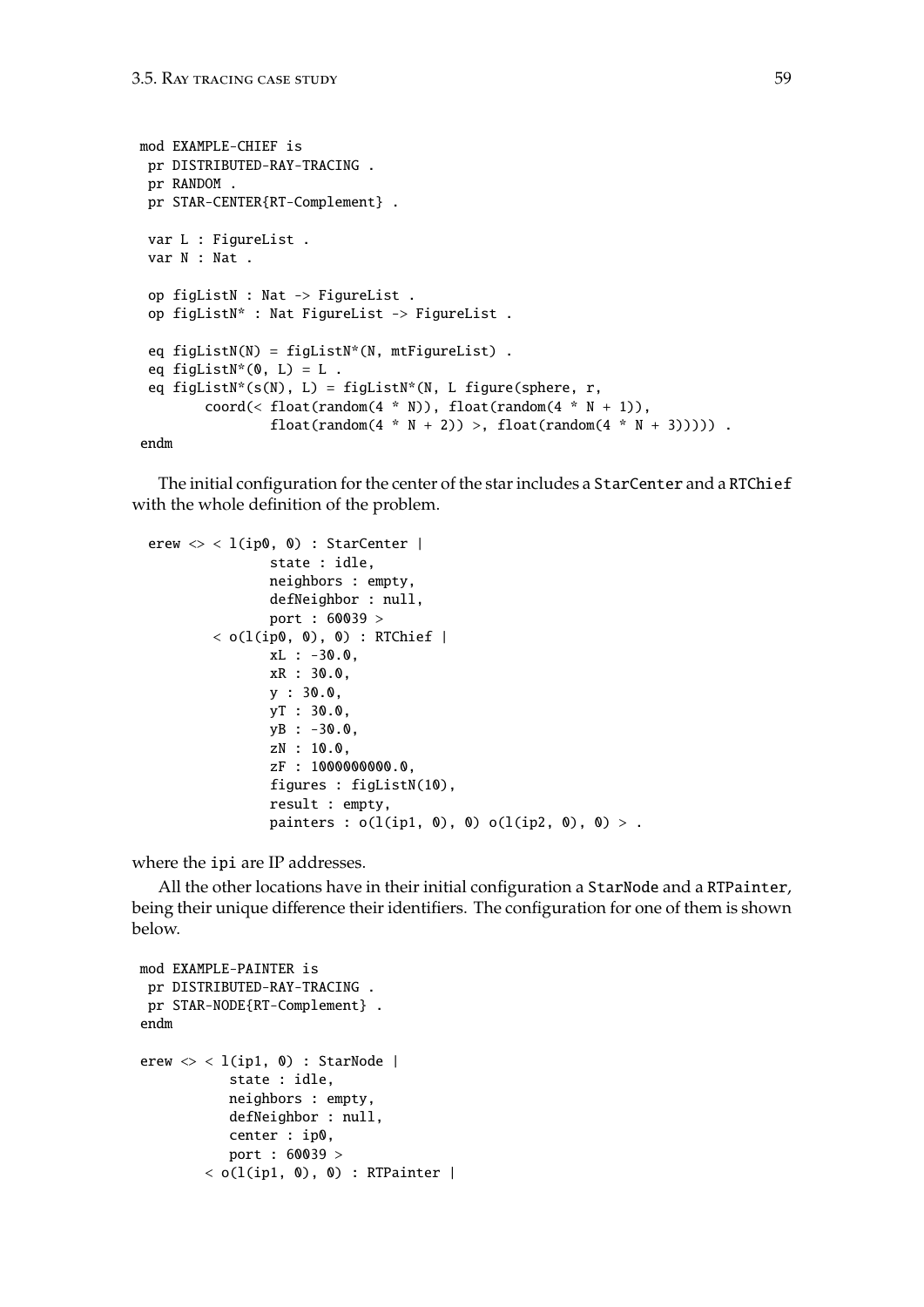```
mod EXAMPLE-CHIEF is
 pr DISTRIBUTED-RAY-TRACING .
 pr RANDOM .
 pr STAR-CENTER{RT-Complement} .
 var L : FigureList .
 var N : Nat .
 op figListN : Nat -> FigureList .
 op figListN* : Nat FigureList -> FigureList .
 eq figListN(N) = figListN*(N, mtfigureList).
 eq figListN*(0, L) = L.
 eq figListN*(s(N), L) = figListN*(N, L figure(sphere, r,
        coord(< float(random(4 * N)), float(random(4 * N + 1)),
                float(random(4 * N + 2)) >, float(random(4 * N + 3))))) .
```
endm

The initial configuration for the center of the star includes a StarCenter and a RTChief with the whole definition of the problem.

```
erew \langle \rangle < l(ip0, 0) : StarCenter |
                state : idle,
                neighbors : empty,
                defNeighbor : null,
                port : 60039 >
        \langle o(l(ip0, 0), 0) : RTChief |
                xL : -30.0,
                xR : 30.0,
                y : 30.0,
                yT : 30.0,
                yB : -30.0,
                zN : 10.0,
                zF : 1000000000.0,
                figures : figListN(10),
                result : empty,
                painters : o(l(ip1, 0), 0) o(l(ip2, 0), 0) > .
```
where the ipi are IP addresses.

All the other locations have in their initial configuration a StarNode and a RTPainter, being their unique difference their identifiers. The configuration for one of them is shown below.

```
mod EXAMPLE-PAINTER is
 pr DISTRIBUTED-RAY-TRACING .
pr STAR-NODE{RT-Complement} .
endm
erew \langle \rangle < 1(ip1, 0) : StarNode |
            state : idle,
           neighbors : empty,
            defNeighbor : null,
            center : ip0,
            port : 60039 >
        < o(l(ip1, 0), 0) : RTPainter |
```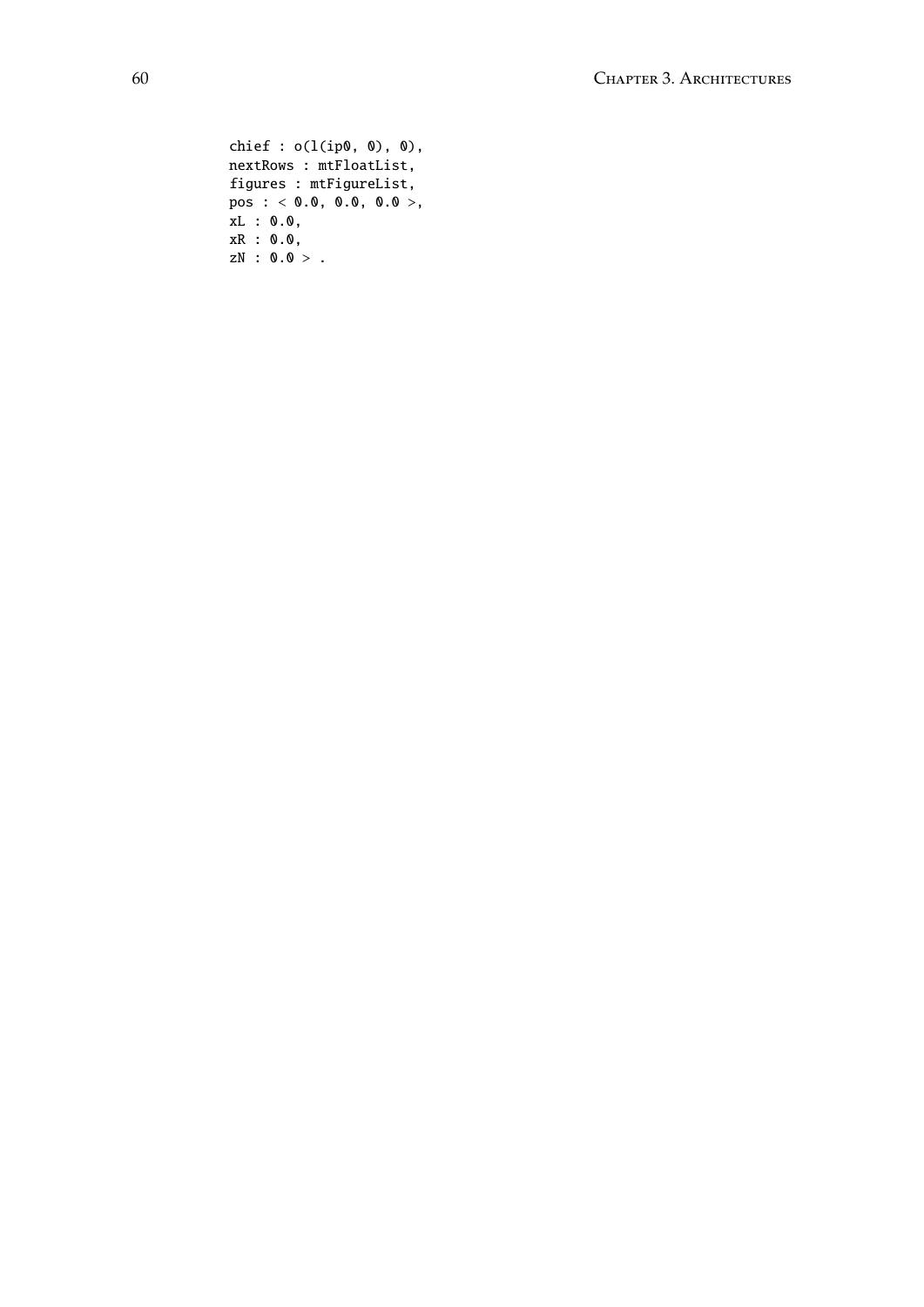```
chief : o(l(ip0, 0), 0),nextRows : mtFloatList,
figures : mtFigureList,
pos : < 0.0, 0.0, 0.0 >,
xL : 0.0,
xR : 0.0,
zN : 0.0 > .
```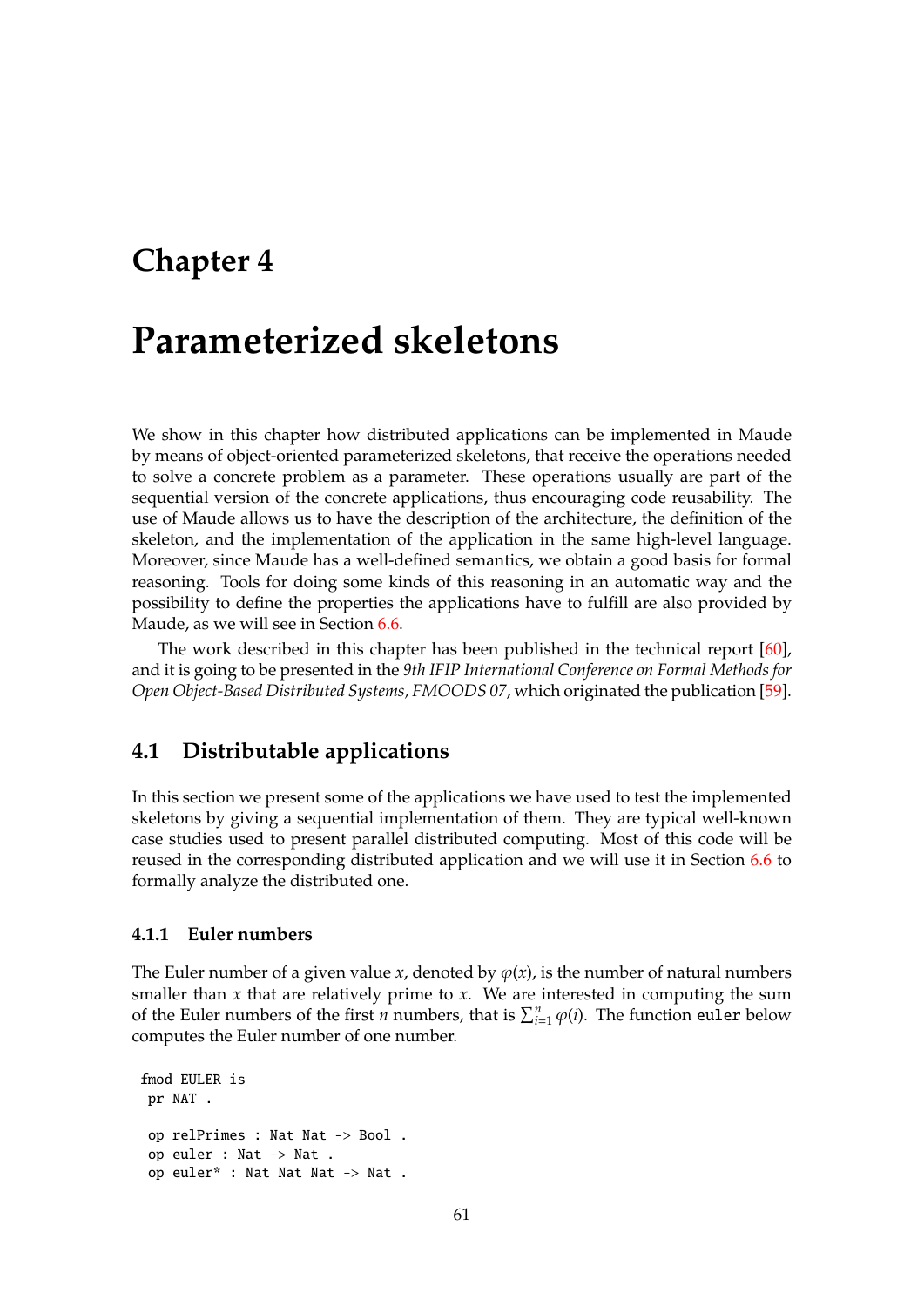## <span id="page-60-0"></span>**Chapter 4**

# **Parameterized skeletons**

We show in this chapter how distributed applications can be implemented in Maude by means of object-oriented parameterized skeletons, that receive the operations needed to solve a concrete problem as a parameter. These operations usually are part of the sequential version of the concrete applications, thus encouraging code reusability. The use of Maude allows us to have the description of the architecture, the definition of the skeleton, and the implementation of the application in the same high-level language. Moreover, since Maude has a well-defined semantics, we obtain a good basis for formal reasoning. Tools for doing some kinds of this reasoning in an automatic way and the possibility to define the properties the applications have to fulfill are also provided by Maude, as we will see in Section [6.6.](#page-170-0)

The work described in this chapter has been published in the technical report [\[60\]](#page-186-0), and it is going to be presented in the *9th IFIP International Conference on Formal Methods for Open Object-Based Distributed Systems, FMOODS 07*, which originated the publication [\[59\]](#page-186-1).

## **4.1 Distributable applications**

In this section we present some of the applications we have used to test the implemented skeletons by giving a sequential implementation of them. They are typical well-known case studies used to present parallel distributed computing. Most of this code will be reused in the corresponding distributed application and we will use it in Section [6.6](#page-170-0) to formally analyze the distributed one.

### **4.1.1 Euler numbers**

The Euler number of a given value *x*, denoted by  $\varphi(x)$ , is the number of natural numbers smaller than  $x$  that are relatively prime to  $x$ . We are interested in computing the sum of the Euler numbers of the first *n* numbers, that is  $\sum_{i=1}^{n} \varphi(i)$ . The function euler below computes the Euler number of one number.

fmod EULER is pr NAT . op relPrimes : Nat Nat -> Bool . op euler : Nat -> Nat . op euler\* : Nat Nat Nat -> Nat .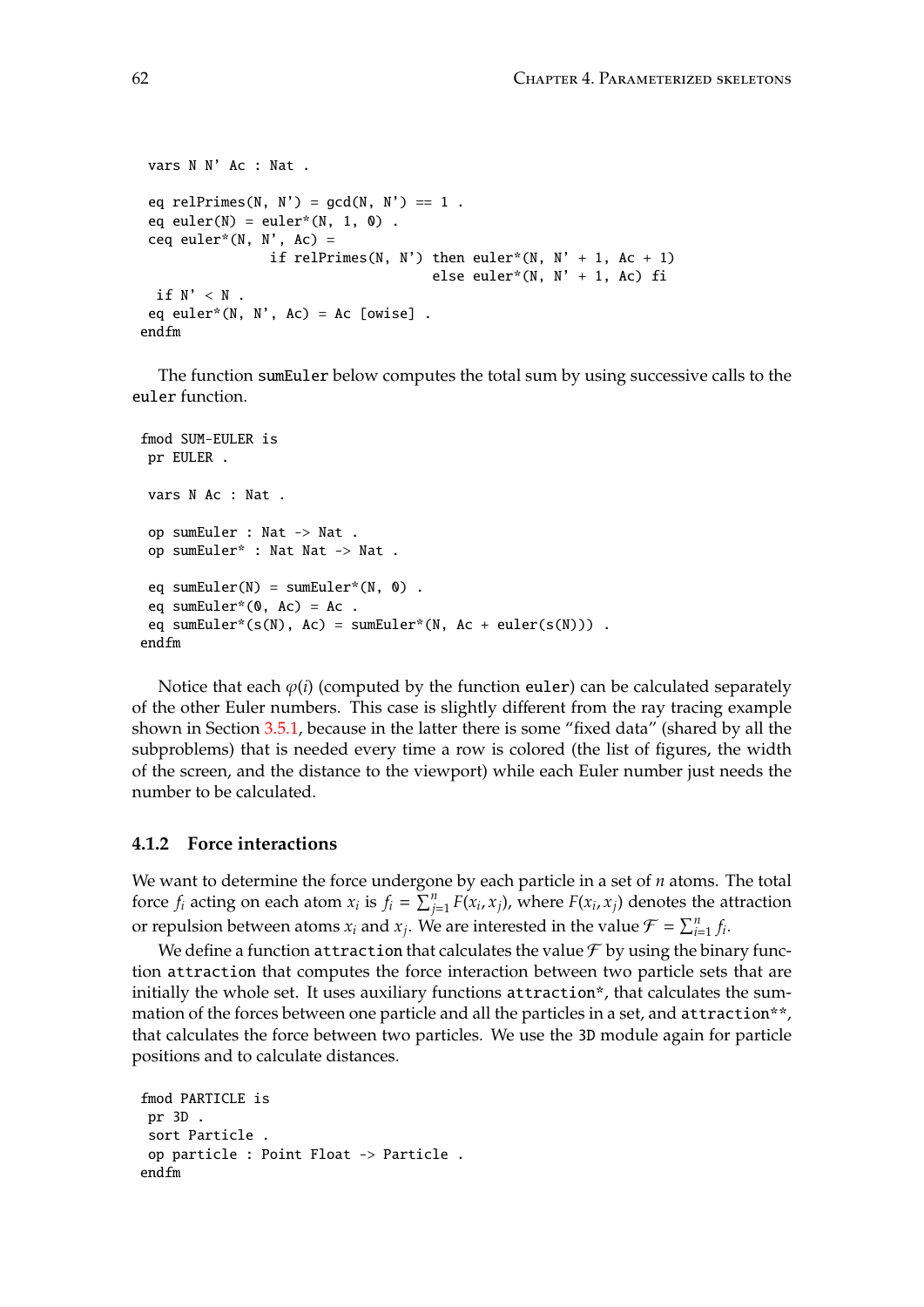```
vars N N' Ac : Nat .
 eq relPrimes(N, N') = gcd(N, N') == 1.
 eq euler(N) = euler*(N, 1, 0) .
 ceq euler*(N, N', Ac) =
                if relPrimes(N, N') then euler*(N, N' + 1, Ac + 1)
                                    else euler*(N, N' + 1, Ac) fi
 if N' < N .
eq euler*(N, N', Ac) = Ac [owise].
endfm
```
The function sumEuler below computes the total sum by using successive calls to the euler function.

```
fmod SUM-EULER is
pr EULER .
vars N Ac : Nat .
op sumEuler : Nat -> Nat .
op sumEuler* : Nat Nat -> Nat .
 eq sumEuler(N) = sumEuler*(N, \theta).
 eq sumEuler*(0, Ac) = Ac.
eq sumEuler*(s(N), Ac) = sumEuler*(N, Ac + euler(s(N))) .
endfm
```
Notice that each  $\varphi(i)$  (computed by the function euler) can be calculated separately of the other Euler numbers. This case is slightly different from the ray tracing example shown in Section [3.5.1,](#page-52-0) because in the latter there is some "fixed data" (shared by all the subproblems) that is needed every time a row is colored (the list of figures, the width of the screen, and the distance to the viewport) while each Euler number just needs the number to be calculated.

### **4.1.2 Force interactions**

We want to determine the force undergone by each particle in a set of *n* atoms. The total force  $f_i$  acting on each atom  $x_i$  is  $f_i = \sum_{j=1}^n F(x_i, x_j)$ , where  $F(x_i, x_j)$  denotes the attraction or repulsion between atoms  $x_i$  and  $x_j$ . We are interested in the value  $\mathcal{F} = \sum_{i=1}^n f_i$ .

We define a function attraction that calculates the value  $\mathcal F$  by using the binary function attraction that computes the force interaction between two particle sets that are initially the whole set. It uses auxiliary functions attraction\*, that calculates the summation of the forces between one particle and all the particles in a set, and attraction\*\*, that calculates the force between two particles. We use the 3D module again for particle positions and to calculate distances.

```
fmod PARTICLE is
pr 3D .
sort Particle .
op particle : Point Float -> Particle .
endfm
```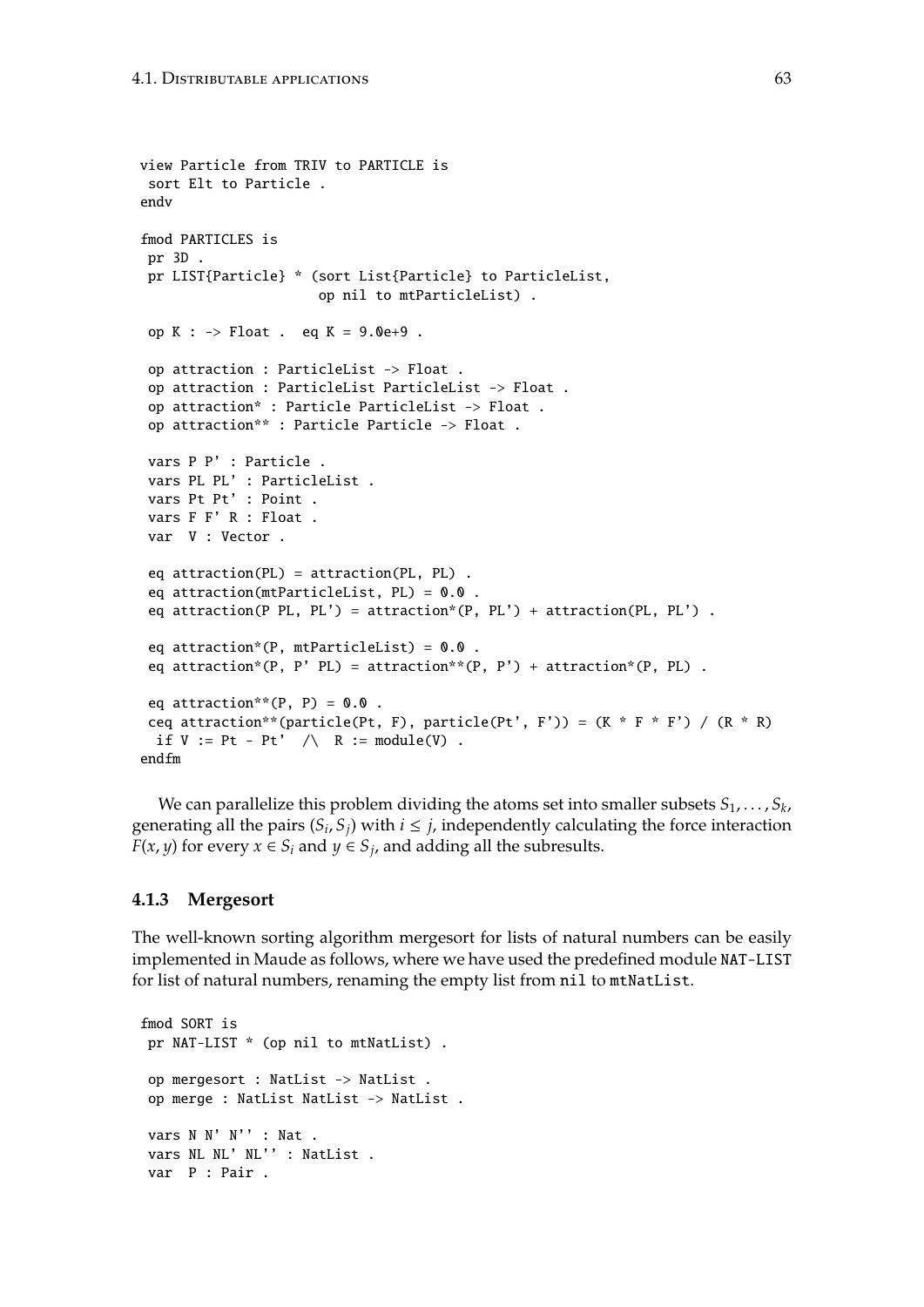```
view Particle from TRIV to PARTICLE is
 sort Elt to Particle .
endv
fmod PARTICLES is
 pr 3D .
 pr LIST{Particle} * (sort List{Particle} to ParticleList,
                      op nil to mtParticleList) .
 op K : \rightarrow Float . eq K = 9.0e+9.
 op attraction : ParticleList -> Float .
 op attraction : ParticleList ParticleList -> Float .
 op attraction* : Particle ParticleList -> Float .
 op attraction** : Particle Particle -> Float .
 vars P P' : Particle .
 vars PL PL' : ParticleList .
 vars Pt Pt' : Point .
 vars F F' R : Float .
 var V : Vector .
 eq attraction(PL) = attraction(PL, PL) .
 eq attraction(mtParticleList, PL) = 0.0 .
 eq attraction(P PL, PL') = attraction*(P, PL') + attraction(PL, PL') .
 eq attraction*(P, mtParticleList) = 0.0.
 eq attraction*(P, P' PL) = attraction**(P, P') + attraction*(P, PL) .
 eq attraction**(P, P) = 0.0.
 ceq attraction**(particle(Pt, F), particle(Pt', F')) = (K * F * F') / (R * R)if V := Pt - Pt' / \wedge R := module(V).
endfm
```
We can parallelize this problem dividing the atoms set into smaller subsets  $S_1, \ldots, S_k$ , generating all the pairs  $(S_i, S_j)$  with  $i \leq j$ , independently calculating the force interaction *F*(*x*, *y*) for every *x*  $\in$  *S*<sub>*i*</sub> and *y*  $\in$  *S*<sub>*j*</sub>, and adding all the subresults.

### **4.1.3 Mergesort**

The well-known sorting algorithm mergesort for lists of natural numbers can be easily implemented in Maude as follows, where we have used the predefined module NAT-LIST for list of natural numbers, renaming the empty list from nil to mtNatList.

```
fmod SORT is
pr NAT-LIST * (op nil to mtNatList) .
op mergesort : NatList -> NatList .
op merge : NatList NatList -> NatList .
vars N N' N'' : Nat .
vars NL NL' NL'' : NatList .
var P : Pair .
```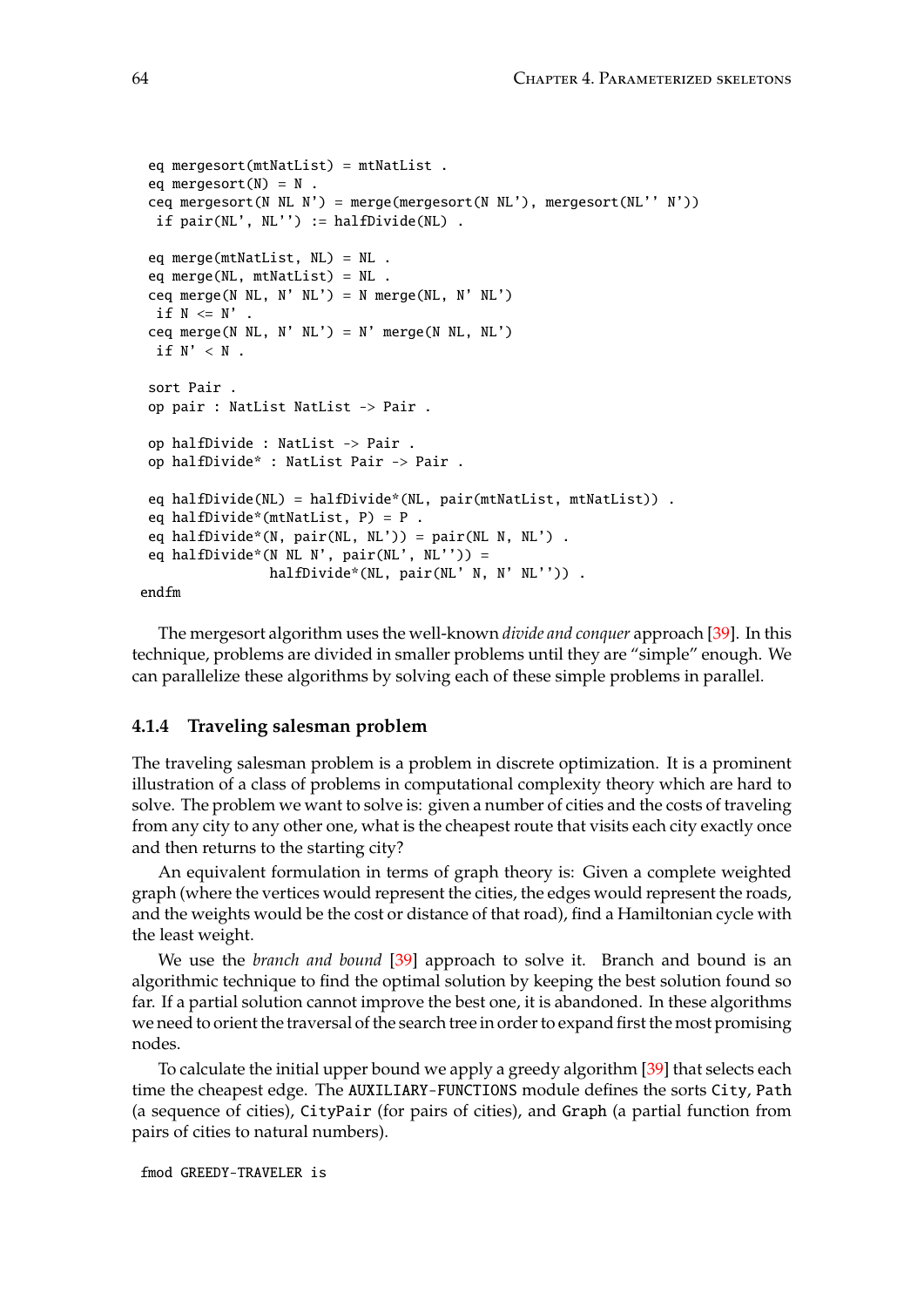```
eq mergesort(mtNatList) = mtNatList .
 eq mergesort(N) = N.
 ceq mergesort(N NL N') = merge(mergesort(N NL'), mergesort(NL'' N'))
 if pair(NL', NL'') := halfDivide(NL).
 eq merge(mtNatList, NL) = NL .
 eq merge(NL, mtNatList) = NL .
 ceq merge(N NL, N' NL') = N merge(NL, N' NL')
 if N \leq N'.
 ceq merge(N NL, N' NL') = N' merge(N NL, NL')
 if N' < N .
 sort Pair .
 op pair : NatList NatList -> Pair .
 op halfDivide : NatList -> Pair .
 op halfDivide* : NatList Pair -> Pair .
 eq halfDivide(NL) = halfDivide*(NL, pair(mtNatList, mtNatList)) .
 eq halfDivide*(mtNatList, P) = P .
 eq halfDivide*(N, pair(NL, NL')) = pair(NL N, NL').
 eq halfDivide*(N N L N', pair(N L', NL'')) =halfDivide*(NL, pair(NL' N, N' NL'')) .
endfm
```
The mergesort algorithm uses the well-known *divide and conquer* approach [\[39\]](#page-185-0). In this technique, problems are divided in smaller problems until they are "simple" enough. We can parallelize these algorithms by solving each of these simple problems in parallel.

### **4.1.4 Traveling salesman problem**

The traveling salesman problem is a problem in discrete optimization. It is a prominent illustration of a class of problems in computational complexity theory which are hard to solve. The problem we want to solve is: given a number of cities and the costs of traveling from any city to any other one, what is the cheapest route that visits each city exactly once and then returns to the starting city?

An equivalent formulation in terms of graph theory is: Given a complete weighted graph (where the vertices would represent the cities, the edges would represent the roads, and the weights would be the cost or distance of that road), find a Hamiltonian cycle with the least weight.

We use the *branch and bound* [\[39\]](#page-185-0) approach to solve it. Branch and bound is an algorithmic technique to find the optimal solution by keeping the best solution found so far. If a partial solution cannot improve the best one, it is abandoned. In these algorithms we need to orient the traversal of the search tree in order to expand first the most promising nodes.

To calculate the initial upper bound we apply a greedy algorithm [\[39\]](#page-185-0) that selects each time the cheapest edge. The AUXILIARY-FUNCTIONS module defines the sorts City, Path (a sequence of cities), CityPair (for pairs of cities), and Graph (a partial function from pairs of cities to natural numbers).

fmod GREEDY-TRAVELER is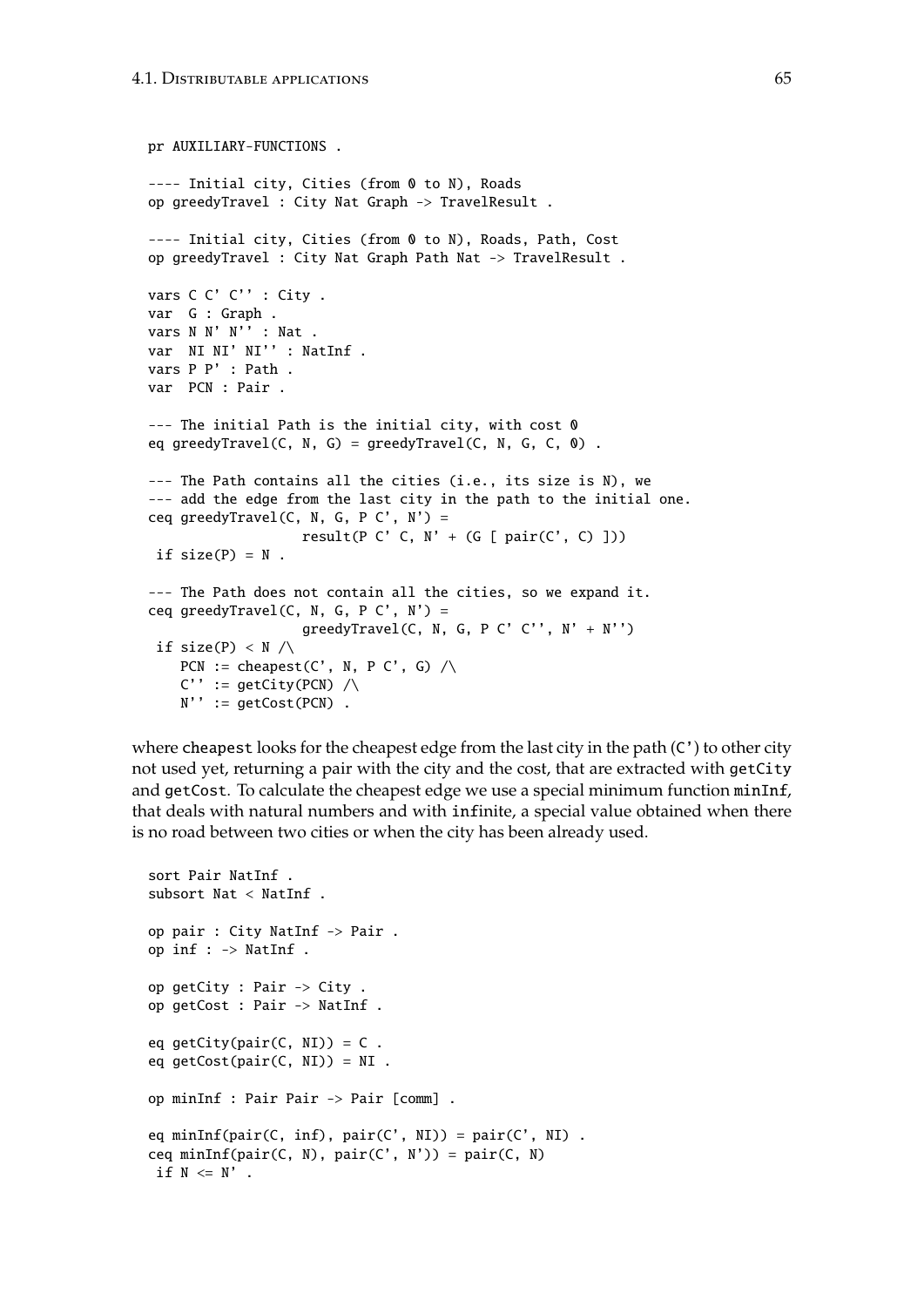```
pr AUXILIARY-FUNCTIONS .
---- Initial city, Cities (from 0 to N), Roads
op greedyTravel : City Nat Graph -> TravelResult .
---- Initial city, Cities (from 0 to N), Roads, Path, Cost
op greedyTravel : City Nat Graph Path Nat -> TravelResult .
vars C C' C'' : City .
var G : Graph .
vars N N' N'' : Nat .
var NI NI' NI'' : NatInf .
vars P P' : Path .
var PCN : Pair .
--- The initial Path is the initial city, with cost 0
eq greedyTravel(C, N, G) = greedyTravel(C, N, G, C, 0).
--- The Path contains all the cities (i.e., its size is N), we
--- add the edge from the last city in the path to the initial one.
ceq greedyTravel(C, N, G, P C', N') =
                   result(P C' C, N' + (G [ pair(C', C) ]))
 if size(P) = N.
--- The Path does not contain all the cities, so we expand it.
ceq greedyTravel(C, N, G, P C', N') =
                   greedyTravel(C, N, G, P C' C'', N' + N'')
 if size(P) \langle N \ranglePCN := cheapest(C', N, P C', G) \wedgeC' := getCity(PCN) /\
   N'' := getCost(PCN) .
```
where cheapest looks for the cheapest edge from the last city in the path  $(C')$  to other city not used yet, returning a pair with the city and the cost, that are extracted with getCity and getCost. To calculate the cheapest edge we use a special minimum function minInf, that deals with natural numbers and with infinite, a special value obtained when there is no road between two cities or when the city has been already used.

```
sort Pair NatInf .
subsort Nat < NatInf .
op pair : City NatInf -> Pair .
op inf : -> NatInf .
op getCity : Pair -> City .
op getCost : Pair -> NatInf .
eq getCity(pair(C, NI)) = C.
eq getCost(pair(C, NI)) = NI.
op minInf : Pair Pair -> Pair [comm] .
eq minInf(pair(C, inf), pair(C', NI)) = pair(C', NI).
ceq minInf(pair(C, N), pair(C', N')) = pair(C, N)
if N \leq N' .
```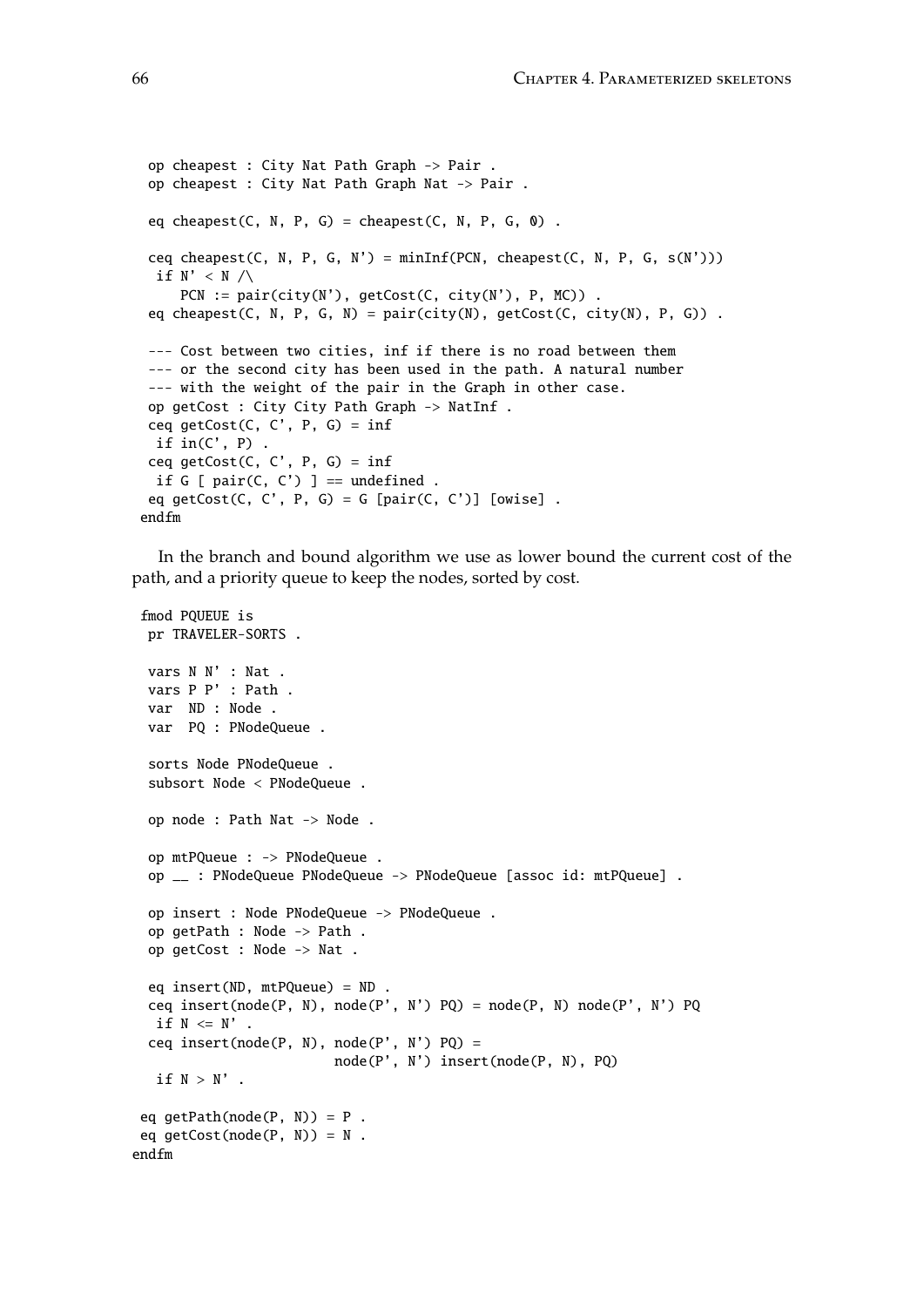```
op cheapest : City Nat Path Graph -> Pair .
 op cheapest : City Nat Path Graph Nat -> Pair .
 eq cheapest(C, N, P, G) = cheapest(C, N, P, G, 0) .
 ceq cheapest(C, N, P, G, N') = minInf(PCN, cheapest(C, N, P, G, s(N')))if N' < N / \backslashPCN := pair(city(N'), getCost(C, city(N'), P, MC)).
 eq cheapest(C, N, P, G, N) = pair(city(N), getCost(C, city(N), P, G)) .
 --- Cost between two cities, inf if there is no road between them
 --- or the second city has been used in the path. A natural number
 --- with the weight of the pair in the Graph in other case.
 op getCost : City City Path Graph -> NatInf .
 ceq getCost(C, C', P, G) = infif in(C', P)ceq getCost(C, C', P, G) = infif G [ pair(C, C') ] == undefined.
 eq getCost(C, C', P, G) = G [pair(C, C')] [owise] .
endfm
```
In the branch and bound algorithm we use as lower bound the current cost of the path, and a priority queue to keep the nodes, sorted by cost.

```
fmod PQUEUE is
 pr TRAVELER-SORTS .
 vars N N' : Nat .
 vars P P' : Path .
 var ND : Node .
 var PQ : PNodeQueue .
 sorts Node PNodeQueue .
 subsort Node < PNodeQueue .
 op node : Path Nat -> Node .
 op mtPQueue : -> PNodeQueue .
 op __ : PNodeQueue PNodeQueue -> PNodeQueue [assoc id: mtPQueue] .
 op insert : Node PNodeQueue -> PNodeQueue .
 op getPath : Node -> Path .
 op getCost : Node -> Nat .
 eq insert(ND, mtPQueue) = ND .
 ceq insert(node(P, N), node(P', N') PQ) = node(P, N) node(P', N') PQif N \leq N' .
 ceq insert(node(P, N), node(P', N') PQ) =
                         node(P', N') insert(node(P, N), PQ)
  if N > N' .
eq getPath(node(P, N)) = P.
eq getCost(node(P, N)) = N.
endfm
```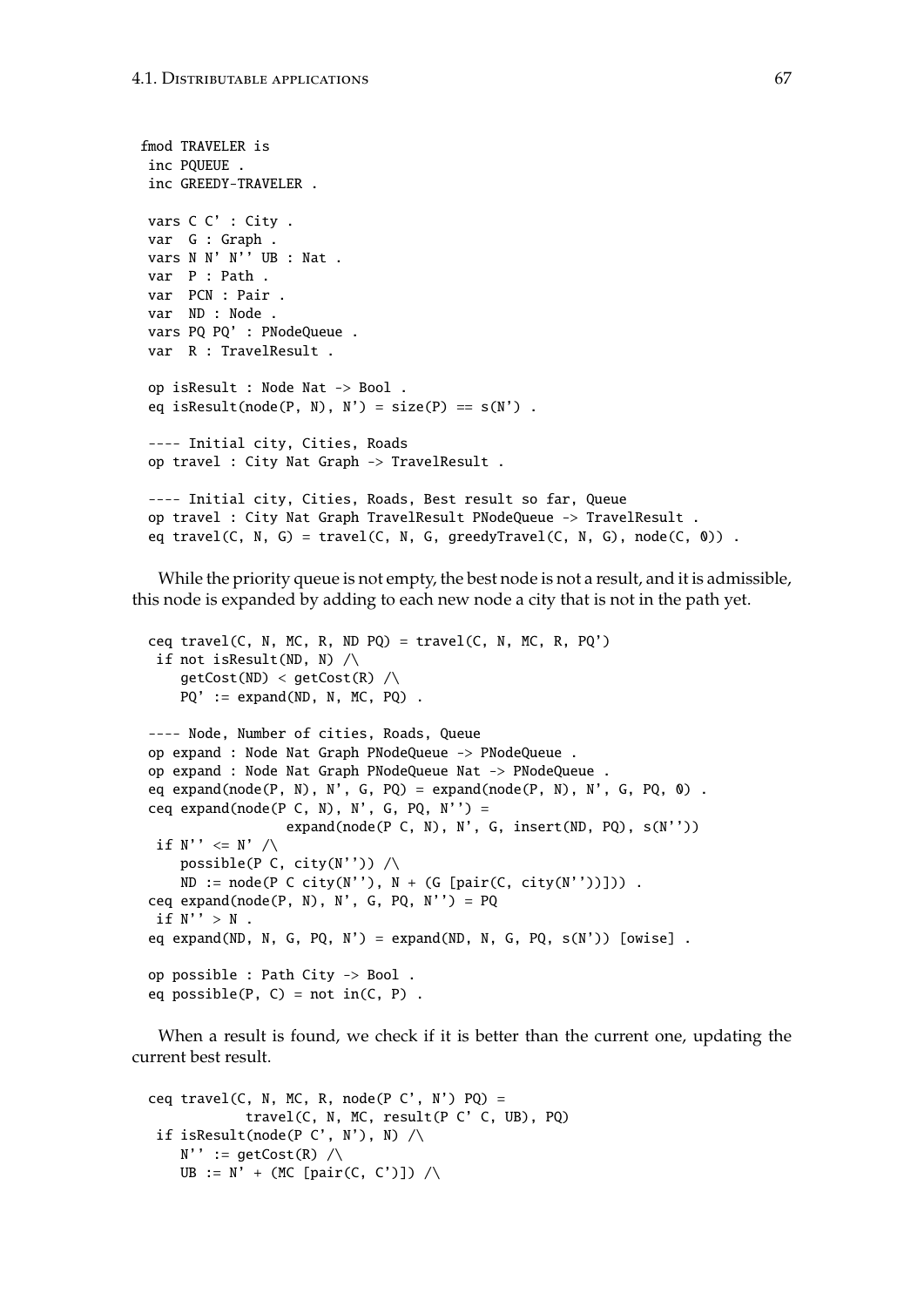```
fmod TRAVELER is
inc PQUEUE .
 inc GREEDY-TRAVELER .
vars C C' : City .
var G : Graph .
vars N N' N'' UB : Nat .
var P : Path .
 var PCN : Pair .
 var ND : Node .
vars PQ PQ' : PNodeQueue .
var R : TravelResult .
 op isResult : Node Nat -> Bool .
 eq isResult(node(P, N), N') = size(P) == S(N').
 ---- Initial city, Cities, Roads
 op travel : City Nat Graph -> TravelResult .
 ---- Initial city, Cities, Roads, Best result so far, Queue
 op travel : City Nat Graph TravelResult PNodeQueue -> TravelResult .
 eq travel(C, N, G) = travel(C, N, G, greedyTravel(C, N, G), node(C, 0)) .
```
While the priority queue is not empty, the best node is not a result, and it is admissible, this node is expanded by adding to each new node a city that is not in the path yet.

```
ceq travel(C, N, MC, R, ND PQ) = travel(C, N, MC, R, PQ')
 if not isResult(ND, N) /\
    getCost(ND) < getCost(R) / \langlePQ' := expand(ND, N, MC, PQ).
---- Node, Number of cities, Roads, Queue
op expand : Node Nat Graph PNodeQueue -> PNodeQueue .
op expand : Node Nat Graph PNodeQueue Nat -> PNodeQueue .
eq expand(node(P, N), N', G, PQ) = expand(node(P, N), N', G, PQ, 0).
ceq expand(node(P C, N), N', G, PQ, N'') =
                 expand(node(P \subset N, N), N', G, insert(ND, PQ), S(N''))
if N'' \leq N' /\
   possible(P C, city(N'')) \wedgeND := node(P \ C \ city(N''), N + (G [pair(C, city(N''))])).
ceq expand(node(P, N), N', G, PQ, N'') = PQ
if N'' > N.
eq expand(ND, N, G, PQ, N') = expand(ND, N, G, PQ, s(N')) [owise].
op possible : Path City -> Bool .
eq possible(P, C) = not in(C, P) .
```
When a result is found, we check if it is better than the current one, updating the current best result.

```
ceq travel(C, N, MC, R, node(P C', N') PQ) =
            travel(C, N, MC, result(P C' C, UB), PQ)
 if isResult(node(P C', N'), N) \wedgeN' := getCost(R) /\
   UB := N' + (MC [pair(C, C')]) /\
```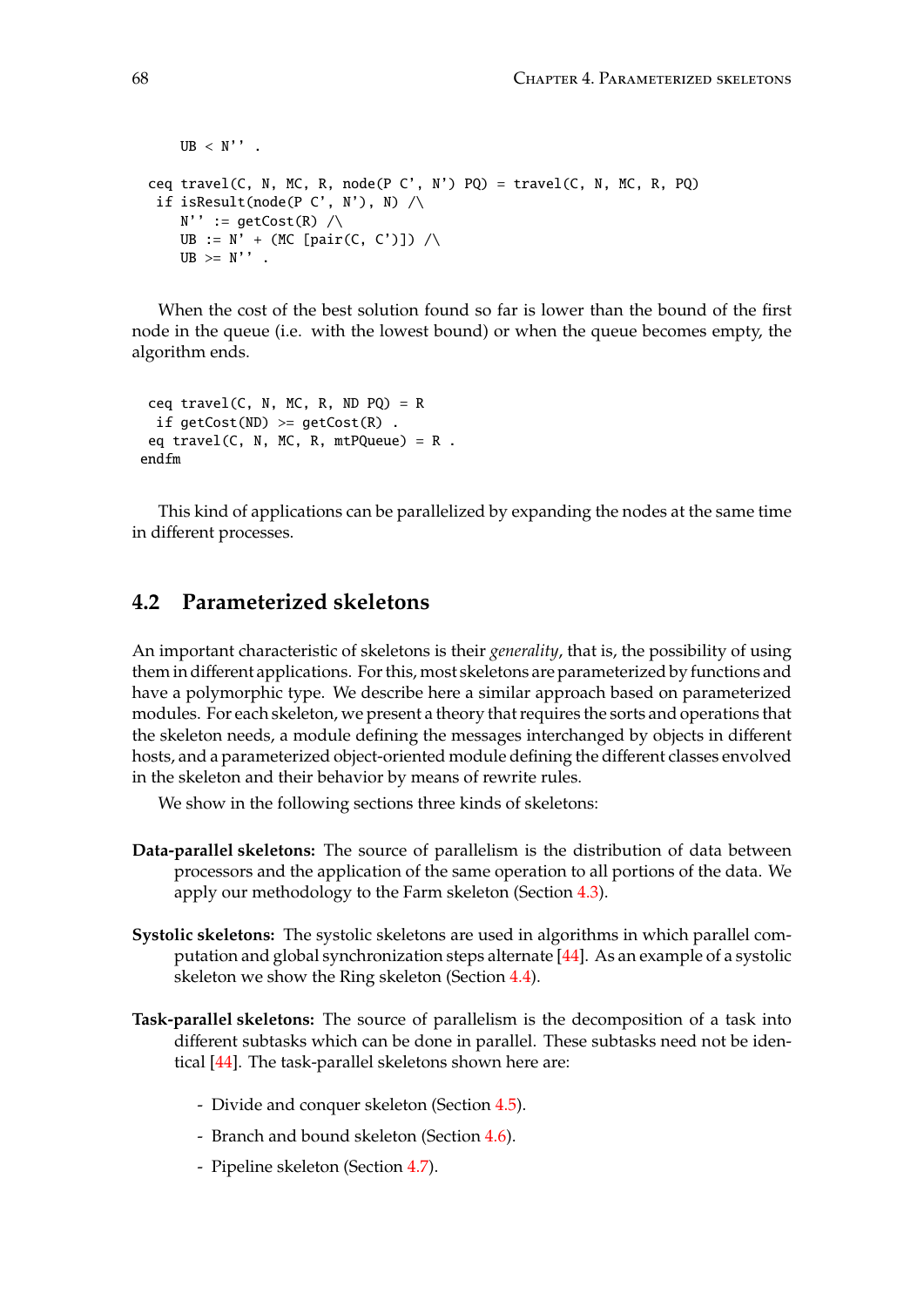```
UB < N''.
ceq travel(C, N, MC, R, node(P C', N') PQ) = travel(C, N, MC, R, PQ)
if isResult(node(P C', N'), N) \wedgeN'' := getCost(R) /\rangleUB := N' + (MC [pair(C, C')]) / \sqrt{2}UB \geq N'.
```
When the cost of the best solution found so far is lower than the bound of the first node in the queue (i.e. with the lowest bound) or when the queue becomes empty, the algorithm ends.

```
ceq travel(C, N, MC, R, ND PQ) = R
 if getCost(ND) \geq getCost(R).
 eq travel(C, N, MC, R, mtPQueue) = R.
endfm
```
This kind of applications can be parallelized by expanding the nodes at the same time in different processes.

## **4.2 Parameterized skeletons**

An important characteristic of skeletons is their *generality*, that is, the possibility of using them in different applications. For this, most skeletons are parameterized by functions and have a polymorphic type. We describe here a similar approach based on parameterized modules. For each skeleton, we present a theory that requires the sorts and operations that the skeleton needs, a module defining the messages interchanged by objects in different hosts, and a parameterized object-oriented module defining the different classes envolved in the skeleton and their behavior by means of rewrite rules.

We show in the following sections three kinds of skeletons:

- **Data-parallel skeletons:** The source of parallelism is the distribution of data between processors and the application of the same operation to all portions of the data. We apply our methodology to the Farm skeleton (Section [4.3\)](#page-68-0).
- **Systolic skeletons:** The systolic skeletons are used in algorithms in which parallel computation and global synchronization steps alternate [\[44\]](#page-185-1). As an example of a systolic skeleton we show the Ring skeleton (Section [4.4\)](#page-76-0).
- **Task-parallel skeletons:** The source of parallelism is the decomposition of a task into different subtasks which can be done in parallel. These subtasks need not be identical [\[44\]](#page-185-1). The task-parallel skeletons shown here are:
	- Divide and conquer skeleton (Section [4.5\)](#page-83-0).
	- Branch and bound skeleton (Section [4.6\)](#page-91-0).
	- Pipeline skeleton (Section [4.7\)](#page-101-0).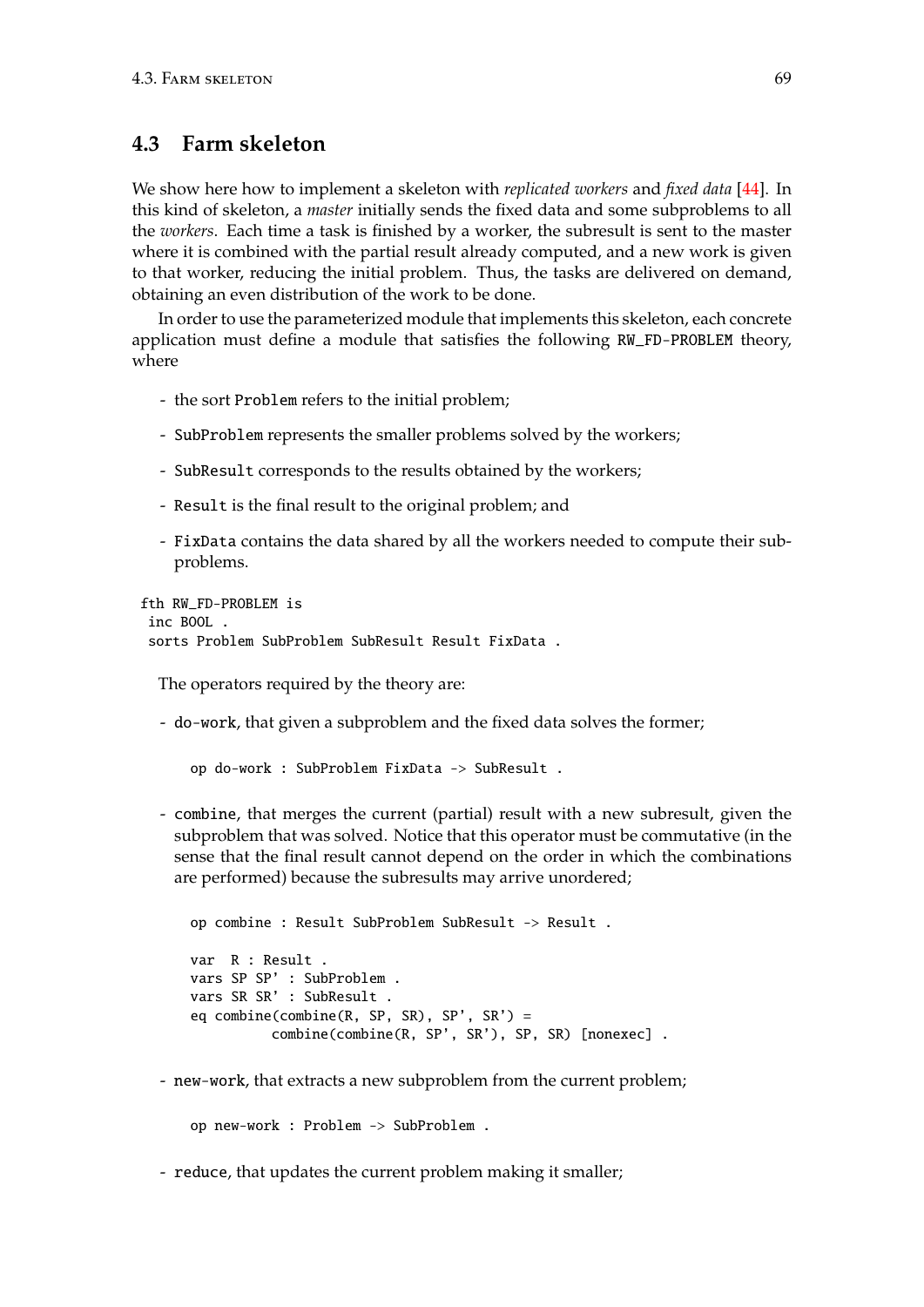## <span id="page-68-0"></span>**4.3 Farm skeleton**

We show here how to implement a skeleton with *replicated workers* and *fixed data* [\[44\]](#page-185-1). In this kind of skeleton, a *master* initially sends the fixed data and some subproblems to all the *workers*. Each time a task is finished by a worker, the subresult is sent to the master where it is combined with the partial result already computed, and a new work is given to that worker, reducing the initial problem. Thus, the tasks are delivered on demand, obtaining an even distribution of the work to be done.

In order to use the parameterized module that implements this skeleton, each concrete application must define a module that satisfies the following RW\_FD-PROBLEM theory, where

- the sort Problem refers to the initial problem;
- SubProblem represents the smaller problems solved by the workers;
- SubResult corresponds to the results obtained by the workers;
- Result is the final result to the original problem; and
- FixData contains the data shared by all the workers needed to compute their subproblems.

```
fth RW_FD-PROBLEM is
 inc BOOL .
 sorts Problem SubProblem SubResult Result FixData .
```
The operators required by the theory are:

- do-work, that given a subproblem and the fixed data solves the former;

```
op do-work : SubProblem FixData -> SubResult .
```
- combine, that merges the current (partial) result with a new subresult, given the subproblem that was solved. Notice that this operator must be commutative (in the sense that the final result cannot depend on the order in which the combinations are performed) because the subresults may arrive unordered;

```
op combine : Result SubProblem SubResult -> Result .
var R : Result .
vars SP SP' : SubProblem .
vars SR SR' : SubResult .
eq combine(combine(R, SP, SR), SP', SR') =
          combine(combine(R, SP', SR'), SP, SR) [nonexec] .
```
- new-work, that extracts a new subproblem from the current problem;

op new-work : Problem -> SubProblem .

- reduce, that updates the current problem making it smaller;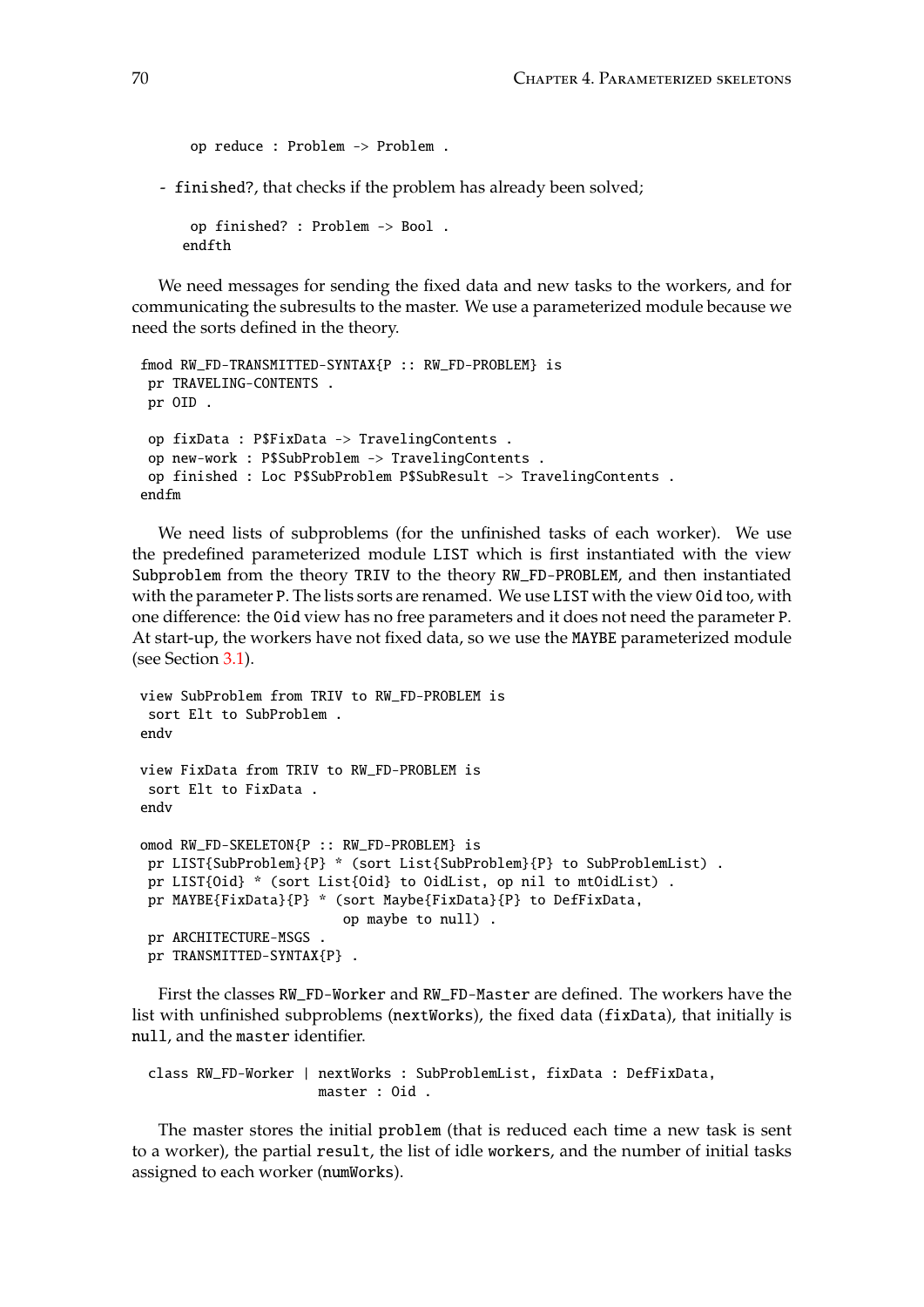```
op reduce : Problem -> Problem .
```
- finished?, that checks if the problem has already been solved;

```
op finished? : Problem -> Bool .
endfth
```
We need messages for sending the fixed data and new tasks to the workers, and for communicating the subresults to the master. We use a parameterized module because we need the sorts defined in the theory.

```
fmod RW_FD-TRANSMITTED-SYNTAX{P :: RW_FD-PROBLEM} is
pr TRAVELING-CONTENTS .
pr OID .
op fixData : P$FixData -> TravelingContents .
 op new-work : P$SubProblem -> TravelingContents .
op finished : Loc P$SubProblem P$SubResult -> TravelingContents .
endfm
```
We need lists of subproblems (for the unfinished tasks of each worker). We use the predefined parameterized module LIST which is first instantiated with the view Subproblem from the theory TRIV to the theory RW\_FD-PROBLEM, and then instantiated with the parameter P. The lists sorts are renamed. We use LIST with the view Oid too, with one difference: the Oid view has no free parameters and it does not need the parameter P. At start-up, the workers have not fixed data, so we use the MAYBE parameterized module (see Section [3.1\)](#page-38-1).

```
view SubProblem from TRIV to RW_FD-PROBLEM is
 sort Elt to SubProblem .
endv
view FixData from TRIV to RW_FD-PROBLEM is
 sort Elt to FixData .
endv
omod RW_FD-SKELETON{P :: RW_FD-PROBLEM} is
 pr LIST{SubProblem}{P} * (sort List{SubProblem}{P} to SubProblemList) .
 pr LIST{Oid} * (sort List{Oid} to OidList, op nil to mtOidList) .
 pr MAYBE{FixData}{P} * (sort Maybe{FixData}{P} to DefFixData,
                         op maybe to null) .
 pr ARCHITECTURE-MSGS .
 pr TRANSMITTED-SYNTAX{P} .
```
First the classes RW\_FD-Worker and RW\_FD-Master are defined. The workers have the list with unfinished subproblems (nextWorks), the fixed data (fixData), that initially is null, and the master identifier.

```
class RW_FD-Worker | nextWorks : SubProblemList, fixData : DefFixData,
                     master : Oid .
```
The master stores the initial problem (that is reduced each time a new task is sent to a worker), the partial result, the list of idle workers, and the number of initial tasks assigned to each worker (numWorks).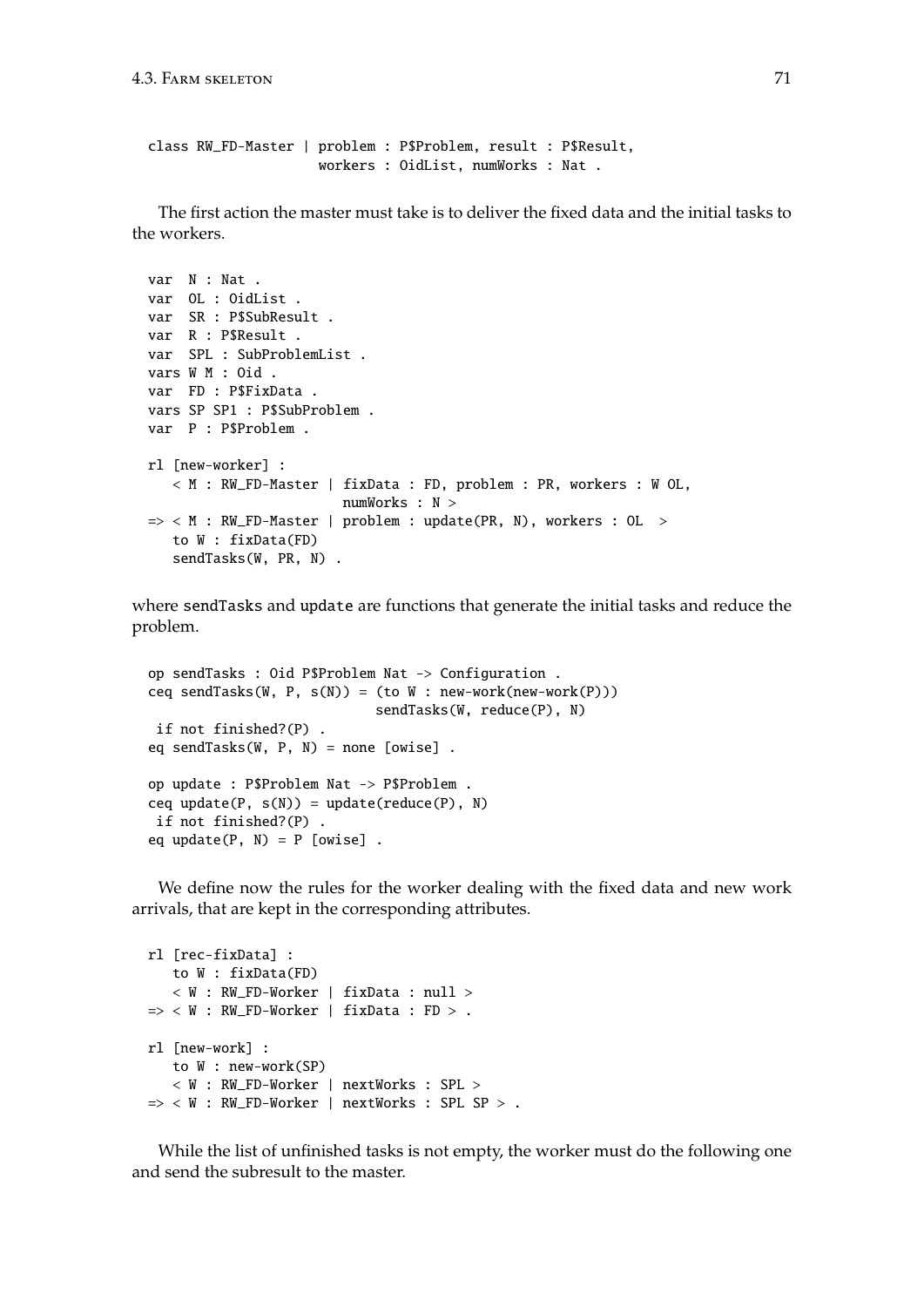```
class RW_FD-Master | problem : P$Problem, result : P$Result,
                     workers : OidList, numWorks : Nat .
```
The first action the master must take is to deliver the fixed data and the initial tasks to the workers.

```
var N : Nat .
var OL : OidList .
var SR : P$SubResult .
var R : P$Result .
var SPL : SubProblemList .
vars W M : Oid .
var FD : P$FixData .
vars SP SP1 : P$SubProblem .
var P : P$Problem .
rl [new-worker] :
   < M : RW_FD-Master | fixData : FD, problem : PR, workers : W OL,
                        numWorks : N >
\Rightarrow < M : RW_FD-Master | problem : update(PR, N), workers : OL >
   to W : fixData(FD)
   sendTasks(W, PR, N) .
```
where sendTasks and update are functions that generate the initial tasks and reduce the problem.

```
op sendTasks : Oid P$Problem Nat -> Configuration .
ceq sendTasks(W, P, s(N)) = (to W : new-work(new-work(P)))
                            sendTasks(W, reduce(P), N)
 if not finished?(P) .
eq sendTasks(W, P, N) = none [owise] .
op update : P$Problem Nat -> P$Problem .
ceq update(P, s(N)) = update(reduce(P), N)
if not finished?(P) .
eq update(P, N) = P [owise].
```
We define now the rules for the worker dealing with the fixed data and new work arrivals, that are kept in the corresponding attributes.

```
rl [rec-fixData] :
  to W : fixData(FD)
   < W : RW_FD-Worker | fixData : null >
\Rightarrow < W : RW_FD-Worker | fixData : FD > .
rl [new-work] :
   to W : new-work(SP)
   < W : RW_FD-Worker | nextWorks : SPL >
\Rightarrow < W : RW_FD-Worker | nextWorks : SPL SP > .
```
While the list of unfinished tasks is not empty, the worker must do the following one and send the subresult to the master.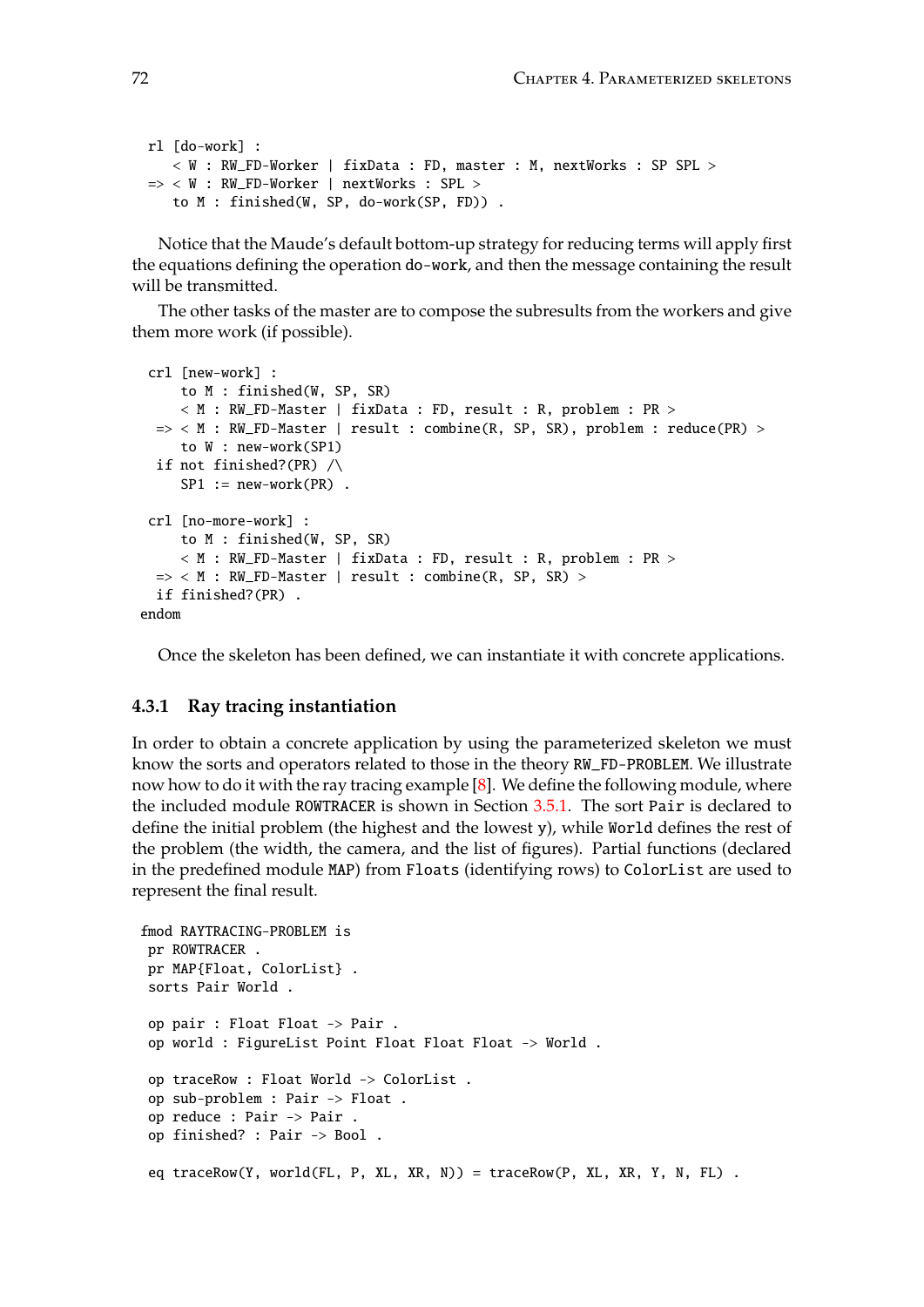```
rl [do-work] :
   \langle W : RW_FD-Worker | fixData : FD, master : M, nextWorks : SP SPL >
=> < W : RW_FD-Worker | nextWorks : SPL >
   to M : finished(W, SP, do-work(SP, FD)) .
```
Notice that the Maude's default bottom-up strategy for reducing terms will apply first the equations defining the operation do-work, and then the message containing the result will be transmitted.

The other tasks of the master are to compose the subresults from the workers and give them more work (if possible).

```
crl [new-work] :
     to M : finished(W, SP, SR)
     < M : RW_FD-Master | fixData : FD, result : R, problem : PR >
 => < M : RW_FD-Master | result : combine(R, SP, SR), problem : reduce(PR) >
    to W : new-work(SP1)
 if not finished?(PR) /\
    SP1 := new-word(PR).
 crl [no-more-work] :
    to M : finished(W, SP, SR)
     < M : RW_FD-Master | fixData : FD, result : R, problem : PR >
 \Rightarrow < M : RW_FD-Master | result : combine(R, SP, SR) >
 if finished?(PR) .
endom
```
Once the skeleton has been defined, we can instantiate it with concrete applications.

### **4.3.1 Ray tracing instantiation**

In order to obtain a concrete application by using the parameterized skeleton we must know the sorts and operators related to those in the theory RW\_FD-PROBLEM. We illustrate now how to do it with the ray tracing example  $[8]$ . We define the following module, where the included module ROWTRACER is shown in Section [3.5.1.](#page-52-0) The sort Pair is declared to define the initial problem (the highest and the lowest y), while World defines the rest of the problem (the width, the camera, and the list of figures). Partial functions (declared in the predefined module MAP) from Floats (identifying rows) to ColorList are used to represent the final result.

```
fmod RAYTRACING-PROBLEM is
pr ROWTRACER .
pr MAP{Float, ColorList} .
sorts Pair World .
op pair : Float Float -> Pair .
op world : FigureList Point Float Float Float -> World .
op traceRow : Float World -> ColorList .
op sub-problem : Pair -> Float .
op reduce : Pair -> Pair .
 op finished? : Pair -> Bool .
 eq traceRow(Y, world(FL, P, XL, XR, N)) = traceRow(P, XL, XR, Y, N, FL) .
```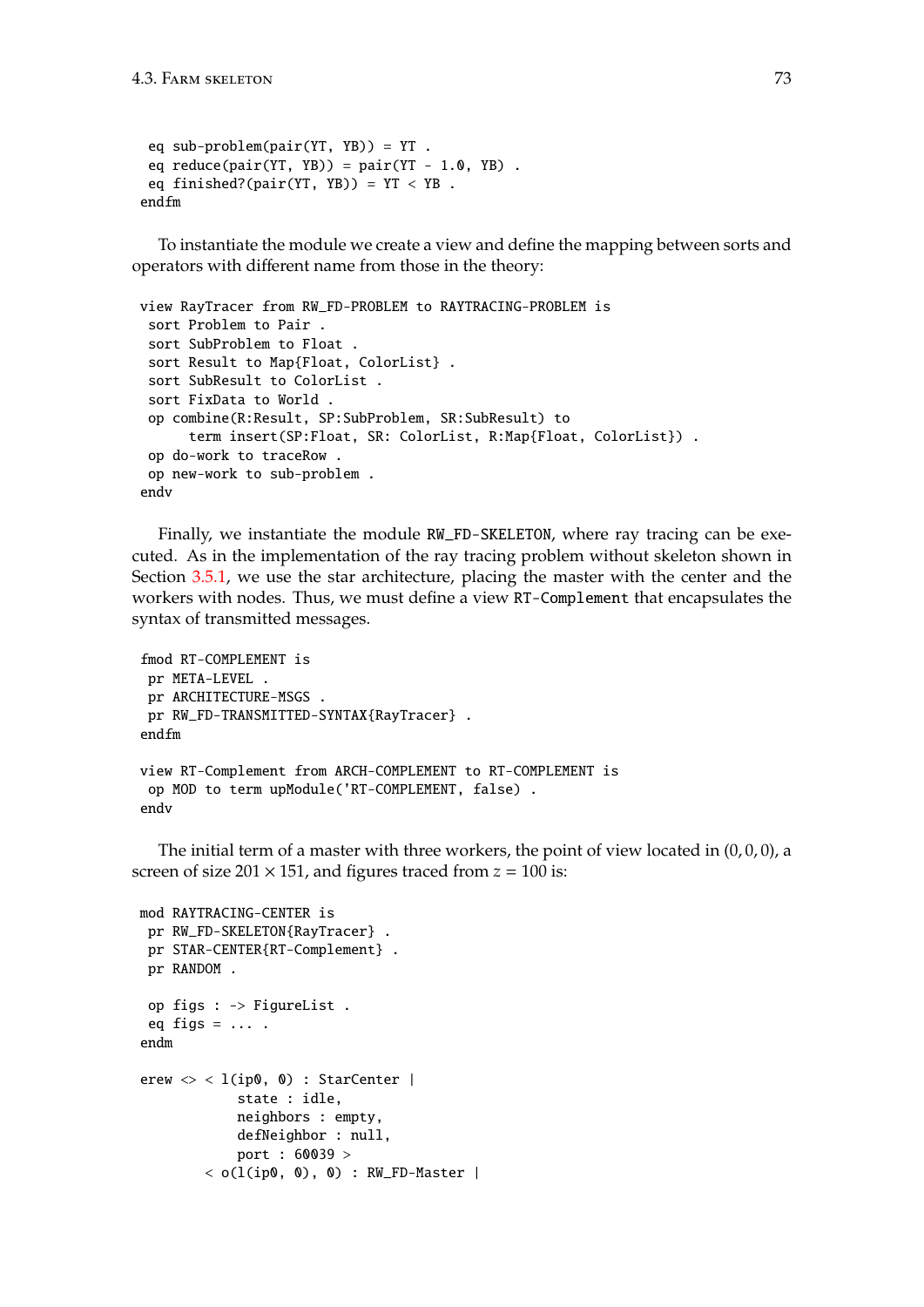```
eq sub-problem(pair(YT, YB)) = YT .
 eq reduce(pair(YT, YB)) = pair(YT - 1.0, YB).
 eq finished?(pair(YT, YB)) = YT < YB.
endfm
```
To instantiate the module we create a view and define the mapping between sorts and operators with different name from those in the theory:

```
view RayTracer from RW_FD-PROBLEM to RAYTRACING-PROBLEM is
 sort Problem to Pair .
 sort SubProblem to Float .
 sort Result to Map{Float, ColorList} .
 sort SubResult to ColorList .
 sort FixData to World .
 op combine(R:Result, SP:SubProblem, SR:SubResult) to
      term insert(SP:Float, SR: ColorList, R:Map{Float, ColorList}) .
 op do-work to traceRow .
 op new-work to sub-problem .
endv
```
Finally, we instantiate the module RW\_FD-SKELETON, where ray tracing can be executed. As in the implementation of the ray tracing problem without skeleton shown in Section [3.5.1,](#page-52-0) we use the star architecture, placing the master with the center and the workers with nodes. Thus, we must define a view RT-Complement that encapsulates the syntax of transmitted messages.

```
fmod RT-COMPLEMENT is
 pr META-LEVEL .
 pr ARCHITECTURE-MSGS .
pr RW_FD-TRANSMITTED-SYNTAX{RayTracer} .
endfm
view RT-Complement from ARCH-COMPLEMENT to RT-COMPLEMENT is
 op MOD to term upModule('RT-COMPLEMENT, false) .
endv
```
The initial term of a master with three workers, the point of view located in  $(0,0,0)$ , a screen of size  $201 \times 151$ , and figures traced from  $z = 100$  is:

```
mod RAYTRACING-CENTER is
 pr RW_FD-SKELETON{RayTracer} .
 pr STAR-CENTER{RT-Complement} .
 pr RANDOM .
 op figs : -> FigureList .
 eq figs = \ldots.
endm
erew \langle \rangle < l(ip0, 0) : StarCenter |
              state : idle,
             neighbors : empty,
              defNeighbor : null,
              port : 60039 >
         < o(l(ip\emptyset, \emptyset), \emptyset) : RW_FD-Master |
```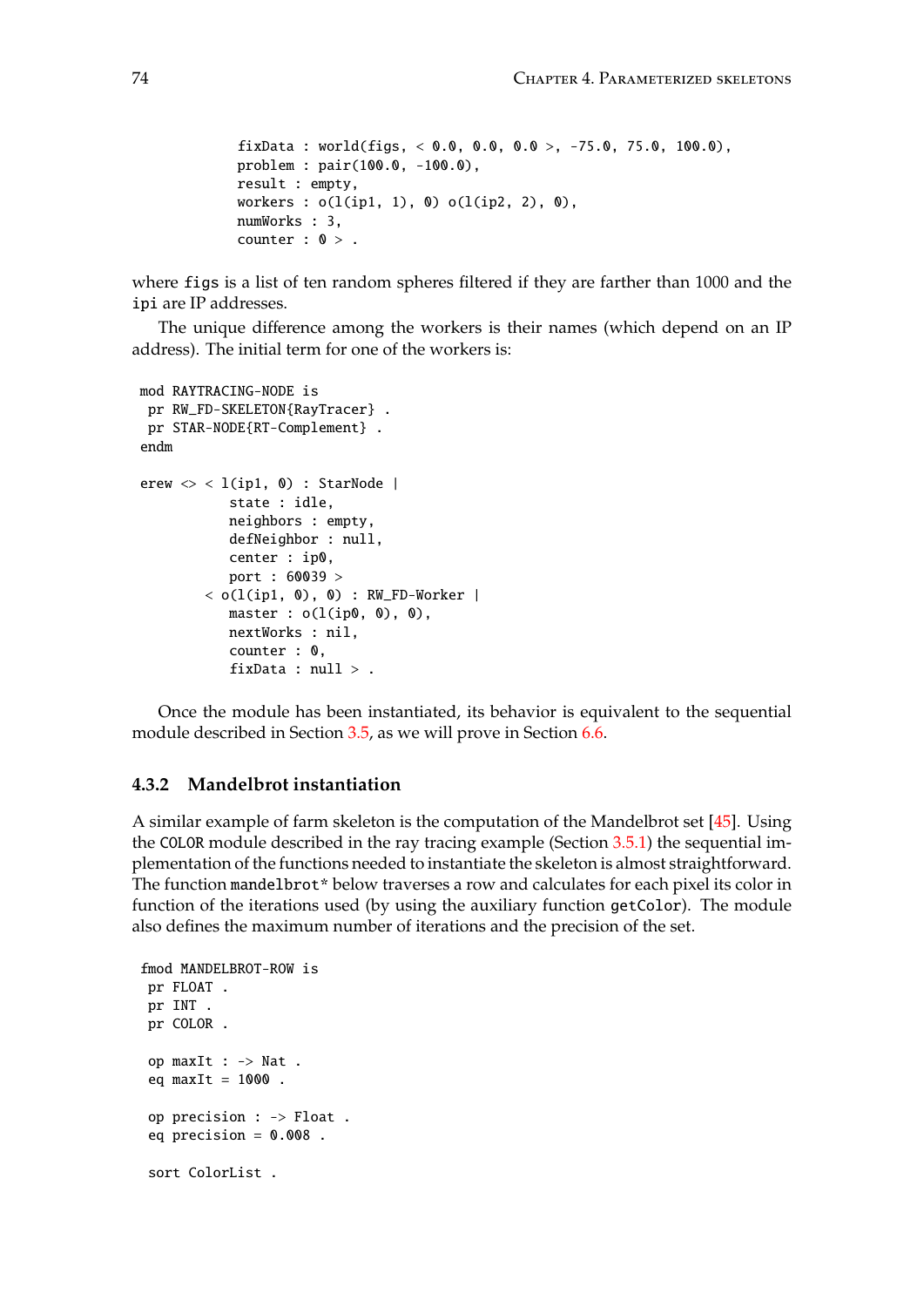```
fixData : world(figs, < 0.0, 0.0, 0.0 >, -75.0, 75.0, 100.0),
problem : pair(100.0, -100.0),
result : empty,
workers : o(l(ip1, 1), 0) o(l(ip2, 2), 0),numWorks : 3,
counter : 0 >.
```
where figs is a list of ten random spheres filtered if they are farther than 1000 and the ipi are IP addresses.

The unique difference among the workers is their names (which depend on an IP address). The initial term for one of the workers is:

```
mod RAYTRACING-NODE is
 pr RW_FD-SKELETON{RayTracer} .
pr STAR-NODE{RT-Complement} .
endm
erew \langle \rangle < l(ip1, 0) : StarNode |
           state : idle,
           neighbors : empty,
           defNeighbor : null,
           center : ip0,
           port : 60039 >
        < o(1(ip1, 0), 0) : RW_FD-Worker |
           master : o(l(ip0, 0), 0),nextWorks : nil,
           counter : 0,
           fixData : null > .
```
Once the module has been instantiated, its behavior is equivalent to the sequential module described in Section [3.5,](#page-51-0) as we will prove in Section [6.6.](#page-170-0)

### **4.3.2 Mandelbrot instantiation**

A similar example of farm skeleton is the computation of the Mandelbrot set [\[45\]](#page-185-0). Using the COLOR module described in the ray tracing example (Section [3.5.1\)](#page-52-0) the sequential implementation of the functions needed to instantiate the skeleton is almost straightforward. The function mandelbrot\* below traverses a row and calculates for each pixel its color in function of the iterations used (by using the auxiliary function getColor). The module also defines the maximum number of iterations and the precision of the set.

```
fmod MANDELBROT-ROW is
pr FLOAT .
pr INT .
pr COLOR .
op maxIt : -> Nat .
eq maxIt = 1000.
op precision : -> Float .
 eq precision = 0.008.
sort ColorList .
```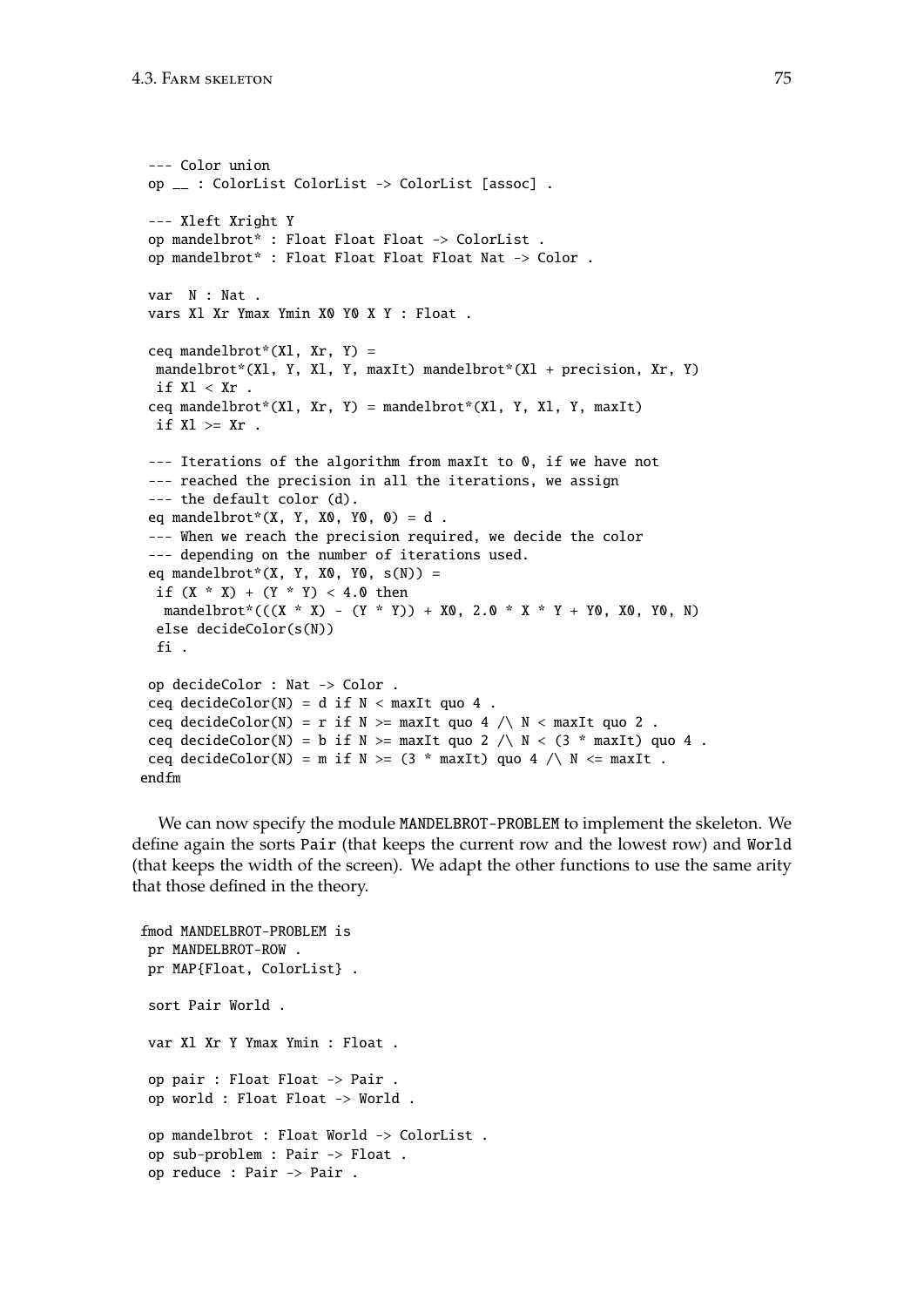```
--- Color union
op __ : ColorList ColorList -> ColorList [assoc] .
--- Xleft Xright Y
op mandelbrot* : Float Float Float -> ColorList .
 op mandelbrot* : Float Float Float Float Nat -> Color .
 var N : Nat .
 vars Xl Xr Ymax Ymin X0 Y0 X Y : Float .
 ceq mandelbrot*(Xl, Xr, Y) =mandelbrot*(Xl, Y, Xl, Y, maxIt) mandelbrot*(Xl + precision, Xr, Y)
 if Xl < Xr.
 ceq mandelbrot*(Xl, Xr, Y) = mandelbrot*(Xl, Y, Xl, Y, maxIt)
 if Xl >= Xr .
 --- Iterations of the algorithm from maxIt to 0, if we have not
 --- reached the precision in all the iterations, we assign
 --- the default color (d).
 eq mandelbrot*(X, Y, X0, Y0, 0) = d.
 --- When we reach the precision required, we decide the color
 --- depending on the number of iterations used.
 eq mandelbrot*(X, Y, X0, Y0, s(N)) =
 if (X * X) + (Y * Y) < 4.0 then
  mandelbrot^*(( (X * X) - (Y * Y)) + X0, 2.0 * X * Y + Y0, X0, Y0, N)else decideColor(s(N))
 fi .
 op decideColor : Nat -> Color .
 ceq decideColor(N) = d if N < maxIt quo 4.
 ceq decideColor(N) = r if N >= maxIt quo 4 /\ N < maxIt quo 2.
 ceq decideColor(N) = b if N >= maxIt quo 2 / \ N < (3 * maxIt) quo 4.
 ceq decideColor(N) = m if N >= (3 * maxIt) quo 4 \wedge N <= maxIt.
endfm
```
We can now specify the module MANDELBROT-PROBLEM to implement the skeleton. We define again the sorts Pair (that keeps the current row and the lowest row) and World (that keeps the width of the screen). We adapt the other functions to use the same arity that those defined in the theory.

```
fmod MANDELBROT-PROBLEM is
pr MANDELBROT-ROW .
pr MAP{Float, ColorList} .
sort Pair World .
var Xl Xr Y Ymax Ymin : Float .
op pair : Float Float -> Pair .
op world : Float Float -> World .
 op mandelbrot : Float World -> ColorList .
 op sub-problem : Pair -> Float .
op reduce : Pair -> Pair .
```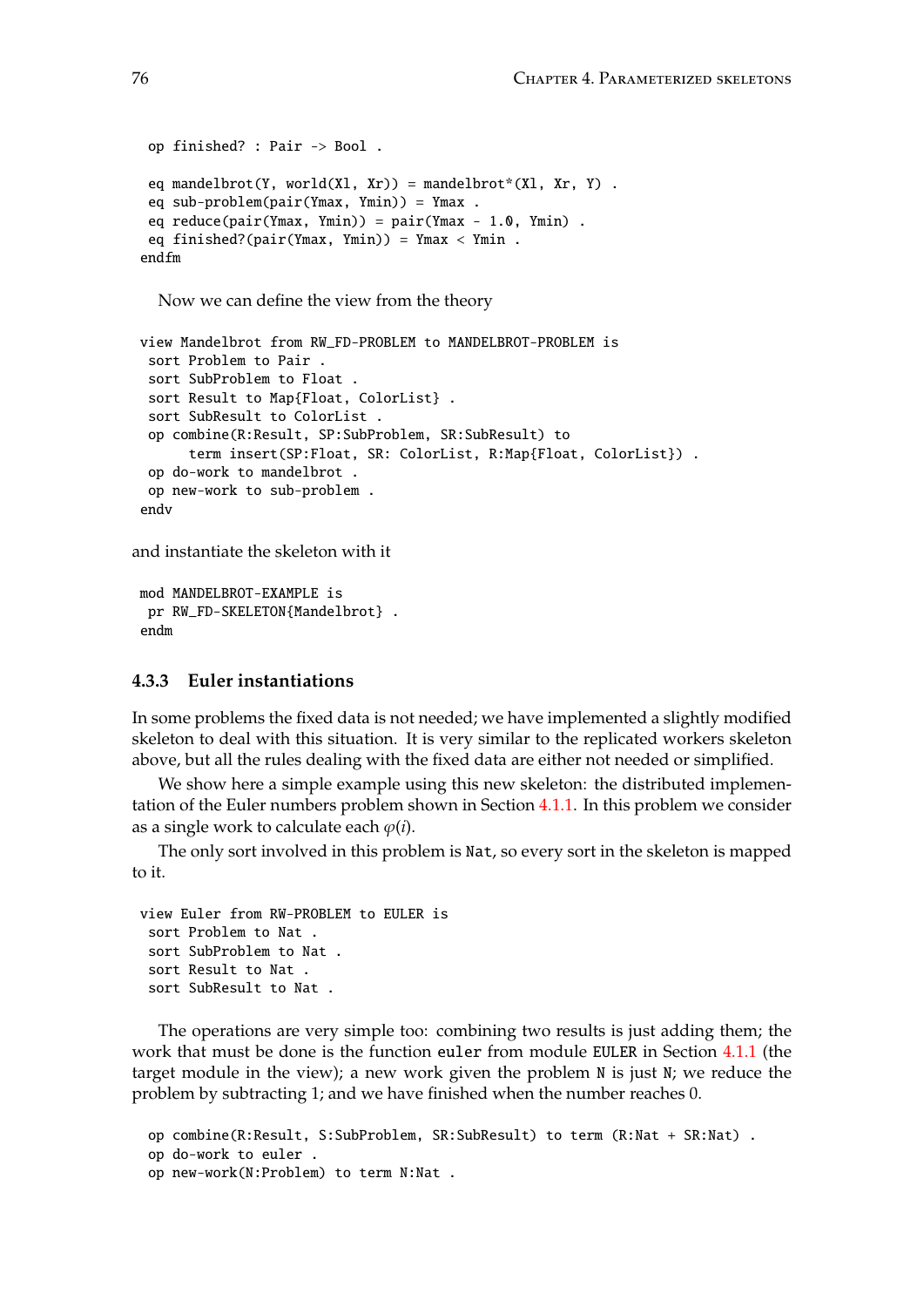```
op finished? : Pair -> Bool .
 eq mandelbrot(Y, world(Xl, Xr)) = mandelbrot*(Xl, Xr, Y) .
 eq sub-problem(pair(Ymax, Ymin)) = Ymax .
 eq reduce(pair(Ymax, Ymin)) = pair(Ymax - 1.0, Ymin).
 eq finished?(pair(Ymax, Ymin)) = Ymax < Ymin.
endfm
```
Now we can define the view from the theory

```
view Mandelbrot from RW_FD-PROBLEM to MANDELBROT-PROBLEM is
 sort Problem to Pair .
 sort SubProblem to Float .
 sort Result to Map{Float, ColorList} .
 sort SubResult to ColorList .
 op combine(R:Result, SP:SubProblem, SR:SubResult) to
      term insert(SP:Float, SR: ColorList, R:Map{Float, ColorList}) .
 op do-work to mandelbrot .
 op new-work to sub-problem .
endv
```
and instantiate the skeleton with it

```
mod MANDELBROT-EXAMPLE is
pr RW_FD-SKELETON{Mandelbrot} .
endm
```
### **4.3.3 Euler instantiations**

In some problems the fixed data is not needed; we have implemented a slightly modified skeleton to deal with this situation. It is very similar to the replicated workers skeleton above, but all the rules dealing with the fixed data are either not needed or simplified.

We show here a simple example using this new skeleton: the distributed implementation of the Euler numbers problem shown in Section [4.1.1.](#page-60-0) In this problem we consider as a single work to calculate each  $\varphi(i)$ .

The only sort involved in this problem is Nat, so every sort in the skeleton is mapped to it.

```
view Euler from RW-PROBLEM to EULER is
 sort Problem to Nat .
 sort SubProblem to Nat .
 sort Result to Nat .
 sort SubResult to Nat .
```
The operations are very simple too: combining two results is just adding them; the work that must be done is the function euler from module EULER in Section [4.1.1](#page-60-0) (the target module in the view); a new work given the problem N is just N; we reduce the problem by subtracting 1; and we have finished when the number reaches 0.

```
op combine(R:Result, S:SubProblem, SR:SubResult) to term (R:Nat + SR:Nat) .
op do-work to euler .
op new-work(N:Problem) to term N:Nat .
```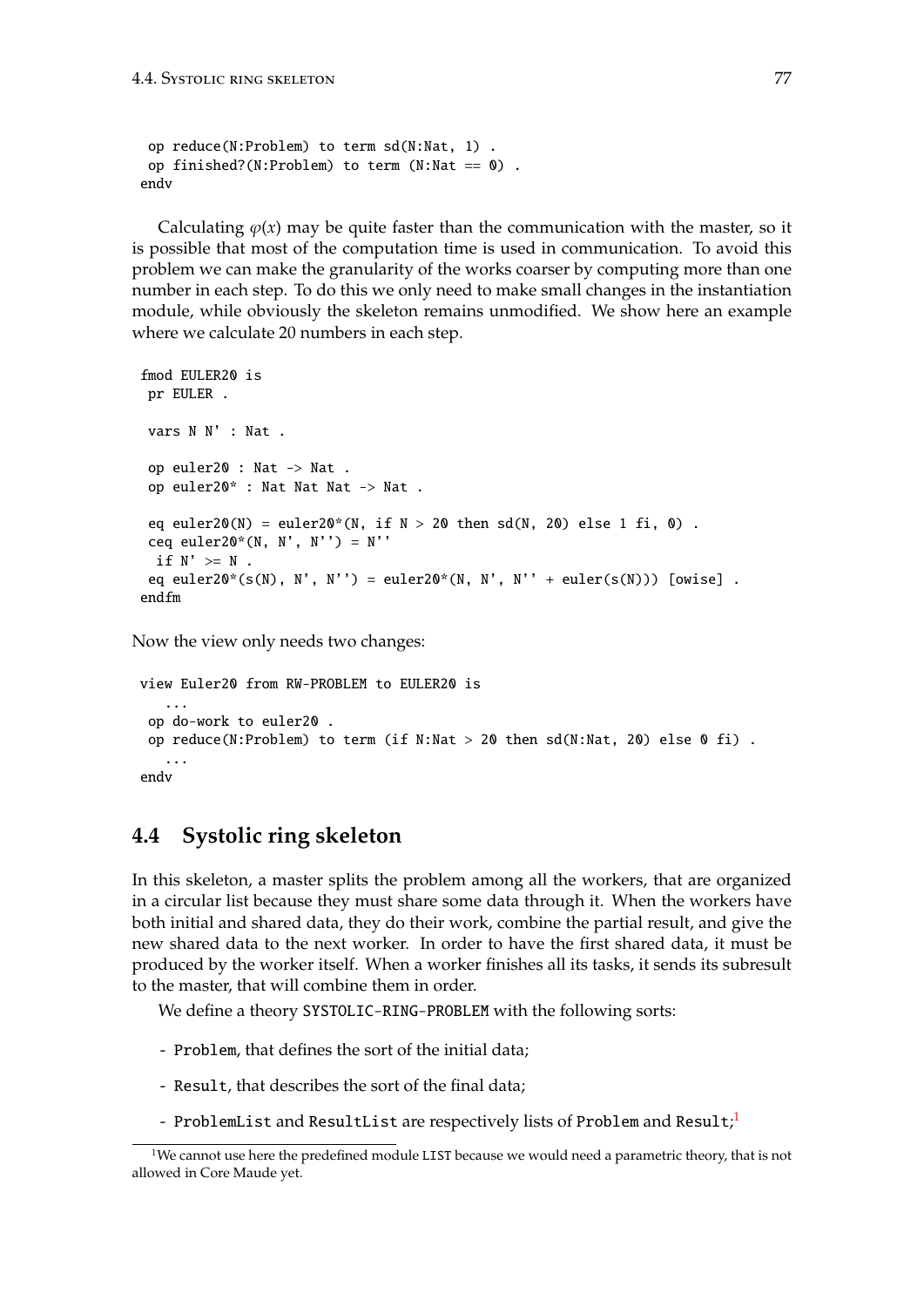```
op reduce(N:Problem) to term sd(N:Nat, 1) .
op finished?(N:Problem) to term (N:Nat == 0).
endv
```
Calculating  $\varphi(x)$  may be quite faster than the communication with the master, so it is possible that most of the computation time is used in communication. To avoid this problem we can make the granularity of the works coarser by computing more than one number in each step. To do this we only need to make small changes in the instantiation module, while obviously the skeleton remains unmodified. We show here an example where we calculate 20 numbers in each step.

```
fmod EULER20 is
pr EULER .
vars N N' : Nat .
op euler20 : Nat -> Nat .
 op euler20* : Nat Nat Nat -> Nat .
 eq euler20(N) = euler20*(N, if N > 20 then sd(N, 20) else 1 fi, 0).
 ceq euler20*(N, N', N'') = N''
 if N' > = N.
eq euler20*(s(N), N', N'') = euler20*(N, N', N'' + euler(s(N))) [owise].
endfm
```
Now the view only needs two changes:

```
view Euler20 from RW-PROBLEM to EULER20 is
   ...
 op do-work to euler20 .
 op reduce(N:Problem) to term (if N:Nat > 20 then sd(N:Nat, 20) else 0 fi).
   ...
endv
```
# **4.4 Systolic ring skeleton**

In this skeleton, a master splits the problem among all the workers, that are organized in a circular list because they must share some data through it. When the workers have both initial and shared data, they do their work, combine the partial result, and give the new shared data to the next worker. In order to have the first shared data, it must be produced by the worker itself. When a worker finishes all its tasks, it sends its subresult to the master, that will combine them in order.

We define a theory SYSTOLIC-RING-PROBLEM with the following sorts:

- Problem, that defines the sort of the initial data;
- Result, that describes the sort of the final data;
- <code>ProblemList</code> and <code>ResultList</code> are respectively lists of <code>Problem</code> and <code>Result; $^{\rm l}$ </code>

<span id="page-76-0"></span> $1$ We cannot use here the predefined module LIST because we would need a parametric theory, that is not allowed in Core Maude yet.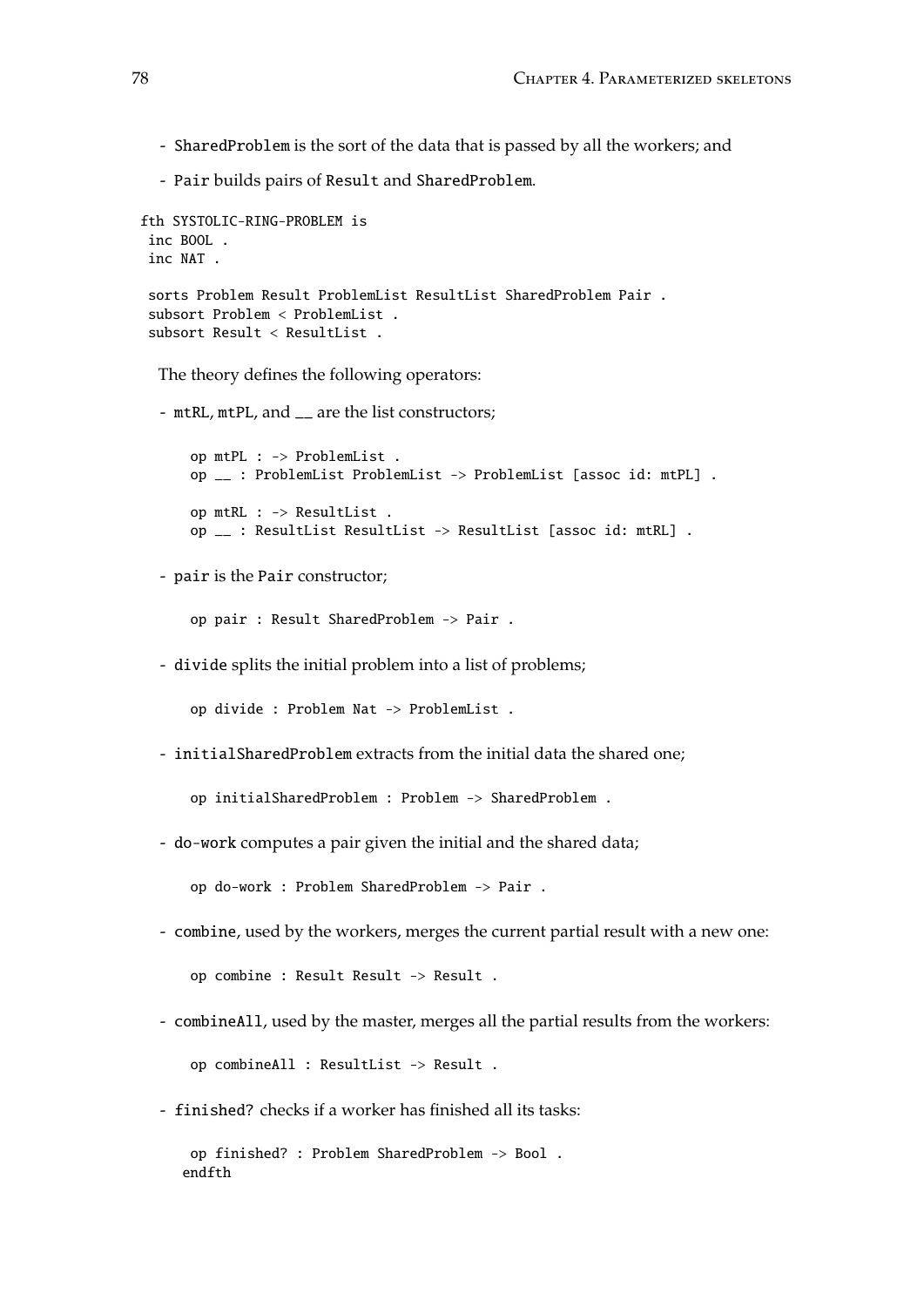- SharedProblem is the sort of the data that is passed by all the workers; and

- Pair builds pairs of Result and SharedProblem.

```
fth SYSTOLIC-RING-PROBLEM is
 inc BOOL .
 inc NAT .
 sorts Problem Result ProblemList ResultList SharedProblem Pair .
 subsort Problem < ProblemList .
 subsort Result < ResultList .
```
The theory defines the following operators:

- mtRL, mtPL, and \_\_ are the list constructors;

```
op mtPL : -> ProblemList .
op __ : ProblemList ProblemList -> ProblemList [assoc id: mtPL] .
op mtRL : -> ResultList .
op __ : ResultList ResultList -> ResultList [assoc id: mtRL] .
```
- pair is the Pair constructor;

op pair : Result SharedProblem -> Pair .

- divide splits the initial problem into a list of problems;

op divide : Problem Nat -> ProblemList .

- initialSharedProblem extracts from the initial data the shared one;

op initialSharedProblem : Problem -> SharedProblem .

- do-work computes a pair given the initial and the shared data;

op do-work : Problem SharedProblem -> Pair .

- combine, used by the workers, merges the current partial result with a new one:

op combine : Result Result -> Result .

- combineAll, used by the master, merges all the partial results from the workers:

op combineAll : ResultList -> Result .

- finished? checks if a worker has finished all its tasks:

```
op finished? : Problem SharedProblem -> Bool .
endfth
```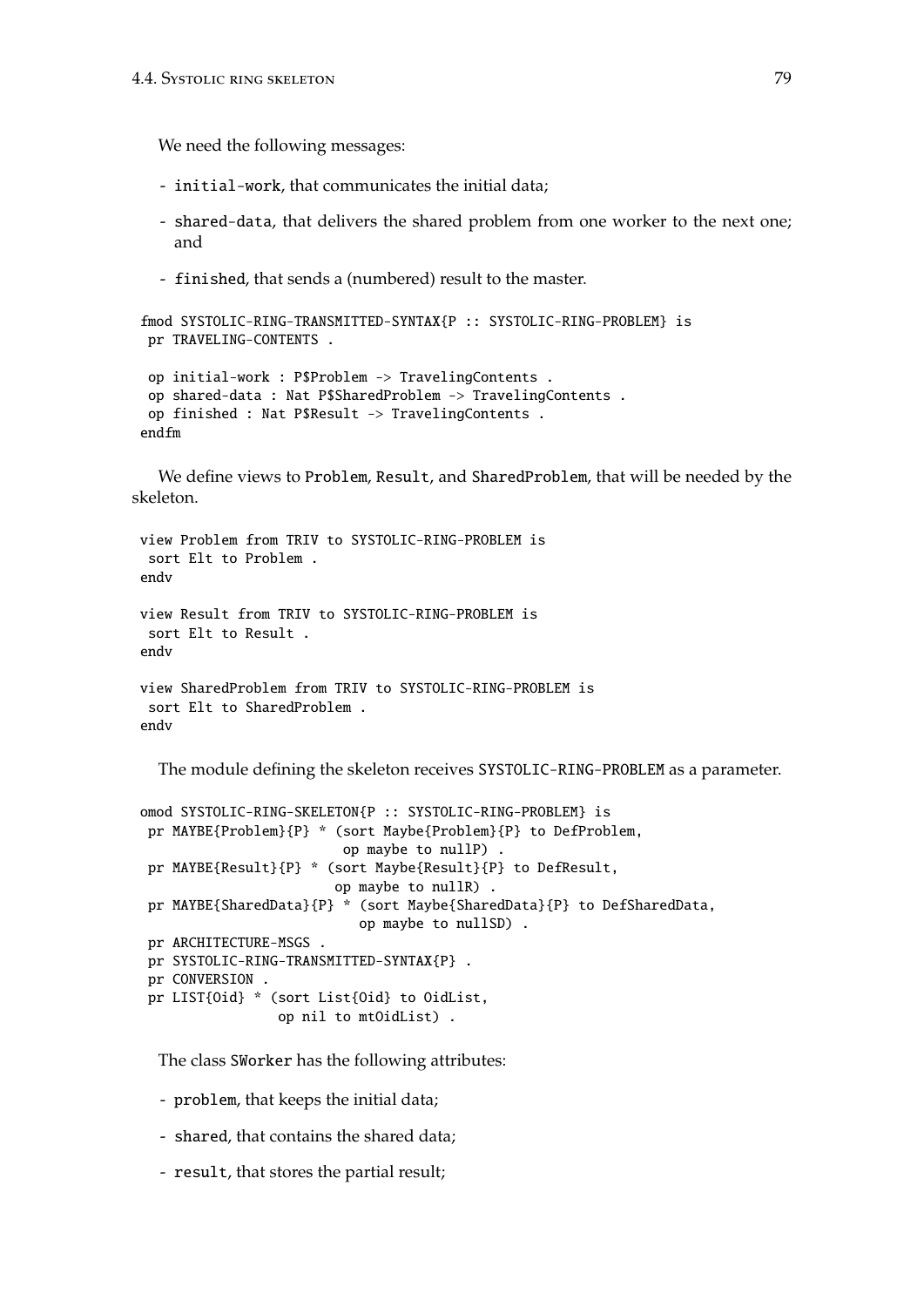We need the following messages:

- initial-work, that communicates the initial data;
- shared-data, that delivers the shared problem from one worker to the next one; and
- finished, that sends a (numbered) result to the master.

```
fmod SYSTOLIC-RING-TRANSMITTED-SYNTAX{P :: SYSTOLIC-RING-PROBLEM} is
pr TRAVELING-CONTENTS .
```

```
op initial-work : P$Problem -> TravelingContents .
 op shared-data : Nat P$SharedProblem -> TravelingContents .
op finished : Nat P$Result -> TravelingContents .
endfm
```
We define views to Problem, Result, and SharedProblem, that will be needed by the skeleton.

```
view Problem from TRIV to SYSTOLIC-RING-PROBLEM is
 sort Elt to Problem .
endv
view Result from TRIV to SYSTOLIC-RING-PROBLEM is
sort Elt to Result .
endv
view SharedProblem from TRIV to SYSTOLIC-RING-PROBLEM is
 sort Elt to SharedProblem .
endv
```
The module defining the skeleton receives SYSTOLIC-RING-PROBLEM as a parameter.

```
omod SYSTOLIC-RING-SKELETON{P :: SYSTOLIC-RING-PROBLEM} is
pr MAYBE{Problem}{P} * (sort Maybe{Problem}{P} to DefProblem,
                         op maybe to nullP) .
pr MAYBE{Result}{P} * (sort Maybe{Result}{P} to DefResult,
                        op maybe to nullR) .
pr MAYBE{SharedData}{P} * (sort Maybe{SharedData}{P} to DefSharedData,
                           op maybe to nullSD) .
pr ARCHITECTURE-MSGS .
pr SYSTOLIC-RING-TRANSMITTED-SYNTAX{P} .
pr CONVERSION .
pr LIST{Oid} * (sort List{Oid} to OidList,
                 op nil to mtOidList) .
```
The class SWorker has the following attributes:

- problem, that keeps the initial data;
- shared, that contains the shared data;
- result, that stores the partial result;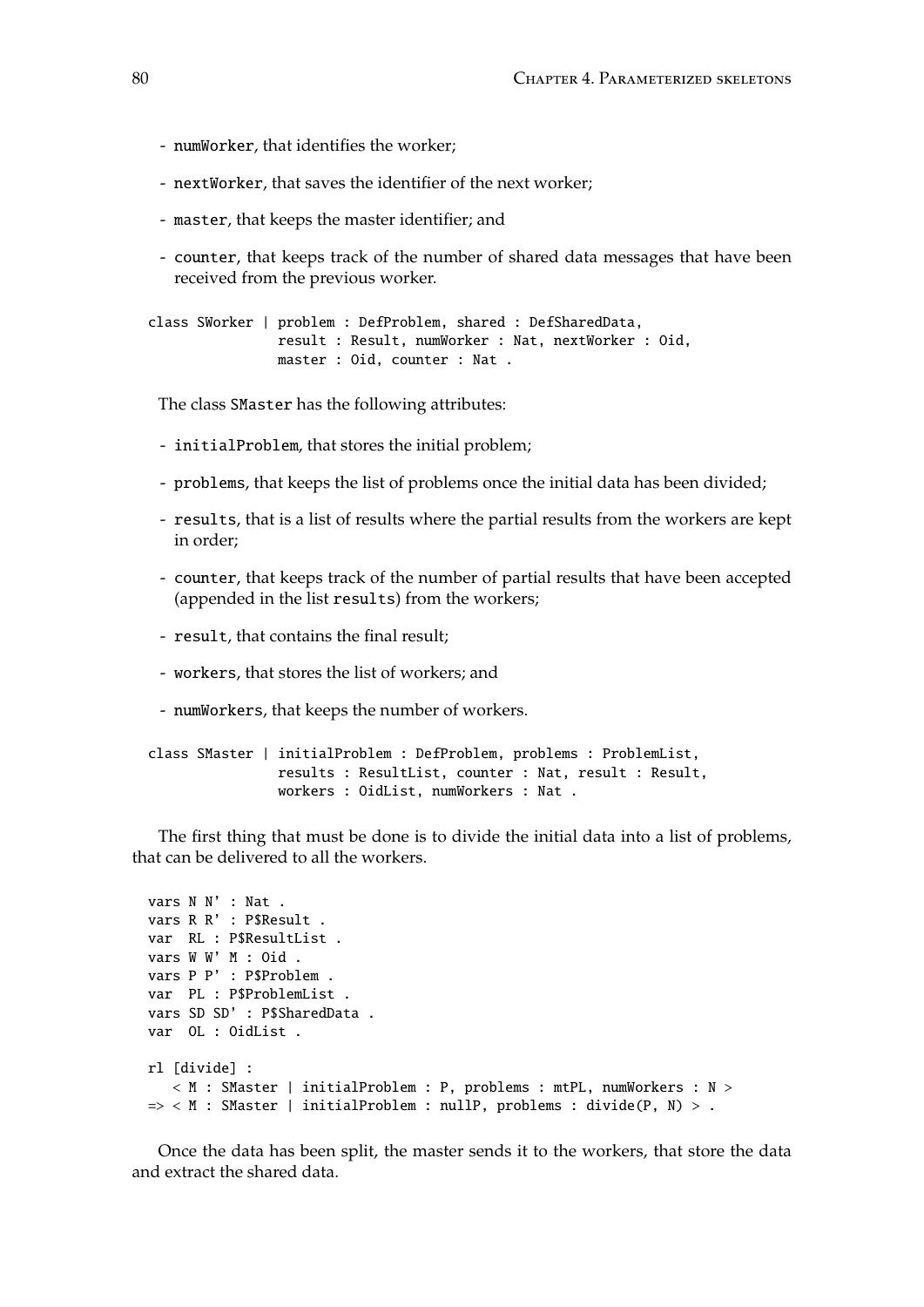- numWorker, that identifies the worker;
- nextWorker, that saves the identifier of the next worker;
- master, that keeps the master identifier; and
- counter, that keeps track of the number of shared data messages that have been received from the previous worker.

```
class SWorker | problem : DefProblem, shared : DefSharedData,
                result : Result, numWorker : Nat, nextWorker : Oid,
               master : Oid, counter : Nat .
```
The class SMaster has the following attributes:

- initialProblem, that stores the initial problem;
- problems, that keeps the list of problems once the initial data has been divided;
- results, that is a list of results where the partial results from the workers are kept in order;
- counter, that keeps track of the number of partial results that have been accepted (appended in the list results) from the workers;
- result, that contains the final result;
- workers, that stores the list of workers; and
- numWorkers, that keeps the number of workers.

```
class SMaster | initialProblem : DefProblem, problems : ProblemList,
               results : ResultList, counter : Nat, result : Result,
               workers : OidList, numWorkers : Nat .
```
The first thing that must be done is to divide the initial data into a list of problems, that can be delivered to all the workers.

```
vars N N' : Nat .
vars R R' : P$Result .
var RL : P$ResultList .
vars W W' M : Oid .
vars P P' : P$Problem .
var PL : P$ProblemList .
vars SD SD' : P$SharedData .
var OL : OidList .
rl [divide] :
  < M : SMaster | initialProblem : P, problems : mtPL, numWorkers : N >
\Rightarrow < M : SMaster | initialProblem : nullP, problems : divide(P, N) > .
```
Once the data has been split, the master sends it to the workers, that store the data and extract the shared data.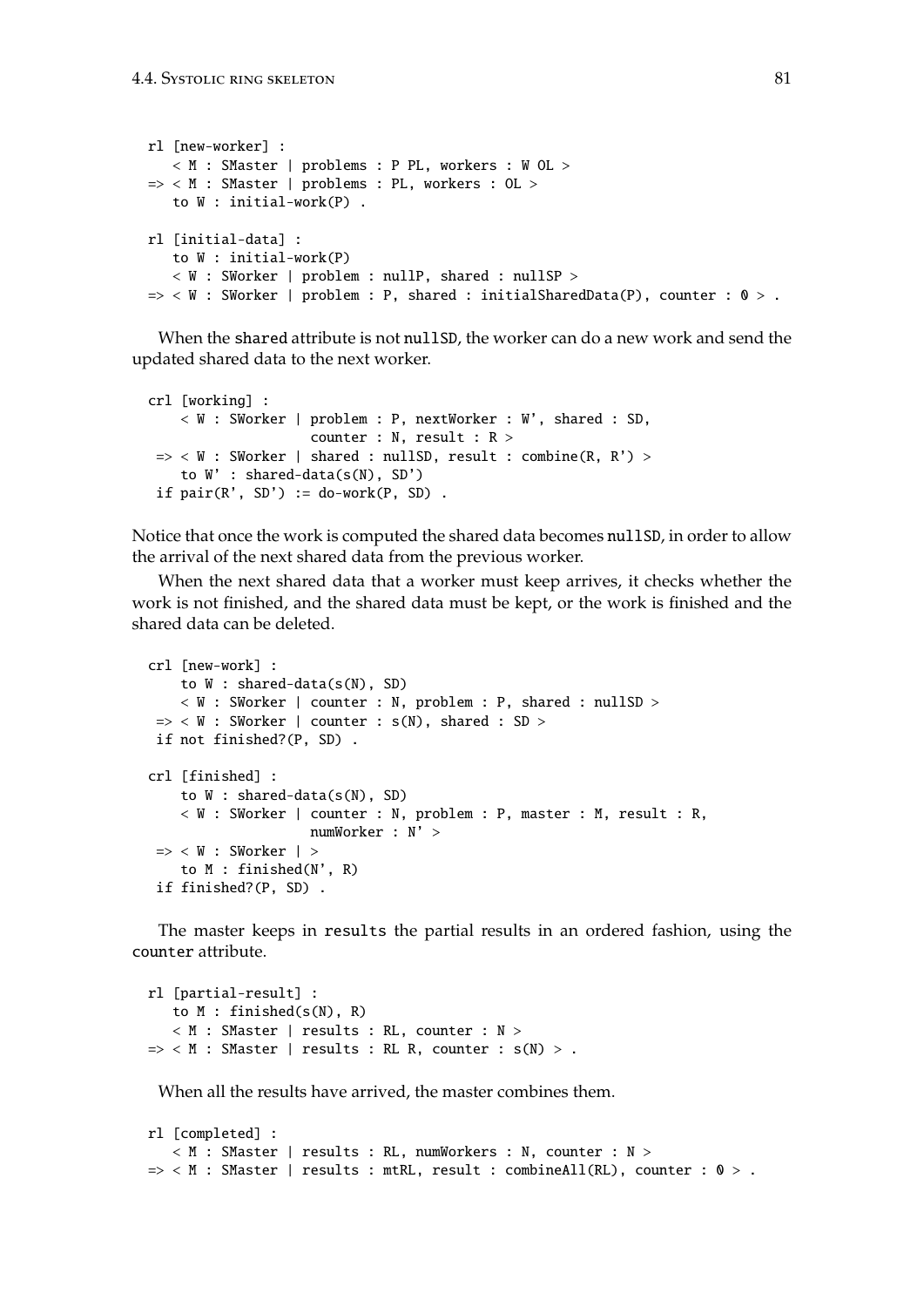```
rl [new-worker] :
   < M : SMaster | problems : P PL, workers : W OL >
=> < M : SMaster | problems : PL, workers : OL >
   to W : initial-work(P) .
rl [initial-data] :
  to W : initial-work(P)
   < W : SWorker | problem : nullP, shared : nullSP >
\Rightarrow < W : SWorker | problem : P, shared : initialSharedData(P), counter : 0 > .
```
When the shared attribute is not nullSD, the worker can do a new work and send the updated shared data to the next worker.

```
crl [working] :
    < W : SWorker | problem : P, nextWorker : W', shared : SD,
                    counter : N, result : R >
\Rightarrow < W : SWorker | shared : nullSD, result : combine(R, R') >
    to W' : shared-data(s(N), SD')
if pair(R', SD') := do-word(P, SD).
```
Notice that once the work is computed the shared data becomes nullSD, in order to allow the arrival of the next shared data from the previous worker.

When the next shared data that a worker must keep arrives, it checks whether the work is not finished, and the shared data must be kept, or the work is finished and the shared data can be deleted.

```
crl [new-work] :
   to W : shared-data(s(N), SD)
   < W : SWorker | counter : N, problem : P, shared : nullSD >
\Rightarrow < W : SWorker | counter : s(N), shared : SD >
if not finished?(P, SD) .
crl [finished] :
    to W : shared-data(s(N), SD)
    < W : SWorker | counter : N, problem : P, master : M, result : R,
                     numWorker : N' >
\Rightarrow < W : SWorker | >
    to M : finished(N', R)
if finished?(P, SD) .
```
The master keeps in results the partial results in an ordered fashion, using the counter attribute.

```
rl [partial-result] :
   to M : finished(s(N), R)
   < M : SMaster | results : RL, counter : N >
\Rightarrow < M : SMaster | results : RL R, counter : s(N) > .
```
When all the results have arrived, the master combines them.

```
rl [completed] :
   < M : SMaster | results : RL, numWorkers : N, counter : N >
\Rightarrow < M : SMaster | results : mtRL, result : combineAll(RL), counter : 0 > .
```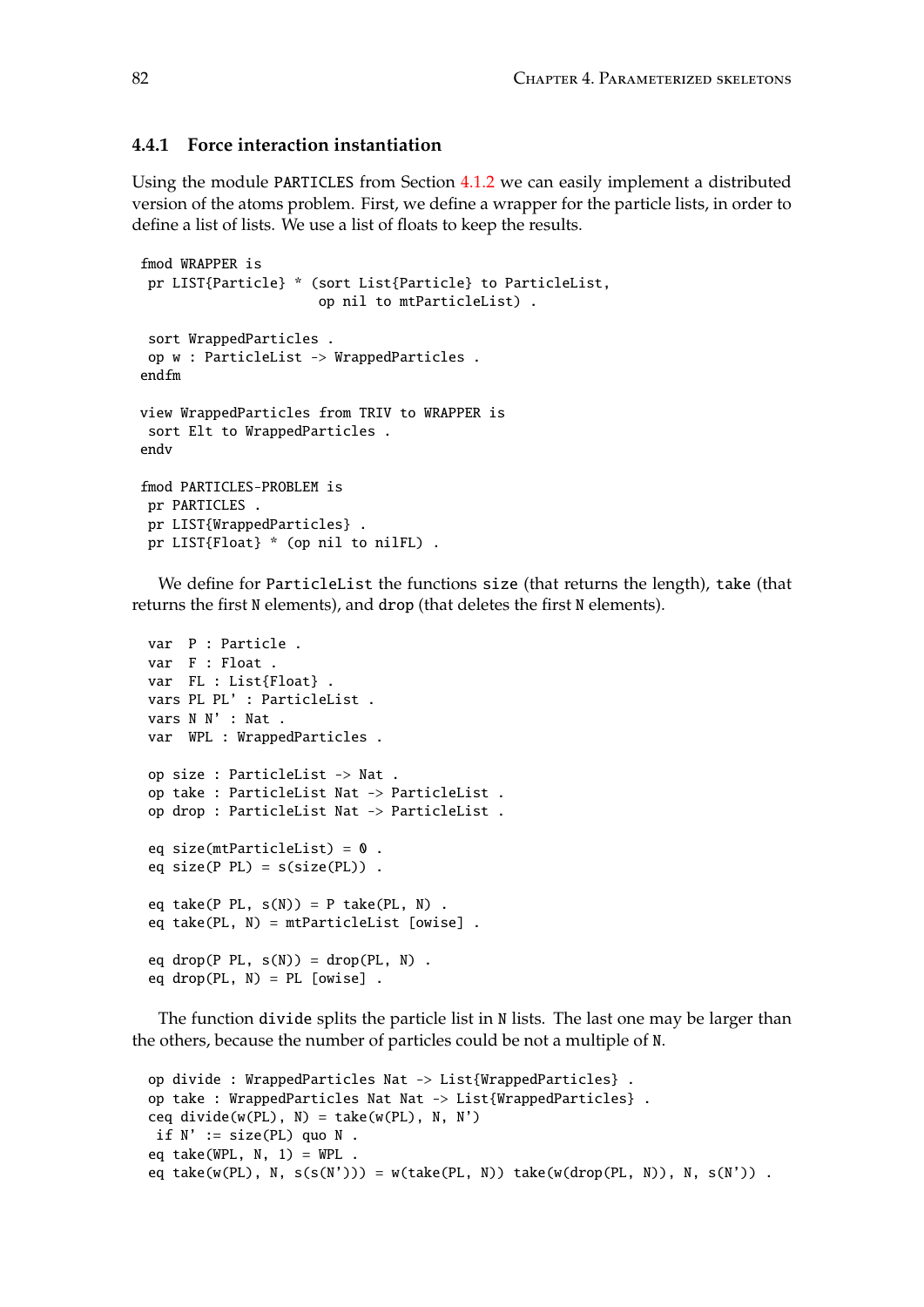### **4.4.1 Force interaction instantiation**

Using the module PARTICLES from Section [4.1.2](#page-61-0) we can easily implement a distributed version of the atoms problem. First, we define a wrapper for the particle lists, in order to define a list of lists. We use a list of floats to keep the results.

```
fmod WRAPPER is
pr LIST{Particle} * (sort List{Particle} to ParticleList,
                      op nil to mtParticleList) .
 sort WrappedParticles .
 op w : ParticleList -> WrappedParticles .
endfm
view WrappedParticles from TRIV to WRAPPER is
 sort Elt to WrappedParticles .
endv
fmod PARTICLES-PROBLEM is
 pr PARTICLES .
 pr LIST{WrappedParticles} .
 pr LIST{Float} * (op nil to nilFL) .
```
We define for ParticleList the functions size (that returns the length), take (that returns the first N elements), and drop (that deletes the first N elements).

```
var P : Particle .
var F : Float .
var FL : List{Float} .
vars PL PL' : ParticleList .
vars N N' : Nat .
var WPL : WrappedParticles .
op size : ParticleList -> Nat .
op take : ParticleList Nat -> ParticleList .
op drop : ParticleList Nat -> ParticleList .
eq size(mtParticleList) = 0.
eq size(P PL) = s(size(PL)).
eq take(P PL, s(N)) = P take(PL, N).
eq take(PL, N) = mtParticleList [owise] .
eq drop(P PL, s(N)) = drop(PL, N).
eq drop(PL, N) = PL [owise].
```
The function divide splits the particle list in N lists. The last one may be larger than the others, because the number of particles could be not a multiple of N.

```
op divide : WrappedParticles Nat -> List{WrappedParticles} .
op take : WrappedParticles Nat Nat -> List{WrappedParticles}.
ceq divide(w(PL), N) = take(w(PL), N, N')
if N' := size(PL) quo N.
eq take(WPL, N, 1) = WPL.
eq take(w(PL), N, s(s(N'))) = w(take(PL, N)) take(w(drop(PL, N)), N, s(N')).
```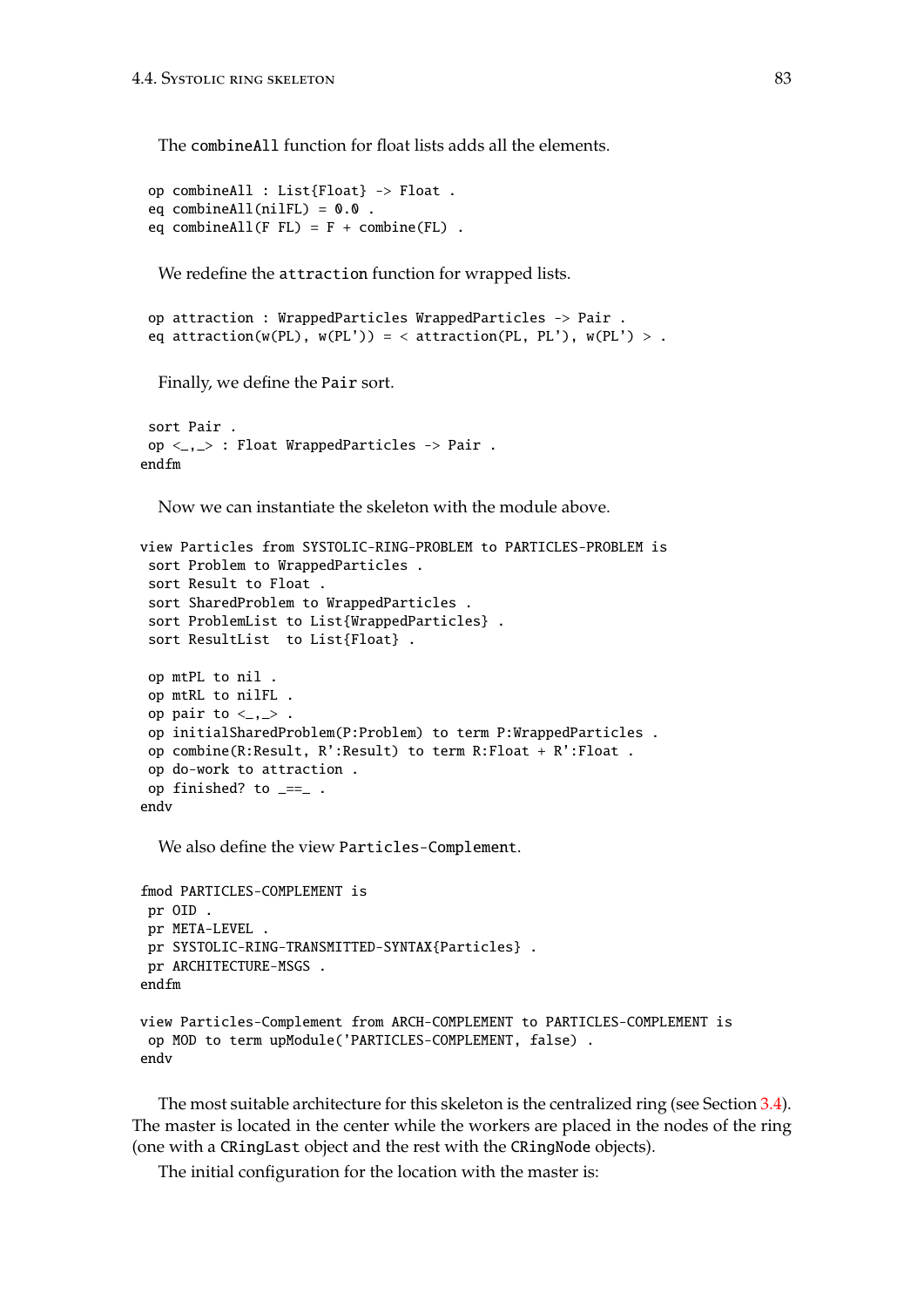The combineAll function for float lists adds all the elements.

```
op combineAll : List{Float} -> Float .
eq combineAll(niIFL) = 0.0.
eq combineAll(F FL) = F + combine(FL).
```
We redefine the attraction function for wrapped lists.

```
op attraction : WrappedParticles WrappedParticles -> Pair .
eq attraction(w(PL), w(PL')) = < attraction(PL, PL'), w(PL') > .
```
Finally, we define the Pair sort.

```
sort Pair .
op <_,_> : Float WrappedParticles -> Pair .
endfm
```
Now we can instantiate the skeleton with the module above.

```
view Particles from SYSTOLIC-RING-PROBLEM to PARTICLES-PROBLEM is
 sort Problem to WrappedParticles .
 sort Result to Float .
 sort SharedProblem to WrappedParticles .
 sort ProblemList to List{WrappedParticles} .
 sort ResultList to List{Float} .
 op mtPL to nil .
 op mtRL to nilFL .
 op pair to \langle , \rangle.
 op initialSharedProblem(P:Problem) to term P:WrappedParticles .
 op combine(R:Result, R':Result) to term R:Float + R':Float .
 op do-work to attraction .
 op finished? to _==_ .
endv
```
We also define the view Particles-Complement.

```
fmod PARTICLES-COMPLEMENT is
pr OID .
 pr META-LEVEL .
pr SYSTOLIC-RING-TRANSMITTED-SYNTAX{Particles} .
pr ARCHITECTURE-MSGS .
endfm
view Particles-Complement from ARCH-COMPLEMENT to PARTICLES-COMPLEMENT is
 op MOD to term upModule('PARTICLES-COMPLEMENT, false) .
endv
```
The most suitable architecture for this skeleton is the centralized ring (see Section [3.4\)](#page-49-0). The master is located in the center while the workers are placed in the nodes of the ring (one with a CRingLast object and the rest with the CRingNode objects).

The initial configuration for the location with the master is: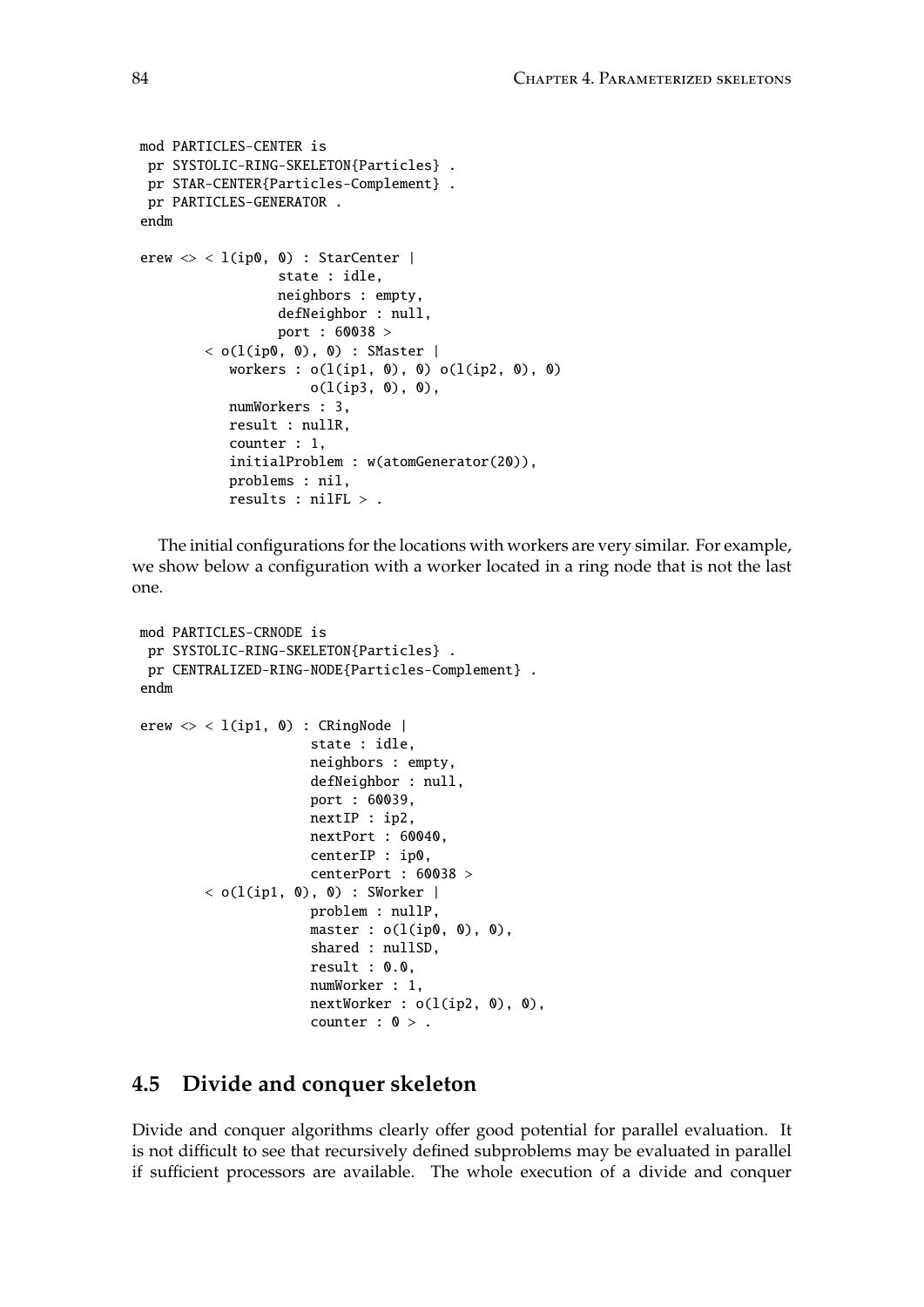```
mod PARTICLES-CENTER is
 pr SYSTOLIC-RING-SKELETON{Particles} .
 pr STAR-CENTER{Particles-Complement} .
pr PARTICLES-GENERATOR .
endm
erew \langle \rangle < l(ip0, 0) : StarCenter |
                 state : idle,
                 neighbors : empty,
                 defNeighbor : null,
                 port : 60038 >
        < o(l(ip0, 0), 0) : SMaster |
           workers : o(l(ip1, 0), 0) o(l(ip2, 0), 0)o(l(ip3, 0), 0),numWorkers : 3,
           result : nullR,
           counter : 1,
           initialProblem : w(atomGenerator(20)),
           problems : nil,
           results : nilFL > .
```
The initial configurations for the locations with workers are very similar. For example, we show below a configuration with a worker located in a ring node that is not the last one.

```
mod PARTICLES-CRNODE is
 pr SYSTOLIC-RING-SKELETON{Particles} .
 pr CENTRALIZED-RING-NODE{Particles-Complement} .
endm
erew \langle \rangle < 1(ip1, 0) : CRingNode |
                      state : idle,
                      neighbors : empty,
                      defNeighbor : null,
                      port : 60039,
                      nextIP : ip2,
                      nextPort : 60040,
                      centerIP : ip0,
                      centerPort : 60038 >
        < o(l(ip1, 0), 0) : SWorker |
                      problem : nullP,
                      master : o(l(ip0, 0), 0),
                      shared : nullSD,
                      result : 0.0,
                      numWorker : 1,
                      nextWorker : o(l(ip2, 0), 0),
                      counter : 0 >.
```
## **4.5 Divide and conquer skeleton**

Divide and conquer algorithms clearly offer good potential for parallel evaluation. It is not difficult to see that recursively defined subproblems may be evaluated in parallel if sufficient processors are available. The whole execution of a divide and conquer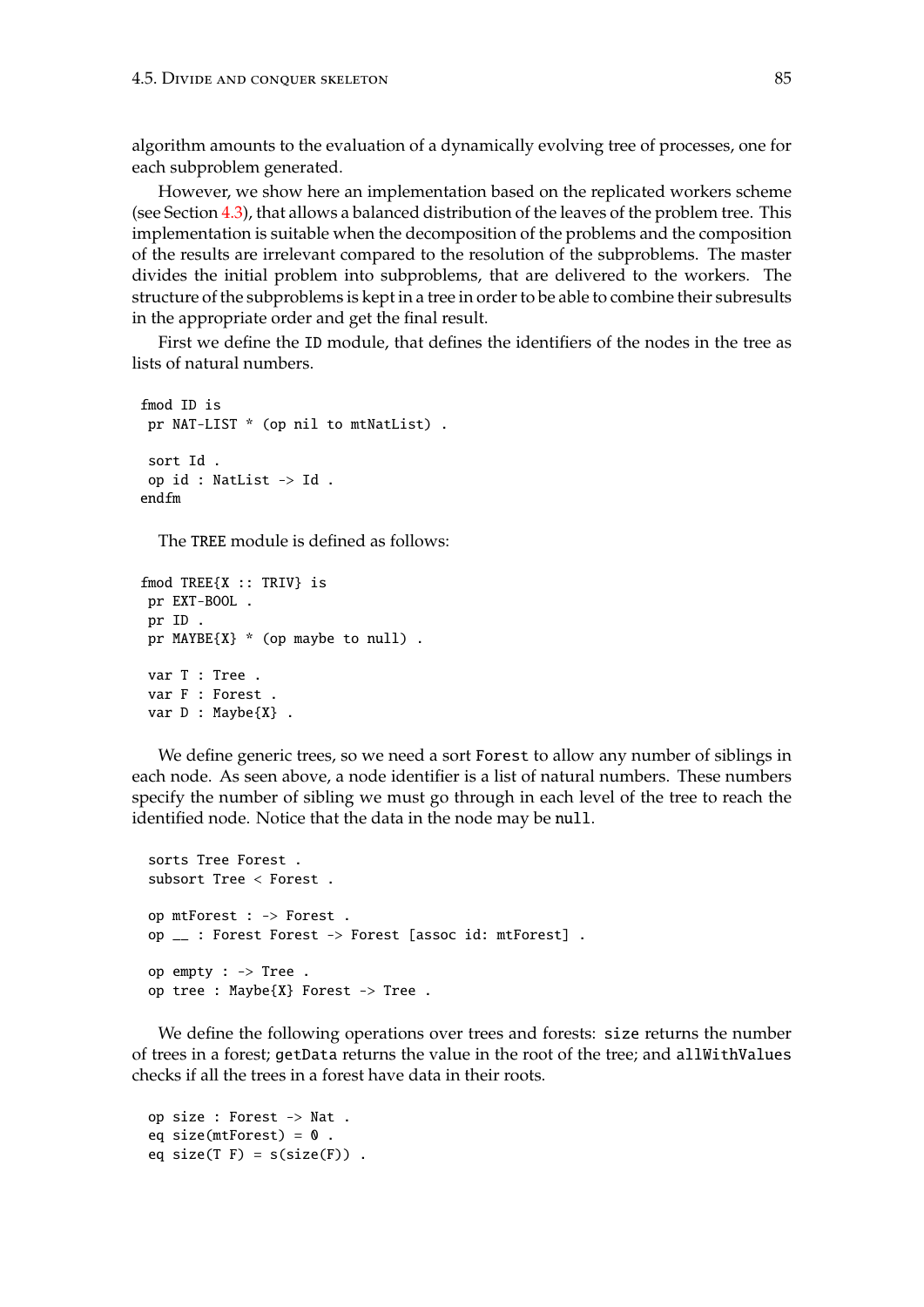algorithm amounts to the evaluation of a dynamically evolving tree of processes, one for each subproblem generated.

However, we show here an implementation based on the replicated workers scheme (see Section [4.3\)](#page-68-0), that allows a balanced distribution of the leaves of the problem tree. This implementation is suitable when the decomposition of the problems and the composition of the results are irrelevant compared to the resolution of the subproblems. The master divides the initial problem into subproblems, that are delivered to the workers. The structure of the subproblems is kept in a tree in order to be able to combine their subresults in the appropriate order and get the final result.

First we define the ID module, that defines the identifiers of the nodes in the tree as lists of natural numbers.

```
fmod ID is
pr NAT-LIST * (op nil to mtNatList) .
 sort Id .
op id : NatList -> Id .
endfm
```
The TREE module is defined as follows:

```
fmod TREE{X :: TRIV} is
pr EXT-BOOL .
pr ID .
pr MAYBE{X} * (op maybe to null) .
var T : Tree .
var F : Forest .
var D : Maybe{X} .
```
We define generic trees, so we need a sort Forest to allow any number of siblings in each node. As seen above, a node identifier is a list of natural numbers. These numbers specify the number of sibling we must go through in each level of the tree to reach the identified node. Notice that the data in the node may be null.

```
sorts Tree Forest .
subsort Tree < Forest .
op mtForest : -> Forest .
op __ : Forest Forest -> Forest [assoc id: mtForest] .
op empty : -> Tree .
op tree : Maybe{X} Forest -> Tree .
```
We define the following operations over trees and forests: size returns the number of trees in a forest; getData returns the value in the root of the tree; and allWithValues checks if all the trees in a forest have data in their roots.

```
op size : Forest -> Nat .
eq size(mtForest) = 0.
eq size(T F) = s(size(F)) .
```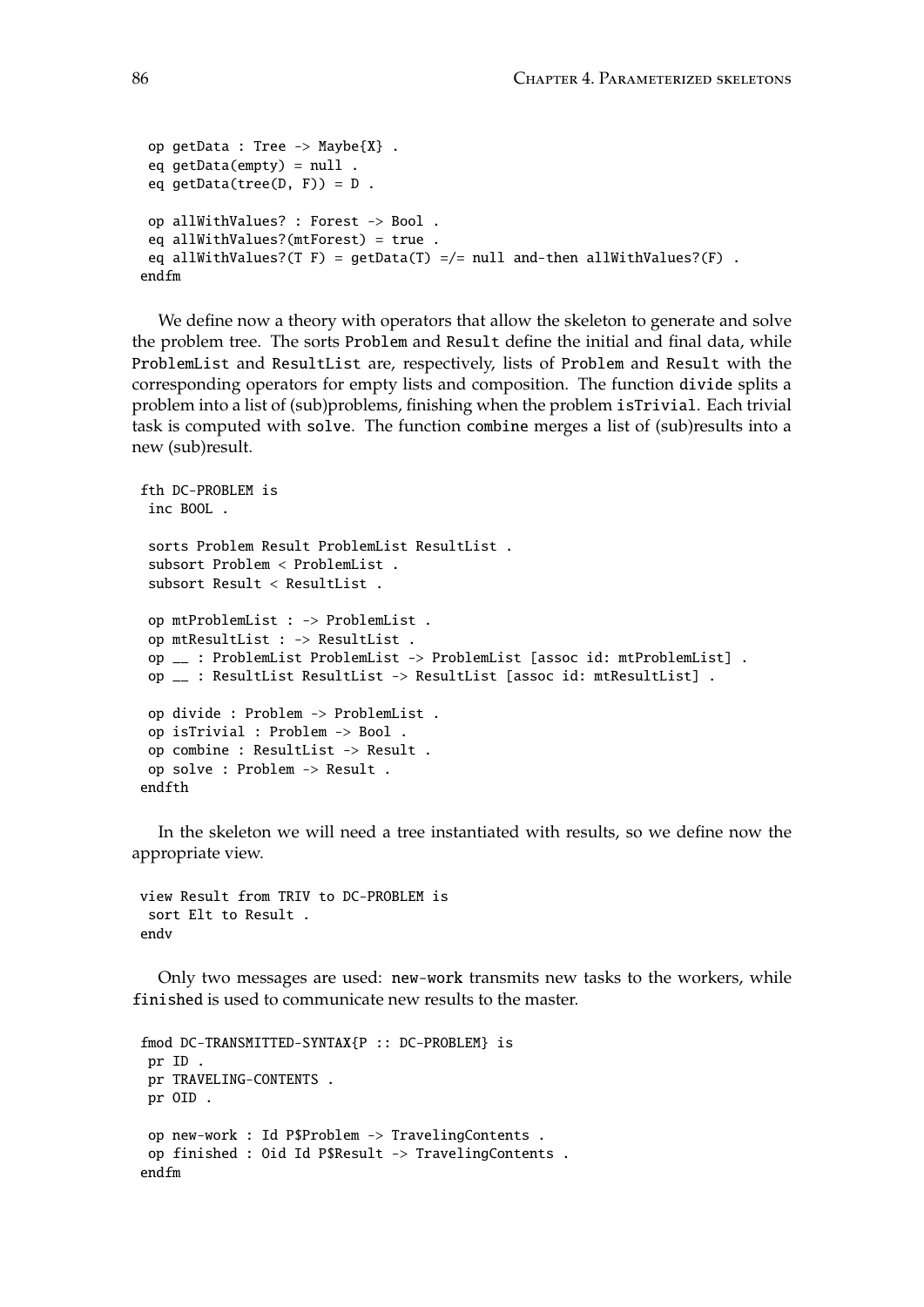```
op getData : Tree -> Maybe{X} .
 eq qetData(empty) = null.
 eq getData(tree(D, F)) = D.
op allWithValues? : Forest -> Bool .
 eq allWithValues?(mtForest) = true .
 eq allWithValues?(T F) = getData(T) =/= null and-then allWithValues?(F) .
endfm
```
We define now a theory with operators that allow the skeleton to generate and solve the problem tree. The sorts Problem and Result define the initial and final data, while ProblemList and ResultList are, respectively, lists of Problem and Result with the corresponding operators for empty lists and composition. The function divide splits a problem into a list of (sub)problems, finishing when the problem isTrivial. Each trivial task is computed with solve. The function combine merges a list of (sub)results into a new (sub)result.

```
fth DC-PROBLEM is
 inc BOOL .
 sorts Problem Result ProblemList ResultList .
 subsort Problem < ProblemList .
 subsort Result < ResultList .
op mtProblemList : -> ProblemList .
op mtResultList : -> ResultList .
 op __ : ProblemList ProblemList -> ProblemList [assoc id: mtProblemList] .
op __ : ResultList ResultList -> ResultList [assoc id: mtResultList] .
 op divide : Problem -> ProblemList .
 op isTrivial : Problem -> Bool .
op combine : ResultList -> Result .
op solve : Problem -> Result .
endfth
```
In the skeleton we will need a tree instantiated with results, so we define now the appropriate view.

view Result from TRIV to DC-PROBLEM is sort Elt to Result . endv

Only two messages are used: new-work transmits new tasks to the workers, while finished is used to communicate new results to the master.

```
fmod DC-TRANSMITTED-SYNTAX{P :: DC-PROBLEM} is
pr ID .
pr TRAVELING-CONTENTS .
pr OID .
op new-work : Id P$Problem -> TravelingContents .
op finished : Oid Id P$Result -> TravelingContents .
endfm
```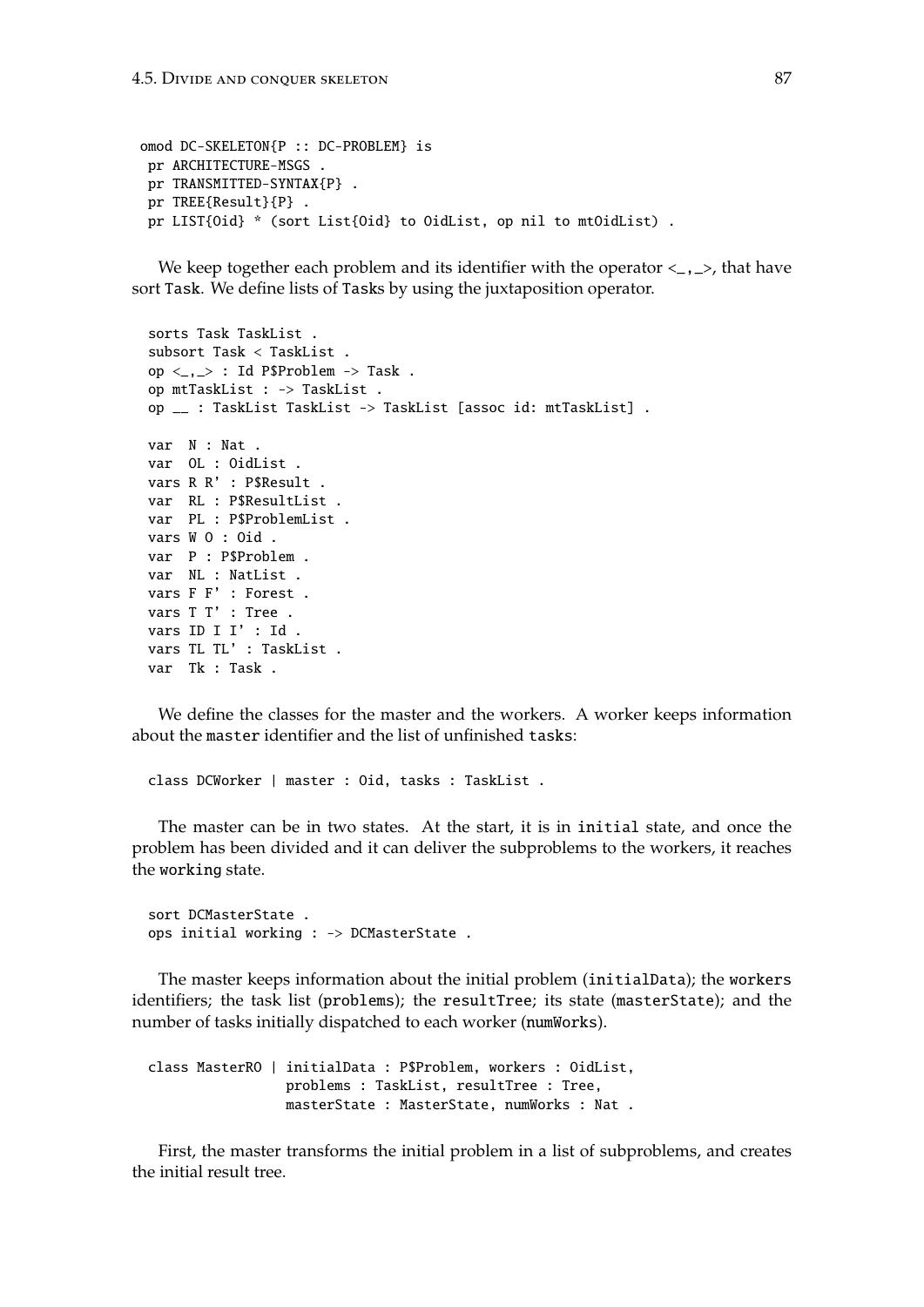```
omod DC-SKELETON{P :: DC-PROBLEM} is
 pr ARCHITECTURE-MSGS .
 pr TRANSMITTED-SYNTAX{P} .
 pr TREE{Result}{P} .
 pr LIST{Oid} * (sort List{Oid} to OidList, op nil to mtOidList).
```
We keep together each problem and its identifier with the operator  $\lt_{,}$ ,  $\gt$ , that have sort Task. We define lists of Tasks by using the juxtaposition operator.

```
sorts Task TaskList .
subsort Task < TaskList .
op \langle \_\ ,\_\rangle: Id P$Problem \Rightarrow Task.
op mtTaskList : -> TaskList .
op __ : TaskList TaskList -> TaskList [assoc id: mtTaskList] .
var N : Nat .
var OL : OidList .
vars R R' : P$Result .
var RL : P$ResultList .
var PL : P$ProblemList .
vars W O : Oid .
var P : P$Problem .
var NL : NatList .
vars F F' : Forest .
vars T T' : Tree .
vars ID I I' : Id .
vars TL TL' : TaskList .
var Tk : Task .
```
We define the classes for the master and the workers. A worker keeps information about the master identifier and the list of unfinished tasks:

class DCWorker | master : Oid, tasks : TaskList .

The master can be in two states. At the start, it is in initial state, and once the problem has been divided and it can deliver the subproblems to the workers, it reaches the working state.

sort DCMasterState . ops initial working : -> DCMasterState .

The master keeps information about the initial problem (initialData); the workers identifiers; the task list (problems); the resultTree; its state (masterState); and the number of tasks initially dispatched to each worker (numWorks).

class MasterRO | initialData : P\$Problem, workers : OidList, problems : TaskList, resultTree : Tree, masterState : MasterState, numWorks : Nat .

First, the master transforms the initial problem in a list of subproblems, and creates the initial result tree.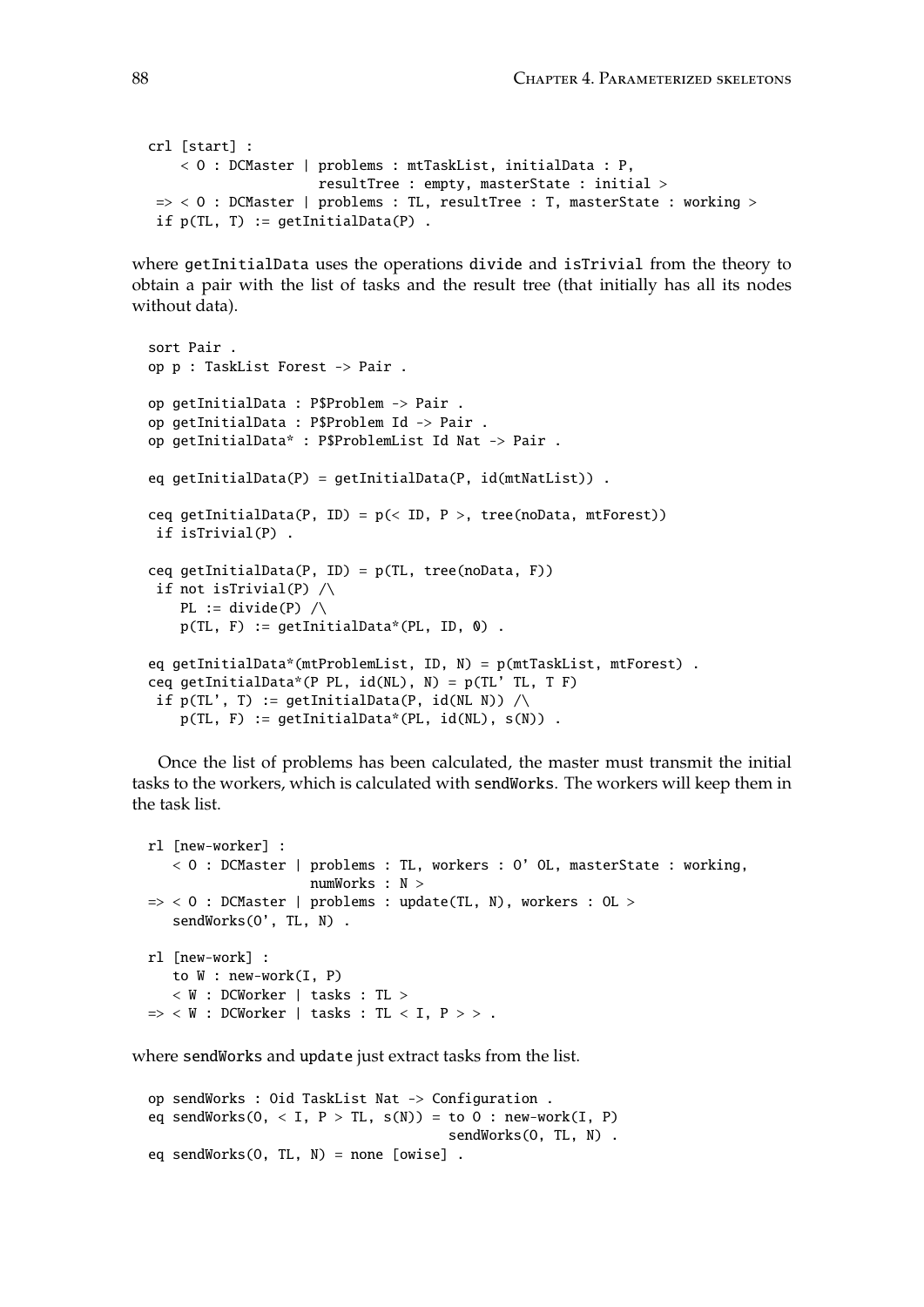```
crl [start] :
    < O : DCMaster | problems : mtTaskList, initialData : P,
                     resultTree : empty, masterState : initial >
\Rightarrow < 0 : DCMaster | problems : TL, resultTree : T, masterState : working >
if p(TL, T) := getInitialData(P).
```
where getInitialData uses the operations divide and isTrivial from the theory to obtain a pair with the list of tasks and the result tree (that initially has all its nodes without data).

```
sort Pair .
op p : TaskList Forest -> Pair .
op getInitialData : P$Problem -> Pair .
op getInitialData : P$Problem Id -> Pair .
op getInitialData* : P$ProblemList Id Nat -> Pair .
eq getInitialData(P) = getInitialData(P, id(mtNatList)) .
ceq getInitialData(P, ID) = p(< ID, P >, tree(noData, mtForest))
if isTrivial(P) .
ceq getInitialData(P, ID) = p(TL, tree(noData, F))if not isTrivial(P) \landPL := divide(P) \wedgep(TL, F) := getInitialData*(PL, ID, 0).
eq getInitialData*(mtProblemList, ID, N) = p(mtTaskList, mtForest) .
ceq getInitialData*(P PL, id(NL), N) = p(TL' T L, T F)if p(TL', T) := getInitialData(P, id(NL N)) / \langlep(TL, F) := getInitialData*(PL, id(NL), s(N)).
```
Once the list of problems has been calculated, the master must transmit the initial tasks to the workers, which is calculated with sendWorks. The workers will keep them in the task list.

```
rl [new-worker] :
   < O : DCMaster | problems : TL, workers : O' OL, masterState : working,
                     numWorks : N >
\Rightarrow < 0 : DCMaster | problems : update(TL, N), workers : OL >
   sendWorks(O', TL, N) .
rl [new-work] :
   to W : new-work(I, P)
   < W : DCWorker | tasks : TL >
\Rightarrow < W : DCWorker | tasks : TL < I, P > > .
```
where sendWorks and update just extract tasks from the list.

```
op sendWorks : Oid TaskList Nat -> Configuration .
eq sendWorks(0, < I, P > TL, s(N)) = to 0 : new-work(I, P)
                                     sendWorks(O, TL, N) .
eq sendWorks(O, TL, N) = none [owise] .
```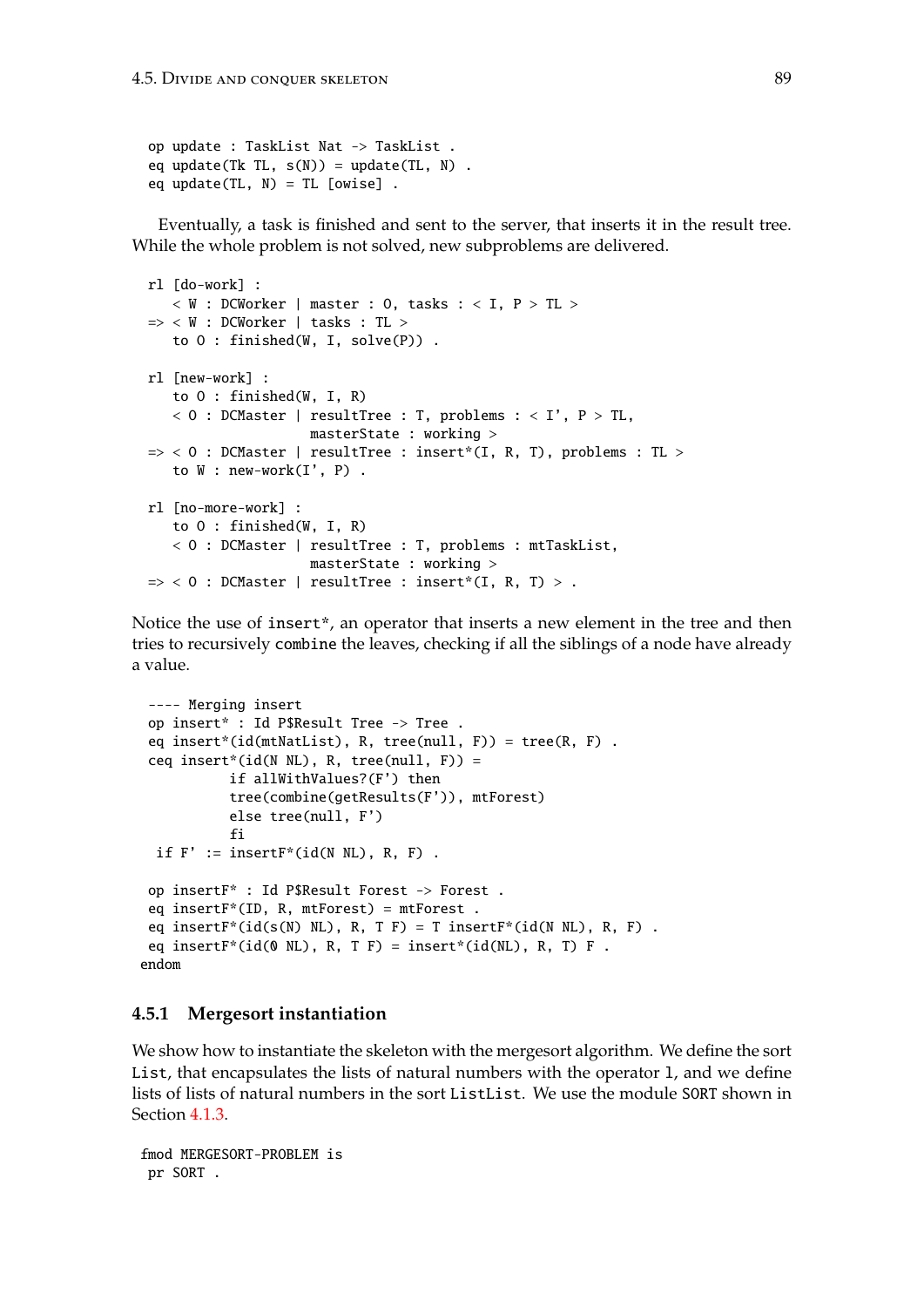```
op update : TaskList Nat -> TaskList .
eq update(Tk TL, s(N)) = update(TL, N) .
eq update(TL, N) = TL [owise].
```
Eventually, a task is finished and sent to the server, that inserts it in the result tree. While the whole problem is not solved, new subproblems are delivered.

```
rl [do-work] :
   < W : DCWorker | master : 0, tasks : < I, P > TL >\Rightarrow < W : DCWorker | tasks : TL >
   to O : finished(W, I, solve(P)) .
rl [new-work] :
   to O : finished(W, I, R)
   < 0 : DCMaster | resultTree : T, problems : < I', P > TL,
                     masterState : working >
\Rightarrow < 0 : DCMaster | resultTree : insert*(I, R, T), problems : TL >
   to W : new-work(I', P) .
rl [no-more-work] :
   to O : finished(W, I, R)
   < O : DCMaster | resultTree : T, problems : mtTaskList,
                     masterState : working >
\Rightarrow < 0 : DCMaster | resultTree : insert*(I, R, T) > .
```
Notice the use of insert\*, an operator that inserts a new element in the tree and then tries to recursively combine the leaves, checking if all the siblings of a node have already a value.

```
---- Merging insert
 op insert* : Id P$Result Tree -> Tree .
 eq insert*(id(mtNatList), R, tree(null, F)) = tree(R, F) .
 ceq insert*(id(N NL), R, tree(null, F)) =
           if allWithValues?(F') then
           tree(combine(getResults(F')), mtForest)
           else tree(null, F')
           fi
 if F' := insertF*(id(N NL), R, F).
 op insertF* : Id P$Result Forest -> Forest .
 eq insertF*(ID, R, mtForest) = mtForest .
 eq insertF^*(id(s(N) N_L), R, T, F) = T insertF^*(id(N N_L), R, F).
 eq insertF*(id(0 NL), R, T F) = insert*(id(NL), R, T) F.
endom
```
### **4.5.1 Mergesort instantiation**

We show how to instantiate the skeleton with the mergesort algorithm. We define the sort List, that encapsulates the lists of natural numbers with the operator l, and we define lists of lists of natural numbers in the sort ListList. We use the module SORT shown in Section [4.1.3.](#page-62-0)

```
fmod MERGESORT-PROBLEM is
pr SORT .
```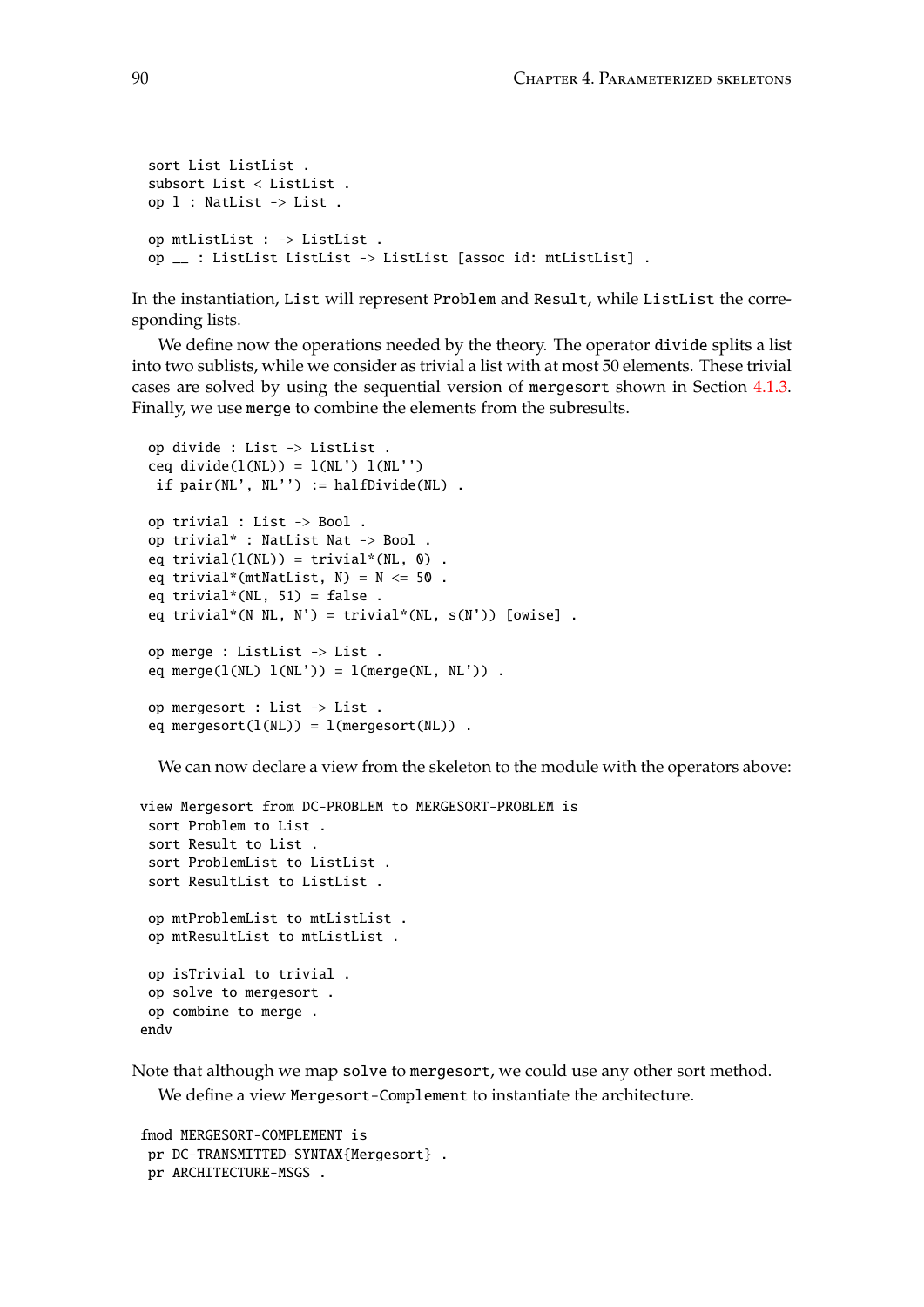```
sort List ListList .
subsort List < ListList .
op l : NatList -> List .
op mtListList : -> ListList .
op __ : ListList ListList -> ListList [assoc id: mtListList] .
```
In the instantiation, List will represent Problem and Result, while ListList the corresponding lists.

We define now the operations needed by the theory. The operator divide splits a list into two sublists, while we consider as trivial a list with at most 50 elements. These trivial cases are solved by using the sequential version of mergesort shown in Section [4.1.3.](#page-62-0) Finally, we use merge to combine the elements from the subresults.

```
op divide : List -> ListList .
ceq divide(l(NL)) = l(NL') l(NL'')if pair(NL', NL'') := halfDivide(NL).
op trivial : List -> Bool .
op trivial* : NatList Nat -> Bool .
eq trivial(l(NL)) = \text{trivial}*(NL, 0).
eq trivial*(mtNatList, N) = N \leq 50.
eq trivial*(NL, 51) = false.
eq trivial*(N NL, N') = trivial*(NL, s(N')) [owise].
op merge : ListList -> List .
eq merge(l(NL) l(NL')) = l(merge(NL, NL')).
op mergesort : List -> List .
eq mergesort(1(NL)) = 1(mergesort(NL)).
```
We can now declare a view from the skeleton to the module with the operators above:

```
view Mergesort from DC-PROBLEM to MERGESORT-PROBLEM is
 sort Problem to List .
 sort Result to List .
 sort ProblemList to ListList .
 sort ResultList to ListList .
 op mtProblemList to mtListList .
 op mtResultList to mtListList .
 op isTrivial to trivial .
 op solve to mergesort .
 op combine to merge .
endv
```
Note that although we map solve to mergesort, we could use any other sort method. We define a view Mergesort-Complement to instantiate the architecture.

```
fmod MERGESORT-COMPLEMENT is
pr DC-TRANSMITTED-SYNTAX{Mergesort} .
pr ARCHITECTURE-MSGS .
```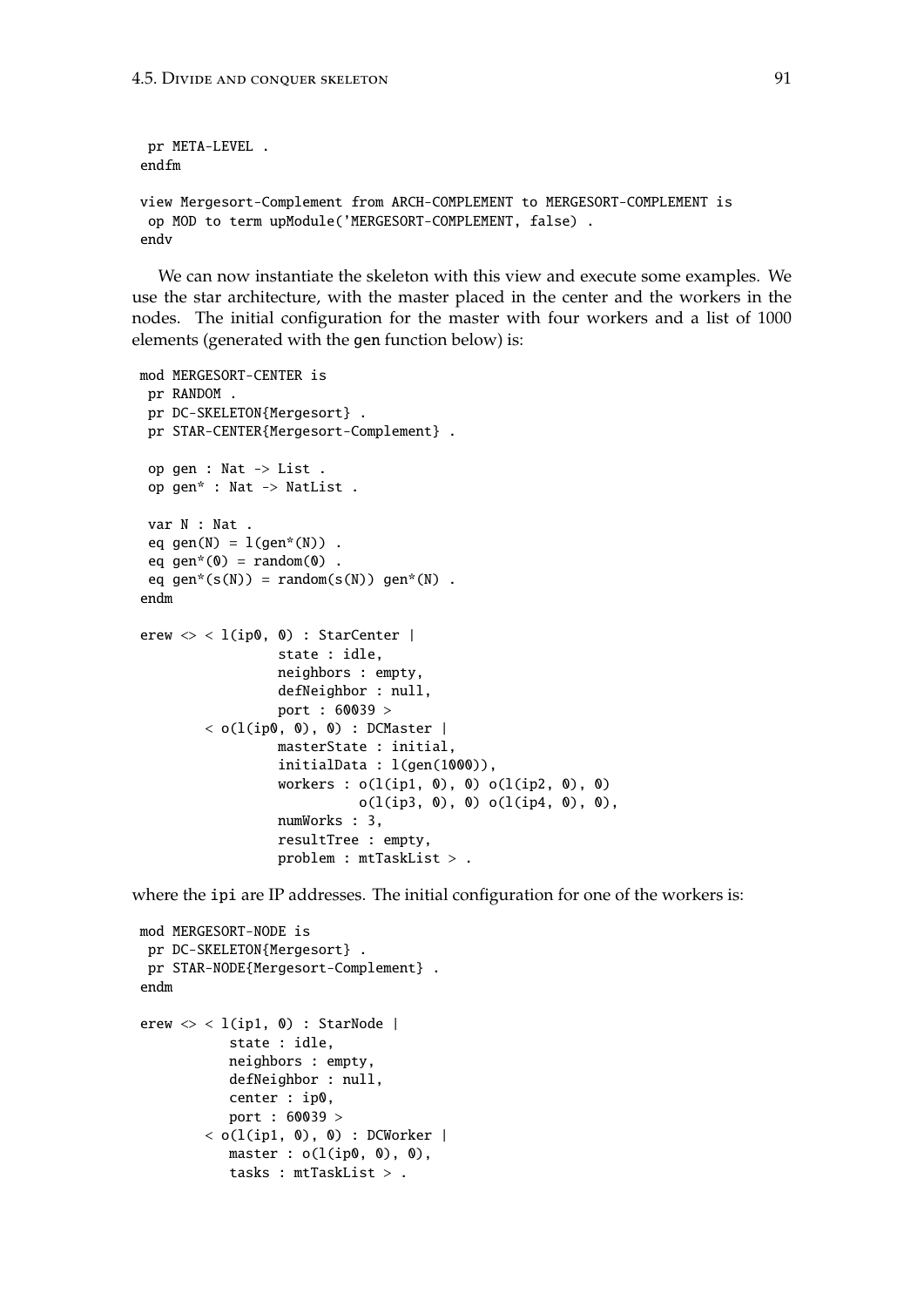```
pr META-LEVEL .
endfm
view Mergesort-Complement from ARCH-COMPLEMENT to MERGESORT-COMPLEMENT is
 op MOD to term upModule('MERGESORT-COMPLEMENT, false) .
endv
```
We can now instantiate the skeleton with this view and execute some examples. We use the star architecture, with the master placed in the center and the workers in the nodes. The initial configuration for the master with four workers and a list of 1000 elements (generated with the gen function below) is:

```
mod MERGESORT-CENTER is
pr RANDOM .
 pr DC-SKELETON{Mergesort} .
 pr STAR-CENTER{Mergesort-Complement} .
 op gen : Nat -> List .
 op gen* : Nat -> NatList .
 var N : Nat .
 eq gen(N) = l(qen*(N)).
 eq gen*(0) = random(0).
 eq gen*(s(N)) = random(s(N)) gen*(N) .
endm
erew \langle \rangle < l(ip0, 0) : StarCenter |
                 state : idle,
                 neighbors : empty,
                 defNeighbor : null,
                 port : 60039 >
        < o(1(ip0, 0), 0) : DCMaster |
                 masterState : initial,
                 initialData : l(gen(1000)),
                 workers : o(l(ip1, 0), 0) o(l(ip2, 0), 0)
                            o(l(ip3, 0), 0) o(l(ip4, 0), 0),numWorks : 3,
                 resultTree : empty,
                 problem : mtTaskList > .
```
where the ipi are IP addresses. The initial configuration for one of the workers is:

```
mod MERGESORT-NODE is
 pr DC-SKELETON{Mergesort} .
 pr STAR-NODE{Mergesort-Complement} .
endm
erew \langle \rangle < l(ip1, 0) : StarNode |
            state : idle,
           neighbors : empty,
            defNeighbor : null,
            center : ip0,
            port : 60039 >
        \langle o(l(ip1, 0), 0) : DCWorker |
           master : o(l(ip0, 0), 0),tasks : mtTaskList > .
```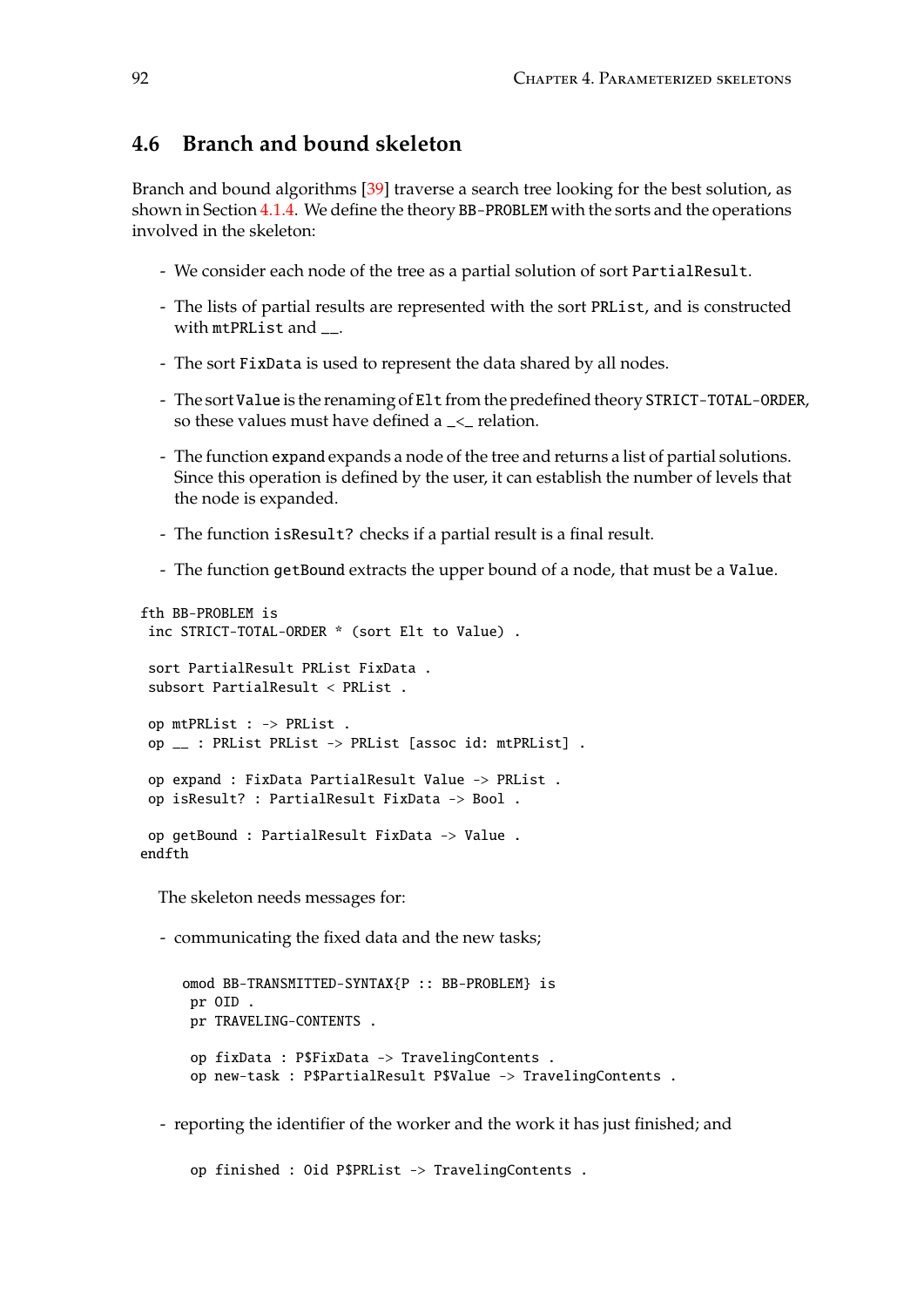# **4.6 Branch and bound skeleton**

Branch and bound algorithms [\[39\]](#page-185-1) traverse a search tree looking for the best solution, as shown in Section [4.1.4.](#page-63-0) We define the theory BB-PROBLEM with the sorts and the operations involved in the skeleton:

- We consider each node of the tree as a partial solution of sort PartialResult.
- The lists of partial results are represented with the sort PRList, and is constructed with mtPRList and
- The sort FixData is used to represent the data shared by all nodes.
- The sort Value is the renaming of Elt from the predefined theory STRICT-TOTAL-ORDER, so these values must have defined a \_<\_ relation.
- The function expand expands a node of the tree and returns a list of partial solutions. Since this operation is defined by the user, it can establish the number of levels that the node is expanded.
- The function isResult? checks if a partial result is a final result.
- The function getBound extracts the upper bound of a node, that must be a Value.

```
fth BB-PROBLEM is
 inc STRICT-TOTAL-ORDER * (sort Elt to Value) .
 sort PartialResult PRList FixData .
 subsort PartialResult < PRList .
op mtPRList : -> PRList .
op __ : PRList PRList -> PRList [assoc id: mtPRList] .
 op expand : FixData PartialResult Value -> PRList .
 op isResult? : PartialResult FixData -> Bool .
op getBound : PartialResult FixData -> Value .
endfth
  The skeleton needs messages for:
  - communicating the fixed data and the new tasks;
     omod BB-TRANSMITTED-SYNTAX{P :: BB-PROBLEM} is
      pr OID .
      pr TRAVELING-CONTENTS .
      op fixData : P$FixData -> TravelingContents .
      op new-task : P$PartialResult P$Value -> TravelingContents .
```
- reporting the identifier of the worker and the work it has just finished; and

op finished : Oid P\$PRList -> TravelingContents .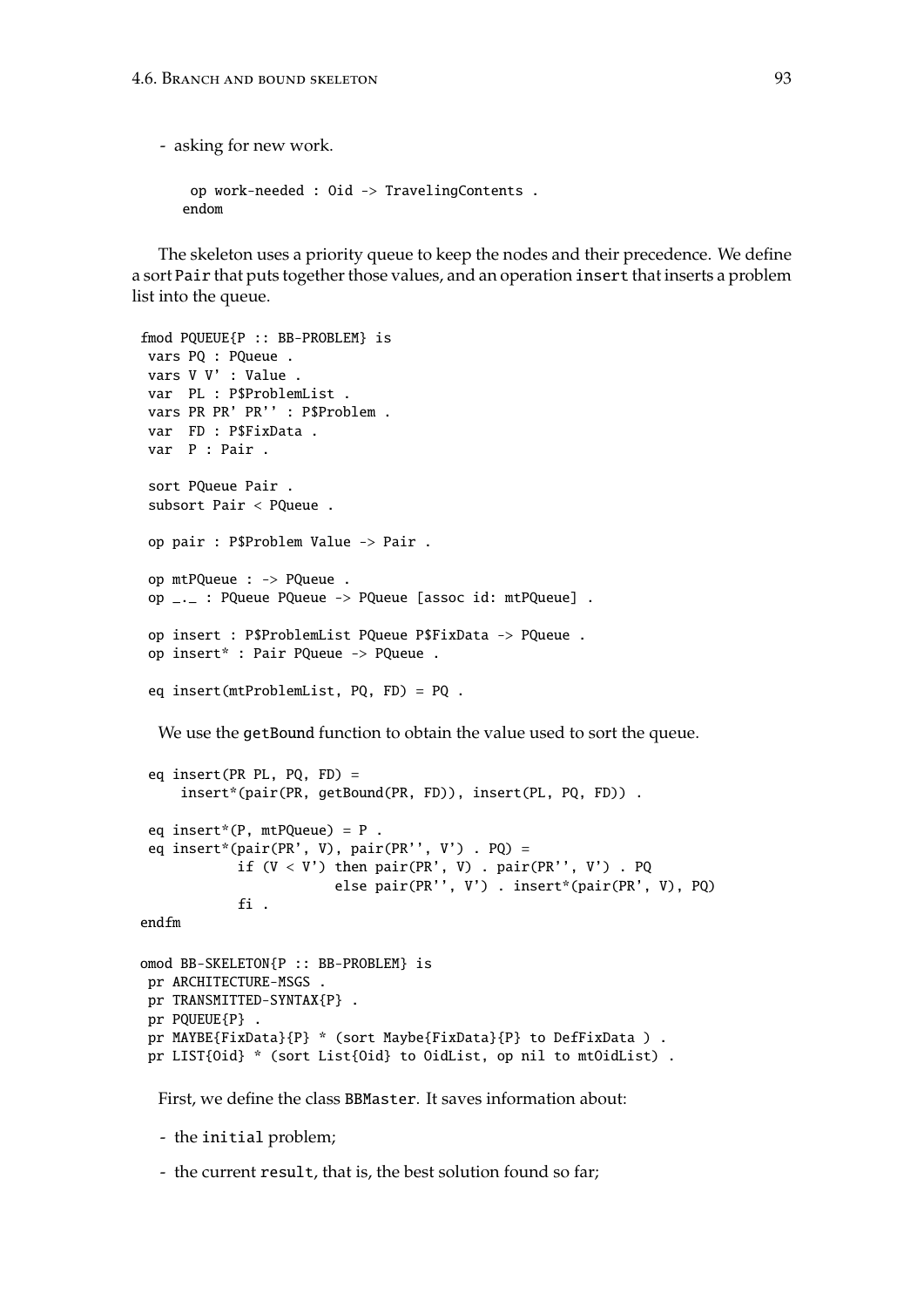- asking for new work.

```
op work-needed : Oid -> TravelingContents .
endom
```
The skeleton uses a priority queue to keep the nodes and their precedence. We define a sort Pair that puts together those values, and an operation insert that inserts a problem list into the queue.

```
fmod PQUEUE{P :: BB-PROBLEM} is
vars PQ : PQueue .
vars V V' : Value .
var PL : P$ProblemList .
vars PR PR' PR'' : P$Problem .
var FD : P$FixData .
var P : Pair .
sort PQueue Pair .
 subsort Pair < PQueue .
op pair : P$Problem Value -> Pair .
 op mtPQueue : -> PQueue .
op _._ : PQueue PQueue -> PQueue [assoc id: mtPQueue] .
 op insert : P$ProblemList PQueue P$FixData -> PQueue .
 op insert* : Pair PQueue -> PQueue .
 eq insert(mtProblemList, PQ, FD) = PQ .
```
We use the getBound function to obtain the value used to sort the queue.

```
eq insert(PR PL, PQ, FD) =
     insert*(pair(PR, getBound(PR, FD)), insert(PL, PQ, FD)) .
 eq insert*(P, mtPQueue) = P.
 eq insert*(pair(PR', V), pair(PR'', V') . PQ) =
            if (V < V') then pair(PR', V). pair(PR'', V'). PQ
                        else pair(PR'', V') . insert*(pair(PR', V), PQ)
            fi .
endfm
omod BB-SKELETON{P :: BB-PROBLEM} is
 pr ARCHITECTURE-MSGS .
```

```
pr TRANSMITTED-SYNTAX{P} .
pr PQUEUE{P} .
pr MAYBE{FixData}{P} * (sort Maybe{FixData}{P} to DefFixData ) .
pr LIST{Oid} * (sort List{Oid} to OidList, op nil to mtOidList).
```
First, we define the class BBMaster. It saves information about:

- the initial problem;

- the current result, that is, the best solution found so far;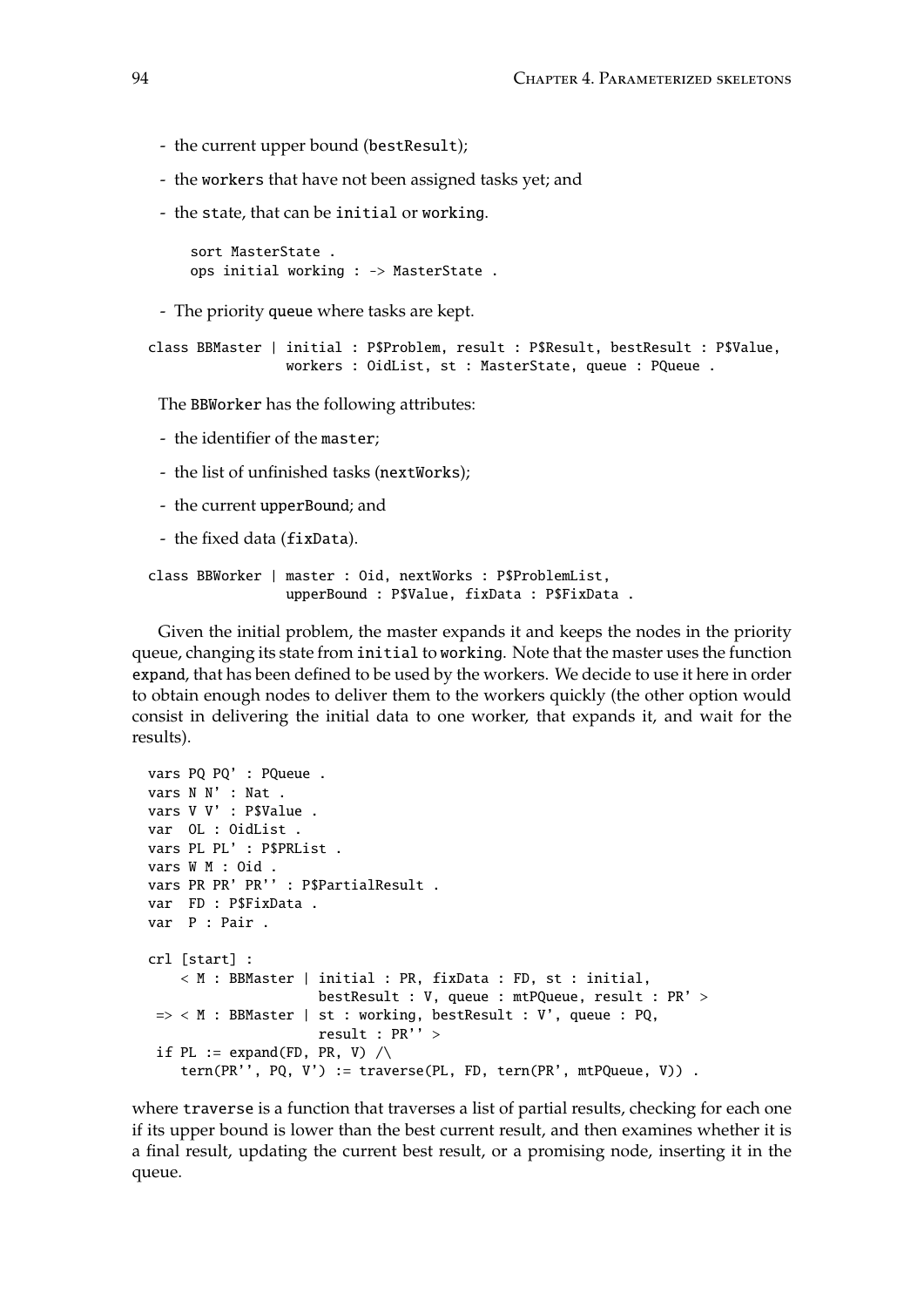- the current upper bound (bestResult);
- the workers that have not been assigned tasks yet; and
- the state, that can be initial or working.

```
sort MasterState .
ops initial working : -> MasterState .
```
- The priority queue where tasks are kept.

```
class BBMaster | initial : P$Problem, result : P$Result, bestResult : P$Value,
                workers : OidList, st : MasterState, queue : PQueue .
```
The BBWorker has the following attributes:

- the identifier of the master;
- the list of unfinished tasks (nextWorks);
- the current upperBound; and
- the fixed data (fixData).

```
class BBWorker | master : Oid, nextWorks : P$ProblemList,
                 upperBound : P$Value, fixData : P$FixData .
```
Given the initial problem, the master expands it and keeps the nodes in the priority queue, changing its state from initial to working. Note that the master uses the function expand, that has been defined to be used by the workers. We decide to use it here in order to obtain enough nodes to deliver them to the workers quickly (the other option would consist in delivering the initial data to one worker, that expands it, and wait for the results).

```
vars PQ PQ' : PQueue .
vars N N' : Nat .
vars V V' : P$Value .
var OL : OidList .
vars PL PL' : P$PRList .
vars W M : Oid .
vars PR PR' PR'' : P$PartialResult .
var FD : P$FixData .
var P : Pair .
crl [start] :
    < M : BBMaster | initial : PR, fixData : FD, st : initial,
                     bestResult : V, queue : mtPQueue, result : PR' >
\Rightarrow < M : BBMaster | st : working, bestResult : V', queue : PQ,
                     result : PR'' >
 if PL := expand(FD, PR, V) \wedgetern(PR'', PQ, V') := traverse(PL, FD, tern(PR', mtPQueue, V)) .
```
where traverse is a function that traverses a list of partial results, checking for each one if its upper bound is lower than the best current result, and then examines whether it is a final result, updating the current best result, or a promising node, inserting it in the queue.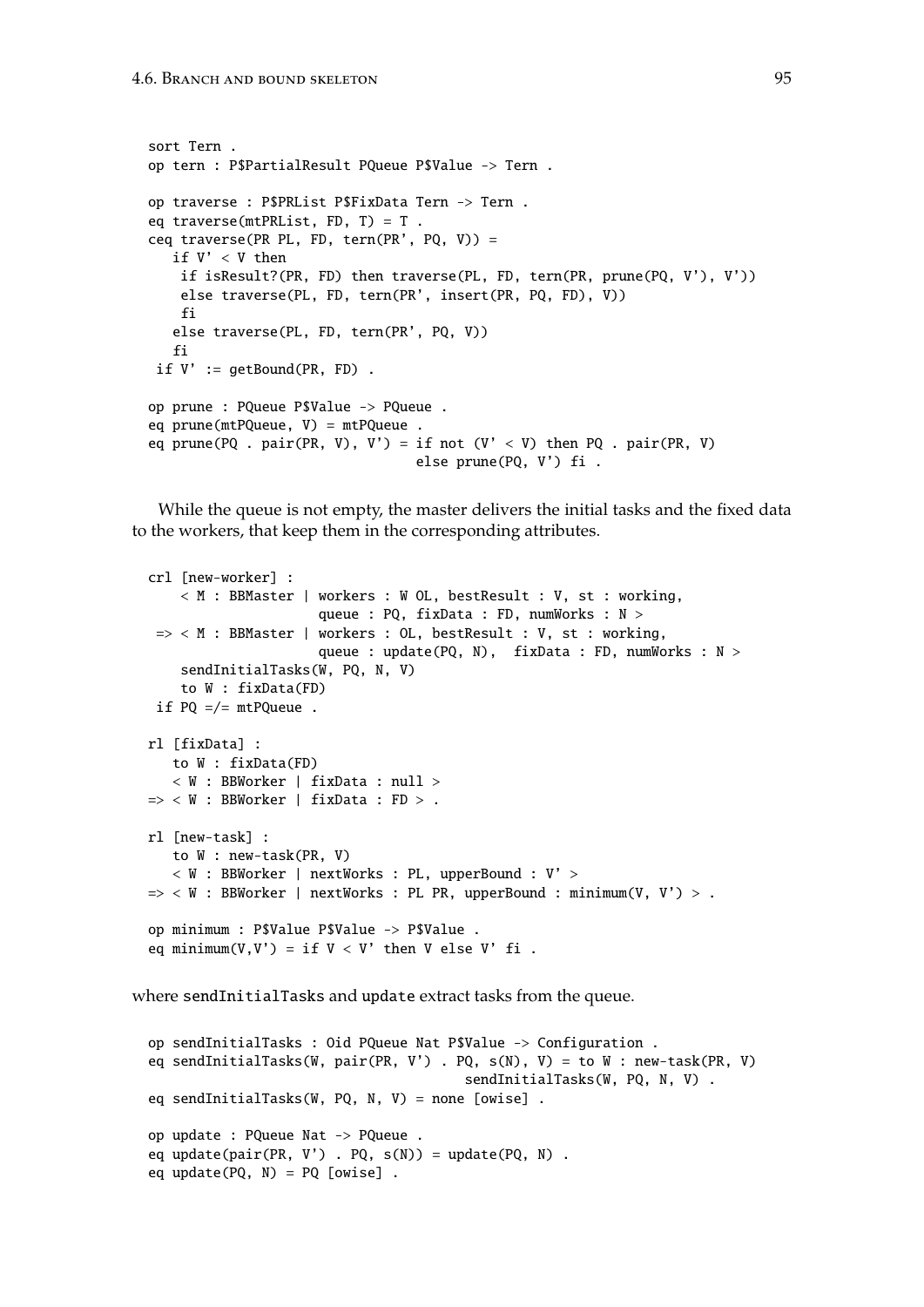```
sort Tern .
op tern : P$PartialResult PQueue P$Value -> Tern .
op traverse : P$PRList P$FixData Tern -> Tern .
eq traverse(mtPRList, FD, T) = T .
ceq traverse(PR PL, FD, tern(PR', PQ, V)) =
  if V' < V then
   if isResult?(PR, FD) then traverse(PL, FD, tern(PR, prune(PQ, V'), V'))
    else traverse(PL, FD, tern(PR', insert(PR, PQ, FD), V))
    fi
   else traverse(PL, FD, tern(PR', PQ, V))
   fi
 if V' := getBound(PR, FD).
op prune : PQueue P$Value -> PQueue .
eq prune(mtPQueue, V) = mtPQueue .
eq prune(PQ . pair(PR, V), V') = if not (V' < V) then PQ . pair(PR, V)
                                 else prune(PQ, V') fi .
```
While the queue is not empty, the master delivers the initial tasks and the fixed data to the workers, that keep them in the corresponding attributes.

```
crl [new-worker] :
    < M : BBMaster | workers : W OL, bestResult : V, st : working,
                      queue : PQ, fixData : FD, numWorks : N >
=> < M : BBMaster | workers : OL, bestResult : V, st : working,
                      queue : update(PQ, N), fixData : FD, numWorks : N >
    sendInitialTasks(W, PQ, N, V)
    to W : fixData(FD)
 if PQ = \sqrt{=} mtPQueue.
rl [fixData] :
   to W : fixData(FD)
   < W : BBWorker | fixData : null >
\Rightarrow < W : BBWorker | fixData : FD > .
rl [new-task] :
   to W : new-task(PR, V)
   < W : BBWorker | nextWorks : PL, upperBound : V' >
\Rightarrow < W : BBWorker | nextWorks : PL PR, upperBound : minimum(V, V') > .
op minimum : P$Value P$Value -> P$Value .
eq minimum(V,V') = if V < V' then V else V' fi.
```
where sendInitialTasks and update extract tasks from the queue.

```
op sendInitialTasks : Oid PQueue Nat P$Value -> Configuration .
eq sendInitialTasks(W, pair(PR, V') . PQ, s(N), V) = to W : new-task(PR, V)
                                       sendInitialTasks(W, PQ, N, V) .
eq sendInitialTasks(W, PQ, N, V) = none [owise] .
op update : PQueue Nat -> PQueue .
eq update(pair(PR, V') . PQ, s(N)) = update(PQ, N) .
eq update(PQ, N) = PQ [owise] .
```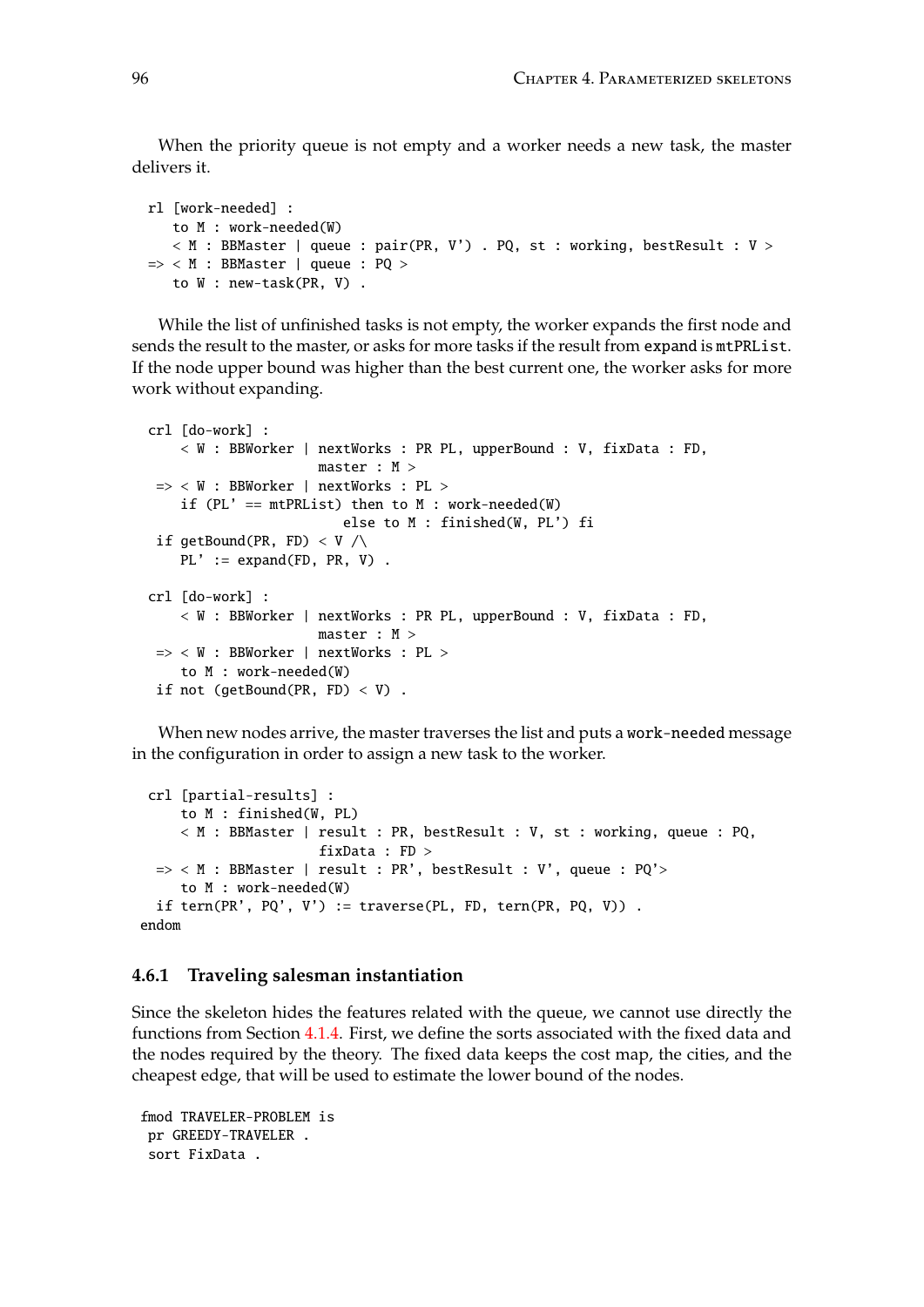When the priority queue is not empty and a worker needs a new task, the master delivers it.

```
rl [work-needed] :
   to M : work-needed(W)
   \langle M : BBMaster | queue : pair(PR, V') . PQ, st : working, bestResult : V >\Rightarrow < M : BBMaster | queue : PQ >
  to W : new-task(PR, V) .
```
While the list of unfinished tasks is not empty, the worker expands the first node and sends the result to the master, or asks for more tasks if the result from expand is mtPRList. If the node upper bound was higher than the best current one, the worker asks for more work without expanding.

```
crl [do-work] :
   < W : BBWorker | nextWorks : PR PL, upperBound : V, fixData : FD,
                     master : M >
=> < W : BBWorker | nextWorks : PL >
    if (PL' == mtPRList) then to M : work-needed(W)
                         else to M : finished(W, PL') fi
if getBound(PR, FD) \langle V \ranglePL' := expand(FD, PR, V).
crl [do-work] :
   < W : BBWorker | nextWorks : PR PL, upperBound : V, fixData : FD,
                     master : M >
=> < W : BBWorker | nextWorks : PL >
    to M : work-needed(W)
if not (getBound(PR, FD) \langle V \rangle.
```
When new nodes arrive, the master traverses the list and puts a work-needed message in the configuration in order to assign a new task to the worker.

```
crl [partial-results] :
    to M : finished(W, PL)
    < M : BBMaster | result : PR, bestResult : V, st : working, queue : PQ,
                      fixData : FD >
 => < M : BBMaster | result : PR', bestResult : V', queue : PQ'>
    to M : work-needed(W)
 if tern(PR', PQ', V') := traverse(PL, FD, tern(PR, PQ, V)) .
endom
```
### **4.6.1 Traveling salesman instantiation**

Since the skeleton hides the features related with the queue, we cannot use directly the functions from Section [4.1.4.](#page-63-0) First, we define the sorts associated with the fixed data and the nodes required by the theory. The fixed data keeps the cost map, the cities, and the cheapest edge, that will be used to estimate the lower bound of the nodes.

```
fmod TRAVELER-PROBLEM is
pr GREEDY-TRAVELER .
sort FixData .
```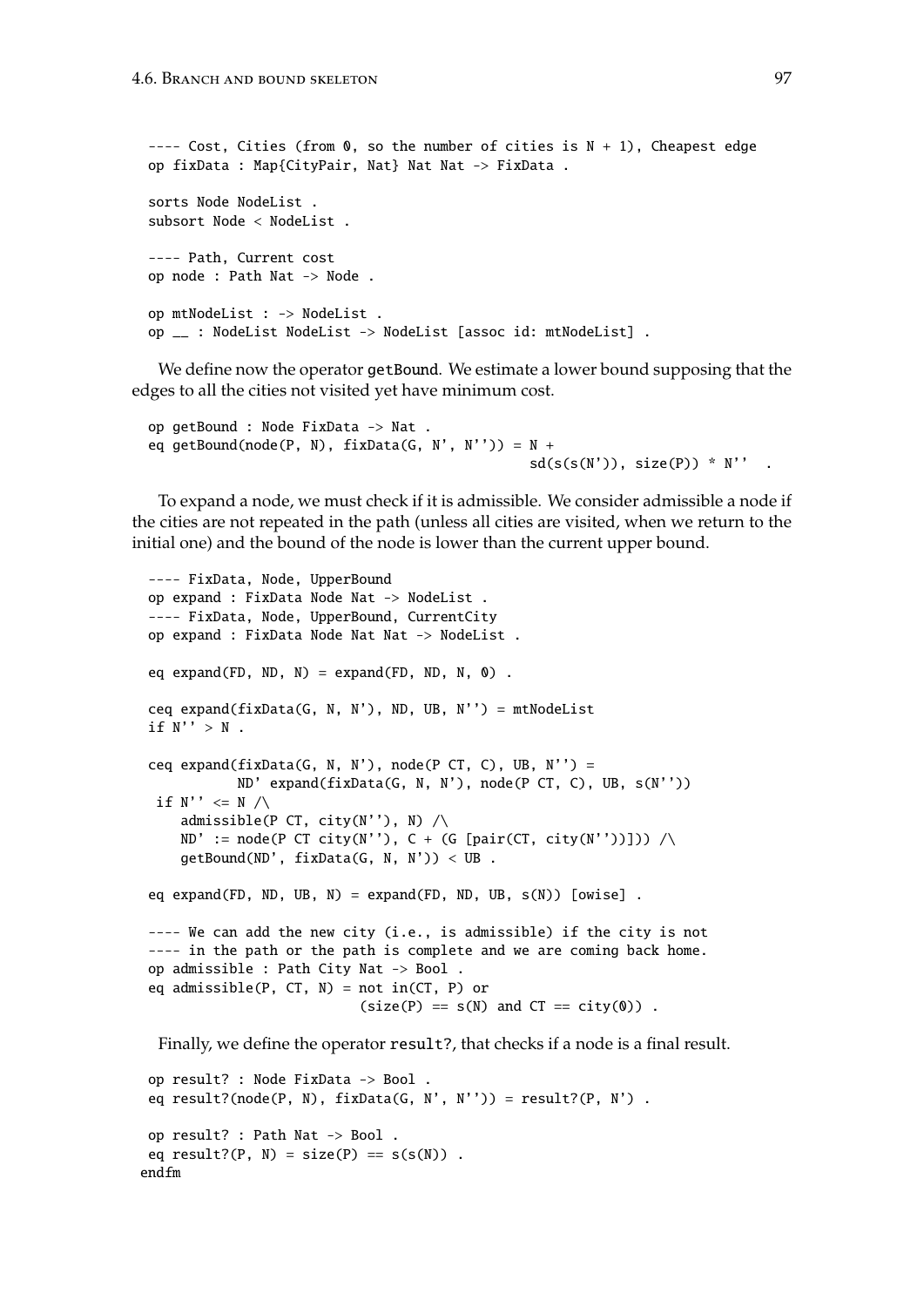```
---- Cost, Cities (from \theta, so the number of cities is N + 1), Cheapest edge
op fixData : Map{CityPair, Nat} Nat Nat -> FixData .
sorts Node NodeList .
subsort Node < NodeList .
---- Path, Current cost
op node : Path Nat -> Node .
op mtNodeList : -> NodeList .
op __ : NodeList NodeList -> NodeList [assoc id: mtNodeList] .
```
We define now the operator getBound. We estimate a lower bound supposing that the edges to all the cities not visited yet have minimum cost.

```
op getBound : Node FixData -> Nat .
eq getBound(node(P, N), fixData(G, N', N'')) = N +sd(s(s(N')), size(P)) * N'.
```
To expand a node, we must check if it is admissible. We consider admissible a node if the cities are not repeated in the path (unless all cities are visited, when we return to the initial one) and the bound of the node is lower than the current upper bound.

```
---- FixData, Node, UpperBound
op expand : FixData Node Nat -> NodeList .
---- FixData, Node, UpperBound, CurrentCity
op expand : FixData Node Nat Nat -> NodeList .
eq expand(FD, ND, N) = expand(FD, ND, N, 0) .
ceq expand(fixData(G, N, N'), ND, UB, N'') = mtNodeList
if N'' > N.
ceq expand(fixData(G, N, N'), node(P CT, C), UB, N'') =
           ND' expand(fixData(G, N, N'), node(P CT, C), UB, s(N''))
 if N'' \leq N / \sqrt{ }admissible(P CT, city(N''), N) /\rangleND' := node(P CT city(N''), C + (G [pair(CT, city(N''))])) / \getBound(ND', fixData(G, N, N')) < UB.
eq expand(FD, ND, UB, N) = expand(FD, ND, UB, s(N)) [owise].
---- We can add the new city (i.e., is admissible) if the city is not
---- in the path or the path is complete and we are coming back home.
op admissible : Path City Nat -> Bool .
eq admissible(P, CT, N) = not in(CT, P) or
                           (size(P) == s(N) and CT == city(0)).
 Finally, we define the operator result?, that checks if a node is a final result.
```

```
op result? : Node FixData -> Bool .
 eq result?(node(P, N), fixData(G, N', N'')) = result?(P, N') .
 op result? : Path Nat -> Bool .
 eq result?(P, N) = size(P) == s(s(N)).
endfm
```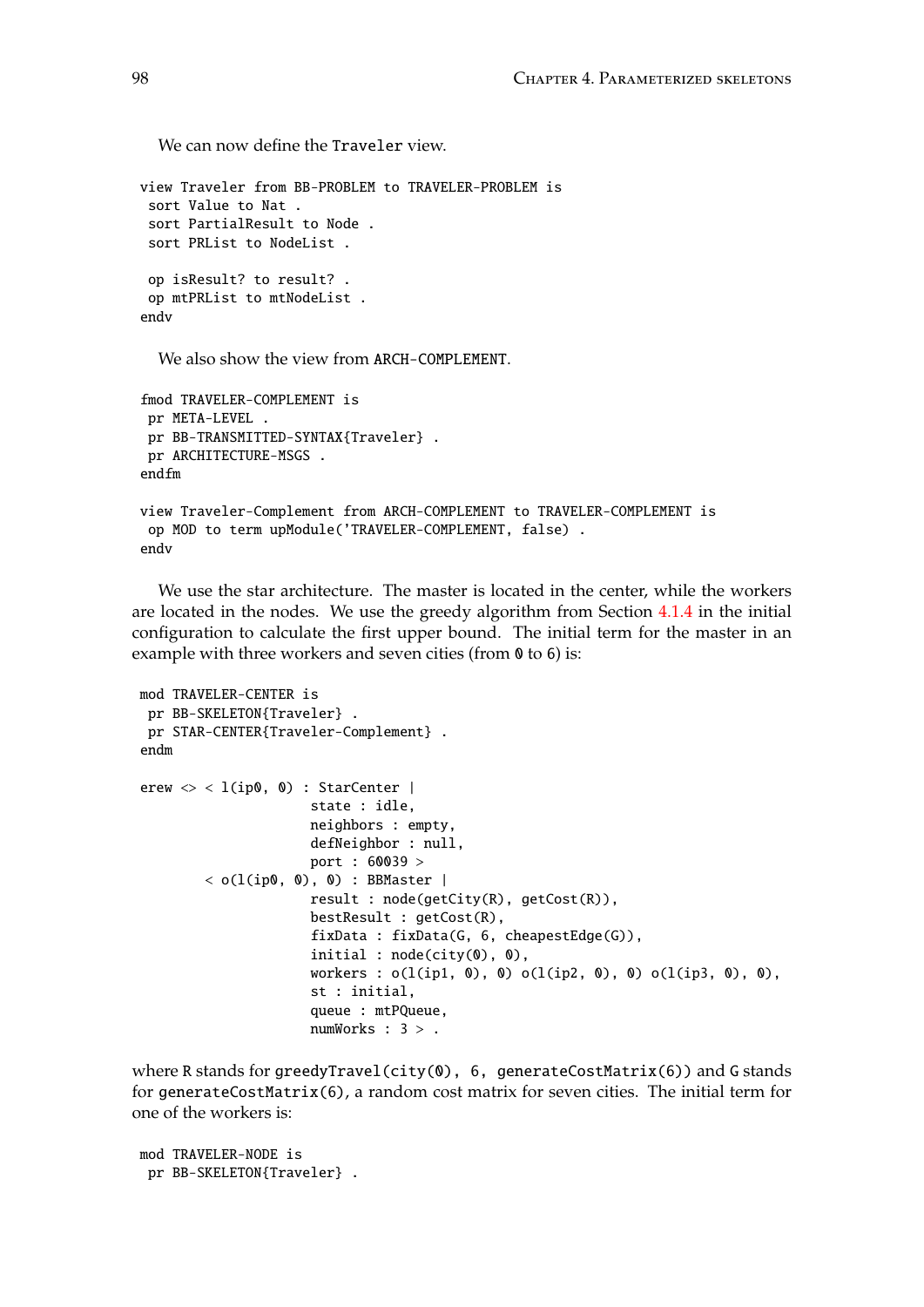We can now define the Traveler view.

```
view Traveler from BB-PROBLEM to TRAVELER-PROBLEM is
 sort Value to Nat .
 sort PartialResult to Node .
 sort PRList to NodeList .
 op isResult? to result? .
 op mtPRList to mtNodeList .
endv
```
We also show the view from ARCH-COMPLEMENT.

```
fmod TRAVELER-COMPLEMENT is
 pr META-LEVEL .
pr BB-TRANSMITTED-SYNTAX{Traveler} .
pr ARCHITECTURE-MSGS .
endfm
view Traveler-Complement from ARCH-COMPLEMENT to TRAVELER-COMPLEMENT is
 op MOD to term upModule('TRAVELER-COMPLEMENT, false) .
endv
```
We use the star architecture. The master is located in the center, while the workers are located in the nodes. We use the greedy algorithm from Section [4.1.4](#page-63-0) in the initial configuration to calculate the first upper bound. The initial term for the master in an example with three workers and seven cities (from 0 to 6) is:

```
mod TRAVELER-CENTER is
 pr BB-SKELETON{Traveler} .
pr STAR-CENTER{Traveler-Complement} .
endm
erew \langle \rangle < l(ip0, 0) : StarCenter |
                     state : idle,
                      neighbors : empty,
                      defNeighbor : null,
                     port : 60039 >
        < o(l(ip0, 0), 0) : BBMaster |
                      result : node(getCity(R), getCost(R)),
                      bestResult : getCost(R),
                      fixData : fixData(G, 6, cheapestEdge(G)),
                      initial : node(city(0), 0),
                      workers : o(l(ip1, 0), 0) o(l(ip2, 0), 0) o(l(ip3, 0), 0),
                      st : initial,
                      queue : mtPQueue,
                      numWorks : 3 > .
```
where R stands for greedyTravel(city(0), 6, generateCostMatrix(6)) and G stands for generateCostMatrix(6), a random cost matrix for seven cities. The initial term for one of the workers is:

mod TRAVELER-NODE is pr BB-SKELETON{Traveler} .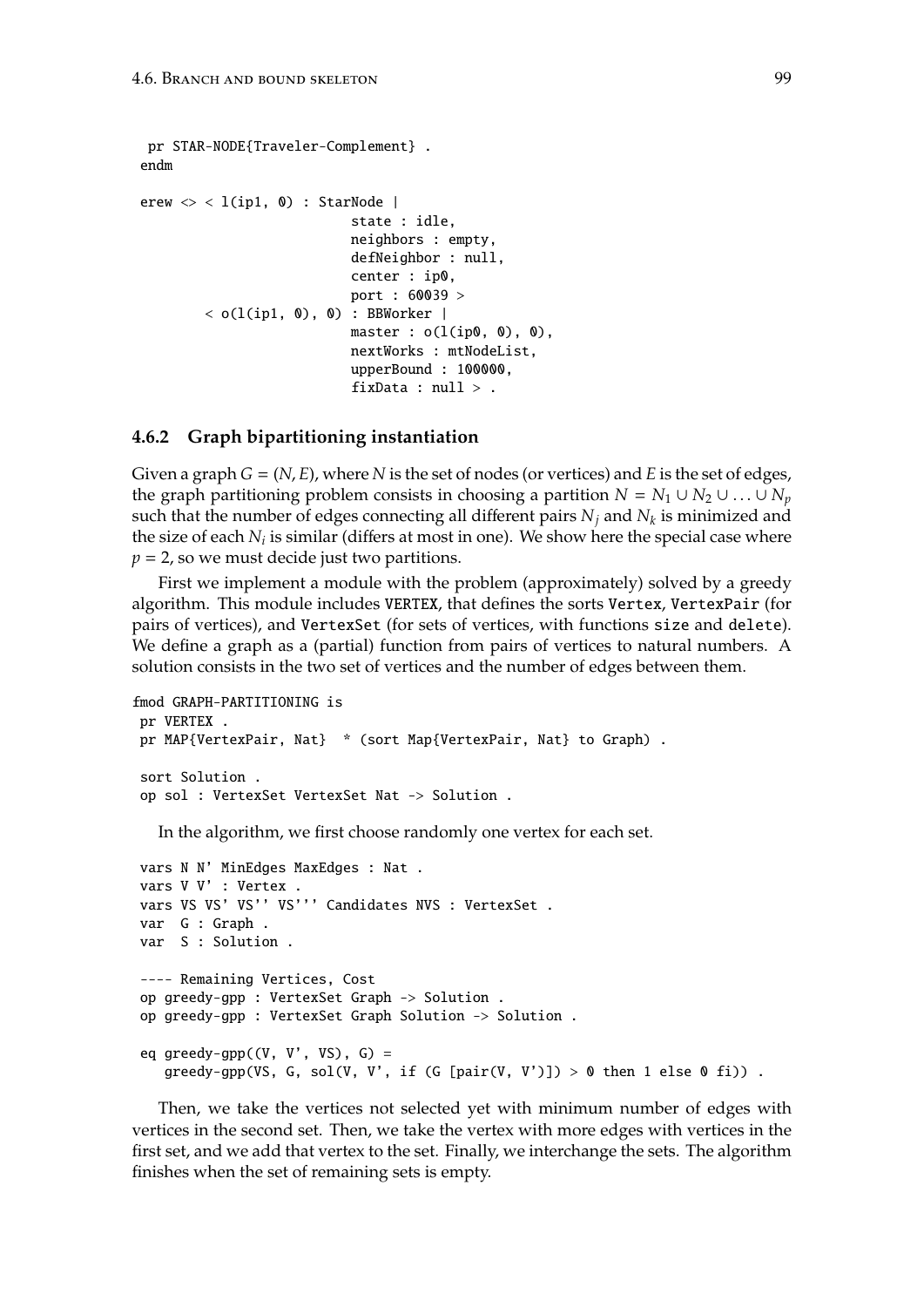```
pr STAR-NODE{Traveler-Complement} .
endm
erew \langle \rangle < l(ip1, 0) : StarNode |
                             state : idle,
                             neighbors : empty,
                             defNeighbor : null,
                             center : ip0,
                             port : 60039 >
        < o(l(ip1, \emptyset), \emptyset) : BBWorker |
                            master : o(l(ip0, 0), 0),
                             nextWorks : mtNodeList,
                             upperBound : 100000,
                             fixData : null >.
```
#### **4.6.2 Graph bipartitioning instantiation**

Given a graph  $G = (N, E)$ , where N is the set of nodes (or vertices) and E is the set of edges, the graph partitioning problem consists in choosing a partition  $N = N_1 \cup N_2 \cup ... \cup N_p$ such that the number of edges connecting all different pairs *N<sup>j</sup>* and *N<sup>k</sup>* is minimized and the size of each  $N_i$  is similar (differs at most in one). We show here the special case where  $p = 2$ , so we must decide just two partitions.

First we implement a module with the problem (approximately) solved by a greedy algorithm. This module includes VERTEX, that defines the sorts Vertex, VertexPair (for pairs of vertices), and VertexSet (for sets of vertices, with functions size and delete). We define a graph as a (partial) function from pairs of vertices to natural numbers. A solution consists in the two set of vertices and the number of edges between them.

```
fmod GRAPH-PARTITIONING is
pr VERTEX .
pr MAP{VertexPair, Nat} * (sort Map{VertexPair, Nat} to Graph) .
sort Solution .
op sol : VertexSet VertexSet Nat -> Solution .
```
In the algorithm, we first choose randomly one vertex for each set.

```
vars N N' MinEdges MaxEdges : Nat .
vars V V' : Vertex .
vars VS VS' VS'' VS''' Candidates NVS : VertexSet .
var G : Graph .
var S : Solution .
---- Remaining Vertices, Cost
op greedy-gpp : VertexSet Graph -> Solution .
op greedy-gpp : VertexSet Graph Solution -> Solution .
eq greedy-gpp((V, V', VS), G) =greedy-gpp(VS, G, sol(V, V', if (G [pair(V, V')]) > 0 then 1 else 0 fi)).
```
Then, we take the vertices not selected yet with minimum number of edges with vertices in the second set. Then, we take the vertex with more edges with vertices in the first set, and we add that vertex to the set. Finally, we interchange the sets. The algorithm finishes when the set of remaining sets is empty.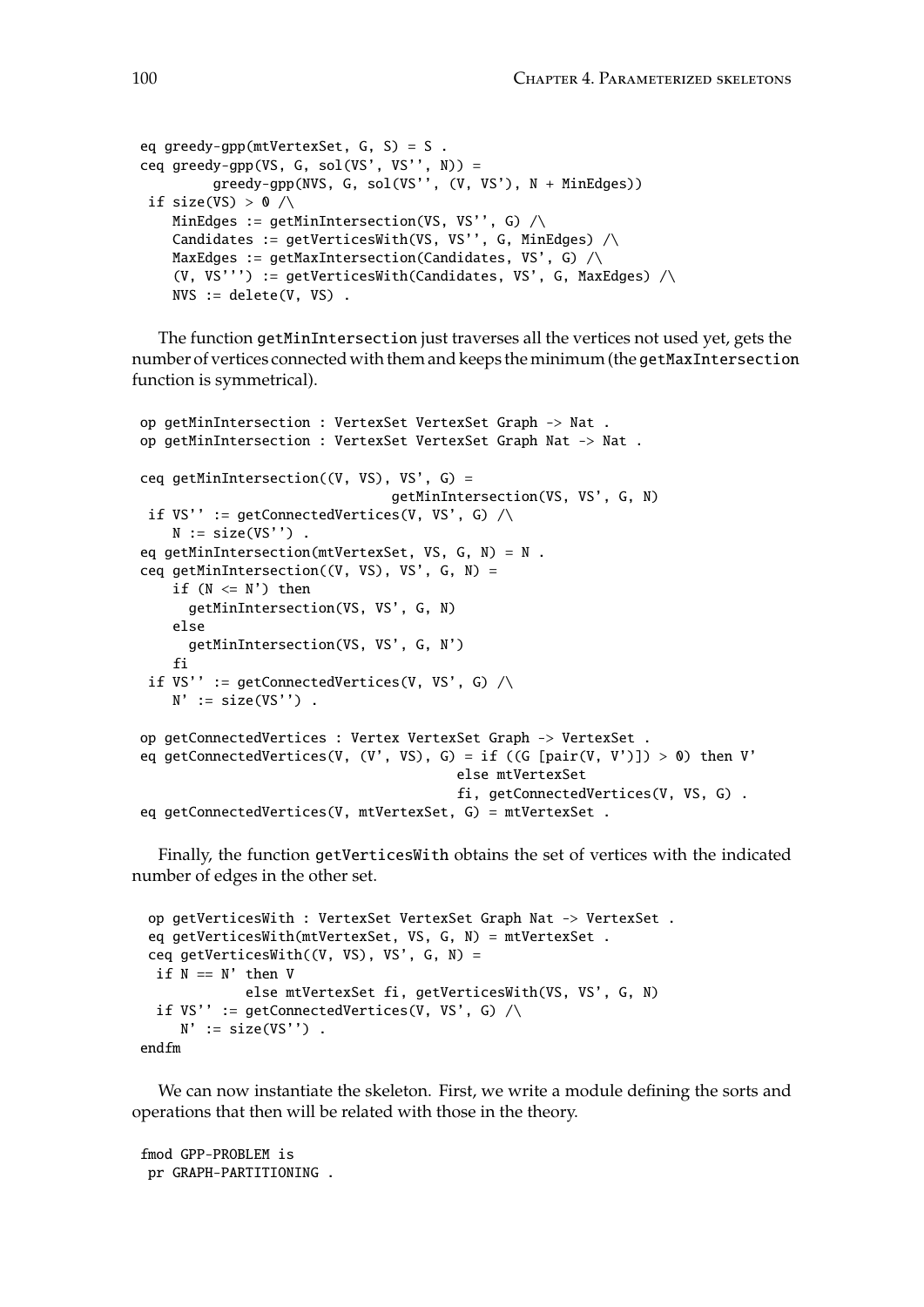```
eq greedy-gpp(mtVertexSet, G, S) = S .
ceq greedy-gpp(VS, G, sol(VS', VS'', N)) =
         greedy-gpp(NVS, G, sol(VS'', (V, VS'), N + MinEdges))
 if size(VS) > 0 / \wedgeMinEdges := getMinIntersection(VS, VS'', G) \wedgeCandidates := getVerticesWith(VS, VS'', G, MinEdges) \wedgeMaxEdges := getMaxIntersection(Candidates, VS', G) /\rangle(V, VS''') := getVerticesWith(Candidates, VS', G, MaxEdges) \wedgeNVS := delete(V, VS).
```
The function getMinIntersection just traverses all the vertices not used yet, gets the number of vertices connected with them and keeps the minimum (the getMaxIntersection function is symmetrical).

```
op getMinIntersection : VertexSet VertexSet Graph -> Nat .
op getMinIntersection : VertexSet VertexSet Graph Nat -> Nat .
ceq getMinIntersection((V, VS), VS', G) =
                               getMinIntersection(VS, VS', G, N)
 if VS'' := getConnectedVertices(V, VS', G) \wedgeN := size(VS'').
eq getMinIntersection(mtVertexSet, VS, G, N) = N .
ceq getMinIntersection((V, VS), VS', G, N) =
    if (N \leq N') then
      getMinIntersection(VS, VS', G, N)
    else
      getMinIntersection(VS, VS', G, N')
    fi
 if VS'' := getConnectedVertices(V, VS', G) \wedgeN' := size(VS'').
op getConnectedVertices : Vertex VertexSet Graph -> VertexSet .
eq getConnectedVertices(V, (V', VS), G) = if ((G [pair(V, V')]) > 0) then V'
                                        else mtVertexSet
                                        fi, getConnectedVertices(V, VS, G) .
eq getConnectedVertices(V, mtVertexSet, G) = mtVertexSet .
```
Finally, the function getVerticesWith obtains the set of vertices with the indicated number of edges in the other set.

```
op getVerticesWith : VertexSet VertexSet Graph Nat -> VertexSet .
eq getVerticesWith(mtVertexSet, VS, G, N) = mtVertexSet .
ceq getVerticesWith((V, VS), VS', G, N) =
if N == N' then Velse mtVertexSet fi, getVerticesWith(VS, VS', G, N)
 if VS'' := getConnectedVertices(V, VS', G) \wedgeN' := size(VS'').
```
endfm

We can now instantiate the skeleton. First, we write a module defining the sorts and operations that then will be related with those in the theory.

fmod GPP-PROBLEM is pr GRAPH-PARTITIONING .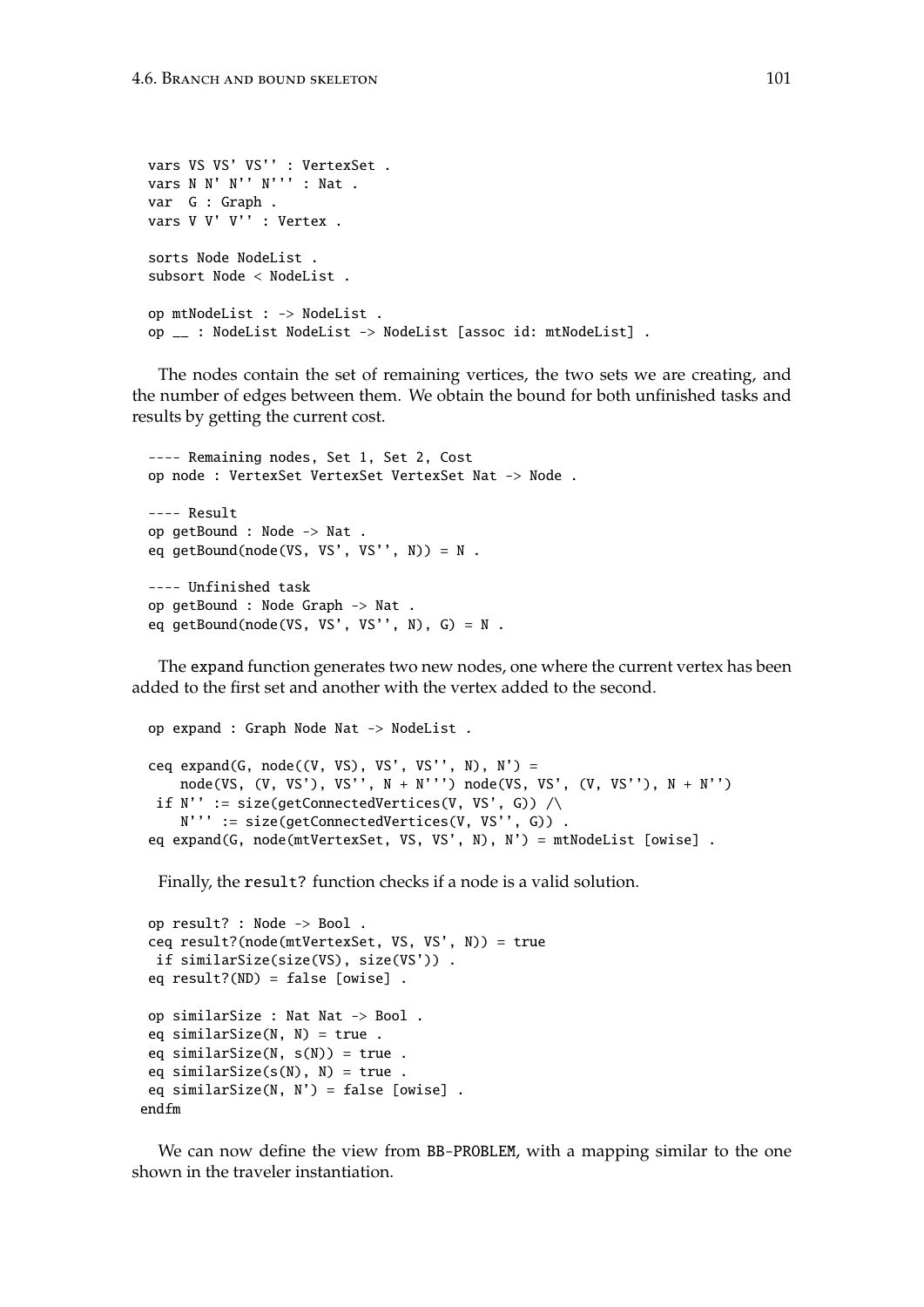```
vars VS VS' VS'' : VertexSet .
vars N N' N'' N''' : Nat .
var G : Graph .
vars V V' V'' : Vertex .
sorts Node NodeList .
subsort Node < NodeList .
op mtNodeList : -> NodeList .
op __ : NodeList NodeList -> NodeList [assoc id: mtNodeList] .
```
The nodes contain the set of remaining vertices, the two sets we are creating, and the number of edges between them. We obtain the bound for both unfinished tasks and results by getting the current cost.

```
---- Remaining nodes, Set 1, Set 2, Cost
op node : VertexSet VertexSet VertexSet Nat -> Node .
---- Result
op getBound : Node -> Nat .
eq getBound(node(VS, VS', VS'', N)) = N .
---- Unfinished task
op getBound : Node Graph -> Nat .
eq getBound(node(VS, VS', VS'', N), G) = N.
```
The expand function generates two new nodes, one where the current vertex has been added to the first set and another with the vertex added to the second.

```
op expand : Graph Node Nat -> NodeList .
ceq expand(G, node((V, VS), VS', VS'', N), N') =
   node(VS, (V, VS'), VS'', N + N''') node(VS, VS', (V, VS''), N + N'')
if N'' := size(getConnectedVertices(V, VS', G)) \wedgeN''' := size(getConnectedVertices(V, VS'', G)) .
eq expand(G, node(mtVertexSet, VS, VS', N), N') = mtNodeList [owise] .
```
Finally, the result? function checks if a node is a valid solution.

```
op result? : Node -> Bool .
 ceq result?(node(mtVertexSet, VS, VS', N)) = true
 if similarSize(size(VS), size(VS')) .
 eq result?(ND) = false [owise] .
 op similarSize : Nat Nat -> Bool .
 eq similarSize(N, N) = true.
 eq similarSize(N, s(N)) = true.
 eq similarSize(s(N), N) = true.
 eq similarSize(N, N') = false [owise].
endfm
```
We can now define the view from BB-PROBLEM, with a mapping similar to the one shown in the traveler instantiation.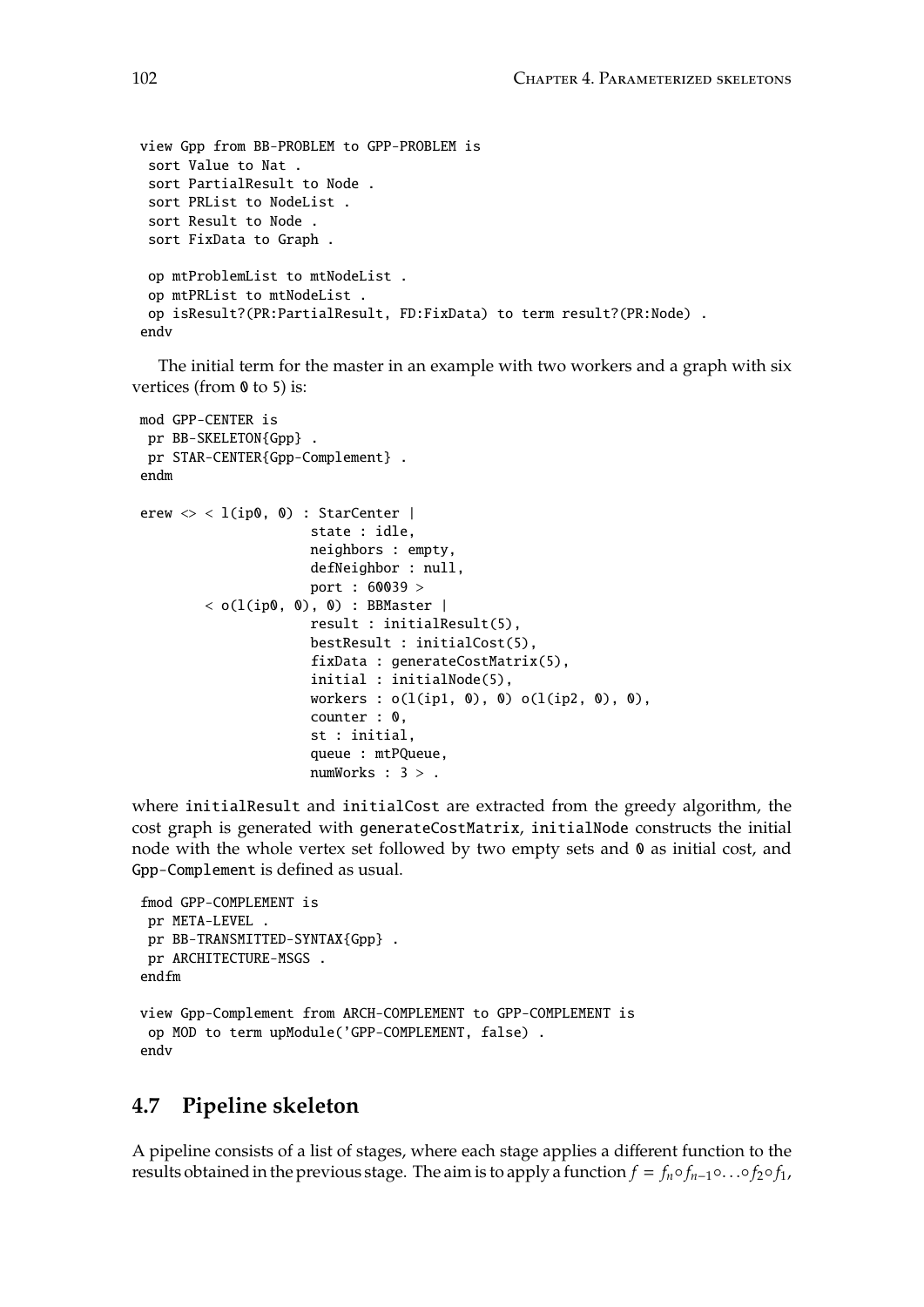```
view Gpp from BB-PROBLEM to GPP-PROBLEM is
 sort Value to Nat .
 sort PartialResult to Node .
 sort PRList to NodeList .
 sort Result to Node .
 sort FixData to Graph .
 op mtProblemList to mtNodeList .
 op mtPRList to mtNodeList .
 op isResult?(PR:PartialResult, FD:FixData) to term result?(PR:Node) .
endv
```
The initial term for the master in an example with two workers and a graph with six vertices (from  $\theta$  to 5) is:

```
mod GPP-CENTER is
pr BB-SKELETON{Gpp} .
pr STAR-CENTER{Gpp-Complement} .
endm
erew \langle \rangle < l(ip0, 0) : StarCenter |
                      state : idle,
                      neighbors : empty,
                      defNeighbor : null,
                      port : 60039 >
        \langle o(l(ip0, 0), 0) : BBMaster |
                      result : initialResult(5),
                      bestResult : initialCost(5),
                      fixData : generateCostMatrix(5),
                      initial : initialNode(5),
                      workers : o(l(ip1, 0), 0) o(l(ip2, 0), 0),
                      counter : 0,
                      st : initial,
                      queue : mtPQueue,
                      numWorks : 3 > .
```
where initialResult and initialCost are extracted from the greedy algorithm, the cost graph is generated with generateCostMatrix, initialNode constructs the initial node with the whole vertex set followed by two empty sets and 0 as initial cost, and Gpp-Complement is defined as usual.

```
fmod GPP-COMPLEMENT is
pr META-LEVEL .
 pr BB-TRANSMITTED-SYNTAX{Gpp} .
pr ARCHITECTURE-MSGS .
endfm
view Gpp-Complement from ARCH-COMPLEMENT to GPP-COMPLEMENT is
op MOD to term upModule('GPP-COMPLEMENT, false) .
endv
```
## **4.7 Pipeline skeleton**

A pipeline consists of a list of stages, where each stage applies a different function to the results obtained in the previous stage. The aim is to apply a function  $f = f_n \circ f_{n-1} \circ \dots \circ f_2 \circ f_1$ ,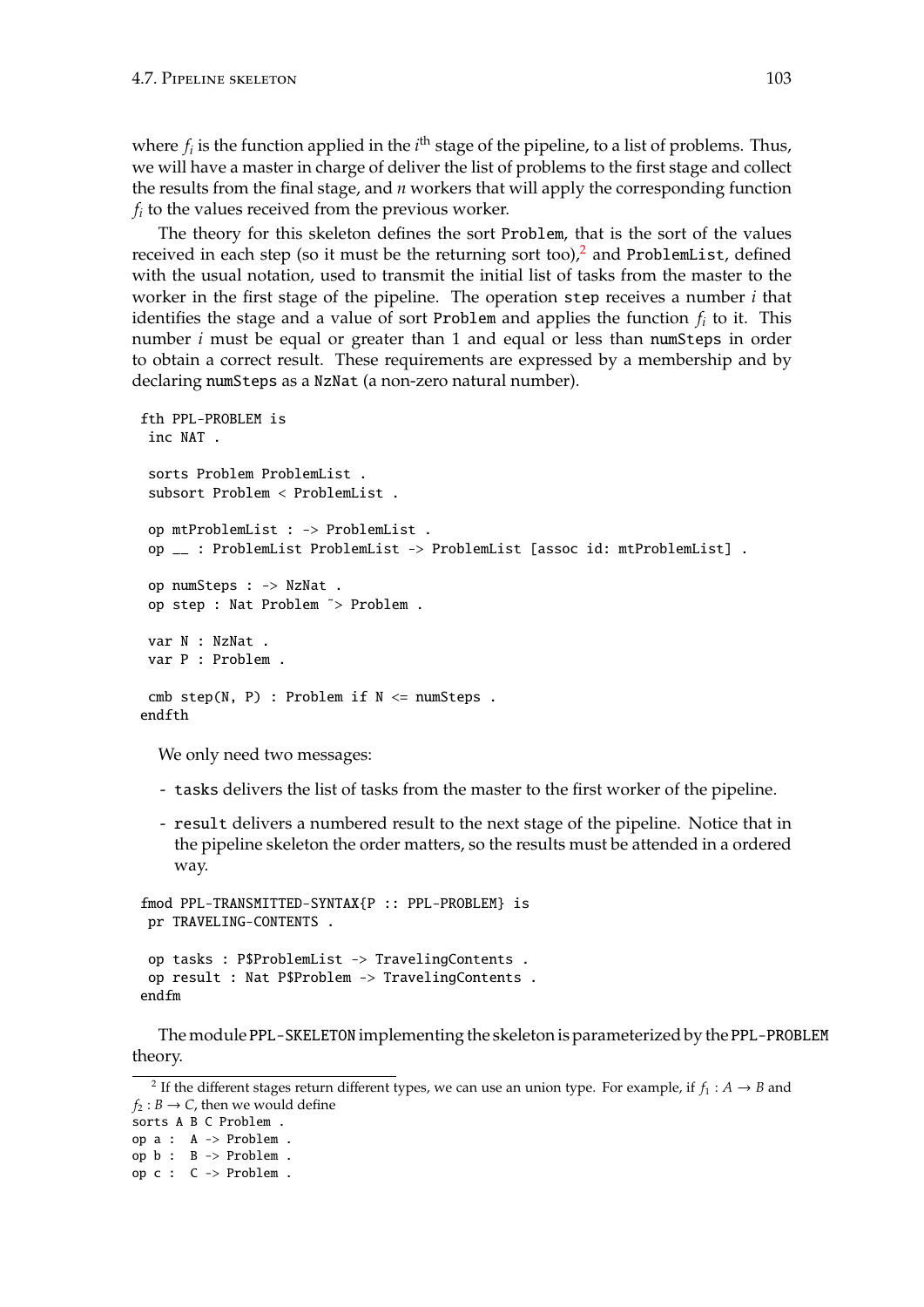where  $f_i$  is the function applied in the  $i^{\text{th}}$  stage of the pipeline, to a list of problems. Thus, we will have a master in charge of deliver the list of problems to the first stage and collect the results from the final stage, and *n* workers that will apply the corresponding function *fi* to the values received from the previous worker.

The theory for this skeleton defines the sort Problem, that is the sort of the values received in each step (so it must be the returning sort too), $^2$  $^2$  and ProblemList, defined with the usual notation, used to transmit the initial list of tasks from the master to the worker in the first stage of the pipeline. The operation step receives a number *i* that identifies the stage and a value of sort Problem and applies the function  $f_i$  to it. This number *i* must be equal or greater than 1 and equal or less than numSteps in order to obtain a correct result. These requirements are expressed by a membership and by declaring numSteps as a NzNat (a non-zero natural number).

```
fth PPL-PROBLEM is
inc NAT .
 sorts Problem ProblemList .
 subsort Problem < ProblemList .
 op mtProblemList : -> ProblemList .
 op __ : ProblemList ProblemList -> ProblemList [assoc id: mtProblemList] .
op numSteps : -> NzNat .
 op step : Nat Problem ˜> Problem .
var N : NzNat .
var P : Problem .
cmb step(N, P): Problem if N \leq numSteps.
endfth
```
We only need two messages:

- tasks delivers the list of tasks from the master to the first worker of the pipeline.
- result delivers a numbered result to the next stage of the pipeline. Notice that in the pipeline skeleton the order matters, so the results must be attended in a ordered way.

```
fmod PPL-TRANSMITTED-SYNTAX{P :: PPL-PROBLEM} is
pr TRAVELING-CONTENTS .
op tasks : P$ProblemList -> TravelingContents .
op result : Nat P$Problem -> TravelingContents .
endfm
```
The module PPL-SKELETON implementing the skeleton is parameterized by the PPL-PROBLEM theory.

op a : A -> Problem . op b : B -> Problem . op c : C -> Problem .

<span id="page-102-0"></span><sup>&</sup>lt;sup>2</sup> If the different stages return different types, we can use an union type. For example, if  $f_1: A \rightarrow B$  and  $f_2 : B \to C$ , then we would define sorts A B C Problem .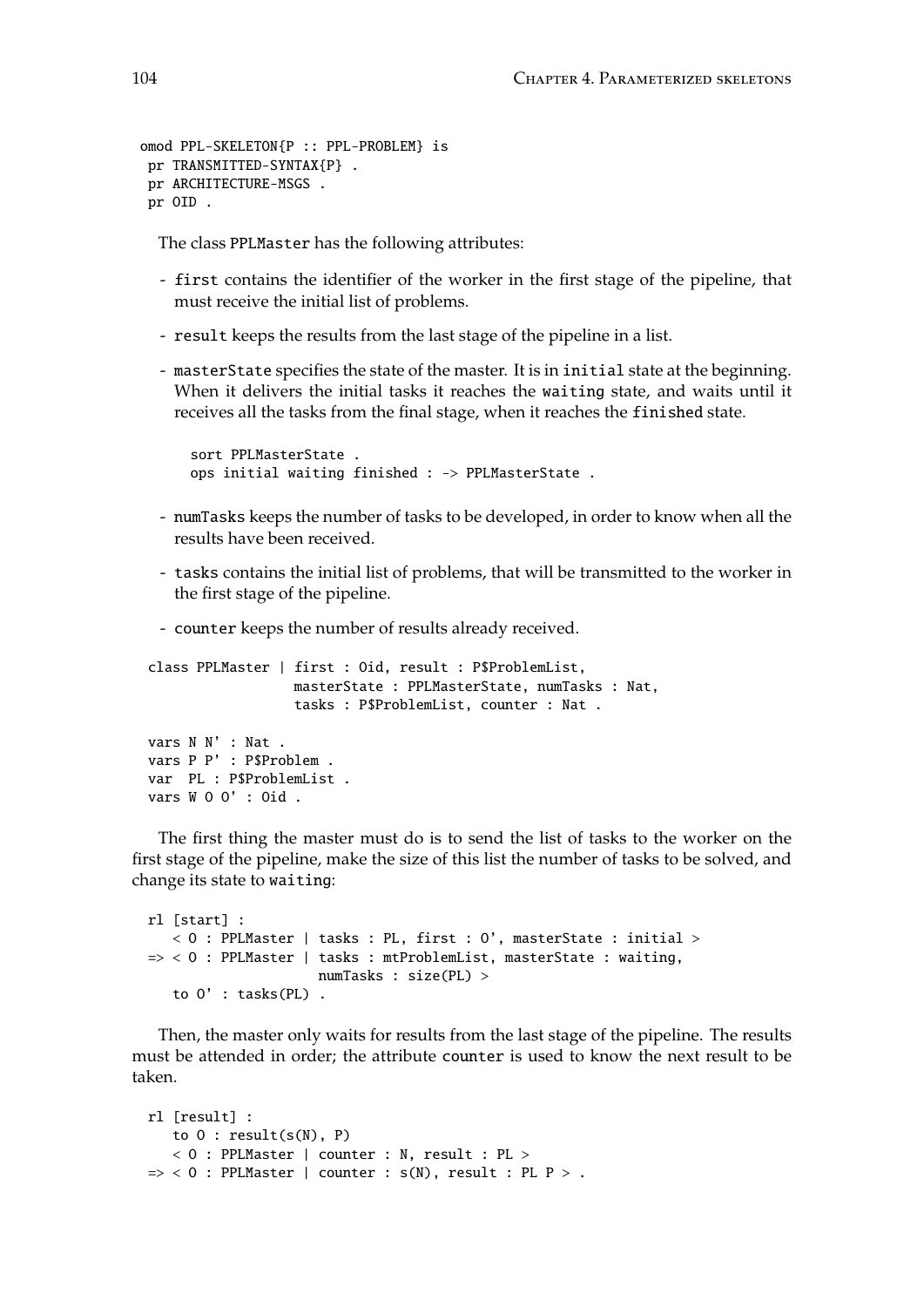```
omod PPL-SKELETON{P :: PPL-PROBLEM} is
pr TRANSMITTED-SYNTAX{P} .
pr ARCHITECTURE-MSGS .
pr OID .
```
The class PPLMaster has the following attributes:

- first contains the identifier of the worker in the first stage of the pipeline, that must receive the initial list of problems.
- result keeps the results from the last stage of the pipeline in a list.
- masterState specifies the state of the master. It is in initial state at the beginning. When it delivers the initial tasks it reaches the waiting state, and waits until it receives all the tasks from the final stage, when it reaches the finished state.

```
sort PPLMasterState .
ops initial waiting finished : -> PPLMasterState .
```
- numTasks keeps the number of tasks to be developed, in order to know when all the results have been received.
- tasks contains the initial list of problems, that will be transmitted to the worker in the first stage of the pipeline.
- counter keeps the number of results already received.

```
class PPLMaster | first : Oid, result : P$ProblemList,
                  masterState : PPLMasterState, numTasks : Nat,
                  tasks : P$ProblemList, counter : Nat .
vars N N' : Nat .
vars P P' : P$Problem .
var PL : P$ProblemList .
vars W O O' : Oid .
```
The first thing the master must do is to send the list of tasks to the worker on the first stage of the pipeline, make the size of this list the number of tasks to be solved, and change its state to waiting:

```
rl [start] :
   < O : PPLMaster | tasks : PL, first : O', masterState : initial >
\Rightarrow < 0 : PPLMaster | tasks : mtProblemList, masterState : waiting,
                     numTasks : size(PL) >
   to O' : tasks(PL) .
```
Then, the master only waits for results from the last stage of the pipeline. The results must be attended in order; the attribute counter is used to know the next result to be taken.

```
rl [result] :
   to 0 : result(s(N), P)
   < O : PPLMaster | counter : N, result : PL >
\Rightarrow < 0 : PPLMaster | counter : s(N), result : PL P > .
```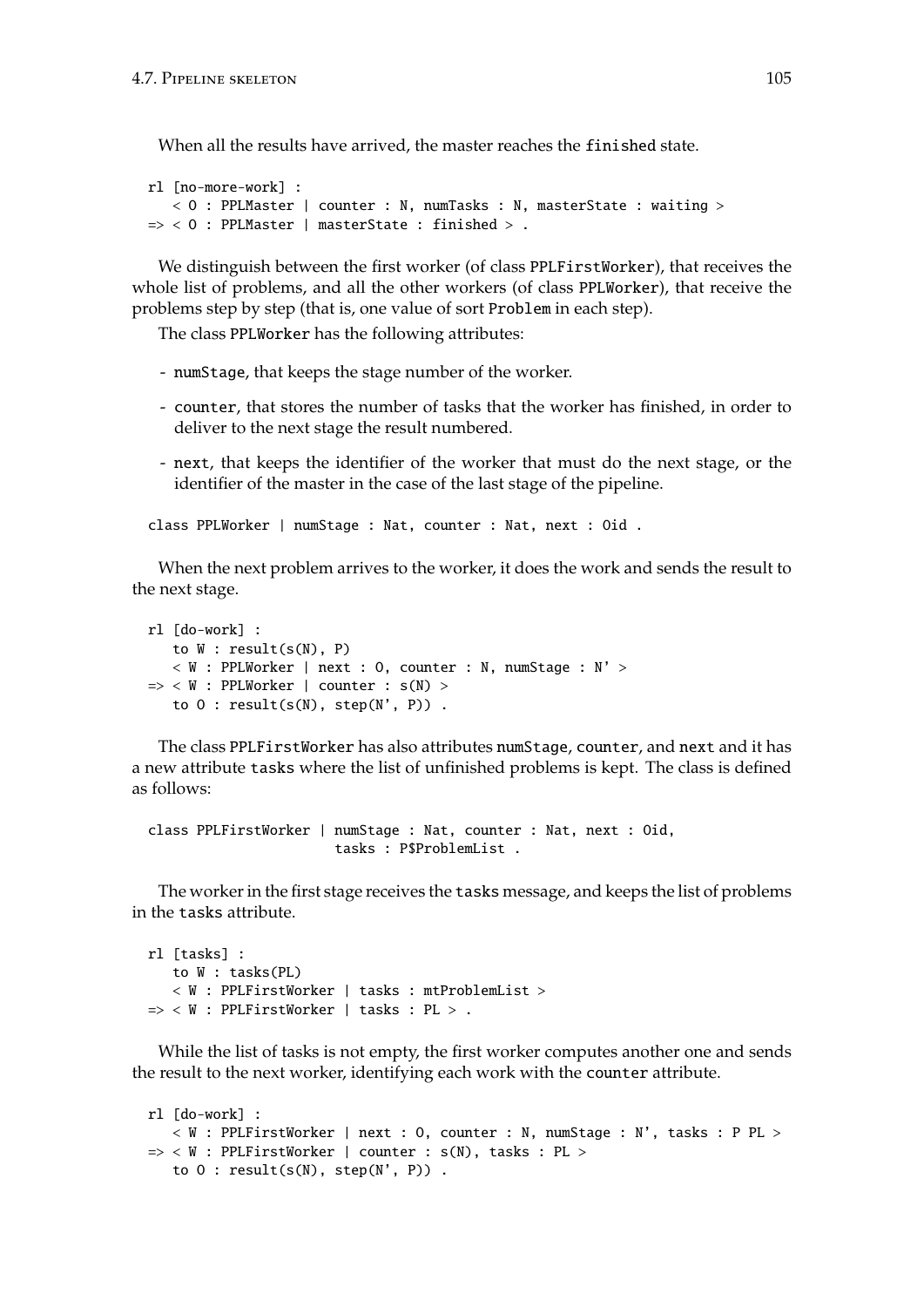When all the results have arrived, the master reaches the finished state.

```
rl [no-more-work] :
   < O : PPLMaster | counter : N, numTasks : N, masterState : waiting >
\Rightarrow < 0 : PPLMaster | masterState : finished > .
```
We distinguish between the first worker (of class PPLFirstWorker), that receives the whole list of problems, and all the other workers (of class PPLWorker), that receive the problems step by step (that is, one value of sort Problem in each step).

The class PPLWorker has the following attributes:

- numStage, that keeps the stage number of the worker.
- counter, that stores the number of tasks that the worker has finished, in order to deliver to the next stage the result numbered.
- next, that keeps the identifier of the worker that must do the next stage, or the identifier of the master in the case of the last stage of the pipeline.

class PPLWorker | numStage : Nat, counter : Nat, next : Oid .

When the next problem arrives to the worker, it does the work and sends the result to the next stage.

```
rl [do-work] :
   to W : result(s(N), P)
   < W : PPLWorker | next : 0, counter : N, numStage : N' >
\Rightarrow < W : PPLWorker | counter : s(N) >
   to 0 : result(s(N), step(N', P)).
```
The class PPLFirstWorker has also attributes numStage, counter, and next and it has a new attribute tasks where the list of unfinished problems is kept. The class is defined as follows:

```
class PPLFirstWorker | numStage : Nat, counter : Nat, next : Oid,
                       tasks : P$ProblemList .
```
The worker in the first stage receives the tasks message, and keeps the list of problems in the tasks attribute.

```
rl [tasks] :
  to W : tasks(PL)
   < W : PPLFirstWorker | tasks : mtProblemList >
=> < W : PPLFirstWorker | tasks : PL > .
```
While the list of tasks is not empty, the first worker computes another one and sends the result to the next worker, identifying each work with the counter attribute.

```
rl [do-work] :
   < W : PPLFirstWorker | next : O, counter : N, numStage : N', tasks : P PL >
\Rightarrow < W : PPLFirstWorker | counter : s(N), tasks : PL >
   to 0 : result(s(N), step(N', P)).
```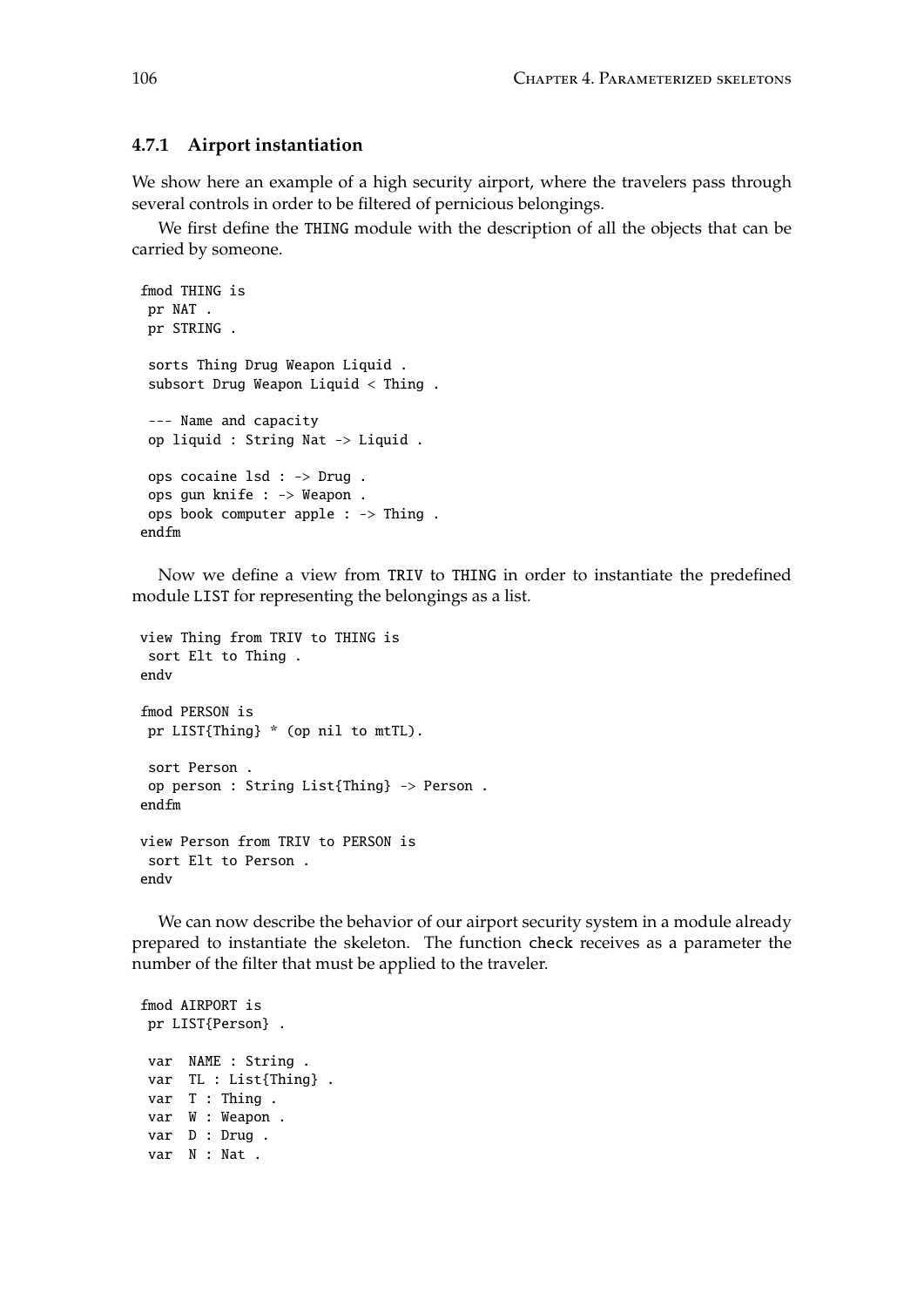### **4.7.1 Airport instantiation**

We show here an example of a high security airport, where the travelers pass through several controls in order to be filtered of pernicious belongings.

We first define the THING module with the description of all the objects that can be carried by someone.

```
fmod THING is
pr NAT .
pr STRING .
sorts Thing Drug Weapon Liquid .
subsort Drug Weapon Liquid < Thing .
--- Name and capacity
op liquid : String Nat -> Liquid .
ops cocaine lsd : -> Drug .
ops gun knife : -> Weapon .
ops book computer apple : -> Thing .
endfm
```
Now we define a view from TRIV to THING in order to instantiate the predefined module LIST for representing the belongings as a list.

```
view Thing from TRIV to THING is
 sort Elt to Thing .
endv
fmod PERSON is
pr LIST{Thing} * (op nil to mtTL).
 sort Person .
 op person : String List{Thing} -> Person .
endfm
view Person from TRIV to PERSON is
 sort Elt to Person .
endv
```
We can now describe the behavior of our airport security system in a module already prepared to instantiate the skeleton. The function check receives as a parameter the number of the filter that must be applied to the traveler.

fmod AIRPORT is pr LIST{Person} . var NAME : String . var TL : List{Thing} . var T : Thing . var W : Weapon . var D : Drug . var N : Nat .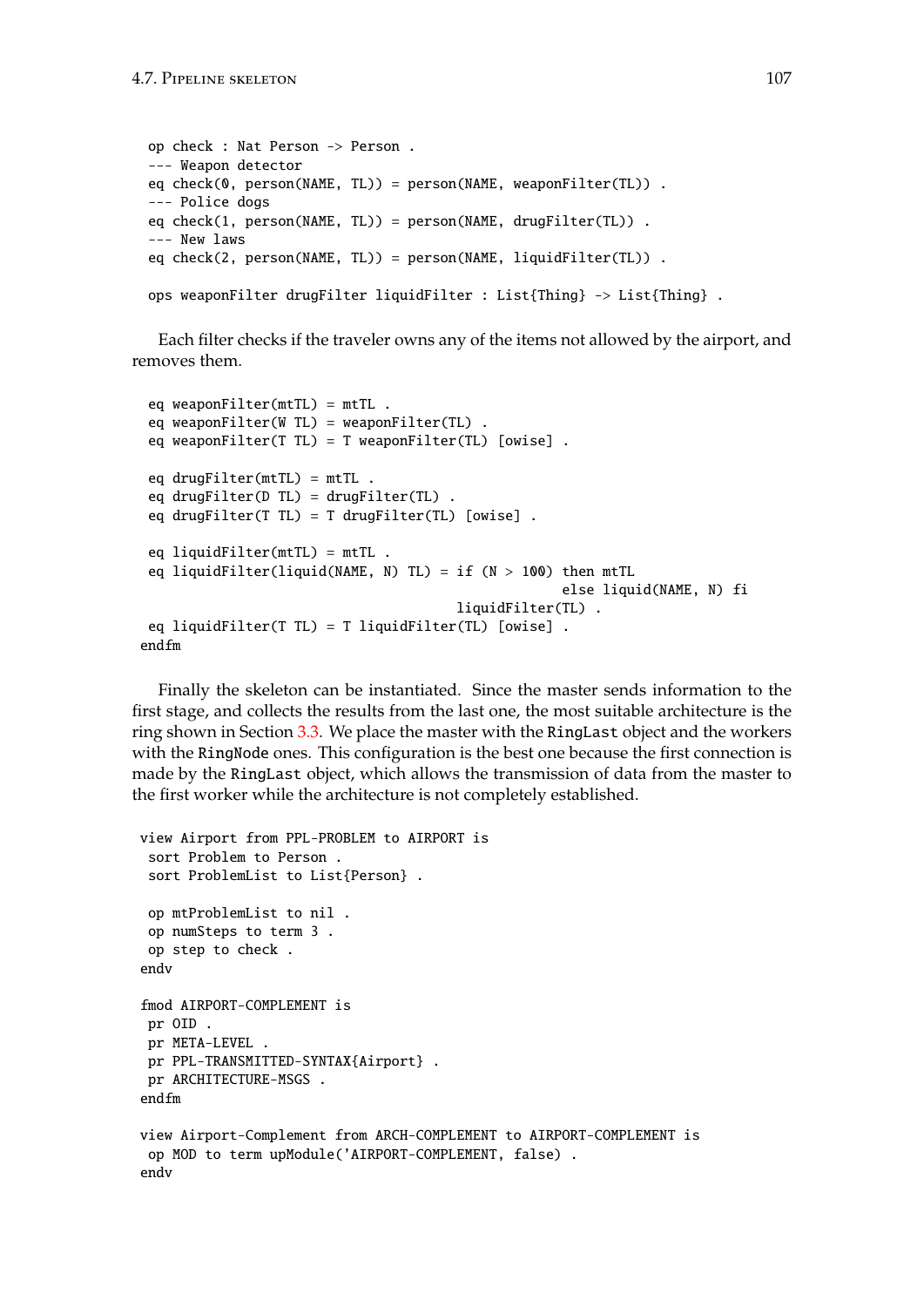```
op check : Nat Person -> Person .
--- Weapon detector
eq check(0, person(NAME, TL)) = person(NAME, weaponFilter(TL)) .
--- Police dogs
eq check(1, person(NAME, TL)) = person(NAME, drugFilter(TL)) .
--- New laws
eq check(2, person(NAME, TL)) = person(NAME, liquidFilter(TL)) .
ops weaponFilter drugFilter liquidFilter : List{Thing} -> List{Thing} .
```
Each filter checks if the traveler owns any of the items not allowed by the airport, and removes them.

```
eq weaponFilter(mtTL) = mtTL.
 eq weaponFilter(W TL) = weaponFilter(TL) .
 eq weaponFilter(T TL) = T weaponFilter(TL) [owise] .
 eq drugFilter(mtTL) = mtTL .
 eq drugFilter(D TL) = drugFilter(TL) .
 eq drugFilter(T TL) = T drugFilter(TL) [owise] .
 eq liquidFilter(mtTL) = mtTL .
 eq liquidFilter(liquid(NAME, N) TL) = if (N > 100) then mtTL
                                                    else liquid(NAME, N) fi
                                       liquidFilter(TL) .
eq liquidFilter(T TL) = T liquidFilter(TL) [owise] .
endfm
```
Finally the skeleton can be instantiated. Since the master sends information to the first stage, and collects the results from the last one, the most suitable architecture is the ring shown in Section [3.3.](#page-46-0) We place the master with the RingLast object and the workers with the RingNode ones. This configuration is the best one because the first connection is made by the RingLast object, which allows the transmission of data from the master to the first worker while the architecture is not completely established.

```
view Airport from PPL-PROBLEM to AIRPORT is
 sort Problem to Person .
 sort ProblemList to List{Person} .
 op mtProblemList to nil .
 op numSteps to term 3 .
 op step to check .
endv
fmod AIRPORT-COMPLEMENT is
pr OID .
pr META-LEVEL .
 pr PPL-TRANSMITTED-SYNTAX{Airport} .
pr ARCHITECTURE-MSGS .
endfm
view Airport-Complement from ARCH-COMPLEMENT to AIRPORT-COMPLEMENT is
 op MOD to term upModule('AIRPORT-COMPLEMENT, false) .
endv
```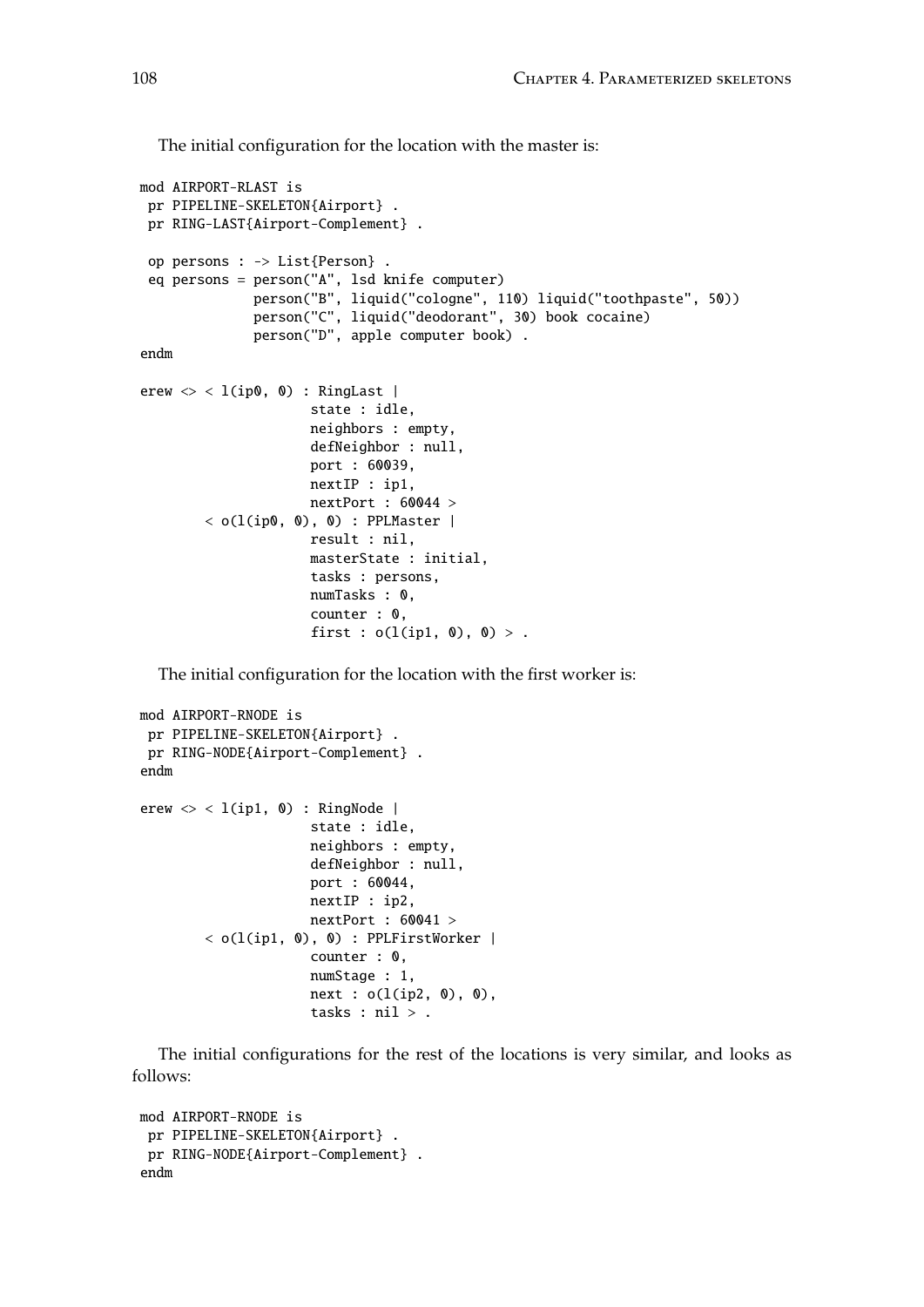The initial configuration for the location with the master is:

```
mod AIRPORT-RLAST is
 pr PIPELINE-SKELETON{Airport} .
 pr RING-LAST{Airport-Complement} .
 op persons : -> List{Person} .
 eq persons = person("A", lsd knife computer)
              person("B", liquid("cologne", 110) liquid("toothpaste", 50))
              person("C", liquid("deodorant", 30) book cocaine)
              person("D", apple computer book) .
endm
erew \langle \rangle < l(ip0, 0) : RingLast |
                      state : idle,
                      neighbors : empty,
                      defNeighbor : null,
                      port : 60039,
                     nextIP : ip1,
                     nextPort : 60044 >
        \langle o(l(ip0, 0), 0) : PPLMaster |
                     result : nil,
                      masterState : initial,
                      tasks : persons,
                      numTasks : 0,
                      counter : 0,
                      first : o(l(ip1, 0), 0) > .
```
The initial configuration for the location with the first worker is:

```
mod AIRPORT-RNODE is
 pr PIPELINE-SKELETON{Airport} .
pr RING-NODE{Airport-Complement} .
endm
erew \langle \rangle < 1(ip1, 0) : RingNode |
                      state : idle,
                      neighbors : empty,
                      defNeighbor : null,
                      port : 60044,
                      nextIP : ip2,
                      nextPort : 60041 >
        < o(l(ip1, 0), 0) : PPLFirstWorker |
                      counter : 0,
                      numStage : 1,
                      next : o(l(ip2, 0), 0),tasks : nil > .
```
The initial configurations for the rest of the locations is very similar, and looks as follows:

```
mod AIRPORT-RNODE is
 pr PIPELINE-SKELETON{Airport} .
 pr RING-NODE{Airport-Complement} .
endm
```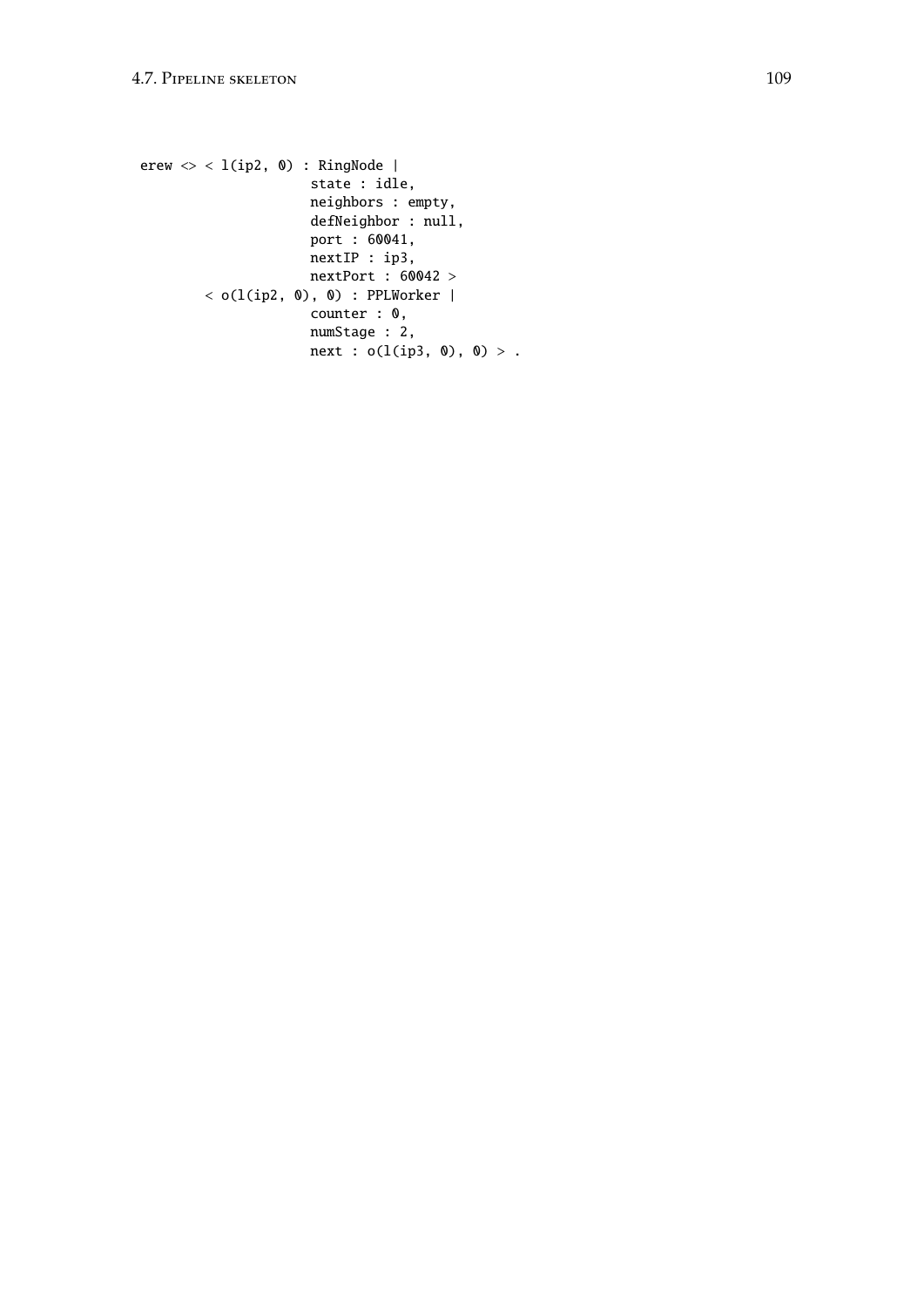```
erew \langle \rangle < 1(ip2, 0) : RingNode |
                      state : idle,
                      neighbors : empty,
                      defNeighbor : null,
                      port : 60041,
                      nextIP : ip3,
                      nextPort : 60042 >
        \langle o(l(ip2, 0), 0) : PPLWorker |
                      counter : 0,
                      numStage : 2,
                      next : o(l(ip3, 0), 0) > .
```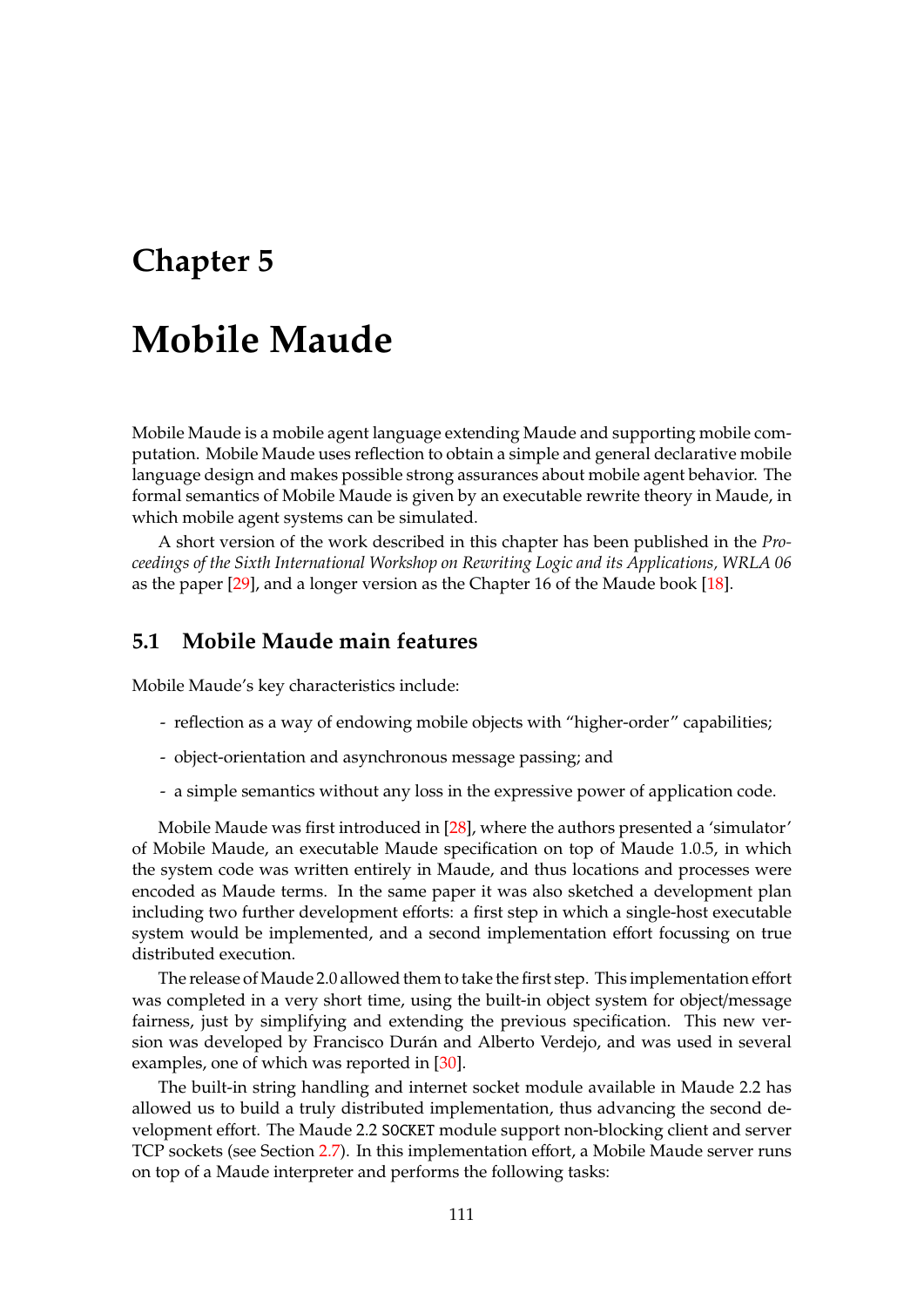# **Chapter 5**

# **Mobile Maude**

Mobile Maude is a mobile agent language extending Maude and supporting mobile computation. Mobile Maude uses reflection to obtain a simple and general declarative mobile language design and makes possible strong assurances about mobile agent behavior. The formal semantics of Mobile Maude is given by an executable rewrite theory in Maude, in which mobile agent systems can be simulated.

A short version of the work described in this chapter has been published in the *Proceedings of the Sixth International Workshop on Rewriting Logic and its Applications, WRLA 06* as the paper [\[29\]](#page-184-0), and a longer version as the Chapter 16 of the Maude book [\[18\]](#page-183-0).

## **5.1 Mobile Maude main features**

Mobile Maude's key characteristics include:

- reflection as a way of endowing mobile objects with "higher-order" capabilities;
- object-orientation and asynchronous message passing; and
- a simple semantics without any loss in the expressive power of application code.

Mobile Maude was first introduced in [\[28\]](#page-184-1), where the authors presented a 'simulator' of Mobile Maude, an executable Maude specification on top of Maude 1.0.5, in which the system code was written entirely in Maude, and thus locations and processes were encoded as Maude terms. In the same paper it was also sketched a development plan including two further development efforts: a first step in which a single-host executable system would be implemented, and a second implementation effort focussing on true distributed execution.

The release of Maude 2.0 allowed them to take the first step. This implementation effort was completed in a very short time, using the built-in object system for object/message fairness, just by simplifying and extending the previous specification. This new version was developed by Francisco Durán and Alberto Verdejo, and was used in several examples, one of which was reported in [\[30\]](#page-184-2).

The built-in string handling and internet socket module available in Maude 2.2 has allowed us to build a truly distributed implementation, thus advancing the second development effort. The Maude 2.2 SOCKET module support non-blocking client and server TCP sockets (see Section [2.7\)](#page-26-0). In this implementation effort, a Mobile Maude server runs on top of a Maude interpreter and performs the following tasks: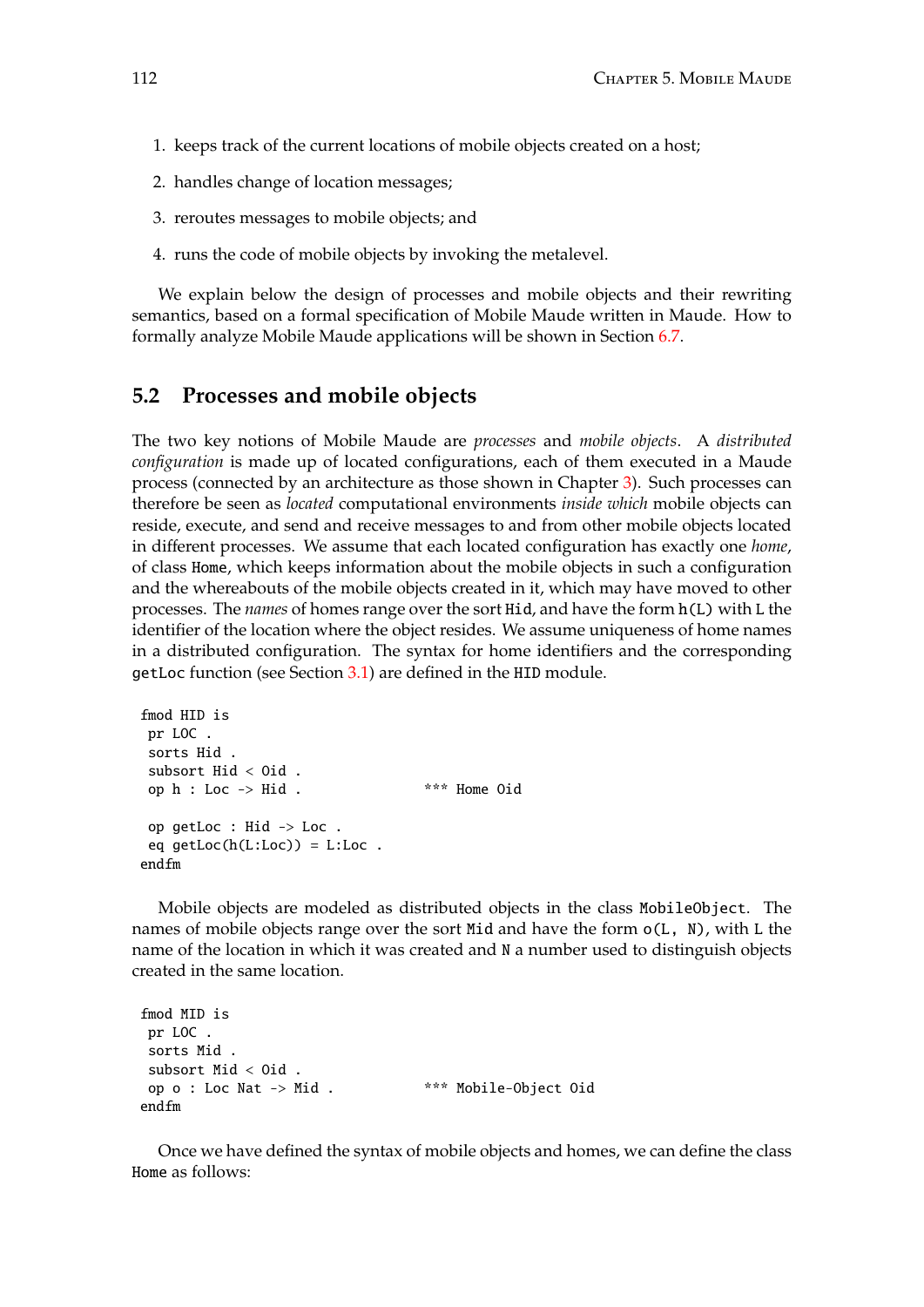- 1. keeps track of the current locations of mobile objects created on a host;
- 2. handles change of location messages;
- 3. reroutes messages to mobile objects; and
- 4. runs the code of mobile objects by invoking the metalevel.

We explain below the design of processes and mobile objects and their rewriting semantics, based on a formal specification of Mobile Maude written in Maude. How to formally analyze Mobile Maude applications will be shown in Section [6.7.](#page-174-0)

## <span id="page-111-0"></span>**5.2 Processes and mobile objects**

The two key notions of Mobile Maude are *processes* and *mobile objects*. A *distributed configuration* is made up of located configurations, each of them executed in a Maude process (connected by an architecture as those shown in Chapter [3\)](#page-38-0). Such processes can therefore be seen as *located* computational environments *inside which* mobile objects can reside, execute, and send and receive messages to and from other mobile objects located in different processes. We assume that each located configuration has exactly one *home*, of class Home, which keeps information about the mobile objects in such a configuration and the whereabouts of the mobile objects created in it, which may have moved to other processes. The *names* of homes range over the sort Hid, and have the form h(L) with L the identifier of the location where the object resides. We assume uniqueness of home names in a distributed configuration. The syntax for home identifiers and the corresponding getLoc function (see Section [3.1\)](#page-38-1) are defined in the HID module.

```
fmod HID is
pr LOC .
sorts Hid .
subsort Hid < Oid .
op h : Loc -> Hid . *** Home Oid
op getLoc : Hid -> Loc .
eq getLoc(h(L:Loc)) = L:Loc.
endfm
```
Mobile objects are modeled as distributed objects in the class MobileObject. The names of mobile objects range over the sort Mid and have the form o(L, N), with L the name of the location in which it was created and N a number used to distinguish objects created in the same location.

```
fmod MID is
pr LOC .
sorts Mid .
subsort Mid < Oid .
op o : Loc Nat -> Mid . *** Mobile-Object Oid
endfm
```
Once we have defined the syntax of mobile objects and homes, we can define the class Home as follows: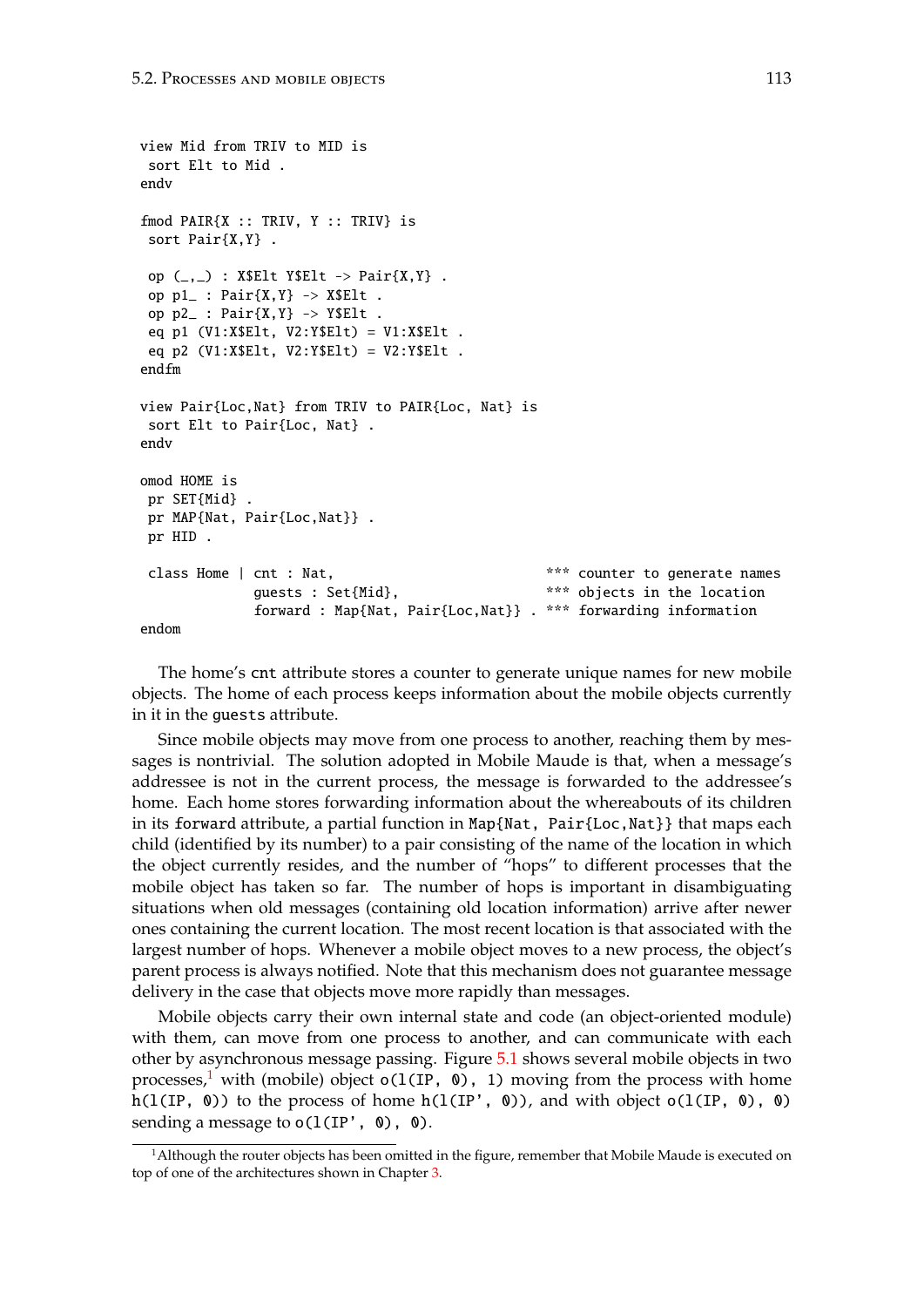```
view Mid from TRIV to MID is
 sort Elt to Mid .
endv
fmod \texttt{PAIR}\{X : : \texttt{TRIV}, Y : : \texttt{TRIV}\} is
 sort Pair{X,Y} .
 op (\_,-) : X$Elt Y$Elt -> Pair{X,Y}.
 op p1_: Pair\{X,Y\} -> X$Elt.
 op p2_: Pair\{X,Y\} -> Y$Elt.
 eq p1 (V1:X$Elt, V2:Y$Elt) = V1:X$Elt .
 eq p2 (V1:X$Elt, V2:Y$Elt) = V2:Y$Elt .
endfm
view Pair{Loc,Nat} from TRIV to PAIR{Loc, Nat} is
 sort Elt to Pair{Loc, Nat} .
endv
omod HOME is
 pr SET{Mid} .
pr MAP{Nat, Pair{Loc,Nat}} .
pr HID .
 class Home | cnt : Nat, \frac{1}{x} *** counter to generate names
              guests : Set{Mid}, *** objects in the location
              forward : Map{Nat, Pair{Loc,Nat}} . *** forwarding information
endom
```
The home's cnt attribute stores a counter to generate unique names for new mobile objects. The home of each process keeps information about the mobile objects currently in it in the guests attribute.

Since mobile objects may move from one process to another, reaching them by messages is nontrivial. The solution adopted in Mobile Maude is that, when a message's addressee is not in the current process, the message is forwarded to the addressee's home. Each home stores forwarding information about the whereabouts of its children in its forward attribute, a partial function in Map{Nat, Pair{Loc,Nat}} that maps each child (identified by its number) to a pair consisting of the name of the location in which the object currently resides, and the number of "hops" to different processes that the mobile object has taken so far. The number of hops is important in disambiguating situations when old messages (containing old location information) arrive after newer ones containing the current location. The most recent location is that associated with the largest number of hops. Whenever a mobile object moves to a new process, the object's parent process is always notified. Note that this mechanism does not guarantee message delivery in the case that objects move more rapidly than messages.

Mobile objects carry their own internal state and code (an object-oriented module) with them, can move from one process to another, and can communicate with each other by asynchronous message passing. Figure [5.1](#page-113-0) shows several mobile objects in two processes,<sup>[1](#page-112-0)</sup> with (mobile) object  $o(1(\text{IP}, \theta), 1)$  moving from the process with home h(l(IP, 0)) to the process of home  $h(1(IP', 0))$ , and with object  $o(1(IP, 0), 0)$ sending a message to  $o(1(IP', 0), 0)$ .

<span id="page-112-0"></span><sup>&</sup>lt;sup>1</sup>Although the router objects has been omitted in the figure, remember that Mobile Maude is executed on top of one of the architectures shown in Chapter [3.](#page-38-0)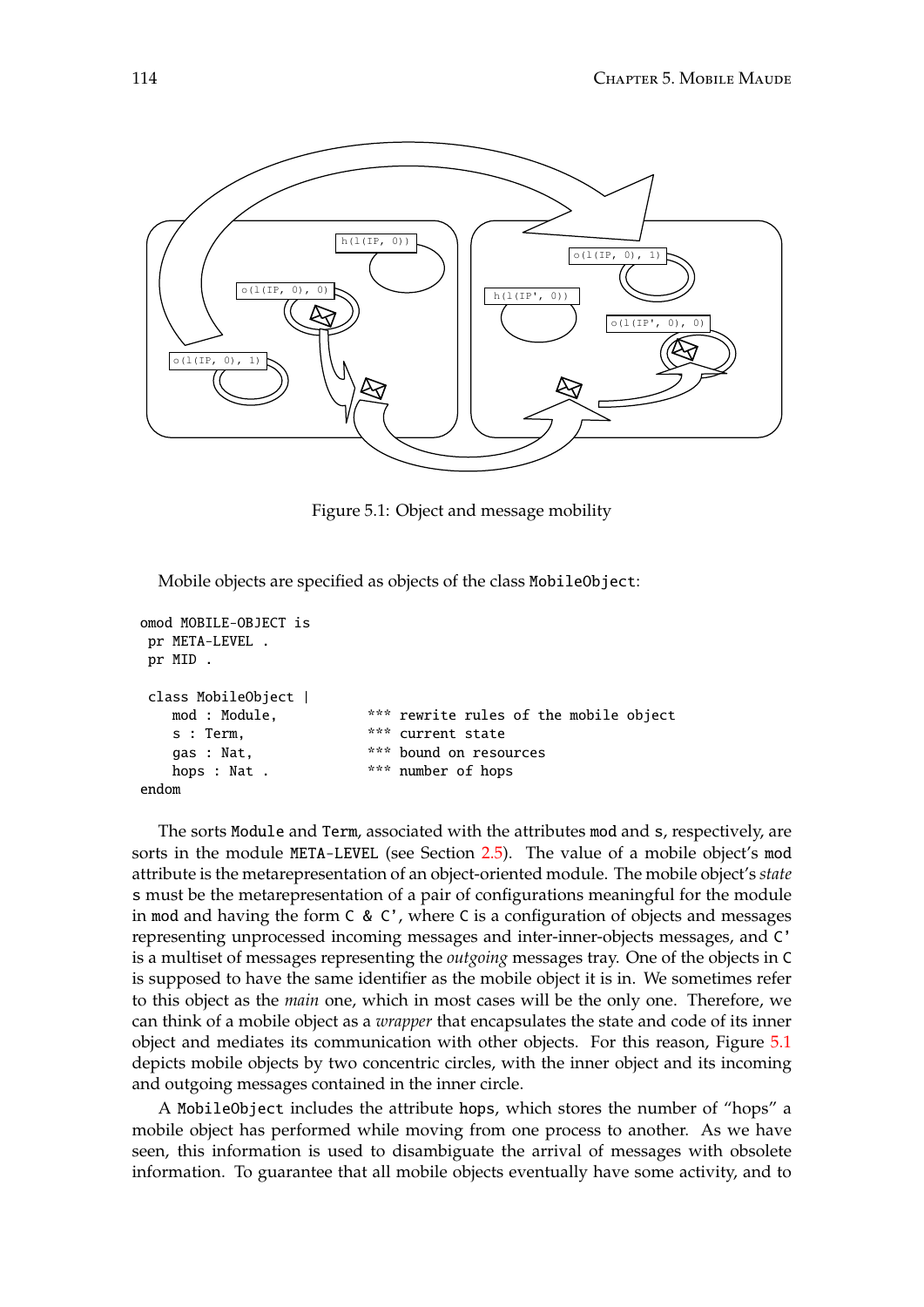

<span id="page-113-0"></span>Figure 5.1: Object and message mobility

Mobile objects are specified as objects of the class MobileObject:

```
omod MOBILE-OBJECT is
pr META-LEVEL .
pr MID .
class MobileObject |
   mod : Module, *** rewrite rules of the mobile object
   s : Term, *** current state
   gas : Nat, *** bound on resources
   hops : Nat . *** number of hops
endom
```
The sorts Module and Term, associated with the attributes mod and s, respectively, are sorts in the module META-LEVEL (see Section [2.5\)](#page-22-0). The value of a mobile object's mod attribute is the metarepresentation of an object-oriented module. The mobile object's *state* s must be the metarepresentation of a pair of configurations meaningful for the module in mod and having the form C & C', where C is a configuration of objects and messages representing unprocessed incoming messages and inter-inner-objects messages, and C' is a multiset of messages representing the *outgoing* messages tray. One of the objects in C is supposed to have the same identifier as the mobile object it is in. We sometimes refer to this object as the *main* one, which in most cases will be the only one. Therefore, we can think of a mobile object as a *wrapper* that encapsulates the state and code of its inner object and mediates its communication with other objects. For this reason, Figure [5.1](#page-113-0) depicts mobile objects by two concentric circles, with the inner object and its incoming and outgoing messages contained in the inner circle.

A MobileObject includes the attribute hops, which stores the number of "hops" a mobile object has performed while moving from one process to another. As we have seen, this information is used to disambiguate the arrival of messages with obsolete information. To guarantee that all mobile objects eventually have some activity, and to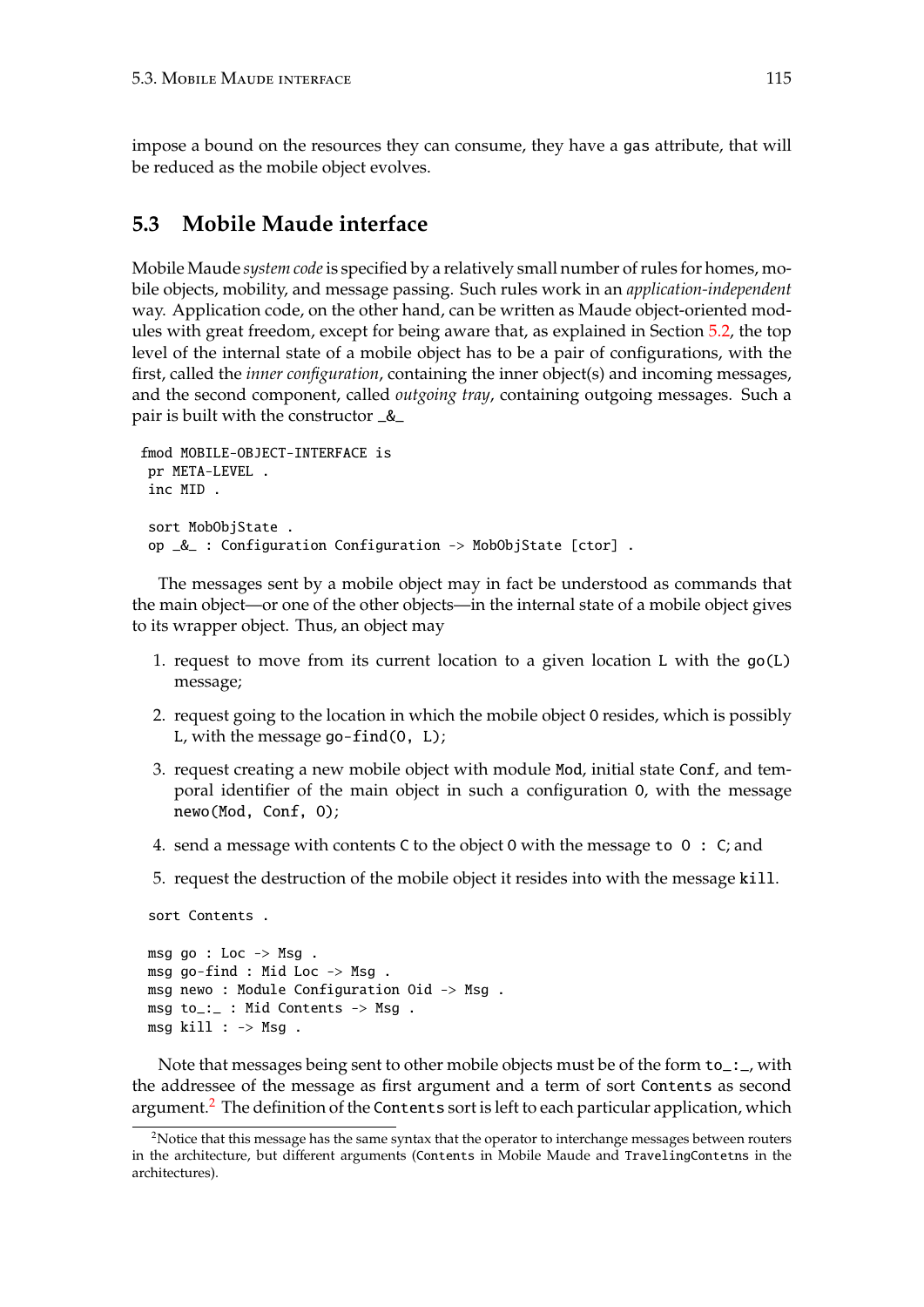impose a bound on the resources they can consume, they have a gas attribute, that will be reduced as the mobile object evolves.

# <span id="page-114-1"></span>**5.3 Mobile Maude interface**

Mobile Maude *system code*is specified by a relatively small number of rules for homes, mobile objects, mobility, and message passing. Such rules work in an *application-independent* way. Application code, on the other hand, can be written as Maude object-oriented modules with great freedom, except for being aware that, as explained in Section [5.2,](#page-111-0) the top level of the internal state of a mobile object has to be a pair of configurations, with the first, called the *inner configuration*, containing the inner object(s) and incoming messages, and the second component, called *outgoing tray*, containing outgoing messages. Such a pair is built with the constructor \_&\_

```
fmod MOBILE-OBJECT-INTERFACE is
pr META-LEVEL .
 inc MID .
 sort MobObjState .
 op _&_ : Configuration Configuration -> MobObjState [ctor] .
```
The messages sent by a mobile object may in fact be understood as commands that the main object—or one of the other objects—in the internal state of a mobile object gives to its wrapper object. Thus, an object may

- 1. request to move from its current location to a given location L with the go(L) message;
- 2. request going to the location in which the mobile object O resides, which is possibly L, with the message  $go-find(0, L);$
- 3. request creating a new mobile object with module Mod, initial state Conf, and temporal identifier of the main object in such a configuration O, with the message newo(Mod, Conf, O);
- 4. send a message with contents C to the object O with the message to O : C; and
- 5. request the destruction of the mobile object it resides into with the message kill.

```
msg go : Loc \rightarrow Msg.
msg go-find : Mid Loc -> Msg .
msg newo : Module Configuration Oid -> Msg .
msg to_:_ : Mid Contents -> Msg .
msg kill : -> Msg.
```
sort Contents .

Note that messages being sent to other mobile objects must be of the form  $\text{to} :$   $\text{-}$ , with the addressee of the message as first argument and a term of sort Contents as second argument.<sup>[2](#page-114-0)</sup> The definition of the Contents sort is left to each particular application, which

<span id="page-114-0"></span><sup>&</sup>lt;sup>2</sup>Notice that this message has the same syntax that the operator to interchange messages between routers in the architecture, but different arguments (Contents in Mobile Maude and TravelingContetns in the architectures).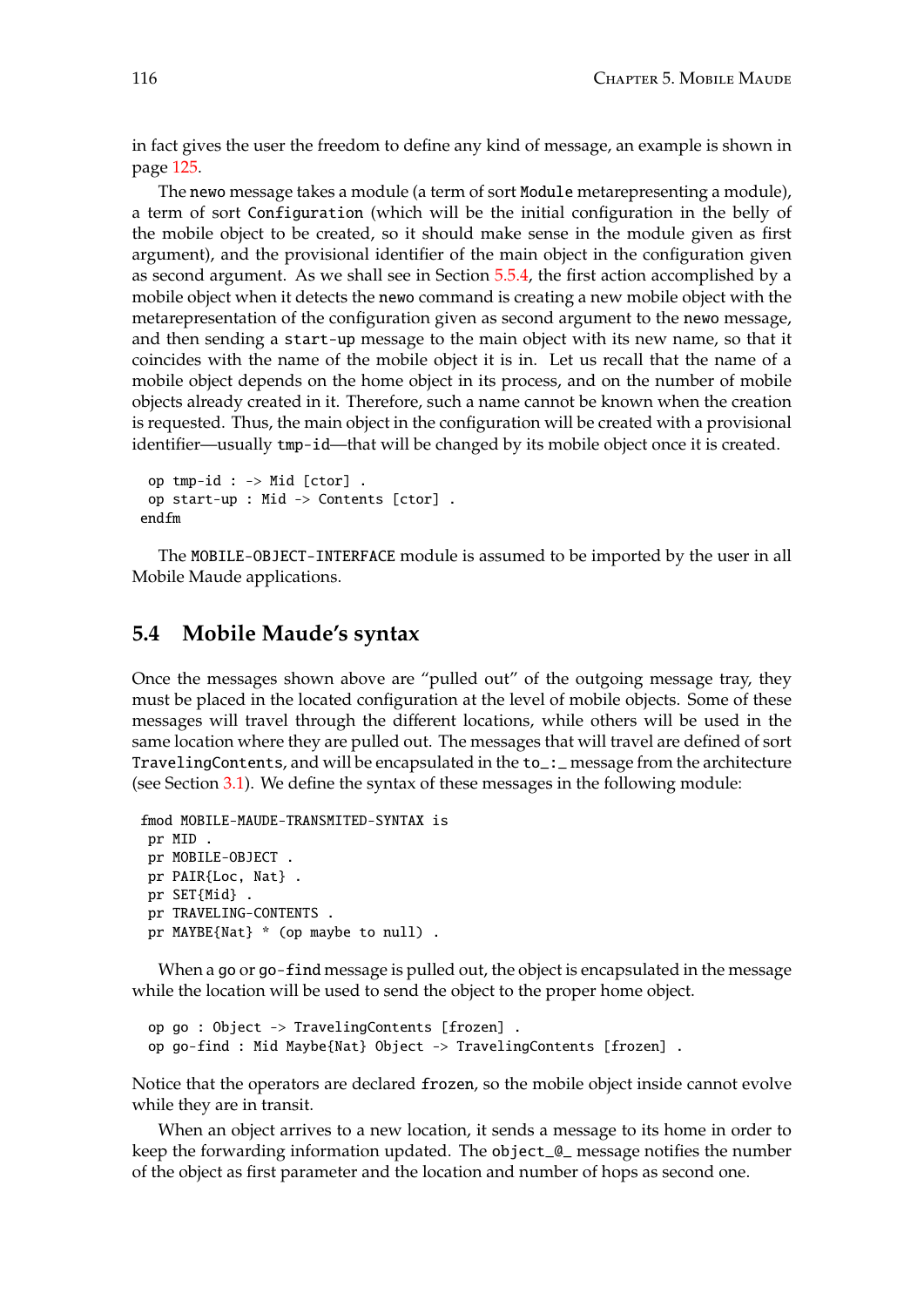in fact gives the user the freedom to define any kind of message, an example is shown in page [125.](#page-125-0)

The newo message takes a module (a term of sort Module metarepresenting a module), a term of sort Configuration (which will be the initial configuration in the belly of the mobile object to be created, so it should make sense in the module given as first argument), and the provisional identifier of the main object in the configuration given as second argument. As we shall see in Section [5.5.4,](#page-123-0) the first action accomplished by a mobile object when it detects the newo command is creating a new mobile object with the metarepresentation of the configuration given as second argument to the newo message, and then sending a start-up message to the main object with its new name, so that it coincides with the name of the mobile object it is in. Let us recall that the name of a mobile object depends on the home object in its process, and on the number of mobile objects already created in it. Therefore, such a name cannot be known when the creation is requested. Thus, the main object in the configuration will be created with a provisional identifier—usually tmp-id—that will be changed by its mobile object once it is created.

```
op tmp-id : -> Mid [ctor] .
op start-up : Mid -> Contents [ctor] .
endfm
```
The MOBILE-OBJECT-INTERFACE module is assumed to be imported by the user in all Mobile Maude applications.

## **5.4 Mobile Maude's syntax**

Once the messages shown above are "pulled out" of the outgoing message tray, they must be placed in the located configuration at the level of mobile objects. Some of these messages will travel through the different locations, while others will be used in the same location where they are pulled out. The messages that will travel are defined of sort TravelingContents, and will be encapsulated in the to\_:\_ message from the architecture (see Section [3.1\)](#page-38-1). We define the syntax of these messages in the following module:

```
fmod MOBILE-MAUDE-TRANSMITED-SYNTAX is
pr MID .
pr MOBILE-OBJECT .
pr PAIR{Loc, Nat} .
pr SET{Mid} .
pr TRAVELING-CONTENTS .
pr MAYBE{Nat} * (op maybe to null) .
```
When a go or go-find message is pulled out, the object is encapsulated in the message while the location will be used to send the object to the proper home object.

```
op go : Object -> TravelingContents [frozen] .
op go-find : Mid Maybe{Nat} Object -> TravelingContents [frozen] .
```
Notice that the operators are declared frozen, so the mobile object inside cannot evolve while they are in transit.

When an object arrives to a new location, it sends a message to its home in order to keep the forwarding information updated. The object\_@\_ message notifies the number of the object as first parameter and the location and number of hops as second one.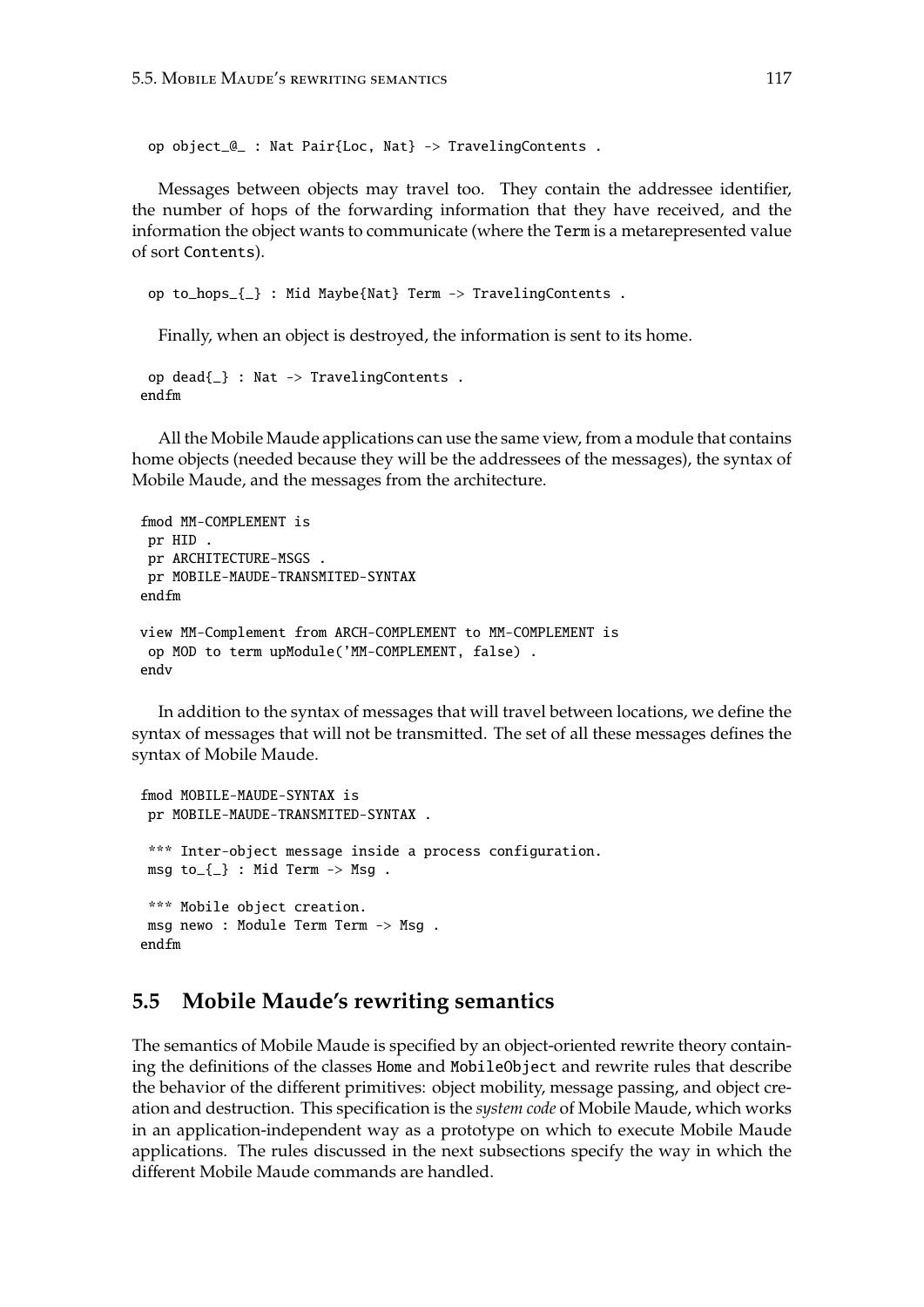op object\_@\_ : Nat Pair{Loc, Nat} -> TravelingContents .

Messages between objects may travel too. They contain the addressee identifier, the number of hops of the forwarding information that they have received, and the information the object wants to communicate (where the Term is a metarepresented value of sort Contents).

op to\_hops\_{\_} : Mid Maybe{Nat} Term -> TravelingContents .

Finally, when an object is destroyed, the information is sent to its home.

```
op dead{_} : Nat -> TravelingContents .
endfm
```
All the Mobile Maude applications can use the same view, from a module that contains home objects (needed because they will be the addressees of the messages), the syntax of Mobile Maude, and the messages from the architecture.

```
fmod MM-COMPLEMENT is
 pr HID .
 pr ARCHITECTURE-MSGS .
pr MOBILE-MAUDE-TRANSMITED-SYNTAX
endfm
view MM-Complement from ARCH-COMPLEMENT to MM-COMPLEMENT is
 op MOD to term upModule('MM-COMPLEMENT, false) .
endv
```
In addition to the syntax of messages that will travel between locations, we define the syntax of messages that will not be transmitted. The set of all these messages defines the syntax of Mobile Maude.

```
fmod MOBILE-MAUDE-SYNTAX is
pr MOBILE-MAUDE-TRANSMITED-SYNTAX .
 *** Inter-object message inside a process configuration.
msg to_{-} \ : Mid Term \rightarrow Msg.
 *** Mobile object creation.
msg newo : Module Term Term -> Msg .
endfm
```
# **5.5 Mobile Maude's rewriting semantics**

The semantics of Mobile Maude is specified by an object-oriented rewrite theory containing the definitions of the classes Home and MobileObject and rewrite rules that describe the behavior of the different primitives: object mobility, message passing, and object creation and destruction. This specification is the *system code* of Mobile Maude, which works in an application-independent way as a prototype on which to execute Mobile Maude applications. The rules discussed in the next subsections specify the way in which the different Mobile Maude commands are handled.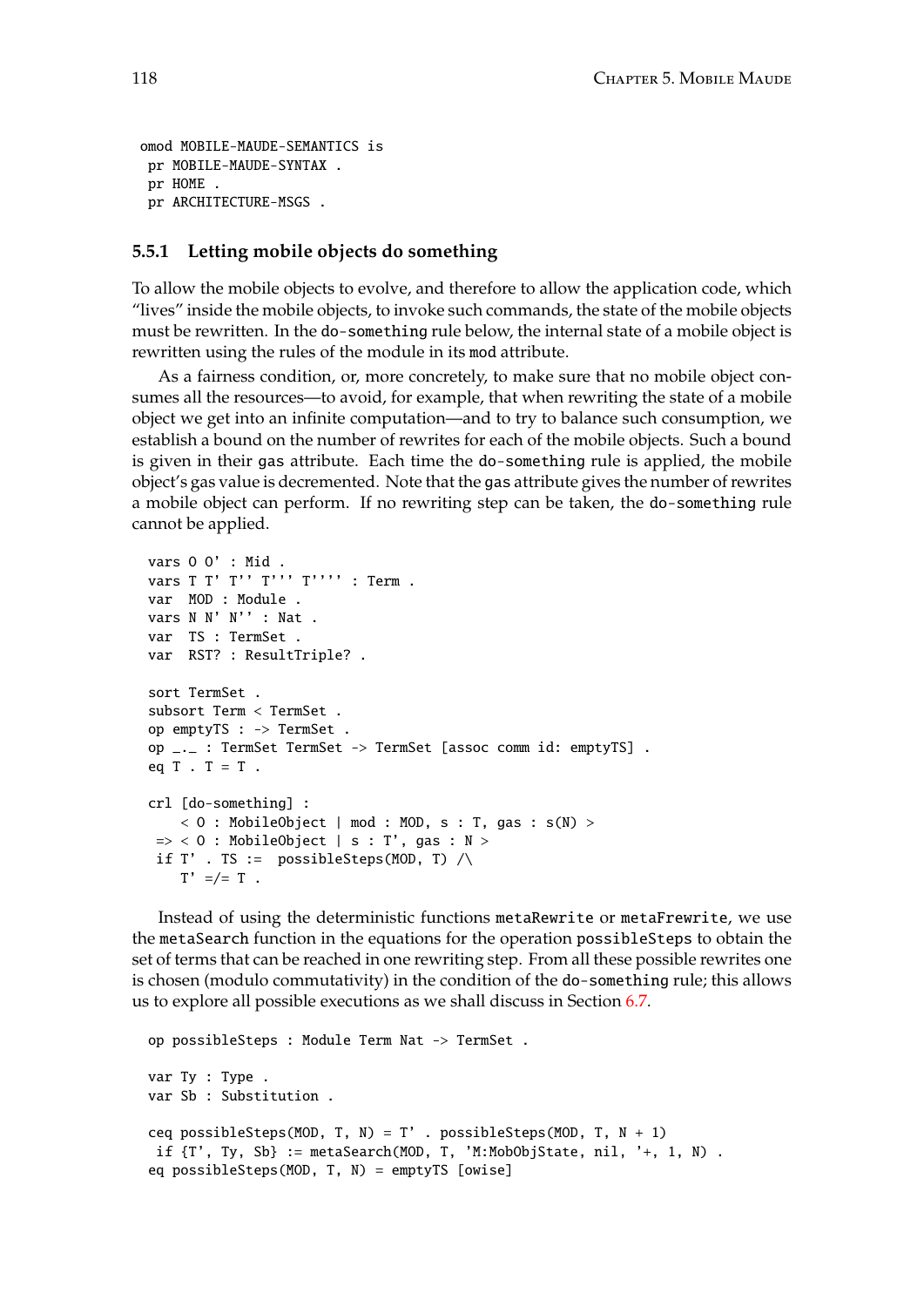```
omod MOBILE-MAUDE-SEMANTICS is
 pr MOBILE-MAUDE-SYNTAX .
 pr HOME .
pr ARCHITECTURE-MSGS .
```
### **5.5.1 Letting mobile objects do something**

To allow the mobile objects to evolve, and therefore to allow the application code, which "lives" inside the mobile objects, to invoke such commands, the state of the mobile objects must be rewritten. In the do-something rule below, the internal state of a mobile object is rewritten using the rules of the module in its mod attribute.

As a fairness condition, or, more concretely, to make sure that no mobile object consumes all the resources—to avoid, for example, that when rewriting the state of a mobile object we get into an infinite computation—and to try to balance such consumption, we establish a bound on the number of rewrites for each of the mobile objects. Such a bound is given in their gas attribute. Each time the do-something rule is applied, the mobile object's gas value is decremented. Note that the gas attribute gives the number of rewrites a mobile object can perform. If no rewriting step can be taken, the do-something rule cannot be applied.

```
vars O O' : Mid .
vars T T' T'' T''' T'''' : Term .
var MOD : Module .
vars N N' N'' : Nat .
var TS : TermSet .
var RST? : ResultTriple? .
sort TermSet .
subsort Term < TermSet .
op emptyTS : -> TermSet .
op _._ : TermSet TermSet -> TermSet [assoc comm id: emptyTS] .
eq T . T = T .
crl [do-something] :
    < 0 : MobileObject | mod : MOD, s : T, gas : s(N) >
\Rightarrow < 0 : MobileObject | s : T', gas : N >
 if T' . TS := possibleSteps(MOD, T) \landT' =/= T .
```
Instead of using the deterministic functions metaRewrite or metaFrewrite, we use the metaSearch function in the equations for the operation possibleSteps to obtain the set of terms that can be reached in one rewriting step. From all these possible rewrites one is chosen (modulo commutativity) in the condition of the do-something rule; this allows us to explore all possible executions as we shall discuss in Section [6.7.](#page-174-0)

```
op possibleSteps : Module Term Nat -> TermSet .
var Ty : Type .
var Sb : Substitution .
ceq possibleSteps(MOD, T, N) = T' . possibleSteps(MOD, T, N + 1)
if {T', Ty, Sb} := \text{metaSearch}(MOD, T, 'M:MobObjState, nil, '+, 1, N).
eq possibleSteps(MOD, T, N) = emptyTS [owise]
```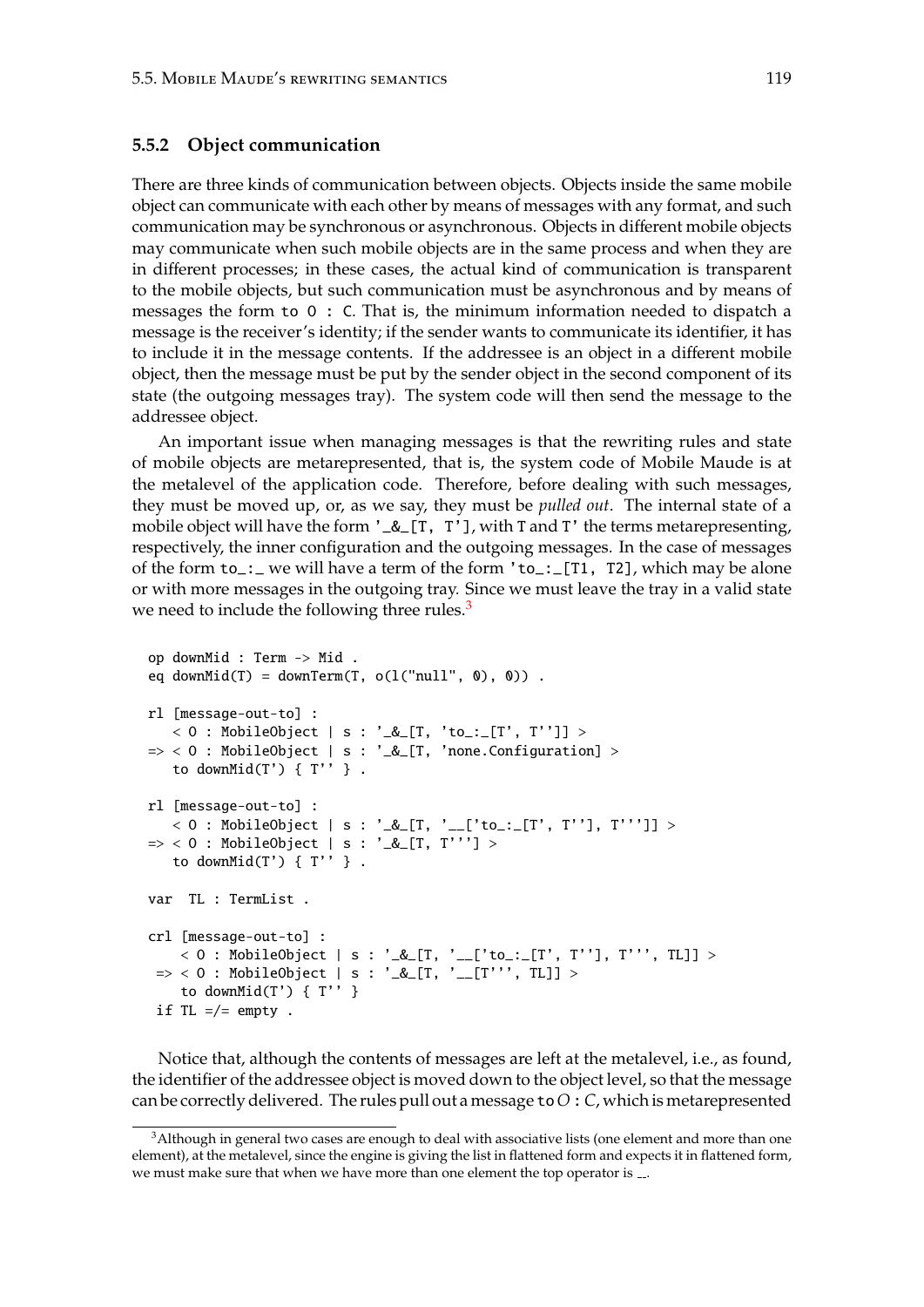### <span id="page-118-1"></span>**5.5.2 Object communication**

There are three kinds of communication between objects. Objects inside the same mobile object can communicate with each other by means of messages with any format, and such communication may be synchronous or asynchronous. Objects in different mobile objects may communicate when such mobile objects are in the same process and when they are in different processes; in these cases, the actual kind of communication is transparent to the mobile objects, but such communication must be asynchronous and by means of messages the form to O : C. That is, the minimum information needed to dispatch a message is the receiver's identity; if the sender wants to communicate its identifier, it has to include it in the message contents. If the addressee is an object in a different mobile object, then the message must be put by the sender object in the second component of its state (the outgoing messages tray). The system code will then send the message to the addressee object.

An important issue when managing messages is that the rewriting rules and state of mobile objects are metarepresented, that is, the system code of Mobile Maude is at the metalevel of the application code. Therefore, before dealing with such messages, they must be moved up, or, as we say, they must be *pulled out*. The internal state of a mobile object will have the form  $\ell_{\text{max}}$  [T, T'], with T and T' the terms metarepresenting, respectively, the inner configuration and the outgoing messages. In the case of messages of the form to\_:\_ we will have a term of the form 'to\_:\_[T1, T2], which may be alone or with more messages in the outgoing tray. Since we must leave the tray in a valid state we need to include the following three rules.<sup>[3](#page-118-0)</sup>

```
op downMid : Term -> Mid .
eq downMid(T) = downTerm(T, o(1("null", 0), 0)).
rl [message-out-to] :
   < O : MobileObject | s : '_&_[T, 'to_:_[T', T'']] >
\Rightarrow < 0 : MobileObject | s : '_&_[T, 'none.Configuration] >
  to downMid(T') {T'' }.
rl [message-out-to] :
   < 0 : MobileObject | s : '_&_[T, '__['to_:_[T', T''], T''']] >
\Rightarrow < 0 : MobileObject | s : '_&_[T, T'''] >
   to downMid(T') {T'' }.
var TL : TermList .
crl [message-out-to] :
    < O : MobileObject | s : '_&_[T, '__['to_:_[T', T''], T''', TL]] >
 => < O : MobileObject | s : '_&_[T, '__[T''', TL]] >
    to downMid(T') { T'' }
 if TL = /= empty.
```
Notice that, although the contents of messages are left at the metalevel, i.e., as found, the identifier of the addressee object is moved down to the object level, so that the message can be correctly delivered. The rules pull out a message to*O*:*C*, which is metarepresented

<span id="page-118-0"></span><sup>&</sup>lt;sup>3</sup>Although in general two cases are enough to deal with associative lists (one element and more than one element), at the metalevel, since the engine is giving the list in flattened form and expects it in flattened form, we must make sure that when we have more than one element the top operator is ...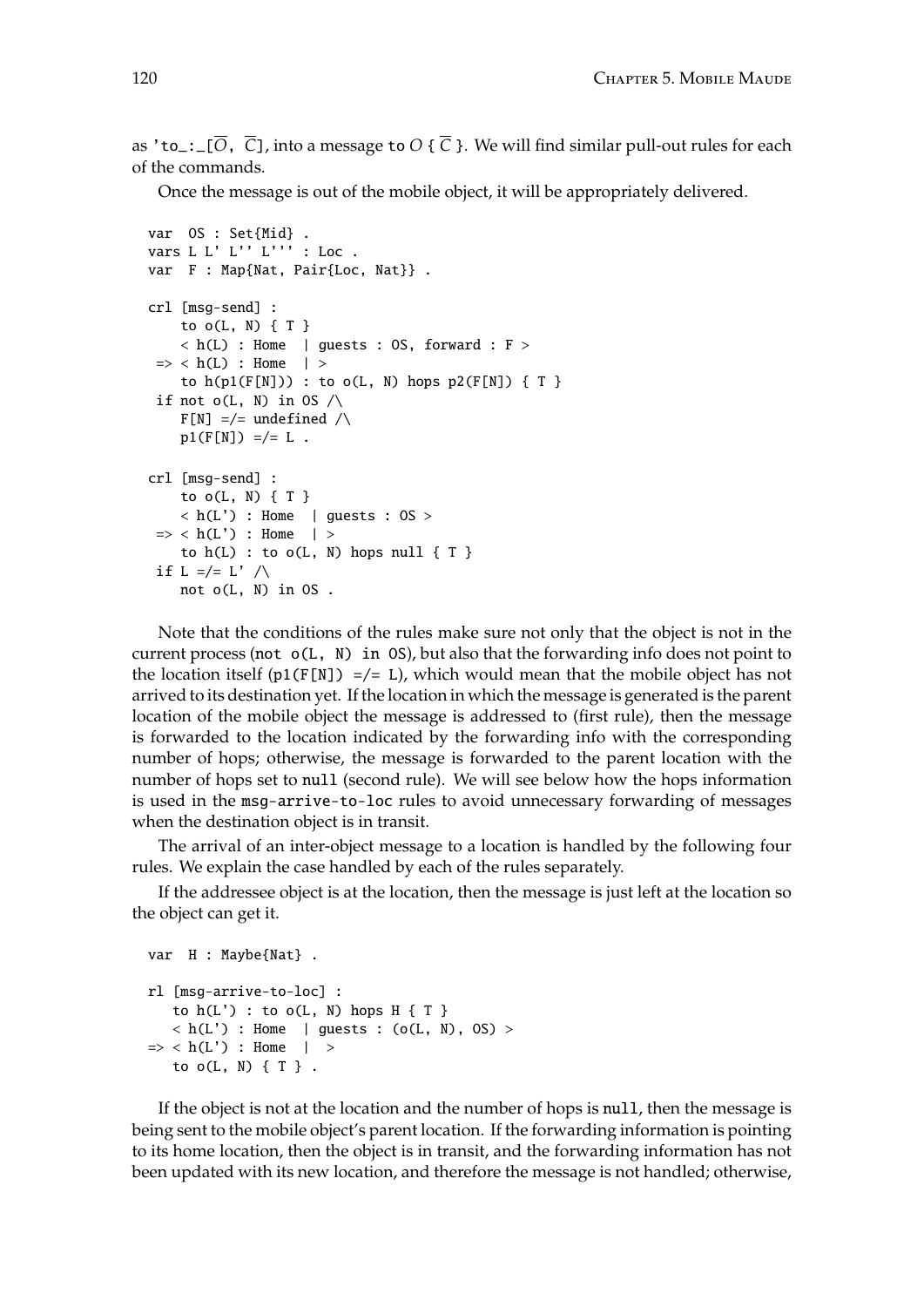as 'to\_:\_[ $\overline{O}$ ,  $\overline{C}$ ], into a message to  $O \{ \overline{C} \}$ . We will find similar pull-out rules for each of the commands.

Once the message is out of the mobile object, it will be appropriately delivered.

```
var OS : Set{Mid} .
vars L L' L'' L''' : Loc .
var F : Map{Nat, Pair{Loc, Nat}} .
crl [msg-send] :
    to o(L, N) { T }
    \langle h(L) : Home | guests : OS, forward : F >
\Rightarrow < h(L) : Home | >
    to h(p1(F[N])) : to o(L, N) hops p2(F[N]) \{ T \}if not o(L, N) in OS \wedgeF[N] =/= undefined /\
    p1(F[N]) =/- L.
crl [msg-send] :
    to o(L, N) { T }
    \langle h(L') : Home \mid guests : OS >\Rightarrow < h(L') : Home | >
    to h(L) : to o(L, N) hops null \{ T \}if L = /= L' / \Lambdanot o(L, N) in OS .
```
Note that the conditions of the rules make sure not only that the object is not in the current process (not o(L, N) in OS), but also that the forwarding info does not point to the location itself  $p1(F[N]) =/- 1$ , which would mean that the mobile object has not arrived to its destination yet. If the location in which the message is generated is the parent location of the mobile object the message is addressed to (first rule), then the message is forwarded to the location indicated by the forwarding info with the corresponding number of hops; otherwise, the message is forwarded to the parent location with the number of hops set to null (second rule). We will see below how the hops information is used in the msg-arrive-to-loc rules to avoid unnecessary forwarding of messages when the destination object is in transit.

The arrival of an inter-object message to a location is handled by the following four rules. We explain the case handled by each of the rules separately.

If the addressee object is at the location, then the message is just left at the location so the object can get it.

```
var H : Maybe{Nat} .
rl [msg-arrive-to-loc] :
   to h(L') : to o(L, N) hops H \{ T \}\langle h(L') : Home | guests : (o(L, N), OS) >\Rightarrow < h(L') : Home | >
   to o(L, N) {T}.
```
If the object is not at the location and the number of hops is null, then the message is being sent to the mobile object's parent location. If the forwarding information is pointing to its home location, then the object is in transit, and the forwarding information has not been updated with its new location, and therefore the message is not handled; otherwise,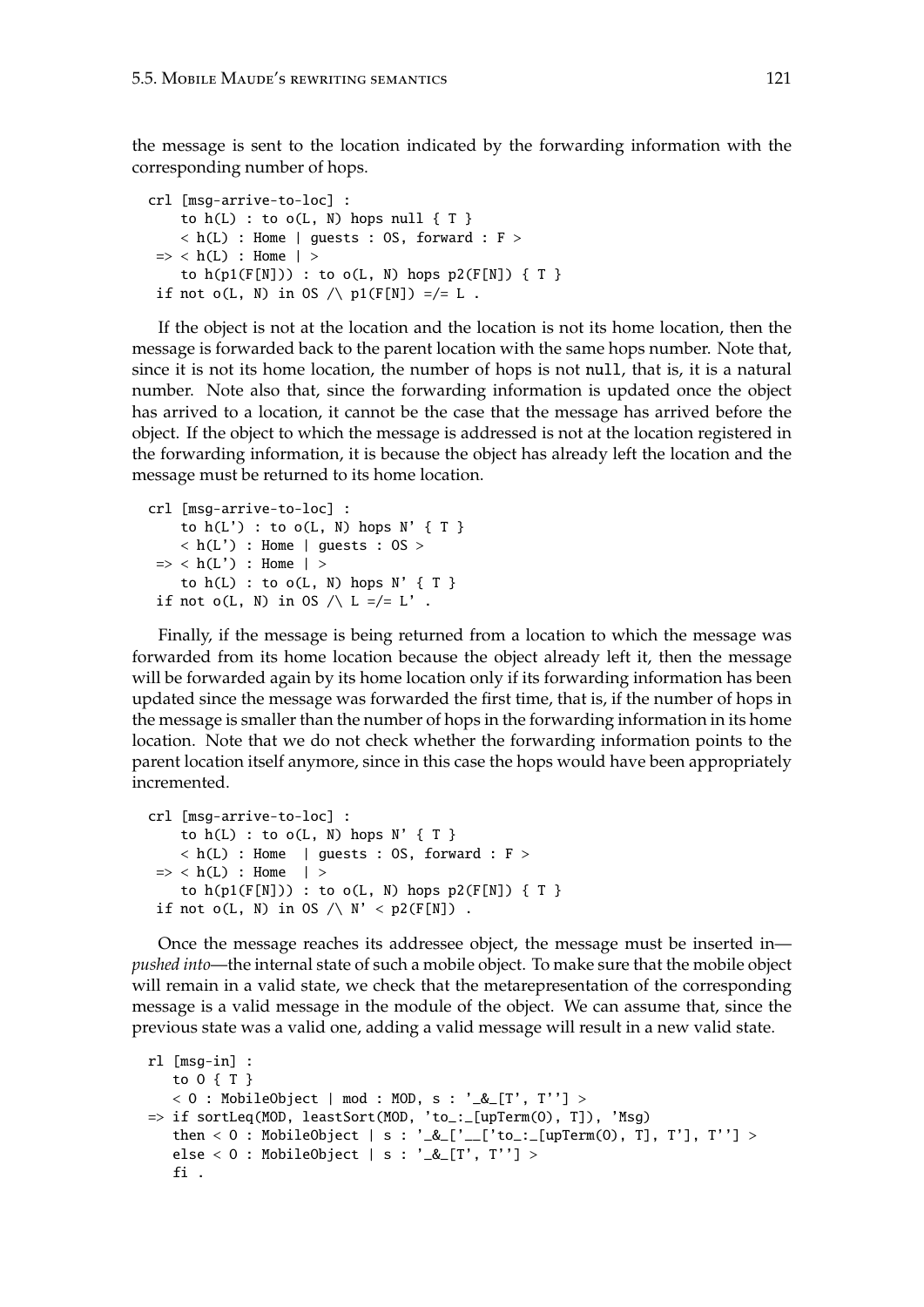the message is sent to the location indicated by the forwarding information with the corresponding number of hops.

```
crl [msg-arrive-to-loc] :
    to h(L) : to o(L, N) hops null {T}\langle h(L) : Home | guests : OS, forward : F >
\Rightarrow < h(L) : Home | >
    to h(p1(F[N])) : to o(L, N) hops p2(F[N]) \{ T \}if not o(L, N) in OS \wedge p1(F[N]) =/= L.
```
If the object is not at the location and the location is not its home location, then the message is forwarded back to the parent location with the same hops number. Note that, since it is not its home location, the number of hops is not null, that is, it is a natural number. Note also that, since the forwarding information is updated once the object has arrived to a location, it cannot be the case that the message has arrived before the object. If the object to which the message is addressed is not at the location registered in the forwarding information, it is because the object has already left the location and the message must be returned to its home location.

```
crl [msg-arrive-to-loc] :
    to h(L') : to o(L, N) hops N' \{ T \}\langle h(L') : Home | guests : OS >
\Rightarrow < h(L') : Home | >
    to h(L) : to o(L, N) hops N' \{ T \}if not o(L, N) in OS \wedge L =/= L'.
```
Finally, if the message is being returned from a location to which the message was forwarded from its home location because the object already left it, then the message will be forwarded again by its home location only if its forwarding information has been updated since the message was forwarded the first time, that is, if the number of hops in the message is smaller than the number of hops in the forwarding information in its home location. Note that we do not check whether the forwarding information points to the parent location itself anymore, since in this case the hops would have been appropriately incremented.

```
crl [msg-arrive-to-loc] :
    to h(L) : to o(L, N) hops N' \{ T \}\langle h(L) : Home | guests : OS, forward : F >
\Rightarrow < h(L) : Home | >
    to h(p1(F[N])) : to o(L, N) hops p2(F[N]) \{ T \}if not o(L, N) in OS / \backslash N' < p2(F[N]).
```
Once the message reaches its addressee object, the message must be inserted in *pushed into*—the internal state of such a mobile object. To make sure that the mobile object will remain in a valid state, we check that the metarepresentation of the corresponding message is a valid message in the module of the object. We can assume that, since the previous state was a valid one, adding a valid message will result in a new valid state.

```
rl [msg-in] :
   to O { T }
   < 0 : MobileObject | mod : MOD, s : '\_&\_[T', T''] >
=> if sortLeq(MOD, leastSort(MOD, 'to_:_[upTerm(O), T]), 'Msg)
   then < 0 : MobileObject | s : '_&_['__['to_:_[upTerm(0), T], T'], T''] >
   else < O : MobileObject | s : '_&_[T', T''] >
   fi .
```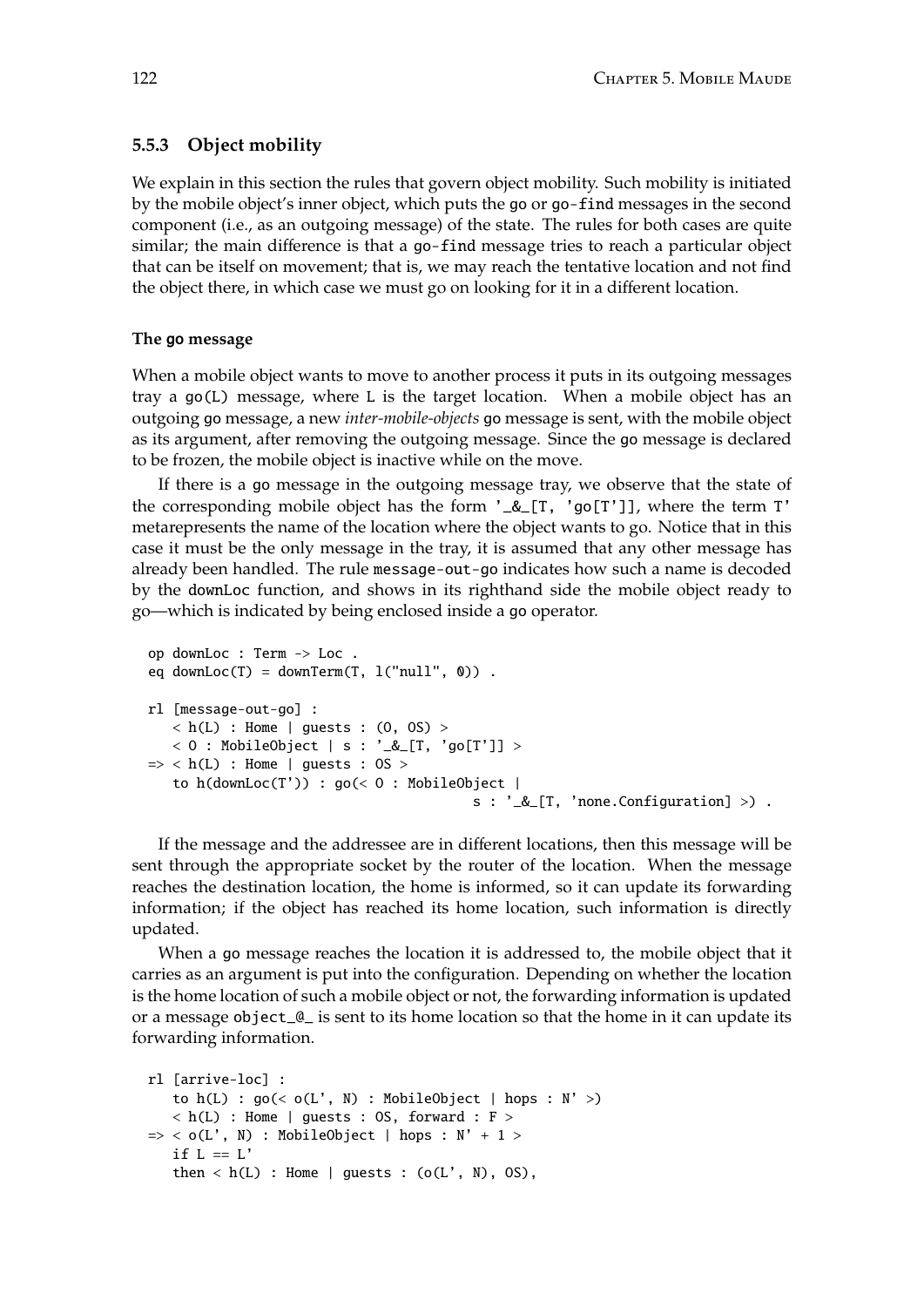## **5.5.3 Object mobility**

We explain in this section the rules that govern object mobility. Such mobility is initiated by the mobile object's inner object, which puts the go or go-find messages in the second component (i.e., as an outgoing message) of the state. The rules for both cases are quite similar; the main difference is that a go-find message tries to reach a particular object that can be itself on movement; that is, we may reach the tentative location and not find the object there, in which case we must go on looking for it in a different location.

#### **The** go **message**

<span id="page-121-0"></span>When a mobile object wants to move to another process it puts in its outgoing messages tray a go(L) message, where L is the target location. When a mobile object has an outgoing go message, a new *inter-mobile-objects* go message is sent, with the mobile object as its argument, after removing the outgoing message. Since the go message is declared to be frozen, the mobile object is inactive while on the move.

If there is a go message in the outgoing message tray, we observe that the state of the corresponding mobile object has the form '\_&\_[T, 'go[T']], where the term T' metarepresents the name of the location where the object wants to go. Notice that in this case it must be the only message in the tray, it is assumed that any other message has already been handled. The rule message-out-go indicates how such a name is decoded by the downLoc function, and shows in its righthand side the mobile object ready to go—which is indicated by being enclosed inside a go operator.

```
op downLoc : Term -> Loc .
eq downLoc(T) = downTerm(T, l('null', 0)).
rl [message-out-go] :
   \langle h(L) : Home | quests : (0, 0S) >< 0 : MobileObject | s : '_&_[T, 'go[T']] >
\Rightarrow < h(L) : Home | guests : 0S >
   to h(downLoc(T')) : go(< 0 : MobileObject |
                                          s : '_&_[T, 'none.Configuration] >) .
```
If the message and the addressee are in different locations, then this message will be sent through the appropriate socket by the router of the location. When the message reaches the destination location, the home is informed, so it can update its forwarding information; if the object has reached its home location, such information is directly updated.

When a go message reaches the location it is addressed to, the mobile object that it carries as an argument is put into the configuration. Depending on whether the location is the home location of such a mobile object or not, the forwarding information is updated or a message object\_@\_ is sent to its home location so that the home in it can update its forwarding information.

```
rl [arrive-loc] :
   to h(L) : go(< o(L', N) : MobileObject | hops : N' >)
   \langle h(L) : Home | guests : OS, forward : F >
\Rightarrow < o(L', N) : MobileObject | hops : N' + 1 >
   if L == L'then \langle h(L) : Home | guests : (o(L', N), OS),
```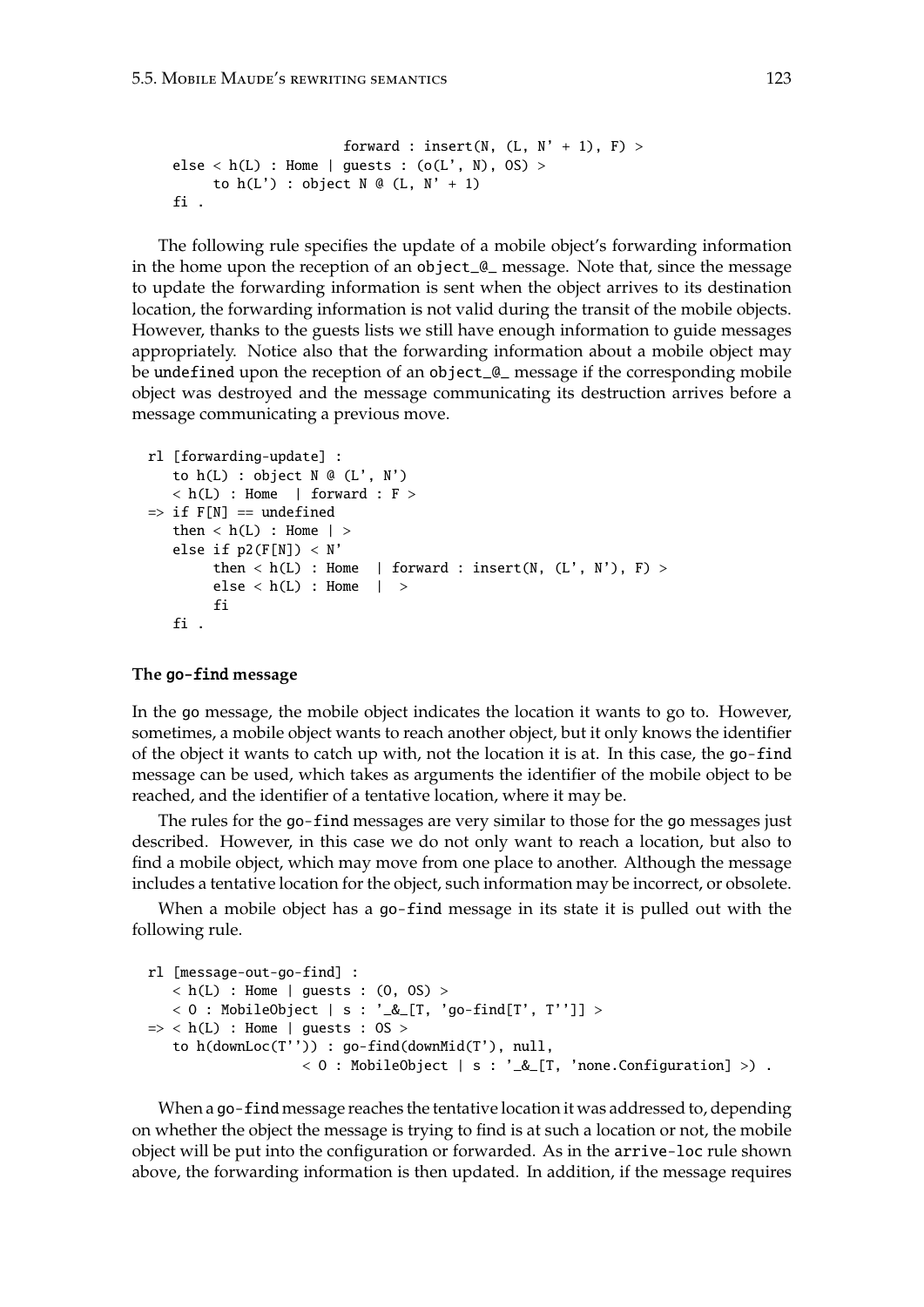```
forward : insert(N, (L, N' + 1), F) >
else < h(L) : Home | guests : (o(L', N), OS) >to h(L') : object N \mathcal{Q}(L, N' + 1)fi .
```
The following rule specifies the update of a mobile object's forwarding information in the home upon the reception of an object\_@\_ message. Note that, since the message to update the forwarding information is sent when the object arrives to its destination location, the forwarding information is not valid during the transit of the mobile objects. However, thanks to the guests lists we still have enough information to guide messages appropriately. Notice also that the forwarding information about a mobile object may be undefined upon the reception of an object\_@\_ message if the corresponding mobile object was destroyed and the message communicating its destruction arrives before a message communicating a previous move.

```
rl [forwarding-update] :
   to h(L) : object N @ (L', N')\langle h(L) : Home | forward : F >
\Rightarrow if F[N] == undefined
   then \langle h(L) : Home | >else if p2(F[N]) < N'then \langle h(L) : Home | forward : insert(N, (L', N'), F) >
        else < h(L) : Home | >fi
   fi .
```
#### **The** go-find **message**

In the go message, the mobile object indicates the location it wants to go to. However, sometimes, a mobile object wants to reach another object, but it only knows the identifier of the object it wants to catch up with, not the location it is at. In this case, the go-find message can be used, which takes as arguments the identifier of the mobile object to be reached, and the identifier of a tentative location, where it may be.

The rules for the go-find messages are very similar to those for the go messages just described. However, in this case we do not only want to reach a location, but also to find a mobile object, which may move from one place to another. Although the message includes a tentative location for the object, such information may be incorrect, or obsolete.

When a mobile object has a go-find message in its state it is pulled out with the following rule.

```
rl [message-out-go-find] :
   h(L) : Home | guests : (0, 0S) >
   < 0 : MobileObject | s : '_&_[T, 'go-find[T', T'']] >
\Rightarrow < h(L) : Home | guests : 0S >
   to h(downLoc(T'')) : go-find(downMid(T'), null,
                   < 0 : MobileObject | s : '_&_[T, 'none.Configuration] >).
```
When a go-find message reaches the tentative location it was addressed to, depending on whether the object the message is trying to find is at such a location or not, the mobile object will be put into the configuration or forwarded. As in the arrive-loc rule shown above, the forwarding information is then updated. In addition, if the message requires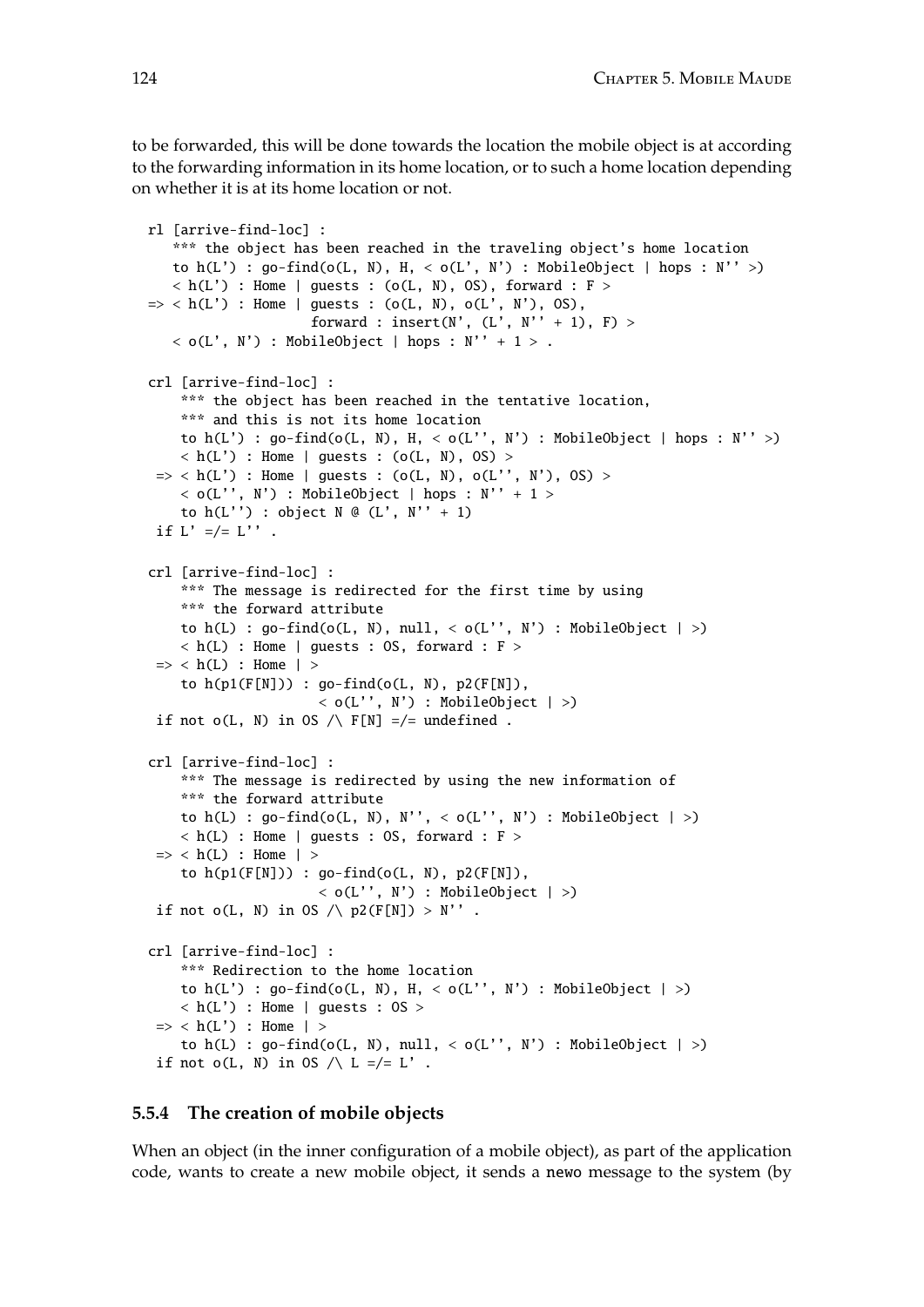to be forwarded, this will be done towards the location the mobile object is at according to the forwarding information in its home location, or to such a home location depending on whether it is at its home location or not.

```
rl [arrive-find-loc] :
   *** the object has been reached in the traveling object's home location
   to h(L') : go-find(o(L, N), H, < o(L', N') : MobileObject | hops : N'' >)
   \langle h(L') : Home | guests : (o(L, N), OS), forward : F >
\Rightarrow < h(L') : Home | guests : (o(L, N), o(L', N'), OS),
                     forward : insert(N', (L', N''+1), F) >
   \langle o(L', N') : MobileObject | hops : N'' + 1 > .
crl [arrive-find-loc] :
    *** the object has been reached in the tentative location,
    *** and this is not its home location
    to h(L') : go-find(o(L, N), H, < o(L'', N') : MobileObject | hops : N'' >)
    \langle h(L') : Home | guests : (o(L, N), OS) >\Rightarrow < h(L') : Home | guests : (o(L, N), o(L'', N'), OS) >
    < o(L'', N') : MobileObject | hops : N'' + 1 >
    to h(L'') : object N @ (L', N''+1)if L' =/= L'''.
crl [arrive-find-loc] :
    *** The message is redirected for the first time by using
    *** the forward attribute
    to h(L) : go-find(o(L, N), null, < o(L'', N') : MobileObject | >)
    \langle h(L) : Home | guests : OS, forward : F >
 \Rightarrow < h(L) : Home | >
    to h(p1(F[N])) : go-find(o(L, N), p2(F[N]),
                      \langle o(L'', N') : MobileObject | >)
 if not o(L, N) in OS /\ F[N] =/= undefined .
crl [arrive-find-loc] :
    *** The message is redirected by using the new information of
    *** the forward attribute
    to h(L) : go-find(o(L, N), N'', < o(L'', N') : MobileObject | >)
    \langle h(L) : Home | guests : OS, forward : F >\Rightarrow < h(L) : Home | >
    to h(p1(F[N])) : go-find(o(L, N), p2(F[N]),
                      \langle o(L'', N') : MobileObject | \rangleif not o(L, N) in OS \wedge p2(F[N]) > N''.
crl [arrive-find-loc] :
    *** Redirection to the home location
    to h(L') : go-find(o(L, N), H, < o(L'', N') : MobileObject | >)
    \langle h(L') : Home | guests : OS >\Rightarrow < h(L') : Home | >
    to h(L) : \text{go-find}(\text{o}(L, N), \text{null}, < \text{o}(L'', N') : MobileObject |>)if not o(L, N) in OS \wedge L =/= L'.
```
#### <span id="page-123-0"></span>**5.5.4 The creation of mobile objects**

When an object (in the inner configuration of a mobile object), as part of the application code, wants to create a new mobile object, it sends a newo message to the system (by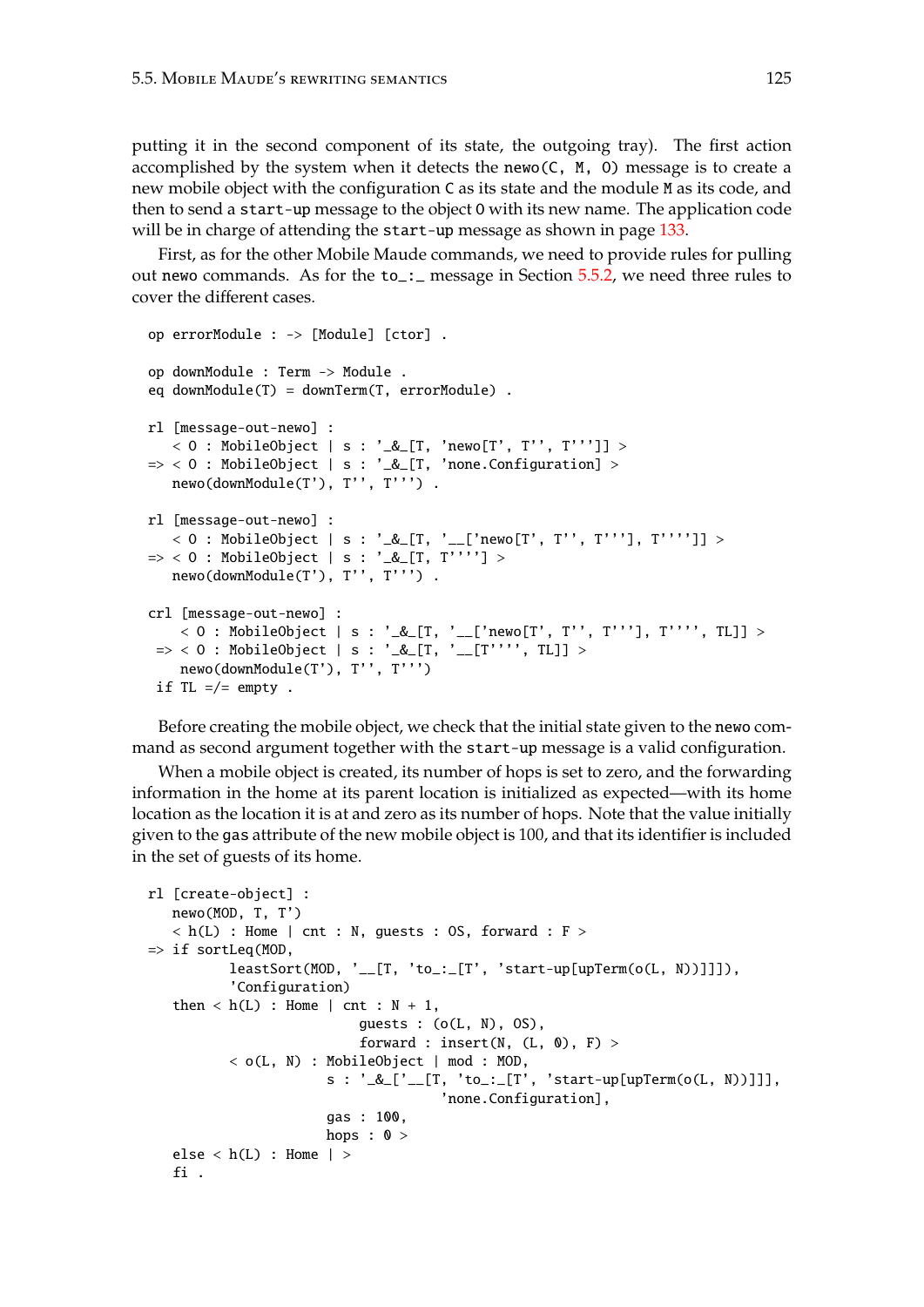putting it in the second component of its state, the outgoing tray). The first action accomplished by the system when it detects the newo( $C$ ,  $M$ ,  $O$ ) message is to create a new mobile object with the configuration C as its state and the module M as its code, and then to send a start-up message to the object O with its new name. The application code will be in charge of attending the start-up message as shown in page [133.](#page-132-0)

First, as for the other Mobile Maude commands, we need to provide rules for pulling out newo commands. As for the to\_:\_ message in Section [5.5.2,](#page-118-1) we need three rules to cover the different cases.

```
op errorModule : -> [Module] [ctor] .
op downModule : Term -> Module .
eq downModule(T) = downTerm(T, errorModule) .
rl [message-out-newo] :
   < 0 : MobileObject | s : '_&_[T, 'newo[T', T'', T''']] >
\Rightarrow < 0 : MobileObject | s : '_&_[T, 'none.Configuration] >
  newo(downModule(T'), T'', T''') .
rl [message-out-newo] :
   < O : MobileObject | s : '_&_[T, '__['newo[T', T'', T'''], T'''']] >
=> < O : MobileObject | s : '_&_[T, T''''] >
  newo(downModule(T'), T'', T''').
crl [message-out-newo] :
   < 0 : MobileObject | s : '_&_[T, '__['newo[T', T'', T'''], T'''', TL]] >
=> < O : MobileObject | s : '_&_[T, '__[T'''', TL]] >
   newo(downModule(T'), T'', T''')
 if TL = /= empty.
```
Before creating the mobile object, we check that the initial state given to the newo command as second argument together with the start-up message is a valid configuration.

When a mobile object is created, its number of hops is set to zero, and the forwarding information in the home at its parent location is initialized as expected—with its home location as the location it is at and zero as its number of hops. Note that the value initially given to the gas attribute of the new mobile object is 100, and that its identifier is included in the set of guests of its home.

```
rl [create-object] :
   newo(MOD, T, T')
   \langle h(L) : H \rangle : Home | cnt : N, guests : OS, forward : F >
\Rightarrow if sortLeq(MOD.
           leastSort(MOD, '__[T, 'to_:_[T', 'start-up[upTerm(o(L, N))]]]),
           'Configuration)
   then \langle h(L) : Home | \text{cnt} : N + 1,
                            guests : (o(L, N), OS),
                            forward : insert(N, (L, 0), F) >
           < o(L, N) : MobileObject | mod : MOD,
                        s : '_&_['__[T, 'to_:_[T', 'start-up[upTerm(o(L, N))]]],
                                        'none.Configuration],
                        gas : 100,
                        hops : \theta >
   else < h(L) : Home | >fi .
```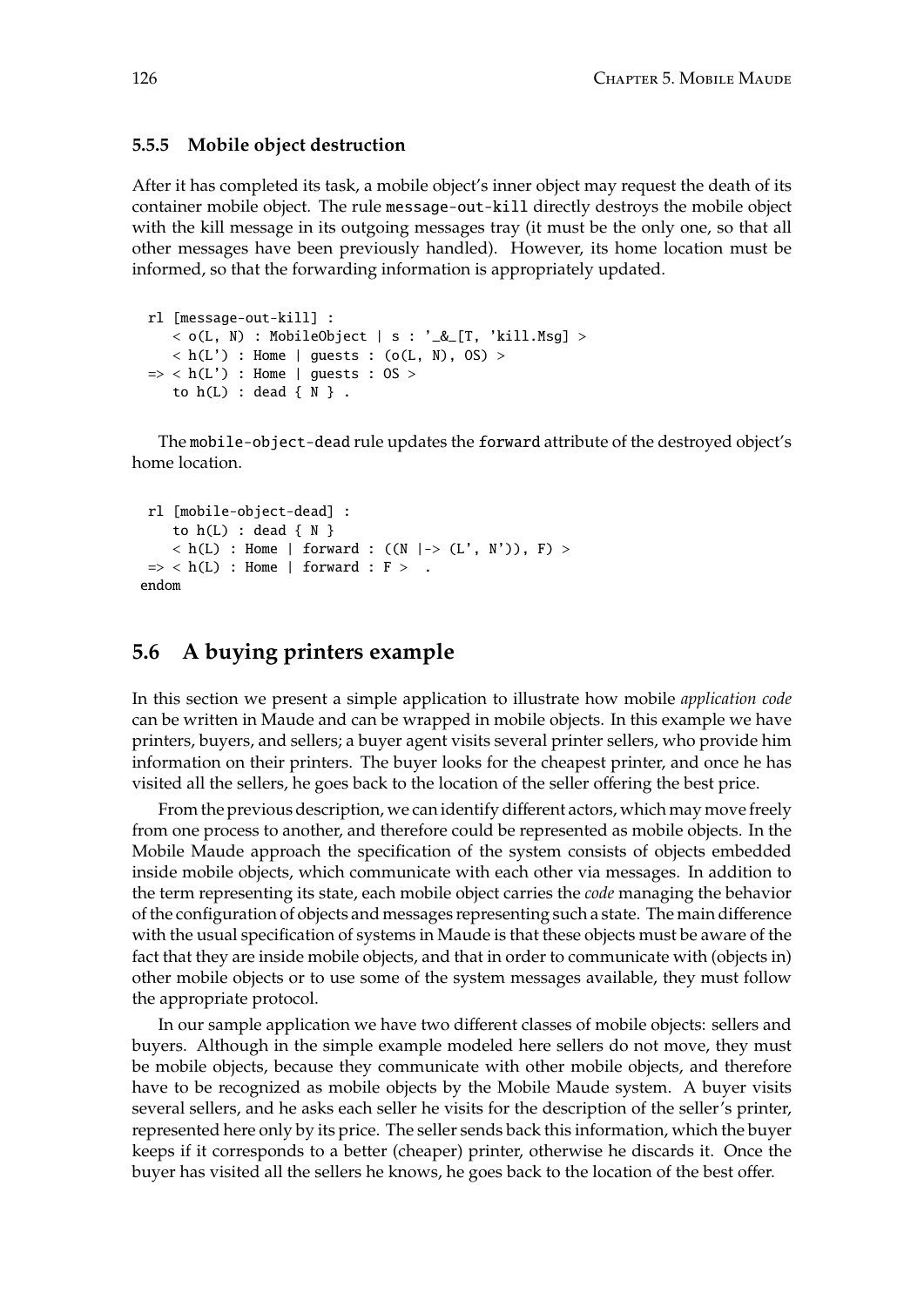#### **5.5.5 Mobile object destruction**

After it has completed its task, a mobile object's inner object may request the death of its container mobile object. The rule message-out-kill directly destroys the mobile object with the kill message in its outgoing messages tray (it must be the only one, so that all other messages have been previously handled). However, its home location must be informed, so that the forwarding information is appropriately updated.

```
rl [message-out-kill] :
   \langle o(L, N) : MobileObject | s : '_&_[T, 'kill.Msg] \rangle\langle h(L') : Home | guests : (o(L, N), OS) >\Rightarrow < h(L') : Home | guests : 0S >
   to h(L) : dead \{ N \}.
```
The mobile-object-dead rule updates the forward attribute of the destroyed object's home location.

```
rl [mobile-object-dead] :
    to h(L) : dead \{ N \}\langle h(L) : Home | forward : ((N \mid \rightarrow (L', N')), F) >\Rightarrow < h(L) : Home | forward : F > .
endom
```
# <span id="page-125-0"></span>**5.6 A buying printers example**

In this section we present a simple application to illustrate how mobile *application code* can be written in Maude and can be wrapped in mobile objects. In this example we have printers, buyers, and sellers; a buyer agent visits several printer sellers, who provide him information on their printers. The buyer looks for the cheapest printer, and once he has visited all the sellers, he goes back to the location of the seller offering the best price.

From the previous description, we can identify different actors, which may move freely from one process to another, and therefore could be represented as mobile objects. In the Mobile Maude approach the specification of the system consists of objects embedded inside mobile objects, which communicate with each other via messages. In addition to the term representing its state, each mobile object carries the *code* managing the behavior of the configuration of objects and messages representing such a state. The main difference with the usual specification of systems in Maude is that these objects must be aware of the fact that they are inside mobile objects, and that in order to communicate with (objects in) other mobile objects or to use some of the system messages available, they must follow the appropriate protocol.

In our sample application we have two different classes of mobile objects: sellers and buyers. Although in the simple example modeled here sellers do not move, they must be mobile objects, because they communicate with other mobile objects, and therefore have to be recognized as mobile objects by the Mobile Maude system. A buyer visits several sellers, and he asks each seller he visits for the description of the seller's printer, represented here only by its price. The seller sends back this information, which the buyer keeps if it corresponds to a better (cheaper) printer, otherwise he discards it. Once the buyer has visited all the sellers he knows, he goes back to the location of the best offer.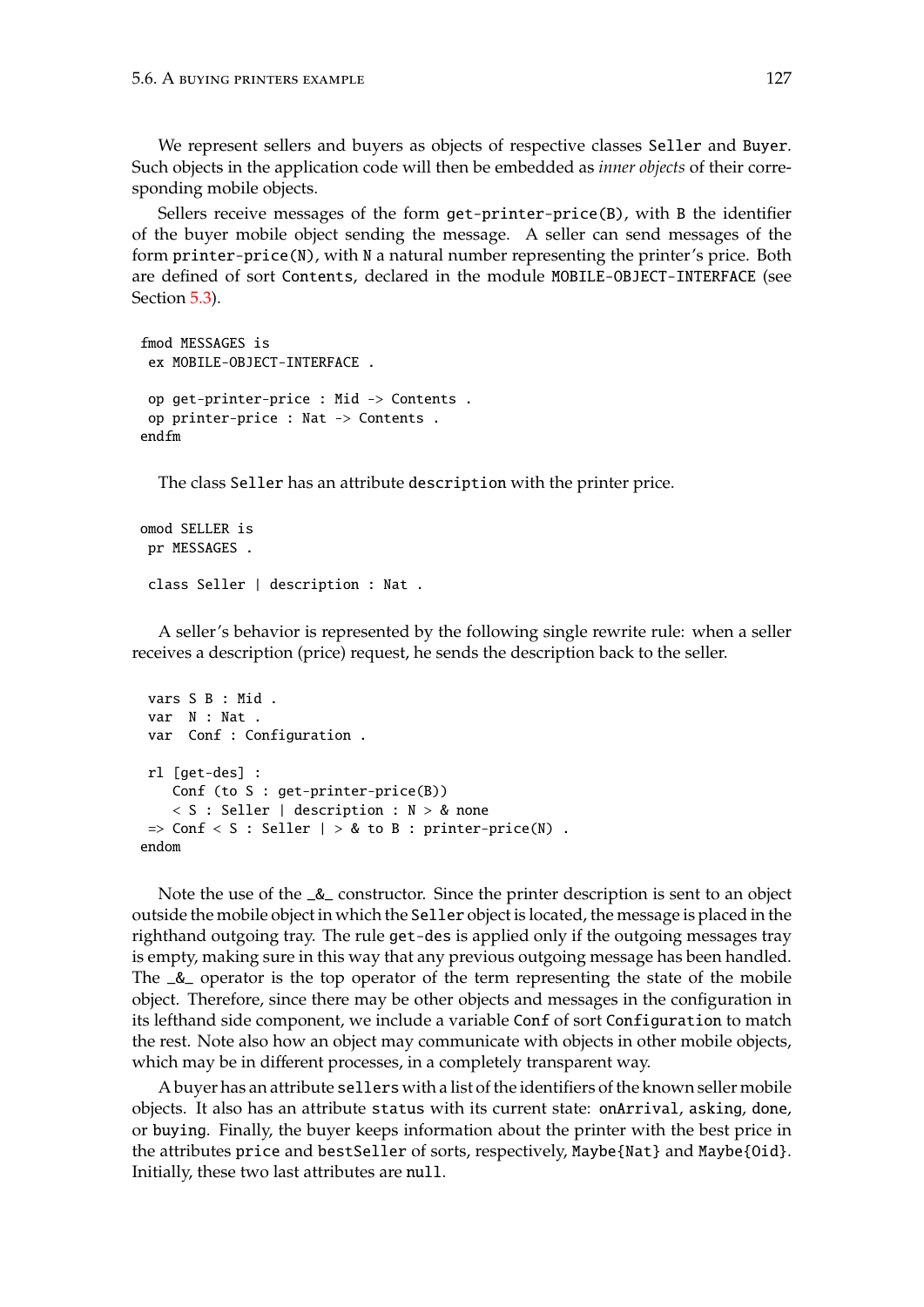We represent sellers and buyers as objects of respective classes Seller and Buyer. Such objects in the application code will then be embedded as *inner objects* of their corresponding mobile objects.

Sellers receive messages of the form get-printer-price(B), with B the identifier of the buyer mobile object sending the message. A seller can send messages of the form printer-price(N), with N a natural number representing the printer's price. Both are defined of sort Contents, declared in the module MOBILE-OBJECT-INTERFACE (see Section [5.3\)](#page-114-1).

```
fmod MESSAGES is
 ex MOBILE-OBJECT-INTERFACE .
op get-printer-price : Mid -> Contents .
op printer-price : Nat -> Contents .
endfm
```
The class Seller has an attribute description with the printer price.

```
omod SELLER is
 pr MESSAGES .
 class Seller | description : Nat .
```
A seller's behavior is represented by the following single rewrite rule: when a seller receives a description (price) request, he sends the description back to the seller.

```
vars S B : Mid .
var N : Nat .
var Conf : Configuration .
rl [get-des] :
   Conf (to S : get-printer-price(B))
    < S : Seller | description : N > & none
 \Rightarrow Conf \lt S : Seller | > 8 to B : printer-price(N).
endom
```
Note the use of the \_&\_ constructor. Since the printer description is sent to an object outside the mobile object in which the Seller object is located, the message is placed in the righthand outgoing tray. The rule get-des is applied only if the outgoing messages tray is empty, making sure in this way that any previous outgoing message has been handled. The \_&\_ operator is the top operator of the term representing the state of the mobile object. Therefore, since there may be other objects and messages in the configuration in its lefthand side component, we include a variable Conf of sort Configuration to match the rest. Note also how an object may communicate with objects in other mobile objects, which may be in different processes, in a completely transparent way.

A buyer has an attribute sellers with a list of the identifiers of the known seller mobile objects. It also has an attribute status with its current state: onArrival, asking, done, or buying. Finally, the buyer keeps information about the printer with the best price in the attributes price and bestSeller of sorts, respectively, Maybe{Nat} and Maybe{Oid}. Initially, these two last attributes are null.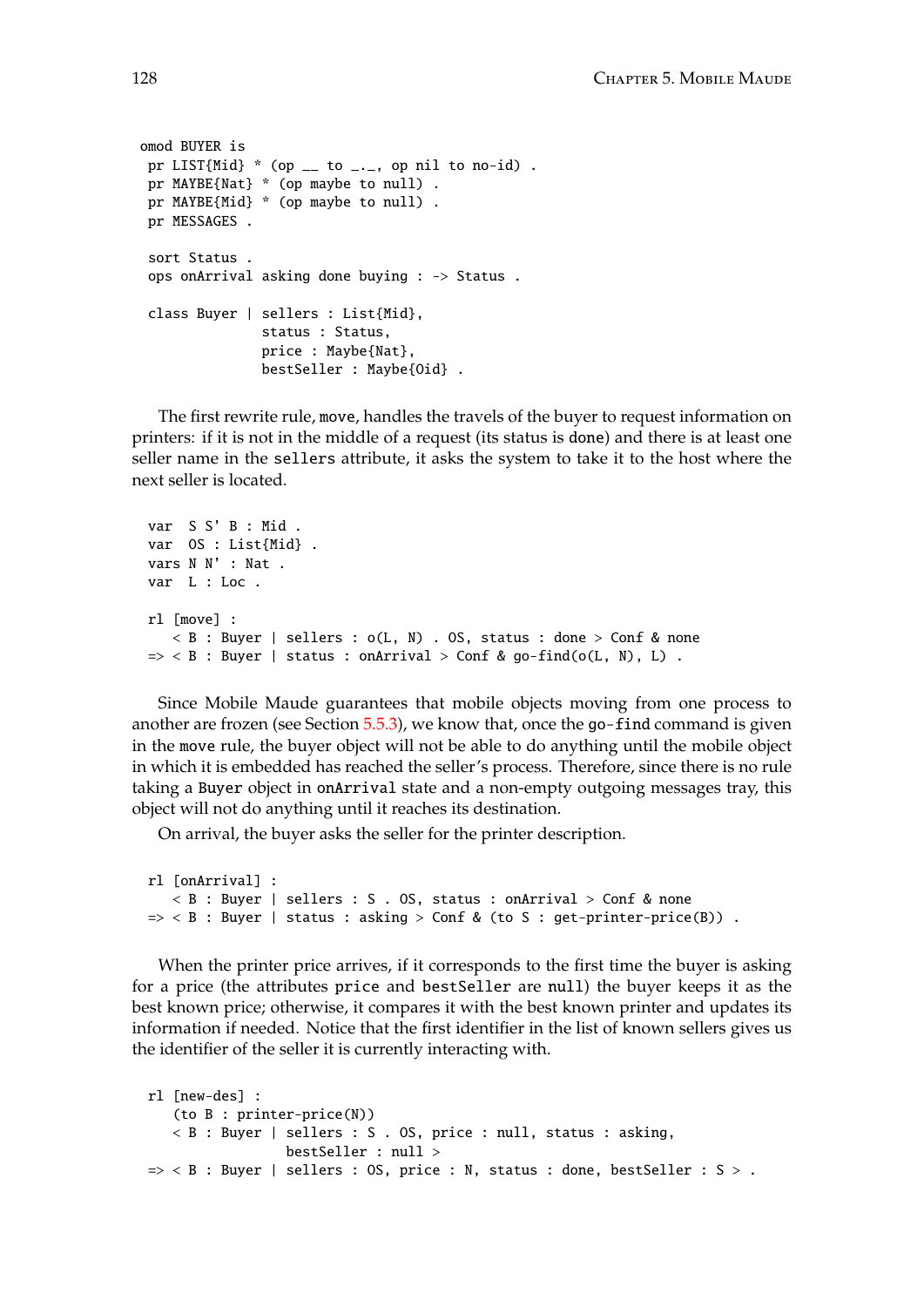```
omod BUYER is
 pr LIST{Mid} * (op \_ to \_, op nil to no-id).
 pr MAYBE{Nat} * (op maybe to null) .
 pr MAYBE{Mid} * (op maybe to null) .
 pr MESSAGES .
 sort Status .
 ops onArrival asking done buying : -> Status .
 class Buyer | sellers : List{Mid},
              status : Status,
               price : Maybe{Nat},
               bestSeller : Maybe{Oid} .
```
The first rewrite rule, move, handles the travels of the buyer to request information on printers: if it is not in the middle of a request (its status is done) and there is at least one seller name in the sellers attribute, it asks the system to take it to the host where the next seller is located.

```
var S S' B : Mid .
var OS : List{Mid} .
vars N N' : Nat .
var L : Loc .
rl [move] :
   \langle B : B \rangle Buyer | sellers : o(L, N) . OS, status : done > Conf & none
\Rightarrow < B : Buyer | status : onArrival > Conf & go-find(o(L, N), L).
```
Since Mobile Maude guarantees that mobile objects moving from one process to another are frozen (see Section [5.5.3\)](#page-121-0), we know that, once the go-find command is given in the move rule, the buyer object will not be able to do anything until the mobile object in which it is embedded has reached the seller's process. Therefore, since there is no rule taking a Buyer object in onArrival state and a non-empty outgoing messages tray, this object will not do anything until it reaches its destination.

On arrival, the buyer asks the seller for the printer description.

```
rl [onArrival] :
   < B : Buyer | sellers : S . OS, status : onArrival > Conf & none
\Rightarrow < B : Buyer | status : asking > Conf & (to S : get-printer-price(B)) .
```
When the printer price arrives, if it corresponds to the first time the buyer is asking for a price (the attributes price and bestSeller are null) the buyer keeps it as the best known price; otherwise, it compares it with the best known printer and updates its information if needed. Notice that the first identifier in the list of known sellers gives us the identifier of the seller it is currently interacting with.

```
rl [new-des] :
   (to B : printer-price(N))
   < B : Buyer | sellers : S . OS, price : null, status : asking,
                 bestSeller : null >
\Rightarrow < B : Buyer | sellers : OS, price : N, status : done, bestSeller : S > .
```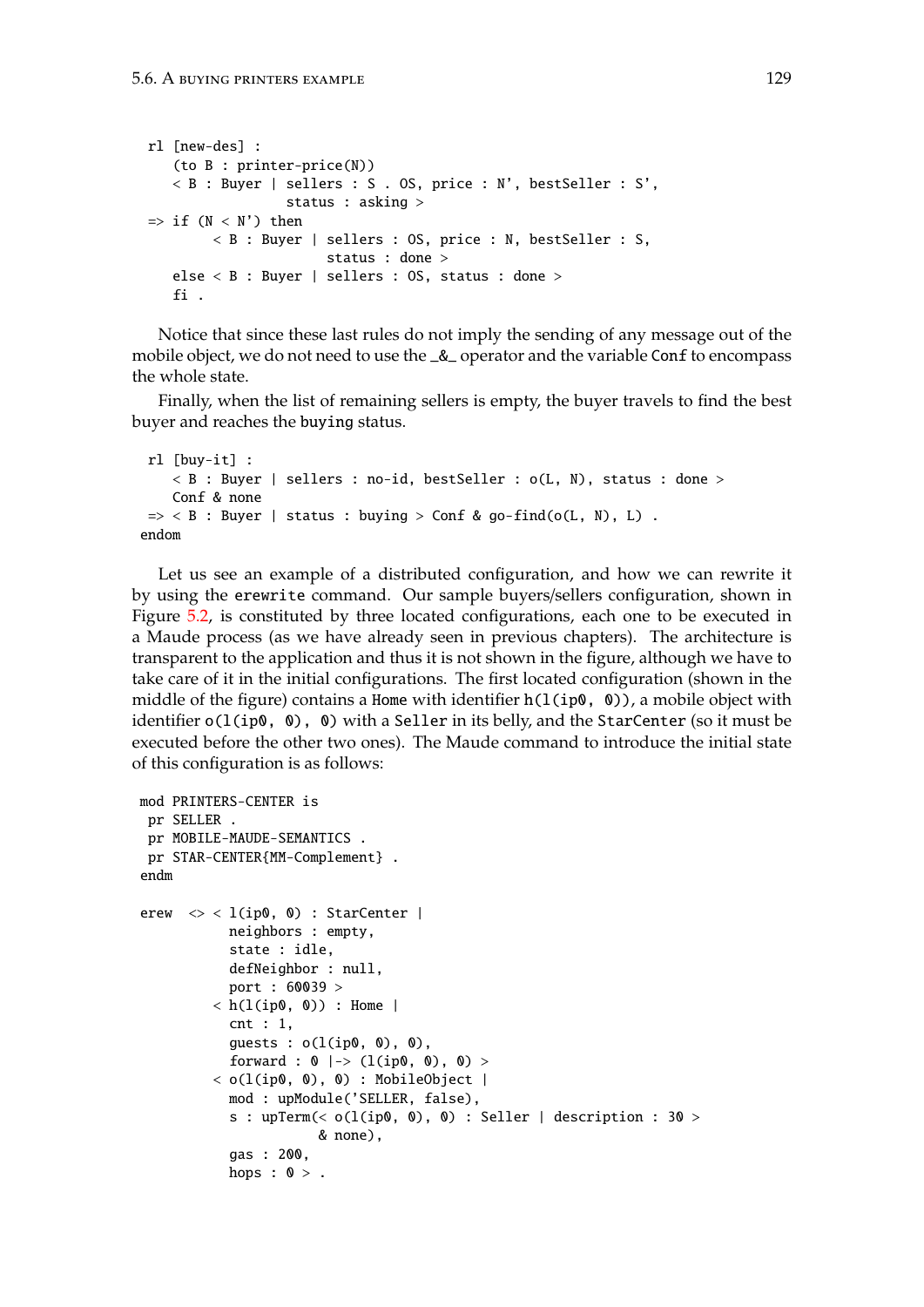```
rl [new-des] :
   (to B : printer-price(N))
   < B : Buyer | sellers : S . OS, price : N', bestSeller : S',
                  status : asking >
\Rightarrow if (N < N') then
        < B : Buyer | sellers : OS, price : N, bestSeller : S,
                      status : done >
   else < B : Buyer | sellers : OS, status : done >
   fi .
```
Notice that since these last rules do not imply the sending of any message out of the mobile object, we do not need to use the  $\&$  operator and the variable Conf to encompass the whole state.

Finally, when the list of remaining sellers is empty, the buyer travels to find the best buyer and reaches the buying status.

```
rl [buy-it] :
    < B : Buyer | sellers : no-id, bestSeller : o(L, N), status : done >
    Conf & none
 \Rightarrow < B : Buyer | status : buying > Conf & go-find(o(L, N), L).
endom
```
Let us see an example of a distributed configuration, and how we can rewrite it by using the erewrite command. Our sample buyers/sellers configuration, shown in Figure [5.2,](#page-129-0) is constituted by three located configurations, each one to be executed in a Maude process (as we have already seen in previous chapters). The architecture is transparent to the application and thus it is not shown in the figure, although we have to take care of it in the initial configurations. The first located configuration (shown in the middle of the figure) contains a Home with identifier  $h(1(ip0, 0))$ , a mobile object with identifier  $o(1(ip0, 0)$ , 0) with a Seller in its belly, and the StarCenter (so it must be executed before the other two ones). The Maude command to introduce the initial state of this configuration is as follows:

```
mod PRINTERS-CENTER is
 pr SELLER .
 pr MOBILE-MAUDE-SEMANTICS .
pr STAR-CENTER{MM-Complement} .
endm
erew \langle \rangle < l(ip0, 0) : StarCenter |
           neighbors : empty,
           state : idle,
           defNeighbor : null,
           port : 60039 >
         \langle h(1(ip0, 0)) : Home |
           cnt : 1,
           guests : o(l(ip0, 0), 0),
           forward : 0 |-> (l(ip0, 0), 0) >
         \langle o(l(ip0, 0), 0) : MobileObject |
           mod : upModule('SELLER, false),
           s : upTerm(< o(l(ip0, 0), 0) : Seller | description : 30 >
                       & none),
           gas : 200,
           hops : 0 > .
```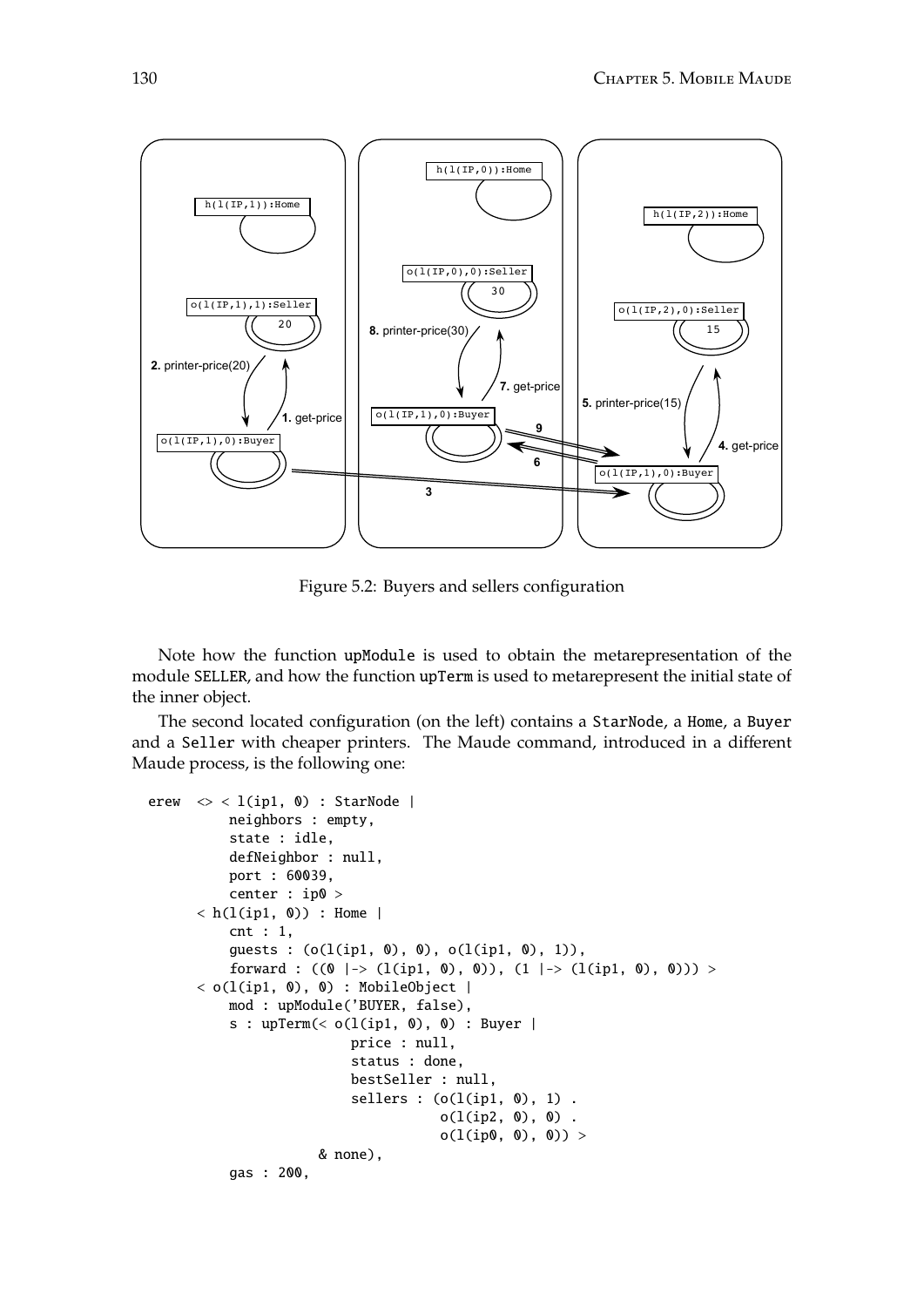

<span id="page-129-0"></span>Figure 5.2: Buyers and sellers configuration

Note how the function upModule is used to obtain the metarepresentation of the module SELLER, and how the function upTerm is used to metarepresent the initial state of the inner object.

The second located configuration (on the left) contains a StarNode, a Home, a Buyer and a Seller with cheaper printers. The Maude command, introduced in a different Maude process, is the following one:

```
erew \langle \rangle < 1(ip1, 0) : StarNode |
           neighbors : empty,
           state : idle,
           defNeighbor : null,
           port : 60039,
           center : ip0 >
      \langle h(1(ip1, 0)) : Home |
           cnt : 1,
           guests : (o(l(ip1, 0), 0), o(l(ip1, 0), 1)),
           forward : ((0 \mid \rightarrow (l(ip1, 0), 0)), (1 \mid \rightarrow (l(ip1, 0), 0))) >
      \langle o(l(ip1, 0), 0) : MobileObject |
           mod : upModule('BUYER, false),
           s : upTerm(< o(l(ip1, 0), 0) : Buyer |
                            price : null,
                            status : done,
                            bestSeller : null,
                            sellers : (o(l(ip1, 0), 1).
                                        o(l(ip2, 0), 0).
                                        o(l(ip0, 0), 0)) >
                       & none),
           gas : 200,
```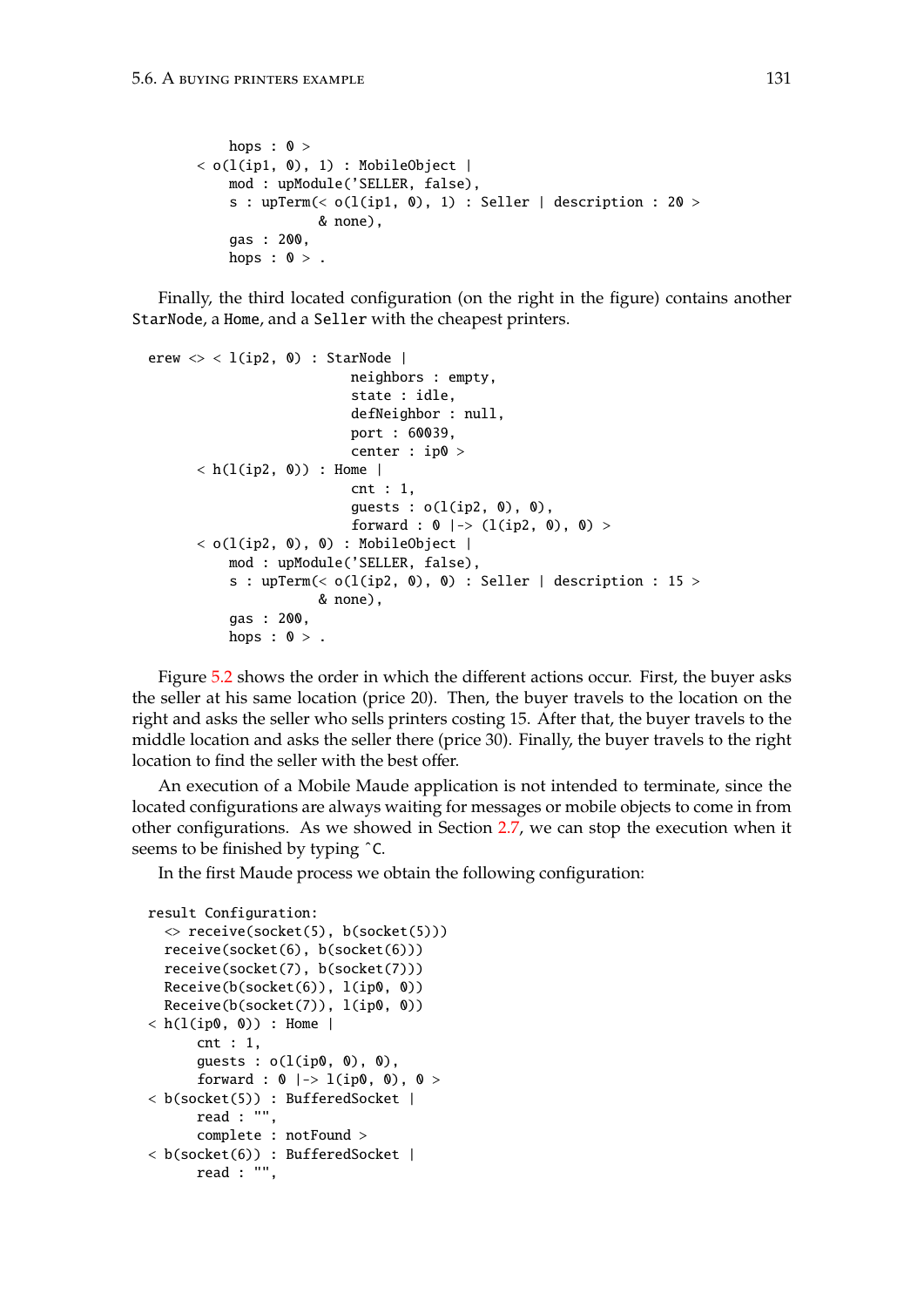```
hops : 0 >\langle o(l(ip1, 0), 1) : MobileObject |
    mod : upModule('SELLER, false),
    s : upTerm(< o(l(ip1, 0), 1) : Seller | description : 20 >
               & none),
    gas : 200,
   hops : 0 >.
```
Finally, the third located configuration (on the right in the figure) contains another StarNode, a Home, and a Seller with the cheapest printers.

```
erew \langle \rangle < l(ip2, 0) : StarNode |
                          neighbors : empty,
                          state : idle,
                          defNeighbor : null,
                          port : 60039,
                          center : ip0 >
      \langle h(1(ip2, 0)) : Home |
                          cnt : 1,
                          guests : o(l(ip2, 0), 0),
                          forward : 0 |-> (l(ip2, 0), 0) >
      < o(l(ip2, 0), 0) : MobileObject |
          mod : upModule('SELLER, false),
          s : upTerm(< o(1(ip2, 0), 0) : Seller | description : 15 >
                      & none),
          gas : 200,
          hops : 0 >.
```
Figure [5.2](#page-129-0) shows the order in which the different actions occur. First, the buyer asks the seller at his same location (price 20). Then, the buyer travels to the location on the right and asks the seller who sells printers costing 15. After that, the buyer travels to the middle location and asks the seller there (price 30). Finally, the buyer travels to the right location to find the seller with the best offer.

An execution of a Mobile Maude application is not intended to terminate, since the located configurations are always waiting for messages or mobile objects to come in from other configurations. As we showed in Section [2.7,](#page-26-0) we can stop the execution when it seems to be finished by typing ˆC.

In the first Maude process we obtain the following configuration:

```
result Configuration:
  \le receive(socket(5), b(socket(5)))
  receive(socket(6), b(socket(6)))
  receive(socket(7), b(socket(7)))
  Receive(b(socket(6)), l(ip0, 0))
  Receive(b(socket(7)), l(ip0, 0))
\langle h(1(ip0, 0)) : Home |
      cnt : 1,
      guests : o(l(ip0, 0), 0),
      forward : 0 |-> 1(ip0, 0), 0 >
< b(socket(5)) : BufferedSocket |
      read : "",
      complete : notFound >
< b(socket(6)) : BufferedSocket |
      read : "",
```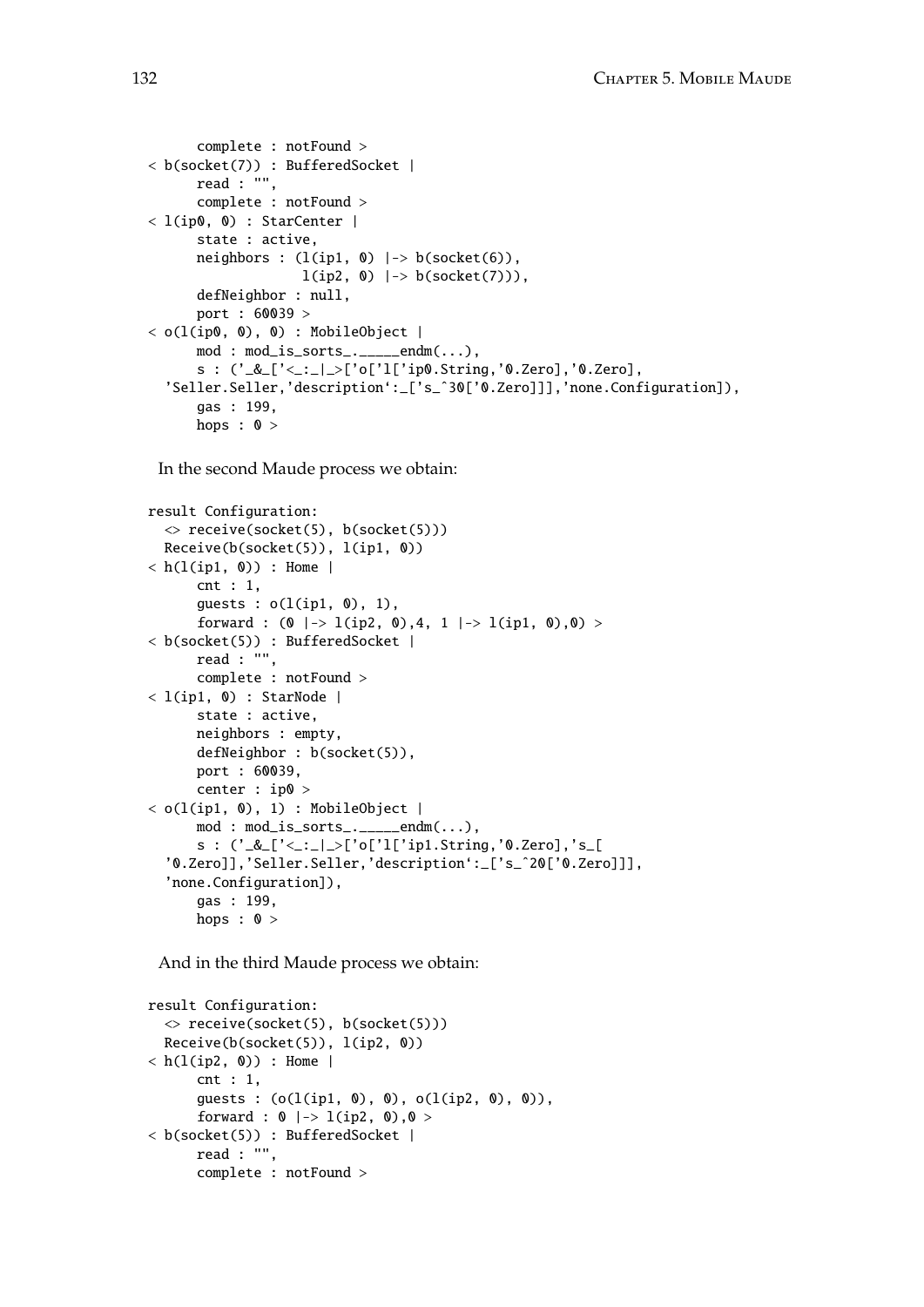```
complete : notFound >
< b(socket(7)) : BufferedSocket |
      read : "",
      complete : notFound >
< l(ip0, 0) : StarCenter |
      state : active,
      neighbors : (l(ip1, 0) |-> b(socket(6)),
                   l(ip2, 0) |-> b(socket(7))),
      defNeighbor : null,
      port : 60039 >
\langle o(l(ip0, 0), 0) : MobileObject |
      mod: mod\_is\_sorts<sub>-----</sub>endm(...),
      s : ('_&_['<_:_|_>['o['l['ip0.String,'0.Zero],'0.Zero],
  'Seller.Seller,'description':_['s_ˆ30['0.Zero]]],'none.Configuration]),
      gas : 199,
      hops : 0 >
```
In the second Maude process we obtain:

```
result Configuration:
  \le receive(socket(5), b(socket(5)))
  Receive(b(sockets(5)), 1(ip1, 0))\langle h(1(ip1, 0)) : Home |
      cnt : 1,
      guess : o(l(ip1, 0), 1),forward : (0 \mid \rightarrow 1(ip2, 0),4, 1 | \rightarrow 1(ip1, 0),0) >
< b(socket(5)) : BufferedSocket |
      read : "",
      complete : notFound >
< l(ip1, 0) : StarNode |
      state : active,
      neighbors : empty,
      defNeighbor : b(socket(5)),
      port : 60039,
      center : ip0 >
< o(l(ip1, 0), 1) : MobileObject |
      mod: mod\_is\_sorts<sub>-----</sub>endm(...),
      s : ('_&\_['&\_]~&`o['1['ip1.String, '0.Zero], 's\_['0.Zero]],'Seller.Seller,'description':_['s_ˆ20['0.Zero]]],
  'none.Configuration]),
      gas : 199,
      hops : 0 >
```
And in the third Maude process we obtain:

```
result Configuration:
  \le receive(socket(5), b(socket(5)))
  Receive(b(socket(5)), l(ip2, 0))
\langle h(1(ip2, 0)) : Home |
      cnt : 1,
      guests : (o(l(ip1, 0), 0), o(l(ip2, 0), 0)),
      forward : 0 |-> 1(ip2, 0), 0 >< b(socket(5)) : BufferedSocket |
      read : "",
      complete : notFound >
```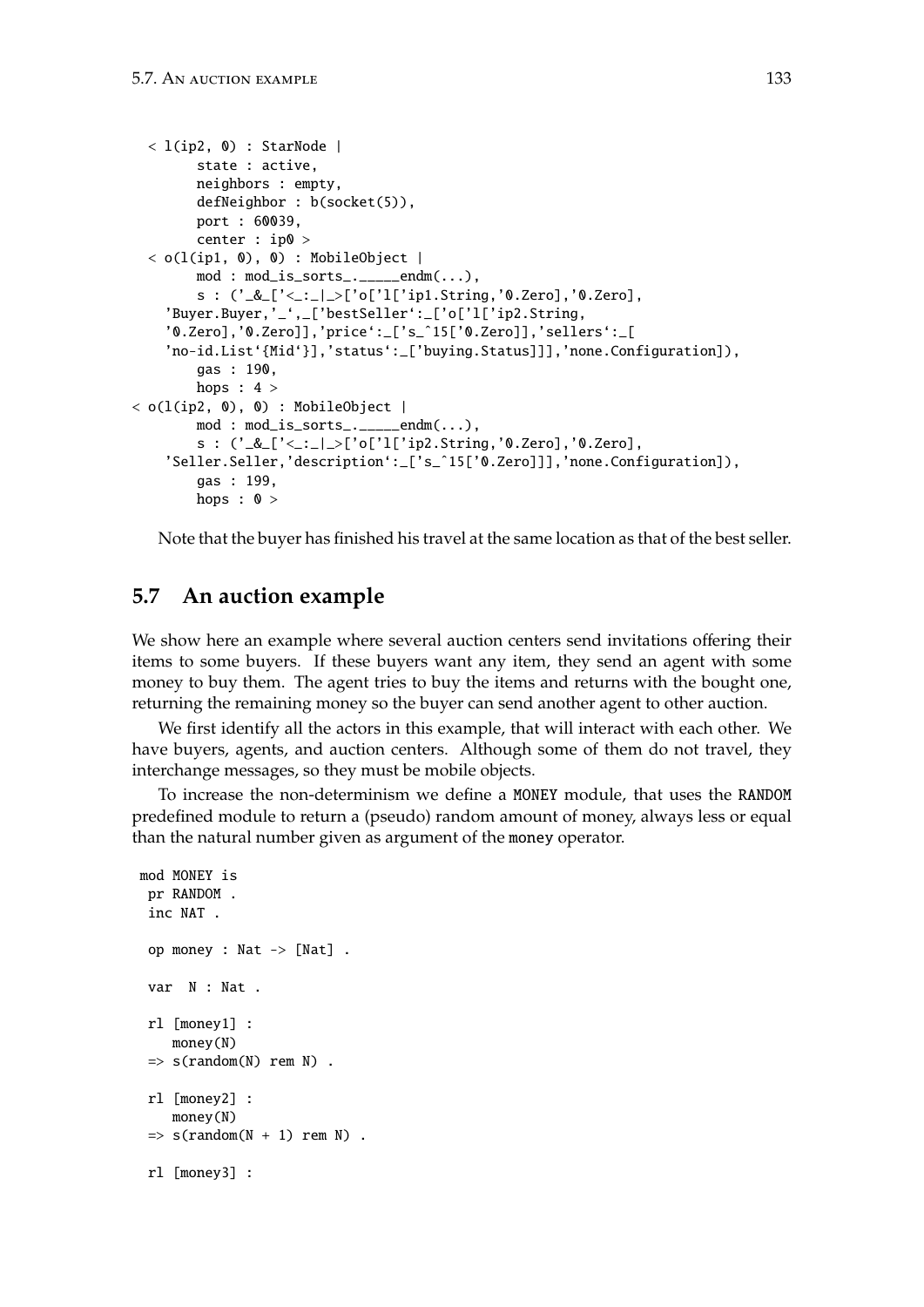```
\langle l(ip2, 0) : StarNode |
        state : active,
        neighbors : empty,
        defNeighbor : b(socket(5)),
        port : 60039,
        center : ip0 >
  < o(l(ip1, 0), 0) : MobileObject |
        mod : mod_is_sorts_._____endm(...),
        s : ('_&_['<_:_|_>['o['l['ip1.String,'0.Zero],'0.Zero],
    'Buyer.Buyer,'_',_['bestSeller':_['o['l['ip2.String,
    '0.Zero],'0.Zero]],'price':_['s_ˆ15['0.Zero]],'sellers':_[
    'no-id.List'{Mid'}],'status':_['buying.Status]]],'none.Configuration]),
        gas : 190,
        hops : 4 >\langle o(l(ip2, 0), 0) : MobileObject |
        mod : mod_is_sorts_._____endm(...),
        s : ('_&_['<_:_|_>['o['l['ip2.String,'0.Zero],'0.Zero],
    'Seller.Seller,'description':_['s_ˆ15['0.Zero]]],'none.Configuration]),
        gas : 199,
        hops : 0 >
```
Note that the buyer has finished his travel at the same location as that of the best seller.

# <span id="page-132-0"></span>**5.7 An auction example**

We show here an example where several auction centers send invitations offering their items to some buyers. If these buyers want any item, they send an agent with some money to buy them. The agent tries to buy the items and returns with the bought one, returning the remaining money so the buyer can send another agent to other auction.

We first identify all the actors in this example, that will interact with each other. We have buyers, agents, and auction centers. Although some of them do not travel, they interchange messages, so they must be mobile objects.

To increase the non-determinism we define a MONEY module, that uses the RANDOM predefined module to return a (pseudo) random amount of money, always less or equal than the natural number given as argument of the money operator.

```
mod MONEY is
pr RANDOM .
inc NAT .
 op money : Nat -> [Nat] .
 var N : Nat .
 rl [money1] :
    money(N)
 \Rightarrow s(random(N) rem N).
 rl [money2] :
    money(N)
 \Rightarrow s(random(N + 1) rem N).
 rl [money3] :
```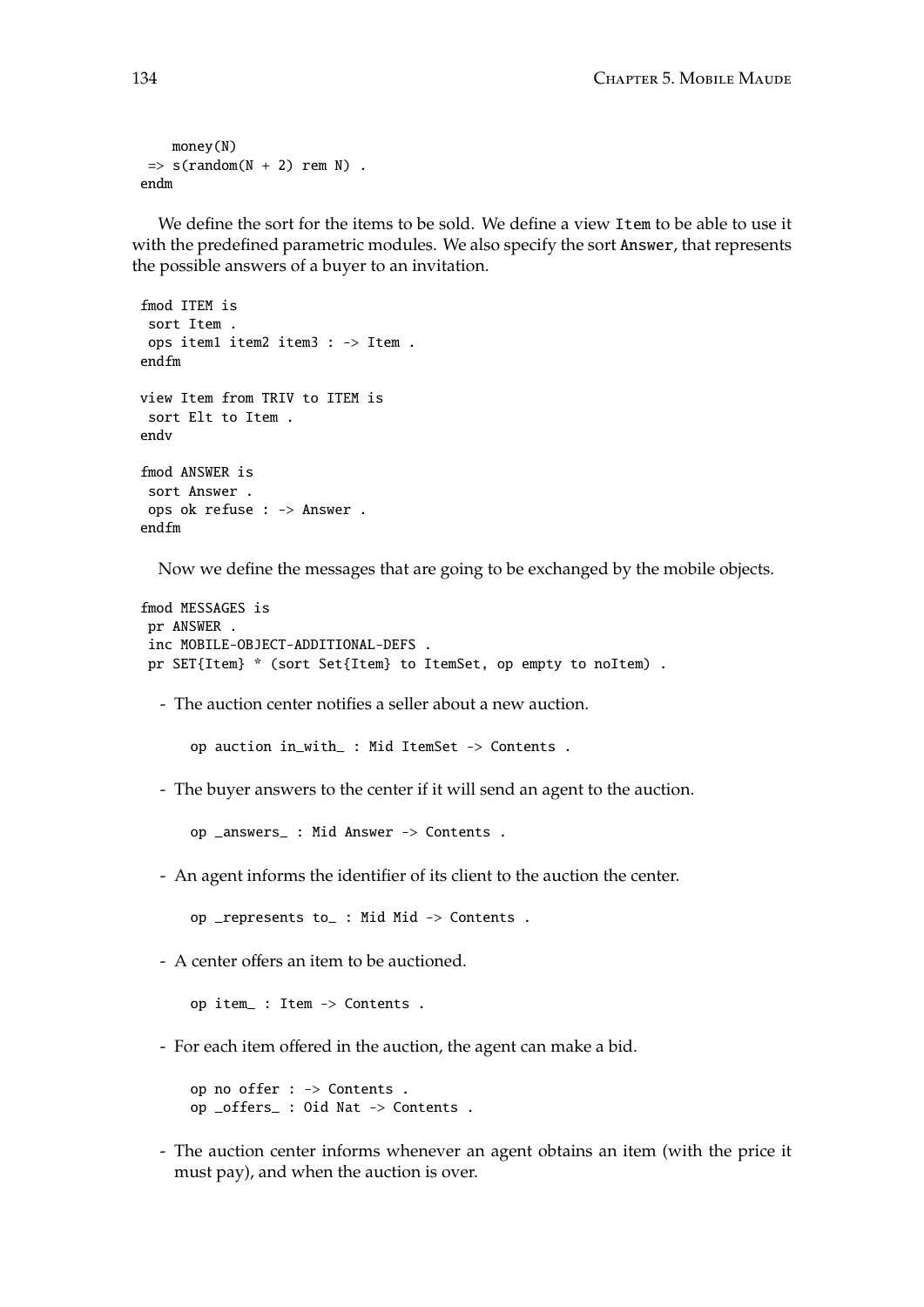```
money(N)
 \Rightarrow s(random(N + 2) rem N).
endm
```
We define the sort for the items to be sold. We define a view Item to be able to use it with the predefined parametric modules. We also specify the sort Answer, that represents the possible answers of a buyer to an invitation.

```
fmod ITEM is
 sort Item .
 ops item1 item2 item3 : -> Item .
endfm
view Item from TRIV to ITEM is
 sort Elt to Item .
endv
fmod ANSWER is
 sort Answer .
 ops ok refuse : -> Answer .
endfm
```
Now we define the messages that are going to be exchanged by the mobile objects.

```
fmod MESSAGES is
pr ANSWER .
 inc MOBILE-OBJECT-ADDITIONAL-DEFS .
pr SET{Item} * (sort Set{Item} to ItemSet, op empty to noItem) .
```
- The auction center notifies a seller about a new auction.

op auction in\_with\_ : Mid ItemSet -> Contents .

- The buyer answers to the center if it will send an agent to the auction.

op \_answers\_ : Mid Answer -> Contents .

- An agent informs the identifier of its client to the auction the center.

op \_represents to\_ : Mid Mid -> Contents .

- A center offers an item to be auctioned.

op item\_ : Item -> Contents .

- For each item offered in the auction, the agent can make a bid.

op no offer : -> Contents . op \_offers\_ : Oid Nat -> Contents .

- The auction center informs whenever an agent obtains an item (with the price it must pay), and when the auction is over.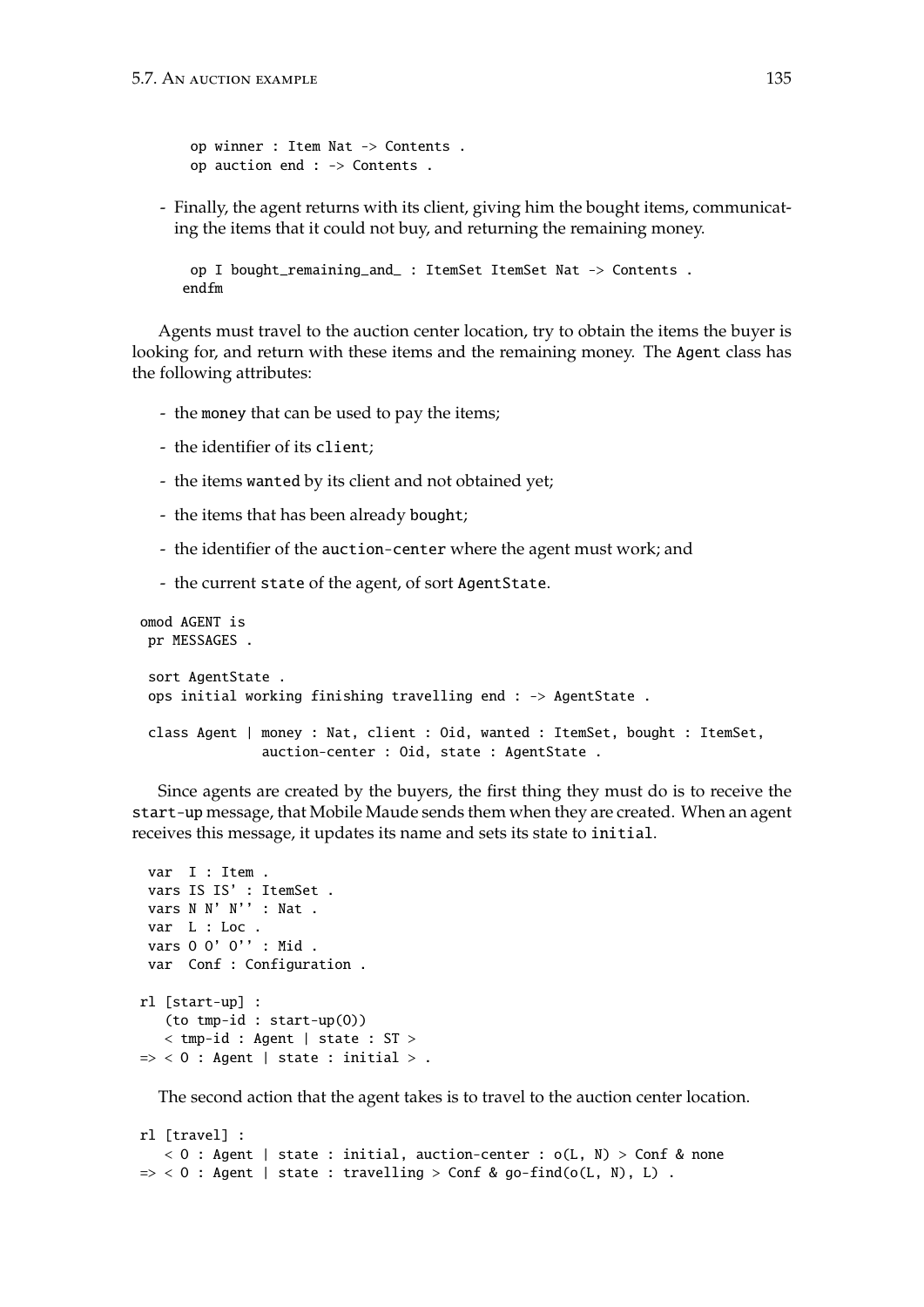```
op winner : Item Nat -> Contents .
op auction end : -> Contents .
```
- Finally, the agent returns with its client, giving him the bought items, communicating the items that it could not buy, and returning the remaining money.

```
op I bought_remaining_and_ : ItemSet ItemSet Nat -> Contents .
endfm
```
Agents must travel to the auction center location, try to obtain the items the buyer is looking for, and return with these items and the remaining money. The Agent class has the following attributes:

- the money that can be used to pay the items;
- the identifier of its client;
- the items wanted by its client and not obtained yet;
- the items that has been already bought;
- the identifier of the auction-center where the agent must work; and
- the current state of the agent, of sort AgentState.

```
omod AGENT is
pr MESSAGES .
 sort AgentState .
 ops initial working finishing travelling end : -> AgentState .
class Agent | money : Nat, client : Oid, wanted : ItemSet, bought : ItemSet,
               auction-center : Oid, state : AgentState .
```
Since agents are created by the buyers, the first thing they must do is to receive the start-up message, that Mobile Maude sends them when they are created. When an agent receives this message, it updates its name and sets its state to initial.

```
var I : Item .
 vars IS IS' : ItemSet .
 vars N N' N'' : Nat .
 var L : Loc .
 vars O O' O'' : Mid .
var Conf : Configuration .
rl [start-up] :
   (to tmp-id : start-up(O))
   < tmp-id : Agent | state : ST >
\Rightarrow < 0 : Agent | state : initial > .
```
The second action that the agent takes is to travel to the auction center location.

```
rl [travel] :
   < 0 : Agent | state : initial, auction-center : o(L, N) > Conf & none
\Rightarrow < 0 : Agent | state : travelling > Conf & go-find(o(L, N), L).
```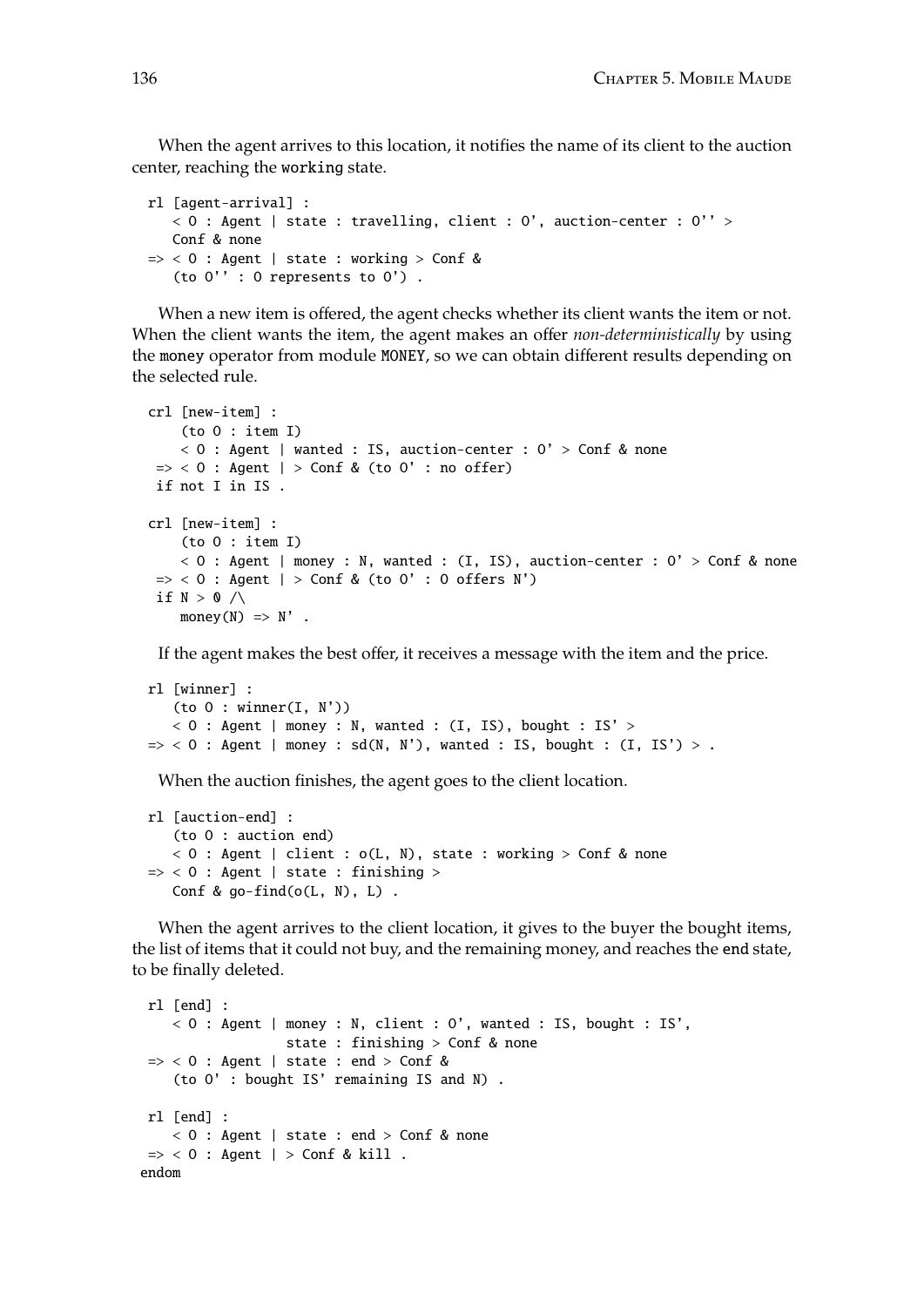When the agent arrives to this location, it notifies the name of its client to the auction center, reaching the working state.

```
rl [agent-arrival] :
   < 0 : Agent | state : travelling, client : 0', auction-center : 0'' >
   Conf & none
\Rightarrow < 0 : Agent | state : working > Conf &
   (to O'' : O represents to O') .
```
When a new item is offered, the agent checks whether its client wants the item or not. When the client wants the item, the agent makes an offer *non-deterministically* by using the money operator from module MONEY, so we can obtain different results depending on the selected rule.

```
crl [new-item] :
    (to O : item I)
    < 0 : Agent | wanted : IS, auction-center : 0' > Conf & none
\Rightarrow < 0 : Agent | > Conf & (to 0' : no offer)
if not I in IS .
crl [new-item] :
    (to O : item I)
    < 0 : Agent | money : N, wanted : (I, IS), auction-center : 0' > Conf & none
\Rightarrow < 0 : Agent | > Conf & (to 0' : 0 offers N')
if N > 0 / \wedgemoney(N) \Rightarrow N'.
```
If the agent makes the best offer, it receives a message with the item and the price.

```
rl [winner] :
   (to 0 : winner(I, N'))< 0 : Agent | money : N, wanted : (I, IS), bought : IS' >
\Rightarrow < 0 : Agent | money : sd(N, N'), wanted : IS, bought : (I, IS') > .
```
When the auction finishes, the agent goes to the client location.

```
rl [auction-end] :
   (to O : auction end)
   < O : Agent | client : o(L, N), state : working > Conf & none
\Rightarrow < 0 : Agent | state : finishing >
   Conf & go-find(o(L, N), L).
```
When the agent arrives to the client location, it gives to the buyer the bought items, the list of items that it could not buy, and the remaining money, and reaches the end state, to be finally deleted.

```
rl [end] :
    < O : Agent | money : N, client : O', wanted : IS, bought : IS',
                   state : finishing > Conf & none
\Rightarrow < 0 : Agent | state : end > Conf &
    (to O' : bought IS' remaining IS and N) .
rl [end] :
    < O : Agent | state : end > Conf & none
\Rightarrow < 0 : Agent | > Conf & kill .
endom
```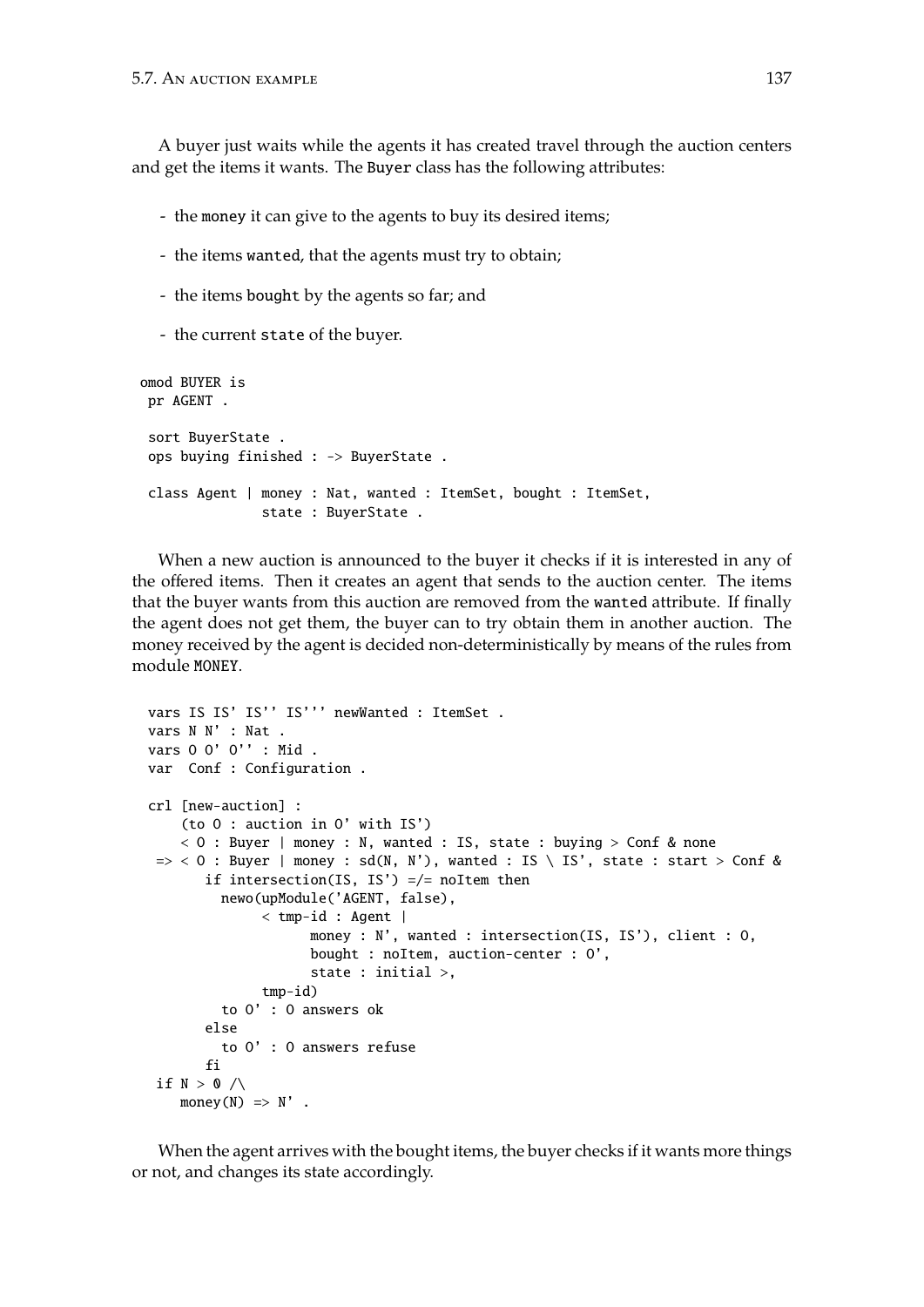A buyer just waits while the agents it has created travel through the auction centers and get the items it wants. The Buyer class has the following attributes:

- the money it can give to the agents to buy its desired items;
- the items wanted, that the agents must try to obtain;
- the items bought by the agents so far; and
- the current state of the buyer.

```
omod BUYER is
pr AGENT .
sort BuyerState .
ops buying finished : -> BuyerState .
class Agent | money : Nat, wanted : ItemSet, bought : ItemSet,
               state : BuyerState .
```
When a new auction is announced to the buyer it checks if it is interested in any of the offered items. Then it creates an agent that sends to the auction center. The items that the buyer wants from this auction are removed from the wanted attribute. If finally the agent does not get them, the buyer can to try obtain them in another auction. The money received by the agent is decided non-deterministically by means of the rules from module MONEY.

```
vars IS IS' IS'' IS''' newWanted : ItemSet .
vars N N' : Nat .
vars O O' O'' : Mid .
var Conf : Configuration .
crl [new-auction] :
    (to O : auction in O' with IS')
    < 0 : Buyer | money : N, wanted : IS, state : buying > Conf & none
 \Rightarrow < 0 : Buyer | money : sd(N, N'), wanted : IS \ IS', state : start > Conf &
       if intersection(IS, IS') =/- noItem then
         newo(upModule('AGENT, false),
              $\lt tmp-id : Agent $\rceilmoney : N', wanted : intersection(IS, IS'), client : O,
                     bought : noItem, auction-center : O',
                     state : initial >,
              tmp-id)
         to O' : O answers ok
       else
         to O' : O answers refuse
       fi
 if N > 0 / \wedgemoney(N) \implies N'.
```
When the agent arrives with the bought items, the buyer checks if it wants more things or not, and changes its state accordingly.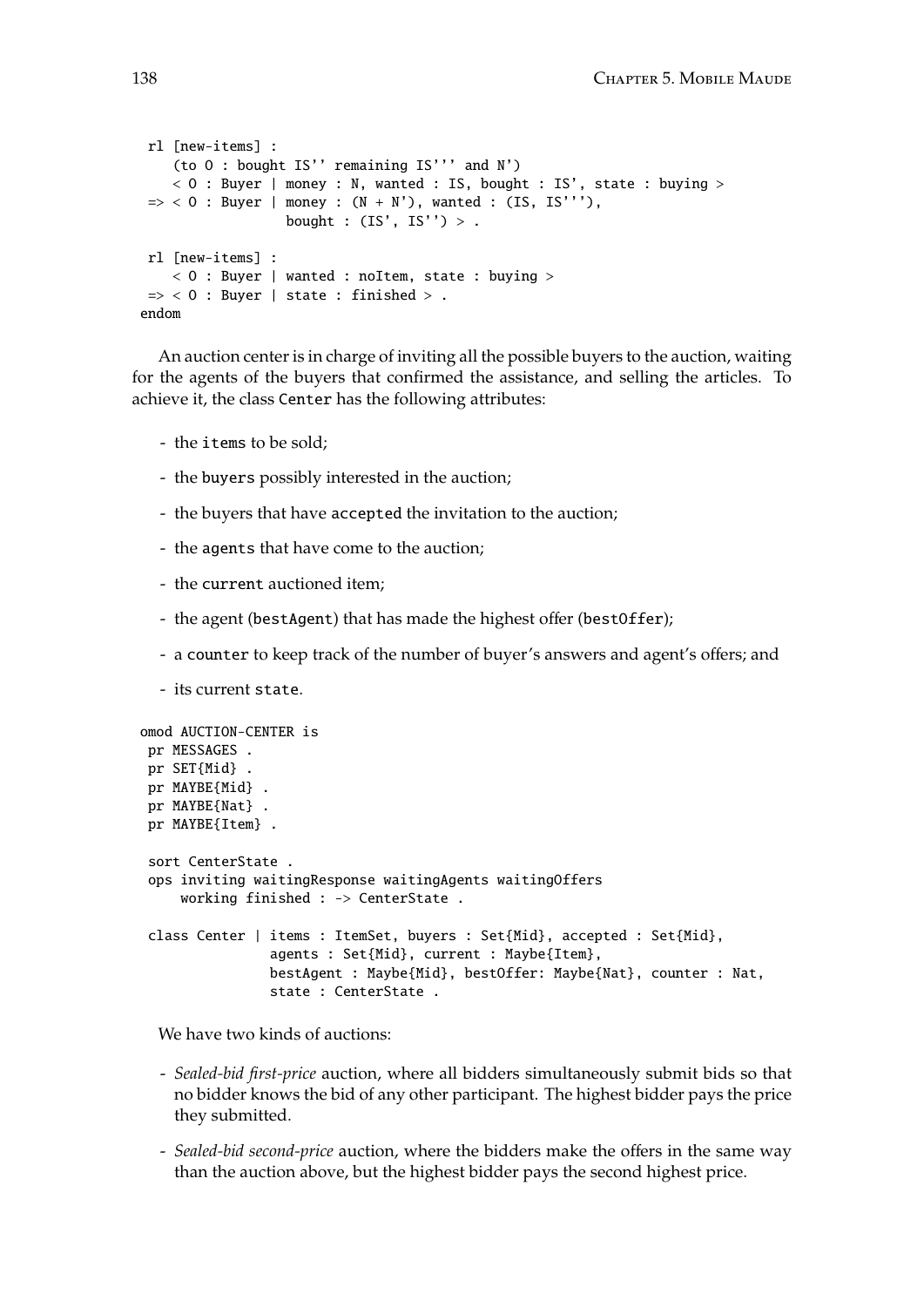```
rl [new-items] :
    (to O : bought IS'' remaining IS''' and N')
    < O : Buyer | money : N, wanted : IS, bought : IS', state : buying >
\Rightarrow < 0 : Buyer | money : (N + N'), wanted : (IS, IS''),
                  bought : (IS', IS'') > .rl [new-items] :
    < 0 : Buyer | wanted : noItem, state : buying >
\Rightarrow < 0 : Buyer | state : finished > .
endom
```
An auction center is in charge of inviting all the possible buyers to the auction, waiting for the agents of the buyers that confirmed the assistance, and selling the articles. To achieve it, the class Center has the following attributes:

- the items to be sold;
- the buyers possibly interested in the auction;
- the buyers that have accepted the invitation to the auction;
- the agents that have come to the auction;
- the current auctioned item;
- the agent (bestAgent) that has made the highest offer (bestOffer);
- a counter to keep track of the number of buyer's answers and agent's offers; and
- its current state.

```
omod AUCTION-CENTER is
pr MESSAGES .
pr SET{Mid} .
pr MAYBE{Mid} .
pr MAYBE{Nat} .
pr MAYBE{Item} .
 sort CenterState .
 ops inviting waitingResponse waitingAgents waitingOffers
    working finished : -> CenterState .
 class Center | items : ItemSet, buyers : Set{Mid}, accepted : Set{Mid},
                agents : Set{Mid}, current : Maybe{Item},
                bestAgent : Maybe{Mid}, bestOffer: Maybe{Nat}, counter : Nat,
                state : CenterState .
```
We have two kinds of auctions:

- *Sealed-bid first-price* auction, where all bidders simultaneously submit bids so that no bidder knows the bid of any other participant. The highest bidder pays the price they submitted.
- *Sealed-bid second-price* auction, where the bidders make the offers in the same way than the auction above, but the highest bidder pays the second highest price.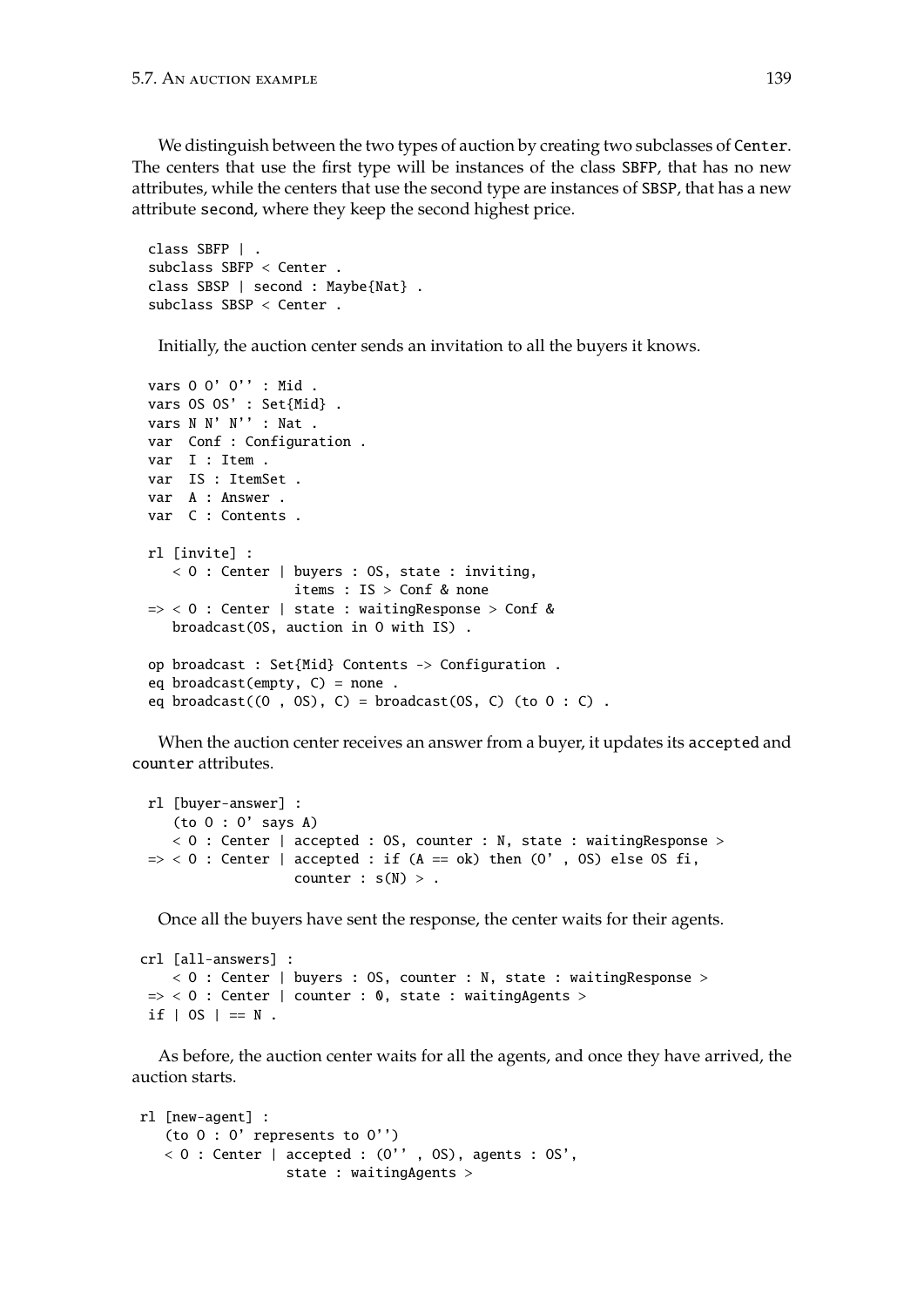We distinguish between the two types of auction by creating two subclasses of Center. The centers that use the first type will be instances of the class SBFP, that has no new attributes, while the centers that use the second type are instances of SBSP, that has a new attribute second, where they keep the second highest price.

```
class SBFP | .
subclass SBFP < Center .
class SBSP | second : Maybe{Nat} .
subclass SBSP < Center .
```
Initially, the auction center sends an invitation to all the buyers it knows.

```
vars O O' O'' : Mid .
vars OS OS' : Set{Mid} .
vars N N' N'' : Nat .
var Conf : Configuration .
var I : Item .
var IS : ItemSet .
var A : Answer .
var C : Contents .
rl [invite] :
  < O : Center | buyers : OS, state : inviting,
                  items : IS > Conf & none
\Rightarrow < 0 : Center | state : waitingResponse > Conf &
  broadcast(OS, auction in O with IS) .
op broadcast : Set{Mid} Contents -> Configuration .
eq broadcast(empty, C) = none.
eq broadcast((0, 0s), C) = broadcast(0s, C) (to 0 : C).
```
When the auction center receives an answer from a buyer, it updates its accepted and counter attributes.

```
rl [buyer-answer] :
   (to O : O' says A)
   < O : Center | accepted : OS, counter : N, state : waitingResponse >
\Rightarrow < 0 : Center | accepted : if (A == ok) then (O', OS) else OS fi,
                   counter : s(N) > 0.
```
Once all the buyers have sent the response, the center waits for their agents.

```
crl [all-answers] :
   < O : Center | buyers : OS, counter : N, state : waitingResponse >
 \Rightarrow < 0 : Center | counter : 0, state : waitingAgents >
 if | OS | == N.
```
As before, the auction center waits for all the agents, and once they have arrived, the auction starts.

```
rl [new-agent] :
   (to O : O' represents to O'')
   < 0 : Center | accepted : (0'', OS), agents : OS',
                 state : waitingAgents >
```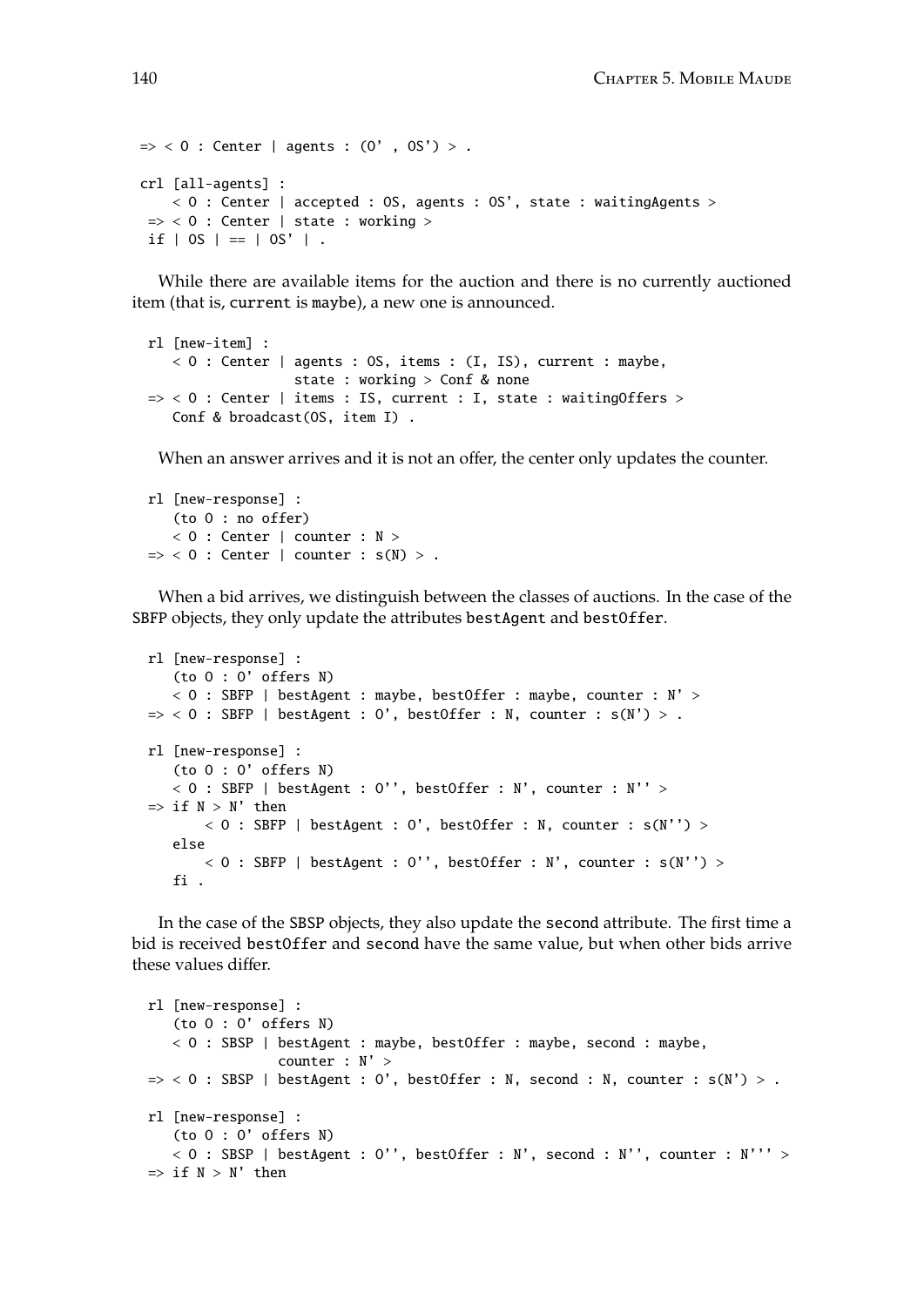```
\Rightarrow < 0 : Center | agents : (0', 0S') > .
crl [all-agents] :
    < 0 : Center | accepted : OS, agents : OS', state : waiting Agents >
 \Rightarrow < 0 : Center | state : working >
 if | OS | == | OS' | .
```
While there are available items for the auction and there is no currently auctioned item (that is, current is maybe), a new one is announced.

```
rl [new-item] :
   < O : Center | agents : OS, items : (I, IS), current : maybe,
                  state : working > Conf & none
\Rightarrow < 0 : Center | items : IS, current : I, state : waitingOffers >
   Conf & broadcast(OS, item I) .
```
When an answer arrives and it is not an offer, the center only updates the counter.

```
rl [new-response] :
   (to O : no offer)
   < O : Center | counter : N >
\Rightarrow < 0 : Center | counter : s(N) > .
```
When a bid arrives, we distinguish between the classes of auctions. In the case of the SBFP objects, they only update the attributes bestAgent and bestOffer.

```
rl [new-response] :
   (to O : O' offers N)
   < 0 : SBFP | bestAgent : maybe, bestOffer : maybe, counter : N' >
\Rightarrow < 0 : SBFP | bestAgent : 0', bestOffer : N, counter : s(N') > .
rl [new-response] :
   (to O : O' offers N)
   < 0 : SBFP | bestAgent : 0'', bestOffer : N', counter : N'' >
\Rightarrow if N > N' then
       < 0 : SBFP | bestAgent : 0', bestOffer : N, counter : s(N') >else
       < 0 : SBFP | bestAgent : 0'', bestOffer : N', counter : s(N'') >
   fi .
```
In the case of the SBSP objects, they also update the second attribute. The first time a bid is received bestOffer and second have the same value, but when other bids arrive these values differ.

```
rl [new-response] :
   (to O : O' offers N)
   < O : SBSP | bestAgent : maybe, bestOffer : maybe, second : maybe,
                 counter : N' >
\Rightarrow < 0 : SBSP | bestAgent : 0', bestOffer : N, second : N, counter : s(N') > .
rl [new-response] :
   (to O : O' offers N)
   < 0 : SBSP | bestAgent : 0'', bestOffer : N', second : N'', counter : N''' >
\Rightarrow if N > N' then
```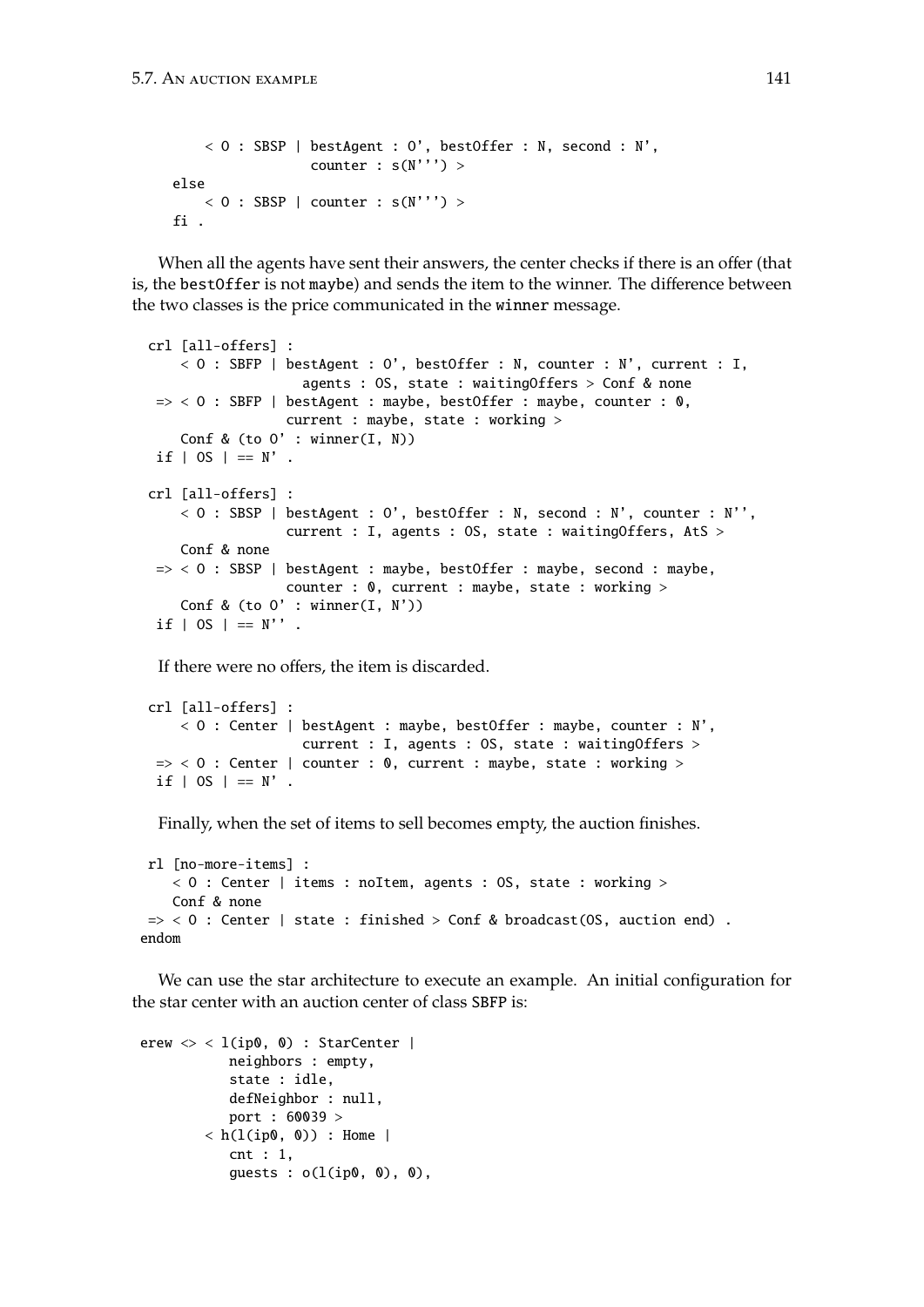```
< O : SBSP | bestAgent : O', bestOffer : N, second : N',
                counter : s(N'') >
else
   < 0 : SBSP | counter : s(N'') >fi .
```
When all the agents have sent their answers, the center checks if there is an offer (that is, the bestOffer is not maybe) and sends the item to the winner. The difference between the two classes is the price communicated in the winner message.

```
crl [all-offers] :
   < O : SBFP | bestAgent : O', bestOffer : N, counter : N', current : I,
                   agents : OS, state : waitingOffers > Conf & none
\Rightarrow < 0 : SBFP | bestAgent : maybe, bestOffer : maybe, counter : 0,
                 current : maybe, state : working >
   Conf & (to 0' : winner(I, N))
if | OS | == N' .
crl [all-offers] :
    < 0 : SBSP | bestAgent : O', bestOffer : N, second : N', counter : N'',
                 current : I, agents : OS, state : waitingOffers, AtS >
   Conf & none
\Rightarrow < 0 : SBSP | bestAgent : maybe, bestOffer : maybe, second : maybe,
                 counter : 0, current : maybe, state : working >
    Conf & (to 0' : winner(I, N'))
if | OS | == N''.
```
If there were no offers, the item is discarded.

```
crl [all-offers] :
    < O : Center | bestAgent : maybe, bestOffer : maybe, counter : N',
                   current : I, agents : OS, state : waitingOffers >
\Rightarrow < 0 : Center | counter : 0, current : maybe, state : working >
if | OS | == N'.
```
Finally, when the set of items to sell becomes empty, the auction finishes.

```
rl [no-more-items] :
   < 0 : Center | items : noItem, agents : OS, state : working >
   Conf & none
\Rightarrow < 0 : Center | state : finished > Conf & broadcast(OS, auction end) .
endom
```
We can use the star architecture to execute an example. An initial configuration for the star center with an auction center of class SBFP is:

```
erew \langle \rangle < l(ip0, 0) : StarCenter |
            neighbors : empty,
            state : idle,
            defNeighbor : null,
            port : 60039 >
         \langle h(1(ip0, 0)) : Home |
            cnt : 1,
            guests : o(l(ip0, 0), 0),
```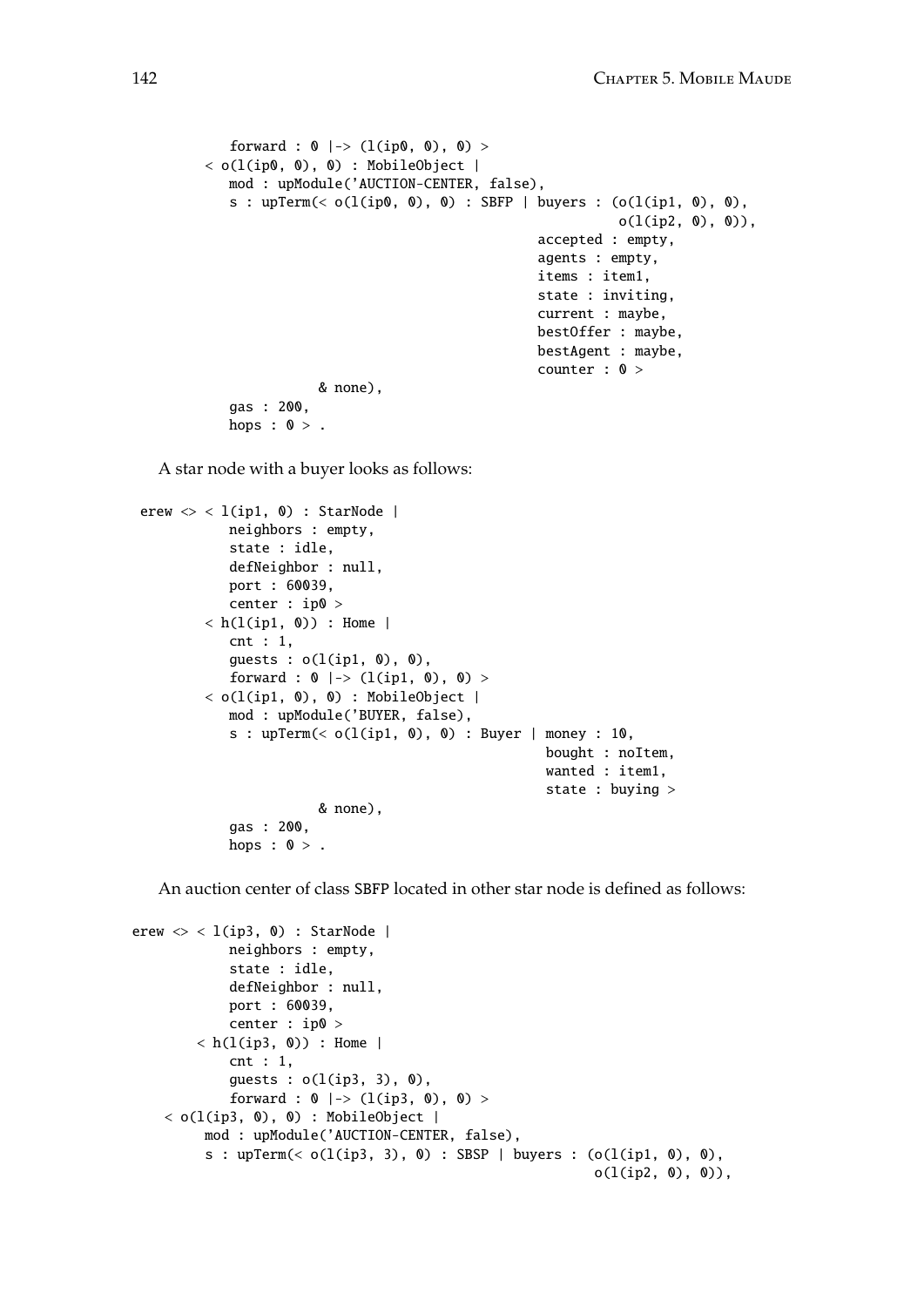```
forward : 0 |-> (l(ip0, 0), 0) >
\langle o(l(ip0, 0), 0) : MobileObject |
   mod : upModule('AUCTION-CENTER, false),
   s : upTerm(< o(1(ip0, 0), 0) : SBFP | buyers : (o(1(ip1, 0), 0),o(l(ip2, 0), 0)),
                                          accepted : empty,
                                          agents : empty,
                                          items : item1,
                                          state : inviting,
                                          current : maybe,
                                          bestOffer : maybe,
                                          bestAgent : maybe,
                                          counter : 0 >
              & none),
   gas : 200,
   hops : 0 >.
```
A star node with a buyer looks as follows:

```
erew \langle \rangle < l(ip1, 0) : StarNode |
           neighbors : empty,
           state : idle,
           defNeighbor : null,
           port : 60039,
           center : ip0 >
        \langle h(1(ip1, 0)) : Home |
           cnt : 1,
           guests : o(l(ip1, 0), 0),
           forward : 0 |-> (l(ip1, 0), 0) >
        < o(l(ip1, 0), 0) : MobileObject |
           mod : upModule('BUYER, false),
           s : upTerm(< o(l(ip1, 0), 0) : Buyer | money : 10,
                                                     bought : noItem,
                                                     wanted : item1,
                                                     state : buying >
                       & none),
           gas : 200,
           hops : 0 >.
```
An auction center of class SBFP located in other star node is defined as follows:

```
erew \langle \rangle < l(ip3, 0) : StarNode |
            neighbors : empty,
            state : idle,
            defNeighbor : null,
            port : 60039,
            center : ip0 >
        \langle h(1(ip3, 0)) : Home |
            cnt : 1,
            quests : o(l(ip3, 3), 0),forward : 0 |-> (l(ip3, 0), 0) >
    \langle o(l(ip3, 0), 0) : MobileObject |
         mod : upModule('AUCTION-CENTER, false),
         s : upTerm(< o(l(ip3, 3), 0) : SBSP | buyers : (o(l(ip1, 0), 0),
                                                             o(l(ip2, 0), 0)),
```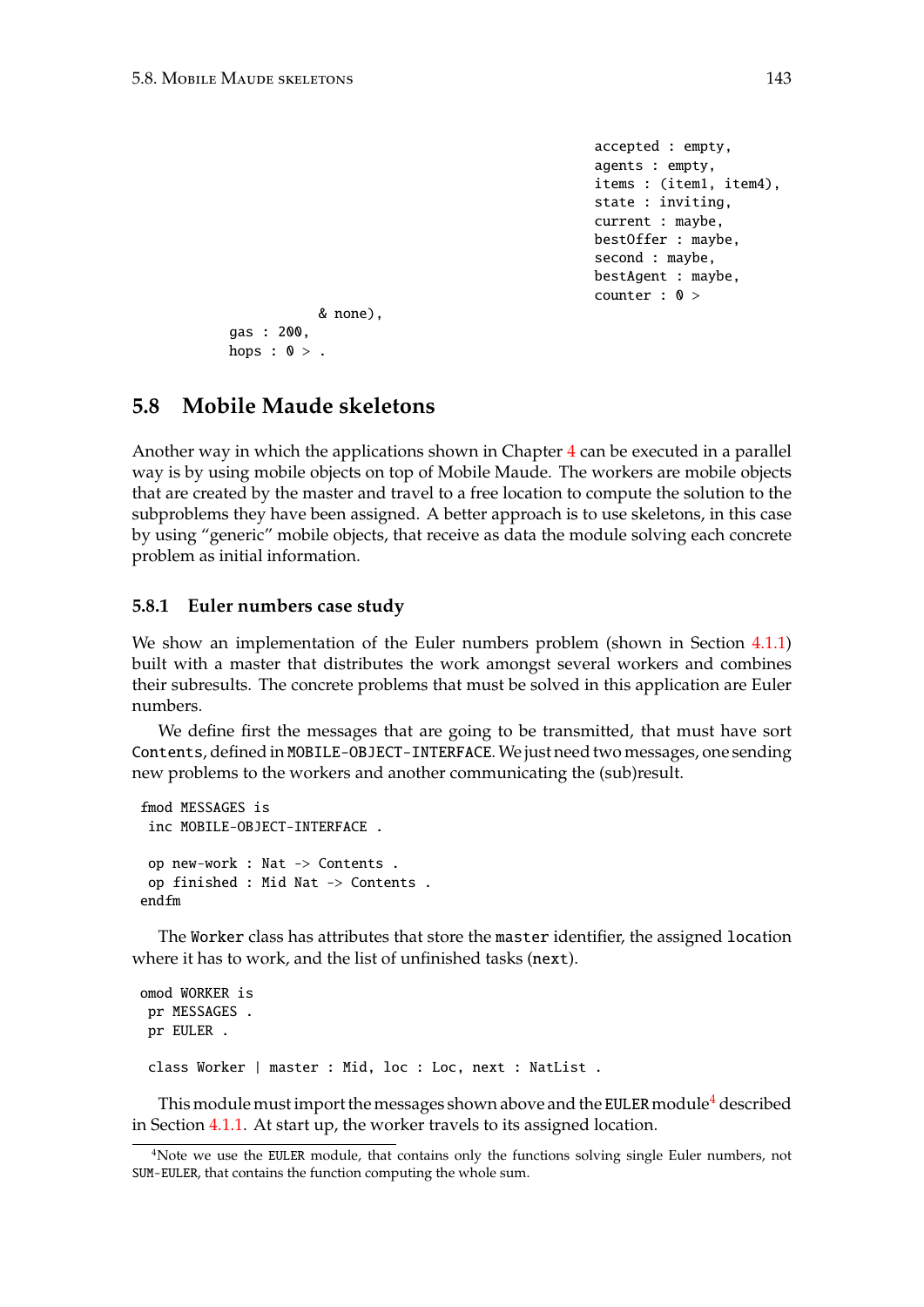```
accepted : empty,
agents : empty,
items : (item1, item4),
state : inviting,
current : maybe,
bestOffer : maybe,
second : maybe,
bestAgent : maybe,
counter : 0 >
```

```
& none),
gas : 200,
hops : 0 >.
```
## **5.8 Mobile Maude skeletons**

Another way in which the applications shown in Chapter [4](#page-60-0) can be executed in a parallel way is by using mobile objects on top of Mobile Maude. The workers are mobile objects that are created by the master and travel to a free location to compute the solution to the subproblems they have been assigned. A better approach is to use skeletons, in this case by using "generic" mobile objects, that receive as data the module solving each concrete problem as initial information.

### **5.8.1 Euler numbers case study**

We show an implementation of the Euler numbers problem (shown in Section [4.1.1\)](#page-60-1) built with a master that distributes the work amongst several workers and combines their subresults. The concrete problems that must be solved in this application are Euler numbers.

We define first the messages that are going to be transmitted, that must have sort Contents, defined in MOBILE-OBJECT-INTERFACE.We just need two messages, one sending new problems to the workers and another communicating the (sub)result.

```
fmod MESSAGES is
 inc MOBILE-OBJECT-INTERFACE .
 op new-work : Nat -> Contents .
op finished : Mid Nat -> Contents .
endfm
```
The Worker class has attributes that store the master identifier, the assigned location where it has to work, and the list of unfinished tasks (next).

```
omod WORKER is
pr MESSAGES .
pr EULER .
 class Worker | master : Mid, loc : Loc, next : NatList .
```
This module must import the messages shown above and the EULER module<sup>[4](#page-142-0)</sup> described in Section [4.1.1.](#page-60-1) At start up, the worker travels to its assigned location.

<span id="page-142-0"></span><sup>&</sup>lt;sup>4</sup>Note we use the EULER module, that contains only the functions solving single Euler numbers, not SUM-EULER, that contains the function computing the whole sum.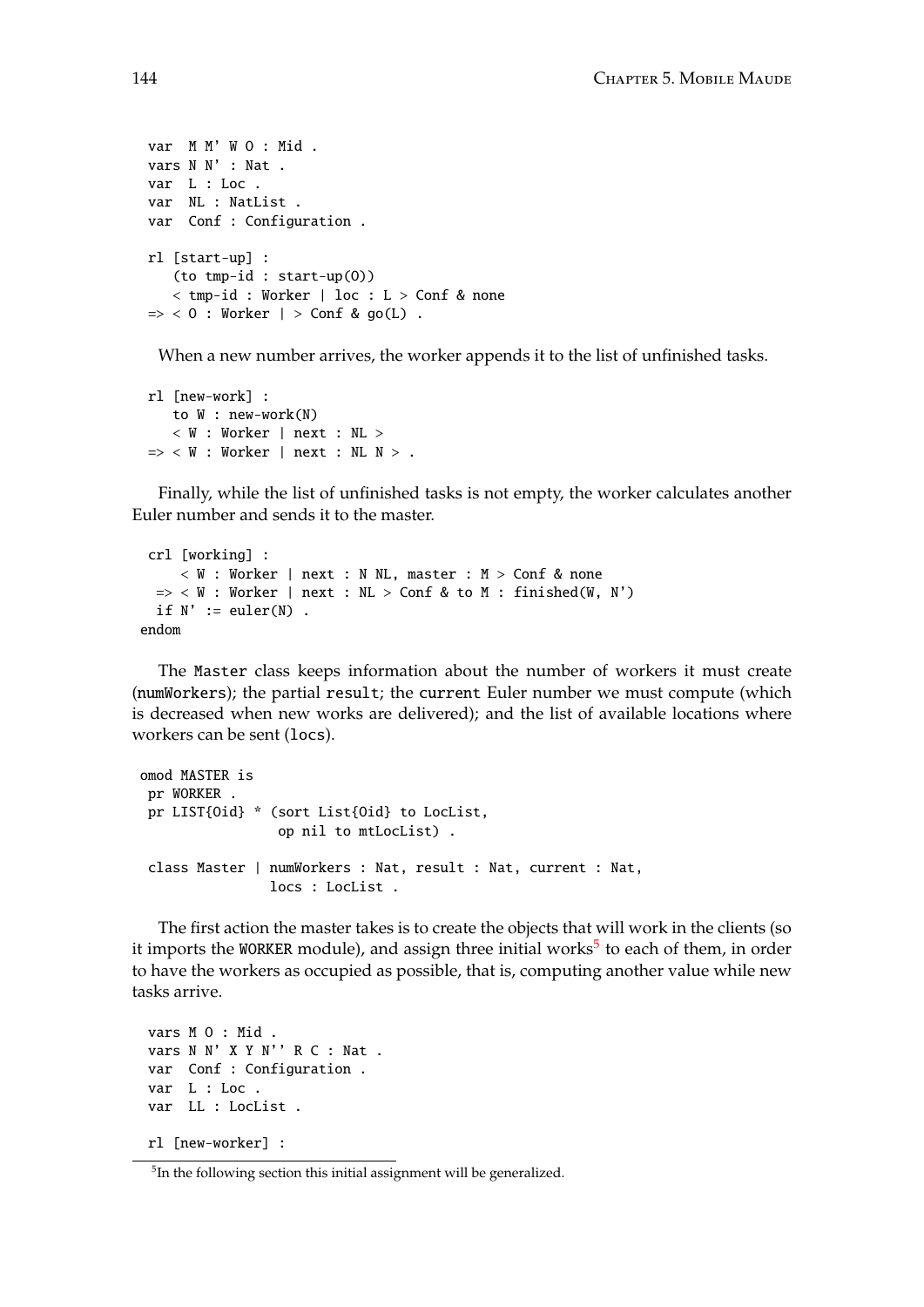```
var M M' W O : Mid .
vars N N' : Nat .
var L : Loc .
var NL : NatList .
var Conf : Configuration .
rl [start-up] :
   (to tmp-id : start-up(O))
   < tmp-id : Worker | loc : L > Conf & none
\Rightarrow < 0 : Worker | > Conf & go(L) .
```
When a new number arrives, the worker appends it to the list of unfinished tasks.

```
rl [new-work] :
   to W : new-work(N)
   < W : Worker | next : NL >
\Rightarrow < W : Worker | next : NL N > .
```
Finally, while the list of unfinished tasks is not empty, the worker calculates another Euler number and sends it to the master.

```
crl [working] :
     < W : Worker | next : N NL, master : M > Conf & none
  \Rightarrow < W : Worker | next : NL > Conf & to M : finished(W, N')
  if N' := \text{euler}(N).
endom
```
The Master class keeps information about the number of workers it must create (numWorkers); the partial result; the current Euler number we must compute (which is decreased when new works are delivered); and the list of available locations where workers can be sent (locs).

```
omod MASTER is
 pr WORKER .
 pr LIST{Oid} * (sort List{Oid} to LocList,
                 op nil to mtLocList) .
 class Master | numWorkers : Nat, result : Nat, current : Nat,
                locs : LocList .
```
The first action the master takes is to create the objects that will work in the clients (so it imports the WORKER module), and assign three initial works<sup>[5](#page-143-0)</sup> to each of them, in order to have the workers as occupied as possible, that is, computing another value while new tasks arrive.

```
vars M O : Mid .
vars N N' X Y N'' R C : Nat .
var Conf : Configuration .
var L : Loc .
var LL : LocList .
rl [new-worker] :
```
<span id="page-143-0"></span><sup>5</sup> In the following section this initial assignment will be generalized.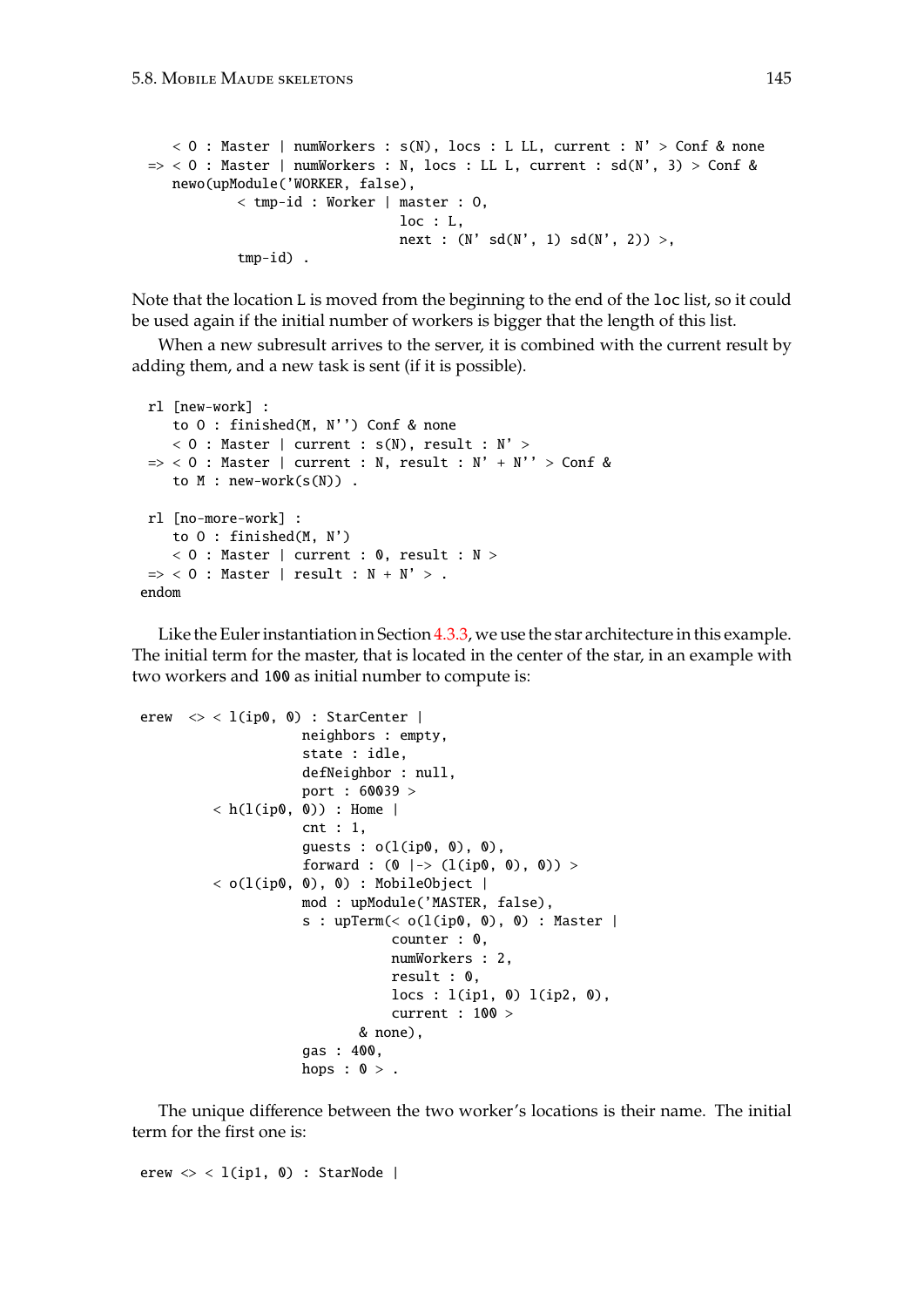```
< 0 : Master | numWorkers : s(N), locs : L LL, current : N' > Conf & none
\Rightarrow < 0 : Master | numWorkers : N, locs : LL L, current : sd(N', 3) > Conf &
  newo(upModule('WORKER, false),
           < tmp-id : Worker | master : O,
                               loc : L,
                                next : (N' sd(N', 1) sd(N', 2)),
           tmp-id) .
```
Note that the location L is moved from the beginning to the end of the loc list, so it could be used again if the initial number of workers is bigger that the length of this list.

When a new subresult arrives to the server, it is combined with the current result by adding them, and a new task is sent (if it is possible).

```
rl [new-work] :
    to O : finished(M, N'') Conf & none
    < 0 : Master | current : s(N), result : N' >
\Rightarrow < 0 : Master | current : N, result : N' + N'' > Conf &
   to M : new-work(s(N)).
rl [no-more-work] :
   to O : finished(M, N')
    < 0 : Master | current : 0, result : N >
\Rightarrow < 0 : Master | result : N + N' > .
endom
```
Like the Euler instantiation in Section [4.3.3,](#page-75-0) we use the star architecture in this example. The initial term for the master, that is located in the center of the star, in an example with two workers and 100 as initial number to compute is:

```
erew \langle \rangle < l(ip0, 0) : StarCenter |
                      neighbors : empty,
                      state : idle,
                      defNeighbor : null,
                      port : 60039 >
          \langle h(1(ip0, 0)) : Home |
                      cnt : 1,
                      guests : o(l(ip0, 0), 0),
                      forward : (0 \mid -> (l(ip0, 0), 0)) >
          \langle o(l(ip0, 0), 0) : MobileObject |
                      mod : upModule('MASTER, false),
                      s : upTerm(< o(l(ip0, 0), 0) : Master |
                                   counter : 0,
                                   numWorkers : 2,
                                   result : 0,
                                   \text{locs} : \text{l}(ip1, 0) \text{l}(ip2, 0),current : 100 >
                              & none),
                      gas : 400,
                      hops : 0 >.
```
The unique difference between the two worker's locations is their name. The initial term for the first one is:

erew  $\langle \rangle$  < l(ip1, 0) : StarNode |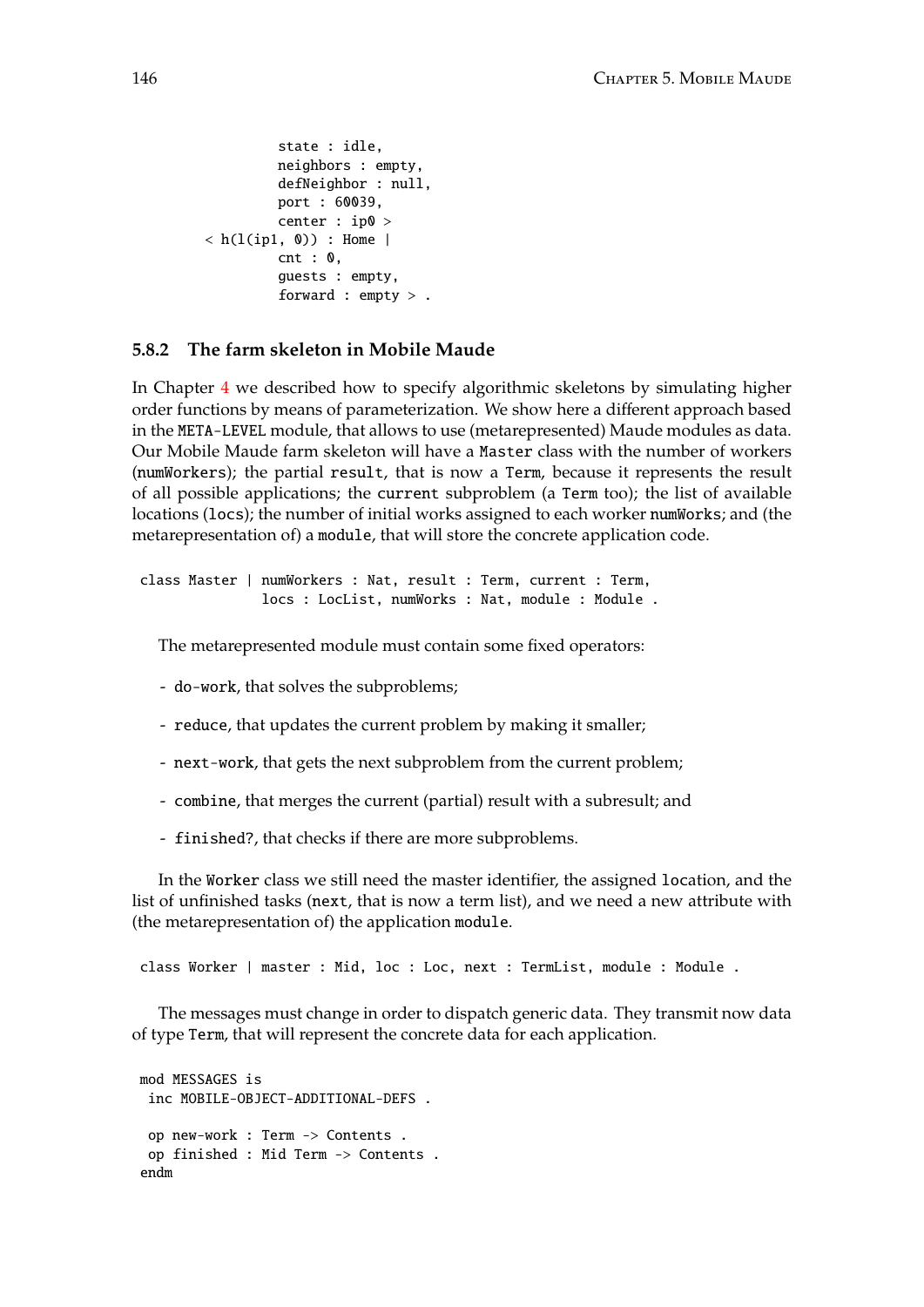```
state : idle,
         neighbors : empty,
         defNeighbor : null,
         port : 60039,
         center : ip0 >
\langle h(1(ip1, 0)) : Home |
         cnt : 0,
         guests : empty,
         forward : empty > .
```
## **5.8.2 The farm skeleton in Mobile Maude**

In Chapter [4](#page-60-0) we described how to specify algorithmic skeletons by simulating higher order functions by means of parameterization. We show here a different approach based in the META-LEVEL module, that allows to use (metarepresented) Maude modules as data. Our Mobile Maude farm skeleton will have a Master class with the number of workers (numWorkers); the partial result, that is now a Term, because it represents the result of all possible applications; the current subproblem (a Term too); the list of available locations (locs); the number of initial works assigned to each worker numWorks; and (the metarepresentation of) a module, that will store the concrete application code.

```
class Master | numWorkers : Nat, result : Term, current : Term,
               locs : LocList, numWorks : Nat, module : Module .
```
The metarepresented module must contain some fixed operators:

- do-work, that solves the subproblems;
- reduce, that updates the current problem by making it smaller;
- next-work, that gets the next subproblem from the current problem;
- combine, that merges the current (partial) result with a subresult; and
- finished?, that checks if there are more subproblems.

In the Worker class we still need the master identifier, the assigned location, and the list of unfinished tasks (next, that is now a term list), and we need a new attribute with (the metarepresentation of) the application module.

class Worker | master : Mid, loc : Loc, next : TermList, module : Module .

The messages must change in order to dispatch generic data. They transmit now data of type Term, that will represent the concrete data for each application.

```
mod MESSAGES is
 inc MOBILE-OBJECT-ADDITIONAL-DEFS .
 op new-work : Term -> Contents .
 op finished : Mid Term -> Contents .
endm
```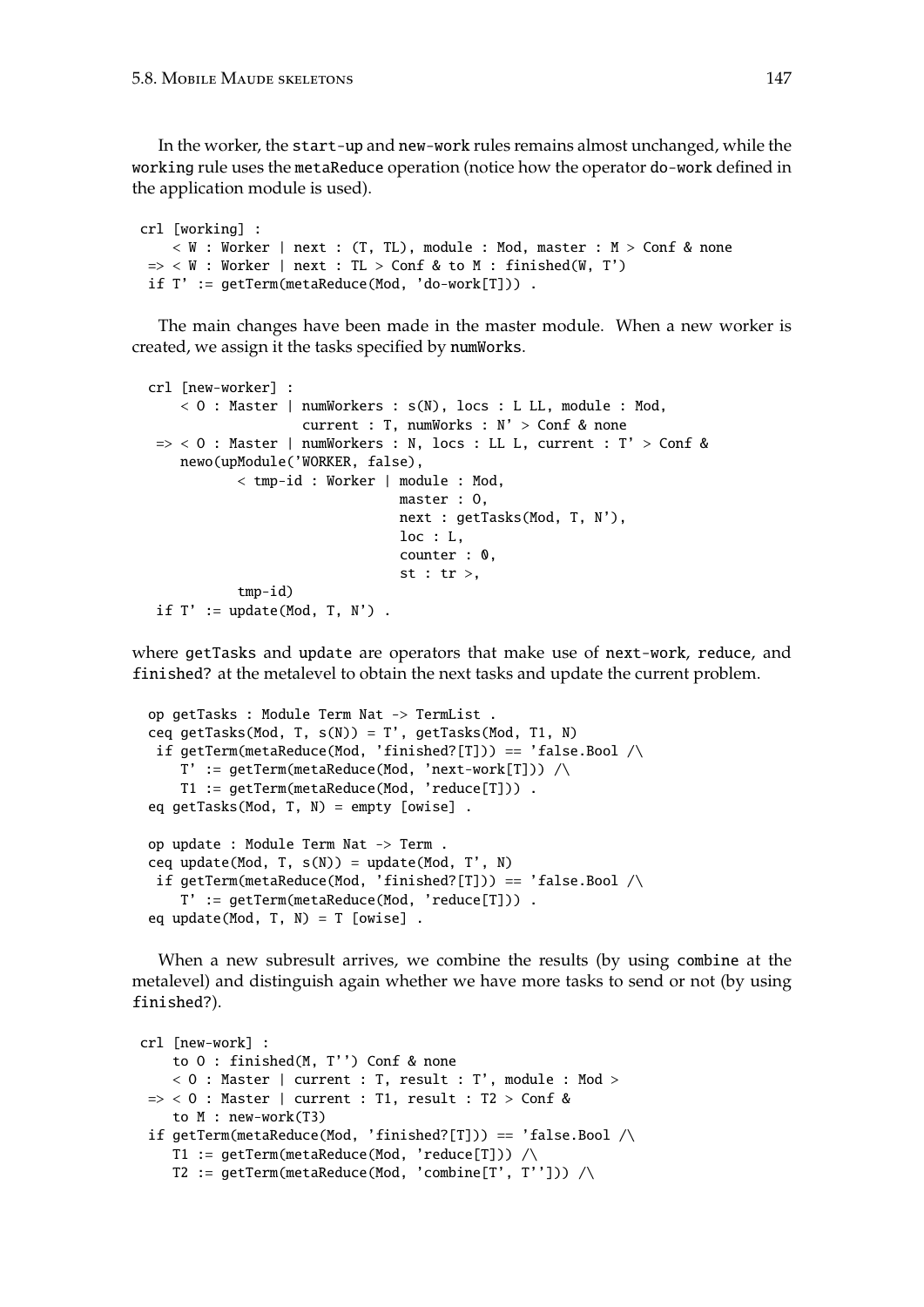In the worker, the start-up and new-work rules remains almost unchanged, while the working rule uses the metaReduce operation (notice how the operator do-work defined in the application module is used).

```
crl [working] :
    \langle W : W \rangle : Worker | next : (T, TL), module : Mod, master : M > Conf & none
 \Rightarrow < W : Worker | next : TL > Conf & to M : finished(W, T')
 if T' := getTerm(metaReduce(Mod, 'do-work[T])) .
```
The main changes have been made in the master module. When a new worker is created, we assign it the tasks specified by numWorks.

```
crl [new-worker] :
    < 0 : Master | numWorkers : s(N), locs : L LL, module : Mod,
                   current : T, numWorks : N' > Conf & none
\Rightarrow < 0 : Master | numWorkers : N, locs : LL L, current : T' > Conf &
   newo(upModule('WORKER, false),
           < tmp-id : Worker | module : Mod,
                               master : O,
                               next : getTasks(Mod, T, N'),
                               loc : L,
                               counter : 0,
                                st : tr >,
           tmp-id)
if T' := update(Mod, T, N').
```
where getTasks and update are operators that make use of next-work, reduce, and finished? at the metalevel to obtain the next tasks and update the current problem.

```
op getTasks : Module Term Nat -> TermList .
ceq getTasks(Mod, T, s(N)) = T', getTasks(Mod, T1, N)
if getTerm(metaReduce(Mod, 'finished?[T])) == 'false.Bool \landT' := getTerm(metaReduce(Mod, 'next-work[T])) /\
   T1 := getTerm(metaReduce(Mod, 'reduce[T])) .
eq getTasks(Mod, T, N) = empty [owise] .
op update : Module Term Nat -> Term .
ceq update(Mod, T, s(N)) = update(Mod, T', N)
if getTerm(metaReduce(Mod, 'finished?[T])) == 'false.Bool \landT' := getTerm(metaReduce(Mod, 'reduce[T])) .
eq update(Mod, T, N) = T [owise].
```
When a new subresult arrives, we combine the results (by using combine at the metalevel) and distinguish again whether we have more tasks to send or not (by using finished?).

```
crl [new-work] :
    to O : finished(M, T'') Conf & none
    < 0 : Master | current : T, result : T', module : Mod >
 \Rightarrow < 0 : Master | current : T1, result : T2 > Conf &
    to M : new-work(T3)
 if getTerm(metaReduce(Mod, 'finished?[T])) == 'false.Bool \landT1 := getTerm(metakeduce(Mod, 'reduce[T])) /T2 := getTerm(metaReduce(Mod, 'combine[T', T''])) \wedge
```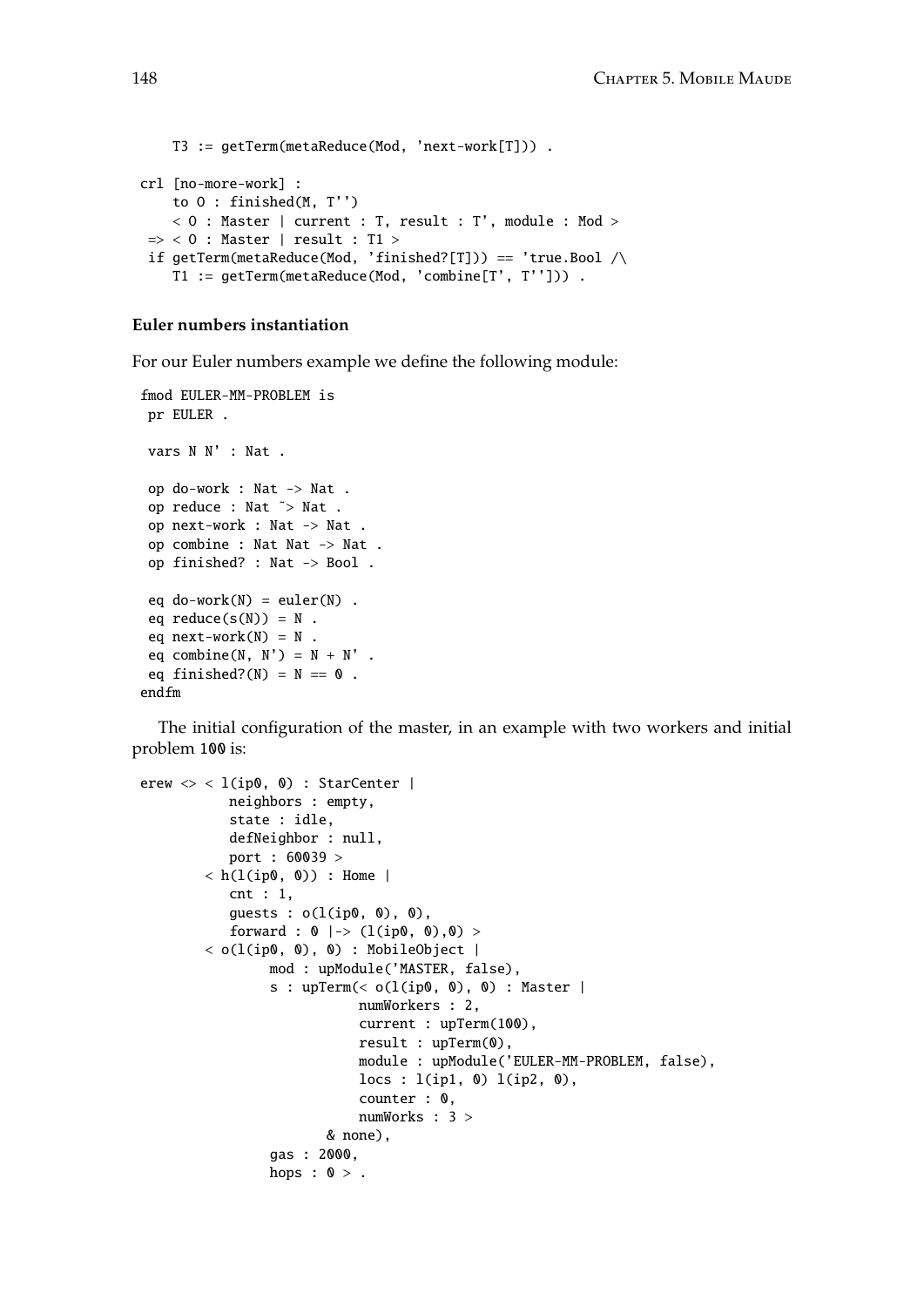```
T3 := getTerm(metaReduce(Mod, 'next-work[T])) .
crl [no-more-work] :
    to O : finished(M, T'')
    < O : Master | current : T, result : T', module : Mod >
 \Rightarrow < 0 : Master | result : T1 >
 if getTerm(metaReduce(Mod, 'finished?[T])) == 'true.Bool \landT1 := getTerm(metaReduce(Mod, 'combine[T', T''])) .
```
#### **Euler numbers instantiation**

For our Euler numbers example we define the following module:

```
fmod EULER-MM-PROBLEM is
pr EULER .
vars N N' : Nat .
op do-work : Nat -> Nat .
op reduce : Nat ˜> Nat .
op next-work : Nat -> Nat .
op combine : Nat Nat -> Nat .
op finished? : Nat -> Bool .
eq do-work(N) = euler(N) .
eq reduce(s(N)) = N.
eq next-word(N) = N.
eq combine(N, N') = N + N' .
eq finished?(N) = N == 0.
endfm
```
The initial configuration of the master, in an example with two workers and initial problem 100 is:

```
erew \langle \rangle < l(ip0, 0) : StarCenter |
           neighbors : empty,
            state : idle,
            defNeighbor : null,
            port : 60039 >
        \langle h(1(ip0, 0)) : Home |
            cnt : 1,
            guests : o(l(ip0, 0), 0),
            forward : 0 |-> (l(ip0, 0),0) >
        \langle o(l(ip0, 0), 0) : MobileObject |
                 mod : upModule('MASTER, false),
                 s : upTerm(< o(l(ip0, 0), 0) : Master |
                             numWorkers : 2,
                              current : upTerm(100),
                              result : upTerm(0),
                              module : upModule('EULER-MM-PROBLEM, false),
                              \text{locs} : \text{l}(ip1, 0) \text{l}(ip2, 0),counter : 0,
                             numWorks : 3 >
                         & none),
                 gas : 2000,
                 hops : 0 > .
```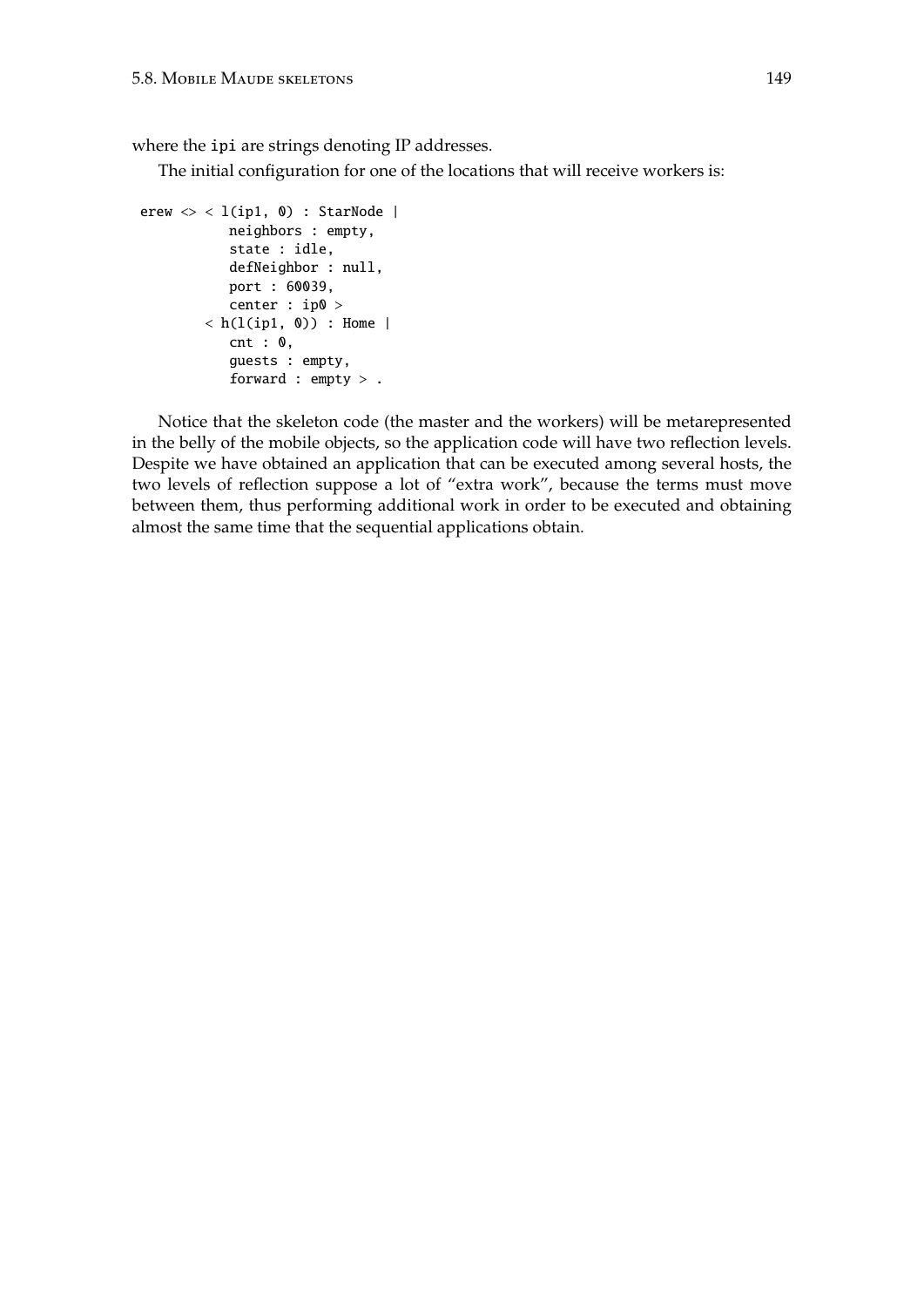where the ipi are strings denoting IP addresses.

The initial configuration for one of the locations that will receive workers is:

```
erew \langle \rangle < l(ip1, 0) : StarNode |
           neighbors : empty,
           state : idle,
           defNeighbor : null,
            port : 60039,
            center : ip0 >
        \langle h(1(ip1, 0)) : Home |
           cnt: 0,guests : empty,
            forward : empty > .
```
Notice that the skeleton code (the master and the workers) will be metarepresented in the belly of the mobile objects, so the application code will have two reflection levels. Despite we have obtained an application that can be executed among several hosts, the two levels of reflection suppose a lot of "extra work", because the terms must move between them, thus performing additional work in order to be executed and obtaining almost the same time that the sequential applications obtain.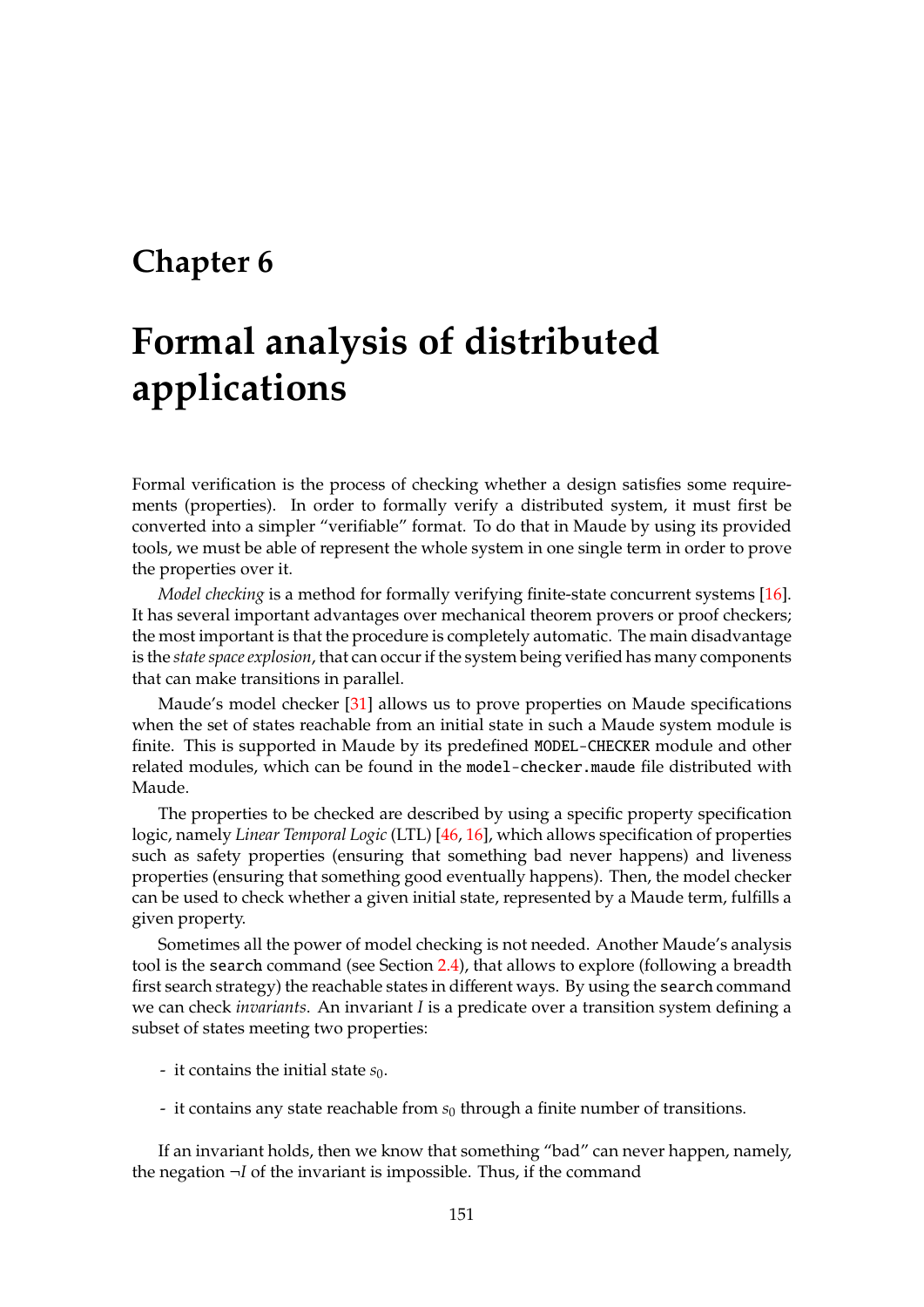# **Chapter 6**

# **Formal analysis of distributed applications**

Formal verification is the process of checking whether a design satisfies some requirements (properties). In order to formally verify a distributed system, it must first be converted into a simpler "verifiable" format. To do that in Maude by using its provided tools, we must be able of represent the whole system in one single term in order to prove the properties over it.

*Model checking* is a method for formally verifying finite-state concurrent systems [\[16\]](#page-183-0). It has several important advantages over mechanical theorem provers or proof checkers; the most important is that the procedure is completely automatic. The main disadvantage is the *state space explosion*, that can occur if the system being verified has many components that can make transitions in parallel.

Maude's model checker [\[31\]](#page-184-0) allows us to prove properties on Maude specifications when the set of states reachable from an initial state in such a Maude system module is finite. This is supported in Maude by its predefined MODEL-CHECKER module and other related modules, which can be found in the model-checker.maude file distributed with Maude.

The properties to be checked are described by using a specific property specification logic, namely *Linear Temporal Logic* (LTL) [\[46,](#page-185-0) [16\]](#page-183-0), which allows specification of properties such as safety properties (ensuring that something bad never happens) and liveness properties (ensuring that something good eventually happens). Then, the model checker can be used to check whether a given initial state, represented by a Maude term, fulfills a given property.

Sometimes all the power of model checking is not needed. Another Maude's analysis tool is the search command (see Section [2.4\)](#page-21-0), that allows to explore (following a breadth first search strategy) the reachable states in different ways. By using the search command we can check *invariants*. An invariant *I* is a predicate over a transition system defining a subset of states meeting two properties:

- it contains the initial state  $s_0$ .
- it contains any state reachable from *s*<sup>0</sup> through a finite number of transitions.

If an invariant holds, then we know that something "bad" can never happen, namely, the negation ¬*I* of the invariant is impossible. Thus, if the command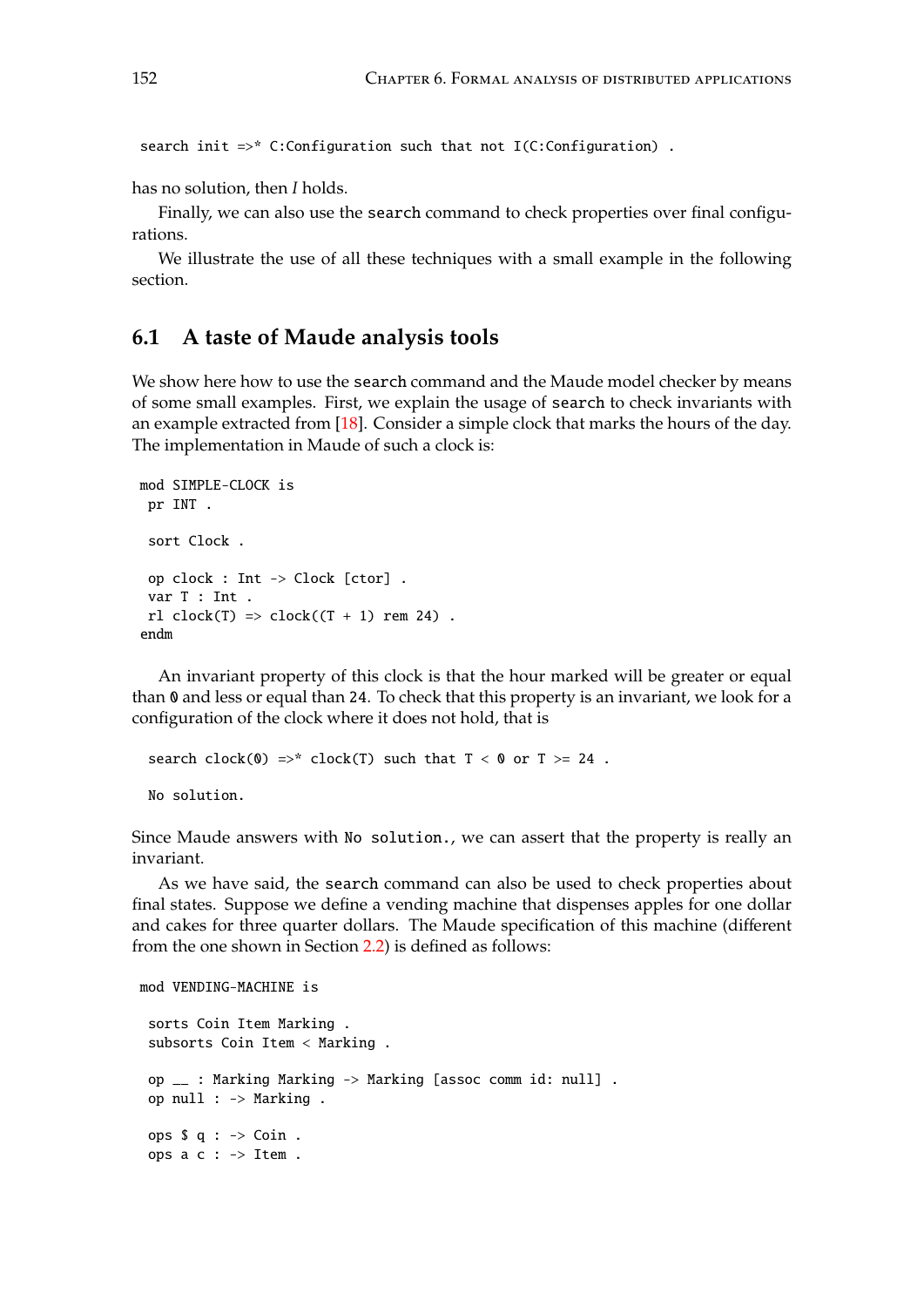search init =>\* C:Configuration such that not I(C:Configuration) .

has no solution, then *I* holds.

Finally, we can also use the search command to check properties over final configurations.

We illustrate the use of all these techniques with a small example in the following section.

# **6.1 A taste of Maude analysis tools**

We show here how to use the search command and the Maude model checker by means of some small examples. First, we explain the usage of search to check invariants with an example extracted from  $[18]$ . Consider a simple clock that marks the hours of the day. The implementation in Maude of such a clock is:

```
mod SIMPLE-CLOCK is
 pr INT .
 sort Clock .
 op clock : Int -> Clock [ctor] .
 var T : Int .
 rl clock(T) => clock((T + 1) rem 24).
endm
```
An invariant property of this clock is that the hour marked will be greater or equal than 0 and less or equal than 24. To check that this property is an invariant, we look for a configuration of the clock where it does not hold, that is

```
search clock(0) =>* clock(T) such that T < 0 or T > = 24.
No solution.
```
Since Maude answers with No solution., we can assert that the property is really an invariant.

As we have said, the search command can also be used to check properties about final states. Suppose we define a vending machine that dispenses apples for one dollar and cakes for three quarter dollars. The Maude specification of this machine (different from the one shown in Section [2.2\)](#page-17-0) is defined as follows:

```
mod VENDING-MACHINE is
 sorts Coin Item Marking .
 subsorts Coin Item < Marking .
 op __ : Marking Marking -> Marking [assoc comm id: null] .
 op null : -> Marking .
 ops \$ q : \rightarrow Coin.
 ops a c : -> Item .
```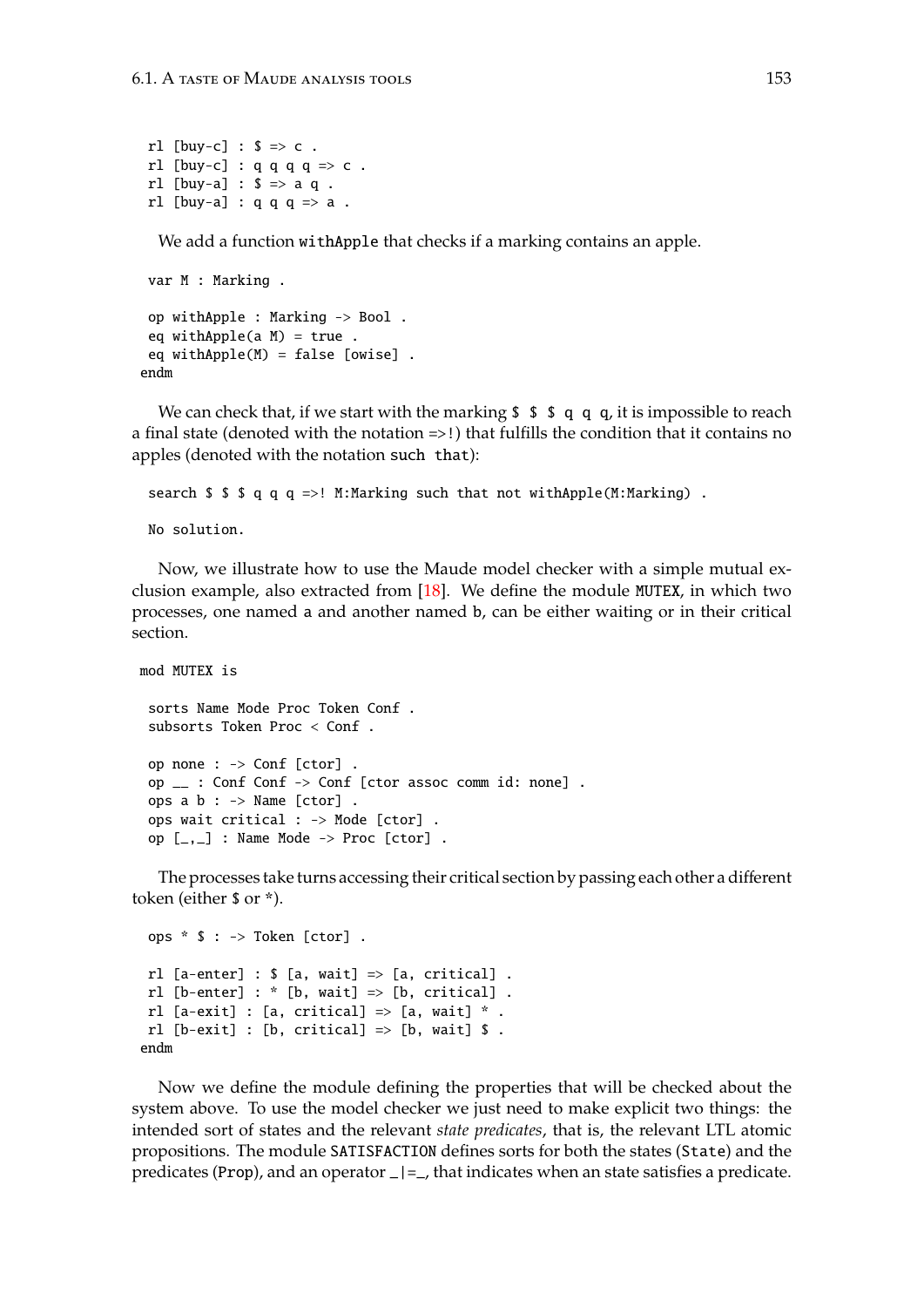rl [buy-c] :  $$ \Rightarrow c$  . rl  $[buy-c]$ : q q q q => c. rl [buy-a] :  $$ \Rightarrow a q$ . rl [buy-a] :  $q q q \Rightarrow a$ .

We add a function withApple that checks if a marking contains an apple.

```
var M : Marking .
 op withApple : Marking -> Bool .
 eq withApple(a M) = true.
 eq withApple(M) = false [owise] .
endm
```
We can check that, if we start with the marking  $\frac{1}{2}$   $\frac{1}{2}$   $\frac{1}{3}$   $\frac{1}{4}$  q q, it is impossible to reach a final state (denoted with the notation =>!) that fulfills the condition that it contains no apples (denoted with the notation such that):

search  $\frac{1}{2}$   $\frac{1}{2}$   $\frac{1}{2}$   $\frac{1}{2}$   $\frac{1}{2}$   $\frac{1}{2}$   $\frac{1}{2}$   $\frac{1}{2}$   $\frac{1}{2}$   $\frac{1}{2}$   $\frac{1}{2}$   $\frac{1}{2}$   $\frac{1}{2}$   $\frac{1}{2}$   $\frac{1}{2}$   $\frac{1}{2}$   $\frac{1}{2}$   $\frac{1}{2}$   $\frac{1}{2}$   $\frac{1}{2}$   $\frac{1}{2}$   $\frac{$ 

No solution.

Now, we illustrate how to use the Maude model checker with a simple mutual exclusion example, also extracted from [\[18\]](#page-183-1). We define the module MUTEX, in which two processes, one named a and another named b, can be either waiting or in their critical section.

```
mod MUTEX is
 sorts Name Mode Proc Token Conf .
 subsorts Token Proc < Conf .
 op none : -> Conf [ctor] .
 op __ : Conf Conf -> Conf [ctor assoc comm id: none] .
 ops a b : \rightarrow Name [ctor].
 ops wait critical : -> Mode [ctor] .
 op [-,-] : Name Mode \rightarrow Proc [ctor].
```
The processes take turns accessing their critical section by passing each other a different token (either \$ or \*).

```
ops * $ : -> Token [ctor] .
rl [a-enter] : \$ [a, wait] => [a, critical] .
 rl [b-enter] : * [b, wait] => [b, critical].
rl [a-exit] : [a, critical] \Rightarrow [a, wait] *.
rl [b-exit] : [b, critical] \Rightarrow [b, wait] $.
endm
```
Now we define the module defining the properties that will be checked about the system above. To use the model checker we just need to make explicit two things: the intended sort of states and the relevant *state predicates*, that is, the relevant LTL atomic propositions. The module SATISFACTION defines sorts for both the states (State) and the predicates (Prop), and an operator \_|=\_, that indicates when an state satisfies a predicate.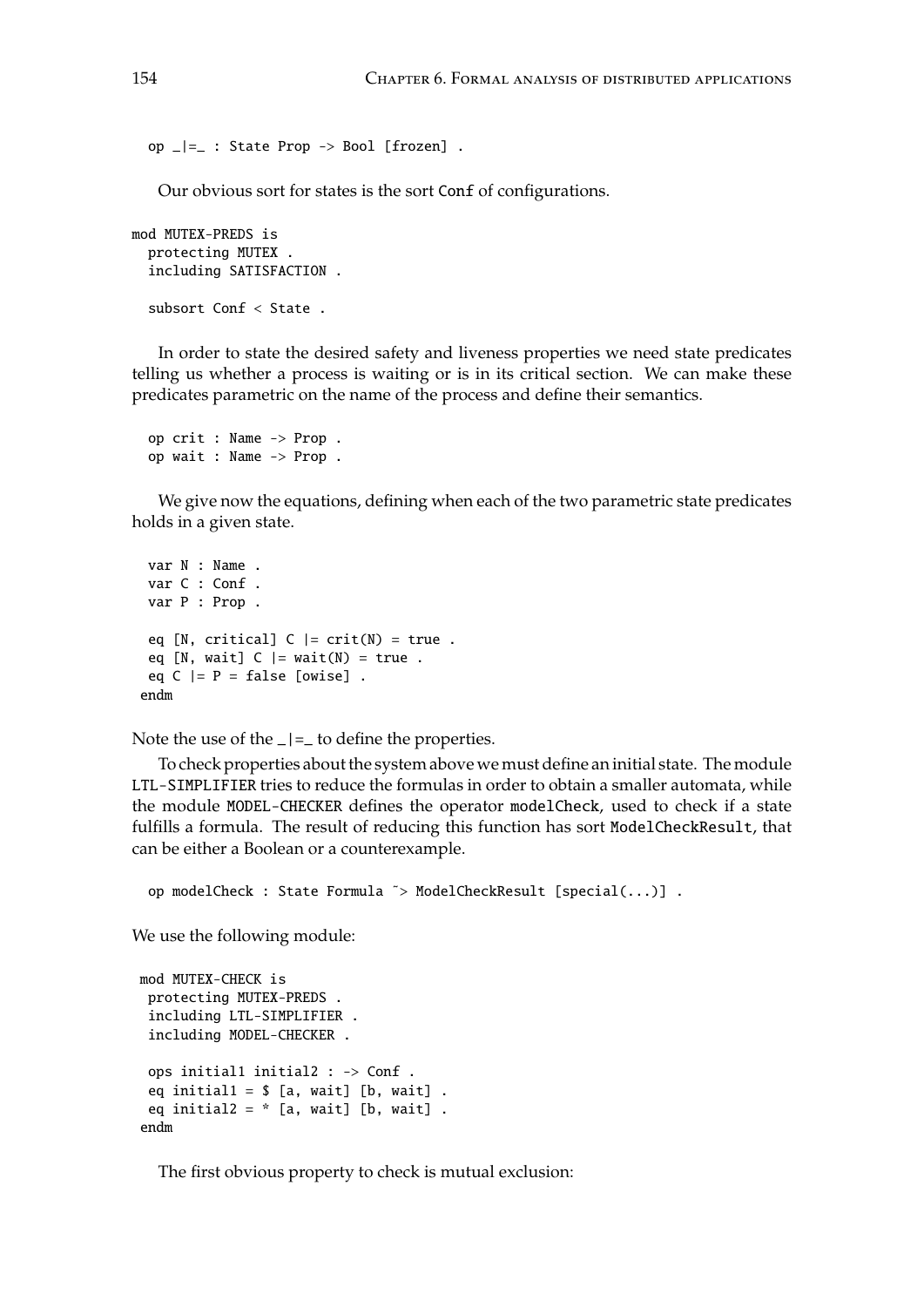op \_|=\_ : State Prop -> Bool [frozen] .

Our obvious sort for states is the sort Conf of configurations.

```
mod MUTEX-PREDS is
  protecting MUTEX .
  including SATISFACTION .
  subsort Conf < State .
```
In order to state the desired safety and liveness properties we need state predicates telling us whether a process is waiting or is in its critical section. We can make these predicates parametric on the name of the process and define their semantics.

```
op crit : Name -> Prop .
op wait : Name -> Prop .
```
We give now the equations, defining when each of the two parametric state predicates holds in a given state.

```
var N : Name .
var C : Conf .
var P : Prop .
eq [N, critical] C |= crit(N) = true .
eq [N, wait] C |= wait(N) = true.
eq C |= P = false [owise].
endm
```
Note the use of the  $|z| =$  to define the properties.

To check properties about the system above we must define an initial state. The module LTL-SIMPLIFIER tries to reduce the formulas in order to obtain a smaller automata, while the module MODEL-CHECKER defines the operator modelCheck, used to check if a state fulfills a formula. The result of reducing this function has sort ModelCheckResult, that can be either a Boolean or a counterexample.

op modelCheck : State Formula ˜> ModelCheckResult [special(...)] .

We use the following module:

```
mod MUTEX-CHECK is
 protecting MUTEX-PREDS .
 including LTL-SIMPLIFIER .
 including MODEL-CHECKER .
 ops initial1 initial2 : -> Conf .
 eq initial1 = $ [a, wait] [b, wait] .
 eq initial2 = * [a, wait] [b, wait] .
endm
```
The first obvious property to check is mutual exclusion: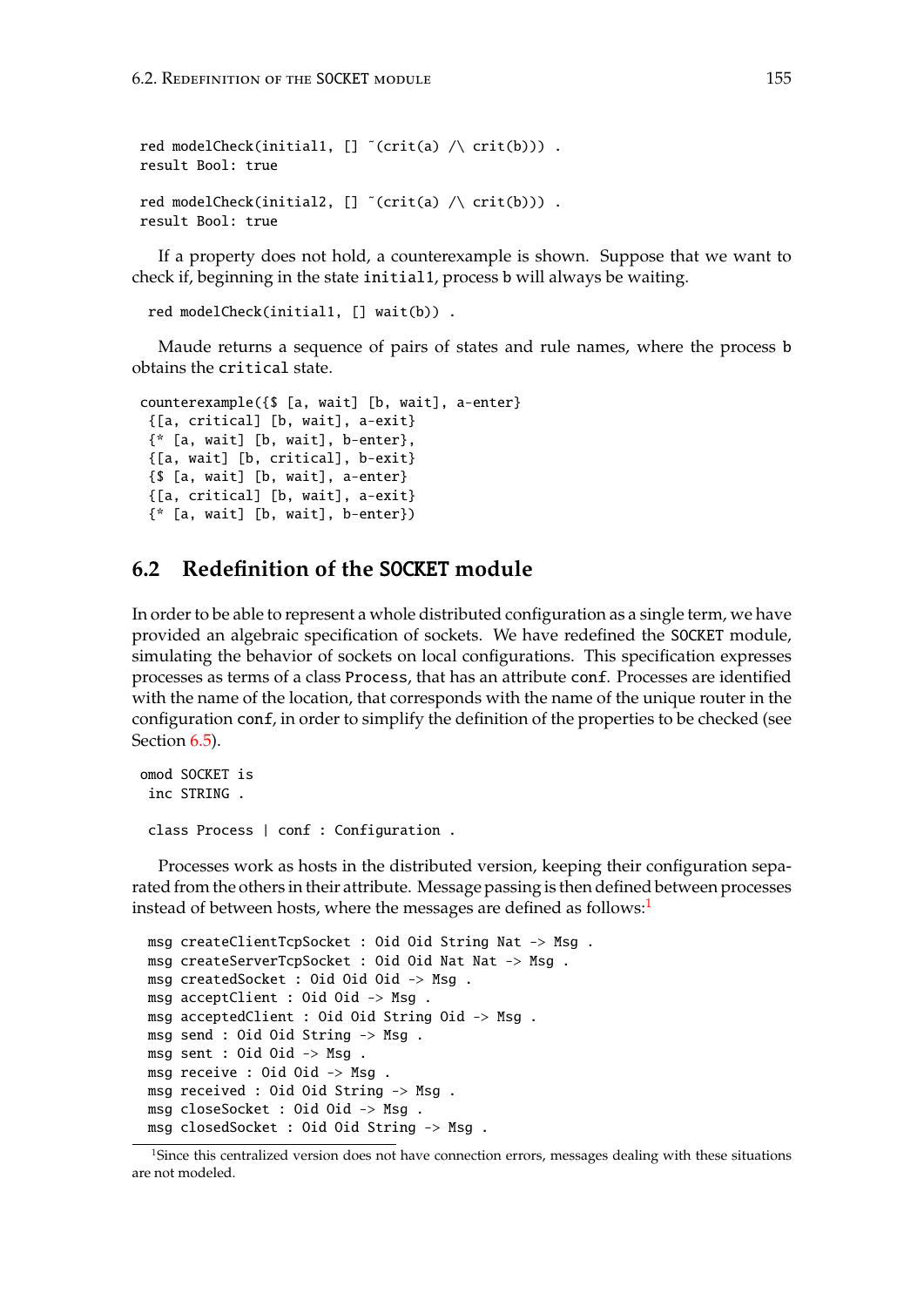```
red modelCheck(initial1, [] \tilde{c}(crit(a) \wedge crit(b))).
result Bool: true
red modelCheck(initial2, [] "(crit(a) \wedge crit(b))).
result Bool: true
```
If a property does not hold, a counterexample is shown. Suppose that we want to check if, beginning in the state initial1, process b will always be waiting.

```
red modelCheck(initial1, [] wait(b)) .
```
Maude returns a sequence of pairs of states and rule names, where the process b obtains the critical state.

```
counterexample({$ [a, wait] [b, wait], a-enter}
 {[a, critical] [b, wait], a-exit}
 {* [a, wait] [b, wait], b-enter},
 {[a, wait] [b, critical], b-exit}
 {$ [a, wait] [b, wait], a-enter}
 {[a, critical] [b, wait], a-exit}
 {* [a, wait] [b, wait], b-enter})
```
# <span id="page-154-1"></span>**6.2 Redefinition of the** SOCKET **module**

In order to be able to represent a whole distributed configuration as a single term, we have provided an algebraic specification of sockets. We have redefined the SOCKET module, simulating the behavior of sockets on local configurations. This specification expresses processes as terms of a class Process, that has an attribute conf. Processes are identified with the name of the location, that corresponds with the name of the unique router in the configuration conf, in order to simplify the definition of the properties to be checked (see Section  $6.5$ ).

```
omod SOCKET is
 inc STRING .
 class Process | conf : Configuration .
```
Processes work as hosts in the distributed version, keeping their configuration separated from the others in their attribute. Message passing is then defined between processes instead of between hosts, where the messages are defined as follows:<sup>[1](#page-154-0)</sup>

```
msg createClientTcpSocket : Oid Oid String Nat -> Msg .
msg createServerTcpSocket : Oid Oid Nat Nat -> Msg .
msg createdSocket : Oid Oid Oid -> Msg .
msg acceptClient : Oid Oid -> Msg .
msg acceptedClient : Oid Oid String Oid -> Msg .
msg send : Oid Oid String -> Msg .
msg sent : Oid Oid -> Msg .
msg receive : Oid Oid -> Msg .
msg received : Oid Oid String -> Msg .
msg closeSocket : Oid Oid -> Msg .
msg closedSocket : Oid Oid String -> Msg .
```
<span id="page-154-0"></span><sup>&</sup>lt;sup>1</sup>Since this centralized version does not have connection errors, messages dealing with these situations are not modeled.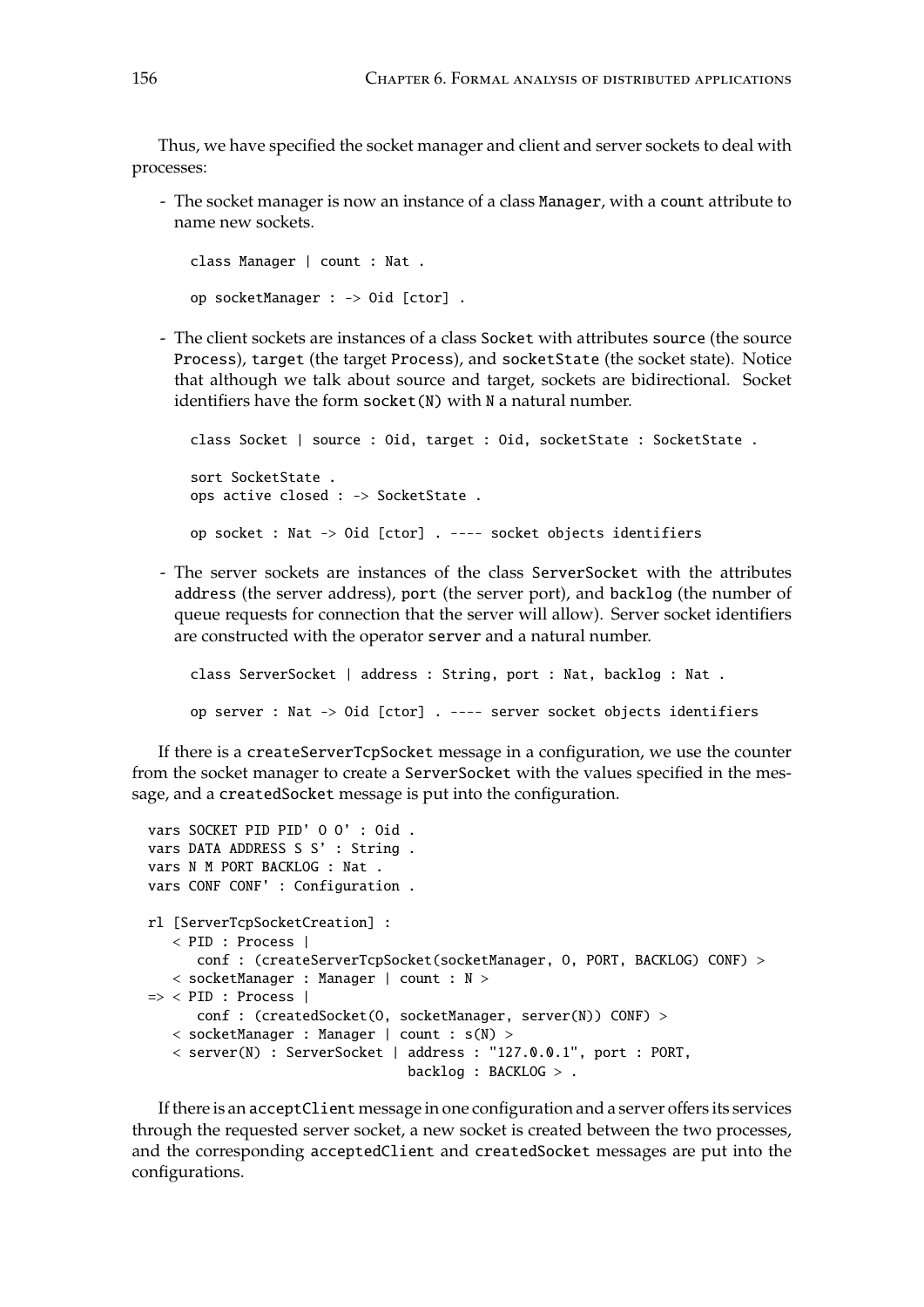Thus, we have specified the socket manager and client and server sockets to deal with processes:

- The socket manager is now an instance of a class Manager, with a count attribute to name new sockets.

```
class Manager | count : Nat .
op socketManager : -> Oid [ctor] .
```
- The client sockets are instances of a class Socket with attributes source (the source Process), target (the target Process), and socketState (the socket state). Notice that although we talk about source and target, sockets are bidirectional. Socket identifiers have the form socket(N) with N a natural number.

```
class Socket | source : Oid, target : Oid, socketState : SocketState .
sort SocketState .
ops active closed : -> SocketState .
op socket : Nat -> Oid [ctor] . ---- socket objects identifiers
```
- The server sockets are instances of the class ServerSocket with the attributes address (the server address), port (the server port), and backlog (the number of queue requests for connection that the server will allow). Server socket identifiers are constructed with the operator server and a natural number.

```
class ServerSocket | address : String, port : Nat, backlog : Nat .
op server : Nat -> Oid [ctor] . ---- server socket objects identifiers
```
If there is a createServerTcpSocket message in a configuration, we use the counter from the socket manager to create a ServerSocket with the values specified in the message, and a createdSocket message is put into the configuration.

```
vars SOCKET PID PID' O O' : Oid .
vars DATA ADDRESS S S' : String .
vars N M PORT BACKLOG : Nat .
vars CONF CONF' : Configuration .
rl [ServerTcpSocketCreation] :
   < PID : Process |
      conf : (createServerTcpSocket(socketManager, O, PORT, BACKLOG) CONF) >
  < socketManager : Manager | count : N >
\Rightarrow < PID : Process |
      conf : (createdSocket(O, socketManager, server(N)) CONF) >
   < socketManager : Manager | count : s(N) >
   < server(N) : ServerSocket | address : "127.0.0.1", port : PORT,
                                 backlog : BACKLOG > .
```
If there is an acceptClient message in one configuration and a server offers its services through the requested server socket, a new socket is created between the two processes, and the corresponding acceptedClient and createdSocket messages are put into the configurations.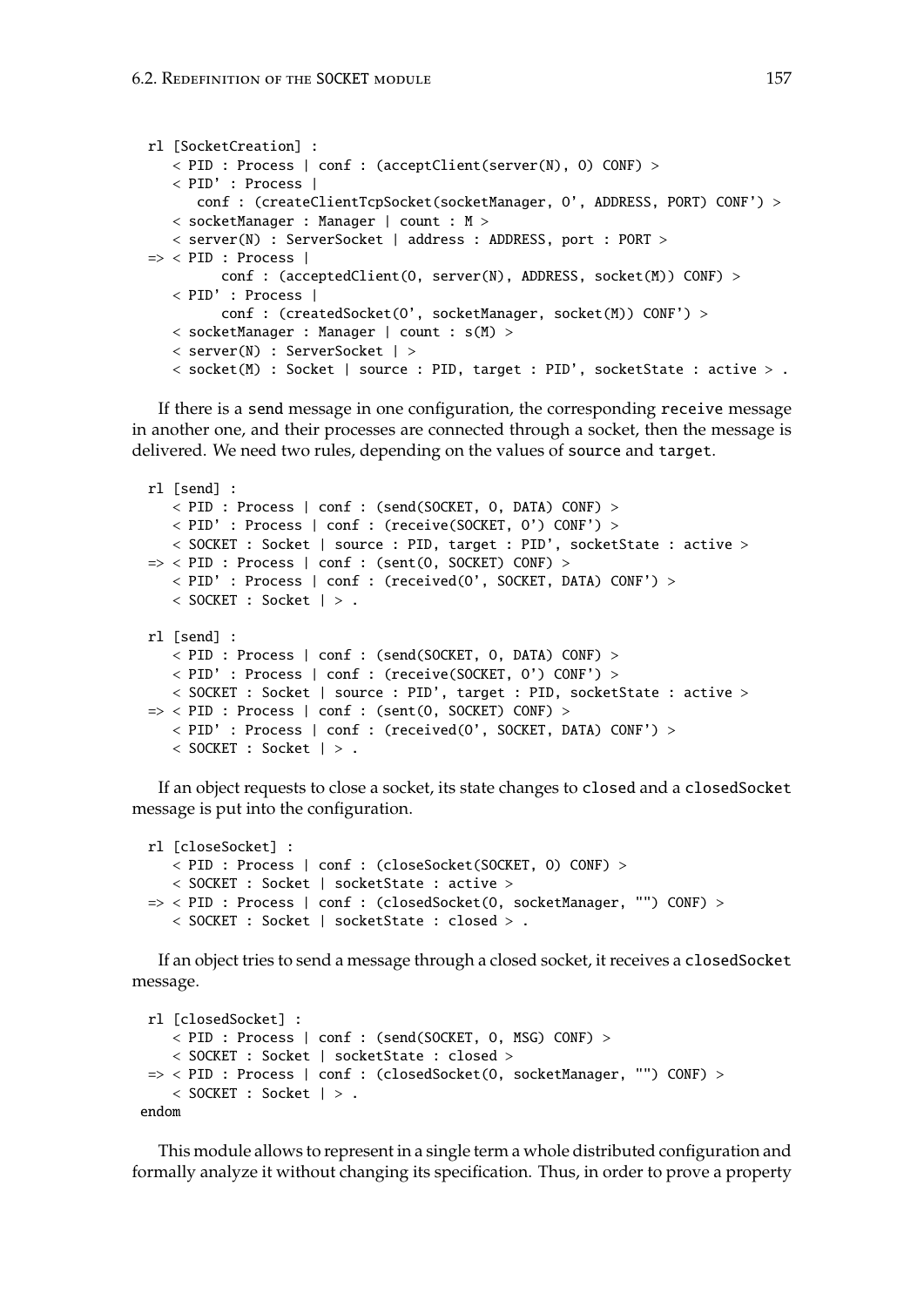```
rl [SocketCreation] :
   < PID : Process | conf : (acceptClient(server(N), O) CONF) >
   < PID' : Process |
      conf : (createClientTcpSocket(socketManager, 0', ADDRESS, PORT) CONF') >
   < socketManager : Manager | count : M >
   < server(N) : ServerSocket | address : ADDRESS, port : PORT >
\Rightarrow < PID : Process |
         conf : (acceptedClient(O, server(N), ADDRESS, socket(M)) CONF) >
   < PID' : Process |
         conf : (createdSocket(O', socketManager, socket(M)) CONF') >
   < socketManager : Manager | count : s(M) >
   < server(N) : ServerSocket | >
   < socket(M) : Socket | source : PID, target : PID', socketState : active > .
```
If there is a send message in one configuration, the corresponding receive message in another one, and their processes are connected through a socket, then the message is delivered. We need two rules, depending on the values of source and target.

```
rl [send] :
   < PID : Process | conf : (send(SOCKET, O, DATA) CONF) >
   < PID' : Process | conf : (receive(SOCKET, O') CONF') >
   < SOCKET : Socket | source : PID, target : PID', socketState : active >
\Rightarrow < PID : Process | conf : (sent(0, SOCKET) CONF) >
   < PID' : Process | conf : (received(O', SOCKET, DATA) CONF') >
   < SOCKET : Socket | > .
rl [send] :
   < PID : Process | conf : (send(SOCKET, O, DATA) CONF) >
   < PID' : Process | conf : (receive(SOCKET, O') CONF') >
   < SOCKET : Socket | source : PID', target : PID, socketState : active >
\Rightarrow < PID : Process | conf : (sent(0, SOCKET) CONF) >
   < PID' : Process | conf : (received(O', SOCKET, DATA) CONF') >
   < SOCKET : Socket | > .
```
If an object requests to close a socket, its state changes to closed and a closedSocket message is put into the configuration.

```
rl [closeSocket] :
   < PID : Process | conf : (closeSocket(SOCKET, O) CONF) >
   < SOCKET : Socket | socketState : active >
\Rightarrow < PID : Process | conf : (closedSocket(0, socketManager, "") CONF) >
   < SOCKET : Socket | socketState : closed > .
```
If an object tries to send a message through a closed socket, it receives a closedSocket message.

```
rl [closedSocket] :
   < PID : Process | conf : (send(SOCKET, O, MSG) CONF) >
   < SOCKET : Socket | socketState : closed >
 => < PID : Process | conf : (closedSocket(O, socketManager, "") CONF) >
   < SOCKET : Socket | > .
endom
```
This module allows to represent in a single term a whole distributed configuration and formally analyze it without changing its specification. Thus, in order to prove a property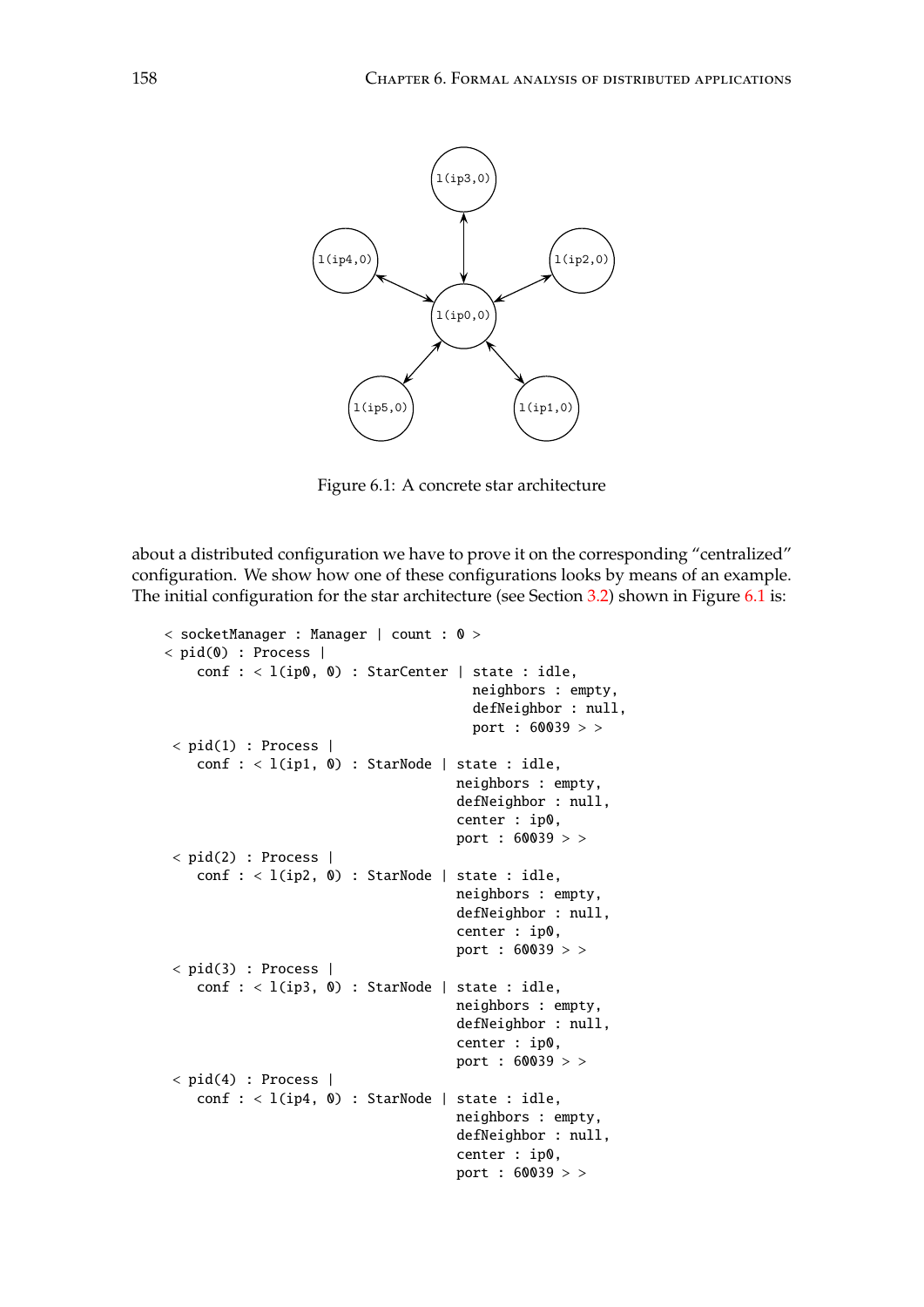

<span id="page-157-0"></span>Figure 6.1: A concrete star architecture

The initial configuration for the star architecture (see Section [3.2\)](#page-43-0) shown in Figure [6.1](#page-157-0) is: about a distributed configuration we have to prove it on the corresponding "centralized" configuration. We show how one of these configurations looks by means of an example.

```
l(ip4,0) l(ip2,0)
< socketManager : Manager | count : 0 >
                                   port : 60039 > >
                                     port : 60039 > >
\langle pid(0) : Process |
    conf : < l(ip0, 0) : StarCenter | state : idle,neighbors : empty,
                                       defNeighbor : null,
< pid(1) : Process |
    conf : < l(ip1, 0) : StarNode | state : idle,
                                     neighbors : empty,
                                     defNeighbor : null,
                                     center : ip0,
                                     port : 60039 > >
 < pid(2) : Process |
    conf : < l(ip2, 0) : StarNode | state : idle,
                                     neighbors : empty,
                                     defNeighbor : null,
                                     center : ip0,
< pid(3) : Process |
    conf : < l(ip3, 0) : StarNode | state : idle,
                                     neighbors : empty,
                                     defNeighbor : null,
                                     center : ip0,
                                     port : 60039 > >
\langle pid(4) : Process |
    conf : < l(ip4, 0) : StarNode | state : idle,neighbors : empty,
                                     defNeighbor : null,
                                     center : ip0,
                                     port : 60039 > >
```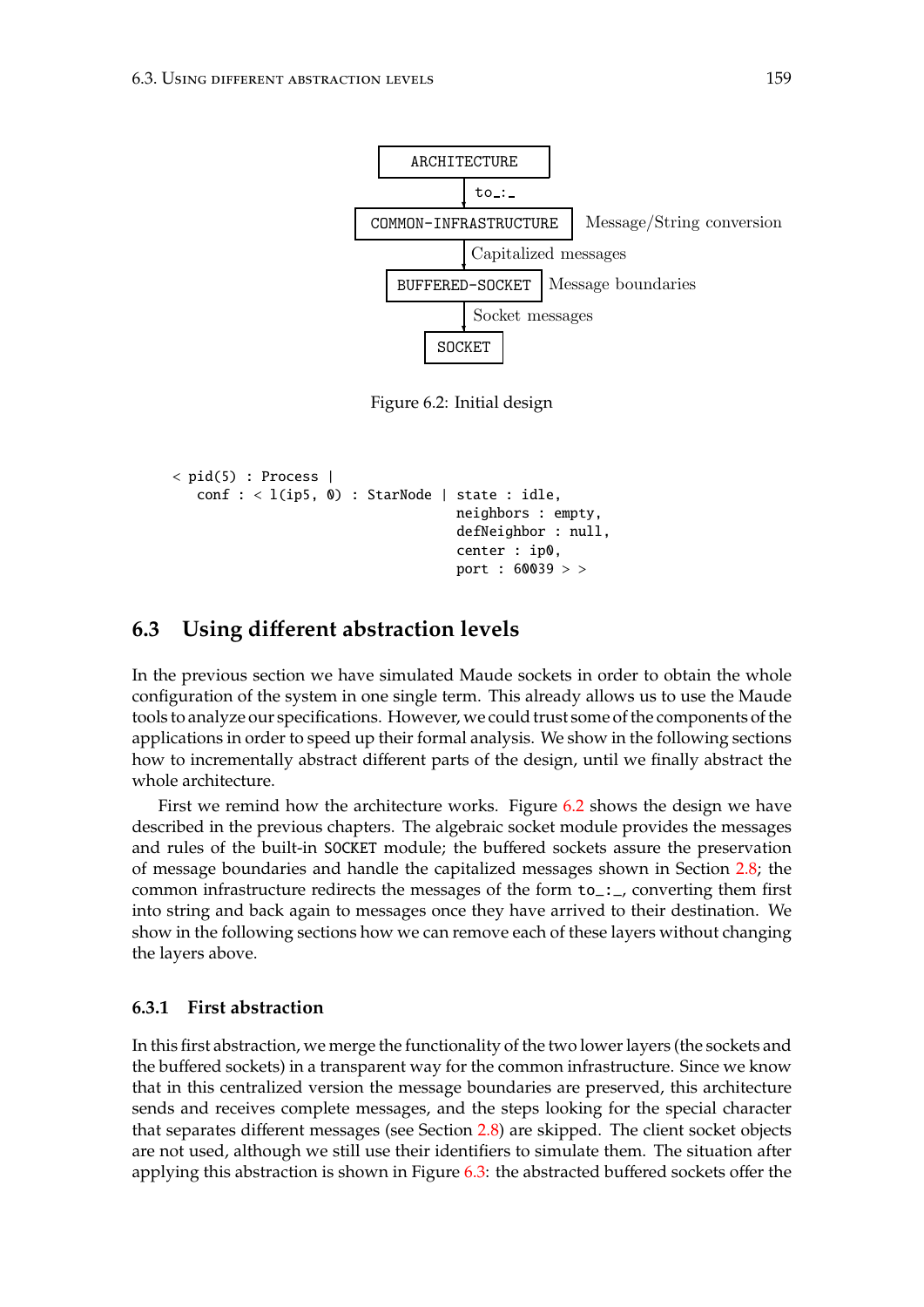

<span id="page-158-0"></span>Figure 4: Initial design Figure 6.2: Initial design

```
center : ip0,
< pid(5) : Process |
   conf : < l(ip5, 0) : StarNode | state : idle,neighbors : empty,
                                  defNeighbor : null,
                                  port : 60039 > >
```
#### <span id="page-158-1"></span>❄ **6.3 Using di**ff**erent abstraction levels** Message/String conversion

In the previous section we have simulated Maude sockets in order to obtain the whole tools to analyze our specifications. However, we could trust some of the components of the  $\frac{1}{1}$  design after the first abstraction after the first absorption  $\frac{1}{1}$  decrease the first absorption and  $\frac{1}{1}$  decrease the first absorption of  $\frac{1}{1}$  decrease the first absorption of  $\frac{1}{1}$  decrease configuration of the system in one single term. This already allows us to use the Maude applications in order to speed up their formal analysis. We show in the following sections how to incrementally abstract different parts of the design, until we finally abstract the whole architecture.

and rules of the built-in SOCKET module; the buffered sockets assure the preservation common infrastructure redirects the messages of the form  $\overrightarrow{\text{to}}$ ..., converting them first into string and back again to messages once they have arrived to their destination. We First we remind how the architecture works. Figure [6.2](#page-158-0) shows the design we have described in the previous chapters. The algebraic socket module provides the messages of message boundaries and handle the capitalized messages shown in Section [2.8;](#page-31-0) the show in the following sections how we can remove each of these layers without changing the layers above.

#### **6.3.1 First abstraction**

In this first abstraction, we merge the functionality of the two lower layers (the sockets and the buffered sockets) in a transparent way for the common infrastructure. Since we know that in this centralized version the message boundaries are preserved, this architecture sends and receives complete messages, and the steps looking for the special character that separates different messages (see Section [2.8\)](#page-31-0) are skipped. The client socket objects are not used, although we still use their identifiers to simulate them. The situation after applying this abstraction is shown in Figure [6.3:](#page-159-0) the abstracted buffered sockets offer the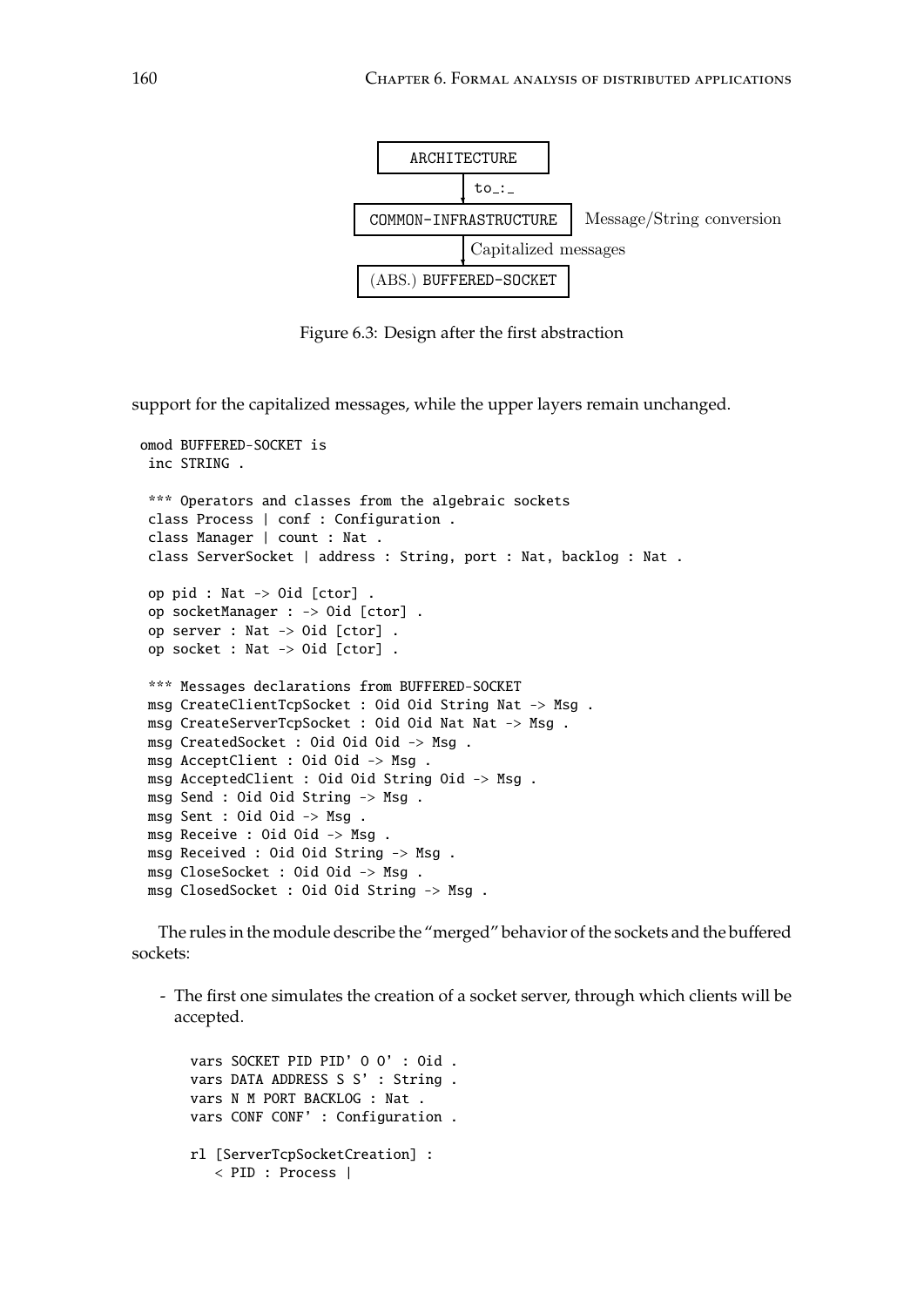

<span id="page-159-0"></span> $\sigma$   $\sigma$ Figure 6.3: Design after the first abstraction

support for the capitalized messages, while the upper layers remain unchanged.

```
*** Operators and classes from the algebraic sockets
 class Process | conf : Configuration .<br>class Marager | court : Nat
 op pid : Nat -> Oid [ctor] .
omod BUFFERED-SOCKET is
 inc STRING .
 class Manager | count : Nat .
 class ServerSocket | address : String, port : Nat, backlog : Nat .
 op socketManager : -> Oid [ctor] .
 op server : Nat -> Oid [ctor] .
 op socket : Nat -> Oid [ctor] .
 *** Messages declarations from BUFFERED-SOCKET
msg CreateClientTcpSocket : Oid Oid String Nat -> Msg .
msg CreateServerTcpSocket : Oid Oid Nat Nat -> Msg .
msg CreatedSocket : Oid Oid Oid -> Msg .
msg AcceptClient : Oid Oid -> Msg .
msg AcceptedClient : Oid Oid String Oid -> Msg .
msg Send : Oid Oid String -> Msg .
msg Sent : Oid Oid -> Msg .
msg Receive : Oid Oid -> Msg .
msg Received : Oid Oid String -> Msg .
msg CloseSocket : Oid Oid -> Msg .
msg ClosedSocket : Oid Oid String -> Msg .
```
The rules in the module describe the "merged" behavior of the sockets and the buffered sockets:

- The first one simulates the creation of a socket server, through which clients will be accepted.

```
vars SOCKET PID PID' O O' : Oid .
vars DATA ADDRESS S S' : String .
vars N M PORT BACKLOG : Nat .
vars CONF CONF' : Configuration .
rl [ServerTcpSocketCreation] :
   < PID : Process |
```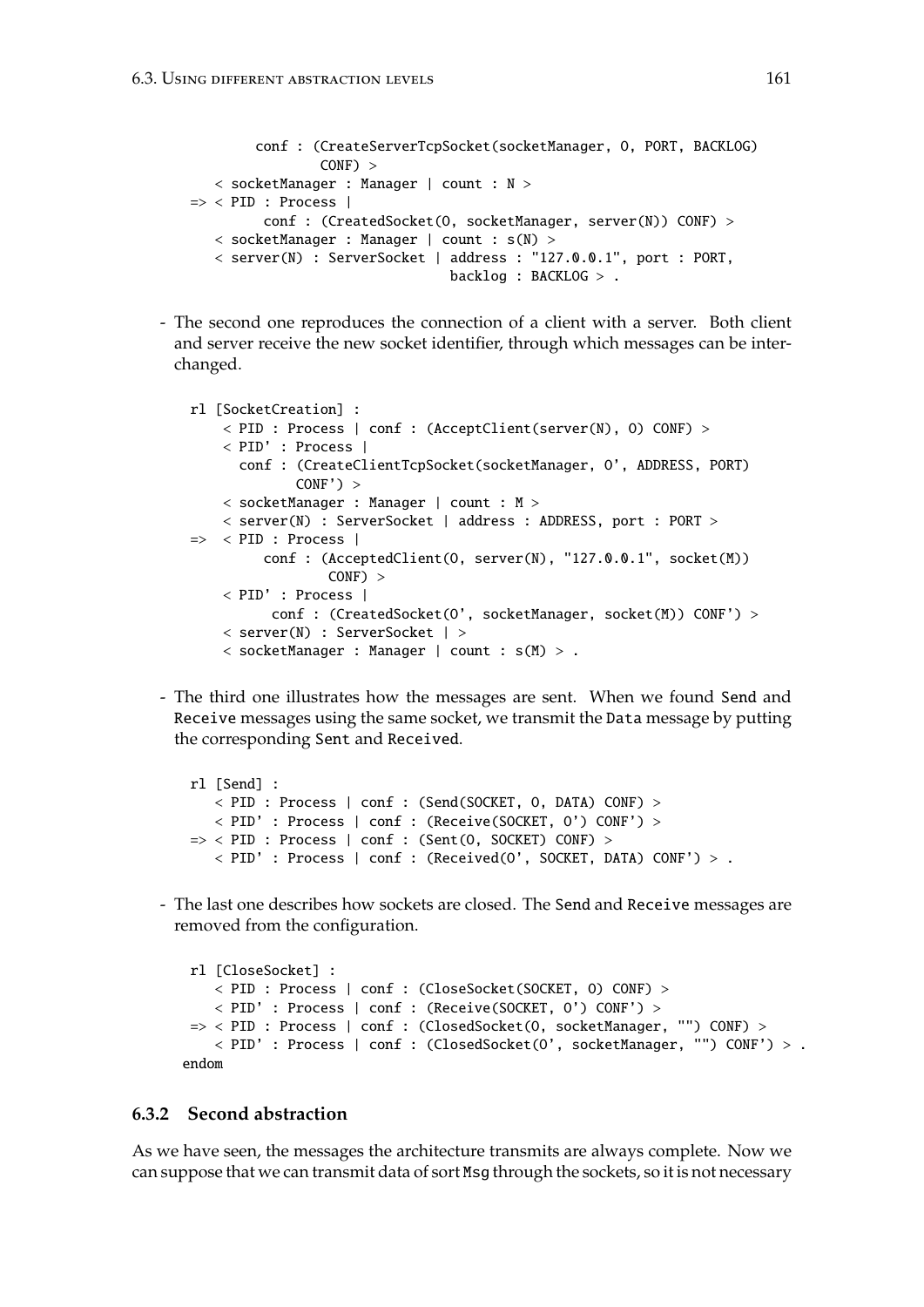```
conf : (CreateServerTcpSocket(socketManager, O, PORT, BACKLOG)
                CONF) >
   < socketManager : Manager | count : N >
\Rightarrow < PID : Process |
         conf : (CreatedSocket(O, socketManager, server(N)) CONF) >
   < socketManager : Manager | count : s(N) >
   < server(N) : ServerSocket | address : "127.0.0.1", port : PORT,
                                 backlog : BACKLOG > .
```
- The second one reproduces the connection of a client with a server. Both client and server receive the new socket identifier, through which messages can be interchanged.

```
rl [SocketCreation] :
    < PID : Process | conf : (AcceptClient(server(N), O) CONF) >
    < PID' : Process |
      conf : (CreateClientTcpSocket(socketManager, O', ADDRESS, PORT)
             CONF') >
    < socketManager : Manager | count : M >
    < server(N) : ServerSocket | address : ADDRESS, port : PORT >
\Rightarrow < PID : Process |
         conf : (AcceptedClient(O, server(N), "127.0.0.1", socket(M))
                 CONF) >
    < PID' : Process |
          conf : (CreatedSocket(O', socketManager, socket(M)) CONF') >
    < server(N) : ServerSocket | >
    < socketManager : Manager | count : s(M) > .
```
- The third one illustrates how the messages are sent. When we found Send and Receive messages using the same socket, we transmit the Data message by putting the corresponding Sent and Received.

```
rl [Send] :
   < PID : Process | conf : (Send(SOCKET, O, DATA) CONF) >
   < PID' : Process | conf : (Receive(SOCKET, O') CONF') >
\Rightarrow < PID : Process | conf : (Sent(0, SOCKET) CONF) >
   < PID' : Process | conf : (Received(O', SOCKET, DATA) CONF') > .
```
- The last one describes how sockets are closed. The Send and Receive messages are removed from the configuration.

```
rl [CloseSocket] :
   < PID : Process | conf : (CloseSocket(SOCKET, O) CONF) >
   < PID' : Process | conf : (Receive(SOCKET, O') CONF') >
=> < PID : Process | conf : (ClosedSocket(O, socketManager, "") CONF) >
    < PID' : Process | conf : (ClosedSocket(O', socketManager, "") CONF') > .
endom
```
# **6.3.2 Second abstraction**

As we have seen, the messages the architecture transmits are always complete. Now we can suppose that we can transmit data of sort Msg through the sockets, so it is not necessary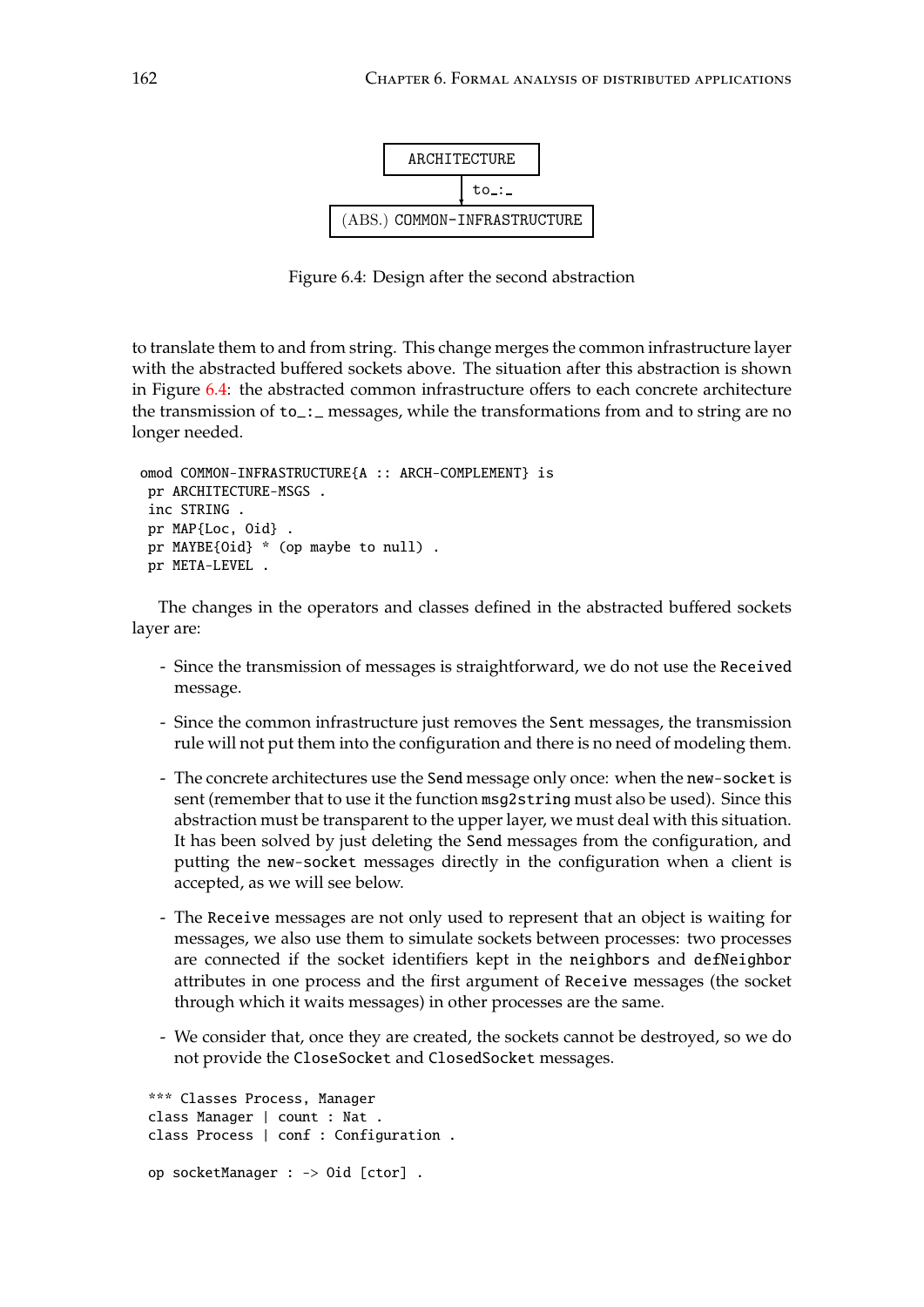

<span id="page-161-0"></span>Figure 6: Design after the second abstraction Figure 6.4: Design after the second abstraction

to translate them to and from string. This change merges the common infrastructure layer with the abstracted buffered sockets above. The situation after this abstraction is shown in Figure [6.4:](#page-161-0) the abstracted common infrastructure offers to each concrete architecture the transmission of to\_:\_ messages, while the transformations from and to string are no longer needed.

```
omod COMMON-INFRASTRUCTURE{A :: ARCH-COMPLEMENT} is
 pr ARCHITECTURE-MSGS .
 inc STRING .
 pr MAP{Loc, Oid} .
 pr MAYBE{Oid} * (op maybe to null) .
 pr META-LEVEL .
```
The changes in the operators and classes defined in the abstracted buffered sockets layer are:

- Since the transmission of messages is straightforward, we do not use the Received message.
- Since the common infrastructure just removes the Sent messages, the transmission rule will not put them into the configuration and there is no need of modeling them.
- The concrete architectures use the Send message only once: when the new-socket is sent (remember that to use it the function msg2string must also be used). Since this abstraction must be transparent to the upper layer, we must deal with this situation. It has been solved by just deleting the Send messages from the configuration, and putting the new-socket messages directly in the configuration when a client is accepted, as we will see below.
- The Receive messages are not only used to represent that an object is waiting for messages, we also use them to simulate sockets between processes: two processes are connected if the socket identifiers kept in the neighbors and defNeighbor attributes in one process and the first argument of Receive messages (the socket through which it waits messages) in other processes are the same.
- We consider that, once they are created, the sockets cannot be destroyed, so we do not provide the CloseSocket and ClosedSocket messages.

```
*** Classes Process, Manager
class Manager | count : Nat .
class Process | conf : Configuration .
op socketManager : -> Oid [ctor] .
```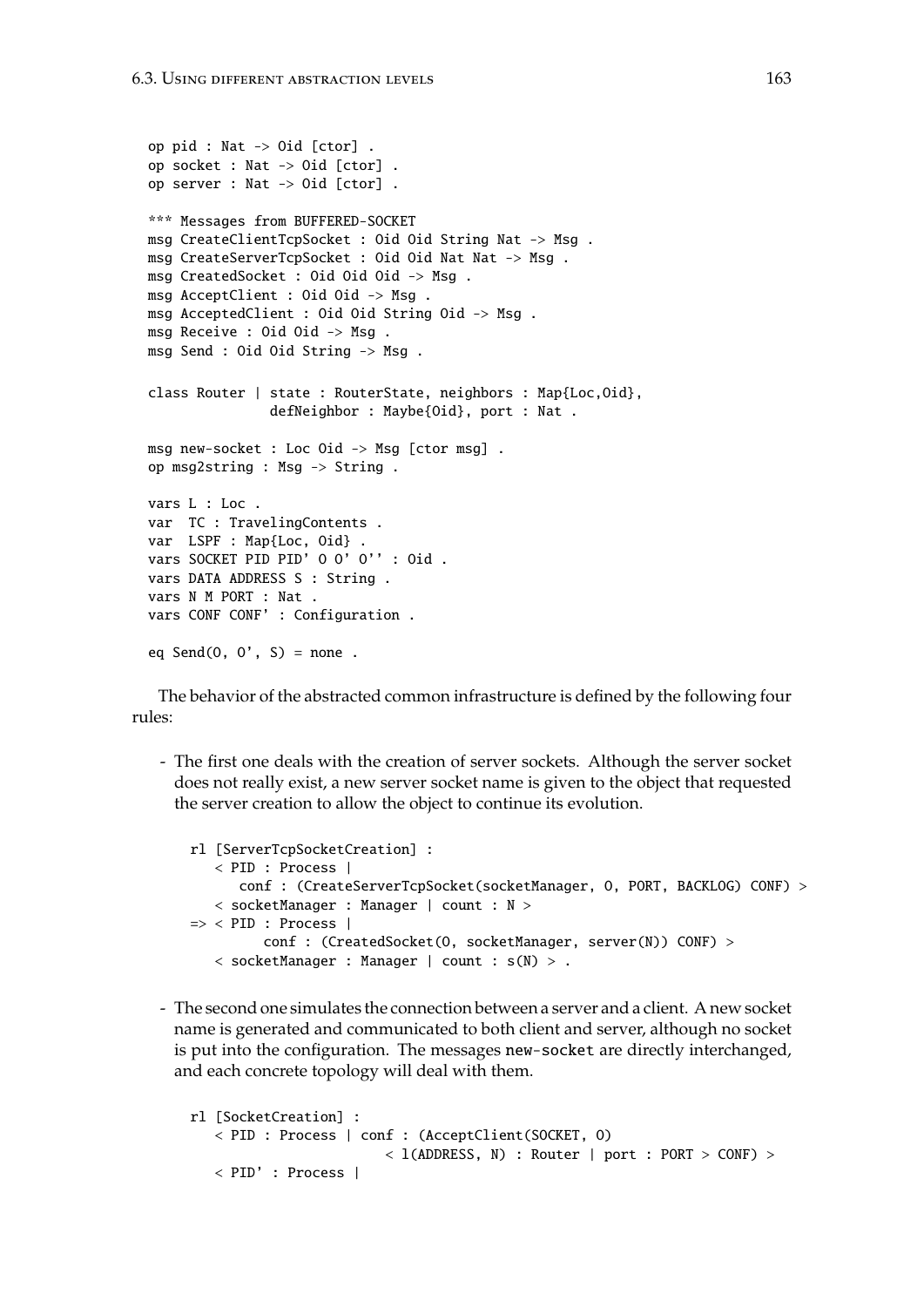```
op pid : Nat -> Oid [ctor] .
op socket : Nat -> Oid [ctor] .
op server : Nat -> Oid [ctor] .
*** Messages from BUFFERED-SOCKET
msg CreateClientTcpSocket : Oid Oid String Nat -> Msg .
msg CreateServerTcpSocket : Oid Oid Nat Nat -> Msg .
msg CreatedSocket : Oid Oid Oid -> Msg .
msg AcceptClient : Oid Oid -> Msg .
msg AcceptedClient : Oid Oid String Oid -> Msg .
msg Receive : Oid Oid -> Msg .
msg Send : Oid Oid String -> Msg .
class Router | state : RouterState, neighbors : Map{Loc,Oid},
               defNeighbor : Maybe{Oid}, port : Nat .
msg new-socket : Loc Oid -> Msg [ctor msg] .
op msg2string : Msg -> String .
vars L : Loc .
var TC : TravelingContents .
var LSPF : Map{Loc, Oid} .
vars SOCKET PID PID' O O' O'' : Oid .
vars DATA ADDRESS S : String .
vars N M PORT : Nat .
vars CONF CONF' : Configuration .
eq Send(0, 0', S) = none.
```
The behavior of the abstracted common infrastructure is defined by the following four rules:

- The first one deals with the creation of server sockets. Although the server socket does not really exist, a new server socket name is given to the object that requested the server creation to allow the object to continue its evolution.

```
rl [ServerTcpSocketCreation] :
   < PID : Process |
      conf : (CreateServerTcpSocket(socketManager, O, PORT, BACKLOG) CONF) >
   < socketManager : Manager | count : N >
\Rightarrow < PID : Process |
         conf : (CreatedSocket(0, socketManager, server(N)) CONF) >
   < socketManager : Manager | count : s(N) > .
```
- The second one simulates the connection between a server and a client. A new socket name is generated and communicated to both client and server, although no socket is put into the configuration. The messages new-socket are directly interchanged, and each concrete topology will deal with them.

```
rl [SocketCreation] :
   < PID : Process | conf : (AcceptClient(SOCKET, O)
                        < l(ADDRESS, N) : Router | port : PORT > CONF) >
   < PID' : Process |
```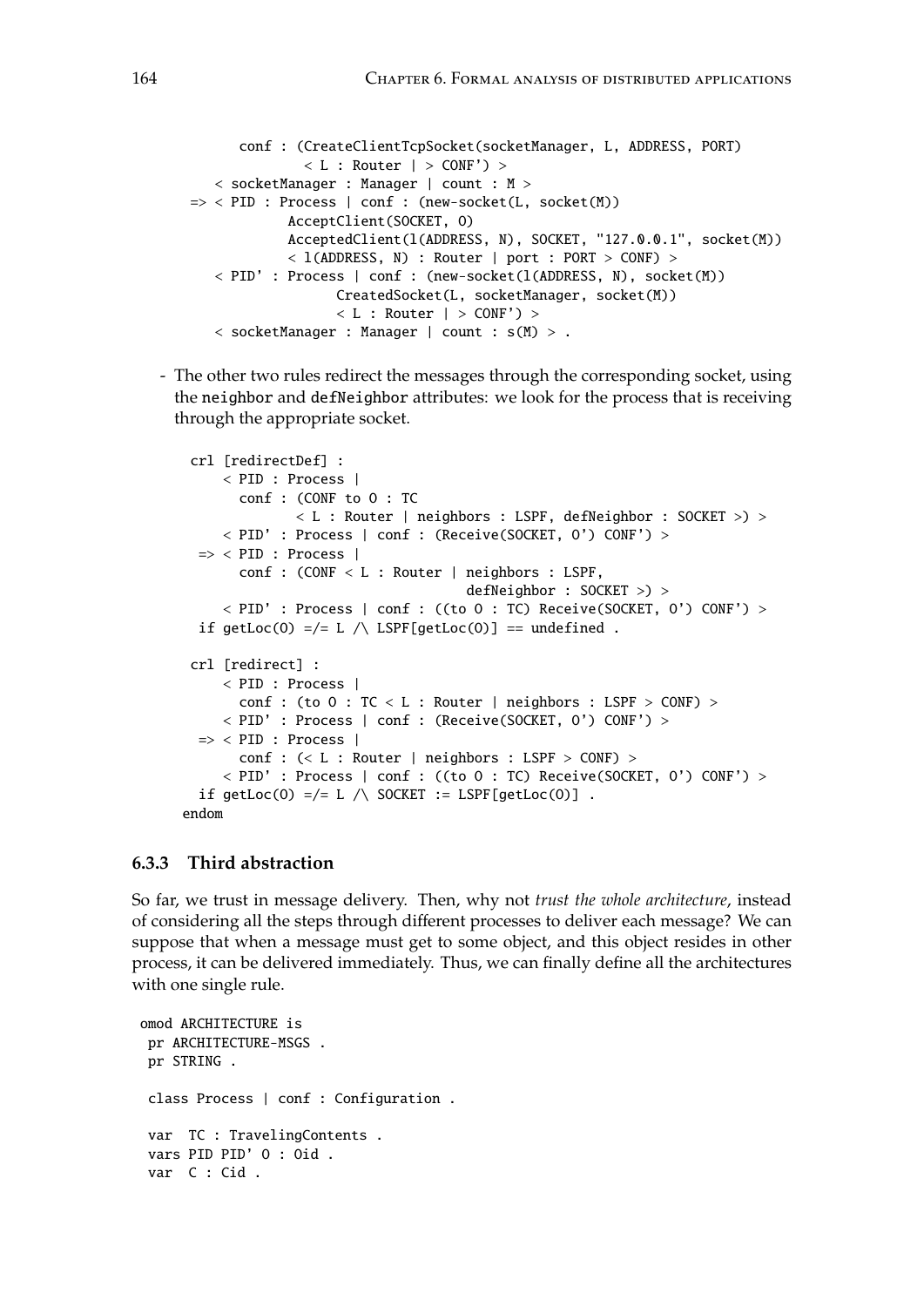```
conf : (CreateClientTcpSocket(socketManager, L, ADDRESS, PORT)
              < L : Router | > \text{CONF'}) >
   < socketManager : Manager | count : M >
\Rightarrow < PID : Process | conf : (new-socket(L, socket(M))
            AcceptClient(SOCKET, O)
            AcceptedClient(l(ADDRESS, N), SOCKET, "127.0.0.1", socket(M))
            < l(ADDRESS, N) : Router | port : PORT > CONF) >
   < PID' : Process | conf : (new-socket(l(ADDRESS, N), socket(M))
                  CreatedSocket(L, socketManager, socket(M))
                  < L : Router | > CONF >< socketManager : Manager | count : s(M) > .
```
- The other two rules redirect the messages through the corresponding socket, using the neighbor and defNeighbor attributes: we look for the process that is receiving through the appropriate socket.

```
crl [redirectDef] :
     < PID : Process |
       conf : (CONF to O : TC
              < L : Router | neighbors : LSPF, defNeighbor : SOCKET >) >
     < PID' : Process | conf : (Receive(SOCKET, O') CONF') >
 \Rightarrow < PID : Process |
       conf : (CONF < L : Router | neighbors : LSPF,
                                    defNeighbor : SOCKET >) >
     < PID' : Process | conf : ((to O : TC) Receive(SOCKET, O') CONF') >
 if getLoc(0) =/= L /\ LSPF[getLoc(0)] == undefined .
 crl [redirect] :
     < PID : Process |
       conf : (to O : TC < L : Router | neighbors : LSPF > CONF) >
     < PID' : Process | conf : (Receive(SOCKET, O') CONF') >
 \Rightarrow < PID : Process |
       conf : (< L : Router | neighbors : LSPF > CONF) >< PID' : Process | conf : ((to O : TC) Receive(SOCKET, O') CONF') >
 if getLoc(0) =/= L /\ SOCKET := LSPF[getLoc(0)] .
endom
```
# **6.3.3 Third abstraction**

So far, we trust in message delivery. Then, why not *trust the whole architecture*, instead of considering all the steps through different processes to deliver each message? We can suppose that when a message must get to some object, and this object resides in other process, it can be delivered immediately. Thus, we can finally define all the architectures with one single rule.

```
omod ARCHITECTURE is
pr ARCHITECTURE-MSGS .
 pr STRING .
 class Process | conf : Configuration .
 var TC : TravelingContents .
 vars PID PID' O : Oid .
 var C : Cid .
```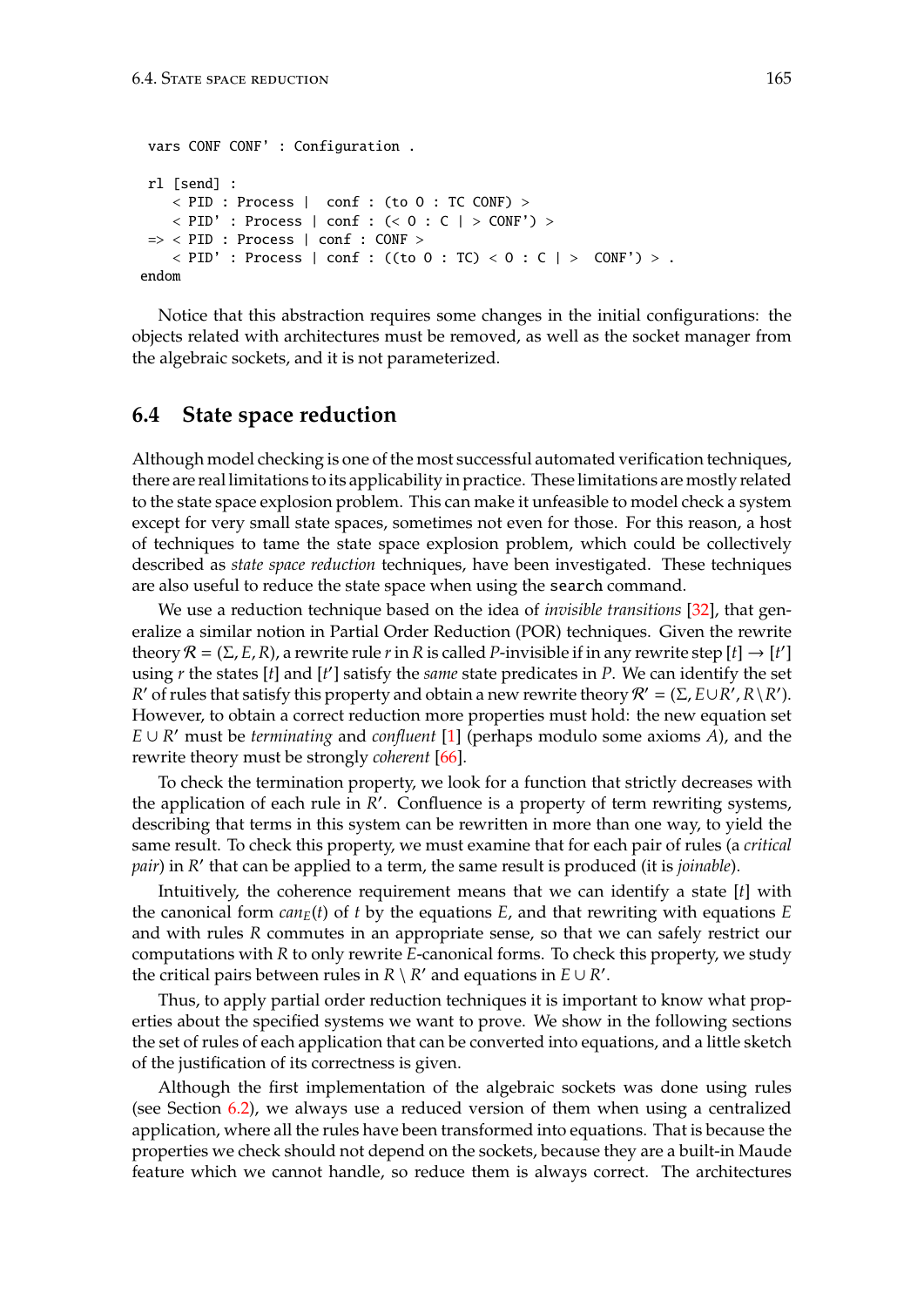```
vars CONF CONF' : Configuration .
rl [send] :
    < PID : Process | conf : (to O : TC CONF) >
    < PID' : Process | conf : (< O : C | > CONF') >
 \Rightarrow < PID : Process | conf : CONF >
    \langle PID' : Process | conf : ((to 0 : TC) \langle 0 : C | \rangle CONF') \rangle .
endom
```
Notice that this abstraction requires some changes in the initial configurations: the objects related with architectures must be removed, as well as the socket manager from the algebraic sockets, and it is not parameterized.

# **6.4 State space reduction**

Although model checking is one of the most successful automated verification techniques, there are real limitations to its applicability in practice. These limitations are mostly related to the state space explosion problem. This can make it unfeasible to model check a system except for very small state spaces, sometimes not even for those. For this reason, a host of techniques to tame the state space explosion problem, which could be collectively described as *state space reduction* techniques, have been investigated. These techniques are also useful to reduce the state space when using the search command.

We use a reduction technique based on the idea of *invisible transitions* [\[32\]](#page-184-1), that generalize a similar notion in Partial Order Reduction (POR) techniques. Given the rewrite theory  $\mathcal{R} = (\Sigma, E, R)$ , a rewrite rule *r* in *R* is called *P*-invisible if in any rewrite step [*t*]  $\rightarrow$  [*t'*] using *r* the states [*t*] and [*t'*] satisfy the *same* state predicates in *P*. We can identify the set *R*' of rules that satisfy this property and obtain a new rewrite theory  $R' = (\Sigma, E \cup R', R \setminus R')$ . However, to obtain a correct reduction more properties must hold: the new equation set *E* ∪ *R* <sup>0</sup> must be *terminating* and *confluent* [\[1\]](#page-182-0) (perhaps modulo some axioms *A*), and the rewrite theory must be strongly *coherent* [\[66\]](#page-186-0).

To check the termination property, we look for a function that strictly decreases with the application of each rule in  $\overline{R}$ <sup>'</sup>. Confluence is a property of term rewriting systems, describing that terms in this system can be rewritten in more than one way, to yield the same result. To check this property, we must examine that for each pair of rules (a *critical* pair) in *R'* that can be applied to a term, the same result is produced (it is *joinable*).

Intuitively, the coherence requirement means that we can identify a state [*t*] with the canonical form  $can_E(t)$  of *t* by the equations *E*, and that rewriting with equations *E* and with rules *R* commutes in an appropriate sense, so that we can safely restrict our computations with *R* to only rewrite *E*-canonical forms. To check this property, we study the critical pairs between rules in  $R \setminus R'$  and equations in  $E \cup R'$ .

Thus, to apply partial order reduction techniques it is important to know what properties about the specified systems we want to prove. We show in the following sections the set of rules of each application that can be converted into equations, and a little sketch of the justification of its correctness is given.

Although the first implementation of the algebraic sockets was done using rules (see Section [6.2\)](#page-154-1), we always use a reduced version of them when using a centralized application, where all the rules have been transformed into equations. That is because the properties we check should not depend on the sockets, because they are a built-in Maude feature which we cannot handle, so reduce them is always correct. The architectures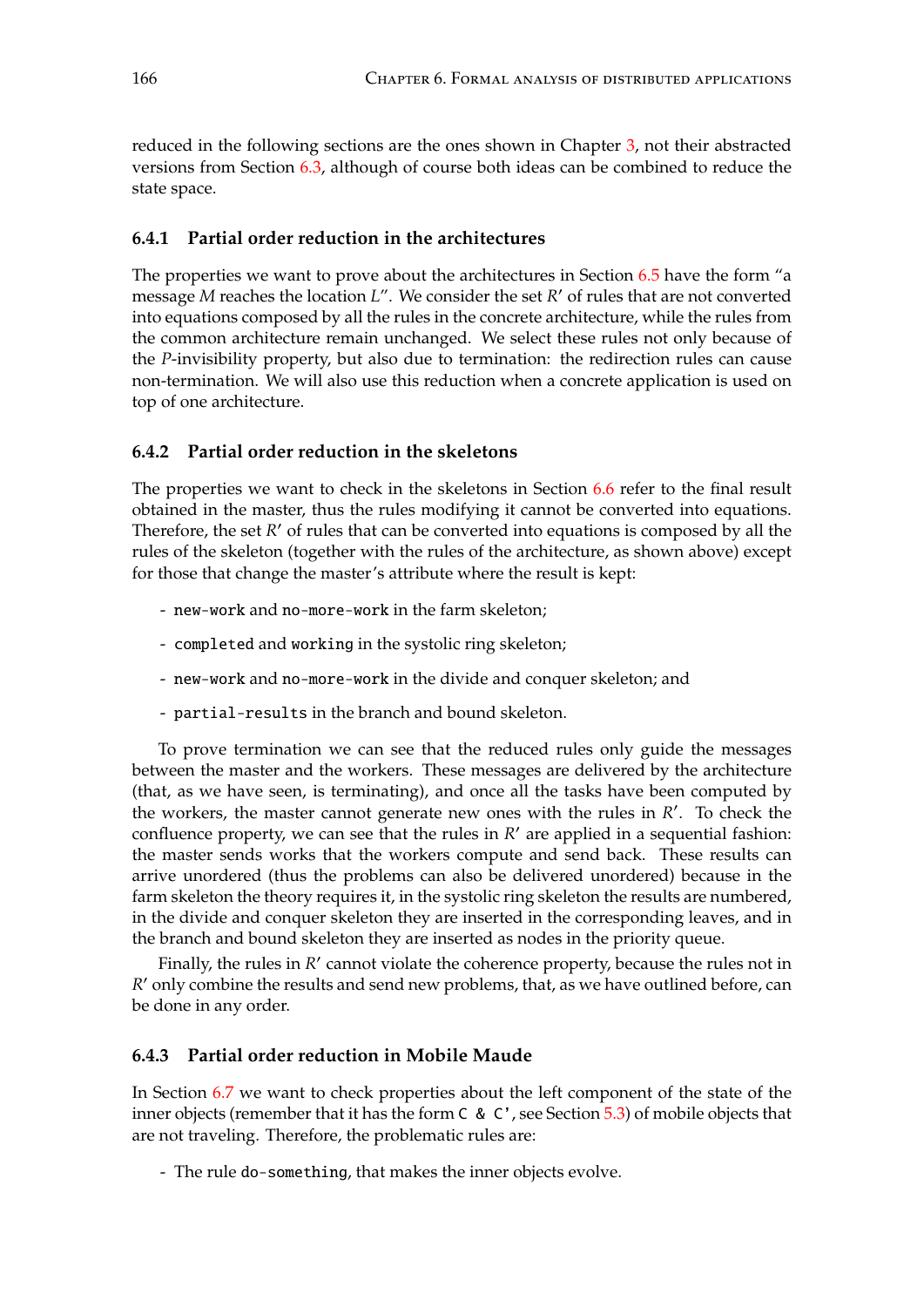reduced in the following sections are the ones shown in Chapter [3,](#page-38-0) not their abstracted versions from Section [6.3,](#page-158-1) although of course both ideas can be combined to reduce the state space.

#### **6.4.1 Partial order reduction in the architectures**

The properties we want to prove about the architectures in Section [6.5](#page-166-0) have the form "a message *M* reaches the location *L*". We consider the set *R*' of rules that are not converted into equations composed by all the rules in the concrete architecture, while the rules from the common architecture remain unchanged. We select these rules not only because of the *P*-invisibility property, but also due to termination: the redirection rules can cause non-termination. We will also use this reduction when a concrete application is used on top of one architecture.

# **6.4.2 Partial order reduction in the skeletons**

The properties we want to check in the skeletons in Section [6.6](#page-170-0) refer to the final result obtained in the master, thus the rules modifying it cannot be converted into equations. Therefore, the set  $R'$  of rules that can be converted into equations is composed by all the rules of the skeleton (together with the rules of the architecture, as shown above) except for those that change the master's attribute where the result is kept:

- new-work and no-more-work in the farm skeleton;
- completed and working in the systolic ring skeleton;
- new-work and no-more-work in the divide and conquer skeleton; and
- partial-results in the branch and bound skeleton.

To prove termination we can see that the reduced rules only guide the messages between the master and the workers. These messages are delivered by the architecture (that, as we have seen, is terminating), and once all the tasks have been computed by the workers, the master cannot generate new ones with the rules in  $R'$ . To check the confluence property, we can see that the rules in *R'* are applied in a sequential fashion: the master sends works that the workers compute and send back. These results can arrive unordered (thus the problems can also be delivered unordered) because in the farm skeleton the theory requires it, in the systolic ring skeleton the results are numbered, in the divide and conquer skeleton they are inserted in the corresponding leaves, and in the branch and bound skeleton they are inserted as nodes in the priority queue.

Finally, the rules in *R'* cannot violate the coherence property, because the rules not in *R*' only combine the results and send new problems, that, as we have outlined before, can be done in any order.

# **6.4.3 Partial order reduction in Mobile Maude**

In Section [6.7](#page-174-0) we want to check properties about the left component of the state of the inner objects (remember that it has the form C & C', see Section [5.3\)](#page-114-0) of mobile objects that are not traveling. Therefore, the problematic rules are:

- The rule do-something, that makes the inner objects evolve.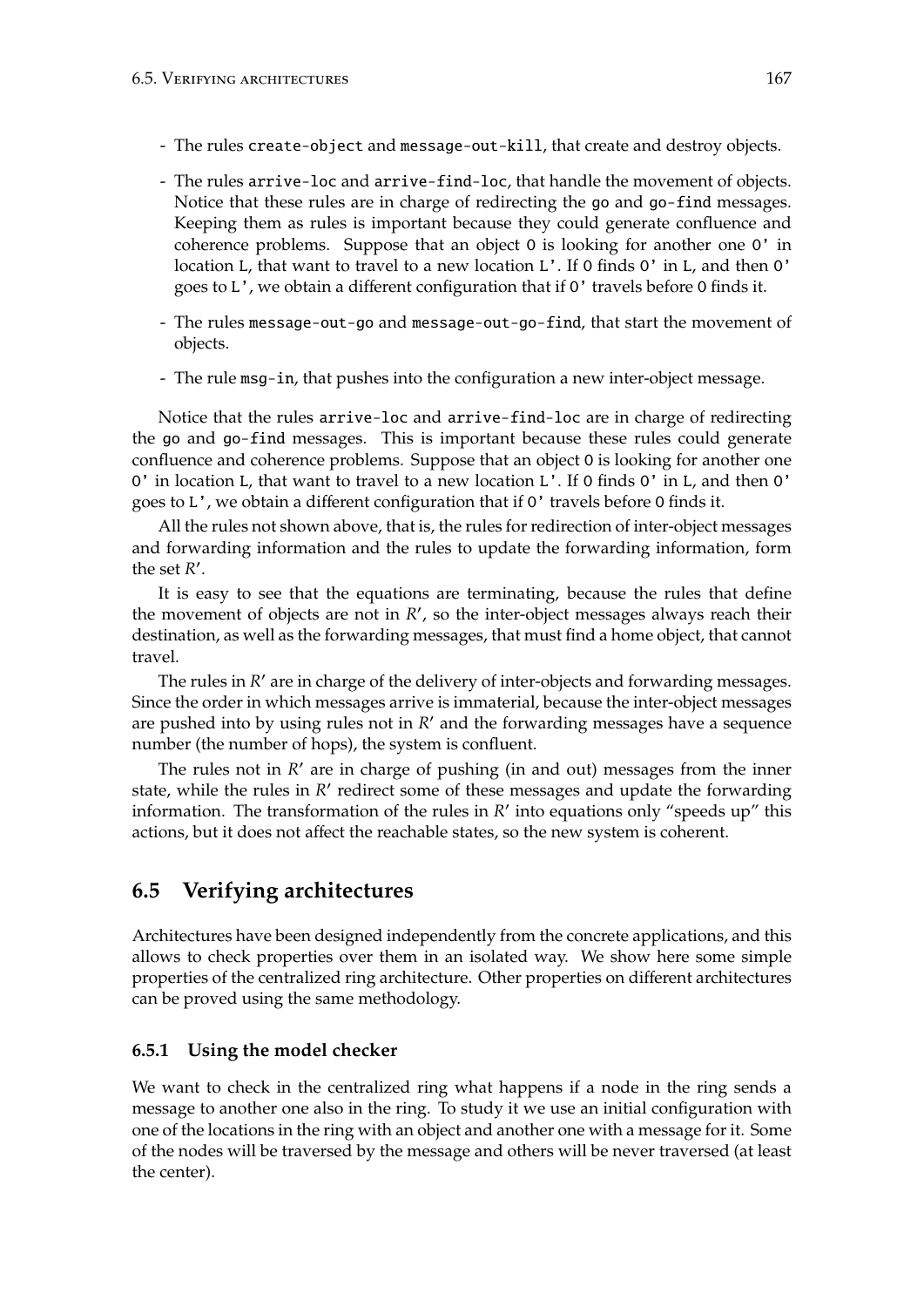- The rules create-object and message-out-kill, that create and destroy objects.
- The rules arrive-loc and arrive-find-loc, that handle the movement of objects. Notice that these rules are in charge of redirecting the go and go-find messages. Keeping them as rules is important because they could generate confluence and coherence problems. Suppose that an object O is looking for another one O' in location L, that want to travel to a new location L'. If O finds O' in L, and then O' goes to L', we obtain a different configuration that if O' travels before O finds it.
- The rules message-out-go and message-out-go-find, that start the movement of objects.
- The rule msg-in, that pushes into the configuration a new inter-object message.

Notice that the rules arrive-loc and arrive-find-loc are in charge of redirecting the go and go-find messages. This is important because these rules could generate confluence and coherence problems. Suppose that an object O is looking for another one O' in location L, that want to travel to a new location L'. If O finds O' in L, and then O' goes to L', we obtain a different configuration that if O' travels before O finds it.

All the rules not shown above, that is, the rules for redirection of inter-object messages and forwarding information and the rules to update the forwarding information, form the set  $R'$ .

It is easy to see that the equations are terminating, because the rules that define the movement of objects are not in  $R'$ , so the inter-object messages always reach their destination, as well as the forwarding messages, that must find a home object, that cannot travel.

The rules in *R'* are in charge of the delivery of inter-objects and forwarding messages. Since the order in which messages arrive is immaterial, because the inter-object messages are pushed into by using rules not in  $R'$  and the forwarding messages have a sequence number (the number of hops), the system is confluent.

The rules not in *R'* are in charge of pushing (in and out) messages from the inner state, while the rules in *R'* redirect some of these messages and update the forwarding information. The transformation of the rules in *R'* into equations only "speeds up" this actions, but it does not affect the reachable states, so the new system is coherent.

# <span id="page-166-0"></span>**6.5 Verifying architectures**

Architectures have been designed independently from the concrete applications, and this allows to check properties over them in an isolated way. We show here some simple properties of the centralized ring architecture. Other properties on different architectures can be proved using the same methodology.

# **6.5.1 Using the model checker**

We want to check in the centralized ring what happens if a node in the ring sends a message to another one also in the ring. To study it we use an initial configuration with one of the locations in the ring with an object and another one with a message for it. Some of the nodes will be traversed by the message and others will be never traversed (at least the center).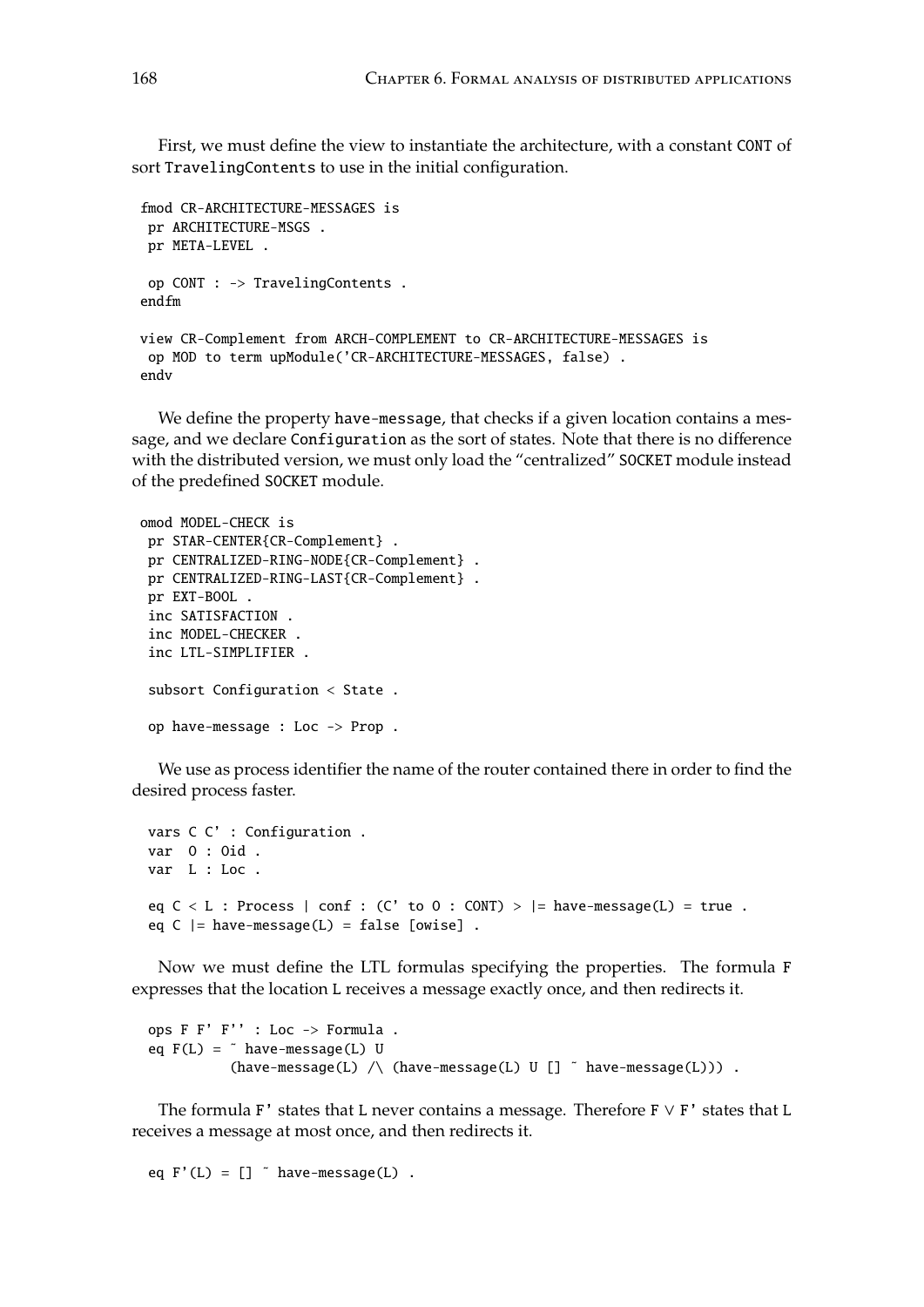First, we must define the view to instantiate the architecture, with a constant CONT of sort TravelingContents to use in the initial configuration.

```
fmod CR-ARCHITECTURE-MESSAGES is
 pr ARCHITECTURE-MSGS .
 pr META-LEVEL .
 op CONT : -> TravelingContents .
endfm
view CR-Complement from ARCH-COMPLEMENT to CR-ARCHITECTURE-MESSAGES is
 op MOD to term upModule('CR-ARCHITECTURE-MESSAGES, false) .
endv
```
We define the property have-message, that checks if a given location contains a message, and we declare Configuration as the sort of states. Note that there is no difference with the distributed version, we must only load the "centralized" SOCKET module instead of the predefined SOCKET module.

```
omod MODEL-CHECK is
pr STAR-CENTER{CR-Complement} .
pr CENTRALIZED-RING-NODE{CR-Complement} .
pr CENTRALIZED-RING-LAST{CR-Complement} .
pr EXT-BOOL .
inc SATISFACTION .
 inc MODEL-CHECKER .
 inc LTL-SIMPLIFIER .
 subsort Configuration < State .
 op have-message : Loc -> Prop .
```
We use as process identifier the name of the router contained there in order to find the desired process faster.

```
vars C C' : Configuration .
var O : Oid .
var L : Loc .
eq C < L : Process | conf : (C' to 0 : CONT) > |= have-message(L) = true .
eq C |= have-message(L) = false [owise] .
```
Now we must define the LTL formulas specifying the properties. The formula F expresses that the location L receives a message exactly once, and then redirects it.

```
ops F F' F'' : Loc -> Formula .
eq F(L) = \tilde{h} have-message(L) U
            (have-message(L) \wedge (have-message(L) U [] \tilde{ } have-message(L))) .
```
The formula F' states that L never contains a message. Therefore  $F \vee F'$  states that L receives a message at most once, and then redirects it.

```
eq F'(L) = [] \in have-message(L).
```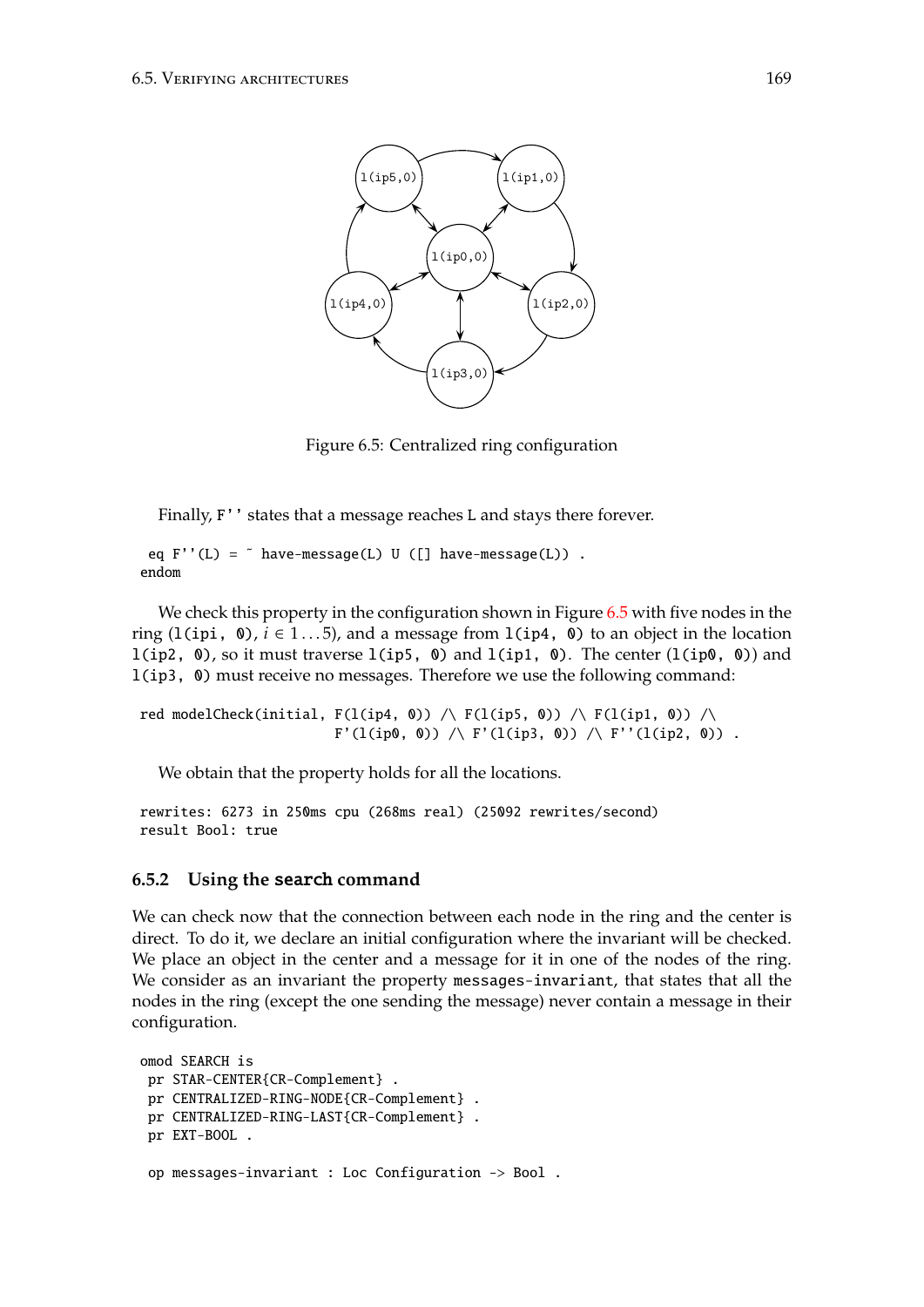

<span id="page-168-0"></span>Figure 2: Initial configuration. Figure 6.5: Centralized ring configuration

Finally, F'' states that a message reaches L and stays there forever.

endom and the configuration  $\mathcal{C}$  : Configuration . Configuration . Configuration . eq  $F''(L) =$   $\tilde{h}$  have-message(L) U ([] have-message(L)).

We check this property in the configuration shown in Figure [6.5](#page-168-0) with five nodes in the ring (l(ipi, 0),  $i \in 1...5$ ), and a message from l(ip4, 0) to an object in the location l(ip3, 0) must receive no messages. Therefore we use the following command: l(ip2, 0), so it must traverse  $l$ (ip5, 0) and  $l$ (ip1, 0). The center  $(l(ip0, 0))$  and

 $F'(l(ip0, 0)) \bigwedge F'(l(ip3, 0)) \bigwedge F''(l(ip2, 0))$  . red modelCheck(initial,  $F(1(ip4, 0))$  /\  $F(1(ip5, 0))$  /\  $F(1(ip1, 0))$  /\

We obtain that the property holds for all the locations.

rewrites: 6273 in 250ms cpu (268ms real) (25092 rewrites/second) result Bool: true

# **6.5.2** Using the search command

We can check now that the connection between each node in the ring and the center is direct. To do it, we declare an initial configuration where the invariant will be checked. We consider as an invariant the property messages-invariant, that states that all the nodes in the ring (except the one sending the message) never contain a message in their<br>configuration configuration. We place an object in the center and a message for it in one of the nodes of the ring.

```
mou search is<br>pr STAR-CENTER{CR-Complement} .
pr Sink CENTER(CR Complement)<br>pr CENTRALIZED-RING-NODE{CR-Complement} .
pr characterized lines are center complement} .<br>pr CENTRALIZED-RING-LAST{CR-Complement} .
pr EXT-BOOL .
on messages-invariant \cdot Loc Configuration \rightarrow Bool
                   \mathcal{L}(\mathcal{L}(\mathcal{L}))omod SEARCH is
 op messages-invariant : Loc Configuration -> Bool .
```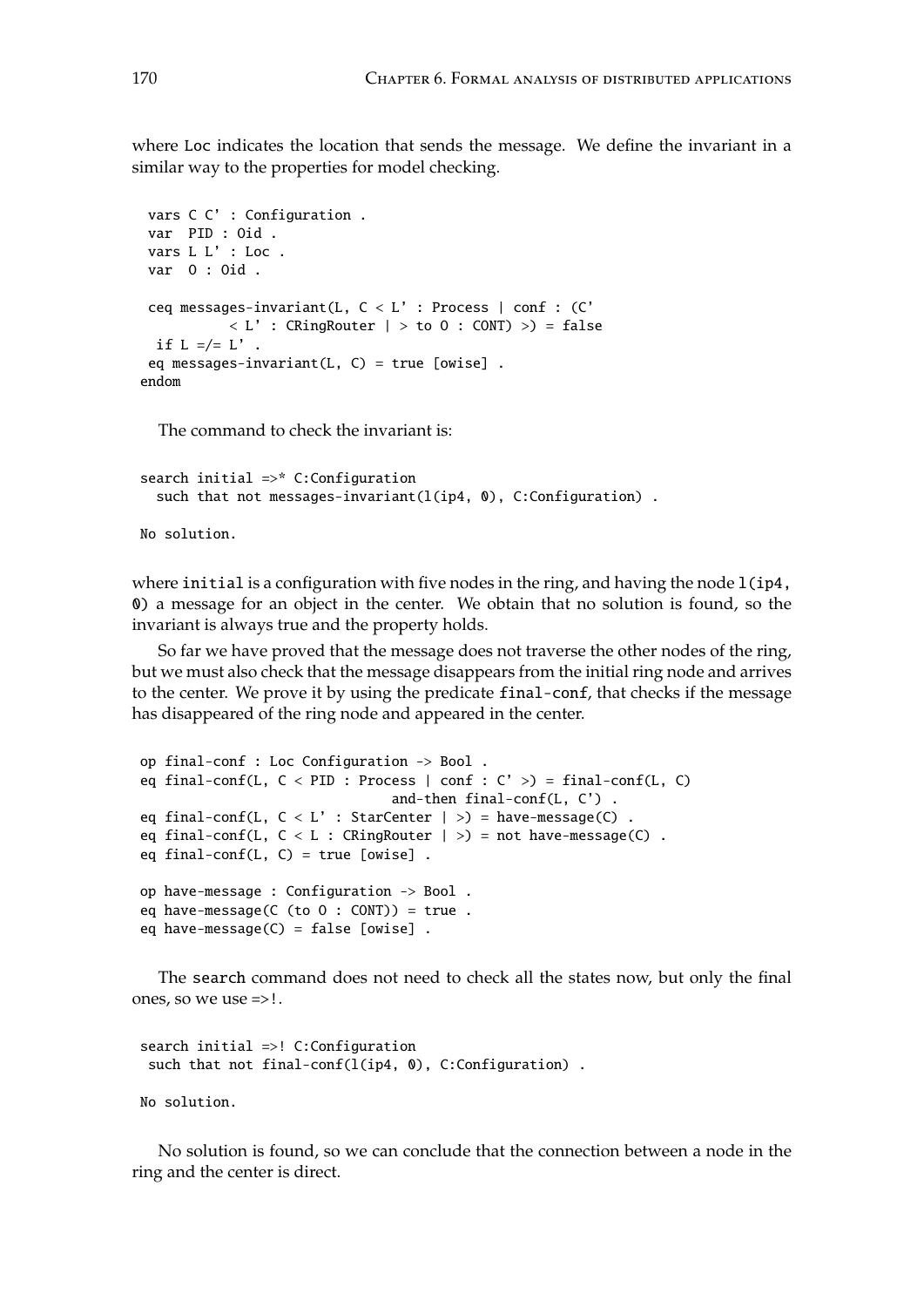where Loc indicates the location that sends the message. We define the invariant in a similar way to the properties for model checking.

```
vars C C' : Configuration .
var PID : Oid .
vars L L' : Loc .
var O : Oid .
ceq messages-invariant(L, C < L' : Process | conf : (C'
           \langle L' : CRingRouter | > to 0 : CONT) >) = false
 if L = /= L'.
 eq messages-invariant(L, C) = true [owise].
endom
```
The command to check the invariant is:

```
search initial =>* C:Configuration
  such that not messages-invariant(l(ip4, 0), C:Configuration).
No solution.
```
where initial is a configuration with five nodes in the ring, and having the node  $l$ (ip4, 0) a message for an object in the center. We obtain that no solution is found, so the invariant is always true and the property holds.

So far we have proved that the message does not traverse the other nodes of the ring, but we must also check that the message disappears from the initial ring node and arrives to the center. We prove it by using the predicate final-conf, that checks if the message has disappeared of the ring node and appeared in the center.

```
op final-conf : Loc Configuration -> Bool .
eq final-conf(L, C < PID: Process | conf : C' >) = final-conf(L, C)
                              and-then final-conf(L, C') .
eq final-conf(L, C < L': StarCenter | >) = have-message(C)
eq final-conf(L, C < L: CRingRouter | >) = not have-message(C).
eq final-conf(L, C) = true [owise].
op have-message : Configuration -> Bool .
eq have-message(C (to 0 : CONT) = true.
eq have-message(C) = false [owise].
```
The search command does not need to check all the states now, but only the final ones, so we use =>!.

```
search initial =>! C:Configuration
 such that not final-conf(l(ip4, 0), C:Configuration).
No solution.
```
No solution is found, so we can conclude that the connection between a node in the ring and the center is direct.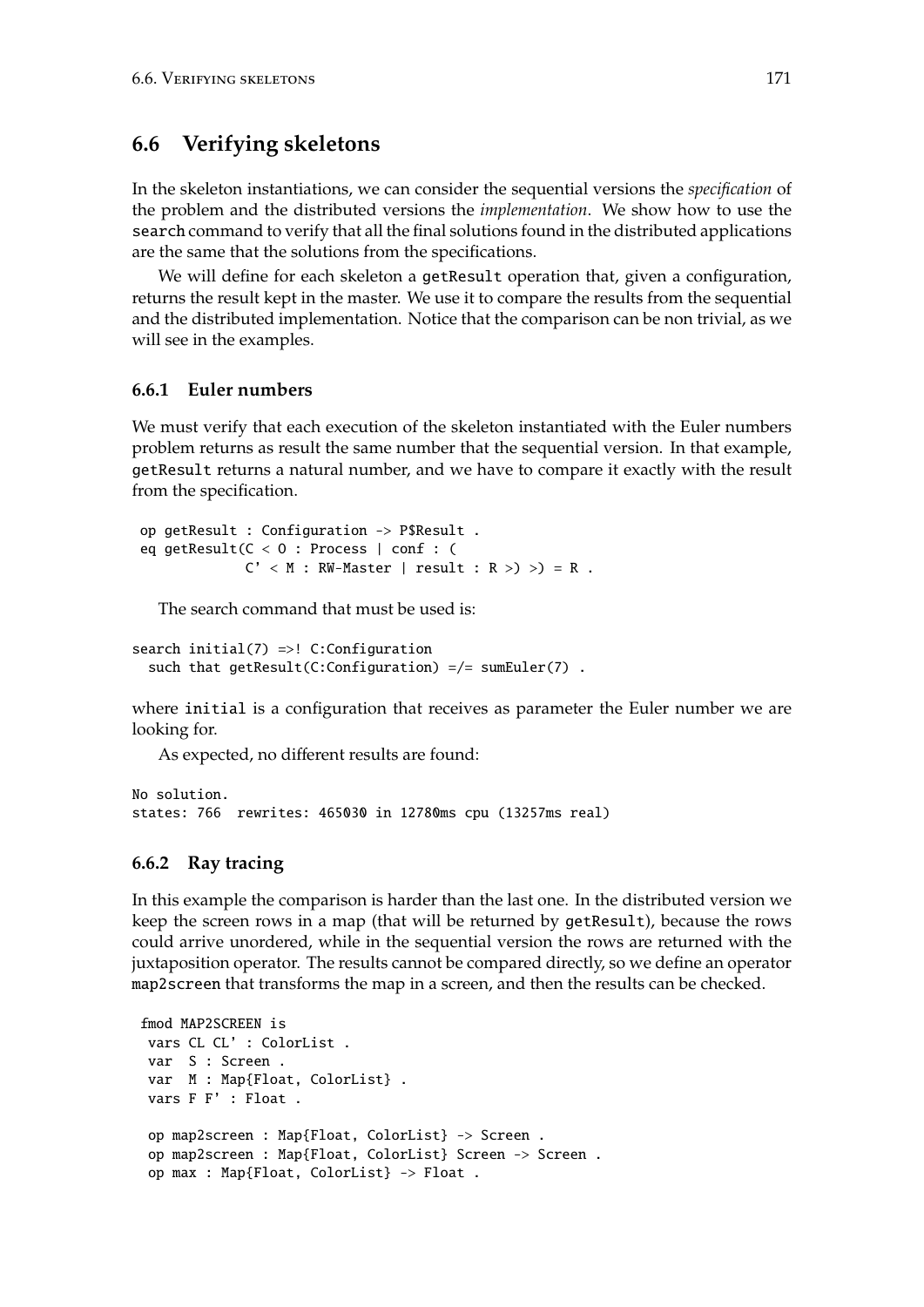# <span id="page-170-0"></span>**6.6 Verifying skeletons**

In the skeleton instantiations, we can consider the sequential versions the *specification* of the problem and the distributed versions the *implementation*. We show how to use the search command to verify that all the final solutions found in the distributed applications are the same that the solutions from the specifications.

We will define for each skeleton a getResult operation that, given a configuration, returns the result kept in the master. We use it to compare the results from the sequential and the distributed implementation. Notice that the comparison can be non trivial, as we will see in the examples.

# **6.6.1 Euler numbers**

We must verify that each execution of the skeleton instantiated with the Euler numbers problem returns as result the same number that the sequential version. In that example, getResult returns a natural number, and we have to compare it exactly with the result from the specification.

```
op getResult : Configuration -> P$Result .
eq getResult(C < O : Process | conf : (
             C' < M : RW-Master | result : R >) >) = R.
```
The search command that must be used is:

```
search initial(7) =>! C:Configuration
  such that getResult(C:Configuration) =/= sumEuler(7) .
```
where initial is a configuration that receives as parameter the Euler number we are looking for.

As expected, no different results are found:

No solution. states: 766 rewrites: 465030 in 12780ms cpu (13257ms real)

# **6.6.2 Ray tracing**

In this example the comparison is harder than the last one. In the distributed version we keep the screen rows in a map (that will be returned by getResult), because the rows could arrive unordered, while in the sequential version the rows are returned with the juxtaposition operator. The results cannot be compared directly, so we define an operator map2screen that transforms the map in a screen, and then the results can be checked.

```
fmod MAP2SCREEN is
vars CL CL' : ColorList .
var S : Screen .
var M : Map{Float, ColorList} .
vars F F' : Float .
 op map2screen : Map{Float, ColorList} -> Screen .
 op map2screen : Map{Float, ColorList} Screen -> Screen .
 op max : Map{Float, ColorList} -> Float .
```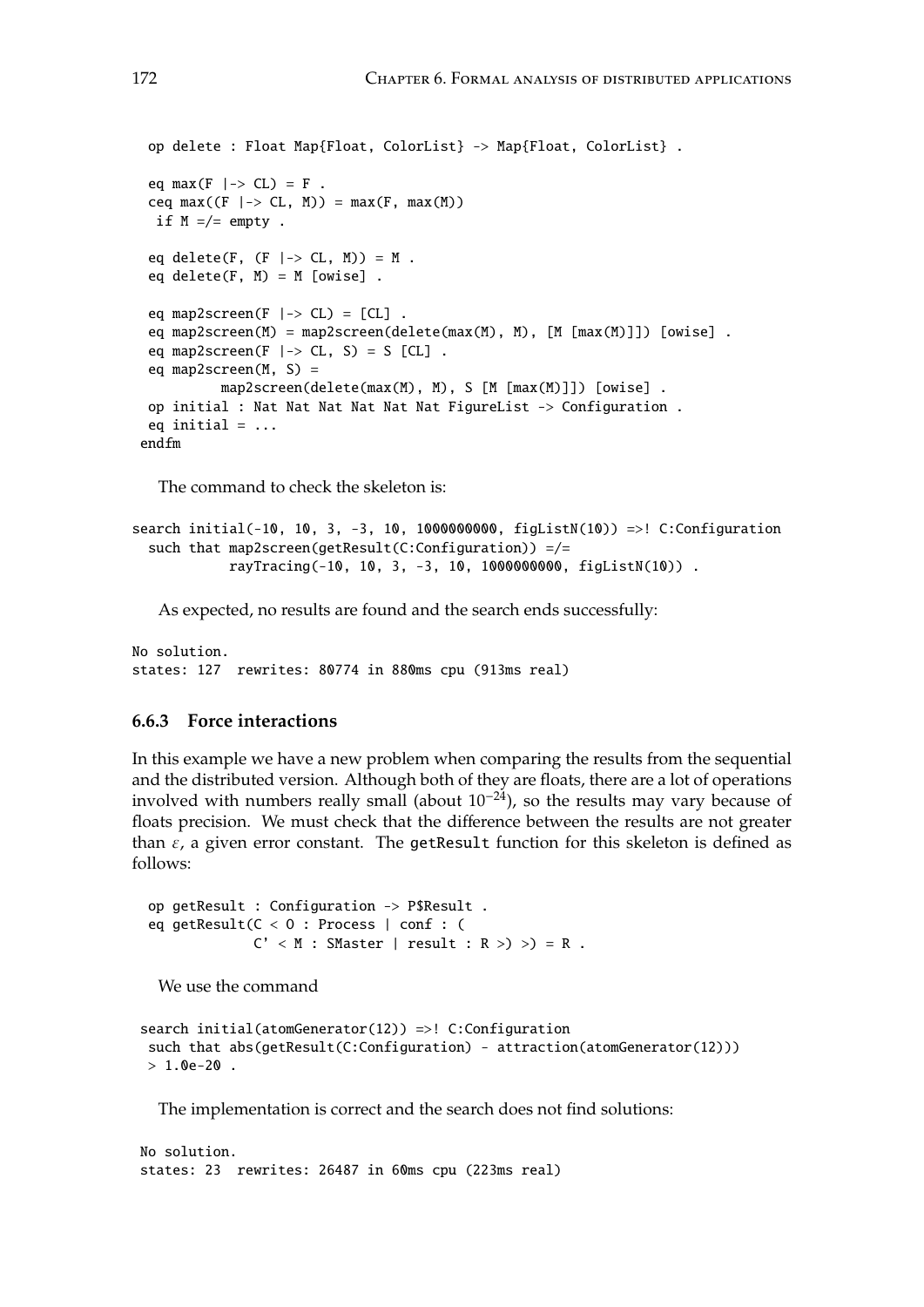```
op delete : Float Map{Float, ColorList} -> Map{Float, ColorList} .
 eq max(F \mid-> CL) = F.
 ceq max((F \mid -> CL, M)) = max(F, max(M))if M = /= empty.
 eq delete(F, (F \mid -> CL, M)) = M.
 eq delete(F, M) = M [owise].
 eq map2screen(F |-> CL) = [CL].
 eq map2screen(M) = map2screen(delete(max(M), M), [M [max(M)]]) [owise] .
 eq map2screen(F \rightarrow CL, S) = S [CL] .
 eq map2screen(M, S) =
          map2screen(delete(max(M), M), S [M [max(M)]]) [owise] .
op initial : Nat Nat Nat Nat Nat Nat FigureList -> Configuration .
eq initial = ...
endfm
```
The command to check the skeleton is:

```
search initial(-10, 10, 3, -3, 10, 1000000000, figListN(10)) =>! C:Configuration
  such that map2screen(getResult(C:Configuration)) =/=
            rayTracing(-10, 10, 3, -3, 10, 1000000000, figListN(10)) .
```
As expected, no results are found and the search ends successfully:

No solution. states: 127 rewrites: 80774 in 880ms cpu (913ms real)

# **6.6.3 Force interactions**

In this example we have a new problem when comparing the results from the sequential and the distributed version. Although both of they are floats, there are a lot of operations involved with numbers really small (about  $10^{-24}$ ), so the results may vary because of floats precision. We must check that the difference between the results are not greater than  $\varepsilon$ , a given error constant. The getResult function for this skeleton is defined as follows:

```
op getResult : Configuration -> P$Result .
eq getResult(C < O : Process | conf : (
             C' < M : SMaster | result : R >) >) = R .
```
We use the command

```
search initial(atomGenerator(12)) =>! C:Configuration
such that abs(getResult(C:Configuration) - attraction(atomGenerator(12)))
> 1.0e-20 .
```
The implementation is correct and the search does not find solutions:

No solution. states: 23 rewrites: 26487 in 60ms cpu (223ms real)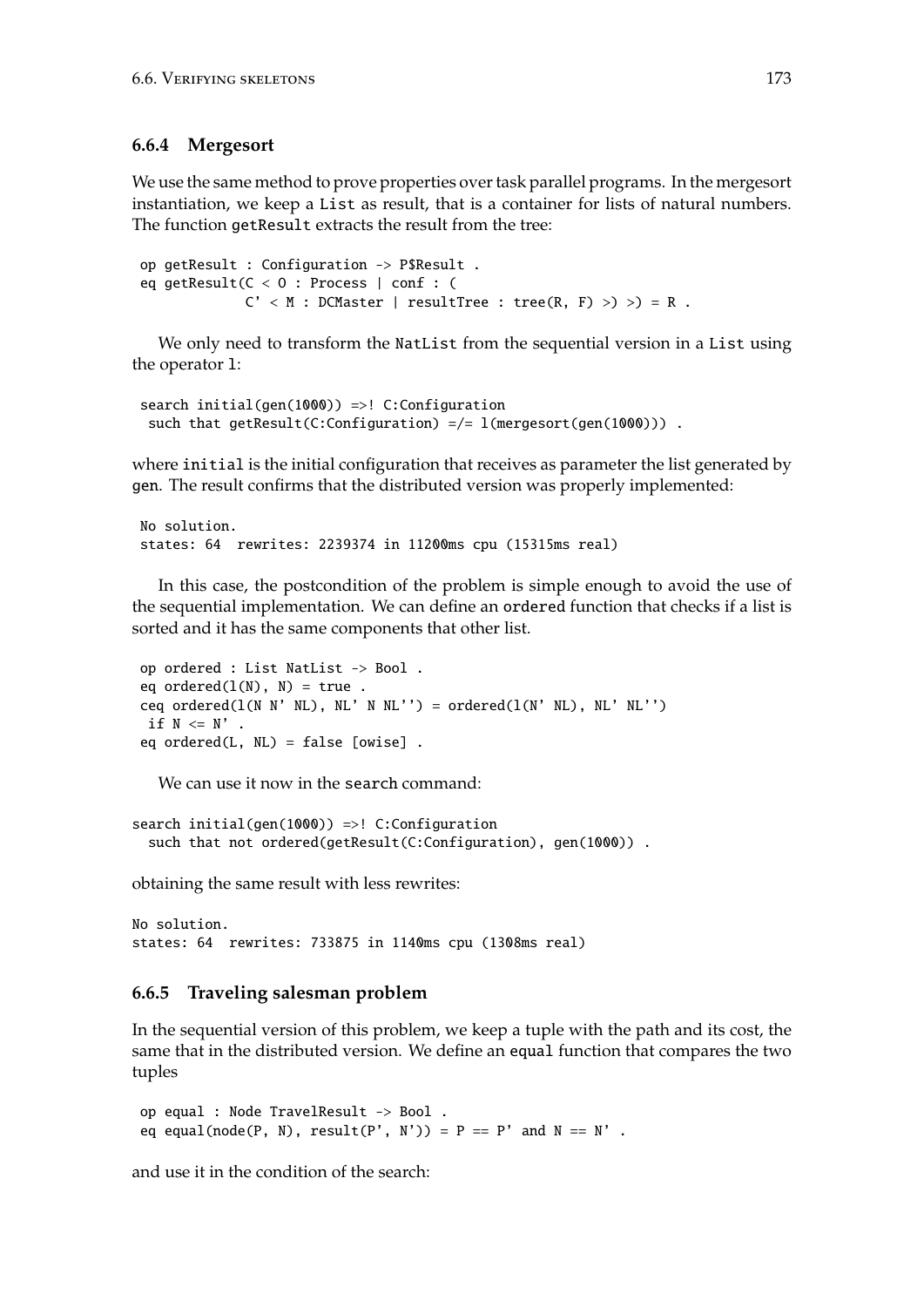## **6.6.4 Mergesort**

We use the same method to prove properties over task parallel programs. In the mergesort instantiation, we keep a List as result, that is a container for lists of natural numbers. The function getResult extracts the result from the tree:

```
op getResult : Configuration -> P$Result .
eq getResult(C < O : Process | conf : (
            C' < M : DCMaster | resultTree : tree(R, F) >) >) = R.
```
We only need to transform the NatList from the sequential version in a List using the operator l:

```
search initial(gen(1000)) =>! C:Configuration
such that getResult(C:Configuration) =/= l(mergesort(gen(1000))) .
```
where initial is the initial configuration that receives as parameter the list generated by gen. The result confirms that the distributed version was properly implemented:

```
No solution.
states: 64 rewrites: 2239374 in 11200ms cpu (15315ms real)
```
In this case, the postcondition of the problem is simple enough to avoid the use of the sequential implementation. We can define an ordered function that checks if a list is sorted and it has the same components that other list.

```
op ordered : List NatList -> Bool .
eq ordered(l(N), N) = true.
ceq ordered(l(N \ N' \ NL), NL' N NL'') = ordered(l(N' \ NL), NL' NL'')
 if N \leq N' .
eq ordered(L, NL) = false [owise] .
```
We can use it now in the search command:

search initial(gen(1000)) =>! C:Configuration such that not ordered(getResult(C:Configuration), gen(1000)) .

obtaining the same result with less rewrites:

```
No solution.
states: 64 rewrites: 733875 in 1140ms cpu (1308ms real)
```
# **6.6.5 Traveling salesman problem**

In the sequential version of this problem, we keep a tuple with the path and its cost, the same that in the distributed version. We define an equal function that compares the two tuples

```
op equal : Node TravelResult -> Bool .
eq equal(node(P, N), result(P', N')) = P == P' and N == N'.
```
and use it in the condition of the search: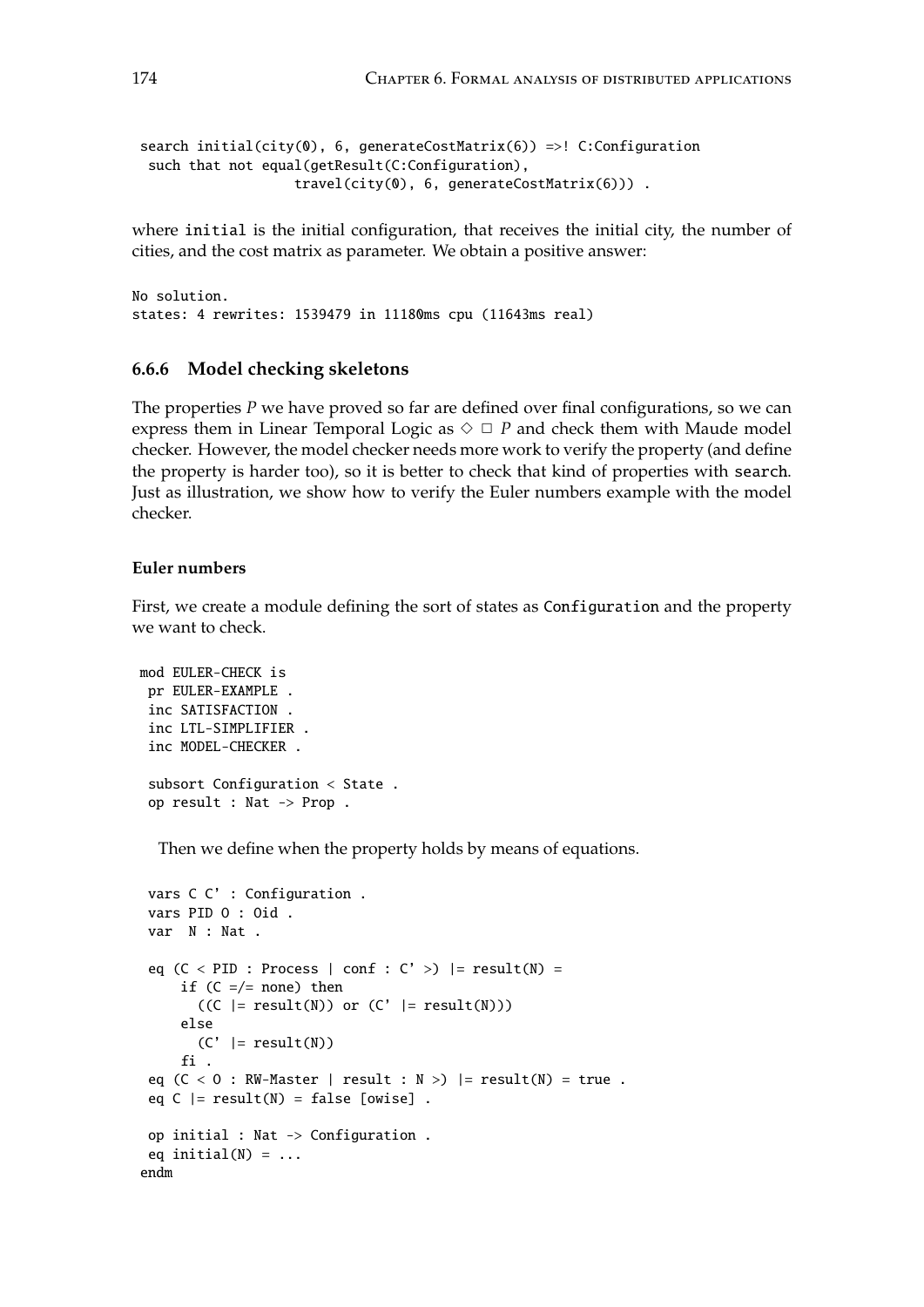```
search initial(city(0), 6, generateCostMatrix(6)) =>! C:Configuration
 such that not equal(getResult(C:Configuration),
                   travel(city(0), 6, generateCostMatrix(6))) .
```
where initial is the initial configuration, that receives the initial city, the number of cities, and the cost matrix as parameter. We obtain a positive answer:

No solution. states: 4 rewrites: 1539479 in 11180ms cpu (11643ms real)

#### **6.6.6 Model checking skeletons**

The properties *P* we have proved so far are defined over final configurations, so we can express them in Linear Temporal Logic as  $\Diamond \Box P$  and check them with Maude model checker. However, the model checker needs more work to verify the property (and define the property is harder too), so it is better to check that kind of properties with search. Just as illustration, we show how to verify the Euler numbers example with the model checker.

## **Euler numbers**

First, we create a module defining the sort of states as Configuration and the property we want to check.

```
mod EULER-CHECK is
 pr EULER-EXAMPLE .
 inc SATISFACTION .
 inc LTL-SIMPLIFIER .
 inc MODEL-CHECKER .
 subsort Configuration < State .
 op result : Nat -> Prop .
```
Then we define when the property holds by means of equations.

```
vars C C' : Configuration .
vars PID O : Oid .
var N : Nat .
 eq (C < PID : Process | conf : C' >) |= result(N) =if (C = /= \text{none}) then
       ((C \mid = result(N)) or (C' \mid = result(N)))else
       (C' |= result(N))fi .
 eq (C < 0 : RW-Master | result : N >) |= result(N) = true .
 eq C |= result(N) = false [owise].
op initial : Nat -> Configuration .
eq initial(N) = ...
endm
```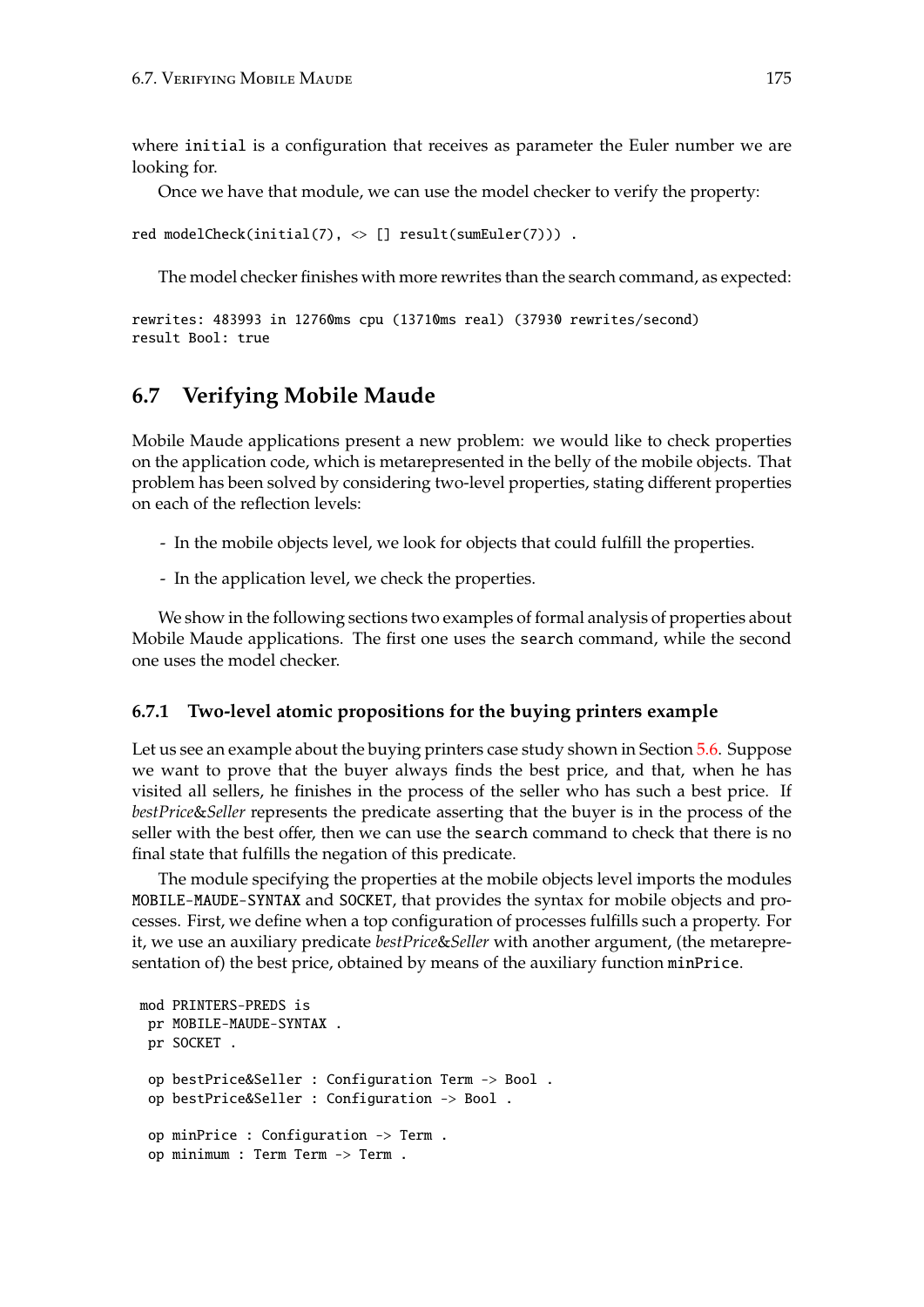where initial is a configuration that receives as parameter the Euler number we are looking for.

Once we have that module, we can use the model checker to verify the property:

```
red modelCheck(initial(7), \langle [] result(sumEuler(7))).
```
The model checker finishes with more rewrites than the search command, as expected:

```
rewrites: 483993 in 12760ms cpu (13710ms real) (37930 rewrites/second)
result Bool: true
```
# <span id="page-174-0"></span>**6.7 Verifying Mobile Maude**

Mobile Maude applications present a new problem: we would like to check properties on the application code, which is metarepresented in the belly of the mobile objects. That problem has been solved by considering two-level properties, stating different properties on each of the reflection levels:

- In the mobile objects level, we look for objects that could fulfill the properties.
- In the application level, we check the properties.

We show in the following sections two examples of formal analysis of properties about Mobile Maude applications. The first one uses the search command, while the second one uses the model checker.

# **6.7.1 Two-level atomic propositions for the buying printers example**

Let us see an example about the buying printers case study shown in Section [5.6.](#page-125-0) Suppose we want to prove that the buyer always finds the best price, and that, when he has visited all sellers, he finishes in the process of the seller who has such a best price. If *bestPrice*&*Seller* represents the predicate asserting that the buyer is in the process of the seller with the best offer, then we can use the search command to check that there is no final state that fulfills the negation of this predicate.

The module specifying the properties at the mobile objects level imports the modules MOBILE-MAUDE-SYNTAX and SOCKET, that provides the syntax for mobile objects and processes. First, we define when a top configuration of processes fulfills such a property. For it, we use an auxiliary predicate *bestPrice*&*Seller* with another argument, (the metarepresentation of) the best price, obtained by means of the auxiliary function minPrice.

```
mod PRINTERS-PREDS is
pr MOBILE-MAUDE-SYNTAX .
pr SOCKET .
 op bestPrice&Seller : Configuration Term -> Bool .
 op bestPrice&Seller : Configuration -> Bool .
 op minPrice : Configuration -> Term .
 op minimum : Term Term -> Term .
```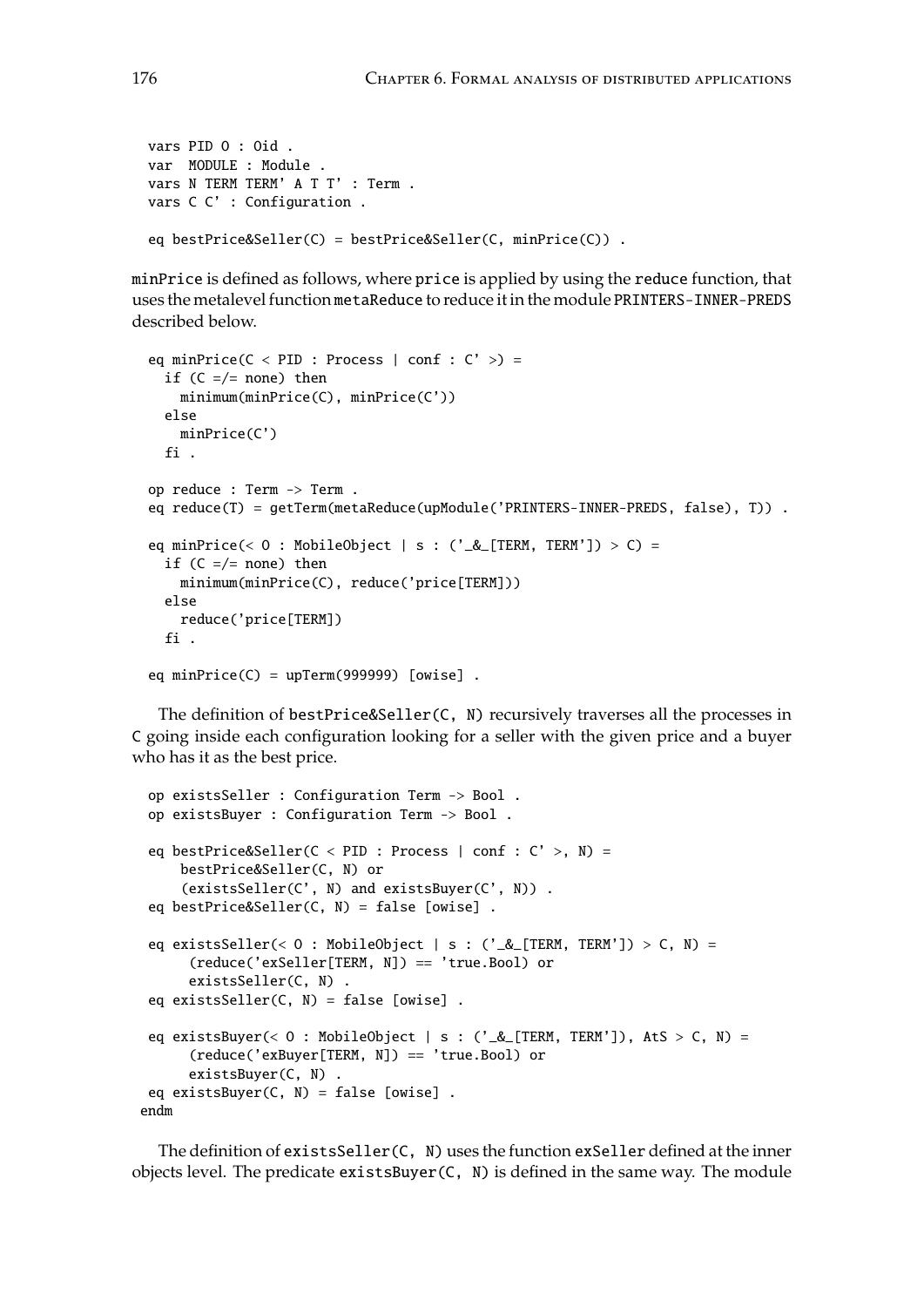```
vars PID O : Oid .
var MODULE : Module .
vars N TERM TERM' A T T' : Term .
vars C C' : Configuration .
eq bestPrice&Seller(C) = bestPrice&Seller(C, minPrice(C)) .
```
minPrice is defined as follows, where price is applied by using the reduce function, that uses the metalevel function metaReduce to reduce it in the module PRINTERS-INNER-PREDS described below.

```
eq minPrice(C < PID : Process | conf : C' >) =
 if (C = /= \text{none}) then
   minimum(minPrice(C), minPrice(C'))
 else
   minPrice(C')
  fi .
op reduce : Term -> Term .
eq reduce(T) = getTerm(metaReduce(upModule('PRINTERS-INNER-PREDS, false), T)) .
eq minPrice(< 0 : MobileObject | s : ('\& [TERM, TERM']) > C) =
 if (C = /= none) then
   minimum(minPrice(C), reduce('price[TERM]))
 else
   reduce('price[TERM])
 fi .
eq minPrice(C) = upTerm(999999) [owise].
```
The definition of bestPrice&Seller(C, N) recursively traverses all the processes in C going inside each configuration looking for a seller with the given price and a buyer who has it as the best price.

```
op existsSeller : Configuration Term -> Bool .
 op existsBuyer : Configuration Term -> Bool .
 eq bestPrice&Seller(C < PID : Process | conf : C' >, N) =
    bestPrice&Seller(C, N) or
     (existsSeller(C', N) and existsBuyer(C', N)) .
 eq bestPrice&Seller(C, N) = false [owise] .
 eq existsSeller(< 0 : MobileObject | s : ('_&_[TERM, TERM']) > C, N) =
      (reduce('exSeller[TERM, N]) == 'true.Bool) or
     existsSeller(C, N) .
 eq existsSeller(C, N) = false [owise] .
 eq existsBuyer(< 0 : MobileObject | s : ('_&_[TERM, TERM']), AtS > C, N) =
      (reduce('exBuyer[TERM, N]) == 'true.Bool) or
     existsBuyer(C, N) .
 eq existsBuyer(C, N) = false [owise] .
endm
```
The definition of existsSeller(C, N) uses the function exSeller defined at the inner objects level. The predicate  $existsBuyer(C, N)$  is defined in the same way. The module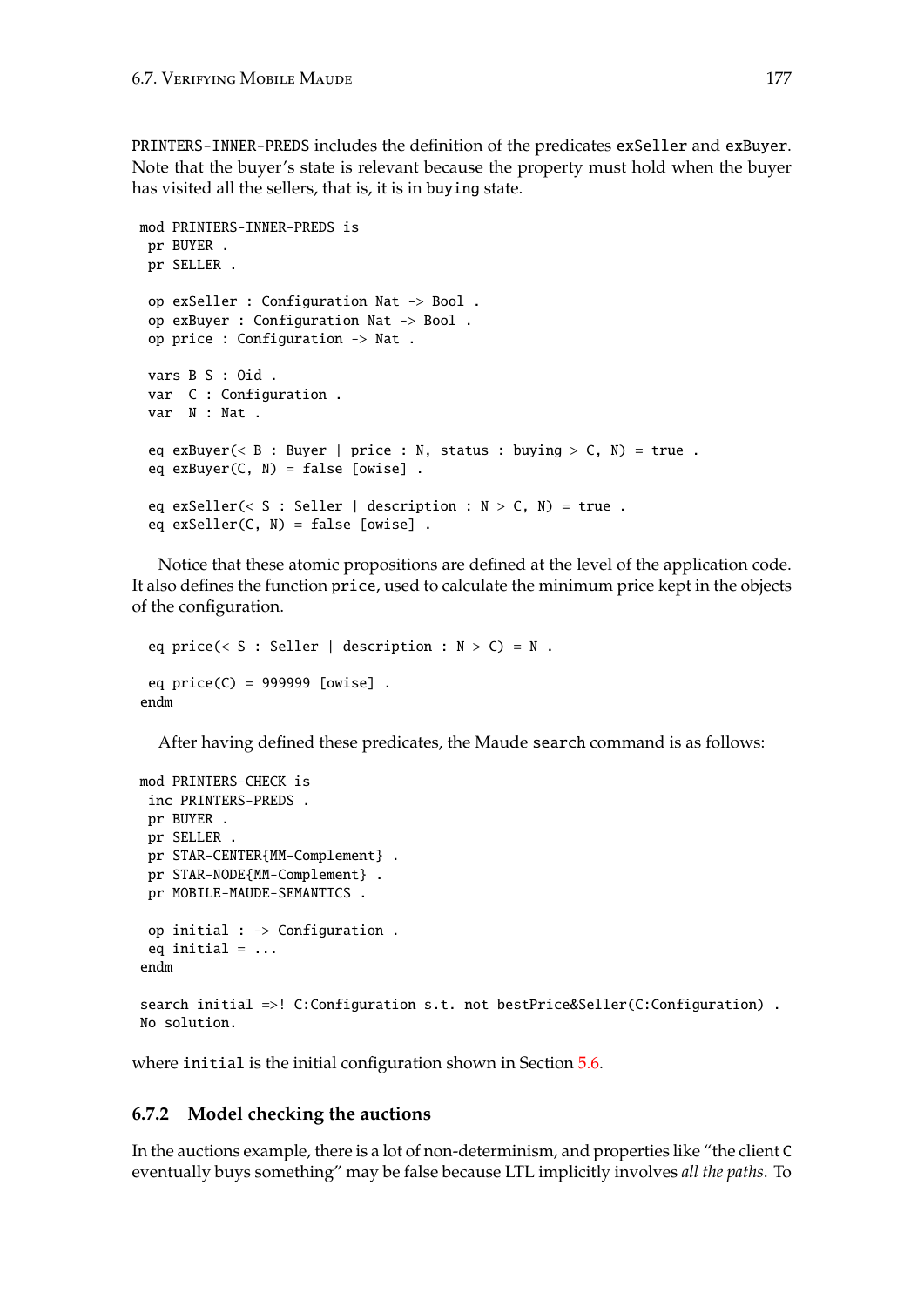PRINTERS-INNER-PREDS includes the definition of the predicates exSeller and exBuyer. Note that the buyer's state is relevant because the property must hold when the buyer has visited all the sellers, that is, it is in buying state.

```
mod PRINTERS-INNER-PREDS is
pr BUYER .
pr SELLER .
 op exSeller : Configuration Nat -> Bool .
 op exBuyer : Configuration Nat -> Bool .
 op price : Configuration -> Nat .
 vars B S : Oid .
 var C : Configuration .
 var N : Nat .
 eq exBuyer(< B : Buyer | price : N, status : buying > C, N) = true .
 eq exBuyer(C, N) = false [owise].
 eq exSeller(< S : Seller | description : N > C, N) = true .
 eq exSeller(C, N) = false [owise].
```
Notice that these atomic propositions are defined at the level of the application code. It also defines the function price, used to calculate the minimum price kept in the objects of the configuration.

```
eq price(< S : Seller | description : N > C) = N.
eq price(C) = 999999 [owise] .
endm
```
After having defined these predicates, the Maude search command is as follows:

```
mod PRINTERS-CHECK is
 inc PRINTERS-PREDS .
 pr BUYER .
pr SELLER .
pr STAR-CENTER{MM-Complement} .
pr STAR-NODE{MM-Complement} .
 pr MOBILE-MAUDE-SEMANTICS .
 op initial : -> Configuration .
 eq initial = ...
endm
search initial =>! C:Configuration s.t. not bestPrice&Seller(C:Configuration) .
No solution.
```
where initial is the initial configuration shown in Section [5.6.](#page-125-0)

# **6.7.2 Model checking the auctions**

In the auctions example, there is a lot of non-determinism, and properties like "the client C eventually buys something" may be false because LTL implicitly involves *all the paths*. To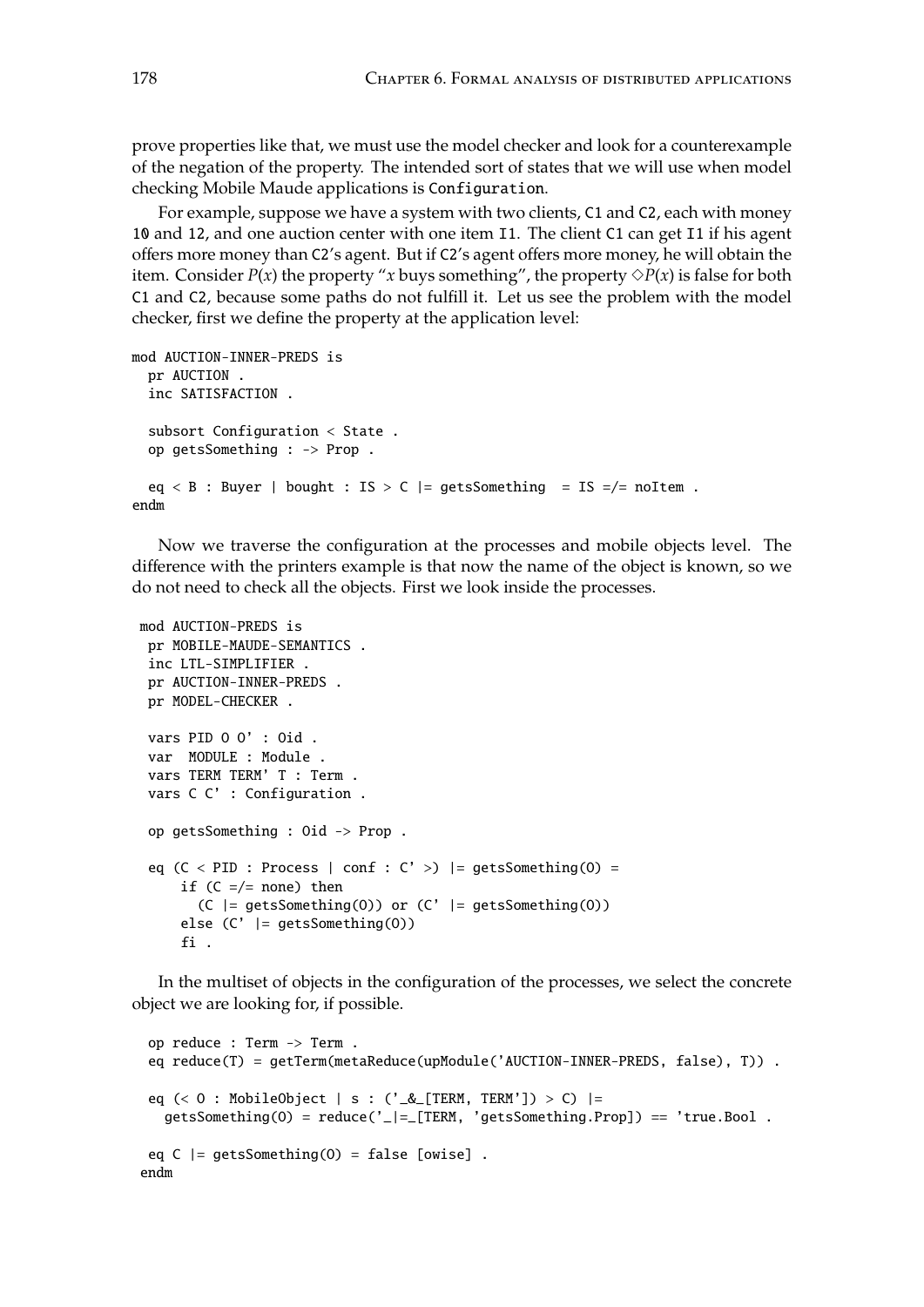prove properties like that, we must use the model checker and look for a counterexample of the negation of the property. The intended sort of states that we will use when model checking Mobile Maude applications is Configuration.

For example, suppose we have a system with two clients, C1 and C2, each with money 10 and 12, and one auction center with one item I1. The client C1 can get I1 if his agent offers more money than C2's agent. But if C2's agent offers more money, he will obtain the item. Consider  $P(x)$  the property "*x* buys something", the property  $\Diamond P(x)$  is false for both C1 and C2, because some paths do not fulfill it. Let us see the problem with the model checker, first we define the property at the application level:

```
mod AUCTION-INNER-PREDS is
  pr AUCTION .
  inc SATISFACTION .
  subsort Configuration < State .
  op getsSomething : -> Prop .
  eq < B : Buyer | bought : IS > C |= getsSomething = IS =/= noItem .
endm
```
Now we traverse the configuration at the processes and mobile objects level. The difference with the printers example is that now the name of the object is known, so we do not need to check all the objects. First we look inside the processes.

```
mod AUCTION-PREDS is
 pr MOBILE-MAUDE-SEMANTICS .
 inc LTL-SIMPLIFIER .
 pr AUCTION-INNER-PREDS .
pr MODEL-CHECKER .
 vars PID O O' : Oid .
 var MODULE : Module .
 vars TERM TERM' T : Term .
 vars C C' : Configuration .
 op getsSomething : Oid -> Prop .
 eq (C < PID : Process | conf : C' >) = getsSomething(0) =
     if (C = /= \text{none}) then
       (C | = getsSomething(0)) or (C' | = getsSomething(0))else (C' |= getsSomething(O))
     fi .
```
In the multiset of objects in the configuration of the processes, we select the concrete object we are looking for, if possible.

```
op reduce : Term -> Term .
 eq reduce(T) = getTerm(metaReduce(upModule('AUCTION-INNER-PREDS, false), T)) .
 eq (< O : MobileObject | s : ('_&_[TERM, TERM']) > C) |=
  getsSomething(0) = reduce(' = [TERM, 'getsSomething.Prop]) == 'true.Bool.
 eq C |= getsSomething(0) = false [owise].
endm
```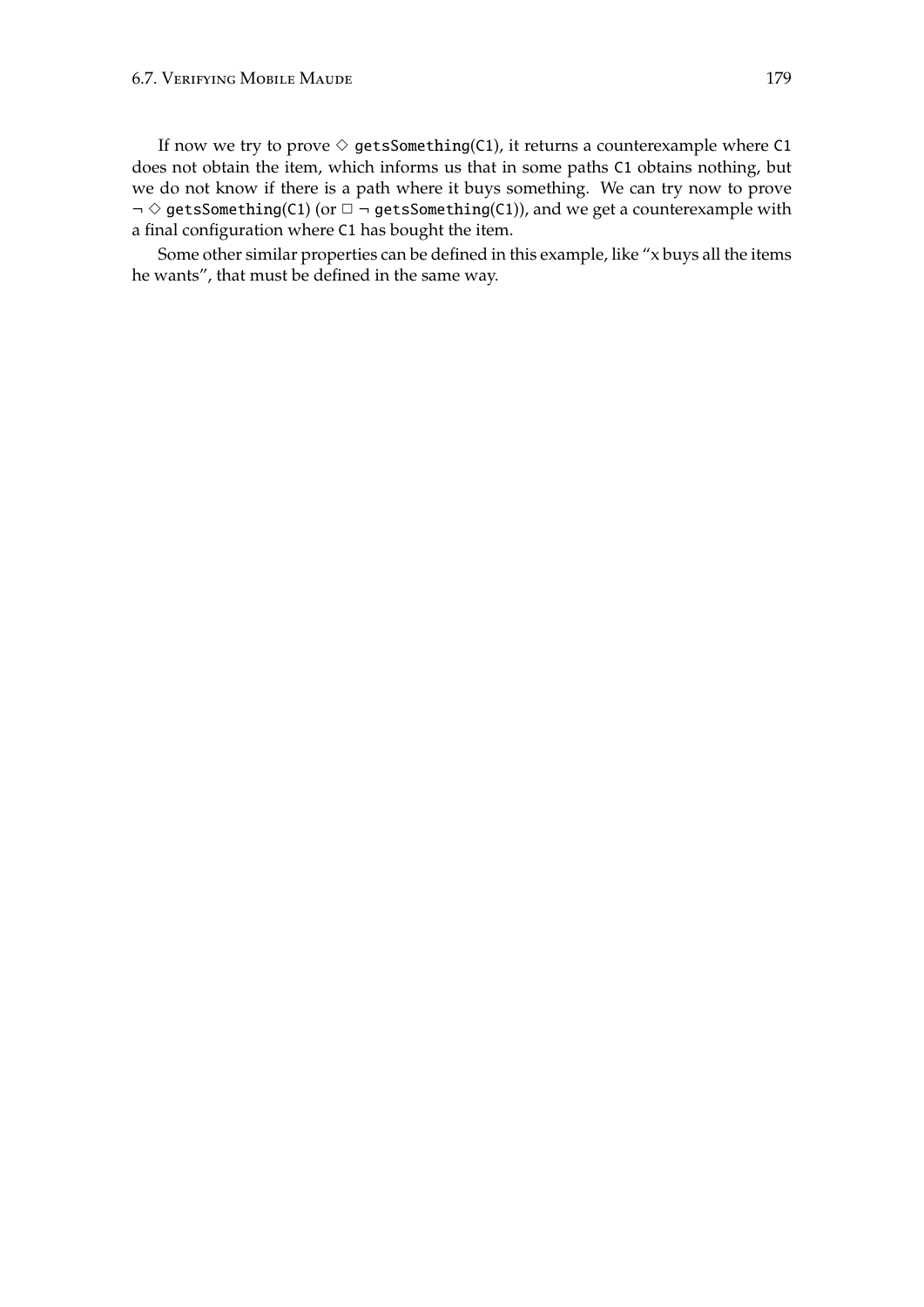#### 6.7. VERIFYING MOBILE MAUDE

If now we try to prove  $\diamond$  getsSomething(C1), it returns a counterexample where C1 does not obtain the item, which informs us that in some paths C1 obtains nothing, but we do not know if there is a path where it buys something. We can try now to prove  $\neg \Diamond$  getsSomething(C1) (or  $\Box \neg$  getsSomething(C1)), and we get a counterexample with a final configuration where C1 has bought the item.

Some other similar properties can be defined in this example, like "x buys all the items he wants", that must be defined in the same way.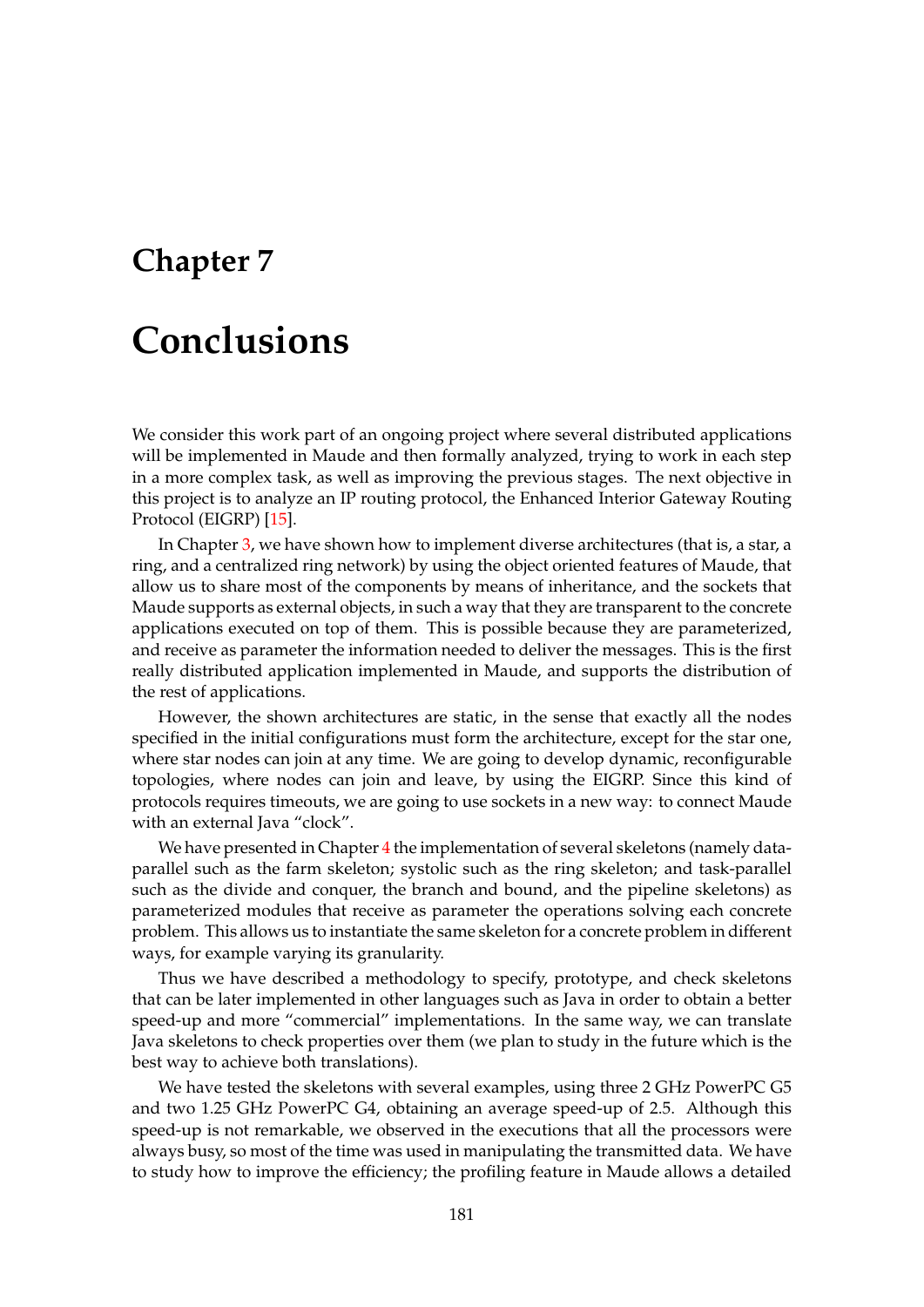## **Chapter 7**

## **Conclusions**

We consider this work part of an ongoing project where several distributed applications will be implemented in Maude and then formally analyzed, trying to work in each step in a more complex task, as well as improving the previous stages. The next objective in this project is to analyze an IP routing protocol, the Enhanced Interior Gateway Routing Protocol (EIGRP) [\[15\]](#page-183-0).

In Chapter [3,](#page-38-0) we have shown how to implement diverse architectures (that is, a star, a ring, and a centralized ring network) by using the object oriented features of Maude, that allow us to share most of the components by means of inheritance, and the sockets that Maude supports as external objects, in such a way that they are transparent to the concrete applications executed on top of them. This is possible because they are parameterized, and receive as parameter the information needed to deliver the messages. This is the first really distributed application implemented in Maude, and supports the distribution of the rest of applications.

However, the shown architectures are static, in the sense that exactly all the nodes specified in the initial configurations must form the architecture, except for the star one, where star nodes can join at any time. We are going to develop dynamic, reconfigurable topologies, where nodes can join and leave, by using the EIGRP. Since this kind of protocols requires timeouts, we are going to use sockets in a new way: to connect Maude with an external Java "clock".

We have presented in Chapter [4](#page-60-0) the implementation of several skeletons (namely dataparallel such as the farm skeleton; systolic such as the ring skeleton; and task-parallel such as the divide and conquer, the branch and bound, and the pipeline skeletons) as parameterized modules that receive as parameter the operations solving each concrete problem. This allows us to instantiate the same skeleton for a concrete problem in different ways, for example varying its granularity.

Thus we have described a methodology to specify, prototype, and check skeletons that can be later implemented in other languages such as Java in order to obtain a better speed-up and more "commercial" implementations. In the same way, we can translate Java skeletons to check properties over them (we plan to study in the future which is the best way to achieve both translations).

We have tested the skeletons with several examples, using three 2 GHz PowerPC G5 and two 1.25 GHz PowerPC G4, obtaining an average speed-up of 2.5. Although this speed-up is not remarkable, we observed in the executions that all the processors were always busy, so most of the time was used in manipulating the transmitted data. We have to study how to improve the efficiency; the profiling feature in Maude allows a detailed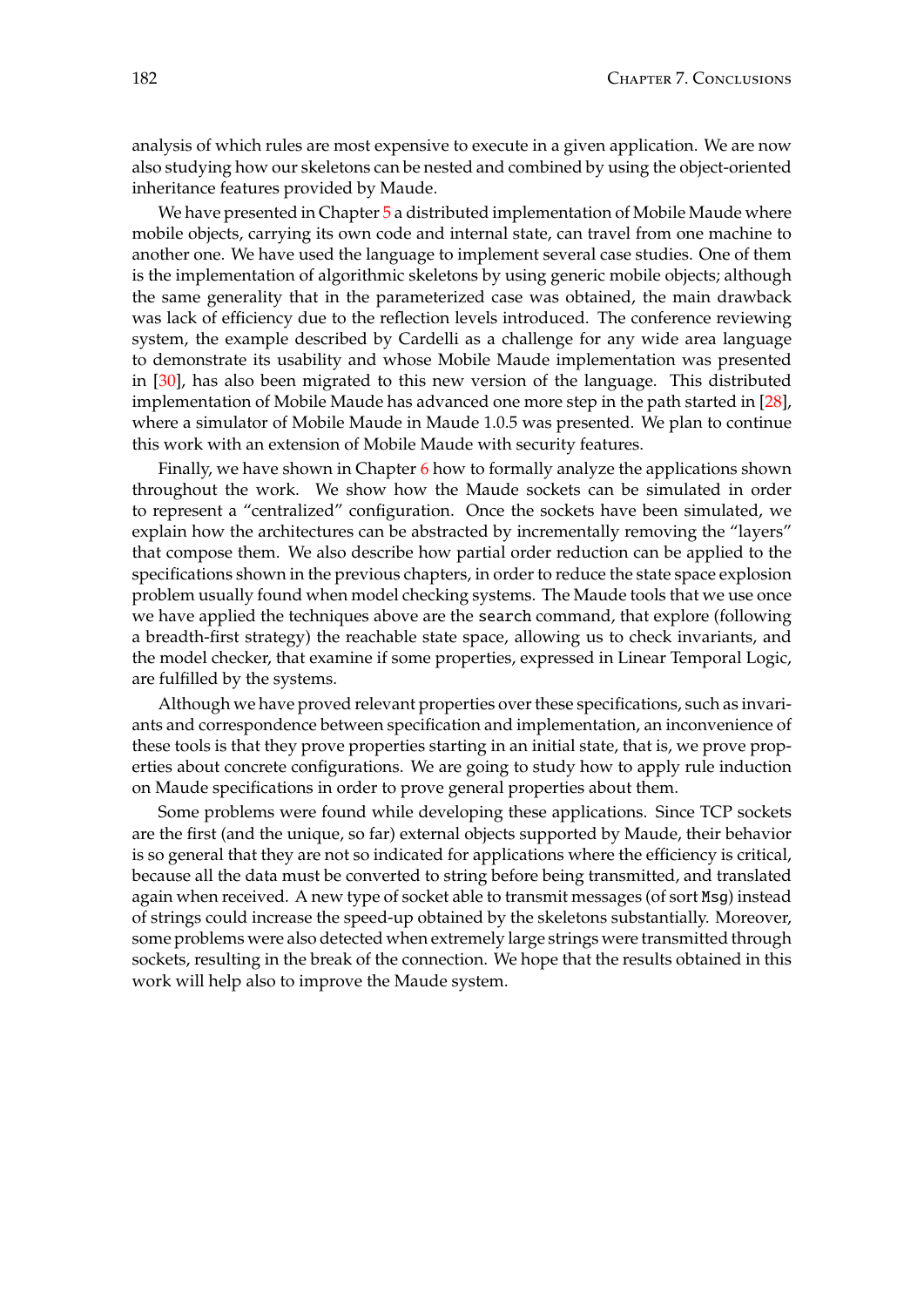analysis of which rules are most expensive to execute in a given application. We are now also studying how our skeletons can be nested and combined by using the object-oriented inheritance features provided by Maude.

We have presented in Chapter [5](#page-110-0) a distributed implementation of Mobile Maude where mobile objects, carrying its own code and internal state, can travel from one machine to another one. We have used the language to implement several case studies. One of them is the implementation of algorithmic skeletons by using generic mobile objects; although the same generality that in the parameterized case was obtained, the main drawback was lack of efficiency due to the reflection levels introduced. The conference reviewing system, the example described by Cardelli as a challenge for any wide area language to demonstrate its usability and whose Mobile Maude implementation was presented in [\[30\]](#page-184-0), has also been migrated to this new version of the language. This distributed implementation of Mobile Maude has advanced one more step in the path started in [\[28\]](#page-184-1), where a simulator of Mobile Maude in Maude 1.0.5 was presented. We plan to continue this work with an extension of Mobile Maude with security features.

Finally, we have shown in Chapter [6](#page-150-0) how to formally analyze the applications shown throughout the work. We show how the Maude sockets can be simulated in order to represent a "centralized" configuration. Once the sockets have been simulated, we explain how the architectures can be abstracted by incrementally removing the "layers" that compose them. We also describe how partial order reduction can be applied to the specifications shown in the previous chapters, in order to reduce the state space explosion problem usually found when model checking systems. The Maude tools that we use once we have applied the techniques above are the search command, that explore (following a breadth-first strategy) the reachable state space, allowing us to check invariants, and the model checker, that examine if some properties, expressed in Linear Temporal Logic, are fulfilled by the systems.

Although we have proved relevant properties over these specifications, such as invariants and correspondence between specification and implementation, an inconvenience of these tools is that they prove properties starting in an initial state, that is, we prove properties about concrete configurations. We are going to study how to apply rule induction on Maude specifications in order to prove general properties about them.

Some problems were found while developing these applications. Since TCP sockets are the first (and the unique, so far) external objects supported by Maude, their behavior is so general that they are not so indicated for applications where the efficiency is critical, because all the data must be converted to string before being transmitted, and translated again when received. A new type of socket able to transmit messages (of sort Msg) instead of strings could increase the speed-up obtained by the skeletons substantially. Moreover, some problems were also detected when extremely large strings were transmitted through sockets, resulting in the break of the connection. We hope that the results obtained in this work will help also to improve the Maude system.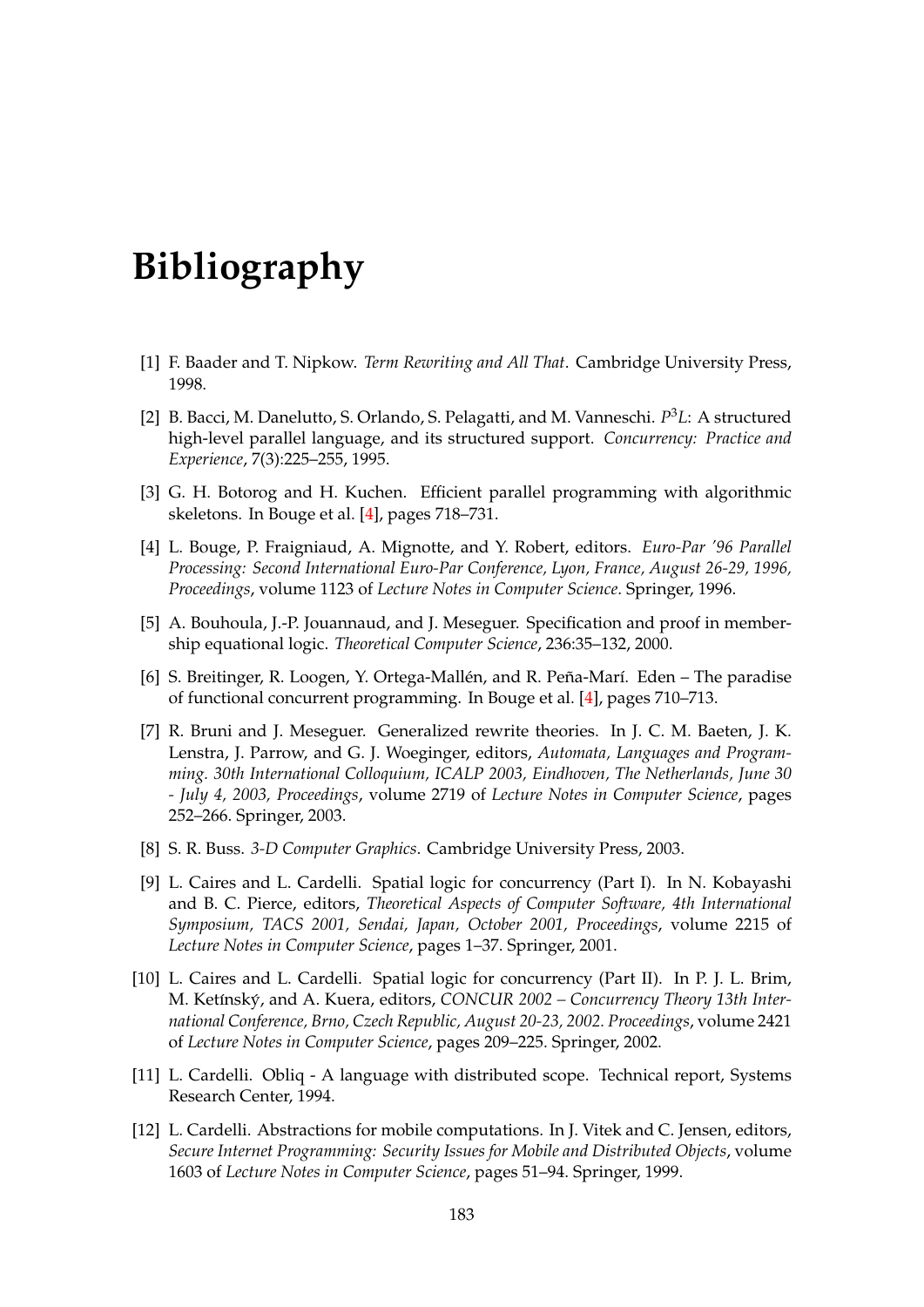## **Bibliography**

- [1] F. Baader and T. Nipkow. *Term Rewriting and All That*. Cambridge University Press, 1998.
- [2] B. Bacci, M. Danelutto, S. Orlando, S. Pelagatti, and M. Vanneschi. *P* <sup>3</sup>*L*: A structured high-level parallel language, and its structured support. *Concurrency: Practice and Experience*, 7(3):225–255, 1995.
- [3] G. H. Botorog and H. Kuchen. Efficient parallel programming with algorithmic skeletons. In Bouge et al. [\[4\]](#page-182-0), pages 718–731.
- <span id="page-182-0"></span>[4] L. Bouge, P. Fraigniaud, A. Mignotte, and Y. Robert, editors. *Euro-Par '96 Parallel Processing: Second International Euro-Par Conference, Lyon, France, August 26-29, 1996, Proceedings*, volume 1123 of *Lecture Notes in Computer Science*. Springer, 1996.
- [5] A. Bouhoula, J.-P. Jouannaud, and J. Meseguer. Specification and proof in membership equational logic. *Theoretical Computer Science*, 236:35–132, 2000.
- [6] S. Breitinger, R. Loogen, Y. Ortega-Mallén, and R. Peña-Marí. Eden The paradise of functional concurrent programming. In Bouge et al. [\[4\]](#page-182-0), pages 710–713.
- [7] R. Bruni and J. Meseguer. Generalized rewrite theories. In J. C. M. Baeten, J. K. Lenstra, J. Parrow, and G. J. Woeginger, editors, *Automata, Languages and Programming. 30th International Colloquium, ICALP 2003, Eindhoven, The Netherlands, June 30 - July 4, 2003, Proceedings*, volume 2719 of *Lecture Notes in Computer Science*, pages 252–266. Springer, 2003.
- [8] S. R. Buss. *3-D Computer Graphics*. Cambridge University Press, 2003.
- [9] L. Caires and L. Cardelli. Spatial logic for concurrency (Part I). In N. Kobayashi and B. C. Pierce, editors, *Theoretical Aspects of Computer Software, 4th International Symposium, TACS 2001, Sendai, Japan, October 2001, Proceedings*, volume 2215 of *Lecture Notes in Computer Science*, pages 1–37. Springer, 2001.
- [10] L. Caires and L. Cardelli. Spatial logic for concurrency (Part II). In P. J. L. Brim, M. Ketínský, and A. Kuera, editors, CONCUR 2002 – Concurrency Theory 13th Inter*national Conference, Brno, Czech Republic, August 20-23, 2002. Proceedings*, volume 2421 of *Lecture Notes in Computer Science*, pages 209–225. Springer, 2002.
- [11] L. Cardelli. Obliq A language with distributed scope. Technical report, Systems Research Center, 1994.
- [12] L. Cardelli. Abstractions for mobile computations. In J. Vitek and C. Jensen, editors, *Secure Internet Programming: Security Issues for Mobile and Distributed Objects*, volume 1603 of *Lecture Notes in Computer Science*, pages 51–94. Springer, 1999.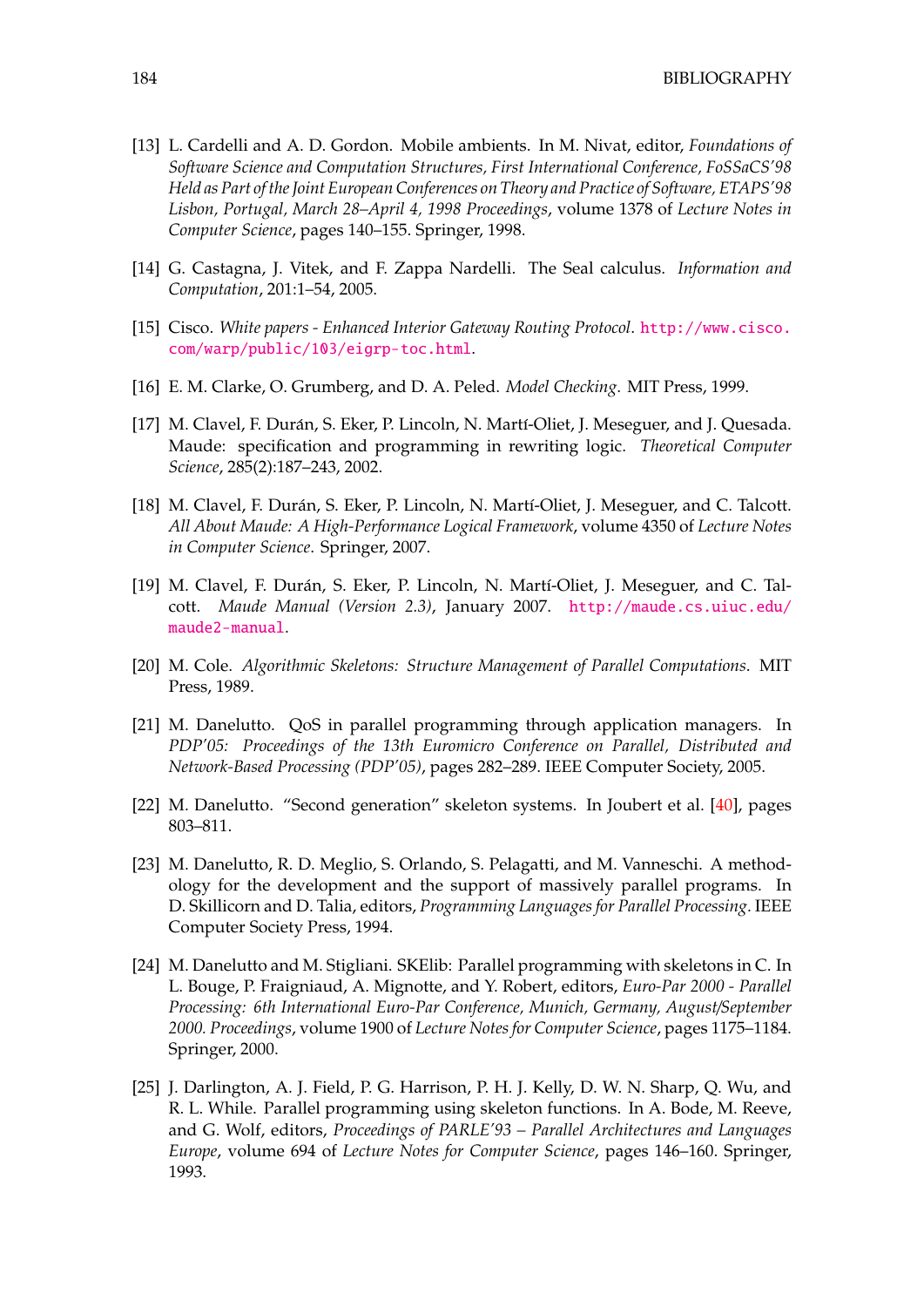- [13] L. Cardelli and A. D. Gordon. Mobile ambients. In M. Nivat, editor, *Foundations of Software Science and Computation Structures, First International Conference, FoSSaCS'98 Held as Part of the Joint European Conferences on Theory and Practice of Software, ETAPS'98 Lisbon, Portugal, March 28–April 4, 1998 Proceedings*, volume 1378 of *Lecture Notes in Computer Science*, pages 140–155. Springer, 1998.
- [14] G. Castagna, J. Vitek, and F. Zappa Nardelli. The Seal calculus. *Information and Computation*, 201:1–54, 2005.
- <span id="page-183-0"></span>[15] Cisco. *White papers - Enhanced Interior Gateway Routing Protocol*. [http://www.cisco.](http://www.cisco.com/warp/public/103/eigrp-toc.html) [com/warp/public/103/eigrp-toc.html](http://www.cisco.com/warp/public/103/eigrp-toc.html).
- [16] E. M. Clarke, O. Grumberg, and D. A. Peled. *Model Checking*. MIT Press, 1999.
- [17] M. Clavel, F. Durán, S. Eker, P. Lincoln, N. Martí-Oliet, J. Meseguer, and J. Quesada. Maude: specification and programming in rewriting logic. *Theoretical Computer Science*, 285(2):187–243, 2002.
- [18] M. Clavel, F. Durán, S. Eker, P. Lincoln, N. Martí-Oliet, J. Meseguer, and C. Talcott. *All About Maude: A High-Performance Logical Framework*, volume 4350 of *Lecture Notes in Computer Science*. Springer, 2007.
- [19] M. Clavel, F. Durán, S. Eker, P. Lincoln, N. Martí-Oliet, J. Meseguer, and C. Talcott. *Maude Manual (Version 2.3)*, January 2007. [http://maude.cs.uiuc.edu/](http://maude.cs.uiuc.edu/maude2-manual) [maude2-manual](http://maude.cs.uiuc.edu/maude2-manual).
- [20] M. Cole. *Algorithmic Skeletons: Structure Management of Parallel Computations*. MIT Press, 1989.
- [21] M. Danelutto. QoS in parallel programming through application managers. In *PDP'05: Proceedings of the 13th Euromicro Conference on Parallel, Distributed and Network-Based Processing (PDP'05)*, pages 282–289. IEEE Computer Society, 2005.
- [22] M. Danelutto. "Second generation" skeleton systems. In Joubert et al. [\[40\]](#page-185-0), pages 803–811.
- [23] M. Danelutto, R. D. Meglio, S. Orlando, S. Pelagatti, and M. Vanneschi. A methodology for the development and the support of massively parallel programs. In D. Skillicorn and D. Talia, editors, *Programming Languages for Parallel Processing*. IEEE Computer Society Press, 1994.
- [24] M. Danelutto and M. Stigliani. SKElib: Parallel programming with skeletons in C. In L. Bouge, P. Fraigniaud, A. Mignotte, and Y. Robert, editors, *Euro-Par 2000 - Parallel Processing: 6th International Euro-Par Conference, Munich, Germany, August*/*September 2000. Proceedings*, volume 1900 of *Lecture Notes for Computer Science*, pages 1175–1184. Springer, 2000.
- [25] J. Darlington, A. J. Field, P. G. Harrison, P. H. J. Kelly, D. W. N. Sharp, Q. Wu, and R. L. While. Parallel programming using skeleton functions. In A. Bode, M. Reeve, and G. Wolf, editors, *Proceedings of PARLE'93 – Parallel Architectures and Languages Europe*, volume 694 of *Lecture Notes for Computer Science*, pages 146–160. Springer, 1993.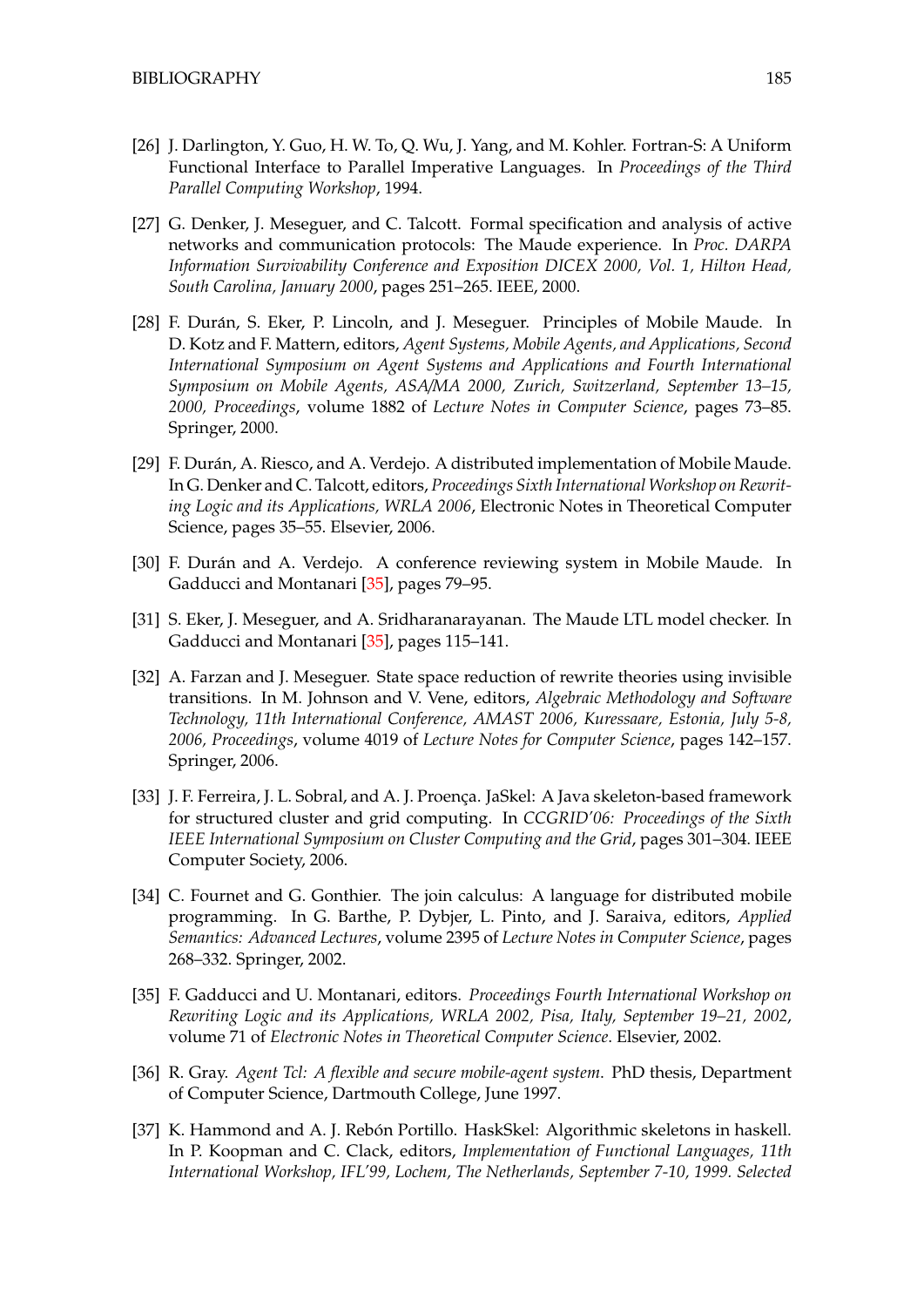- [26] J. Darlington, Y. Guo, H. W. To, Q. Wu, J. Yang, and M. Kohler. Fortran-S: A Uniform Functional Interface to Parallel Imperative Languages. In *Proceedings of the Third Parallel Computing Workshop*, 1994.
- [27] G. Denker, J. Meseguer, and C. Talcott. Formal specification and analysis of active networks and communication protocols: The Maude experience. In *Proc. DARPA Information Survivability Conference and Exposition DICEX 2000, Vol. 1, Hilton Head, South Carolina, January 2000*, pages 251–265. IEEE, 2000.
- <span id="page-184-1"></span>[28] F. Durán, S. Eker, P. Lincoln, and J. Meseguer. Principles of Mobile Maude. In D. Kotz and F. Mattern, editors, *Agent Systems, Mobile Agents, and Applications, Second International Symposium on Agent Systems and Applications and Fourth International Symposium on Mobile Agents, ASA*/*MA 2000, Zurich, Switzerland, September 13–15, 2000, Proceedings*, volume 1882 of *Lecture Notes in Computer Science*, pages 73–85. Springer, 2000.
- [29] F. Durán, A. Riesco, and A. Verdejo. A distributed implementation of Mobile Maude. In G. Denker and C. Talcott, editors, *Proceedings Sixth International Workshop on Rewriting Logic and its Applications, WRLA 2006*, Electronic Notes in Theoretical Computer Science, pages 35–55. Elsevier, 2006.
- <span id="page-184-0"></span>[30] F. Durán and A. Verdejo. A conference reviewing system in Mobile Maude. In Gadducci and Montanari [\[35\]](#page-184-2), pages 79–95.
- [31] S. Eker, J. Meseguer, and A. Sridharanarayanan. The Maude LTL model checker. In Gadducci and Montanari [\[35\]](#page-184-2), pages 115–141.
- [32] A. Farzan and J. Meseguer. State space reduction of rewrite theories using invisible transitions. In M. Johnson and V. Vene, editors, *Algebraic Methodology and Software Technology, 11th International Conference, AMAST 2006, Kuressaare, Estonia, July 5-8, 2006, Proceedings*, volume 4019 of *Lecture Notes for Computer Science*, pages 142–157. Springer, 2006.
- [33] J. F. Ferreira, J. L. Sobral, and A. J. Proença. JaSkel: A Java skeleton-based framework for structured cluster and grid computing. In *CCGRID'06: Proceedings of the Sixth IEEE International Symposium on Cluster Computing and the Grid*, pages 301–304. IEEE Computer Society, 2006.
- [34] C. Fournet and G. Gonthier. The join calculus: A language for distributed mobile programming. In G. Barthe, P. Dybjer, L. Pinto, and J. Saraiva, editors, *Applied Semantics: Advanced Lectures*, volume 2395 of *Lecture Notes in Computer Science*, pages 268–332. Springer, 2002.
- <span id="page-184-2"></span>[35] F. Gadducci and U. Montanari, editors. *Proceedings Fourth International Workshop on Rewriting Logic and its Applications, WRLA 2002, Pisa, Italy, September 19–21, 2002*, volume 71 of *Electronic Notes in Theoretical Computer Science*. Elsevier, 2002.
- [36] R. Gray. *Agent Tcl: A flexible and secure mobile-agent system*. PhD thesis, Department of Computer Science, Dartmouth College, June 1997.
- [37] K. Hammond and A. J. Rebón Portillo. HaskSkel: Algorithmic skeletons in haskell. In P. Koopman and C. Clack, editors, *Implementation of Functional Languages, 11th International Workshop, IFL'99, Lochem, The Netherlands, September 7-10, 1999. Selected*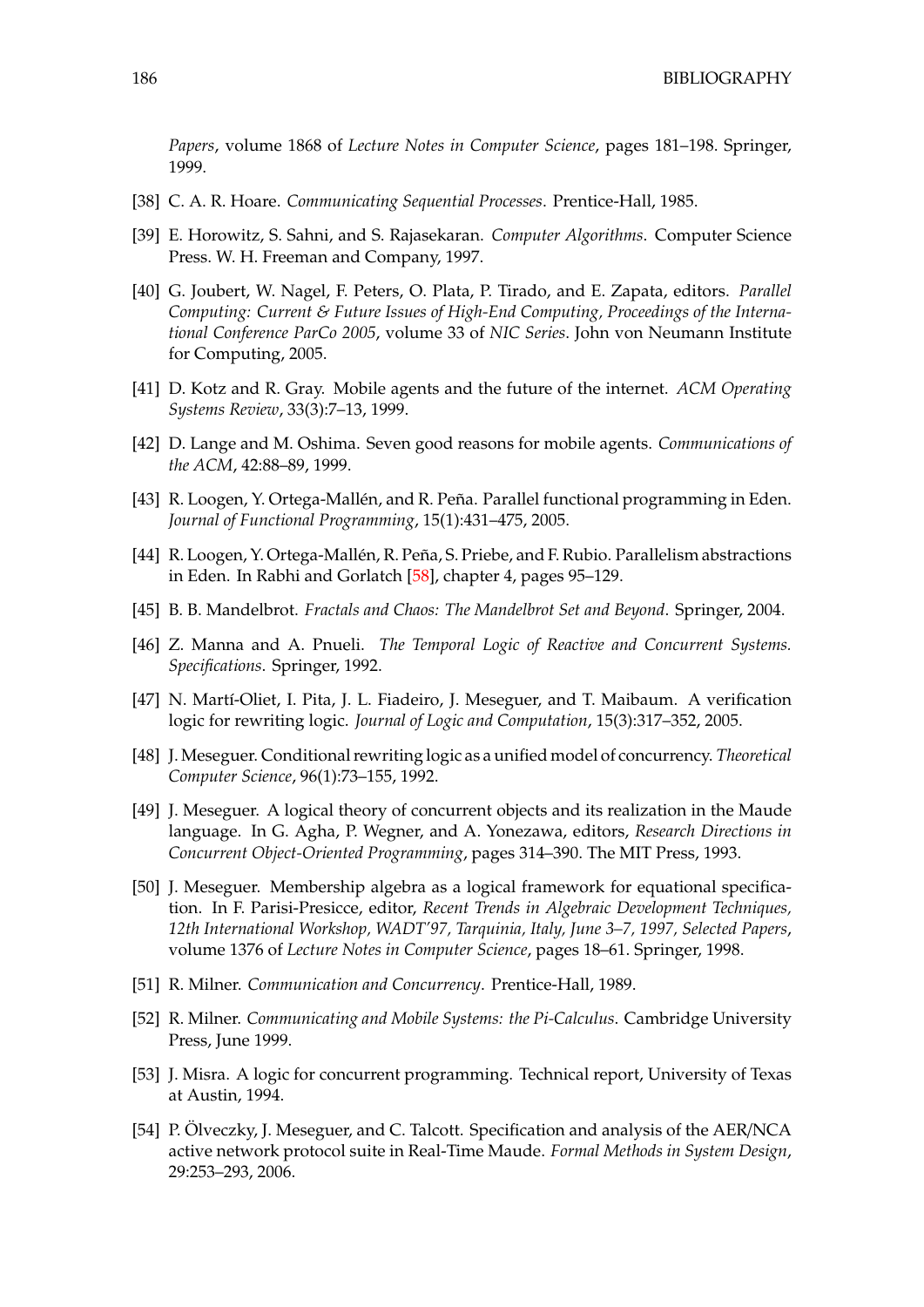*Papers*, volume 1868 of *Lecture Notes in Computer Science*, pages 181–198. Springer, 1999.

- [38] C. A. R. Hoare. *Communicating Sequential Processes*. Prentice-Hall, 1985.
- [39] E. Horowitz, S. Sahni, and S. Rajasekaran. *Computer Algorithms*. Computer Science Press. W. H. Freeman and Company, 1997.
- <span id="page-185-0"></span>[40] G. Joubert, W. Nagel, F. Peters, O. Plata, P. Tirado, and E. Zapata, editors. *Parallel Computing: Current & Future Issues of High-End Computing, Proceedings of the International Conference ParCo 2005*, volume 33 of *NIC Series*. John von Neumann Institute for Computing, 2005.
- [41] D. Kotz and R. Gray. Mobile agents and the future of the internet. *ACM Operating Systems Review*, 33(3):7–13, 1999.
- [42] D. Lange and M. Oshima. Seven good reasons for mobile agents. *Communications of the ACM*, 42:88–89, 1999.
- [43] R. Loogen, Y. Ortega-Mallén, and R. Peña. Parallel functional programming in Eden. *Journal of Functional Programming*, 15(1):431–475, 2005.
- [44] R. Loogen, Y. Ortega-Mallén, R. Peña, S. Priebe, and F. Rubio. Parallelism abstractions in Eden. In Rabhi and Gorlatch [\[58\]](#page-186-0), chapter 4, pages 95–129.
- [45] B. B. Mandelbrot. *Fractals and Chaos: The Mandelbrot Set and Beyond*. Springer, 2004.
- [46] Z. Manna and A. Pnueli. *The Temporal Logic of Reactive and Concurrent Systems. Specifications*. Springer, 1992.
- [47] N. Martí-Oliet, I. Pita, J. L. Fiadeiro, J. Meseguer, and T. Maibaum. A verification logic for rewriting logic. *Journal of Logic and Computation*, 15(3):317–352, 2005.
- [48] J. Meseguer. Conditional rewriting logic as a unified model of concurrency. *Theoretical Computer Science*, 96(1):73–155, 1992.
- [49] J. Meseguer. A logical theory of concurrent objects and its realization in the Maude language. In G. Agha, P. Wegner, and A. Yonezawa, editors, *Research Directions in Concurrent Object-Oriented Programming*, pages 314–390. The MIT Press, 1993.
- [50] J. Meseguer. Membership algebra as a logical framework for equational specification. In F. Parisi-Presicce, editor, *Recent Trends in Algebraic Development Techniques, 12th International Workshop, WADT'97, Tarquinia, Italy, June 3–7, 1997, Selected Papers*, volume 1376 of *Lecture Notes in Computer Science*, pages 18–61. Springer, 1998.
- [51] R. Milner. *Communication and Concurrency*. Prentice-Hall, 1989.
- [52] R. Milner. *Communicating and Mobile Systems: the Pi-Calculus*. Cambridge University Press, June 1999.
- [53] J. Misra. A logic for concurrent programming. Technical report, University of Texas at Austin, 1994.
- [54] P. Olveczky, J. Meseguer, and C. Talcott. Specification and analysis of the AER/NCA active network protocol suite in Real-Time Maude. *Formal Methods in System Design*, 29:253–293, 2006.